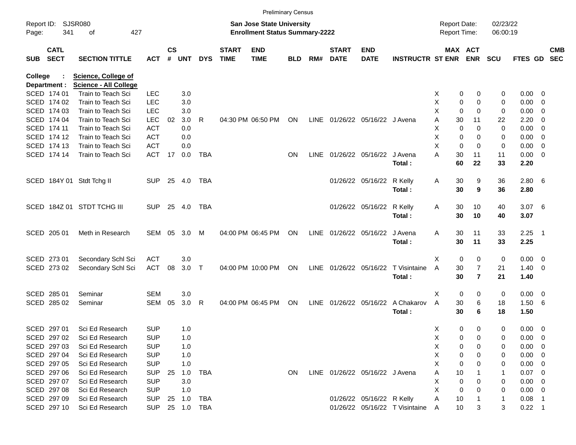|                |                            |                              |            |                    |            |              |                             |                                       | <b>Preliminary Census</b> |             |                                |                           |                                |                     |                |                |            |                       |                          |                          |
|----------------|----------------------------|------------------------------|------------|--------------------|------------|--------------|-----------------------------|---------------------------------------|---------------------------|-------------|--------------------------------|---------------------------|--------------------------------|---------------------|----------------|----------------|------------|-----------------------|--------------------------|--------------------------|
|                | Report ID: SJSR080         |                              |            |                    |            |              |                             | San Jose State University             |                           |             |                                |                           |                                | <b>Report Date:</b> |                |                | 02/23/22   |                       |                          |                          |
| Page:          | 341<br>of<br>427           |                              |            |                    |            |              |                             | <b>Enrollment Status Summary-2222</b> |                           |             |                                |                           |                                | Report Time:        |                |                | 06:00:19   |                       |                          |                          |
| <b>SUB</b>     | <b>CATL</b><br><b>SECT</b> | <b>SECTION TITTLE</b>        | <b>ACT</b> | $\mathsf{cs}$<br># | <b>UNT</b> | <b>DYS</b>   | <b>START</b><br><b>TIME</b> | <b>END</b><br><b>TIME</b>             | <b>BLD</b>                | RM#         | <b>START</b><br><b>DATE</b>    | <b>END</b><br><b>DATE</b> | <b>INSTRUCTR ST ENR</b>        |                     | <b>MAX ACT</b> | <b>ENR</b>     | <b>SCU</b> | FTES GD               |                          | <b>CMB</b><br><b>SEC</b> |
| <b>College</b> |                            | <b>Science, College of</b>   |            |                    |            |              |                             |                                       |                           |             |                                |                           |                                |                     |                |                |            |                       |                          |                          |
|                | Department :               | <b>Science - All College</b> |            |                    |            |              |                             |                                       |                           |             |                                |                           |                                |                     |                |                |            |                       |                          |                          |
|                | SCED 174 01                | Train to Teach Sci           | <b>LEC</b> |                    | 3.0        |              |                             |                                       |                           |             |                                |                           |                                | X                   | 0              | 0              | 0          | $0.00 \t 0$           |                          |                          |
|                | SCED 174 02                | Train to Teach Sci           | <b>LEC</b> |                    | 3.0        |              |                             |                                       |                           |             |                                |                           |                                | х                   | 0              | 0              | 0          | 0.00                  | $\overline{\phantom{0}}$ |                          |
|                | SCED 174 03                | Train to Teach Sci           | <b>LEC</b> |                    | 3.0        |              |                             |                                       |                           |             |                                |                           |                                | X                   | $\mathbf 0$    | 0              | 0          | 0.00                  | $\overline{\phantom{0}}$ |                          |
|                | SCED 174 04                | Train to Teach Sci           | <b>LEC</b> | 02                 | 3.0        | R            |                             | 04:30 PM 06:50 PM                     | ON                        | <b>LINE</b> |                                | 01/26/22 05/16/22 J Avena |                                | Α                   | 30             | 11             | 22         | 2.20                  | $\overline{\mathbf{0}}$  |                          |
|                | SCED 174 11                | Train to Teach Sci           | <b>ACT</b> |                    | 0.0        |              |                             |                                       |                           |             |                                |                           |                                | х                   | $\mathbf 0$    | 0              | 0          | 0.00                  | $\overline{\mathbf{0}}$  |                          |
|                | SCED 174 12                | Train to Teach Sci           | <b>ACT</b> |                    | 0.0        |              |                             |                                       |                           |             |                                |                           |                                | Χ                   | 0              | 0              | 0          | 0.00                  | $\overline{\phantom{0}}$ |                          |
|                | SCED 174 13                | Train to Teach Sci           | <b>ACT</b> |                    | 0.0        |              |                             |                                       |                           |             |                                |                           |                                | X                   | $\mathbf 0$    | 0              | 0          | 0.00                  | $\overline{\mathbf{0}}$  |                          |
|                | SCED 174 14                | Train to Teach Sci           | <b>ACT</b> | 17                 | 0.0        | <b>TBA</b>   |                             |                                       | <b>ON</b>                 | <b>LINE</b> |                                | 01/26/22 05/16/22 J Avena | Total:                         | Α                   | 30<br>60       | 11<br>22       | 11<br>33   | $0.00 \t 0$<br>2.20   |                          |                          |
|                |                            | SCED 184Y 01 Stdt Tchg II    | <b>SUP</b> |                    | 25 4.0     | TBA          |                             |                                       |                           |             |                                | 01/26/22 05/16/22         | R Kelly<br>Total:              | Α                   | 30<br>30       | 9<br>9         | 36<br>36   | $2.80\quad 6$<br>2.80 |                          |                          |
|                |                            |                              |            |                    |            |              |                             |                                       |                           |             |                                |                           |                                |                     |                |                |            |                       |                          |                          |
|                |                            | SCED 184Z 01 STDT TCHG III   | <b>SUP</b> |                    | 25 4.0     | TBA          |                             |                                       |                           |             |                                | 01/26/22 05/16/22         | R Kelly                        | Α                   | 30             | 10             | 40         | 3.076                 |                          |                          |
|                |                            |                              |            |                    |            |              |                             |                                       |                           |             |                                |                           | Total:                         |                     | 30             | 10             | 40         | 3.07                  |                          |                          |
|                |                            |                              |            |                    |            |              |                             |                                       |                           |             |                                |                           |                                |                     |                |                |            |                       |                          |                          |
|                | SCED 205 01                | Meth in Research             | SEM        | 05                 | 3.0        | M            |                             | 04:00 PM 06:45 PM                     | ON                        | LINE        | 01/26/22 05/16/22              |                           | J Avena                        | Α                   | 30             | 11             | 33         | $2.25$ 1              |                          |                          |
|                |                            |                              |            |                    |            |              |                             |                                       |                           |             |                                |                           | Total:                         |                     | 30             | 11             | 33         | 2.25                  |                          |                          |
|                |                            |                              |            |                    |            |              |                             |                                       |                           |             |                                |                           |                                |                     |                |                |            |                       |                          |                          |
|                | SCED 273 01                | Secondary Schl Sci           | <b>ACT</b> |                    | 3.0        |              |                             |                                       |                           |             |                                |                           |                                | X                   | $\mathbf 0$    | 0              | 0          | $0.00 \t 0$           |                          |                          |
|                | SCED 273 02                | Secondary Schl Sci           | <b>ACT</b> | 08                 | $3.0$ T    |              |                             | 04:00 PM 10:00 PM                     | ON                        |             | LINE 01/26/22 05/16/22         |                           | T Visintaine                   | A                   | 30             | $\overline{7}$ | 21         | $1.40 \ 0$            |                          |                          |
|                |                            |                              |            |                    |            |              |                             |                                       |                           |             |                                |                           | Total:                         |                     | 30             | $\overline{7}$ | 21         | 1.40                  |                          |                          |
|                |                            |                              |            |                    |            |              |                             |                                       |                           |             |                                |                           |                                |                     |                |                |            |                       |                          |                          |
|                | SCED 285 01                | Seminar                      | <b>SEM</b> |                    | 3.0        |              |                             |                                       |                           |             |                                |                           |                                | X                   | 0              | 0              | 0          | $0.00 \t 0$           |                          |                          |
|                | SCED 285 02                | Seminar                      | <b>SEM</b> | 05                 | 3.0        | R            |                             | 04:00 PM 06:45 PM                     | ON                        | LINE        |                                | 01/26/22 05/16/22         | A Chakarov                     | Α                   | 30             | 6              | 18         | 1.506                 |                          |                          |
|                |                            |                              |            |                    |            |              |                             |                                       |                           |             |                                |                           | Total:                         |                     | 30             | 6              | 18         | 1.50                  |                          |                          |
|                | SCED 297 01                | Sci Ed Research              | <b>SUP</b> |                    | 1.0        |              |                             |                                       |                           |             |                                |                           |                                | X                   | 0              | 0              | 0          | $0.00 \t 0$           |                          |                          |
|                | SCED 297 02                | Sci Ed Research              | <b>SUP</b> |                    | 1.0        |              |                             |                                       |                           |             |                                |                           |                                | х                   | 0              | 0              | 0          | $0.00 \t 0$           |                          |                          |
|                | SCED 297 03                | Sci Ed Research              | <b>SUP</b> |                    | 1.0        |              |                             |                                       |                           |             |                                |                           |                                | Χ                   | 0              | 0              | 0          | $0.00 \t 0$           |                          |                          |
|                | SCED 297 04                | Sci Ed Research              | <b>SUP</b> |                    | 1.0        |              |                             |                                       |                           |             |                                |                           |                                | х                   | 0              | 0              | 0          | $0.00 \t 0$           |                          |                          |
|                | SCED 297 05                | Sci Ed Research              | <b>SUP</b> |                    | 1.0        |              |                             |                                       |                           |             |                                |                           |                                | х                   | 0              | 0              | 0          | $0.00 \t 0$           |                          |                          |
|                | SCED 297 06                | Sci Ed Research              | <b>SUP</b> | 25                 | 1.0        | TBA          |                             |                                       | ON                        |             | LINE 01/26/22 05/16/22 J Avena |                           |                                | Α                   | 10             |                | 1          | $0.07 \quad 0$        |                          |                          |
|                | SCED 297 07                | Sci Ed Research              | <b>SUP</b> |                    | 3.0        |              |                             |                                       |                           |             |                                |                           |                                | х                   | 0              | 0              | 0          | $0.00 \t 0$           |                          |                          |
|                | SCED 297 08                | Sci Ed Research              | <b>SUP</b> |                    | 1.0        |              |                             |                                       |                           |             |                                |                           |                                | Χ                   | 0              | 0              | 0          | $0.00 \t 0$           |                          |                          |
|                | SCED 297 09                | Sci Ed Research              | <b>SUP</b> | 25                 | 1.0        | TBA          |                             |                                       |                           |             |                                | 01/26/22 05/16/22 R Kelly |                                | Α                   | 10             |                | 1          | $0.08$ 1              |                          |                          |
|                | SCED 297 10                | Sci Ed Research              | <b>SUP</b> |                    |            | 25  1.0  TBA |                             |                                       |                           |             |                                |                           | 01/26/22 05/16/22 T Visintaine | A                   | $10$           | 3              | 3          | $0.22$ 1              |                          |                          |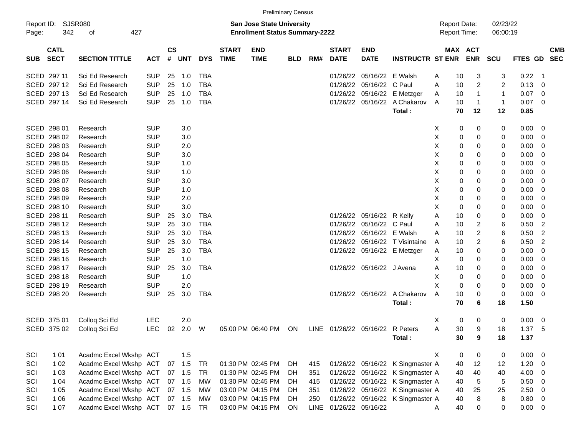|                     |                            |                        |            |                |            |            |                                                                           |                           | <b>Preliminary Census</b> |     |                             |                                 |                                     |   |    |                         |                |             |                         |            |
|---------------------|----------------------------|------------------------|------------|----------------|------------|------------|---------------------------------------------------------------------------|---------------------------|---------------------------|-----|-----------------------------|---------------------------------|-------------------------------------|---|----|-------------------------|----------------|-------------|-------------------------|------------|
| Report ID:<br>Page: | SJSR080<br>342             |                        |            |                |            |            | <b>San Jose State University</b><br><b>Enrollment Status Summary-2222</b> |                           |                           |     |                             |                                 | <b>Report Date:</b><br>Report Time: |   |    | 02/23/22<br>06:00:19    |                |             |                         |            |
| <b>SUB</b>          | <b>CATL</b><br><b>SECT</b> | <b>SECTION TITTLE</b>  | <b>ACT</b> | <b>CS</b><br># | <b>UNT</b> | <b>DYS</b> | <b>START</b><br><b>TIME</b>                                               | <b>END</b><br><b>TIME</b> | <b>BLD</b>                | RM# | <b>START</b><br><b>DATE</b> | <b>END</b><br><b>DATE</b>       | <b>INSTRUCTR ST ENR</b>             |   |    | MAX ACT<br><b>ENR</b>   | <b>SCU</b>     | FTES GD SEC |                         | <b>CMB</b> |
|                     | SCED 297 11                | Sci Ed Research        | <b>SUP</b> | 25             | 1.0        | <b>TBA</b> |                                                                           |                           |                           |     | 01/26/22                    | 05/16/22                        | E Walsh                             | A | 10 | 3                       | 3              | 0.22        | - 1                     |            |
|                     | SCED 297 12                | Sci Ed Research        | <b>SUP</b> | 25             | 1.0        | <b>TBA</b> |                                                                           |                           |                           |     | 01/26/22                    | 05/16/22                        | C Paul                              | A | 10 | 2                       | $\overline{c}$ | 0.13        | 0                       |            |
|                     | SCED 297 13                | Sci Ed Research        | <b>SUP</b> | 25             | 1.0        | <b>TBA</b> |                                                                           |                           |                           |     | 01/26/22                    | 05/16/22                        | E Metzger                           | A | 10 | $\mathbf{1}$            | 1              | 0.07        | 0                       |            |
|                     | SCED 297 14                | Sci Ed Research        | <b>SUP</b> | 25             | 1.0        | <b>TBA</b> |                                                                           |                           |                           |     | 01/26/22                    | 05/16/22                        | A Chakarov                          | A | 10 | $\mathbf{1}$            | 1              | 0.07        | $\overline{\mathbf{0}}$ |            |
|                     |                            |                        |            |                |            |            |                                                                           |                           |                           |     |                             |                                 | Total:                              |   | 70 | 12                      | 12             | 0.85        |                         |            |
|                     | SCED 298 01                | Research               | <b>SUP</b> |                | 3.0        |            |                                                                           |                           |                           |     |                             |                                 |                                     | Х | 0  | 0                       | 0              | 0.00        | - 0                     |            |
|                     | SCED 298 02                | Research               | <b>SUP</b> |                | 3.0        |            |                                                                           |                           |                           |     |                             |                                 |                                     | Χ | 0  | 0                       | 0              | 0.00        | 0                       |            |
|                     | SCED 298 03                | Research               | <b>SUP</b> |                | 2.0        |            |                                                                           |                           |                           |     |                             |                                 |                                     | X | 0  | 0                       | 0              | 0.00        | 0                       |            |
|                     | SCED 298 04                | Research               | <b>SUP</b> |                | 3.0        |            |                                                                           |                           |                           |     |                             |                                 |                                     | X | 0  | 0                       | 0              | 0.00        | 0                       |            |
|                     | SCED 298 05                | Research               | <b>SUP</b> |                | 1.0        |            |                                                                           |                           |                           |     |                             |                                 |                                     | X | 0  | 0                       | 0              | 0.00        | 0                       |            |
|                     | SCED 298 06                | Research               | <b>SUP</b> |                | 1.0        |            |                                                                           |                           |                           |     |                             |                                 |                                     | X | 0  | 0                       | 0              | 0.00        | 0                       |            |
|                     | SCED 298 07                | Research               | <b>SUP</b> |                | 3.0        |            |                                                                           |                           |                           |     |                             |                                 |                                     | X | 0  | 0                       | 0              | 0.00        | 0                       |            |
|                     | SCED 298 08                | Research               | <b>SUP</b> |                | 1.0        |            |                                                                           |                           |                           |     |                             |                                 |                                     | X | 0  | 0                       | 0              | 0.00        | 0                       |            |
|                     | SCED 298 09                | Research               | <b>SUP</b> |                | 2.0        |            |                                                                           |                           |                           |     |                             |                                 |                                     | X | 0  | 0                       | 0              | 0.00        | 0                       |            |
|                     | SCED 298 10                | Research               | <b>SUP</b> |                | 3.0        |            |                                                                           |                           |                           |     |                             |                                 |                                     | X | 0  | 0                       | 0              | 0.00        | 0                       |            |
|                     | SCED 298 11                | Research               | <b>SUP</b> | 25             | 3.0        | TBA        |                                                                           |                           |                           |     | 01/26/22                    | 05/16/22                        | R Kelly                             | Α | 10 | 0                       | 0              | 0.00        | 0                       |            |
|                     | SCED 298 12                | Research               | <b>SUP</b> | 25             | 3.0        | TBA        |                                                                           |                           |                           |     | 01/26/22                    | 05/16/22 C Paul                 |                                     | Α | 10 | 2                       | 6              | 0.50        | $\overline{c}$          |            |
|                     | SCED 298 13                | Research               | <b>SUP</b> | 25             | 3.0        | <b>TBA</b> |                                                                           |                           |                           |     | 01/26/22                    | 05/16/22 E Walsh                |                                     | A | 10 | 2                       | 6              | 0.50        | $\overline{2}$          |            |
|                     | SCED 298 14                | Research               | <b>SUP</b> | 25             | 3.0        | TBA        |                                                                           |                           |                           |     | 01/26/22                    |                                 | 05/16/22 T Visintaine               | A | 10 | $\overline{\mathbf{c}}$ | 6              | 0.50        | $\overline{2}$          |            |
|                     | SCED 298 15                | Research               | <b>SUP</b> | 25             | 3.0        | <b>TBA</b> |                                                                           |                           |                           |     | 01/26/22                    |                                 | 05/16/22 E Metzger                  | A | 10 | 0                       | 0              | 0.00        | 0                       |            |
|                     | SCED 298 16                | Research               | <b>SUP</b> |                | 1.0        |            |                                                                           |                           |                           |     |                             |                                 |                                     | X | 0  | 0                       | 0              | 0.00        | 0                       |            |
|                     | SCED 298 17                | Research               | <b>SUP</b> | 25             | 3.0        | <b>TBA</b> |                                                                           |                           |                           |     |                             | 01/26/22 05/16/22 J Avena       |                                     | A | 10 | 0                       | 0              | 0.00        | 0                       |            |
|                     | SCED 298 18                | Research               | <b>SUP</b> |                | 1.0        |            |                                                                           |                           |                           |     |                             |                                 |                                     | X | 0  | 0                       | 0              | 0.00        | 0                       |            |
|                     | SCED 298 19                | Research               | <b>SUP</b> |                | 2.0        |            |                                                                           |                           |                           |     |                             |                                 |                                     | X | 0  | 0                       | 0              | 0.00        | 0                       |            |
|                     | SCED 298 20                | Research               | <b>SUP</b> | 25             | 3.0        | TBA        |                                                                           |                           |                           |     |                             | 01/26/22 05/16/22               | A Chakarov                          | A | 10 | 0                       | 0              | 0.00        | 0                       |            |
|                     |                            |                        |            |                |            |            |                                                                           |                           |                           |     |                             |                                 | Total:                              |   | 70 | 6                       | 18             | 1.50        |                         |            |
|                     | SCED 375 01                | Colloq Sci Ed          | <b>LEC</b> |                | 2.0        |            |                                                                           |                           |                           |     |                             |                                 |                                     | X | 0  | 0                       | 0              | 0.00        | $\overline{0}$          |            |
|                     | SCED 375 02                | Colloq Sci Ed          | <b>LEC</b> | 02             | 2.0        | W          |                                                                           | 05:00 PM 06:40 PM         | ON                        |     |                             | LINE 01/26/22 05/16/22 R Peters |                                     | Α | 30 | 9                       | 18             | 1.37        | - 5                     |            |
|                     |                            |                        |            |                |            |            |                                                                           |                           |                           |     |                             |                                 | Total :                             |   | 30 | 9                       | 18             | 1.37        |                         |            |
| SCI                 | 1 0 1                      | Acadmc Excel Wkshp ACT |            |                | 1.5        |            |                                                                           |                           |                           |     |                             |                                 |                                     | X | 0  | 0                       | 0              | $0.00 \t 0$ |                         |            |
| SCI                 | 1 0 2                      | Acadmc Excel Wkshp ACT |            |                | 07 1.5     | TR         |                                                                           | 01:30 PM 02:45 PM         | DH                        | 415 |                             |                                 | 01/26/22 05/16/22 K Singmaster A    |   | 40 | 12                      | $12 \,$        | 1.20        | $\overline{\mathbf{0}}$ |            |
| SCI                 | 1 0 3                      | Acadmc Excel Wkshp ACT |            |                | 07 1.5     | TR         |                                                                           | 01:30 PM 02:45 PM         | DH.                       | 351 |                             |                                 | 01/26/22 05/16/22 K Singmaster A    |   | 40 | 40                      | 40             | 4.00        | $\overline{\mathbf{0}}$ |            |
| SCI                 | 1 0 4                      | Acadmc Excel Wkshp ACT |            |                | 07 1.5     | MW         |                                                                           | 01:30 PM 02:45 PM         | DH.                       | 415 |                             |                                 | 01/26/22 05/16/22 K Singmaster A    |   | 40 | $5\phantom{.0}$         | 5              | 0.50        | $\overline{\mathbf{0}}$ |            |
| SCI                 | 1 0 5                      | Acadmc Excel Wkshp ACT |            |                | 07 1.5     | MW         |                                                                           | 03:00 PM 04:15 PM         | DH                        | 351 |                             |                                 | 01/26/22 05/16/22 K Singmaster A    |   | 40 | 25                      | 25             | 2.50        | $\overline{\mathbf{0}}$ |            |
| SCI                 | 1 0 6                      | Acadmc Excel Wkshp ACT |            |                | 07 1.5     | MW         |                                                                           | 03:00 PM 04:15 PM         | DH.                       | 250 |                             |                                 | 01/26/22 05/16/22 K Singmaster A    |   | 40 | 8                       | 8              | $0.80 \t 0$ |                         |            |
| SCI                 | 1 0 7                      | Acadmc Excel Wkshp ACT |            |                | 07 1.5     | TR         |                                                                           | 03:00 PM 04:15 PM         | ON                        |     | LINE 01/26/22 05/16/22      |                                 |                                     | A | 40 | $\mathbf 0$             | 0              | $0.00 \t 0$ |                         |            |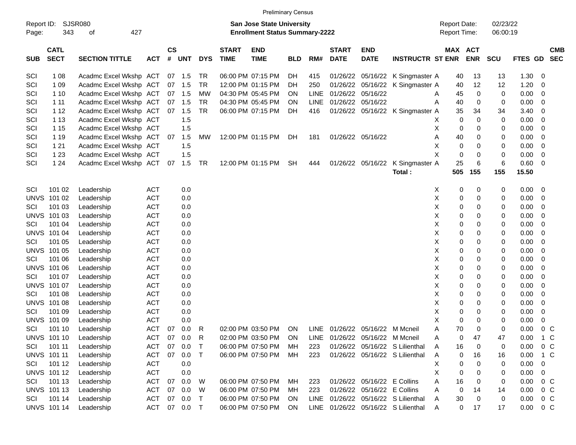|                     |                            |                             |            |                |            |            |                             | <b>Preliminary Census</b>                                          |            |             |                             |                                 |                                     |                                     |             |                      |       |                           |
|---------------------|----------------------------|-----------------------------|------------|----------------|------------|------------|-----------------------------|--------------------------------------------------------------------|------------|-------------|-----------------------------|---------------------------------|-------------------------------------|-------------------------------------|-------------|----------------------|-------|---------------------------|
| Report ID:<br>Page: | 343                        | <b>SJSR080</b><br>427<br>οf |            |                |            |            |                             | San Jose State University<br><b>Enrollment Status Summary-2222</b> |            |             |                             |                                 |                                     | <b>Report Date:</b><br>Report Time: |             | 02/23/22<br>06:00:19 |       |                           |
| <b>SUB</b>          | <b>CATL</b><br><b>SECT</b> | <b>SECTION TITTLE</b>       | <b>ACT</b> | <b>CS</b><br># | <b>UNT</b> | <b>DYS</b> | <b>START</b><br><b>TIME</b> | <b>END</b><br><b>TIME</b>                                          | <b>BLD</b> | RM#         | <b>START</b><br><b>DATE</b> | <b>END</b><br><b>DATE</b>       | <b>INSTRUCTR ST ENR</b>             | MAX ACT                             | <b>ENR</b>  | <b>SCU</b>           |       | <b>CMB</b><br>FTES GD SEC |
| SCI                 | 1 0 8                      | Acadmc Excel Wkshp ACT      |            |                | 07 1.5     | TR         |                             | 06:00 PM 07:15 PM                                                  | DH         | 415         | 01/26/22                    | 05/16/22                        | K Singmaster A                      | 40                                  | 13          | 13                   | 1.30  | 0                         |
| SCI                 | 1 0 9                      | Acadmc Excel Wkshp ACT      |            | 07             | 1.5        | TR         |                             | 12:00 PM 01:15 PM                                                  | DH         | 250         | 01/26/22                    | 05/16/22                        | K Singmaster A                      | 40                                  | 12          | 12                   | 1.20  | 0                         |
| SCI                 | 1 10                       | Acadmc Excel Wkshp ACT      |            |                | 07 1.5     | <b>MW</b>  |                             | 04:30 PM 05:45 PM                                                  | ΟN         | <b>LINE</b> | 01/26/22                    | 05/16/22                        |                                     | 45<br>Α                             | 0           | 0                    | 0.00  | 0                         |
| SCI                 | 1 1 1                      | Acadmc Excel Wkshp ACT      |            | 07             | 1.5        | TR         |                             | 04:30 PM 05:45 PM                                                  | ΟN         | <b>LINE</b> | 01/26/22                    | 05/16/22                        |                                     | Α<br>40                             | 0           | 0                    | 0.00  | 0                         |
| SCI                 | 1 1 2                      | Acadmc Excel Wkshp ACT      |            | 07             | 1.5        | <b>TR</b>  |                             | 06:00 PM 07:15 PM                                                  | DH         | 416         |                             |                                 | 01/26/22 05/16/22 K Singmaster A    | 35                                  | 34          | 34                   | 3.40  | 0                         |
| SCI                 | 1 1 3                      | Acadmc Excel Wkshp ACT      |            |                | 1.5        |            |                             |                                                                    |            |             |                             |                                 |                                     | 0<br>X                              | $\mathbf 0$ | 0                    | 0.00  | 0                         |
| SCI                 | 1 15                       | Acadmc Excel Wkshp ACT      |            |                | 1.5        |            |                             |                                                                    |            |             |                             |                                 |                                     | X<br>0                              | 0           | 0                    | 0.00  | 0                         |
| SCI                 | 1 1 9                      | Acadmc Excel Wkshp ACT      |            | 07             | 1.5        | MW         |                             | 12:00 PM 01:15 PM                                                  | DH         | 181         |                             | 01/26/22 05/16/22               |                                     | 40<br>Α                             | 0           | 0                    | 0.00  | 0                         |
| SCI                 | 1 2 1                      | Acadmc Excel Wkshp ACT      |            |                | 1.5        |            |                             |                                                                    |            |             |                             |                                 |                                     | X<br>0                              | 0           | 0                    | 0.00  | 0                         |
| SCI                 | 1 2 3                      | Acadmc Excel Wkshp ACT      |            |                | 1.5        |            |                             |                                                                    |            |             |                             |                                 |                                     | X<br>0                              | 0           | 0                    | 0.00  | 0                         |
| SCI                 | 1 2 4                      | Acadmc Excel Wkshp ACT      |            | 07             | 1.5        | <b>TR</b>  |                             | 12:00 PM 01:15 PM                                                  | <b>SH</b>  | 444         |                             | 01/26/22 05/16/22               | K Singmaster A                      | 25                                  | 6           | 6                    | 0.60  | 0                         |
|                     |                            |                             |            |                |            |            |                             |                                                                    |            |             |                             |                                 | Total:                              | 505                                 | 155         | 155                  | 15.50 |                           |
|                     |                            |                             |            |                |            |            |                             |                                                                    |            |             |                             |                                 |                                     |                                     |             |                      |       |                           |
| SCI                 | 101 02                     | Leadership                  | <b>ACT</b> |                | 0.0        |            |                             |                                                                    |            |             |                             |                                 |                                     | X<br>0                              | 0           | 0                    | 0.00  | 0                         |
| <b>UNVS</b>         | 101 02                     | Leadership                  | <b>ACT</b> |                | 0.0        |            |                             |                                                                    |            |             |                             |                                 |                                     | X<br>0                              | 0           | 0                    | 0.00  | 0                         |
| SCI                 | 101 03                     | Leadership                  | <b>ACT</b> |                | 0.0        |            |                             |                                                                    |            |             |                             |                                 |                                     | X<br>0                              | 0           | 0                    | 0.00  | 0                         |
|                     | <b>UNVS 101 03</b>         | Leadership                  | <b>ACT</b> |                | 0.0        |            |                             |                                                                    |            |             |                             |                                 |                                     | X<br>0                              | 0           | 0                    | 0.00  | 0                         |
| SCI                 | 101 04                     | Leadership                  | <b>ACT</b> |                | 0.0        |            |                             |                                                                    |            |             |                             |                                 |                                     | X<br>0                              | 0           | 0                    | 0.00  | 0                         |
|                     | <b>UNVS 101 04</b>         | Leadership                  | <b>ACT</b> |                | 0.0        |            |                             |                                                                    |            |             |                             |                                 |                                     | X<br>0                              | 0           | 0                    | 0.00  | 0                         |
| SCI                 | 101 05                     | Leadership                  | <b>ACT</b> |                | 0.0        |            |                             |                                                                    |            |             |                             |                                 |                                     | X<br>0                              | 0           | 0                    | 0.00  | 0                         |
|                     | <b>UNVS 101 05</b>         | Leadership                  | <b>ACT</b> |                | 0.0        |            |                             |                                                                    |            |             |                             |                                 |                                     | X<br>0                              | 0           | 0                    | 0.00  | 0                         |
| SCI                 | 101 06                     | Leadership                  | <b>ACT</b> |                | 0.0        |            |                             |                                                                    |            |             |                             |                                 |                                     | X<br>0                              | 0           | 0                    | 0.00  | 0                         |
|                     | <b>UNVS 101 06</b>         | Leadership                  | <b>ACT</b> |                | 0.0        |            |                             |                                                                    |            |             |                             |                                 |                                     | X<br>0                              | 0           | 0                    | 0.00  | 0                         |
| SCI                 | 101 07                     | Leadership                  | <b>ACT</b> |                | 0.0        |            |                             |                                                                    |            |             |                             |                                 |                                     | X<br>0                              | 0           | 0                    | 0.00  | 0                         |
|                     | <b>UNVS 101 07</b>         | Leadership                  | <b>ACT</b> |                | 0.0        |            |                             |                                                                    |            |             |                             |                                 |                                     | X<br>0                              | 0           | 0                    | 0.00  | 0                         |
| SCI                 | 101 08                     | Leadership                  | <b>ACT</b> |                | 0.0        |            |                             |                                                                    |            |             |                             |                                 |                                     | X<br>0                              | 0           | 0                    | 0.00  | 0                         |
|                     | <b>UNVS 101 08</b>         | Leadership                  | <b>ACT</b> |                | 0.0        |            |                             |                                                                    |            |             |                             |                                 |                                     | X<br>0                              | 0           | 0                    | 0.00  | 0                         |
| SCI                 | 101 09                     | Leadership                  | <b>ACT</b> |                | 0.0        |            |                             |                                                                    |            |             |                             |                                 |                                     | X<br>0                              | 0           | 0                    | 0.00  | 0                         |
|                     | <b>UNVS 101 09</b>         | Leadership                  | <b>ACT</b> |                | 0.0        |            |                             |                                                                    |            |             |                             |                                 |                                     | X<br>0                              | 0           | 0                    | 0.00  | 0                         |
| SCI                 | 101 10                     | Leadership                  | <b>ACT</b> | 07             | 0.0        | R          |                             | 02:00 PM 03:50 PM                                                  | <b>ON</b>  |             |                             | LINE 01/26/22 05/16/22 M Mcneil |                                     | 70<br>Α                             | 0           | 0                    | 0.00  | 0 <sup>C</sup>            |
|                     | <b>UNVS 101 10</b>         | Leadership                  | ACT        | 07             | 0.0        | R          |                             | 02:00 PM 03:50 PM                                                  | ON         | LINE        |                             | 01/26/22 05/16/22 M Mcneil      |                                     | Α<br>0                              | 47          | 47                   | 0.00  | 1 C                       |
| SCI                 | 101 11                     | Leadership                  | <b>ACT</b> | 07             | 0.0        | $\top$     |                             | 06:00 PM 07:50 PM                                                  | МH         | 223         |                             |                                 | 01/26/22 05/16/22 S Lilienthal      | 16<br>A                             | 0           | 0                    | 0.00  | $0\,$ C                   |
|                     | <b>UNVS 101 11</b>         | Leadership                  | <b>ACT</b> | 07             | 0.0        | $\top$     |                             | 06:00 PM 07:50 PM                                                  | МH         | 223         |                             |                                 | 01/26/22 05/16/22 S Lilienthal      | 0<br>A                              | 16          | 16                   | 0.00  | 1 C                       |
| SCI                 | 101 12                     | Leadership                  | <b>ACT</b> |                | 0.0        |            |                             |                                                                    |            |             |                             |                                 |                                     | Χ<br>0                              | 0           | 0                    | 0.00  | 0                         |
|                     | <b>UNVS 10112</b>          | Leadership                  | <b>ACT</b> |                | 0.0        |            |                             |                                                                    |            |             |                             |                                 |                                     | Χ<br>0                              | 0           | 0                    | 0.00  | 0                         |
| SCI                 | 101 13                     | Leadership                  | <b>ACT</b> | 07             | 0.0        | W          |                             | 06:00 PM 07:50 PM                                                  | МH         | 223         |                             | 01/26/22 05/16/22 E Collins     |                                     | 16<br>Α                             | 0           | 0                    | 0.00  | 0 <sup>o</sup>            |
|                     | <b>UNVS 10113</b>          | Leadership                  | <b>ACT</b> | 07             | 0.0        | W          |                             | 06:00 PM 07:50 PM                                                  | МH         | 223         |                             | 01/26/22 05/16/22 E Collins     |                                     | 0<br>Α                              | 14          | 14                   | 0.00  | $0\,C$                    |
| SCI                 | 101 14                     | Leadership                  | <b>ACT</b> | 07             | 0.0        | $\top$     |                             | 06:00 PM 07:50 PM                                                  | <b>ON</b>  | LINE        |                             |                                 | 01/26/22 05/16/22 S Lilienthal      | $30\,$<br>A                         | 0           | 0                    | 0.00  | $0\,C$                    |
|                     | <b>UNVS 101 14</b>         | Leadership                  | ACT        |                | 07 0.0 T   |            |                             | 06:00 PM 07:50 PM                                                  | ON         |             |                             |                                 | LINE 01/26/22 05/16/22 S Lilienthal | 0<br>A                              | 17          | 17                   | 0.00  | $0\,C$                    |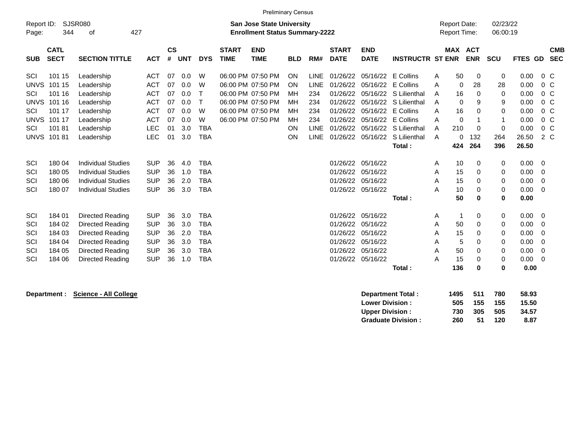|             | <b>Preliminary Census</b> |                           |            |               |            |             |              |                                       |            |             |              |                    |                                |                     |                   |                |         |                |  |
|-------------|---------------------------|---------------------------|------------|---------------|------------|-------------|--------------|---------------------------------------|------------|-------------|--------------|--------------------|--------------------------------|---------------------|-------------------|----------------|---------|----------------|--|
| Report ID:  |                           | <b>SJSR080</b>            |            |               |            |             |              | <b>San Jose State University</b>      |            |             |              |                    |                                | <b>Report Date:</b> |                   | 02/23/22       |         |                |  |
| Page:       | 344                       | 427<br>οf                 |            |               |            |             |              | <b>Enrollment Status Summary-2222</b> |            |             |              |                    |                                | <b>Report Time:</b> |                   | 06:00:19       |         |                |  |
|             | <b>CATL</b>               |                           |            | $\mathsf{cs}$ |            |             | <b>START</b> | <b>END</b>                            |            |             | <b>START</b> | <b>END</b>         |                                |                     | <b>MAX ACT</b>    |                |         | <b>CMB</b>     |  |
| <b>SUB</b>  | <b>SECT</b>               | <b>SECTION TITTLE</b>     | <b>ACT</b> | #             | <b>UNT</b> | <b>DYS</b>  | <b>TIME</b>  | <b>TIME</b>                           | <b>BLD</b> | RM#         | <b>DATE</b>  | <b>DATE</b>        | <b>INSTRUCTR ST ENR</b>        |                     | <b>ENR</b>        | <b>SCU</b>     | FTES GD | <b>SEC</b>     |  |
| SCI         | 101 15                    | Leadership                | <b>ACT</b> | 07            | 0.0        | W           |              | 06:00 PM 07:50 PM                     | ON         | <b>LINE</b> | 01/26/22     | 05/16/22 E Collins |                                | 50<br>A             | 0                 | 0              | 0.00    | $0\,$ C        |  |
| <b>UNVS</b> | 101 15                    | Leadership                | <b>ACT</b> | 07            | 0.0        | W           |              | 06:00 PM 07:50 PM                     | ON         | <b>LINE</b> | 01/26/22     | 05/16/22           | E Collins                      | Α                   | 28<br>0           | 28             | 0.00    | $0\,C$         |  |
| <b>SCI</b>  | 101 16                    | Leadership                | <b>ACT</b> | 07            | 0.0        | $\mathsf T$ |              | 06:00 PM 07:50 PM                     | <b>MH</b>  | 234         | 01/26/22     |                    | 05/16/22 S Lilienthal          | 16<br>A             | $\Omega$          | $\mathbf 0$    | 0.00    | $0\,C$         |  |
| <b>UNVS</b> | 101 16                    | Leadership                | <b>ACT</b> | 07            | 0.0        | $\top$      |              | 06:00 PM 07:50 PM                     | MH         | 234         | 01/26/22     |                    | 05/16/22 S Lilienthal          | A                   | $\mathbf{0}$<br>9 | 9              | 0.00    | $0\,C$         |  |
| SCI         | 101 17                    | Leadership                | <b>ACT</b> | 07            | 0.0        | W           |              | 06:00 PM 07:50 PM                     | MН         | 234         | 01/26/22     | 05/16/22           | E Collins                      | 16<br>A             | $\Omega$          | 0              | 0.00    | $0\,C$         |  |
| <b>UNVS</b> | 101 17                    | Leadership                | <b>ACT</b> | 07            | 0.0        | W           |              | 06:00 PM 07:50 PM                     | MH         | 234         | 01/26/22     | 05/16/22           | E Collins                      | Α                   | $\mathbf 0$       | $\overline{1}$ | 0.00    | $0\,C$         |  |
| SCI         | 10181                     | Leadership                | <b>LEC</b> | 01            | 3.0        | <b>TBA</b>  |              |                                       | ON         | <b>LINE</b> | 01/26/22     |                    | 05/16/22 S Lilienthal          | 210<br>A            | $\Omega$          | 0              | 0.00    | $0\,$ C        |  |
|             | <b>UNVS 101 81</b>        | Leadership                | LEC        | 01            | 3.0        | <b>TBA</b>  |              |                                       | ON         | <b>LINE</b> |              |                    | 01/26/22 05/16/22 S Lilienthal | A                   | 132<br>$\Omega$   | 264            | 26.50   | $2\degree$ C   |  |
|             |                           |                           |            |               |            |             |              |                                       |            |             |              |                    | Total:                         | 424                 | 264               | 396            | 26.50   |                |  |
| SCI         | 180 04                    | <b>Individual Studies</b> | <b>SUP</b> | 36            | 4.0        | <b>TBA</b>  |              |                                       |            |             | 01/26/22     | 05/16/22           |                                | 10<br>A             | 0                 | 0              | 0.00    | 0              |  |
| SCI         | 180 05                    | <b>Individual Studies</b> | <b>SUP</b> | 36            | 1.0        | <b>TBA</b>  |              |                                       |            |             | 01/26/22     | 05/16/22           |                                | 15<br>A             | 0                 | 0              | 0.00    | $\overline{0}$ |  |
| SCI         | 180 06                    | <b>Individual Studies</b> | <b>SUP</b> | 36            | 2.0        | <b>TBA</b>  |              |                                       |            |             |              | 01/26/22 05/16/22  |                                | 15<br>Α             | $\Omega$          | 0              | 0.00    | 0              |  |
| SCI         | 180 07                    | <b>Individual Studies</b> | <b>SUP</b> | 36            | 3.0        | <b>TBA</b>  |              |                                       |            |             |              | 01/26/22 05/16/22  |                                | 10<br>Α             | $\Omega$          | 0              | 0.00    | $\overline{0}$ |  |
|             |                           |                           |            |               |            |             |              |                                       |            |             |              |                    | Total:                         | 50                  | 0                 | $\bf{0}$       | 0.00    |                |  |
| SCI         | 184 01                    | Directed Reading          | <b>SUP</b> | 36            | 3.0        | <b>TBA</b>  |              |                                       |            |             | 01/26/22     | 05/16/22           |                                | A                   | $\mathbf{1}$<br>0 | 0              | 0.00    | 0              |  |
| SCI         | 184 02                    | Directed Reading          | <b>SUP</b> | 36            | 3.0        | <b>TBA</b>  |              |                                       |            |             | 01/26/22     | 05/16/22           |                                | Α<br>50             | $\Omega$          | 0              | 0.00    | 0              |  |
| SCI         | 184 03                    | Directed Reading          | <b>SUP</b> | 36            | 2.0        | <b>TBA</b>  |              |                                       |            |             | 01/26/22     | 05/16/22           |                                | 15<br>Α             | $\Omega$          | 0              | 0.00    | 0              |  |
| SCI         | 184 04                    | Directed Reading          | <b>SUP</b> | 36            | 3.0        | <b>TBA</b>  |              |                                       |            |             | 01/26/22     | 05/16/22           |                                | Α                   | 5<br>$\Omega$     | 0              | 0.00    | 0              |  |
| SCI         | 184 05                    | Directed Reading          | <b>SUP</b> | 36            | 3.0        | <b>TBA</b>  |              |                                       |            |             |              | 01/26/22 05/16/22  |                                | 50<br>Α             | $\Omega$          | 0              | 0.00    | $\overline{0}$ |  |
| SCI         | 184 06                    | Directed Reading          | <b>SUP</b> | 36            | 1.0        | <b>TBA</b>  |              |                                       |            |             |              | 01/26/22 05/16/22  |                                | 15<br>Α             | 0                 | 0              | 0.00    | $\overline{0}$ |  |
|             |                           |                           |            |               |            |             |              |                                       |            |             |              |                    | Total:                         | 136                 | 0                 | 0              | 0.00    |                |  |
|             |                           |                           |            |               |            |             |              |                                       |            |             |              |                    |                                |                     |                   |                |         |                |  |

**Department : Science - All College Department Total : 1495 511 780 58.93 Lower Division : 505 155 155 15.50 Upper Division : Graduate Division : 260 51 120 8.87**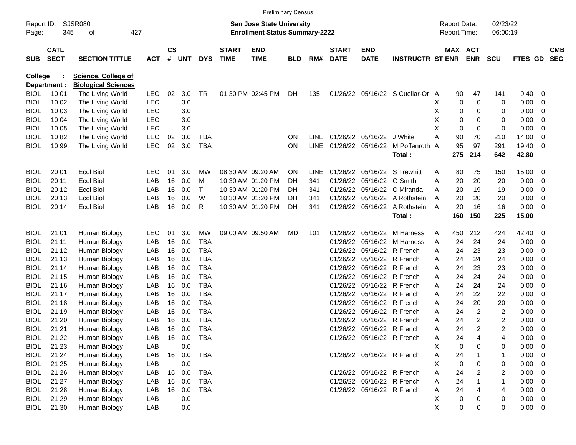|                     |                            |                            |            |                    |            |            |                             |                                                                           | <b>Preliminary Census</b> |             |                             |                            |                                  |   |                                     |             |                      |                |                          |                          |
|---------------------|----------------------------|----------------------------|------------|--------------------|------------|------------|-----------------------------|---------------------------------------------------------------------------|---------------------------|-------------|-----------------------------|----------------------------|----------------------------------|---|-------------------------------------|-------------|----------------------|----------------|--------------------------|--------------------------|
| Report ID:<br>Page: | 345                        | SJSR080<br>427<br>οf       |            |                    |            |            |                             | <b>San Jose State University</b><br><b>Enrollment Status Summary-2222</b> |                           |             |                             |                            |                                  |   | <b>Report Date:</b><br>Report Time: |             | 02/23/22<br>06:00:19 |                |                          |                          |
| <b>SUB</b>          | <b>CATL</b><br><b>SECT</b> | <b>SECTION TITTLE</b>      | <b>ACT</b> | $\mathsf{cs}$<br># | <b>UNT</b> | <b>DYS</b> | <b>START</b><br><b>TIME</b> | <b>END</b><br><b>TIME</b>                                                 | <b>BLD</b>                | RM#         | <b>START</b><br><b>DATE</b> | <b>END</b><br><b>DATE</b>  | <b>INSTRUCTR ST ENR</b>          |   | MAX ACT                             | <b>ENR</b>  | <b>SCU</b>           | <b>FTES GD</b> |                          | <b>CMB</b><br><b>SEC</b> |
| College             |                            | <b>Science, College of</b> |            |                    |            |            |                             |                                                                           |                           |             |                             |                            |                                  |   |                                     |             |                      |                |                          |                          |
|                     | Department :               | <b>Biological Sciences</b> |            |                    |            |            |                             |                                                                           |                           |             |                             |                            |                                  |   |                                     |             |                      |                |                          |                          |
| <b>BIOL</b>         | 10 01                      | The Living World           | <b>LEC</b> | 02                 | 3.0        | TR.        |                             | 01:30 PM 02:45 PM                                                         | DH                        | 135         |                             |                            | 01/26/22 05/16/22 S Cuellar-Or A |   | 90                                  | 47          | 141                  | 9.40           | 0                        |                          |
| <b>BIOL</b>         | 10 02                      | The Living World           | <b>LEC</b> |                    | 3.0        |            |                             |                                                                           |                           |             |                             |                            |                                  | х | 0                                   | 0           | 0                    | 0.00           | 0                        |                          |
| <b>BIOL</b>         | 10 03                      | The Living World           | <b>LEC</b> |                    | 3.0        |            |                             |                                                                           |                           |             |                             |                            |                                  | Χ | 0                                   | 0           | 0                    | 0.00           | 0                        |                          |
| <b>BIOL</b>         | 10 04                      | The Living World           | <b>LEC</b> |                    | 3.0        |            |                             |                                                                           |                           |             |                             |                            |                                  | Χ | 0                                   | 0           | 0                    | 0.00           | 0                        |                          |
| <b>BIOL</b>         | 10 05                      | The Living World           | <b>LEC</b> |                    | 3.0        |            |                             |                                                                           |                           |             |                             |                            |                                  | X | 0                                   | $\mathbf 0$ | 0                    | 0.00           | 0                        |                          |
| <b>BIOL</b>         | 1082                       | The Living World           | LEC        | 02                 | 3.0        | <b>TBA</b> |                             |                                                                           | <b>ON</b>                 | LINE        |                             | 01/26/22 05/16/22 J White  |                                  | А | 90                                  | 70          | 210                  | 14.00          | 0                        |                          |
| BIOL                | 10 99                      | The Living World           | LEC        | 02                 | 3.0        | <b>TBA</b> |                             |                                                                           | ON                        | <b>LINE</b> |                             | 01/26/22 05/16/22          | M Poffenroth                     | A | 95                                  | 97          | 291                  | 19.40          | 0                        |                          |
|                     |                            |                            |            |                    |            |            |                             |                                                                           |                           |             |                             |                            | Total:                           |   | 275                                 | 214         | 642                  | 42.80          |                          |                          |
| <b>BIOL</b>         | 20 01                      | <b>Ecol Biol</b>           | <b>LEC</b> | 01                 | 3.0        | МW         |                             | 08:30 AM 09:20 AM                                                         | <b>ON</b>                 | LINE        |                             |                            | 01/26/22 05/16/22 S Trewhitt     | Α | 80                                  | 75          | 150                  | 15.00          | 0                        |                          |
| <b>BIOL</b>         | 20 11                      | <b>Ecol Biol</b>           | LAB        | 16                 | 0.0        | м          |                             | 10:30 AM 01:20 PM                                                         | DH                        | 341         |                             | 01/26/22 05/16/22 G Smith  |                                  | A | 20                                  | 20          | 20                   | 0.00           | 0                        |                          |
| <b>BIOL</b>         | 20 12                      | <b>Ecol Biol</b>           | LAB        | 16                 | 0.0        | т          |                             | 10:30 AM 01:20 PM                                                         | DH                        | 341         |                             |                            | 01/26/22 05/16/22 C Miranda      | A | 20                                  | 19          | 19                   | 0.00           | 0                        |                          |
| BIOL                | 20 13                      | <b>Ecol Biol</b>           | LAB        | 16                 | 0.0        | W          |                             | 10:30 AM 01:20 PM                                                         | DH                        | 341         |                             |                            | 01/26/22 05/16/22 A Rothstein    | A | 20                                  | 20          | 20                   | 0.00           | 0                        |                          |
| BIOL                | 20 14                      | <b>Ecol Biol</b>           | LAB        | 16                 | 0.0        | R          |                             | 10:30 AM 01:20 PM                                                         | DH                        | 341         |                             | 01/26/22 05/16/22          | A Rothstein                      | A | 20                                  | 16          | 16                   | 0.00           | 0                        |                          |
|                     |                            |                            |            |                    |            |            |                             |                                                                           |                           |             |                             |                            | Total:                           |   | 160                                 | 150         | 225                  | 15.00          |                          |                          |
| <b>BIOL</b>         | 21 01                      | Human Biology              | <b>LEC</b> | 01                 | 3.0        | MW         |                             | 09:00 AM 09:50 AM                                                         | MD                        | 101         |                             |                            | 01/26/22 05/16/22 M Harness      | Α | 450                                 | 212         | 424                  | 42.40          | $\overline{0}$           |                          |
| <b>BIOL</b>         | 21 11                      | Human Biology              | LAB        | 16                 | 0.0        | <b>TBA</b> |                             |                                                                           |                           |             |                             |                            | 01/26/22 05/16/22 M Harness      | Α | 24                                  | 24          | 24                   | 0.00           | 0                        |                          |
| <b>BIOL</b>         | 21 12                      | Human Biology              | LAB        | 16                 | 0.0        | TBA        |                             |                                                                           |                           |             |                             | 01/26/22 05/16/22 R French |                                  | A | 24                                  | 23          | 23                   | 0.00           | 0                        |                          |
| <b>BIOL</b>         | 21 13                      | Human Biology              | LAB        | 16                 | 0.0        | <b>TBA</b> |                             |                                                                           |                           |             |                             | 01/26/22 05/16/22 R French |                                  | Α | 24                                  | 24          | 24                   | 0.00           | 0                        |                          |
| <b>BIOL</b>         | 21 14                      | Human Biology              | LAB        | 16                 | 0.0        | <b>TBA</b> |                             |                                                                           |                           |             |                             | 01/26/22 05/16/22 R French |                                  | A | 24                                  | 23          | 23                   | 0.00           | 0                        |                          |
| <b>BIOL</b>         | 21 15                      | Human Biology              | LAB        | 16                 | 0.0        | <b>TBA</b> |                             |                                                                           |                           |             |                             | 01/26/22 05/16/22 R French |                                  | A | 24                                  | 24          | 24                   | 0.00           | 0                        |                          |
| <b>BIOL</b>         | 21 16                      | Human Biology              | LAB        | 16                 | 0.0        | <b>TBA</b> |                             |                                                                           |                           |             |                             | 01/26/22 05/16/22 R French |                                  | A | 24                                  | 24          | 24                   | 0.00           | 0                        |                          |
| <b>BIOL</b>         | 21 17                      | Human Biology              | LAB        | 16                 | 0.0        | <b>TBA</b> |                             |                                                                           |                           |             |                             | 01/26/22 05/16/22 R French |                                  | A | 24                                  | 22          | 22                   | 0.00           | 0                        |                          |
| <b>BIOL</b>         | 21 18                      | Human Biology              | LAB        | 16                 | 0.0        | <b>TBA</b> |                             |                                                                           |                           |             |                             | 01/26/22 05/16/22 R French |                                  | A | 24                                  | 20          | 20                   | 0.00           | 0                        |                          |
| <b>BIOL</b>         | 21 19                      | Human Biology              | LAB        | 16                 | 0.0        | <b>TBA</b> |                             |                                                                           |                           |             |                             | 01/26/22 05/16/22 R French |                                  | Α | 24                                  | 2           | 2                    | 0.00           | 0                        |                          |
| BIOL                | 21 20                      | Human Biology              | LAB        | 16                 | 0.0        | <b>TBA</b> |                             |                                                                           |                           |             |                             | 01/26/22 05/16/22 R French |                                  | A | 24                                  | 2           | 2                    | 0.00           | 0                        |                          |
| BIOL                | 21 21                      | Human Biology              | LAB        | 16                 | 0.0        | <b>TBA</b> |                             |                                                                           |                           |             |                             | 01/26/22 05/16/22 R French |                                  | A | 24                                  | 2           | 2                    | 0.00           | 0                        |                          |
| <b>BIOL</b>         | 21 22                      | Human Biology              | LAB        |                    | 16 0.0     | TBA        |                             |                                                                           |                           |             |                             | 01/26/22 05/16/22 R French |                                  | A | 24                                  | 4           | 4                    | 0.00           | $\overline{\mathbf{0}}$  |                          |
| <b>BIOL</b>         | 21 23                      | Human Biology              | LAB        |                    | 0.0        |            |                             |                                                                           |                           |             |                             |                            |                                  | х | 0                                   | 0           | 0                    | 0.00           | $\overline{\phantom{0}}$ |                          |
| <b>BIOL</b>         | 21 24                      | Human Biology              | LAB        |                    | 16 0.0     | <b>TBA</b> |                             |                                                                           |                           |             |                             | 01/26/22 05/16/22 R French |                                  | Α | 24                                  |             | $\mathbf 1$          | 0.00           | $\overline{\phantom{0}}$ |                          |
| <b>BIOL</b>         | 21 25                      | Human Biology              | LAB        |                    | 0.0        |            |                             |                                                                           |                           |             |                             |                            |                                  | X | 0                                   | 0           | 0                    | 0.00           | $\overline{\phantom{0}}$ |                          |
| <b>BIOL</b>         | 21 26                      | Human Biology              | LAB        |                    | 16 0.0     | TBA        |                             |                                                                           |                           |             |                             | 01/26/22 05/16/22 R French |                                  | Α | 24                                  | 2           | 2                    | 0.00           | $\overline{\phantom{0}}$ |                          |
| <b>BIOL</b>         | 21 27                      | Human Biology              | LAB        | 16                 | 0.0        | TBA        |                             |                                                                           |                           |             |                             | 01/26/22 05/16/22 R French |                                  | Α | 24                                  |             | $\mathbf{1}$         | 0.00           | $\overline{\phantom{0}}$ |                          |
| <b>BIOL</b>         | 21 28                      | Human Biology              | LAB        |                    | 16 0.0     | TBA        |                             |                                                                           |                           |             |                             | 01/26/22 05/16/22 R French |                                  | Α | 24                                  | 4           | 4                    | $0.00 \t 0$    |                          |                          |
| <b>BIOL</b>         | 21 29                      | Human Biology              | LAB        |                    | 0.0        |            |                             |                                                                           |                           |             |                             |                            |                                  | Χ | 0                                   | 0           | 0                    | $0.00 \t 0$    |                          |                          |
| <b>BIOL</b>         | 21 30                      | Human Biology              | LAB        |                    | 0.0        |            |                             |                                                                           |                           |             |                             |                            |                                  | X | 0                                   | 0           | 0                    | $0.00 \t 0$    |                          |                          |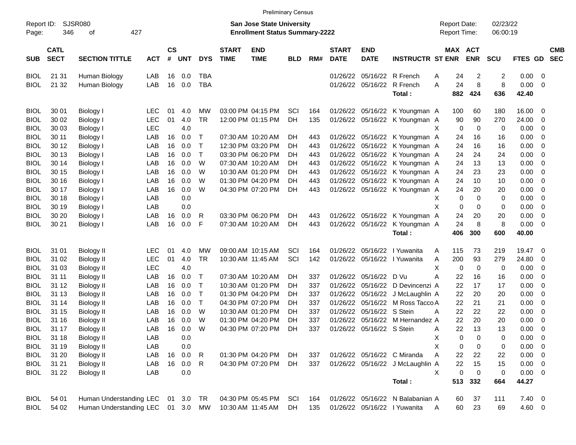|                     |                            |                                   |            |                    |            |              |                             | <b>Preliminary Census</b>                                                 |            |     |                             |                           |                                  |   |                                            |                |                      |             |                         |                          |
|---------------------|----------------------------|-----------------------------------|------------|--------------------|------------|--------------|-----------------------------|---------------------------------------------------------------------------|------------|-----|-----------------------------|---------------------------|----------------------------------|---|--------------------------------------------|----------------|----------------------|-------------|-------------------------|--------------------------|
| Report ID:<br>Page: | 346                        | SJSR080<br>427<br>οf              |            |                    |            |              |                             | <b>San Jose State University</b><br><b>Enrollment Status Summary-2222</b> |            |     |                             |                           |                                  |   | <b>Report Date:</b><br><b>Report Time:</b> |                | 02/23/22<br>06:00:19 |             |                         |                          |
| <b>SUB</b>          | <b>CATL</b><br><b>SECT</b> | <b>SECTION TITTLE</b>             | <b>ACT</b> | $\mathsf{cs}$<br># | <b>UNT</b> | <b>DYS</b>   | <b>START</b><br><b>TIME</b> | <b>END</b><br><b>TIME</b>                                                 | <b>BLD</b> | RM# | <b>START</b><br><b>DATE</b> | <b>END</b><br><b>DATE</b> | <b>INSTRUCTR ST ENR</b>          |   | MAX ACT                                    | <b>ENR</b>     | <b>SCU</b>           | FTES GD     |                         | <b>CMB</b><br><b>SEC</b> |
| <b>BIOL</b>         | 21 31                      | Human Biology                     | LAB        | 16                 | 0.0        | TBA          |                             |                                                                           |            |     | 01/26/22                    |                           | 05/16/22 R French                | A | 24                                         | $\overline{c}$ | 2                    | 0.00        | - 0                     |                          |
| <b>BIOL</b>         | 21 32                      | Human Biology                     | LAB        | 16                 | 0.0        | <b>TBA</b>   |                             |                                                                           |            |     | 01/26/22                    | 05/16/22                  | R French                         | A | 24                                         | 8              | 8                    | 0.00        | $\overline{0}$          |                          |
|                     |                            |                                   |            |                    |            |              |                             |                                                                           |            |     |                             |                           | Total:                           |   | 882                                        | 424            | 636                  | 42.40       |                         |                          |
| <b>BIOL</b>         | 30 01                      | Biology I                         | <b>LEC</b> | 01                 | 4.0        | МW           |                             | 03:00 PM 04:15 PM                                                         | SCI        | 164 | 01/26/22                    |                           | 05/16/22 K Youngman A            |   | 100                                        | 60             | 180                  | 16.00       | 0                       |                          |
| <b>BIOL</b>         | 30 02                      | Biology I                         | <b>LEC</b> | 01                 | 4.0        | <b>TR</b>    |                             | 12:00 PM 01:15 PM                                                         | DH         | 135 | 01/26/22                    |                           | 05/16/22 K Youngman A            |   | 90                                         | 90             | 270                  | 24.00       | $\overline{0}$          |                          |
| <b>BIOL</b>         | 30 03                      | Biology I                         | <b>LEC</b> |                    | 4.0        |              |                             |                                                                           |            |     |                             |                           |                                  | X | 0                                          | 0              | 0                    | 0.00        | 0                       |                          |
| <b>BIOL</b>         | 30 11                      | Biology I                         | LAB        | 16                 | 0.0        | $\mathsf T$  |                             | 07:30 AM 10:20 AM                                                         | DH         | 443 | 01/26/22                    |                           | 05/16/22 K Youngman A            |   | 24                                         | 16             | 16                   | 0.00        | $\overline{0}$          |                          |
| <b>BIOL</b>         | 30 12                      | Biology I                         | LAB        | 16                 | 0.0        | Т            |                             | 12:30 PM 03:20 PM                                                         | DН         | 443 | 01/26/22                    | 05/16/22                  | K Youngman A                     |   | 24                                         | 16             | 16                   | 0.00        | $\overline{0}$          |                          |
| <b>BIOL</b>         | 30 13                      | Biology I                         | LAB        | 16                 | 0.0        | $\top$       |                             | 03:30 PM 06:20 PM                                                         | DH         | 443 | 01/26/22                    | 05/16/22                  | K Youngman A                     |   | 24                                         | 24             | 24                   | 0.00        | $\overline{0}$          |                          |
| <b>BIOL</b>         | 30 14                      | Biology I                         | LAB        | 16                 | 0.0        | W            |                             | 07:30 AM 10:20 AM                                                         | DН         | 443 | 01/26/22                    | 05/16/22                  | K Youngman A                     |   | 24                                         | 13             | 13                   | 0.00        | $\overline{0}$          |                          |
| <b>BIOL</b>         | 30 15                      | Biology I                         | LAB        | 16                 | 0.0        | W            |                             | 10:30 AM 01:20 PM                                                         | DН         | 443 | 01/26/22                    | 05/16/22                  | K Youngman A                     |   | 24                                         | 23             | 23                   | 0.00        | $\overline{0}$          |                          |
| <b>BIOL</b>         | 30 16                      | Biology I                         | LAB        | 16                 | 0.0        | W            |                             | 01:30 PM 04:20 PM                                                         | DН         | 443 | 01/26/22                    | 05/16/22                  | K Youngman A                     |   | 24                                         | 10             | 10                   | 0.00        | $\overline{0}$          |                          |
| <b>BIOL</b>         | 30 17                      | Biology I                         | LAB        | 16                 | 0.0        | W            |                             | 04:30 PM 07:20 PM                                                         | DH         | 443 | 01/26/22                    | 05/16/22                  | K Youngman A                     |   | 24                                         | 20             | 20                   | 0.00        | $\overline{0}$          |                          |
| <b>BIOL</b>         | 30 18                      | Biology I                         | LAB        |                    | 0.0        |              |                             |                                                                           |            |     |                             |                           |                                  | X | 0                                          | $\mathbf 0$    | 0                    | 0.00        | $\mathbf 0$             |                          |
| <b>BIOL</b>         | 30 19                      | Biology I                         | LAB        |                    | 0.0        |              |                             |                                                                           |            |     |                             |                           |                                  | X | 0                                          | 0              | 0                    | 0.00        | $\overline{0}$          |                          |
| <b>BIOL</b>         | 30 20                      | Biology I                         | LAB        | 16                 | 0.0        | R            |                             | 03:30 PM 06:20 PM                                                         | DН         | 443 | 01/26/22                    |                           | 05/16/22 K Youngman A            |   | 24                                         | 20             | 20                   | 0.00        | $\overline{0}$          |                          |
| <b>BIOL</b>         | 30 21                      | <b>Biology I</b>                  | LAB        | 16                 | 0.0        | F            |                             | 07:30 AM 10:20 AM                                                         | DH         | 443 | 01/26/22                    | 05/16/22                  | K Youngman A                     |   | 24                                         | 8              | 8                    | 0.00        | $\overline{0}$          |                          |
|                     |                            |                                   |            |                    |            |              |                             |                                                                           |            |     |                             |                           | Total:                           |   | 406                                        | 300            | 600                  | 40.00       |                         |                          |
| <b>BIOL</b>         | 31 01                      | Biology II                        | <b>LEC</b> | 01                 | 4.0        | MW           |                             | 09:00 AM 10:15 AM                                                         | SCI        | 164 | 01/26/22                    | 05/16/22                  | I Yuwanita                       | A | 115                                        | 73             | 219                  | 19.47       | 0                       |                          |
| <b>BIOL</b>         | 31 02                      | Biology II                        | <b>LEC</b> | 01                 | 4.0        | <b>TR</b>    |                             | 10:30 AM 11:45 AM                                                         | SCI        | 142 | 01/26/22                    | 05/16/22                  | I Yuwanita                       | A | 200                                        | 93             | 279                  | 24.80       | $\mathbf 0$             |                          |
| <b>BIOL</b>         | 31 03                      | Biology II                        | <b>LEC</b> |                    | 4.0        |              |                             |                                                                           |            |     |                             |                           |                                  | X | 0                                          | $\mathbf 0$    | 0                    | 0.00        | $\overline{0}$          |                          |
| <b>BIOL</b>         | 31 11                      | Biology II                        | LAB        | 16                 | 0.0        | $\mathsf T$  |                             | 07:30 AM 10:20 AM                                                         | DН         | 337 | 01/26/22                    | 05/16/22                  | D Vu                             | Α | 22                                         | 16             | 16                   | 0.00        | $\overline{0}$          |                          |
| <b>BIOL</b>         | 31 12                      | Biology II                        | LAB        | 16                 | 0.0        | Т            |                             | 10:30 AM 01:20 PM                                                         | DН         | 337 | 01/26/22                    | 05/16/22                  | D Devincenzi A                   |   | 22                                         | 17             | 17                   | 0.00        | $\mathbf 0$             |                          |
| <b>BIOL</b>         | 31 13                      | <b>Biology II</b>                 | LAB        | 16                 | 0.0        | $\top$       |                             | 01:30 PM 04:20 PM                                                         | DН         | 337 | 01/26/22                    | 05/16/22                  | J McLaughlin A                   |   | 22                                         | 20             | 20                   | 0.00        | $\mathbf 0$             |                          |
| <b>BIOL</b>         | 31 14                      | Biology II                        | LAB        | 16                 | 0.0        | $\top$       |                             | 04:30 PM 07:20 PM                                                         | DН         | 337 | 01/26/22                    | 05/16/22                  | M Ross Tacco A                   |   | 22                                         | 21             | 21                   | 0.00        | 0                       |                          |
| <b>BIOL</b>         | 31 15                      | <b>Biology II</b>                 | LAB        | 16                 | 0.0        | W            |                             | 10:30 AM 01:20 PM                                                         | DН         | 337 | 01/26/22                    | 05/16/22                  | S Stein                          | A | 22                                         | 22             | 22                   | 0.00        | 0                       |                          |
| <b>BIOL</b>         | 31 16                      | <b>Biology II</b>                 | LAB        | 16                 | 0.0        | W            |                             | 01:30 PM 04:20 PM                                                         | DH         | 337 | 01/26/22                    | 05/16/22                  | M Hernandez A                    |   | 22                                         | 20             | 20                   | 0.00        | 0                       |                          |
| <b>BIOL</b>         | 31 17                      | <b>Biology II</b>                 | LAB        | 16                 | 0.0        | W            |                             | 04:30 PM 07:20 PM                                                         | DH         | 337 | 01/26/22                    | 05/16/22 S Stein          |                                  | A | 22                                         | 13             | 13                   | 0.00        | $\mathbf 0$             |                          |
| <b>BIOL</b>         | 31 18                      | <b>Biology II</b>                 | LAB        |                    | 0.0        |              |                             |                                                                           |            |     |                             |                           |                                  | Х | 0                                          | 0              | 0                    | 0.00        | $\overline{\mathbf{0}}$ |                          |
| <b>BIOL</b>         | 31 19                      | <b>Biology II</b>                 | LAB        |                    | $0.0\,$    |              |                             |                                                                           |            |     |                             |                           |                                  | X | 0                                          | 0              | 0                    | $0.00 \t 0$ |                         |                          |
| <b>BIOL</b>         | 31 20                      | <b>Biology II</b>                 | LAB        | 16                 | 0.0        | $\mathsf{R}$ |                             | 01:30 PM 04:20 PM                                                         | DH         | 337 |                             |                           | 01/26/22 05/16/22 C Miranda      | Α | 22                                         | 22             | 22                   | $0.00 \t 0$ |                         |                          |
| <b>BIOL</b>         | 31 21                      | <b>Biology II</b>                 | LAB        |                    | 16 0.0     | R            |                             | 04:30 PM 07:20 PM                                                         | DH.        | 337 |                             |                           | 01/26/22 05/16/22 J McLaughlin A |   | 22                                         | 15             | 15                   | $0.00 \t 0$ |                         |                          |
| <b>BIOL</b>         | 31 22                      | <b>Biology II</b>                 | LAB        |                    | 0.0        |              |                             |                                                                           |            |     |                             |                           |                                  | X | $\mathbf 0$                                | $\mathbf 0$    | 0                    | $0.00 \t 0$ |                         |                          |
|                     |                            |                                   |            |                    |            |              |                             |                                                                           |            |     |                             |                           | Total:                           |   | 513                                        | 332            | 664                  | 44.27       |                         |                          |
| <b>BIOL</b>         | 54 01                      | Human Understanding LEC           |            |                    | 01 3.0     | TR           |                             | 04:30 PM 05:45 PM                                                         | <b>SCI</b> | 164 |                             |                           | 01/26/22 05/16/22 N Balabanian A |   | 60                                         | 37             | 111                  | $7.40 \ 0$  |                         |                          |
| <b>BIOL</b>         | 54 02                      | Human Understanding LEC 01 3.0 MW |            |                    |            |              |                             | 10:30 AM 11:45 AM                                                         | DH         | 135 |                             |                           | 01/26/22 05/16/22 l Yuwanita     | A | 60                                         | 23             | 69                   | 4.60 0      |                         |                          |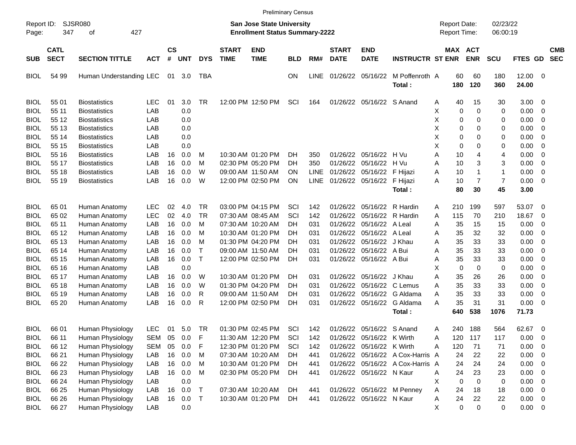|                     |                            |                             |            |                    |            |            |                             | <b>Preliminary Census</b>                                                 |            |             |                             |                           |                                  |   |                                            |             |                      |                |                          |                          |
|---------------------|----------------------------|-----------------------------|------------|--------------------|------------|------------|-----------------------------|---------------------------------------------------------------------------|------------|-------------|-----------------------------|---------------------------|----------------------------------|---|--------------------------------------------|-------------|----------------------|----------------|--------------------------|--------------------------|
| Report ID:<br>Page: | 347                        | <b>SJSR080</b><br>427<br>οf |            |                    |            |            |                             | <b>San Jose State University</b><br><b>Enrollment Status Summary-2222</b> |            |             |                             |                           |                                  |   | <b>Report Date:</b><br><b>Report Time:</b> |             | 02/23/22<br>06:00:19 |                |                          |                          |
| <b>SUB</b>          | <b>CATL</b><br><b>SECT</b> | <b>SECTION TITTLE</b>       | <b>ACT</b> | $\mathsf{cs}$<br># | <b>UNT</b> | <b>DYS</b> | <b>START</b><br><b>TIME</b> | <b>END</b><br><b>TIME</b>                                                 | <b>BLD</b> | RM#         | <b>START</b><br><b>DATE</b> | <b>END</b><br><b>DATE</b> | <b>INSTRUCTR ST ENR</b>          |   | MAX ACT                                    | <b>ENR</b>  | <b>SCU</b>           | FTES GD        |                          | <b>CMB</b><br><b>SEC</b> |
| <b>BIOL</b>         | 54 99                      | Human Understanding LEC     |            | 01                 | 3.0        | TBA        |                             |                                                                           | <b>ON</b>  | <b>LINE</b> |                             | 01/26/22 05/16/22         | M Poffenroth A<br>Total:         |   | 60<br>180                                  | 60<br>120   | 180<br>360           | 12.00<br>24.00 | - 0                      |                          |
| <b>BIOL</b>         | 55 01                      | <b>Biostatistics</b>        | <b>LEC</b> | 01                 | 3.0        | <b>TR</b>  |                             | 12:00 PM 12:50 PM                                                         | SCI        | 164         |                             | 01/26/22 05/16/22 S Anand |                                  | A | 40                                         | 15          | 30                   | 3.00           | $\overline{0}$           |                          |
| BIOL                | 55 11                      | <b>Biostatistics</b>        | LAB        |                    | 0.0        |            |                             |                                                                           |            |             |                             |                           |                                  | Х | 0                                          | 0           | 0                    | 0.00           | 0                        |                          |
| BIOL                | 55 12                      | <b>Biostatistics</b>        | LAB        |                    | 0.0        |            |                             |                                                                           |            |             |                             |                           |                                  | X | 0                                          | 0           | 0                    | 0.00           | 0                        |                          |
| BIOL                | 55 13                      | <b>Biostatistics</b>        | LAB        |                    | 0.0        |            |                             |                                                                           |            |             |                             |                           |                                  | X | 0                                          | 0           | 0                    | 0.00           | 0                        |                          |
| BIOL                | 55 14                      | <b>Biostatistics</b>        | LAB        |                    | 0.0        |            |                             |                                                                           |            |             |                             |                           |                                  | X | 0                                          | 0           | 0                    | 0.00           | 0                        |                          |
| BIOL                | 55 15                      | <b>Biostatistics</b>        | LAB        |                    | 0.0        |            |                             |                                                                           |            |             |                             |                           |                                  | X | 0                                          | 0           | 0                    | 0.00           | 0                        |                          |
| BIOL                | 55 16                      | <b>Biostatistics</b>        | LAB        | 16                 | 0.0        | M          |                             | 10:30 AM 01:20 PM                                                         | DН         | 350         | 01/26/22                    | 05/16/22                  | H Vu                             | Α | 10                                         | 4           | 4                    | 0.00           | 0                        |                          |
| BIOL                | 55 17                      | <b>Biostatistics</b>        | LAB        | 16                 | 0.0        | M          |                             | 02:30 PM 05:20 PM                                                         | DН         | 350         | 01/26/22                    | 05/16/22                  | H Vu                             | Α | 10                                         | 3           | 3                    | 0.00           | 0                        |                          |
| <b>BIOL</b>         | 55 18                      | <b>Biostatistics</b>        | LAB        | 16                 | 0.0        | W          |                             | 09:00 AM 11:50 AM                                                         | <b>ON</b>  | LINE        | 01/26/22                    | 05/16/22                  | F Hijazi                         | Α | 10                                         | 1           | $\mathbf 1$          | 0.00           | 0                        |                          |
| <b>BIOL</b>         | 55 19                      | <b>Biostatistics</b>        | LAB        | 16                 | 0.0        | W          |                             | 12:00 PM 02:50 PM                                                         | <b>ON</b>  | <b>LINE</b> |                             | 01/26/22 05/16/22         | F Hijazi                         | Α | 10                                         | 7           | $\overline{7}$       | 0.00           | $\mathbf 0$              |                          |
|                     |                            |                             |            |                    |            |            |                             |                                                                           |            |             |                             |                           | Total:                           |   | 80                                         | 30          | 45                   | 3.00           |                          |                          |
| <b>BIOL</b>         | 65 01                      | Human Anatomy               | <b>LEC</b> | 02                 | 4.0        | TR         |                             | 03:00 PM 04:15 PM                                                         | SCI        | 142         | 01/26/22                    | 05/16/22                  | R Hardin                         | A | 210                                        | 199         | 597                  | 53.07          | 0                        |                          |
| BIOL                | 65 02                      | Human Anatomy               | <b>LEC</b> | 02                 | -4.0       | <b>TR</b>  |                             | 07:30 AM 08:45 AM                                                         | SCI        | 142         | 01/26/22                    | 05/16/22                  | R Hardin                         | A | 115                                        | 70          | 210                  | 18.67          | 0                        |                          |
| BIOL                | 65 11                      | Human Anatomy               | LAB        | 16                 | 0.0        | M          |                             | 07:30 AM 10:20 AM                                                         | DН         | 031         | 01/26/22                    | 05/16/22                  | A Leal                           | Α | 35                                         | 15          | 15                   | 0.00           | 0                        |                          |
| BIOL                | 65 12                      | Human Anatomy               | LAB        | 16                 | 0.0        | M          |                             | 10:30 AM 01:20 PM                                                         | DН         | 031         | 01/26/22                    | 05/16/22                  | A Leal                           | Α | 35                                         | 32          | 32                   | 0.00           | 0                        |                          |
| BIOL                | 65 13                      | Human Anatomy               | LAB        | 16                 | 0.0        | M          |                             | 01:30 PM 04:20 PM                                                         | DН         | 031         | 01/26/22                    | 05/16/22                  | J Khau                           | Α | 35                                         | 33          | 33                   | 0.00           | 0                        |                          |
| BIOL                | 65 14                      | Human Anatomy               | LAB        | 16                 | 0.0        | Т          |                             | 09:00 AM 11:50 AM                                                         | DН         | 031         | 01/26/22                    | 05/16/22                  | A Bui                            | Α | 35                                         | 33          | 33                   | 0.00           | 0                        |                          |
| BIOL                | 65 15                      | Human Anatomy               | LAB        | 16                 | 0.0        | Τ          |                             | 12:00 PM 02:50 PM                                                         | DН         | 031         | 01/26/22                    | 05/16/22                  | A Bui                            | Α | 35                                         | 33          | 33                   | 0.00           | 0                        |                          |
| BIOL                | 65 16                      | Human Anatomy               | LAB        |                    | 0.0        |            |                             |                                                                           |            |             |                             |                           |                                  | X | 0                                          | 0           | 0                    | 0.00           | 0                        |                          |
| BIOL                | 65 17                      | Human Anatomy               | LAB        | 16                 | 0.0        | W          |                             | 10:30 AM 01:20 PM                                                         | DН         | 031         | 01/26/22                    | 05/16/22                  | J Khau                           | Α | 35                                         | 26          | 26                   | 0.00           | 0                        |                          |
| BIOL                | 65 18                      | Human Anatomy               | LAB        | 16                 | 0.0        | W          |                             | 01:30 PM 04:20 PM                                                         | DН         | 031         | 01/26/22                    | 05/16/22                  | C Lemus                          | A | 35                                         | 33          | 33                   | 0.00           | 0                        |                          |
| <b>BIOL</b>         | 65 19                      | Human Anatomy               | LAB        | 16                 | 0.0        | R          |                             | 09:00 AM 11:50 AM                                                         | DН         | 031         | 01/26/22                    | 05/16/22                  | G Aldama                         | A | 35                                         | 33          | 33                   | 0.00           | 0                        |                          |
| <b>BIOL</b>         | 65 20                      | Human Anatomy               | LAB        | 16                 | 0.0        | R          |                             | 12:00 PM 02:50 PM                                                         | DН         | 031         |                             | 01/26/22 05/16/22         | G Aldama                         | A | 35                                         | 31          | 31                   | 0.00           | 0                        |                          |
|                     |                            |                             |            |                    |            |            |                             |                                                                           |            |             |                             |                           | Total:                           |   | 640                                        | 538         | 1076                 | 71.73          |                          |                          |
| <b>BIOL</b>         | 66 01                      | Human Physiology            | <b>LEC</b> | 01                 | 5.0        | <b>TR</b>  |                             | 01:30 PM 02:45 PM                                                         | SCI        | 142         |                             | 01/26/22 05/16/22 S Anand |                                  | A | 240                                        | 188         | 564                  | 62.67          | $\overline{\mathbf{0}}$  |                          |
| <b>BIOL</b>         | 66 11                      | Human Physiology            | <b>SEM</b> | 05                 | 0.0        | F          |                             | 11:30 AM 12:20 PM                                                         | SCI        | 142         |                             | 01/26/22 05/16/22 K Wirth |                                  | Α | 120                                        | 117         | 117                  | 0.00           | $\overline{\phantom{0}}$ |                          |
| <b>BIOL</b>         | 66 12                      | Human Physiology            | <b>SEM</b> | 05                 | 0.0        | F          |                             | 12:30 PM 01:20 PM                                                         | SCI        | 142         |                             | 01/26/22 05/16/22 K Wirth |                                  | Α | 120                                        | 71          | 71                   | 0.00           | $\overline{\phantom{0}}$ |                          |
| <b>BIOL</b>         | 66 21                      | Human Physiology            | LAB        | 16                 | 0.0        | M          |                             | 07:30 AM 10:20 AM                                                         | DH.        | 441         |                             |                           | 01/26/22 05/16/22 A Cox-Harris A |   | 24                                         | 22          | 22                   | 0.00           | $\overline{\phantom{0}}$ |                          |
| <b>BIOL</b>         | 66 22                      | Human Physiology            | LAB        | 16                 | 0.0        | M          |                             | 10:30 AM 01:20 PM                                                         | DH         | 441         |                             |                           | 01/26/22 05/16/22 A Cox-Harris A |   | 24                                         | 24          | 24                   | 0.00           | $\overline{\mathbf{0}}$  |                          |
| <b>BIOL</b>         | 66 23                      | Human Physiology            | LAB        | 16                 | 0.0        | M          |                             | 02:30 PM 05:20 PM                                                         | DH         | 441         |                             | 01/26/22 05/16/22 N Kaur  |                                  | Α | 24                                         | 23          | 23                   | 0.00           | $\overline{\phantom{0}}$ |                          |
| <b>BIOL</b>         | 66 24                      | Human Physiology            | LAB        |                    | 0.0        |            |                             |                                                                           |            |             |                             |                           |                                  | X | 0                                          | $\mathbf 0$ | 0                    | 0.00           | $\overline{\phantom{0}}$ |                          |
| <b>BIOL</b>         | 66 25                      | Human Physiology            | LAB        | 16                 | 0.0        | Τ          |                             | 07:30 AM 10:20 AM                                                         | DH         | 441         |                             |                           | 01/26/22 05/16/22 M Penney       | Α | 24                                         | 18          | 18                   | 0.00           | $\overline{\phantom{0}}$ |                          |
| <b>BIOL</b>         | 66 26                      | Human Physiology            | LAB        | 16                 | 0.0        | Τ          |                             | 10:30 AM 01:20 PM                                                         | DH         | 441         |                             | 01/26/22 05/16/22 N Kaur  |                                  | Α | 24                                         | 22          | 22                   | $0.00 \t 0$    |                          |                          |
| <b>BIOL</b>         | 66 27                      | Human Physiology            | LAB        |                    | 0.0        |            |                             |                                                                           |            |             |                             |                           |                                  | X | $\mathbf 0$                                | 0           | 0                    | $0.00 \t 0$    |                          |                          |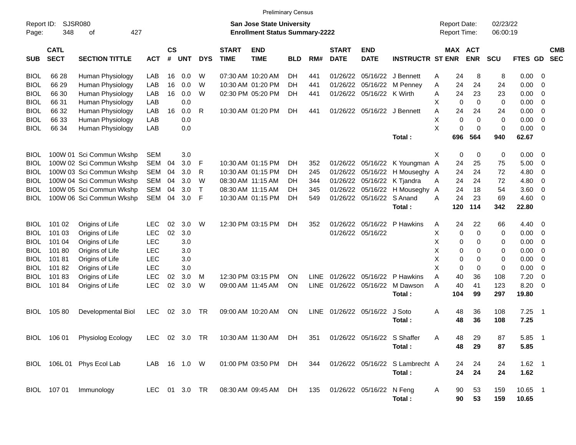|                     |                            |                               |               |                    |            |              |                             | <b>Preliminary Census</b>                                          |            |             |                             |                           |                                 |   |                                     |                       |                      |            |                          |                          |
|---------------------|----------------------------|-------------------------------|---------------|--------------------|------------|--------------|-----------------------------|--------------------------------------------------------------------|------------|-------------|-----------------------------|---------------------------|---------------------------------|---|-------------------------------------|-----------------------|----------------------|------------|--------------------------|--------------------------|
| Report ID:<br>Page: | 348                        | <b>SJSR080</b><br>427<br>оf   |               |                    |            |              |                             | San Jose State University<br><b>Enrollment Status Summary-2222</b> |            |             |                             |                           |                                 |   | <b>Report Date:</b><br>Report Time: |                       | 02/23/22<br>06:00:19 |            |                          |                          |
| <b>SUB</b>          | <b>CATL</b><br><b>SECT</b> | <b>SECTION TITTLE</b>         | <b>ACT</b>    | $\mathsf{cs}$<br># | <b>UNT</b> | <b>DYS</b>   | <b>START</b><br><b>TIME</b> | <b>END</b><br><b>TIME</b>                                          | <b>BLD</b> | RM#         | <b>START</b><br><b>DATE</b> | <b>END</b><br><b>DATE</b> | <b>INSTRUCTR ST ENR</b>         |   |                                     | MAX ACT<br><b>ENR</b> | SCU                  | FTES GD    |                          | <b>CMB</b><br><b>SEC</b> |
| <b>BIOL</b>         | 66 28                      | Human Physiology              | LAB           | 16                 | 0.0        | W            |                             | 07:30 AM 10:20 AM                                                  | DН         | 441         | 01/26/22                    | 05/16/22                  | J Bennett                       | Α | 24                                  | 8                     | 8                    | 0.00       | - 0                      |                          |
| <b>BIOL</b>         | 66 29                      | Human Physiology              | LAB           | 16                 | 0.0        | W            |                             | 10:30 AM 01:20 PM                                                  | DН         | 441         | 01/26/22                    | 05/16/22                  | M Penney                        | Α | 24                                  | 24                    | 24                   | 0.00       | - 0                      |                          |
| <b>BIOL</b>         | 66 30                      | Human Physiology              | LAB           | 16                 | 0.0        | W            |                             | 02:30 PM 05:20 PM                                                  | DH         | 441         | 01/26/22                    | 05/16/22 K Wirth          |                                 | A | 24                                  | 23                    | 23                   | 0.00       | - 0                      |                          |
| <b>BIOL</b>         | 66 31                      | Human Physiology              | LAB           |                    | 0.0        |              |                             |                                                                    |            |             |                             |                           |                                 | X | $\mathbf 0$                         | $\Omega$              | 0                    | 0.00       | - 0                      |                          |
| <b>BIOL</b>         | 66 32                      | Human Physiology              | LAB           | 16                 | 0.0        | R            |                             | 10:30 AM 01:20 PM                                                  | <b>DH</b>  | 441         |                             |                           | 01/26/22 05/16/22 J Bennett     | A | 24                                  | 24                    | 24                   | 0.00       | - 0                      |                          |
| BIOL                | 66 33                      | Human Physiology              | LAB           |                    | 0.0        |              |                             |                                                                    |            |             |                             |                           |                                 | X | $\mathbf 0$                         | $\Omega$              | 0                    | 0.00       | - 0                      |                          |
| <b>BIOL</b>         | 66 34                      | Human Physiology              | LAB           |                    | 0.0        |              |                             |                                                                    |            |             |                             |                           |                                 | X | $\mathbf 0$                         | $\Omega$              | 0                    | 0.00       | - 0                      |                          |
|                     |                            |                               |               |                    |            |              |                             |                                                                    |            |             |                             |                           | Total:                          |   | 696                                 | 564                   | 940                  | 62.67      |                          |                          |
| <b>BIOL</b>         |                            | 100W 01 Sci Commun Wkshp      | <b>SEM</b>    |                    | 3.0        |              |                             |                                                                    |            |             |                             |                           |                                 | X | 0                                   | 0                     | 0                    | 0.00       | - 0                      |                          |
| <b>BIOL</b>         |                            | 100W 02 Sci Commun Wkshp      | <b>SEM</b>    | 04                 | 3.0        | F            |                             | 10:30 AM 01:15 PM                                                  | DН         | 352         | 01/26/22                    |                           | 05/16/22 K Youngman A           |   | 24                                  | 25                    | 75                   | 5.00       | - 0                      |                          |
| <b>BIOL</b>         |                            | 100W 03 Sci Commun Wkshp      | <b>SEM</b>    | 04                 | 3.0        | R            |                             | 10:30 AM 01:15 PM                                                  | DН         | 245         | 01/26/22                    | 05/16/22                  | H Mouseghy A                    |   | 24                                  | 24                    | 72                   | 4.80       | - 0                      |                          |
| <b>BIOL</b>         |                            | 100W 04 Sci Commun Wkshp      | <b>SEM</b>    | 04                 | 3.0        | W            |                             | 08:30 AM 11:15 AM                                                  | DН         | 344         | 01/26/22                    | 05/16/22                  | K Tjandra                       | Α | 24                                  | 24                    | 72                   | 4.80       | - 0                      |                          |
| <b>BIOL</b>         |                            | 100W 05 Sci Commun Wkshp      | <b>SEM</b>    | 04                 | 3.0        | $\mathsf{T}$ |                             | 08:30 AM 11:15 AM                                                  | DН         | 345         | 01/26/22                    | 05/16/22                  | H Mouseghy                      | A | 24                                  | 18                    | 54                   | 3.60       | - 0                      |                          |
| BIOL                |                            | 100W 06 Sci Commun Wkshp      | <b>SEM</b>    | 04                 | 3.0        | F            |                             | 10:30 AM 01:15 PM                                                  | DН         | 549         | 01/26/22                    | 05/16/22                  | S Anand                         | A | 24                                  | 23                    | 69                   | 4.60       | - 0                      |                          |
|                     |                            |                               |               |                    |            |              |                             |                                                                    |            |             |                             |                           | Total:                          |   | 120                                 | 114                   | 342                  | 22.80      |                          |                          |
|                     |                            |                               |               |                    |            |              |                             |                                                                    |            |             |                             |                           |                                 |   |                                     |                       |                      |            |                          |                          |
| <b>BIOL</b>         | 101 02                     | Origins of Life               | <b>LEC</b>    | 02                 | 3.0        | W            |                             | 12:30 PM 03:15 PM                                                  | DH         | 352         | 01/26/22                    | 05/16/22                  | P Hawkins                       | A | 24                                  | 22                    | 66                   | $4.40 \ 0$ |                          |                          |
| <b>BIOL</b>         | 101 03                     | Origins of Life               | <b>LEC</b>    | 02                 | 3.0        |              |                             |                                                                    |            |             | 01/26/22 05/16/22           |                           |                                 | X | 0                                   | 0                     | 0                    | 0.00       | - 0                      |                          |
| <b>BIOL</b>         | 101 04                     | Origins of Life               | <b>LEC</b>    |                    | 3.0        |              |                             |                                                                    |            |             |                             |                           |                                 | X | 0                                   | 0                     | 0                    | 0.00       | - 0                      |                          |
| <b>BIOL</b>         | 10180                      | Origins of Life               | <b>LEC</b>    |                    | 3.0        |              |                             |                                                                    |            |             |                             |                           |                                 | X | 0                                   | $\Omega$              | 0                    | 0.00       | -0                       |                          |
| <b>BIOL</b>         | 10181                      | Origins of Life               | <b>LEC</b>    |                    | 3.0        |              |                             |                                                                    |            |             |                             |                           |                                 | X | 0                                   | $\Omega$              | 0                    | 0.00       | -0                       |                          |
| <b>BIOL</b>         | 10182                      | Origins of Life               | <b>LEC</b>    |                    | 3.0        |              |                             |                                                                    |            |             |                             |                           |                                 | X | 0                                   | $\mathbf 0$           | 0                    | 0.00       | - 0                      |                          |
| BIOL                | 10183                      | Origins of Life               | <b>LEC</b>    | 02                 | 3.0        | M            |                             | 12:30 PM 03:15 PM                                                  | ΟN         | <b>LINE</b> | 01/26/22                    | 05/16/22                  | P Hawkins                       | A | 40                                  | 36                    | 108                  | 7.20       | -0                       |                          |
| <b>BIOL</b>         | 10184                      | Origins of Life               | <b>LEC</b>    | 02                 | 3.0        | W            |                             | 09:00 AM 11:45 AM                                                  | ON         | LINE        | 01/26/22                    | 05/16/22                  | M Dawson                        | A | 40                                  | 41                    | 123                  | 8.20       | -0                       |                          |
|                     |                            |                               |               |                    |            |              |                             |                                                                    |            |             |                             |                           | Total:                          |   | 104                                 | 99                    | 297                  | 19.80      |                          |                          |
| <b>BIOL</b>         | 10580                      | Developmental Biol            | <b>LEC</b>    | 02                 | 3.0        | TR           |                             | 09:00 AM 10:20 AM                                                  | ON         | LINE        | 01/26/22 05/16/22           |                           | J Soto                          | A | 48                                  | 36                    | 108                  | 7.25       | $\overline{\phantom{0}}$ |                          |
|                     |                            |                               |               |                    |            |              |                             |                                                                    |            |             |                             |                           | Total:                          |   | 48                                  | 36                    | 108                  | 7.25       |                          |                          |
|                     |                            |                               |               |                    |            |              |                             |                                                                    |            |             |                             |                           |                                 |   |                                     |                       |                      |            |                          |                          |
|                     |                            | BIOL 106 01 Physiolog Ecology |               |                    |            |              |                             | LEC 02 3.0 TR 10:30 AM 11:30 AM DH 351 01/26/22 05/16/22 S Shaffer |            |             |                             |                           |                                 | A | 48                                  | 29                    | 87                   | 5.85 1     |                          |                          |
|                     |                            |                               |               |                    |            |              |                             |                                                                    |            |             |                             |                           | Total:                          |   | 48                                  | 29                    | 87                   | 5.85       |                          |                          |
|                     |                            | BIOL 106L 01 Phys Ecol Lab    | LAB 16 1.0 W  |                    |            |              |                             | 01:00 PM 03:50 PM DH                                               |            | 344         |                             |                           | 01/26/22 05/16/22 S Lambrecht A |   | 24                                  | 24                    | 24                   | $1.62$ 1   |                          |                          |
|                     |                            |                               |               |                    |            |              |                             |                                                                    |            |             |                             |                           | Total:                          |   | 24                                  | 24                    | 24                   | 1.62       |                          |                          |
|                     |                            |                               |               |                    |            |              |                             |                                                                    |            |             |                             |                           |                                 |   |                                     |                       |                      |            |                          |                          |
|                     |                            | BIOL 107 01 Immunology        | LEC 01 3.0 TR |                    |            |              |                             | 08:30 AM 09:45 AM DH                                               |            | 135         |                             | 01/26/22 05/16/22 N Feng  |                                 | A | 90                                  | 53                    | 159                  | 10.65 1    |                          |                          |
|                     |                            |                               |               |                    |            |              |                             |                                                                    |            |             |                             |                           | Total:                          |   | 90                                  | 53                    | 159                  | 10.65      |                          |                          |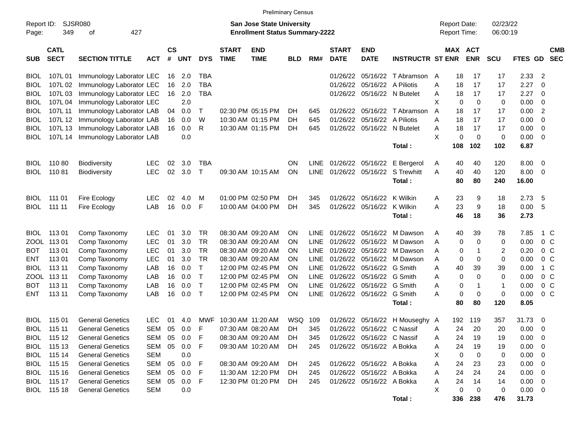| <b>Preliminary Census</b> |                            |                                  |            |                |            |              |                             |                                                                           |            |             |                             |                              |                                   |   |                                     |            |                      |             |                          |                          |
|---------------------------|----------------------------|----------------------------------|------------|----------------|------------|--------------|-----------------------------|---------------------------------------------------------------------------|------------|-------------|-----------------------------|------------------------------|-----------------------------------|---|-------------------------------------|------------|----------------------|-------------|--------------------------|--------------------------|
| Report ID:<br>Page:       | 349                        | <b>SJSR080</b><br>427<br>оf      |            |                |            |              |                             | <b>San Jose State University</b><br><b>Enrollment Status Summary-2222</b> |            |             |                             |                              |                                   |   | <b>Report Date:</b><br>Report Time: |            | 02/23/22<br>06:00:19 |             |                          |                          |
| <b>SUB</b>                | <b>CATL</b><br><b>SECT</b> | <b>SECTION TITTLE</b>            | <b>ACT</b> | <b>CS</b><br># | <b>UNT</b> | <b>DYS</b>   | <b>START</b><br><b>TIME</b> | <b>END</b><br><b>TIME</b>                                                 | <b>BLD</b> | RM#         | <b>START</b><br><b>DATE</b> | <b>END</b><br><b>DATE</b>    | <b>INSTRUCTR ST ENR</b>           |   | MAX ACT                             | <b>ENR</b> | <b>SCU</b>           | FTES GD     |                          | <b>CMB</b><br><b>SEC</b> |
| BIOL                      | 107L 01                    | Immunology Laborator LEC         |            | 16             | 2.0        | TBA          |                             |                                                                           |            |             |                             |                              | 01/26/22 05/16/22 T Abramson      | A | 18                                  | 17         | 17                   | 2.33        | -2                       |                          |
| <b>BIOL</b>               | 107L 02                    | Immunology Laborator LEC         |            | 16             | 2.0        | <b>TBA</b>   |                             |                                                                           |            |             |                             | 01/26/22 05/16/22 A Piliotis |                                   | A | 18                                  | 17         | 17                   | 2.27        | - 0                      |                          |
| <b>BIOL</b>               | 107L 03                    | Immunology Laborator LEC         |            | 16             | 2.0        | <b>TBA</b>   |                             |                                                                           |            |             |                             | 01/26/22 05/16/22 N Butelet  |                                   | A | 18                                  | 17         | 17                   | 2.27        | - 0                      |                          |
| <b>BIOL</b>               | 107L 04                    | Immunology Laborator LEC         |            |                | 2.0        |              |                             |                                                                           |            |             |                             |                              |                                   | Χ | 0                                   | 0          | $\mathbf 0$          | 0.00        | 0                        |                          |
| <b>BIOL</b>               | 107L 11                    | Immunology Laborator LAB         |            | 04             | 0.0        | $\top$       |                             | 02:30 PM 05:15 PM                                                         | DH         | 645         |                             |                              | 01/26/22 05/16/22 T Abramson      | A | 18                                  | 17         | 17                   | 0.00        | $\overline{2}$           |                          |
| <b>BIOL</b>               |                            | 107L 12 Immunology Laborator LAB |            | 16             | 0.0        | W            |                             | 10:30 AM 01:15 PM                                                         | DH         | 645         |                             | 01/26/22 05/16/22 A Piliotis |                                   | A | 18                                  | 17         | 17                   | 0.00        | 0                        |                          |
| <b>BIOL</b>               |                            | 107L 13 Immunology Laborator LAB |            | 16             | 0.0        | R            |                             | 10:30 AM 01:15 PM                                                         | DH         | 645         |                             | 01/26/22 05/16/22 N Butelet  |                                   | Α | 18                                  | 17         | 17                   | 0.00        | 0                        |                          |
| <b>BIOL</b>               |                            | 107L 14 Immunology Laborator LAB |            |                | 0.0        |              |                             |                                                                           |            |             |                             |                              |                                   | X | 0                                   | 0          | $\mathbf 0$          | 0.00        | - 0                      |                          |
|                           |                            |                                  |            |                |            |              |                             |                                                                           |            |             |                             |                              | Total:                            |   | 108                                 | 102        | 102                  | 6.87        |                          |                          |
| BIOL                      | 11080                      | <b>Biodiversity</b>              | <b>LEC</b> | 02             | 3.0        | <b>TBA</b>   |                             |                                                                           | ΟN         | <b>LINE</b> |                             |                              | 01/26/22 05/16/22 E Bergerol      | A | 40                                  | 40         | 120                  | 8.00        | - 0                      |                          |
| <b>BIOL</b>               | 11081                      | <b>Biodiversity</b>              | <b>LEC</b> | 02             | 3.0        | $\top$       |                             | 09:30 AM 10:15 AM                                                         | <b>ON</b>  |             |                             |                              | LINE 01/26/22 05/16/22 S Trewhitt | A | 40                                  | 40         | 120                  | 8.00        | - 0                      |                          |
|                           |                            |                                  |            |                |            |              |                             |                                                                           |            |             |                             |                              | Total:                            |   | 80                                  | 80         | 240                  | 16.00       |                          |                          |
| BIOL                      | 111 01                     | Fire Ecology                     | <b>LEC</b> | 02             | 4.0        | M            |                             | 01:00 PM 02:50 PM                                                         | DH         | 345         |                             | 01/26/22 05/16/22 K Wilkin   |                                   | A | 23                                  | 9          | 18                   | 2.73        | -5                       |                          |
| <b>BIOL</b>               | 111 11                     | Fire Ecology                     | LAB        | 16             | 0.0        | F            |                             | 10:00 AM 04:00 PM                                                         | DH         | 345         |                             | 01/26/22 05/16/22 K Wilkin   |                                   | А | 23                                  | 9          | 18                   | 0.00        | - 5                      |                          |
|                           |                            |                                  |            |                |            |              |                             |                                                                           |            |             |                             |                              | Total:                            |   | 46                                  | 18         | 36                   | 2.73        |                          |                          |
| <b>BIOL</b>               | 11301                      | Comp Taxonomy                    | <b>LEC</b> | 01             | 3.0        | TR           |                             | 08:30 AM 09:20 AM                                                         | ON         | LINE.       |                             |                              | 01/26/22 05/16/22 M Dawson        | A | 40                                  | 39         | 78                   | 7.85        | 1 C                      |                          |
|                           | ZOOL 113 01                | Comp Taxonomy                    | <b>LEC</b> | 01             | 3.0        | TR           |                             | 08:30 AM 09:20 AM                                                         | ON         | <b>LINE</b> |                             |                              | 01/26/22 05/16/22 M Dawson        | A | 0                                   | 0          | 0                    | 0.00        | $0\,$ C                  |                          |
| <b>BOT</b>                | 113 01                     | Comp Taxonomy                    | <b>LEC</b> | 01             | 3.0        | TR           |                             | 08:30 AM 09:20 AM                                                         | ON         | <b>LINE</b> |                             |                              | 01/26/22 05/16/22 M Dawson        | A | 0                                   | -1         | 2                    | 0.20        | 0 <sup>o</sup>           |                          |
| <b>ENT</b>                | 113 01                     | Comp Taxonomy                    | <b>LEC</b> | 01             | 3.0        | <b>TR</b>    |                             | 08:30 AM 09:20 AM                                                         | ON         | <b>LINE</b> |                             |                              | 01/26/22 05/16/22 M Dawson        | Α | 0                                   | 0          | $\mathbf 0$          | 0.00        | 0 <sup>o</sup>           |                          |
| <b>BIOL</b>               | 113 11                     | Comp Taxonomy                    | LAB        | 16             | 0.0        | $\mathsf{T}$ |                             | 12:00 PM 02:45 PM                                                         | ON         | <b>LINE</b> |                             | 01/26/22 05/16/22 G Smith    |                                   | Α | 40                                  | 39         | 39                   | 0.00        | 1 C                      |                          |
|                           | ZOOL 113 11                | Comp Taxonomy                    | LAB        | 16             | 0.0        | $\top$       |                             | 12:00 PM 02:45 PM                                                         | ON         | <b>LINE</b> |                             | 01/26/22 05/16/22 G Smith    |                                   | Α | 0                                   | 0          | $\mathbf 0$          | 0.00        | 0 <sup>o</sup>           |                          |
| <b>BOT</b>                | 113 11                     | Comp Taxonomy                    | LAB        | 16             | 0.0        | $\top$       |                             | 12:00 PM 02:45 PM                                                         | ΟN         | <b>LINE</b> |                             | 01/26/22 05/16/22            | G Smith                           | A | 0                                   | -1         | -1                   | 0.00        | 0 <sup>o</sup>           |                          |
| <b>ENT</b>                | 113 11                     | Comp Taxonomy                    | LAB        | 16             | 0.0        | $\top$       |                             | 12:00 PM 02:45 PM                                                         | ON         | LINE        |                             | 01/26/22 05/16/22            | G Smith                           | Α | 0                                   | 0          | $\mathbf 0$          | 0.00        | 0 <sup>o</sup>           |                          |
|                           |                            |                                  |            |                |            |              |                             |                                                                           |            |             |                             |                              | Total:                            |   | 80                                  | 80         | 120                  | 8.05        |                          |                          |
| BIOL                      | 115 01                     | <b>General Genetics</b>          | <b>LEC</b> | 01             | 4.0        |              | MWF 10:30 AM 11:20 AM       |                                                                           | WSQ 109    |             |                             |                              | 01/26/22 05/16/22 H Mouseghy A    |   | 192                                 | 119        | 357                  | 31.73       | - 0                      |                          |
| <b>BIOL</b>               | 115 11                     | <b>General Genetics</b>          | SEM        | 05             | 0.0        | F            |                             | 07:30 AM 08:20 AM                                                         | DH.        | 345         |                             | 01/26/22 05/16/22 C Nassif   |                                   | A | 24                                  | 20         | 20                   | 0.00        | - 0                      |                          |
|                           | BIOL 115 12                | <b>General Genetics</b>          | SEM 05     |                | 0.0        | $-F$         |                             | 08:30 AM 09:20 AM                                                         | DH         | 345         |                             | 01/26/22 05/16/22 C Nassif   |                                   | Α | 24                                  | 19         | 19                   | 0.00        | $\overline{\mathbf{0}}$  |                          |
|                           | BIOL 115 13                | <b>General Genetics</b>          | SEM        | 05             | 0.0        | -F           |                             | 09:30 AM 10:20 AM                                                         | <b>DH</b>  | 245         |                             | 01/26/22 05/16/22 A Bokka    |                                   | A | 24                                  | 19         | 19                   | 0.00        | $\overline{\phantom{0}}$ |                          |
|                           | BIOL 115 14                | <b>General Genetics</b>          | <b>SEM</b> |                | 0.0        |              |                             |                                                                           |            |             |                             |                              |                                   | X | 0                                   | 0          | 0                    | $0.00 \t 0$ |                          |                          |
|                           | BIOL 115 15                | <b>General Genetics</b>          | SEM        | 05             | 0.0        | F            |                             | 08:30 AM 09:20 AM                                                         | DH         | 245         |                             | 01/26/22 05/16/22 A Bokka    |                                   | A | 24                                  | 23         | 23                   | $0.00 \t 0$ |                          |                          |
|                           | BIOL 115 16                | <b>General Genetics</b>          | SEM        | 05             | 0.0        | -F           |                             | 11:30 AM 12:20 PM                                                         | DH.        | 245         |                             | 01/26/22 05/16/22 A Bokka    |                                   | A | 24                                  | 24         | 24                   | $0.00 \t 0$ |                          |                          |
|                           | BIOL 115 17                | <b>General Genetics</b>          | SEM        | 05             | 0.0        | - F          |                             | 12:30 PM 01:20 PM                                                         | DH.        | 245         |                             | 01/26/22 05/16/22 A Bokka    |                                   | A | 24                                  | 14         | 14                   | $0.00 \t 0$ |                          |                          |
|                           | BIOL 115 18                | <b>General Genetics</b>          | <b>SEM</b> |                | 0.0        |              |                             |                                                                           |            |             |                             |                              |                                   | Χ | 0                                   | 0          | 0                    | $0.00 \t 0$ |                          |                          |
|                           |                            |                                  |            |                |            |              |                             |                                                                           |            |             |                             |                              | Total:                            |   |                                     | 336 238    | 476                  | 31.73       |                          |                          |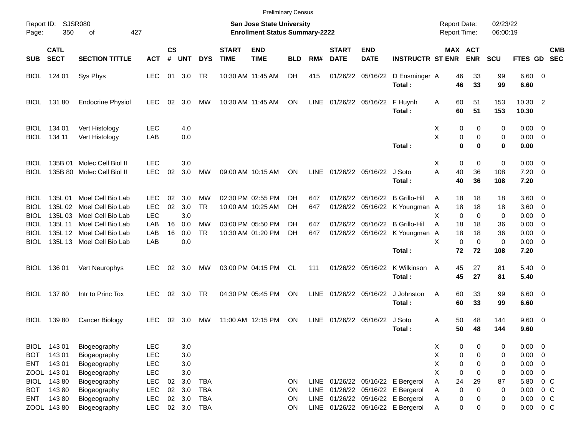|                            |                            |                                                  |                          |                    |            |            |                                                                    |                           | <b>Preliminary Census</b> |             |                             |                           |                                            |                              |                      |                 |                                       |                          |            |
|----------------------------|----------------------------|--------------------------------------------------|--------------------------|--------------------|------------|------------|--------------------------------------------------------------------|---------------------------|---------------------------|-------------|-----------------------------|---------------------------|--------------------------------------------|------------------------------|----------------------|-----------------|---------------------------------------|--------------------------|------------|
| Page:                      | Report ID: SJSR080<br>350  | 427                                              |                          |                    |            |            | San Jose State University<br><b>Enrollment Status Summary-2222</b> |                           |                           |             |                             |                           | <b>Report Date:</b><br><b>Report Time:</b> |                              | 02/23/22<br>06:00:19 |                 |                                       |                          |            |
| <b>SUB</b>                 | <b>CATL</b><br><b>SECT</b> | <b>SECTION TITTLE</b>                            | <b>ACT</b>               | $\mathsf{cs}$<br># | <b>UNT</b> | <b>DYS</b> | <b>START</b><br><b>TIME</b>                                        | <b>END</b><br><b>TIME</b> | <b>BLD</b>                | RM#         | <b>START</b><br><b>DATE</b> | <b>END</b><br><b>DATE</b> | <b>INSTRUCTR ST ENR</b>                    | MAX ACT                      | <b>ENR</b>           | <b>SCU</b>      | FTES GD SEC                           |                          | <b>CMB</b> |
| <b>BIOL</b>                | 124 01                     | Sys Phys                                         | <b>LEC</b>               | 01                 | 3.0        | TR         |                                                                    | 10:30 AM 11:45 AM         | DH                        | 415         |                             | 01/26/22 05/16/22         | D Ensminger A<br>Total:                    | 46<br>46                     | 33<br>33             | 99<br>99        | $6.60$ 0<br>6.60                      |                          |            |
| <b>BIOL</b>                | 13180                      | <b>Endocrine Physiol</b>                         | <b>LEC</b>               | 02                 | 3.0        | MW         |                                                                    | 10:30 AM 11:45 AM         | ON                        | LINE        | 01/26/22 05/16/22           |                           | F Huynh<br>Total:                          | 60<br>A<br>60                | 51<br>51             | 153<br>153      | 10.30 2<br>10.30                      |                          |            |
| <b>BIOL</b><br>BIOL        | 134 01<br>134 11           | Vert Histology<br>Vert Histology                 | <b>LEC</b><br>LAB        |                    | 4.0<br>0.0 |            |                                                                    |                           |                           |             |                             |                           | Total:                                     | Х<br>0<br>X<br>0<br>$\bf{0}$ | 0<br>0<br>$\bf{0}$   | 0<br>0<br>0     | $0.00 \quad 0$<br>$0.00 \t 0$<br>0.00 |                          |            |
|                            |                            |                                                  |                          |                    |            |            |                                                                    |                           |                           |             |                             |                           |                                            |                              |                      |                 |                                       |                          |            |
| <b>BIOL</b><br>BIOL        | 135B 01                    | Molec Cell Biol II<br>135B 80 Molec Cell Biol II | <b>LEC</b><br><b>LEC</b> | 02                 | 3.0<br>3.0 | <b>MW</b>  |                                                                    | 09:00 AM 10:15 AM         | <b>ON</b>                 | <b>LINE</b> |                             | 01/26/22 05/16/22         | J Soto<br>Total:                           | Х<br>0<br>Α<br>40<br>40      | 0<br>36<br>36        | 0<br>108<br>108 | $0.00 \quad 0$<br>$7.20 \t 0$<br>7.20 |                          |            |
| <b>BIOL</b>                | 135L 01<br>135L02          | Moel Cell Bio Lab<br>Moel Cell Bio Lab           | <b>LEC</b><br><b>LEC</b> | 02                 | 3.0        | MW         |                                                                    | 02:30 PM 02:55 PM         | DН                        | 647         | 01/26/22                    |                           | 05/16/22 B Grillo-Hil                      | A<br>18                      | 18                   | 18              | $3.60 \quad 0$                        |                          |            |
| <b>BIOL</b><br><b>BIOL</b> | 135L03                     | Moel Cell Bio Lab                                | <b>LEC</b>               | 02                 | 3.0<br>3.0 | <b>TR</b>  |                                                                    | 10:00 AM 10:25 AM         | DH                        | 647         | 01/26/22                    |                           | 05/16/22 K Youngman A                      | 18<br>X<br>0                 | 18<br>$\Omega$       | 18<br>0         | $3.60 \quad 0$<br>0.00                | $\overline{\phantom{0}}$ |            |
| BIOL                       | 135L 11                    | Moel Cell Bio Lab                                | LAB                      | 16                 | 0.0        | MW         |                                                                    | 03:00 PM 05:50 PM         | DН                        | 647         |                             |                           | 01/26/22 05/16/22 B Grillo-Hil             | A<br>18                      | 18                   | 36              | $0.00 \quad 0$                        |                          |            |
| BIOL                       | 135L 12                    | Moel Cell Bio Lab                                | LAB                      | 16                 | 0.0        | <b>TR</b>  |                                                                    | 10:30 AM 01:20 PM         | DН                        | 647         |                             |                           | 01/26/22 05/16/22 K Youngman A             | 18                           | 18                   | 36              | $0.00 \quad 0$                        |                          |            |
| BIOL                       | 135L 13                    | Moel Cell Bio Lab                                | LAB                      |                    | 0.0        |            |                                                                    |                           |                           |             |                             |                           |                                            | X<br>$\mathbf 0$             | $\mathbf 0$          | 0               | $0.00 \quad 0$                        |                          |            |
|                            |                            |                                                  |                          |                    |            |            |                                                                    |                           |                           |             |                             |                           | Total:                                     | 72                           | 72                   | 108             | 7.20                                  |                          |            |
| <b>BIOL</b>                | 136 01                     | Vert Neurophys                                   | <b>LEC</b>               | 02                 | 3.0        | МW         |                                                                    | 03:00 PM 04:15 PM         | CL.                       | 111         |                             | 01/26/22 05/16/22         | K Wilkinson<br>Total:                      | 45<br>A<br>45                | 27<br>27             | 81<br>81        | $5.40 \quad 0$<br>5.40                |                          |            |
| <b>BIOL</b>                | 13780                      | Intr to Princ Tox                                | LEC.                     |                    | 02 3.0     | TR         |                                                                    | 04:30 PM 05:45 PM         | ON                        | LINE        | 01/26/22 05/16/22           |                           | J Johnston<br>Total:                       | 60<br>A<br>60                | 33<br>33             | 99<br>99        | $6.60$ 0<br>6.60                      |                          |            |
| BIOL                       | 13980                      | Cancer Biology                                   | <b>LEC</b>               | 02                 | 3.0        | MW         |                                                                    | 11:00 AM 12:15 PM         | ON                        | LINE        |                             | 01/26/22 05/16/22         | J Soto<br>Total:                           | 50<br>Α<br>50                | 48<br>48             | 144<br>144      | 9.60 0<br>9.60                        |                          |            |
|                            | BIOL 143 01                | Biogeography                                     | <b>LEC</b>               |                    | 3.0        |            |                                                                    |                           |                           |             |                             |                           |                                            | 0<br>X                       | 0                    | 0               | $0.00 \t 0$                           |                          |            |
| <b>BOT</b>                 | 14301                      | Biogeography                                     | <b>LEC</b>               |                    | 3.0        |            |                                                                    |                           |                           |             |                             |                           |                                            | Χ<br>0                       | $\mathbf 0$          | 0               | 0.00                                  | $\overline{\phantom{0}}$ |            |
| ENT                        | 14301                      | Biogeography                                     | <b>LEC</b>               |                    | 3.0        |            |                                                                    |                           |                           |             |                             |                           |                                            | Χ<br>$\mathbf 0$             | 0                    | 0               | 0.00                                  | $\overline{\phantom{0}}$ |            |
|                            | ZOOL 143 01                | Biogeography                                     | <b>LEC</b>               |                    | 3.0        |            |                                                                    |                           |                           |             |                             |                           |                                            | X<br>0                       | 0                    | 0               | 0.00                                  | $\mathbf 0$              |            |
| <b>BIOL</b>                | 14380                      | Biogeography                                     | <b>LEC</b>               | 02                 | 3.0        | <b>TBA</b> |                                                                    |                           | ON                        | LINE        |                             |                           | 01/26/22 05/16/22 E Bergerol               | 24<br>Α                      | 29                   | 87              | 5.80                                  | $0\,C$                   |            |
| <b>BOT</b>                 | 14380                      | Biogeography                                     | <b>LEC</b>               | 02                 | 3.0        | <b>TBA</b> |                                                                    |                           | ON                        | LINE        |                             |                           | 01/26/22 05/16/22 E Bergerol               | 0<br>Α                       | 0                    | 0               | 0.00                                  | 0 <sup>o</sup>           |            |
| ENT                        | 14380                      | Biogeography                                     | <b>LEC</b>               | $02\,$             | 3.0        | <b>TBA</b> |                                                                    |                           | ON                        | LINE        |                             |                           | 01/26/22 05/16/22 E Bergerol               | 0<br>Α                       | 0                    | 0               | 0.00                                  | 0 <sup>o</sup>           |            |
|                            | ZOOL 143 80                | Biogeography                                     | <b>LEC</b>               |                    | 02 3.0     | <b>TBA</b> |                                                                    |                           | <b>ON</b>                 |             |                             |                           | LINE 01/26/22 05/16/22 E Bergerol          | Α<br>0                       | 0                    | 0               | 0.00                                  | $0\,C$                   |            |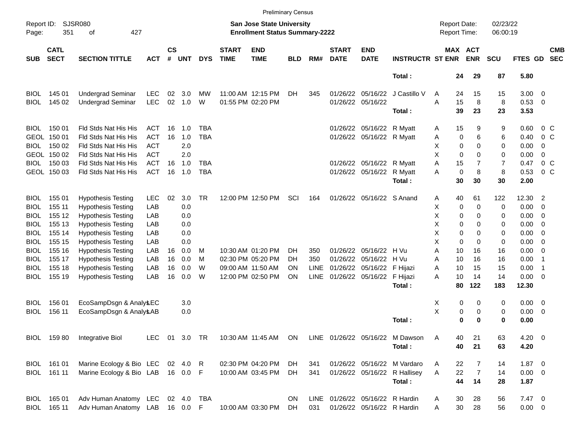|                     |                            |                                   |               |                    |            |            |                             |                                                                           | <b>Preliminary Census</b> |             |                             |                                 |                                 |                                     |                              |                      |               |                          |                          |
|---------------------|----------------------------|-----------------------------------|---------------|--------------------|------------|------------|-----------------------------|---------------------------------------------------------------------------|---------------------------|-------------|-----------------------------|---------------------------------|---------------------------------|-------------------------------------|------------------------------|----------------------|---------------|--------------------------|--------------------------|
| Report ID:<br>Page: | 351                        | <b>SJSR080</b><br>427<br>оf       |               |                    |            |            |                             | <b>San Jose State University</b><br><b>Enrollment Status Summary-2222</b> |                           |             |                             |                                 |                                 | <b>Report Date:</b><br>Report Time: |                              | 02/23/22<br>06:00:19 |               |                          |                          |
| <b>SUB</b>          | <b>CATL</b><br><b>SECT</b> | <b>SECTION TITTLE</b>             | <b>ACT</b>    | $\mathsf{cs}$<br># | <b>UNT</b> | <b>DYS</b> | <b>START</b><br><b>TIME</b> | <b>END</b><br><b>TIME</b>                                                 | <b>BLD</b>                | RM#         | <b>START</b><br><b>DATE</b> | <b>END</b><br><b>DATE</b>       | <b>INSTRUCTR ST ENR</b>         |                                     | <b>MAX ACT</b><br><b>ENR</b> | <b>SCU</b>           | FTES GD       |                          | <b>CMB</b><br><b>SEC</b> |
|                     |                            |                                   |               |                    |            |            |                             |                                                                           |                           |             |                             |                                 | Total:                          | 24                                  | 29                           | 87                   | 5.80          |                          |                          |
| <b>BIOL</b>         | 145 01                     | <b>Undergrad Seminar</b>          | LEC           | 02                 | 3.0        | MW         |                             | 11:00 AM 12:15 PM                                                         | DH.                       | 345         |                             |                                 | 01/26/22 05/16/22 J Castillo V  | 24<br>Α                             | 15                           | 15                   | $3.00 \ 0$    |                          |                          |
| <b>BIOL</b>         | 145 02                     | <b>Undergrad Seminar</b>          | <b>LEC</b>    | 02                 | 1.0        | W          |                             | 01:55 PM 02:20 PM                                                         |                           |             |                             | 01/26/22 05/16/22               |                                 | A<br>15                             | 8                            | 8                    | 0.53 0        |                          |                          |
|                     |                            |                                   |               |                    |            |            |                             |                                                                           |                           |             |                             |                                 | Total:                          | 39                                  | 23                           | 23                   | 3.53          |                          |                          |
| BIOL.               | 150 01                     | Fld Stds Nat His His              | <b>ACT</b>    | 16                 | 1.0        | TBA        |                             |                                                                           |                           |             |                             | 01/26/22 05/16/22 R Myatt       |                                 | 15<br>Α                             | 9                            | 9                    | 0.60          | 0 <sup>o</sup>           |                          |
|                     | GEOL 150 01                | Fld Stds Nat His His              | <b>ACT</b>    | 16                 | 1.0        | <b>TBA</b> |                             |                                                                           |                           |             |                             | 01/26/22 05/16/22 R Myatt       |                                 | 0<br>Α                              | 6                            | 6                    | 0.40          | $0\,C$                   |                          |
| BIOL                | 150 02                     | Fld Stds Nat His His              | <b>ACT</b>    |                    | 2.0        |            |                             |                                                                           |                           |             |                             |                                 |                                 | х<br>$\mathbf 0$                    | $\Omega$                     | 0                    | 0.00          | 0                        |                          |
|                     | GEOL 150 02                | Fld Stds Nat His His              | <b>ACT</b>    |                    | 2.0        |            |                             |                                                                           |                           |             |                             |                                 |                                 | X<br>$\Omega$                       | $\Omega$                     | 0                    | 0.00          | $\mathbf 0$              |                          |
|                     | BIOL 150 03                | Fld Stds Nat His His              | <b>ACT</b>    | 16                 | 1.0        | TBA        |                             |                                                                           |                           |             |                             | 01/26/22 05/16/22 R Myatt       |                                 | A<br>15                             | $\overline{7}$               | 7                    | 0.47          | 0 <sup>o</sup>           |                          |
|                     | GEOL 150 03                | Fld Stds Nat His His              | <b>ACT</b>    | 16                 | 1.0        | <b>TBA</b> |                             |                                                                           |                           |             |                             | 01/26/22 05/16/22 R Myatt       |                                 | $\mathbf 0$<br>A                    | 8                            | 8                    | 0.53          | 0 <sup>o</sup>           |                          |
|                     |                            |                                   |               |                    |            |            |                             |                                                                           |                           |             |                             |                                 | Total:                          | 30                                  | 30                           | 30                   | 2.00          |                          |                          |
| <b>BIOL</b>         | 155 01                     | <b>Hypothesis Testing</b>         | <b>LEC</b>    | 02                 | 3.0        | TR         |                             | 12:00 PM 12:50 PM                                                         | SCI                       | 164         |                             | 01/26/22 05/16/22 S Anand       |                                 | 40<br>A                             | 61                           | 122                  | 12.30         | $\overline{2}$           |                          |
| BIOL                | 155 11                     | <b>Hypothesis Testing</b>         | LAB           |                    | 0.0        |            |                             |                                                                           |                           |             |                             |                                 |                                 | Χ<br>0                              | $\mathbf 0$                  | 0                    | 0.00          | - 0                      |                          |
| BIOL                | 155 12                     | <b>Hypothesis Testing</b>         | LAB           |                    | 0.0        |            |                             |                                                                           |                           |             |                             |                                 |                                 | X<br>0                              | 0                            | 0                    | 0.00          | - 0                      |                          |
| BIOL                | 155 13                     | <b>Hypothesis Testing</b>         | LAB           |                    | 0.0        |            |                             |                                                                           |                           |             |                             |                                 |                                 | х<br>0                              | 0                            | 0                    | 0.00          | - 0                      |                          |
| BIOL                | 155 14                     | <b>Hypothesis Testing</b>         | LAB           |                    | 0.0        |            |                             |                                                                           |                           |             |                             |                                 |                                 | х<br>0                              | $\Omega$                     | 0                    | 0.00          | - 0                      |                          |
| BIOL                | 155 15                     | <b>Hypothesis Testing</b>         | LAB           |                    | 0.0        |            |                             |                                                                           |                           |             |                             |                                 |                                 | X<br>$\mathbf 0$                    | $\Omega$                     | 0                    | 0.00          | - 0                      |                          |
| BIOL                | 155 16                     | <b>Hypothesis Testing</b>         | LAB           | 16                 | 0.0        | M          |                             | 10:30 AM 01:20 PM                                                         | DH.                       | 350         |                             | 01/26/22 05/16/22 H Vu          |                                 | A<br>10                             | 16                           | 16                   | 0.00          | - 0                      |                          |
| BIOL                | 155 17                     | <b>Hypothesis Testing</b>         | LAB           | 16                 | 0.0        | м          |                             | 02:30 PM 05:20 PM                                                         | DH.                       | 350         |                             | 01/26/22 05/16/22 H Vu          |                                 | 10<br>A                             | 16                           | 16                   | 0.00          | -1                       |                          |
| BIOL                | 155 18                     | <b>Hypothesis Testing</b>         | LAB           | 16                 | 0.0        | W          |                             | 09:00 AM 11:50 AM                                                         | ON                        | <b>LINE</b> |                             | 01/26/22 05/16/22 F Hijazi      |                                 | A<br>10                             | 15                           | 15                   | 0.00          | -1                       |                          |
| BIOL                | 155 19                     | <b>Hypothesis Testing</b>         | LAB           | 16                 | 0.0        | W          |                             | 12:00 PM 02:50 PM                                                         | ΟN                        | <b>LINE</b> |                             | 01/26/22 05/16/22 F Hijazi      |                                 | 10<br>Α                             | 14                           | 14                   | 0.00          | $\overline{\phantom{0}}$ |                          |
|                     |                            |                                   |               |                    |            |            |                             |                                                                           |                           |             |                             |                                 | Total:                          | 80                                  | 122                          | 183                  | 12.30         |                          |                          |
| <b>BIOL</b>         | 156 01                     | EcoSampDsgn & Analy & EC          |               |                    | 3.0        |            |                             |                                                                           |                           |             |                             |                                 |                                 | х<br>0                              | 0                            | 0                    | $0.00 \t 0$   |                          |                          |
| <b>BIOL</b>         | 156 11                     | EcoSampDsgn & Analy & AB          |               |                    | 0.0        |            |                             |                                                                           |                           |             |                             |                                 |                                 | Χ<br>0                              | 0                            | 0                    | $0.00 \t 0$   |                          |                          |
|                     |                            |                                   |               |                    |            |            |                             |                                                                           |                           |             |                             |                                 | Total:                          | 0                                   | 0                            | 0                    | 0.00          |                          |                          |
|                     | BIOL 159 80                | Integrative Biol                  | LEC 01 3.0 TR |                    |            |            |                             | 10:30 AM 11:45 AM ON                                                      |                           |             |                             |                                 | LINE 01/26/22 05/16/22 M Dawson | 40<br>A                             | 21                           | 63                   | $4.20 \ 0$    |                          |                          |
|                     |                            |                                   |               |                    |            |            |                             |                                                                           |                           |             |                             |                                 | Total:                          | 40                                  | 21                           | 63                   | 4.20          |                          |                          |
|                     | BIOL 161 01                | Marine Ecology & Bio LEC 02 4.0 R |               |                    |            |            |                             | 02:30 PM 04:20 PM                                                         | DH                        | 341         |                             |                                 | 01/26/22 05/16/22 M Vardaro     | 22<br>A                             | 7                            | 14                   | $1.87 \t 0$   |                          |                          |
|                     | BIOL 161 11                | Marine Ecology & Bio LAB 16 0.0 F |               |                    |            |            |                             | 10:00 AM 03:45 PM                                                         | DH                        | 341         |                             |                                 | 01/26/22 05/16/22 R Hallisey    | 22<br>A                             | $\overline{7}$               | 14                   | $0.00 \t 0$   |                          |                          |
|                     |                            |                                   |               |                    |            |            |                             |                                                                           |                           |             |                             |                                 | Total:                          | 44                                  | 14                           | 28                   | 1.87          |                          |                          |
|                     | BIOL 165 01                | Adv Human Anatomy LEC 02 4.0 TBA  |               |                    |            |            |                             |                                                                           | <b>ON</b>                 |             |                             | LINE 01/26/22 05/16/22 R Hardin |                                 | 30<br>Α                             | 28                           | 56                   | $7.47\quad 0$ |                          |                          |
|                     | BIOL 165 11                | Adv Human Anatomy LAB 16 0.0 F    |               |                    |            |            |                             | 10:00 AM 03:30 PM                                                         | DH.                       | 031         |                             | 01/26/22 05/16/22 R Hardin      |                                 | 30<br>Α                             | 28                           | 56                   | $0.00 \t 0$   |                          |                          |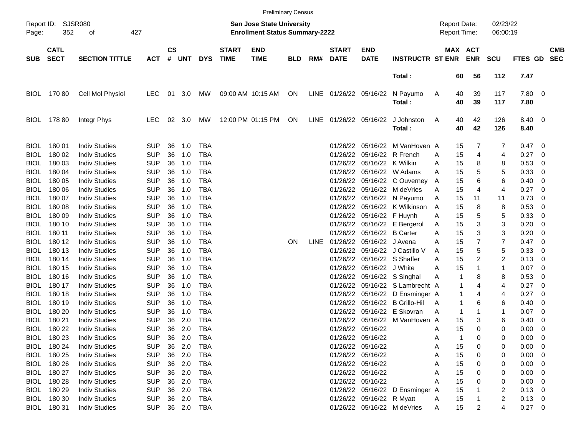|             |                            |                       |            |                |        |            |                             |                                                                    | <b>Preliminary Census</b> |             |                             |                             |                                 |   |          |                                            |                      |                |                          |            |
|-------------|----------------------------|-----------------------|------------|----------------|--------|------------|-----------------------------|--------------------------------------------------------------------|---------------------------|-------------|-----------------------------|-----------------------------|---------------------------------|---|----------|--------------------------------------------|----------------------|----------------|--------------------------|------------|
| Page:       | Report ID: SJSR080<br>352  | 427<br>оf             |            |                |        |            |                             | San Jose State University<br><b>Enrollment Status Summary-2222</b> |                           |             |                             |                             |                                 |   |          | <b>Report Date:</b><br><b>Report Time:</b> | 02/23/22<br>06:00:19 |                |                          |            |
| <b>SUB</b>  | <b>CATL</b><br><b>SECT</b> | <b>SECTION TITTLE</b> | <b>ACT</b> | <b>CS</b><br># | UNT    | <b>DYS</b> | <b>START</b><br><b>TIME</b> | <b>END</b><br><b>TIME</b>                                          | <b>BLD</b>                | RM#         | <b>START</b><br><b>DATE</b> | <b>END</b><br><b>DATE</b>   | <b>INSTRUCTR ST ENR</b>         |   |          | MAX ACT<br><b>ENR</b>                      | <b>SCU</b>           | FTES GD SEC    |                          | <b>CMB</b> |
|             |                            |                       |            |                |        |            |                             |                                                                    |                           |             |                             |                             | Total:                          |   | 60       | 56                                         | 112                  | 7.47           |                          |            |
| <b>BIOL</b> | 17080                      | Cell Mol Physiol      | LEC        | 01             | 3.0    | MW         |                             | 09:00 AM 10:15 AM                                                  | ON                        |             | LINE 01/26/22 05/16/22      |                             | N Payumo<br>Total:              | A | 40<br>40 | 39<br>39                                   | 117<br>117           | 7.80 0<br>7.80 |                          |            |
| <b>BIOL</b> | 178 80                     | Integr Phys           | LEC        | 02             | 3.0    | МW         |                             | 12:00 PM 01:15 PM                                                  | ON                        |             | LINE 01/26/22 05/16/22      |                             | J Johnston<br>Total:            | A | 40<br>40 | 42<br>42                                   | 126<br>126           | 8.40 0<br>8.40 |                          |            |
| <b>BIOL</b> | 180 01                     | <b>Indiv Studies</b>  | <b>SUP</b> | 36             | 1.0    | <b>TBA</b> |                             |                                                                    |                           |             |                             |                             | 01/26/22 05/16/22 M VanHoven A  |   | 15       | 7                                          | 7                    | 0.47           | - 0                      |            |
| <b>BIOL</b> | 180 02                     | <b>Indiv Studies</b>  | <b>SUP</b> | 36             | 1.0    | <b>TBA</b> |                             |                                                                    |                           |             |                             | 01/26/22 05/16/22 R French  |                                 | A | 15       | 4                                          | 4                    | 0.27           | - 0                      |            |
| <b>BIOL</b> | 180 03                     | <b>Indiv Studies</b>  | <b>SUP</b> | 36             | 1.0    | <b>TBA</b> |                             |                                                                    |                           |             |                             | 01/26/22 05/16/22 K Wilkin  |                                 | A | 15       | 8                                          | 8                    | 0.53           | 0                        |            |
| <b>BIOL</b> | 180 04                     | <b>Indiv Studies</b>  | <b>SUP</b> | 36             | 1.0    | <b>TBA</b> |                             |                                                                    |                           |             |                             |                             | 01/26/22 05/16/22 W Adams       | A | 15       | 5                                          | 5                    | 0.33           | 0                        |            |
| BIOL        | 180 05                     | <b>Indiv Studies</b>  | <b>SUP</b> | 36             | 1.0    | <b>TBA</b> |                             |                                                                    |                           |             |                             |                             | 01/26/22 05/16/22 C Ouverney    | A | 15       | 6                                          | 6                    | 0.40           | 0                        |            |
| <b>BIOL</b> | 180 06                     | <b>Indiv Studies</b>  | <b>SUP</b> | 36             | 1.0    | <b>TBA</b> |                             |                                                                    |                           |             |                             |                             | 01/26/22 05/16/22 M deVries     | A | 15       | 4                                          | $\overline{4}$       | 0.27           | 0                        |            |
| <b>BIOL</b> | 180 07                     | <b>Indiv Studies</b>  | <b>SUP</b> | 36             | 1.0    | <b>TBA</b> |                             |                                                                    |                           |             |                             |                             | 01/26/22 05/16/22 N Payumo      | A | 15       | 11                                         | 11                   | 0.73           | 0                        |            |
| <b>BIOL</b> | 180 08                     | <b>Indiv Studies</b>  | <b>SUP</b> | 36             | 1.0    | <b>TBA</b> |                             |                                                                    |                           |             |                             |                             | 01/26/22 05/16/22 K Wilkinson   | A | 15       | 8                                          | 8                    | 0.53           | 0                        |            |
| BIOL        | 180 09                     | <b>Indiv Studies</b>  | <b>SUP</b> | 36             | 1.0    | <b>TBA</b> |                             |                                                                    |                           |             |                             | 01/26/22 05/16/22 F Huynh   |                                 | A | 15       | 5                                          | 5                    | 0.33           | 0                        |            |
| BIOL        | 180 10                     | <b>Indiv Studies</b>  | <b>SUP</b> | 36             | 1.0    | <b>TBA</b> |                             |                                                                    |                           |             |                             |                             | 01/26/22 05/16/22 E Bergerol    | A | 15       | 3                                          | 3                    | 0.20           | 0                        |            |
| BIOL        | 180 11                     | <b>Indiv Studies</b>  | <b>SUP</b> | 36             | 1.0    | <b>TBA</b> |                             |                                                                    |                           |             |                             | 01/26/22 05/16/22 B Carter  |                                 | A | 15       | 3                                          | 3                    | 0.20           | 0                        |            |
| BIOL        | 180 12                     | <b>Indiv Studies</b>  | <b>SUP</b> | 36             | 1.0    | <b>TBA</b> |                             |                                                                    | ON.                       | <b>LINE</b> |                             | 01/26/22 05/16/22 J Avena   |                                 | A | 15       | 7                                          | $\overline{7}$       | 0.47           | 0                        |            |
| BIOL        | 180 13                     | <b>Indiv Studies</b>  | <b>SUP</b> | 36             | 1.0    | <b>TBA</b> |                             |                                                                    |                           |             |                             |                             | 01/26/22 05/16/22 J Castillo V  | A | 15       | 5                                          | 5                    | 0.33           | 0                        |            |
| BIOL        | 180 14                     | <b>Indiv Studies</b>  | <b>SUP</b> | 36             | 1.0    | <b>TBA</b> |                             |                                                                    |                           |             |                             | 01/26/22 05/16/22 S Shaffer |                                 | A | 15       | 2                                          | 2                    | 0.13           | 0                        |            |
| BIOL        | 180 15                     | <b>Indiv Studies</b>  | <b>SUP</b> | 36             | 1.0    | <b>TBA</b> |                             |                                                                    |                           |             |                             | 01/26/22 05/16/22 J White   |                                 | A | 15       | 1                                          | $\mathbf{1}$         | 0.07           | 0                        |            |
| BIOL        | 180 16                     | <b>Indiv Studies</b>  | <b>SUP</b> | 36             | 1.0    | <b>TBA</b> |                             |                                                                    |                           |             |                             |                             | 01/26/22 05/16/22 S Singhal     | Α | 1        | 8                                          | 8                    | 0.53           | 0                        |            |
| BIOL        | 180 17                     | <b>Indiv Studies</b>  | <b>SUP</b> | 36             | 1.0    | <b>TBA</b> |                             |                                                                    |                           |             |                             |                             | 01/26/22 05/16/22 S Lambrecht A |   | 1        | 4                                          | $\overline{4}$       | 0.27           | 0                        |            |
| <b>BIOL</b> | 180 18                     | <b>Indiv Studies</b>  | <b>SUP</b> | 36             | 1.0    | <b>TBA</b> |                             |                                                                    |                           |             |                             |                             | 01/26/22 05/16/22 D Ensminger A |   | 1        | 4                                          | 4                    | 0.27           | 0                        |            |
| BIOL        | 180 19                     | <b>Indiv Studies</b>  | <b>SUP</b> | 36             | 1.0    | <b>TBA</b> |                             |                                                                    |                           |             |                             |                             | 01/26/22 05/16/22 B Grillo-Hil  | A | 1        | 6                                          | 6                    | 0.40           | 0                        |            |
| BIOL        | 180 20                     | <b>Indiv Studies</b>  | <b>SUP</b> | 36             | 1.0    | <b>TBA</b> |                             |                                                                    |                           |             |                             |                             | 01/26/22 05/16/22 E Skovran     | A | 1        | 1                                          | 1                    | 0.07           | 0                        |            |
| BIOL        | 180 21                     | <b>Indiv Studies</b>  | <b>SUP</b> | 36             | 2.0    | <b>TBA</b> |                             |                                                                    |                           |             |                             |                             | 01/26/22 05/16/22 M VanHoven A  |   | 15       | 3                                          | 6                    | 0.40           | 0                        |            |
|             |                            |                       |            |                |        |            |                             |                                                                    |                           |             |                             |                             |                                 |   |          | 0                                          | 0                    |                |                          |            |
| BIOL        | 180 22                     | <b>Indiv Studies</b>  | <b>SUP</b> | 36             | 2.0    | <b>TBA</b> |                             |                                                                    |                           |             |                             | 01/26/22 05/16/22           |                                 | Α | 15       |                                            |                      | 0.00           | 0                        |            |
| <b>BIOL</b> | 180 23                     | <b>Indiv Studies</b>  | <b>SUP</b> | 36             | 2.0    | TBA        |                             |                                                                    |                           |             |                             | 01/26/22 05/16/22           |                                 | A |          | 0                                          | 0                    | 0.00           | $\overline{\phantom{0}}$ |            |
| <b>BIOL</b> | 180 24                     | <b>Indiv Studies</b>  | <b>SUP</b> | 36             | 2.0    | TBA        |                             |                                                                    |                           |             |                             | 01/26/22 05/16/22           |                                 | A | 15       | 0                                          | 0                    | 0.00           | $\overline{\phantom{0}}$ |            |
| BIOL        | 180 25                     | <b>Indiv Studies</b>  | <b>SUP</b> |                | 36 2.0 | TBA        |                             |                                                                    |                           |             |                             | 01/26/22 05/16/22           |                                 | A | 15       | 0                                          | 0                    | $0.00 \t 0$    |                          |            |
| <b>BIOL</b> | 180 26                     | <b>Indiv Studies</b>  | <b>SUP</b> |                | 36 2.0 | TBA        |                             |                                                                    |                           |             |                             | 01/26/22 05/16/22           |                                 | A | 15       | 0                                          | 0                    | $0.00 \t 0$    |                          |            |
| <b>BIOL</b> | 180 27                     | <b>Indiv Studies</b>  | <b>SUP</b> |                | 36 2.0 | TBA        |                             |                                                                    |                           |             |                             | 01/26/22 05/16/22           |                                 | A | 15       | 0                                          | 0                    | $0.00 \t 0$    |                          |            |
| <b>BIOL</b> | 180 28                     | <b>Indiv Studies</b>  | <b>SUP</b> |                | 36 2.0 | TBA        |                             |                                                                    |                           |             |                             | 01/26/22 05/16/22           |                                 | A | 15       |                                            | 0                    | $0.00 \t 0$    |                          |            |
| <b>BIOL</b> | 180 29                     | <b>Indiv Studies</b>  | <b>SUP</b> |                | 36 2.0 | TBA        |                             |                                                                    |                           |             |                             |                             | 01/26/22 05/16/22 D Ensminger A |   | 15       |                                            | 2                    | $0.13 \ 0$     |                          |            |
| <b>BIOL</b> | 180 30                     | <b>Indiv Studies</b>  | <b>SUP</b> |                | 36 2.0 | TBA        |                             |                                                                    |                           |             |                             | 01/26/22 05/16/22 R Myatt   |                                 | A | 15       |                                            | 2                    | $0.13 \ 0$     |                          |            |
| BIOL        | 180 31                     | <b>Indiv Studies</b>  | <b>SUP</b> |                |        | 36 2.0 TBA |                             |                                                                    |                           |             |                             |                             | 01/26/22 05/16/22 M deVries     | A | 15       | 2                                          | 4                    | $0.27 \t 0$    |                          |            |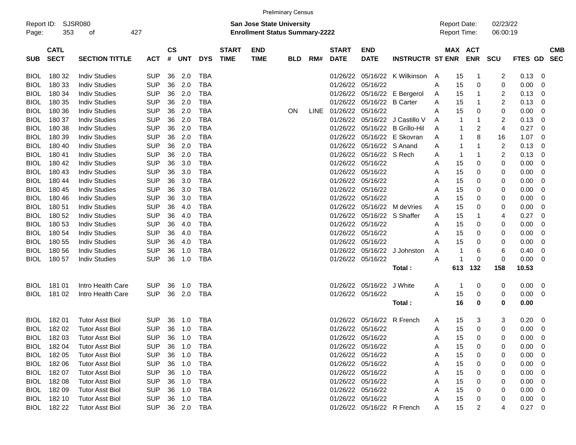|                                                                                                                                        |                            |                        |            |                |        |            |                             |                           | <b>Preliminary Census</b> |             |                             |                            |                                     |   |                       |                      |                         |         |                |                          |
|----------------------------------------------------------------------------------------------------------------------------------------|----------------------------|------------------------|------------|----------------|--------|------------|-----------------------------|---------------------------|---------------------------|-------------|-----------------------------|----------------------------|-------------------------------------|---|-----------------------|----------------------|-------------------------|---------|----------------|--------------------------|
| <b>SJSR080</b><br>Report ID:<br><b>San Jose State University</b><br>427<br><b>Enrollment Status Summary-2222</b><br>353<br>Page:<br>οf |                            |                        |            |                |        |            |                             |                           |                           |             |                             |                            | <b>Report Date:</b><br>Report Time: |   |                       | 02/23/22<br>06:00:19 |                         |         |                |                          |
| SUB                                                                                                                                    | <b>CATL</b><br><b>SECT</b> | <b>SECTION TITTLE</b>  | <b>ACT</b> | <b>CS</b><br># | UNT    | <b>DYS</b> | <b>START</b><br><b>TIME</b> | <b>END</b><br><b>TIME</b> | <b>BLD</b>                | RM#         | <b>START</b><br><b>DATE</b> | <b>END</b><br><b>DATE</b>  | <b>INSTRUCTR ST ENR</b>             |   | MAX ACT<br><b>ENR</b> |                      | <b>SCU</b>              | FTES GD |                | <b>CMB</b><br><b>SEC</b> |
| <b>BIOL</b>                                                                                                                            | 180 32                     | <b>Indiv Studies</b>   | <b>SUP</b> | 36             | 2.0    | TBA        |                             |                           |                           |             | 01/26/22                    |                            | 05/16/22 K Wilkinson                | A | 15                    | 1                    | 2                       | 0.13    | 0              |                          |
| <b>BIOL</b>                                                                                                                            | 180 33                     | <b>Indiv Studies</b>   | <b>SUP</b> | 36             | 2.0    | <b>TBA</b> |                             |                           |                           |             | 01/26/22                    | 05/16/22                   |                                     | A | 15                    | 0                    | 0                       | 0.00    | 0              |                          |
| BIOL                                                                                                                                   | 180 34                     | <b>Indiv Studies</b>   | <b>SUP</b> | 36             | 2.0    | <b>TBA</b> |                             |                           |                           |             |                             |                            | 01/26/22 05/16/22 E Bergerol        | A | 15                    | 1                    | 2                       | 0.13    | 0              |                          |
| BIOL                                                                                                                                   | 180 35                     | <b>Indiv Studies</b>   | <b>SUP</b> | 36             | 2.0    | <b>TBA</b> |                             |                           |                           |             |                             | 01/26/22 05/16/22 B Carter |                                     | Α | 15                    | 1                    | 2                       | 0.13    | 0              |                          |
| <b>BIOL</b>                                                                                                                            | 180 36                     | <b>Indiv Studies</b>   | <b>SUP</b> | 36             | 2.0    | <b>TBA</b> |                             |                           | <b>ON</b>                 | <b>LINE</b> | 01/26/22 05/16/22           |                            |                                     | Α | 15                    | 0                    | 0                       | 0.00    | 0              |                          |
| <b>BIOL</b>                                                                                                                            | 180 37                     | <b>Indiv Studies</b>   | <b>SUP</b> | 36             | 2.0    | TBA        |                             |                           |                           |             | 01/26/22                    |                            | 05/16/22 J Castillo V               | Α | 1                     | 1                    | 2                       | 0.13    | 0              |                          |
| <b>BIOL</b>                                                                                                                            | 180 38                     | <b>Indiv Studies</b>   | <b>SUP</b> | 36             | 2.0    | <b>TBA</b> |                             |                           |                           |             | 01/26/22                    |                            | 05/16/22 B Grillo-Hil               | Α | 1                     | 2                    | $\overline{4}$          | 0.27    | 0              |                          |
| BIOL                                                                                                                                   | 180 39                     | <b>Indiv Studies</b>   | <b>SUP</b> | 36             | 2.0    | <b>TBA</b> |                             |                           |                           |             | 01/26/22                    |                            | 05/16/22 E Skovran                  | Α | 1                     | 8                    | 16                      | 1.07    | 0              |                          |
| BIOL                                                                                                                                   | 180 40                     | <b>Indiv Studies</b>   | <b>SUP</b> | 36             | 2.0    | <b>TBA</b> |                             |                           |                           |             | 01/26/22                    | 05/16/22 S Anand           |                                     | Α | 1                     |                      | $\overline{\mathbf{c}}$ | 0.13    | 0              |                          |
| BIOL                                                                                                                                   | 18041                      | <b>Indiv Studies</b>   | <b>SUP</b> | 36             | 2.0    | <b>TBA</b> |                             |                           |                           |             | 01/26/22                    | 05/16/22 S Rech            |                                     | Α | 1                     | 1                    | 2                       | 0.13    | 0              |                          |
| BIOL                                                                                                                                   | 180 42                     | <b>Indiv Studies</b>   | <b>SUP</b> | 36             | 3.0    | <b>TBA</b> |                             |                           |                           |             |                             | 01/26/22 05/16/22          |                                     | Α | 15                    | 0                    | 0                       | 0.00    | 0              |                          |
| BIOL                                                                                                                                   | 180 43                     | <b>Indiv Studies</b>   | <b>SUP</b> | 36             | 3.0    | <b>TBA</b> |                             |                           |                           |             |                             | 01/26/22 05/16/22          |                                     | Α | 15                    | 0                    | 0                       | 0.00    | 0              |                          |
| BIOL                                                                                                                                   | 180 44                     | <b>Indiv Studies</b>   | <b>SUP</b> | 36             | 3.0    | <b>TBA</b> |                             |                           |                           |             | 01/26/22                    | 05/16/22                   |                                     | Α | 15                    | 0                    | 0                       | 0.00    | 0              |                          |
| BIOL                                                                                                                                   | 180 45                     | <b>Indiv Studies</b>   | <b>SUP</b> | 36             | 3.0    | <b>TBA</b> |                             |                           |                           |             |                             | 01/26/22 05/16/22          |                                     | Α | 15                    | 0                    | 0                       | 0.00    | 0              |                          |
| <b>BIOL</b>                                                                                                                            | 18046                      | <b>Indiv Studies</b>   | <b>SUP</b> | 36             | 3.0    | <b>TBA</b> |                             |                           |                           |             | 01/26/22                    | 05/16/22                   |                                     | Α | 15                    | 0                    | 0                       | 0.00    | 0              |                          |
| <b>BIOL</b>                                                                                                                            | 180 51                     | <b>Indiv Studies</b>   | <b>SUP</b> | 36             | 4.0    | <b>TBA</b> |                             |                           |                           |             | 01/26/22                    |                            | 05/16/22 M deVries                  | Α | 15                    | 0                    | 0                       | 0.00    | 0              |                          |
| <b>BIOL</b>                                                                                                                            | 180 52                     | <b>Indiv Studies</b>   | <b>SUP</b> | 36             | 4.0    | <b>TBA</b> |                             |                           |                           |             | 01/26/22                    | 05/16/22 S Shaffer         |                                     | Α | 15                    | 1                    | 4                       | 0.27    | 0              |                          |
| <b>BIOL</b>                                                                                                                            | 180 53                     | <b>Indiv Studies</b>   | <b>SUP</b> | 36             | 4.0    | <b>TBA</b> |                             |                           |                           |             |                             | 01/26/22 05/16/22          |                                     | Α | 15                    | 0                    | 0                       | 0.00    | 0              |                          |
| BIOL                                                                                                                                   | 180 54                     | <b>Indiv Studies</b>   | <b>SUP</b> | 36             | 4.0    | <b>TBA</b> |                             |                           |                           |             |                             | 01/26/22 05/16/22          |                                     | Α | 15                    | 0                    | 0                       | 0.00    | 0              |                          |
| BIOL                                                                                                                                   | 180 55                     | <b>Indiv Studies</b>   | <b>SUP</b> | 36             | 4.0    | <b>TBA</b> |                             |                           |                           |             |                             | 01/26/22 05/16/22          |                                     | Α | 15                    | 0                    | 0                       | 0.00    | 0              |                          |
| BIOL                                                                                                                                   | 180 56                     | <b>Indiv Studies</b>   | <b>SUP</b> | 36             | 1.0    | <b>TBA</b> |                             |                           |                           |             |                             |                            | 01/26/22 05/16/22 J Johnston        | A | 1                     | 6                    | 6                       | 0.40    | 0              |                          |
| BIOL                                                                                                                                   | 180 57                     | <b>Indiv Studies</b>   | <b>SUP</b> | 36             | 1.0    | TBA        |                             |                           |                           |             |                             | 01/26/22 05/16/22          |                                     | Α | 1                     | 0                    | 0                       | 0.00    | 0              |                          |
|                                                                                                                                        |                            |                        |            |                |        |            |                             |                           |                           |             |                             |                            | Total :                             |   | 613                   | 132                  | 158                     | 10.53   |                |                          |
| <b>BIOL</b>                                                                                                                            | 181 01                     | Intro Health Care      | <b>SUP</b> | 36             | 1.0    | TBA        |                             |                           |                           |             |                             | 01/26/22 05/16/22          | J White                             | A | 1                     | 0                    | 0                       | 0.00    | 0              |                          |
| BIOL                                                                                                                                   | 181 02                     | Intro Health Care      | <b>SUP</b> | 36             | 2.0    | TBA        |                             |                           |                           |             |                             | 01/26/22 05/16/22          |                                     | Α | 15                    | 0                    | 0                       | 0.00    | 0              |                          |
|                                                                                                                                        |                            |                        |            |                |        |            |                             |                           |                           |             |                             |                            | Total:                              |   | 16                    | 0                    | 0                       | 0.00    |                |                          |
| BIOL                                                                                                                                   | 18201                      | <b>Tutor Asst Biol</b> | <b>SUP</b> | 36             | 1.0    | TBA        |                             |                           |                           |             | 01/26/22                    |                            | 05/16/22 R French                   | A | 15                    | 3                    | 3                       | 0.20    | 0              |                          |
| BIOL                                                                                                                                   | 18202                      | <b>Tutor Asst Biol</b> | <b>SUP</b> | 36             | 1.0    | TBA        |                             |                           |                           |             |                             | 01/26/22 05/16/22          |                                     | Α | 15                    | 0                    | 0                       | 0.00    | 0              |                          |
| <b>BIOL</b>                                                                                                                            | 18203                      | <b>Tutor Asst Biol</b> | <b>SUP</b> | 36             | 1.0    | TBA        |                             |                           |                           |             |                             | 01/26/22 05/16/22          |                                     | A | 15                    | 0                    | 0                       | 0.00    | 0              |                          |
| <b>BIOL</b>                                                                                                                            | 182 04                     | <b>Tutor Asst Biol</b> | <b>SUP</b> |                | 36 1.0 | <b>TBA</b> |                             |                           |                           |             |                             | 01/26/22 05/16/22          |                                     | Α | 15                    | 0                    |                         | 0.00    | 0              |                          |
| <b>BIOL</b>                                                                                                                            | 182 05                     | <b>Tutor Asst Biol</b> | <b>SUP</b> |                | 36 1.0 | <b>TBA</b> |                             |                           |                           |             |                             | 01/26/22 05/16/22          |                                     | Α | 15                    | 0                    | 0                       | 0.00    | 0              |                          |
| <b>BIOL</b>                                                                                                                            | 182 06                     | <b>Tutor Asst Biol</b> | <b>SUP</b> |                | 36 1.0 | <b>TBA</b> |                             |                           |                           |             |                             | 01/26/22 05/16/22          |                                     | Α | 15                    | 0                    | 0                       | 0.00    | 0              |                          |
| <b>BIOL</b>                                                                                                                            | 182 07                     | <b>Tutor Asst Biol</b> | <b>SUP</b> |                | 36 1.0 | <b>TBA</b> |                             |                           |                           |             |                             | 01/26/22 05/16/22          |                                     | Α | 15                    | 0                    | 0                       | 0.00    | 0              |                          |
| <b>BIOL</b>                                                                                                                            | 182 08                     | <b>Tutor Asst Biol</b> | <b>SUP</b> |                | 36 1.0 | <b>TBA</b> |                             |                           |                           |             |                             | 01/26/22 05/16/22          |                                     | Α | 15                    | 0                    | 0                       | 0.00    | 0              |                          |
| <b>BIOL</b>                                                                                                                            | 182 09                     | <b>Tutor Asst Biol</b> | <b>SUP</b> |                | 36 1.0 | TBA        |                             |                           |                           |             |                             | 01/26/22 05/16/22          |                                     | Α | 15                    | 0                    | 0                       | 0.00    | 0              |                          |
| <b>BIOL</b>                                                                                                                            | 182 10                     | <b>Tutor Asst Biol</b> | <b>SUP</b> |                | 36 1.0 | <b>TBA</b> |                             |                           |                           |             |                             | 01/26/22 05/16/22          |                                     | Α | 15                    | O                    | 0                       | 0.00    | 0              |                          |
| BIOL                                                                                                                                   | 182 22                     | <b>Tutor Asst Biol</b> | <b>SUP</b> |                | 36 2.0 | <b>TBA</b> |                             |                           |                           |             |                             | 01/26/22 05/16/22 R French |                                     | Α | 15                    | 2                    | 4                       | 0.27    | $\overline{0}$ |                          |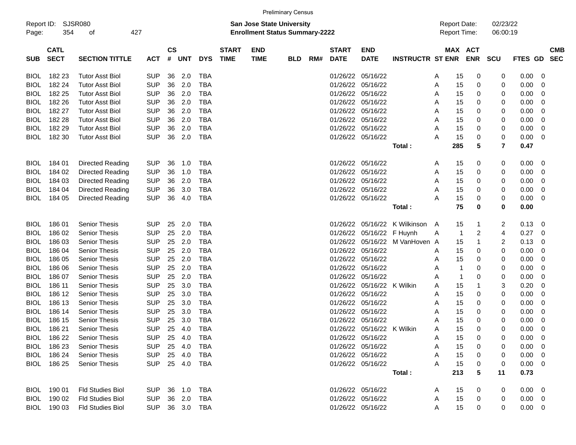|                                                                                                                                        |                            |                         |                |                |            |            |                             |                           | <b>Preliminary Census</b> |     |                             |                            |                                            |   |         |                      |                         |             |                          |  |
|----------------------------------------------------------------------------------------------------------------------------------------|----------------------------|-------------------------|----------------|----------------|------------|------------|-----------------------------|---------------------------|---------------------------|-----|-----------------------------|----------------------------|--------------------------------------------|---|---------|----------------------|-------------------------|-------------|--------------------------|--|
| <b>SJSR080</b><br>Report ID:<br><b>San Jose State University</b><br>354<br>427<br><b>Enrollment Status Summary-2222</b><br>οf<br>Page: |                            |                         |                |                |            |            |                             |                           |                           |     |                             |                            | <b>Report Date:</b><br><b>Report Time:</b> |   |         | 02/23/22<br>06:00:19 |                         |             |                          |  |
| <b>SUB</b>                                                                                                                             | <b>CATL</b><br><b>SECT</b> | <b>SECTION TITTLE</b>   | <b>ACT</b>     | <b>CS</b><br># | <b>UNT</b> | <b>DYS</b> | <b>START</b><br><b>TIME</b> | <b>END</b><br><b>TIME</b> | <b>BLD</b>                | RM# | <b>START</b><br><b>DATE</b> | <b>END</b><br><b>DATE</b>  | <b>INSTRUCTR ST ENR</b>                    |   | MAX ACT | <b>ENR</b>           | <b>SCU</b>              | FTES GD     | <b>CMB</b><br><b>SEC</b> |  |
| <b>BIOL</b>                                                                                                                            | 182 23                     | <b>Tutor Asst Biol</b>  | <b>SUP</b>     | 36             | 2.0        | TBA        |                             |                           |                           |     | 01/26/22                    | 05/16/22                   |                                            | A | 15      | 0                    | 0                       | 0.00        | 0                        |  |
| <b>BIOL</b>                                                                                                                            | 182 24                     | <b>Tutor Asst Biol</b>  | <b>SUP</b>     | 36             | 2.0        | <b>TBA</b> |                             |                           |                           |     | 01/26/22                    | 05/16/22                   |                                            | Α | 15      | 0                    | 0                       | 0.00        | 0                        |  |
| <b>BIOL</b>                                                                                                                            | 182 25                     | <b>Tutor Asst Biol</b>  | <b>SUP</b>     | 36             | 2.0        | <b>TBA</b> |                             |                           |                           |     | 01/26/22                    | 05/16/22                   |                                            | Α | 15      | 0                    | 0                       | 0.00        | 0                        |  |
| <b>BIOL</b>                                                                                                                            | 182 26                     | <b>Tutor Asst Biol</b>  | <b>SUP</b>     | 36             | 2.0        | <b>TBA</b> |                             |                           |                           |     | 01/26/22                    | 05/16/22                   |                                            | Α | 15      | 0                    | 0                       | 0.00        | 0                        |  |
| <b>BIOL</b>                                                                                                                            | 182 27                     | <b>Tutor Asst Biol</b>  | <b>SUP</b>     | 36             | 2.0        | <b>TBA</b> |                             |                           |                           |     | 01/26/22                    | 05/16/22                   |                                            | Α | 15      | 0                    | 0                       | 0.00        | 0                        |  |
| <b>BIOL</b>                                                                                                                            | 182 28                     | <b>Tutor Asst Biol</b>  | <b>SUP</b>     | 36             | 2.0        | <b>TBA</b> |                             |                           |                           |     | 01/26/22                    | 05/16/22                   |                                            | Α | 15      | 0                    | 0                       | 0.00        | 0                        |  |
| <b>BIOL</b>                                                                                                                            | 182 29                     | <b>Tutor Asst Biol</b>  | <b>SUP</b>     | 36             | 2.0        | <b>TBA</b> |                             |                           |                           |     | 01/26/22                    | 05/16/22                   |                                            | Α | 15      | 0                    | 0                       | 0.00        | 0                        |  |
| BIOL                                                                                                                                   | 182 30                     | <b>Tutor Asst Biol</b>  | <b>SUP</b>     | 36             | 2.0        | <b>TBA</b> |                             |                           |                           |     | 01/26/22 05/16/22           |                            |                                            | A | 15      | 0                    | 0                       | 0.00        | 0                        |  |
|                                                                                                                                        |                            |                         |                |                |            |            |                             |                           |                           |     |                             |                            | Total:                                     |   | 285     | 5                    | $\overline{7}$          | 0.47        |                          |  |
| <b>BIOL</b>                                                                                                                            | 184 01                     | <b>Directed Reading</b> | <b>SUP</b>     | 36             | 1.0        | TBA        |                             |                           |                           |     | 01/26/22 05/16/22           |                            |                                            | A | 15      | 0                    | 0                       | 0.00        | 0                        |  |
| <b>BIOL</b>                                                                                                                            | 184 02                     | <b>Directed Reading</b> | <b>SUP</b>     | 36             | 1.0        | <b>TBA</b> |                             |                           |                           |     | 01/26/22                    | 05/16/22                   |                                            | Α | 15      | 0                    | 0                       | 0.00        | 0                        |  |
| <b>BIOL</b>                                                                                                                            | 184 03                     | <b>Directed Reading</b> | <b>SUP</b>     | 36             | 2.0        | <b>TBA</b> |                             |                           |                           |     | 01/26/22                    | 05/16/22                   |                                            | Α | 15      | 0                    | 0                       | 0.00        | 0                        |  |
| <b>BIOL</b>                                                                                                                            | 184 04                     | <b>Directed Reading</b> | <b>SUP</b>     | 36             | 3.0        | <b>TBA</b> |                             |                           |                           |     | 01/26/22                    | 05/16/22                   |                                            | Α | 15      | 0                    | 0                       | 0.00        | 0                        |  |
| BIOL                                                                                                                                   | 184 05                     | Directed Reading        | <b>SUP</b>     | 36             | 4.0        | <b>TBA</b> |                             |                           |                           |     |                             | 01/26/22 05/16/22          |                                            | Α | 15      | 0                    | 0                       | 0.00        | 0                        |  |
|                                                                                                                                        |                            |                         |                |                |            |            |                             |                           |                           |     |                             |                            | Total:                                     |   | 75      | 0                    | 0                       | 0.00        |                          |  |
| <b>BIOL</b>                                                                                                                            | 18601                      | <b>Senior Thesis</b>    | <b>SUP</b>     | 25             | 2.0        | <b>TBA</b> |                             |                           |                           |     | 01/26/22                    | 05/16/22                   | K Wilkinson                                | A | 15      | 1                    | 2                       | 0.13        | 0                        |  |
| <b>BIOL</b>                                                                                                                            | 186 02                     | <b>Senior Thesis</b>    | <b>SUP</b>     | 25             | 2.0        | <b>TBA</b> |                             |                           |                           |     | 01/26/22                    | 05/16/22                   | F Huynh                                    | Α | -1      | 2                    | 4                       | 0.27        | 0                        |  |
| <b>BIOL</b>                                                                                                                            | 186 03                     | Senior Thesis           | <b>SUP</b>     | 25             | 2.0        | <b>TBA</b> |                             |                           |                           |     | 01/26/22                    | 05/16/22                   | M VanHoven A                               |   | 15      | 1                    | $\overline{\mathbf{c}}$ | 0.13        | 0                        |  |
| <b>BIOL</b>                                                                                                                            | 186 04                     | <b>Senior Thesis</b>    | <b>SUP</b>     | 25             | 2.0        | <b>TBA</b> |                             |                           |                           |     | 01/26/22                    | 05/16/22                   |                                            | A | 15      | 0                    | 0                       | 0.00        | 0                        |  |
| <b>BIOL</b>                                                                                                                            | 186 05                     | <b>Senior Thesis</b>    | <b>SUP</b>     | 25             | 2.0        | <b>TBA</b> |                             |                           |                           |     | 01/26/22                    | 05/16/22                   |                                            | Α | 15      | 0                    | 0                       | 0.00        | 0                        |  |
| <b>BIOL</b>                                                                                                                            | 186 06                     | <b>Senior Thesis</b>    | <b>SUP</b>     | 25             | 2.0        | <b>TBA</b> |                             |                           |                           |     | 01/26/22                    | 05/16/22                   |                                            | Α | -1      | 0                    | 0                       | 0.00        | 0                        |  |
| <b>BIOL</b>                                                                                                                            | 186 07                     | Senior Thesis           | <b>SUP</b>     | 25             | 2.0        | <b>TBA</b> |                             |                           |                           |     | 01/26/22                    | 05/16/22                   |                                            | Α | -1      | 0                    | 0                       | 0.00        | 0                        |  |
| <b>BIOL</b>                                                                                                                            | 186 11                     | Senior Thesis           | <b>SUP</b>     | 25             | 3.0        | <b>TBA</b> |                             |                           |                           |     | 01/26/22                    | 05/16/22                   | K Wilkin                                   | Α | 15      | 1                    | 3                       | 0.20        | 0                        |  |
| <b>BIOL</b>                                                                                                                            | 186 12                     | <b>Senior Thesis</b>    | <b>SUP</b>     | 25             | 3.0        | <b>TBA</b> |                             |                           |                           |     | 01/26/22                    | 05/16/22                   |                                            | Α | 15      | 0                    | 0                       | 0.00        | 0                        |  |
| <b>BIOL</b>                                                                                                                            | 186 13                     | <b>Senior Thesis</b>    | <b>SUP</b>     | 25             | 3.0        | <b>TBA</b> |                             |                           |                           |     | 01/26/22                    | 05/16/22                   |                                            | Α | 15      | 0                    | 0                       | 0.00        | 0                        |  |
| <b>BIOL</b>                                                                                                                            | 186 14                     | <b>Senior Thesis</b>    | <b>SUP</b>     | 25             | 3.0        | <b>TBA</b> |                             |                           |                           |     | 01/26/22                    | 05/16/22                   |                                            | Α | 15      | 0                    | 0                       | 0.00        | 0                        |  |
| <b>BIOL</b>                                                                                                                            | 186 15                     | <b>Senior Thesis</b>    | <b>SUP</b>     | 25             | 3.0        | <b>TBA</b> |                             |                           |                           |     | 01/26/22                    | 05/16/22                   |                                            | Α | 15      | 0                    | 0                       | 0.00        | 0                        |  |
| <b>BIOL</b>                                                                                                                            | 186 21                     | <b>Senior Thesis</b>    | <b>SUP</b>     | 25             | 4.0        | <b>TBA</b> |                             |                           |                           |     |                             | 01/26/22 05/16/22 K Wilkin |                                            | Α | 15      | 0                    | 0                       | 0.00        | 0                        |  |
|                                                                                                                                        | BIOL 186 22                | <b>Senior Thesis</b>    | SUP 25 4.0     |                |            | TBA        |                             |                           |                           |     |                             | 01/26/22 05/16/22          |                                            | A | 15      | 0                    | 0                       | $0.00 \t 0$ |                          |  |
|                                                                                                                                        | BIOL 186 23                | <b>Senior Thesis</b>    | <b>SUP</b>     |                | 25 4.0     | TBA        |                             |                           |                           |     |                             | 01/26/22 05/16/22          |                                            | Α | 15      | 0                    |                         | 0.00        | 0                        |  |
|                                                                                                                                        | BIOL 186 24                | <b>Senior Thesis</b>    | <b>SUP</b>     |                | 25 4.0     | TBA        |                             |                           |                           |     | 01/26/22 05/16/22           |                            |                                            | Α | 15      | 0                    | 0                       | 0.00        | 0                        |  |
|                                                                                                                                        | BIOL 186 25                | <b>Senior Thesis</b>    | <b>SUP</b>     |                | 25 4.0     | <b>TBA</b> |                             |                           |                           |     | 01/26/22 05/16/22           |                            |                                            | Α | 15      | 0                    | 0                       | 0.00        | 0                        |  |
|                                                                                                                                        |                            |                         |                |                |            |            |                             |                           |                           |     |                             |                            | Total:                                     |   | 213     | 5                    | 11                      | 0.73        |                          |  |
|                                                                                                                                        | BIOL 190 01                | <b>Fld Studies Biol</b> | SUP 36 1.0     |                |            | TBA        |                             |                           |                           |     |                             | 01/26/22 05/16/22          |                                            | A | 15      | 0                    | 0                       | $0.00 \t 0$ |                          |  |
|                                                                                                                                        | BIOL 190 02                | Fld Studies Biol        | SUP 36 2.0     |                |            | TBA        |                             |                           |                           |     | 01/26/22 05/16/22           |                            |                                            | A | 15      | 0                    | 0                       | $0.00 \t 0$ |                          |  |
|                                                                                                                                        | BIOL 190 03                | <b>Fld Studies Biol</b> | SUP 36 3.0 TBA |                |            |            |                             |                           |                           |     |                             | 01/26/22 05/16/22          |                                            | Α | 15      | 0                    | 0                       | $0.00 \t 0$ |                          |  |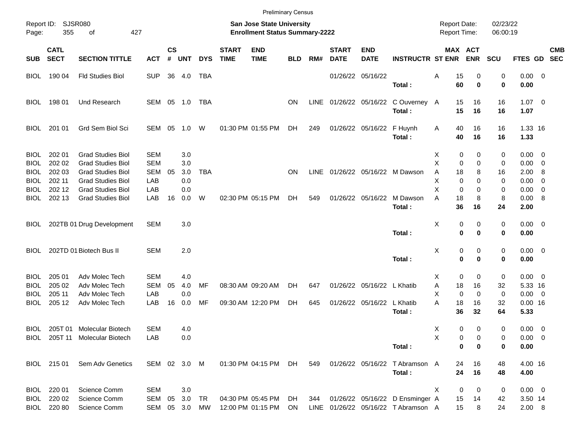|                     |                            |                                |              |                    |            |            |                             |                                                                           | <b>Preliminary Census</b> |             |                             |                            |                                    |                                     |                            |                      |                |                          |                          |
|---------------------|----------------------------|--------------------------------|--------------|--------------------|------------|------------|-----------------------------|---------------------------------------------------------------------------|---------------------------|-------------|-----------------------------|----------------------------|------------------------------------|-------------------------------------|----------------------------|----------------------|----------------|--------------------------|--------------------------|
| Report ID:<br>Page: | 355                        | <b>SJSR080</b><br>of           | 427          |                    |            |            |                             | <b>San Jose State University</b><br><b>Enrollment Status Summary-2222</b> |                           |             |                             |                            |                                    | <b>Report Date:</b><br>Report Time: |                            | 02/23/22<br>06:00:19 |                |                          |                          |
| <b>SUB</b>          | <b>CATL</b><br><b>SECT</b> | <b>SECTION TITTLE</b>          | <b>ACT</b>   | $\mathsf{cs}$<br># | <b>UNT</b> | <b>DYS</b> | <b>START</b><br><b>TIME</b> | <b>END</b><br><b>TIME</b>                                                 | <b>BLD</b>                | RM#         | <b>START</b><br><b>DATE</b> | <b>END</b><br><b>DATE</b>  | <b>INSTRUCTR ST ENR</b>            |                                     | MAX ACT<br><b>ENR</b>      | <b>SCU</b>           | <b>FTES GD</b> |                          | <b>CMB</b><br><b>SEC</b> |
| BIOL                | 190 04                     | <b>Fld Studies Biol</b>        | <b>SUP</b>   | 36                 | 4.0        | TBA        |                             |                                                                           |                           |             |                             | 01/26/22 05/16/22          |                                    | Α                                   | 15<br>0                    | 0                    | $0.00 \t 0$    |                          |                          |
|                     |                            |                                |              |                    |            |            |                             |                                                                           |                           |             |                             |                            | Total:                             |                                     | 60<br>$\mathbf 0$          | 0                    | 0.00           |                          |                          |
| <b>BIOL</b>         | 198 01                     | Und Research                   | SEM 05 1.0   |                    |            | TBA        |                             |                                                                           | ΟN                        | <b>LINE</b> |                             |                            | 01/26/22 05/16/22 C Ouverney A     |                                     | 15<br>16                   | 16                   | $1.07 \t 0$    |                          |                          |
|                     |                            |                                |              |                    |            |            |                             |                                                                           |                           |             |                             |                            | Total:                             |                                     | 15<br>16                   | 16                   | 1.07           |                          |                          |
| <b>BIOL</b>         | 201 01                     | Grd Sem Biol Sci               | SEM          | 05                 | 1.0        | W          |                             | 01:30 PM 01:55 PM                                                         | DH                        | 249         |                             | 01/26/22 05/16/22          | F Huynh                            | A                                   | 40<br>16                   | 16                   | 1.33 16        |                          |                          |
|                     |                            |                                |              |                    |            |            |                             |                                                                           |                           |             |                             |                            | Total:                             |                                     | 40<br>16                   | 16                   | 1.33           |                          |                          |
| <b>BIOL</b>         | 202 01                     | <b>Grad Studies Biol</b>       | <b>SEM</b>   |                    | 3.0        |            |                             |                                                                           |                           |             |                             |                            |                                    | X                                   | 0<br>0                     | 0                    | $0.00 \t 0$    |                          |                          |
| BIOL                | 202 02                     | <b>Grad Studies Biol</b>       | <b>SEM</b>   |                    | 3.0        |            |                             |                                                                           |                           |             |                             |                            |                                    | X                                   | 0<br>0                     | 0                    | 0.00           | $\overline{\phantom{0}}$ |                          |
| BIOL                | 202 03                     | <b>Grad Studies Biol</b>       | <b>SEM</b>   | 05                 | 3.0        | <b>TBA</b> |                             |                                                                           | <b>ON</b>                 | <b>LINE</b> |                             |                            | 01/26/22 05/16/22 M Dawson         | Α                                   | 8<br>18                    | 16                   | 2.00           | -8                       |                          |
| BIOL                | 202 11                     | <b>Grad Studies Biol</b>       | LAB          |                    | 0.0        |            |                             |                                                                           |                           |             |                             |                            |                                    | х                                   | 0<br>0                     | 0                    | 0.00           | 0                        |                          |
| BIOL                | 202 12                     | <b>Grad Studies Biol</b>       | LAB          |                    | 0.0        |            |                             |                                                                           |                           |             |                             |                            |                                    | X                                   | 0<br>0                     | 0                    | 0.00           | $\overline{\mathbf{0}}$  |                          |
| BIOL                | 202 13                     | <b>Grad Studies Biol</b>       | LAB          | 16                 | 0.0        | W          |                             | 02:30 PM 05:15 PM                                                         | DH.                       | 549         |                             | 01/26/22 05/16/22          | M Dawson                           | A                                   | 18<br>8                    | 8                    | 0.00           | - 8                      |                          |
|                     |                            |                                |              |                    |            |            |                             |                                                                           |                           |             |                             |                            | Total:                             |                                     | 36<br>16                   | 24                   | 2.00           |                          |                          |
| BIOL                |                            | 202TB 01 Drug Development      | <b>SEM</b>   |                    | 3.0        |            |                             |                                                                           |                           |             |                             |                            |                                    | х                                   | 0<br>0                     | 0                    | $0.00 \t 0$    |                          |                          |
|                     |                            |                                |              |                    |            |            |                             |                                                                           |                           |             |                             |                            | Total:                             |                                     | $\mathbf 0$<br>$\mathbf 0$ | 0                    | 0.00           |                          |                          |
| <b>BIOL</b>         |                            | 202TD 01 Biotech Bus II        | <b>SEM</b>   |                    | 2.0        |            |                             |                                                                           |                           |             |                             |                            |                                    | х                                   | 0<br>0                     | 0                    | $0.00 \t 0$    |                          |                          |
|                     |                            |                                |              |                    |            |            |                             |                                                                           |                           |             |                             |                            | Total:                             |                                     | $\mathbf 0$<br>$\mathbf 0$ | 0                    | 0.00           |                          |                          |
| <b>BIOL</b>         | 205 01                     | Adv Molec Tech                 | <b>SEM</b>   |                    | 4.0        |            |                             |                                                                           |                           |             |                             |                            |                                    | X.                                  | 0<br>0                     | 0                    | $0.00 \t 0$    |                          |                          |
| BIOL                | 205 02                     | Adv Molec Tech                 | <b>SEM</b>   | 05                 | 4.0        | MF         |                             | 08:30 AM 09:20 AM                                                         | DH.                       | 647         |                             | 01/26/22 05/16/22 L Khatib |                                    | Α                                   | 18<br>16                   | 32                   | 5.33 16        |                          |                          |
| BIOL                | 205 11                     | Adv Molec Tech                 | LAB          |                    | 0.0        |            |                             |                                                                           |                           |             |                             |                            |                                    | X                                   | $\mathbf 0$<br>0           | 0                    | $0.00 \t 0$    |                          |                          |
| BIOL                | 205 12                     | Adv Molec Tech                 | LAB          | 16                 | 0.0        | MF         |                             | 09:30 AM 12:20 PM                                                         | DH                        | 645         |                             | 01/26/22 05/16/22          | L Khatib                           | A                                   | 18<br>16                   | 32                   | $0.00$ 16      |                          |                          |
|                     |                            |                                |              |                    |            |            |                             |                                                                           |                           |             |                             |                            | Total:                             |                                     | 36<br>32                   | 64                   | 5.33           |                          |                          |
| BIOL                |                            | 205T 01 Molecular Biotech      | <b>SEM</b>   |                    | 4.0        |            |                             |                                                                           |                           |             |                             |                            |                                    | X                                   | 0<br>0                     | 0                    | $0.00 \t 0$    |                          |                          |
|                     |                            | BIOL 205T 11 Molecular Biotech | LAB          |                    | 0.0        |            |                             |                                                                           |                           |             |                             |                            |                                    | Х                                   | 0<br>0                     | 0                    | $0.00 \t 0$    |                          |                          |
|                     |                            |                                |              |                    |            |            |                             |                                                                           |                           |             |                             |                            | Total:                             |                                     | 0<br>0                     | 0                    | 0.00           |                          |                          |
|                     | BIOL 215 01                | Sem Adv Genetics               | SEM 02 3.0 M |                    |            |            |                             | 01:30 PM 04:15 PM                                                         | DH                        | 549         |                             |                            | 01/26/22 05/16/22 T Abramson A     |                                     | 16<br>24                   | 48                   | 4.00 16        |                          |                          |
|                     |                            |                                |              |                    |            |            |                             |                                                                           |                           |             |                             |                            | Total:                             |                                     | 24<br>16                   | 48                   | 4.00           |                          |                          |
| BIOL                | 220 01                     | Science Comm                   | <b>SEM</b>   |                    | 3.0        |            |                             |                                                                           |                           |             |                             |                            |                                    | Χ                                   | 0<br>0                     | 0                    | $0.00 \t 0$    |                          |                          |
| BIOL                | 220 02                     | Science Comm                   | SEM          | 05                 | 3.0        | TR         |                             | 04:30 PM 05:45 PM                                                         | DH                        | 344         |                             |                            | 01/26/22 05/16/22 D Ensminger A    | 15                                  | 14                         | 42                   | 3.50 14        |                          |                          |
|                     | BIOL 220 80                | Science Comm                   | SEM          |                    | 05 3.0     | МW         |                             | 12:00 PM 01:15 PM                                                         | ON                        |             |                             |                            | LINE 01/26/22 05/16/22 TAbramson A |                                     | 15<br>8                    | 24                   | 2.00 8         |                          |                          |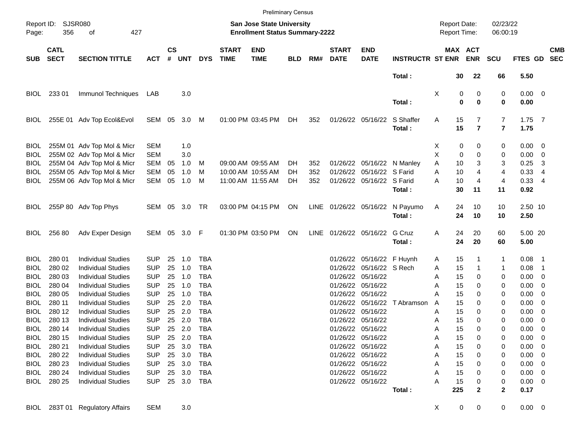|                     |                            |                                 |            |                    |            |            |                             |                                                                           | <b>Preliminary Census</b> |      |                             |                            |                                 |                                     |             |                       |                      |             |                          |                          |
|---------------------|----------------------------|---------------------------------|------------|--------------------|------------|------------|-----------------------------|---------------------------------------------------------------------------|---------------------------|------|-----------------------------|----------------------------|---------------------------------|-------------------------------------|-------------|-----------------------|----------------------|-------------|--------------------------|--------------------------|
| Report ID:<br>Page: | <b>SJSR080</b><br>356      | 427<br>оf                       |            |                    |            |            |                             | <b>San Jose State University</b><br><b>Enrollment Status Summary-2222</b> |                           |      |                             |                            |                                 | <b>Report Date:</b><br>Report Time: |             |                       | 02/23/22<br>06:00:19 |             |                          |                          |
| <b>SUB</b>          | <b>CATL</b><br><b>SECT</b> | <b>SECTION TITTLE</b>           | <b>ACT</b> | $\mathsf{cs}$<br># | <b>UNT</b> | <b>DYS</b> | <b>START</b><br><b>TIME</b> | <b>END</b><br><b>TIME</b>                                                 | <b>BLD</b>                | RM#  | <b>START</b><br><b>DATE</b> | <b>END</b><br><b>DATE</b>  | <b>INSTRUCTR ST ENR</b>         |                                     |             | MAX ACT<br><b>ENR</b> | <b>SCU</b>           | FTES GD     |                          | <b>CMB</b><br><b>SEC</b> |
|                     |                            |                                 |            |                    |            |            |                             |                                                                           |                           |      |                             |                            | Total:                          |                                     | 30          | 22                    | 66                   | 5.50        |                          |                          |
| BIOL                | 233 01                     | Immunol Techniques              | LAB        |                    | 3.0        |            |                             |                                                                           |                           |      |                             |                            |                                 | Χ                                   | 0           | 0                     | 0                    | $0.00 \t 0$ |                          |                          |
|                     |                            |                                 |            |                    |            |            |                             |                                                                           |                           |      |                             |                            | Total:                          |                                     | $\mathbf 0$ | $\mathbf 0$           | 0                    | 0.00        |                          |                          |
| <b>BIOL</b>         |                            | 255E 01 Adv Top Ecol&Evol       | SEM 05     |                    | 3.0        | M          |                             | 01:00 PM 03:45 PM                                                         | DH.                       | 352  |                             | 01/26/22 05/16/22          | S Shaffer                       | Α                                   | 15          | 7                     | $\overline{7}$       | $1.75$ 7    |                          |                          |
|                     |                            |                                 |            |                    |            |            |                             |                                                                           |                           |      |                             |                            | Total:                          |                                     | 15          | $\overline{7}$        | $\overline{7}$       | 1.75        |                          |                          |
| <b>BIOL</b>         |                            | 255M 01 Adv Top Mol & Micr      | <b>SEM</b> |                    | 1.0        |            |                             |                                                                           |                           |      |                             |                            |                                 | X                                   | 0           | 0                     | 0                    | $0.00 \t 0$ |                          |                          |
| <b>BIOL</b>         |                            | 255M 02 Adv Top Mol & Micr      | <b>SEM</b> |                    | 3.0        |            |                             |                                                                           |                           |      |                             |                            |                                 | х                                   | 0           | 0                     | 0                    | 0.00        | $\overline{\phantom{0}}$ |                          |
| BIOL                |                            | 255M 04 Adv Top Mol & Micr      | <b>SEM</b> | 05                 | 1.0        | M          |                             | 09:00 AM 09:55 AM                                                         | DH.                       | 352  |                             | 01/26/22 05/16/22 N Manley |                                 | Α                                   | 10          | 3                     | 3                    | 0.25        | -3                       |                          |
| BIOL                |                            | 255M 05 Adv Top Mol & Micr      | <b>SEM</b> | 05                 | 1.0        | M          |                             | 10:00 AM 10:55 AM                                                         | DH.                       | 352  |                             | 01/26/22 05/16/22 S Farid  |                                 | A                                   | 10          | 4                     | 4                    | 0.33        | -4                       |                          |
| BIOL                |                            | 255M 06 Adv Top Mol & Micr      | SEM        | 05                 | 1.0        | M          |                             | 11:00 AM 11:55 AM                                                         | DH.                       | 352  |                             | 01/26/22 05/16/22 S Farid  |                                 | Α                                   | 10          | 4                     | 4                    | 0.334       |                          |                          |
|                     |                            |                                 |            |                    |            |            |                             |                                                                           |                           |      |                             |                            | Total:                          |                                     | 30          | 11                    | 11                   | 0.92        |                          |                          |
| BIOL.               |                            | 255P 80 Adv Top Phys            | SEM 05 3.0 |                    |            | TR         |                             | 03:00 PM 04:15 PM                                                         | ON                        |      |                             |                            | LINE 01/26/22 05/16/22 N Payumo | A                                   | 24          | 10                    | 10                   | 2.50 10     |                          |                          |
|                     |                            |                                 |            |                    |            |            |                             |                                                                           |                           |      |                             |                            | Total:                          |                                     | 24          | 10                    | 10                   | 2.50        |                          |                          |
| <b>BIOL</b>         | 256 80                     | Adv Exper Design                | SEM 05 3.0 |                    |            | F          |                             | 01:30 PM 03:50 PM                                                         | ON                        | LINE |                             | 01/26/22 05/16/22 G Cruz   |                                 | Α                                   | 24          | 20                    | 60                   | 5.00 20     |                          |                          |
|                     |                            |                                 |            |                    |            |            |                             |                                                                           |                           |      |                             |                            | Total:                          |                                     | 24          | 20                    | 60                   | 5.00        |                          |                          |
| <b>BIOL</b>         | 280 01                     | <b>Individual Studies</b>       | <b>SUP</b> | 25                 | 1.0        | TBA        |                             |                                                                           |                           |      |                             | 01/26/22 05/16/22 F Huynh  |                                 | Α                                   | 15          |                       | 1                    | 0.08        | - 1                      |                          |
| BIOL                | 280 02                     | <b>Individual Studies</b>       | <b>SUP</b> | 25                 | 1.0        | <b>TBA</b> |                             |                                                                           |                           |      |                             | 01/26/22 05/16/22 S Rech   |                                 | Α                                   | 15          |                       | 1                    | 0.08        | $\overline{1}$           |                          |
| <b>BIOL</b>         | 280 03                     | <b>Individual Studies</b>       | <b>SUP</b> | 25                 | 1.0        | TBA        |                             |                                                                           |                           |      |                             | 01/26/22 05/16/22          |                                 | Α                                   | 15          | 0                     | 0                    | $0.00 \t 0$ |                          |                          |
| BIOL                | 280 04                     | <b>Individual Studies</b>       | <b>SUP</b> | 25                 | 1.0        | <b>TBA</b> |                             |                                                                           |                           |      |                             | 01/26/22 05/16/22          |                                 | Α                                   | 15          | 0                     | 0                    | 0.00        | $\overline{\phantom{0}}$ |                          |
| BIOL                | 280 05                     | <b>Individual Studies</b>       | <b>SUP</b> | 25                 | 1.0        | <b>TBA</b> |                             |                                                                           |                           |      |                             | 01/26/22 05/16/22          |                                 | A                                   | 15          | 0                     | 0                    | 0.00        | $\overline{\phantom{0}}$ |                          |
| BIOL                | 280 11                     | <b>Individual Studies</b>       | <b>SUP</b> | 25                 | 2.0        | <b>TBA</b> |                             |                                                                           |                           |      |                             |                            | 01/26/22 05/16/22 T Abramson    | A                                   | 15          | 0                     | 0                    | 0.00        | $\overline{\mathbf{0}}$  |                          |
| BIOL                | 280 12                     | <b>Individual Studies</b>       | <b>SUP</b> | 25                 | 2.0        | <b>TBA</b> |                             |                                                                           |                           |      |                             | 01/26/22 05/16/22          |                                 | Α                                   | 15          | 0                     | 0                    | 0.00        | $\overline{\mathbf{0}}$  |                          |
| BIOL                | 280 13                     | <b>Individual Studies</b>       | <b>SUP</b> | 25                 | 2.0        | <b>TBA</b> |                             |                                                                           |                           |      |                             | 01/26/22 05/16/22          |                                 | Α                                   | 15          | 0                     | 0                    | 0.00        | $\overline{\mathbf{0}}$  |                          |
| BIOL.               | 280 14                     | <b>Individual Studies</b>       | <b>SUP</b> | 25                 | 2.0        | TBA        |                             |                                                                           |                           |      |                             | 01/26/22 05/16/22          |                                 | Α                                   | 15          | $\Omega$              | 0                    | 0.00        | $\overline{\phantom{0}}$ |                          |
| BIOL                | 280 15                     | <b>Individual Studies</b>       | <b>SUP</b> |                    | 25 2.0     | TBA        |                             |                                                                           |                           |      |                             | 01/26/22 05/16/22          |                                 | A                                   | 15          | 0                     | 0                    | $0.00 \t 0$ |                          |                          |
| BIOL                | 280 21                     | <b>Individual Studies</b>       | <b>SUP</b> |                    | 25 3.0     | TBA        |                             |                                                                           |                           |      |                             | 01/26/22 05/16/22          |                                 | Α                                   | 15          | 0                     | 0                    | $0.00 \t 0$ |                          |                          |
| BIOL                | 280 22                     | <b>Individual Studies</b>       | <b>SUP</b> |                    | 25 3.0     | TBA        |                             |                                                                           |                           |      |                             | 01/26/22 05/16/22          |                                 | А                                   | 15          | 0                     | 0                    | $0.00 \t 0$ |                          |                          |
| BIOL                | 280 23                     | <b>Individual Studies</b>       | <b>SUP</b> |                    | 25 3.0     | TBA        |                             |                                                                           |                           |      |                             | 01/26/22 05/16/22          |                                 | А                                   | 15          | 0                     | 0                    | $0.00 \t 0$ |                          |                          |
| BIOL                | 280 24                     | <b>Individual Studies</b>       | <b>SUP</b> |                    | 25 3.0     | TBA        |                             |                                                                           |                           |      |                             | 01/26/22 05/16/22          |                                 | А                                   | 15          | 0                     | 0                    | $0.00 \t 0$ |                          |                          |
| BIOL                | 280 25                     | <b>Individual Studies</b>       | <b>SUP</b> |                    | 25 3.0     | TBA        |                             |                                                                           |                           |      |                             | 01/26/22 05/16/22          |                                 | А                                   | 15          | 0                     | 0                    | $0.00 \t 0$ |                          |                          |
|                     |                            |                                 |            |                    |            |            |                             |                                                                           |                           |      |                             |                            | Total:                          |                                     | 225         | $\mathbf{2}$          | 2                    | 0.17        |                          |                          |
|                     |                            | BIOL 283T 01 Regulatory Affairs | <b>SEM</b> |                    | 3.0        |            |                             |                                                                           |                           |      |                             |                            |                                 | X                                   | $\pmb{0}$   | 0                     | 0                    | $0.00 \t 0$ |                          |                          |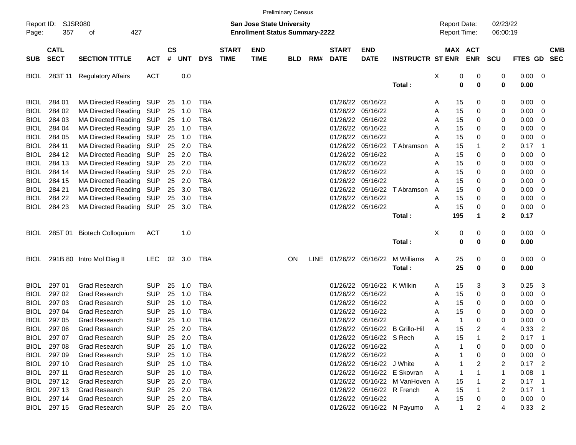|                                                                                                                                        |                            |                            |            |                    |            |            |                             |                           | <b>Preliminary Census</b> |     |                             |                            |                                |                                            |                      |                       |             |                        |                            |                          |
|----------------------------------------------------------------------------------------------------------------------------------------|----------------------------|----------------------------|------------|--------------------|------------|------------|-----------------------------|---------------------------|---------------------------|-----|-----------------------------|----------------------------|--------------------------------|--------------------------------------------|----------------------|-----------------------|-------------|------------------------|----------------------------|--------------------------|
| <b>SJSR080</b><br>Report ID:<br><b>San Jose State University</b><br><b>Enrollment Status Summary-2222</b><br>357<br>427<br>Page:<br>οf |                            |                            |            |                    |            |            |                             |                           |                           |     |                             |                            |                                | <b>Report Date:</b><br><b>Report Time:</b> | 02/23/22<br>06:00:19 |                       |             |                        |                            |                          |
| SUB.                                                                                                                                   | <b>CATL</b><br><b>SECT</b> | <b>SECTION TITTLE</b>      | <b>ACT</b> | $\mathsf{cs}$<br># | <b>UNT</b> | <b>DYS</b> | <b>START</b><br><b>TIME</b> | <b>END</b><br><b>TIME</b> | <b>BLD</b>                | RM# | <b>START</b><br><b>DATE</b> | <b>END</b><br><b>DATE</b>  | <b>INSTRUCTR ST ENR</b>        |                                            |                      | MAX ACT<br><b>ENR</b> | SCU         | <b>FTES GD</b>         |                            | <b>CMB</b><br><b>SEC</b> |
| <b>BIOL</b>                                                                                                                            | 283T 11                    | <b>Regulatory Affairs</b>  | <b>ACT</b> |                    | 0.0        |            |                             |                           |                           |     |                             |                            |                                | X                                          | 0                    | $\boldsymbol{0}$      | 0           | 0.00                   | - 0                        |                          |
|                                                                                                                                        |                            |                            |            |                    |            |            |                             |                           |                           |     |                             |                            | Total:                         |                                            | 0                    | $\mathbf 0$           | $\mathbf 0$ | 0.00                   |                            |                          |
| <b>BIOL</b>                                                                                                                            | 284 01                     | <b>MA Directed Reading</b> | SUP        |                    | 25 1.0     | <b>TBA</b> |                             |                           |                           |     |                             | 01/26/22 05/16/22          |                                | A                                          | 15                   | 0                     | 0           | 0.00                   | - 0                        |                          |
| <b>BIOL</b>                                                                                                                            | 284 02                     | <b>MA Directed Reading</b> | SUP        | 25                 | 1.0        | <b>TBA</b> |                             |                           |                           |     | 01/26/22                    | 05/16/22                   |                                | A                                          | 15                   | 0                     | 0           | 0.00                   | 0                          |                          |
| BIOL                                                                                                                                   | 284 03                     | MA Directed Reading SUP    |            | 25                 | 1.0        | <b>TBA</b> |                             |                           |                           |     | 01/26/22                    | 05/16/22                   |                                | A                                          | 15                   | 0                     | 0           | 0.00                   | 0                          |                          |
| <b>BIOL</b>                                                                                                                            | 284 04                     | MA Directed Reading SUP    |            |                    | 25 1.0     | <b>TBA</b> |                             |                           |                           |     | 01/26/22                    | 05/16/22                   |                                | A                                          | 15                   | 0                     | 0           | 0.00                   | 0                          |                          |
| <b>BIOL</b>                                                                                                                            | 284 05                     | MA Directed Reading SUP    |            |                    | 25 1.0     | <b>TBA</b> |                             |                           |                           |     | 01/26/22                    | 05/16/22                   |                                | A                                          | 15                   | 0                     | 0           | 0.00                   | 0                          |                          |
| <b>BIOL</b>                                                                                                                            | 284 11                     | MA Directed Reading SUP    |            | 25                 | 2.0        | <b>TBA</b> |                             |                           |                           |     | 01/26/22                    |                            | 05/16/22 T Abramson            | A                                          | 15                   |                       | 2           | 0.17                   | $\overline{1}$             |                          |
| <b>BIOL</b>                                                                                                                            | 284 12                     | MA Directed Reading SUP    |            | 25                 | 2.0        | <b>TBA</b> |                             |                           |                           |     | 01/26/22                    | 05/16/22                   |                                | Α                                          | 15                   | 0                     | 0           | 0.00                   | 0                          |                          |
| <b>BIOL</b>                                                                                                                            | 284 13                     | MA Directed Reading SUP    |            | 25                 | 2.0        | <b>TBA</b> |                             |                           |                           |     | 01/26/22                    | 05/16/22                   |                                | A                                          | 15                   | 0                     | 0           | 0.00                   | 0                          |                          |
| <b>BIOL</b>                                                                                                                            | 284 14                     | MA Directed Reading SUP    |            | 25                 | 2.0        | <b>TBA</b> |                             |                           |                           |     | 01/26/22                    | 05/16/22                   |                                | A                                          | 15                   | 0                     | 0           | 0.00                   | 0                          |                          |
| BIOL                                                                                                                                   | 284 15                     | MA Directed Reading SUP    |            | 25                 | 2.0        | <b>TBA</b> |                             |                           |                           |     | 01/26/22                    | 05/16/22                   |                                | A                                          | 15                   | 0                     | 0           | 0.00                   | 0                          |                          |
| BIOL                                                                                                                                   | 284 21                     | MA Directed Reading SUP    |            | 25                 | 3.0        | <b>TBA</b> |                             |                           |                           |     | 01/26/22                    |                            | 05/16/22 T Abramson            | A                                          | 15                   | 0                     | 0           | 0.00                   | 0                          |                          |
| BIOL                                                                                                                                   | 284 22                     | <b>MA Directed Reading</b> | SUP        | 25                 | 3.0        | <b>TBA</b> |                             |                           |                           |     | 01/26/22                    | 05/16/22                   |                                | A                                          | 15                   | 0                     | 0           | 0.00                   | 0                          |                          |
| <b>BIOL</b>                                                                                                                            | 284 23                     | MA Directed Reading SUP    |            | 25                 | 3.0        | <b>TBA</b> |                             |                           |                           |     |                             | 01/26/22 05/16/22          |                                | Α                                          | 15                   | 0                     | 0           | 0.00                   | 0                          |                          |
|                                                                                                                                        |                            |                            |            |                    |            |            |                             |                           |                           |     |                             |                            | Total:                         |                                            | 195                  | 1                     | $\mathbf 2$ | 0.17                   |                            |                          |
|                                                                                                                                        |                            |                            |            |                    |            |            |                             |                           |                           |     |                             |                            |                                |                                            |                      |                       |             |                        |                            |                          |
| BIOL                                                                                                                                   |                            | 285T 01 Biotech Colloquium | <b>ACT</b> |                    | 1.0        |            |                             |                           |                           |     |                             |                            |                                | X                                          | 0<br>0               | 0<br>0                | 0<br>0      | $0.00 \quad 0$<br>0.00 |                            |                          |
|                                                                                                                                        |                            |                            |            |                    |            |            |                             |                           |                           |     |                             |                            | Total:                         |                                            |                      |                       |             |                        |                            |                          |
| <b>BIOL</b>                                                                                                                            |                            | 291B 80 Intro Mol Diag II  | <b>LEC</b> |                    | 02 3.0     | TBA        |                             |                           | ON.                       |     | LINE 01/26/22 05/16/22      |                            | M Williams                     | A                                          | 25                   | 0                     | 0           | $0.00 \ 0$             |                            |                          |
|                                                                                                                                        |                            |                            |            |                    |            |            |                             |                           |                           |     |                             |                            | Total:                         |                                            | 25                   | 0                     | 0           | 0.00                   |                            |                          |
| <b>BIOL</b>                                                                                                                            | 297 01                     | <b>Grad Research</b>       | <b>SUP</b> | 25                 | 1.0        | <b>TBA</b> |                             |                           |                           |     | 01/26/22                    | 05/16/22 K Wilkin          |                                | A                                          | 15                   | 3                     | 3           | 0.25                   | -3                         |                          |
| <b>BIOL</b>                                                                                                                            | 297 02                     | <b>Grad Research</b>       | <b>SUP</b> | 25                 | 1.0        | <b>TBA</b> |                             |                           |                           |     | 01/26/22                    | 05/16/22                   |                                | A                                          | 15                   | 0                     | 0           | 0.00                   | 0                          |                          |
| BIOL                                                                                                                                   | 297 03                     | <b>Grad Research</b>       | <b>SUP</b> | 25                 | 1.0        | <b>TBA</b> |                             |                           |                           |     | 01/26/22                    | 05/16/22                   |                                | A                                          | 15                   | 0                     | 0           | 0.00                   | 0                          |                          |
| BIOL                                                                                                                                   | 297 04                     | <b>Grad Research</b>       | <b>SUP</b> | 25                 | 1.0        | <b>TBA</b> |                             |                           |                           |     |                             | 01/26/22 05/16/22          |                                | A                                          | 15                   | 0                     | 0           | 0.00                   | 0                          |                          |
| BIOL                                                                                                                                   | 297 05                     | <b>Grad Research</b>       | <b>SUP</b> | 25                 | 1.0        | <b>TBA</b> |                             |                           |                           |     | 01/26/22                    | 05/16/22                   |                                | А                                          | $\mathbf{1}$         | 0                     | 0           | 0.00                   | 0                          |                          |
| BIOL                                                                                                                                   | 297 06                     | <b>Grad Research</b>       | <b>SUP</b> | 25                 | 2.0        | <b>TBA</b> |                             |                           |                           |     |                             |                            | 01/26/22 05/16/22 B Grillo-Hil | A                                          | 15                   | 2                     | 4           | 0.33                   | $\overline{2}$             |                          |
| <b>BIOL</b>                                                                                                                            | 297 07                     | <b>Grad Research</b>       | <b>SUP</b> |                    | 25 2.0     | <b>TBA</b> |                             |                           |                           |     |                             | 01/26/22 05/16/22 S Rech   |                                | A                                          | 15                   |                       | 2           | $0.17$ 1               |                            |                          |
| <b>BIOL</b>                                                                                                                            | 297 08                     | <b>Grad Research</b>       | <b>SUP</b> |                    | 25 1.0     | <b>TBA</b> |                             |                           |                           |     |                             | 01/26/22 05/16/22          |                                | Α                                          |                      | 0                     | 0           | 0.00                   | - 0                        |                          |
| <b>BIOL</b>                                                                                                                            | 297 09                     | <b>Grad Research</b>       | <b>SUP</b> |                    | 25 1.0     | TBA        |                             |                           |                           |     |                             | 01/26/22 05/16/22          |                                | Α                                          |                      | 0                     | 0           | 0.00                   | - 0                        |                          |
| <b>BIOL</b>                                                                                                                            | 297 10                     | <b>Grad Research</b>       | <b>SUP</b> |                    | 25 1.0     | TBA        |                             |                           |                           |     |                             | 01/26/22 05/16/22 J White  |                                |                                            |                      | 2                     | 2           | $0.17$ 2               |                            |                          |
| <b>BIOL</b>                                                                                                                            | 297 11                     | <b>Grad Research</b>       | <b>SUP</b> |                    | 25 1.0     | TBA        |                             |                           |                           |     |                             |                            | 01/26/22 05/16/22 E Skovran    |                                            | 1                    |                       | 1           | 0.08                   |                            |                          |
| <b>BIOL</b>                                                                                                                            | 297 12                     | <b>Grad Research</b>       | <b>SUP</b> |                    | 25 2.0     | TBA        |                             |                           |                           |     |                             |                            | 01/26/22 05/16/22 M VanHoven A |                                            | 15                   |                       | 2           | 0.17                   | $\overline{\phantom{0}}$ 1 |                          |
| <b>BIOL</b>                                                                                                                            | 297 13                     | <b>Grad Research</b>       | <b>SUP</b> |                    | 25 2.0     | TBA        |                             |                           |                           |     |                             | 01/26/22 05/16/22 R French |                                | Α                                          | 15                   |                       | 2           | 0.17                   | $\blacksquare$ 1           |                          |
| <b>BIOL</b>                                                                                                                            | 297 14                     | <b>Grad Research</b>       | <b>SUP</b> |                    | 25 2.0     | TBA        |                             |                           |                           |     |                             | 01/26/22 05/16/22          |                                | A                                          | 15                   | 0                     | 0           | $0.00 \t 0$            |                            |                          |
| BIOL                                                                                                                                   | 297 15                     | <b>Grad Research</b>       | <b>SUP</b> |                    | 25 2.0     | TBA        |                             |                           |                           |     |                             |                            | 01/26/22 05/16/22 N Payumo     | A                                          | $\mathbf{1}$         | 2                     | 4           | $0.33$ 2               |                            |                          |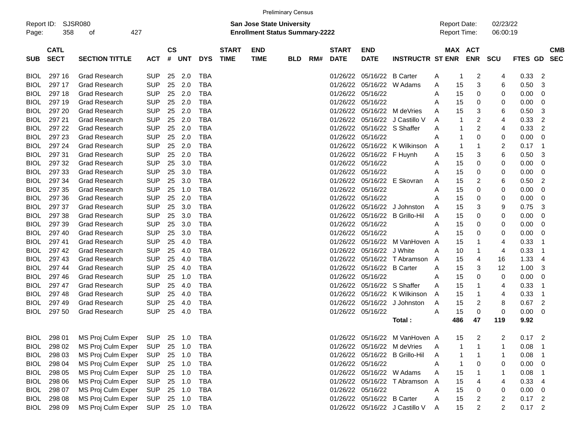|                                                                                                                                                                                                                                                                  |        |                      |            |    |        |            |  |  | <b>Preliminary Census</b> |  |          |                            |                                |                                            |                       |                      |                |          |                          |  |
|------------------------------------------------------------------------------------------------------------------------------------------------------------------------------------------------------------------------------------------------------------------|--------|----------------------|------------|----|--------|------------|--|--|---------------------------|--|----------|----------------------------|--------------------------------|--------------------------------------------|-----------------------|----------------------|----------------|----------|--------------------------|--|
| <b>SJSR080</b><br>Report ID:<br><b>San Jose State University</b><br>427<br><b>Enrollment Status Summary-2222</b><br>358<br>Page:<br>οf                                                                                                                           |        |                      |            |    |        |            |  |  |                           |  |          |                            |                                | <b>Report Date:</b><br><b>Report Time:</b> |                       | 02/23/22<br>06:00:19 |                |          |                          |  |
| $\mathsf{cs}$<br><b>CATL</b><br><b>START</b><br><b>END</b><br><b>START</b><br><b>END</b><br><b>SECT</b><br><b>SECTION TITTLE</b><br>#<br><b>DYS</b><br><b>TIME</b><br><b>TIME</b><br><b>DATE</b><br>SUB<br><b>ACT</b><br>UNT<br><b>BLD</b><br>RM#<br><b>DATE</b> |        |                      |            |    |        |            |  |  |                           |  |          | <b>INSTRUCTR ST ENR</b>    |                                |                                            | MAX ACT<br><b>ENR</b> | SCU                  | FTES GD        |          | <b>CMB</b><br><b>SEC</b> |  |
| BIOL                                                                                                                                                                                                                                                             | 297 16 | <b>Grad Research</b> | <b>SUP</b> | 25 | 2.0    | <b>TBA</b> |  |  |                           |  | 01/26/22 | 05/16/22                   | <b>B</b> Carter                | A                                          | 1                     | 2                    | 4              | 0.33     | 2                        |  |
| BIOL                                                                                                                                                                                                                                                             | 297 17 | <b>Grad Research</b> | <b>SUP</b> | 25 | 2.0    | <b>TBA</b> |  |  |                           |  | 01/26/22 | 05/16/22                   | W Adams                        | A                                          | 15                    | 3                    | 6              | 0.50     | 3                        |  |
| BIOL                                                                                                                                                                                                                                                             | 297 18 | <b>Grad Research</b> | <b>SUP</b> | 25 | 2.0    | TBA        |  |  |                           |  | 01/26/22 | 05/16/22                   |                                | A                                          | 15                    | 0                    | 0              | 0.00     | 0                        |  |
| BIOL                                                                                                                                                                                                                                                             | 297 19 | <b>Grad Research</b> | <b>SUP</b> | 25 | 2.0    | TBA        |  |  |                           |  | 01/26/22 | 05/16/22                   |                                | A                                          | 15                    | 0                    | 0              | 0.00     | 0                        |  |
| BIOL                                                                                                                                                                                                                                                             | 297 20 | <b>Grad Research</b> | <b>SUP</b> | 25 | 2.0    | TBA        |  |  |                           |  | 01/26/22 | 05/16/22                   | M deVries                      | Α                                          | 15                    | 3                    | 6              | 0.50     | 3                        |  |
| BIOL                                                                                                                                                                                                                                                             | 297 21 | <b>Grad Research</b> | <b>SUP</b> | 25 | 2.0    | TBA        |  |  |                           |  | 01/26/22 | 05/16/22                   | J Castillo V                   | A                                          | 1                     | 2                    | 4              | 0.33     | 2                        |  |
| BIOL                                                                                                                                                                                                                                                             | 297 22 | <b>Grad Research</b> | <b>SUP</b> | 25 | 2.0    | <b>TBA</b> |  |  |                           |  | 01/26/22 | 05/16/22 S Shaffer         |                                | Α                                          | 1                     | 2                    | 4              | 0.33     | 2                        |  |
| BIOL                                                                                                                                                                                                                                                             | 297 23 | <b>Grad Research</b> | <b>SUP</b> | 25 | 2.0    | TBA        |  |  |                           |  | 01/26/22 | 05/16/22                   |                                | A                                          | 1                     | 0                    | 0              | 0.00     | 0                        |  |
| <b>BIOL</b>                                                                                                                                                                                                                                                      | 297 24 | <b>Grad Research</b> | <b>SUP</b> | 25 | 2.0    | TBA        |  |  |                           |  | 01/26/22 | 05/16/22                   | K Wilkinson                    | A                                          | 1                     |                      | 2              | 0.17     | -1                       |  |
| BIOL                                                                                                                                                                                                                                                             | 297 31 | <b>Grad Research</b> | <b>SUP</b> | 25 | 2.0    | TBA        |  |  |                           |  | 01/26/22 | 05/16/22                   | F Huynh                        | A                                          | 15                    | 3                    | 6              | 0.50     | 3                        |  |
| BIOL                                                                                                                                                                                                                                                             | 297 32 | <b>Grad Research</b> | <b>SUP</b> | 25 | 3.0    | <b>TBA</b> |  |  |                           |  |          | 01/26/22 05/16/22          |                                | A                                          | 15                    | 0                    | 0              | 0.00     | 0                        |  |
| BIOL                                                                                                                                                                                                                                                             | 297 33 | <b>Grad Research</b> | <b>SUP</b> | 25 | 3.0    | <b>TBA</b> |  |  |                           |  | 01/26/22 | 05/16/22                   |                                | A                                          | 15                    | 0                    | 0              | 0.00     | 0                        |  |
| BIOL                                                                                                                                                                                                                                                             | 297 34 | <b>Grad Research</b> | <b>SUP</b> | 25 | 3.0    | <b>TBA</b> |  |  |                           |  | 01/26/22 | 05/16/22                   | E Skovran                      | A                                          | 15                    | 2                    | 6              | 0.50     | 2                        |  |
| BIOL                                                                                                                                                                                                                                                             | 297 35 | <b>Grad Research</b> | <b>SUP</b> | 25 | 1.0    | TBA        |  |  |                           |  |          | 01/26/22 05/16/22          |                                | A                                          | 15                    | 0                    | 0              | 0.00     | 0                        |  |
| BIOL                                                                                                                                                                                                                                                             | 297 36 | <b>Grad Research</b> | <b>SUP</b> | 25 | 2.0    | TBA        |  |  |                           |  | 01/26/22 | 05/16/22                   |                                | Α                                          | 15                    | 0                    | 0              | 0.00     | 0                        |  |
| BIOL                                                                                                                                                                                                                                                             | 297 37 | <b>Grad Research</b> | <b>SUP</b> | 25 | 3.0    | <b>TBA</b> |  |  |                           |  | 01/26/22 | 05/16/22                   | J Johnston                     | A                                          | 15                    | 3                    | 9              | 0.75     | 3                        |  |
| BIOL                                                                                                                                                                                                                                                             | 297 38 | <b>Grad Research</b> | <b>SUP</b> | 25 | 3.0    | <b>TBA</b> |  |  |                           |  | 01/26/22 | 05/16/22                   | <b>B</b> Grillo-Hil            | Α                                          | 15                    | 0                    | 0              | 0.00     | 0                        |  |
| BIOL                                                                                                                                                                                                                                                             | 297 39 | <b>Grad Research</b> | <b>SUP</b> | 25 | 3.0    | TBA        |  |  |                           |  |          | 01/26/22 05/16/22          |                                | Α                                          | 15                    | 0                    | 0              | 0.00     | 0                        |  |
| <b>BIOL</b>                                                                                                                                                                                                                                                      | 297 40 | <b>Grad Research</b> | <b>SUP</b> | 25 | 3.0    | TBA        |  |  |                           |  | 01/26/22 | 05/16/22                   |                                | A                                          | 15                    | 0                    | 0              | 0.00     | 0                        |  |
| <b>BIOL</b>                                                                                                                                                                                                                                                      | 297 41 | <b>Grad Research</b> | <b>SUP</b> | 25 | 4.0    | <b>TBA</b> |  |  |                           |  | 01/26/22 | 05/16/22                   | M VanHoven A                   |                                            | 15                    |                      | 4              | 0.33     |                          |  |
| BIOL                                                                                                                                                                                                                                                             | 297 42 | <b>Grad Research</b> | <b>SUP</b> | 25 | 4.0    | <b>TBA</b> |  |  |                           |  | 01/26/22 | 05/16/22                   | J White                        | A                                          | 10                    |                      | 4              | 0.33     |                          |  |
| BIOL                                                                                                                                                                                                                                                             | 297 43 | <b>Grad Research</b> | <b>SUP</b> | 25 | 4.0    | <b>TBA</b> |  |  |                           |  | 01/26/22 | 05/16/22                   | T Abramson                     | A                                          | 15                    | 4                    | 16             | 1.33     | 4                        |  |
| BIOL                                                                                                                                                                                                                                                             | 297 44 | <b>Grad Research</b> | <b>SUP</b> | 25 | 4.0    | <b>TBA</b> |  |  |                           |  | 01/26/22 | 05/16/22 B Carter          |                                | A                                          | 15                    | 3                    | 12             | 1.00     | 3                        |  |
| BIOL                                                                                                                                                                                                                                                             | 297 46 | <b>Grad Research</b> | <b>SUP</b> | 25 | 1.0    | TBA        |  |  |                           |  | 01/26/22 | 05/16/22                   |                                | Α                                          | 15                    | 0                    | 0              | 0.00     | 0                        |  |
| BIOL                                                                                                                                                                                                                                                             | 297 47 | <b>Grad Research</b> | <b>SUP</b> | 25 | 4.0    | <b>TBA</b> |  |  |                           |  | 01/26/22 | 05/16/22                   | S Shaffer                      | A                                          | 15                    |                      | 4              | 0.33     |                          |  |
| BIOL                                                                                                                                                                                                                                                             | 297 48 | <b>Grad Research</b> | <b>SUP</b> | 25 | 4.0    | <b>TBA</b> |  |  |                           |  | 01/26/22 | 05/16/22                   | K Wilkinson                    | A                                          | 15                    |                      | 4              | 0.33     | 1                        |  |
| BIOL                                                                                                                                                                                                                                                             | 297 49 | <b>Grad Research</b> | <b>SUP</b> | 25 | 4.0    | <b>TBA</b> |  |  |                           |  | 01/26/22 | 05/16/22                   | J Johnston                     | A                                          | 15                    | 2                    | 8              | 0.67     | 2                        |  |
| BIOL                                                                                                                                                                                                                                                             | 297 50 | <b>Grad Research</b> | <b>SUP</b> | 25 | 4.0    | TBA        |  |  |                           |  |          | 01/26/22 05/16/22          |                                | A                                          | 15                    | 0                    | 0              | 0.00     | 0                        |  |
|                                                                                                                                                                                                                                                                  |        |                      |            |    |        |            |  |  |                           |  |          |                            | Total :                        |                                            | 486                   | 47                   | 119            | 9.92     |                          |  |
| <b>BIOL</b>                                                                                                                                                                                                                                                      | 298 01 | MS Proj Culm Exper   | <b>SUP</b> |    | 25 1.0 | TBA        |  |  |                           |  |          |                            | 01/26/22 05/16/22 M VanHoven A |                                            | 15                    | 2                    | 2              | 0.17     | 2                        |  |
| <b>BIOL</b>                                                                                                                                                                                                                                                      | 298 02 | MS Proj Culm Exper   | <b>SUP</b> |    | 25 1.0 | TBA        |  |  |                           |  |          |                            | 01/26/22 05/16/22 M deVries    | Α                                          |                       |                      |                | 0.08     |                          |  |
| BIOL                                                                                                                                                                                                                                                             | 298 03 | MS Proj Culm Exper   | <b>SUP</b> |    | 25 1.0 | <b>TBA</b> |  |  |                           |  |          |                            | 01/26/22 05/16/22 B Grillo-Hil | Α                                          | 1                     |                      |                | 0.08     |                          |  |
| <b>BIOL</b>                                                                                                                                                                                                                                                      | 298 04 | MS Proj Culm Exper   | <b>SUP</b> |    | 25 1.0 | <b>TBA</b> |  |  |                           |  |          | 01/26/22 05/16/22          |                                | Α                                          |                       | 0                    | 0              | 0.00     | 0                        |  |
| <b>BIOL</b>                                                                                                                                                                                                                                                      | 298 05 | MS Proj Culm Exper   | <b>SUP</b> |    | 25 1.0 | <b>TBA</b> |  |  |                           |  |          |                            | 01/26/22 05/16/22 W Adams      | Α                                          | 15                    |                      |                | 0.08     |                          |  |
| <b>BIOL</b>                                                                                                                                                                                                                                                      | 298 06 | MS Proj Culm Exper   | <b>SUP</b> |    | 25 1.0 | <b>TBA</b> |  |  |                           |  |          |                            | 01/26/22 05/16/22 T Abramson   | A                                          | 15                    | 4                    | 4              | 0.33     | 4                        |  |
| <b>BIOL</b>                                                                                                                                                                                                                                                      | 298 07 | MS Proj Culm Exper   | <b>SUP</b> |    | 25 1.0 | TBA        |  |  |                           |  |          | 01/26/22 05/16/22          |                                | Α                                          | 15                    | 0                    | 0              | 0.00     | 0                        |  |
| <b>BIOL</b>                                                                                                                                                                                                                                                      | 298 08 | MS Proj Culm Exper   | <b>SUP</b> |    | 25 1.0 | <b>TBA</b> |  |  |                           |  |          | 01/26/22 05/16/22 B Carter |                                | A                                          | 15                    | 2                    | 2              | 0.17     | $\overline{2}$           |  |
| BIOL                                                                                                                                                                                                                                                             | 298 09 | MS Proj Culm Exper   | <b>SUP</b> |    | 25 1.0 | TBA        |  |  |                           |  |          |                            | 01/26/22 05/16/22 J Castillo V | A                                          | 15                    | 2                    | $\overline{2}$ | $0.17$ 2 |                          |  |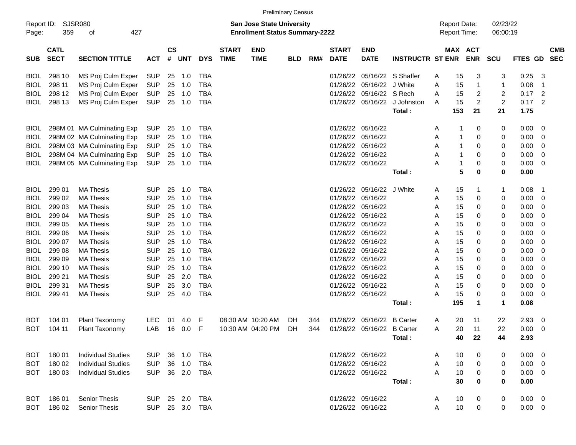|                     |                            |                             |            |                    |            |            |                                                                           |                           | <b>Preliminary Census</b> |     |                             |                           |                         |   |                                            |                       |                |                |                         |                          |
|---------------------|----------------------------|-----------------------------|------------|--------------------|------------|------------|---------------------------------------------------------------------------|---------------------------|---------------------------|-----|-----------------------------|---------------------------|-------------------------|---|--------------------------------------------|-----------------------|----------------|----------------|-------------------------|--------------------------|
| Report ID:<br>Page: | 359                        | <b>SJSR080</b><br>427<br>οf |            |                    |            |            | <b>San Jose State University</b><br><b>Enrollment Status Summary-2222</b> |                           |                           |     |                             |                           |                         |   | <b>Report Date:</b><br><b>Report Time:</b> | 02/23/22<br>06:00:19  |                |                |                         |                          |
| <b>SUB</b>          | <b>CATL</b><br><b>SECT</b> | <b>SECTION TITTLE</b>       | <b>ACT</b> | $\mathsf{cs}$<br># | <b>UNT</b> | <b>DYS</b> | <b>START</b><br><b>TIME</b>                                               | <b>END</b><br><b>TIME</b> | <b>BLD</b>                | RM# | <b>START</b><br><b>DATE</b> | <b>END</b><br><b>DATE</b> | <b>INSTRUCTR ST ENR</b> |   |                                            | MAX ACT<br><b>ENR</b> | <b>SCU</b>     | FTES GD        |                         | <b>CMB</b><br><b>SEC</b> |
| <b>BIOL</b>         | 298 10                     | MS Proj Culm Exper          | SUP        | 25                 | 1.0        | <b>TBA</b> |                                                                           |                           |                           |     | 01/26/22                    |                           | 05/16/22 S Shaffer      | A | 15                                         | 3                     | 3              | 0.25           | -3                      |                          |
| <b>BIOL</b>         | 298 11                     | MS Proj Culm Exper          | <b>SUP</b> | 25                 | 1.0        | <b>TBA</b> |                                                                           |                           |                           |     | 01/26/22                    | 05/16/22                  | J White                 | A | 15                                         | $\mathbf 1$           | 1              | 0.08           | $\overline{\mathbf{1}}$ |                          |
| <b>BIOL</b>         | 298 12                     | MS Proj Culm Exper          | <b>SUP</b> | 25                 | 1.0        | <b>TBA</b> |                                                                           |                           |                           |     | 01/26/22                    | 05/16/22 S Rech           |                         | A | 15                                         | 2                     | 2              | 0.17           | $\overline{2}$          |                          |
| BIOL                | 298 13                     | MS Proj Culm Exper          | <b>SUP</b> | 25                 | 1.0        | <b>TBA</b> |                                                                           |                           |                           |     | 01/26/22                    | 05/16/22                  | J Johnston              | A | 15                                         | $\overline{2}$        | $\overline{c}$ | 0.17           | $\overline{2}$          |                          |
|                     |                            |                             |            |                    |            |            |                                                                           |                           |                           |     |                             |                           | Total:                  |   | 153                                        | 21                    | 21             | 1.75           |                         |                          |
| <b>BIOL</b>         |                            | 298M 01 MA Culminating Exp  | <b>SUP</b> | 25                 | 1.0        | <b>TBA</b> |                                                                           |                           |                           |     | 01/26/22                    | 05/16/22                  |                         | Α |                                            | 0                     | 0              | 0.00           | - 0                     |                          |
| <b>BIOL</b>         |                            | 298M 02 MA Culminating Exp  | <b>SUP</b> | 25                 | 1.0        | <b>TBA</b> |                                                                           |                           |                           |     | 01/26/22                    | 05/16/22                  |                         | Α |                                            | 0                     | 0              | 0.00           | 0                       |                          |
| BIOL                |                            | 298M 03 MA Culminating Exp  | <b>SUP</b> | 25                 | 1.0        | <b>TBA</b> |                                                                           |                           |                           |     | 01/26/22                    | 05/16/22                  |                         | A | 1                                          | 0                     | 0              | 0.00           | 0                       |                          |
| BIOL                |                            | 298M 04 MA Culminating Exp  | <b>SUP</b> | 25                 | 1.0        | <b>TBA</b> |                                                                           |                           |                           |     | 01/26/22                    | 05/16/22                  |                         | A | 1                                          | 0                     | 0              | 0.00           | 0                       |                          |
| BIOL                |                            | 298M 05 MA Culminating Exp  | <b>SUP</b> | 25                 | 1.0        | <b>TBA</b> |                                                                           |                           |                           |     |                             | 01/26/22 05/16/22         |                         | A | 1                                          | 0                     | 0              | 0.00           | 0                       |                          |
|                     |                            |                             |            |                    |            |            |                                                                           |                           |                           |     |                             |                           | Total:                  |   | 5                                          | $\bf{0}$              | 0              | 0.00           |                         |                          |
| <b>BIOL</b>         | 299 01                     | <b>MA Thesis</b>            | <b>SUP</b> | 25                 | 1.0        | <b>TBA</b> |                                                                           |                           |                           |     | 01/26/22                    | 05/16/22                  | J White                 | A | 15                                         | -1                    | 1              | 0.08           | $\overline{1}$          |                          |
| <b>BIOL</b>         | 299 02                     | <b>MA Thesis</b>            | <b>SUP</b> | 25                 | 1.0        | <b>TBA</b> |                                                                           |                           |                           |     | 01/26/22                    | 05/16/22                  |                         | Α | 15                                         | 0                     | 0              | 0.00           | 0                       |                          |
| BIOL                | 299 03                     | <b>MA Thesis</b>            | <b>SUP</b> | 25                 | 1.0        | <b>TBA</b> |                                                                           |                           |                           |     | 01/26/22                    | 05/16/22                  |                         | Α | 15                                         | 0                     | 0              | 0.00           | 0                       |                          |
| BIOL                | 299 04                     | <b>MA Thesis</b>            | <b>SUP</b> | 25                 | 1.0        | <b>TBA</b> |                                                                           |                           |                           |     | 01/26/22                    | 05/16/22                  |                         | A | 15                                         | 0                     | 0              | 0.00           | -0                      |                          |
| <b>BIOL</b>         | 299 05                     | <b>MA Thesis</b>            | <b>SUP</b> | 25                 | 1.0        | <b>TBA</b> |                                                                           |                           |                           |     | 01/26/22                    | 05/16/22                  |                         | Α | 15                                         | 0                     | 0              | 0.00           | -0                      |                          |
| BIOL                | 299 06                     | <b>MA Thesis</b>            | <b>SUP</b> | 25                 | 1.0        | <b>TBA</b> |                                                                           |                           |                           |     | 01/26/22                    | 05/16/22                  |                         | Α | 15                                         | 0                     | 0              | 0.00           | -0                      |                          |
| BIOL                | 299 07                     | <b>MA Thesis</b>            | <b>SUP</b> | 25                 | 1.0        | <b>TBA</b> |                                                                           |                           |                           |     | 01/26/22                    | 05/16/22                  |                         | A | 15                                         | 0                     | 0              | 0.00           | -0                      |                          |
| <b>BIOL</b>         | 299 08                     | <b>MA Thesis</b>            | <b>SUP</b> | 25                 | 1.0        | <b>TBA</b> |                                                                           |                           |                           |     | 01/26/22                    | 05/16/22                  |                         | Α | 15                                         | 0                     | 0              | 0.00           | -0                      |                          |
| <b>BIOL</b>         | 299 09                     | <b>MA Thesis</b>            | <b>SUP</b> | 25                 | 1.0        | <b>TBA</b> |                                                                           |                           |                           |     | 01/26/22                    | 05/16/22                  |                         | Α | 15                                         | 0                     | 0              | 0.00           | 0                       |                          |
| BIOL                | 299 10                     | <b>MA Thesis</b>            | <b>SUP</b> | 25                 | 1.0        | <b>TBA</b> |                                                                           |                           |                           |     | 01/26/22                    | 05/16/22                  |                         | A | 15                                         | 0                     | 0              | 0.00           | -0                      |                          |
| BIOL                | 299 21                     | <b>MA Thesis</b>            | <b>SUP</b> | 25                 | 2.0        | <b>TBA</b> |                                                                           |                           |                           |     | 01/26/22                    | 05/16/22                  |                         | A | 15                                         | 0                     | 0              | 0.00           | 0                       |                          |
| BIOL                | 299 31                     | <b>MA Thesis</b>            | <b>SUP</b> | 25                 | 3.0        | <b>TBA</b> |                                                                           |                           |                           |     | 01/26/22                    | 05/16/22                  |                         | A | 15                                         | 0                     | 0              | 0.00           | 0                       |                          |
| BIOL                | 299 41                     | <b>MA Thesis</b>            | <b>SUP</b> | 25                 | 4.0        | <b>TBA</b> |                                                                           |                           |                           |     | 01/26/22                    | 05/16/22                  |                         | Α | 15                                         | 0                     | 0              | 0.00           | - 0                     |                          |
|                     |                            |                             |            |                    |            |            |                                                                           |                           |                           |     |                             |                           | Total:                  |   | 195                                        | $\mathbf 1$           | 1              | 0.08           |                         |                          |
| BOT                 | 104 01                     | Plant Taxonomy              | <b>LEC</b> | 01                 | 4.0        | F          |                                                                           | 08:30 AM 10:20 AM         | DH                        | 344 | 01/26/22                    | 05/16/22                  | <b>B</b> Carter         | Α | 20                                         | 11                    | 22             | 2.93           | 0                       |                          |
| <b>BOT</b>          | 104 11                     | Plant Taxonomy              | LAB        | 16                 | 0.0        | F          |                                                                           | 10:30 AM 04:20 PM         | DH                        | 344 | 01/26/22                    |                           | 05/16/22 B Carter       | A | 20                                         | 11                    | 22             | 0.00           | 0                       |                          |
|                     |                            |                             |            |                    |            |            |                                                                           |                           |                           |     |                             |                           | Total :                 |   | 40                                         | 22                    | 44             | 2.93           |                         |                          |
| BOT.                | 180 01                     | <b>Individual Studies</b>   | <b>SUP</b> |                    | 36 1.0     | TBA        |                                                                           |                           |                           |     |                             | 01/26/22 05/16/22         |                         | A | 10                                         | 0                     | 0              | $0.00 \t 0$    |                         |                          |
| <b>BOT</b>          | 180 02                     | <b>Individual Studies</b>   | <b>SUP</b> |                    | 36 1.0     | <b>TBA</b> |                                                                           |                           |                           |     |                             | 01/26/22 05/16/22         |                         | A | 10                                         | 0                     | 0              | 0.00           | $\overline{\mathbf{0}}$ |                          |
| <b>BOT</b>          | 180 03                     | <b>Individual Studies</b>   | <b>SUP</b> |                    | 36 2.0     | <b>TBA</b> |                                                                           |                           |                           |     |                             | 01/26/22 05/16/22         |                         | A | 10                                         | 0                     | 0              | $0.00 \t 0$    |                         |                          |
|                     |                            |                             |            |                    |            |            |                                                                           |                           |                           |     |                             |                           | Total:                  |   | 30                                         | 0                     | 0              | 0.00           |                         |                          |
| <b>BOT</b>          | 18601                      | <b>Senior Thesis</b>        | <b>SUP</b> |                    | 25 2.0     | <b>TBA</b> |                                                                           |                           |                           |     |                             | 01/26/22 05/16/22         |                         | A | 10                                         | 0                     | 0              | $0.00 \quad 0$ |                         |                          |
| <b>BOT</b>          | 186 02                     | Senior Thesis               | <b>SUP</b> |                    | 25 3.0     | <b>TBA</b> |                                                                           |                           |                           |     |                             | 01/26/22 05/16/22         |                         | Α | 10                                         | 0                     | 0              | $0.00 \t 0$    |                         |                          |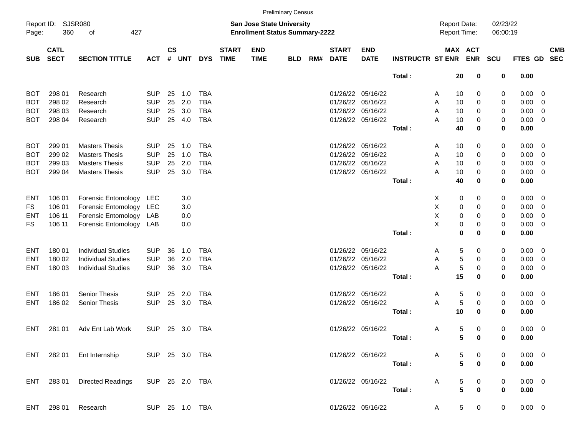|                                                                                                                                 |                            |                                             |            |                    |            |            |                             |                           | <b>Preliminary Census</b> |     |                             |                           |                         |   |                                     |                         |                |             |                |                          |
|---------------------------------------------------------------------------------------------------------------------------------|----------------------------|---------------------------------------------|------------|--------------------|------------|------------|-----------------------------|---------------------------|---------------------------|-----|-----------------------------|---------------------------|-------------------------|---|-------------------------------------|-------------------------|----------------|-------------|----------------|--------------------------|
| Report ID:<br><b>SJSR080</b><br>San Jose State University<br>427<br><b>Enrollment Status Summary-2222</b><br>360<br>Page:<br>οf |                            |                                             |            |                    |            |            |                             |                           |                           |     |                             |                           |                         |   | <b>Report Date:</b><br>Report Time: | 02/23/22<br>06:00:19    |                |             |                |                          |
| <b>SUB</b>                                                                                                                      | <b>CATL</b><br><b>SECT</b> | <b>SECTION TITTLE</b>                       | <b>ACT</b> | $\mathsf{cs}$<br># | <b>UNT</b> | <b>DYS</b> | <b>START</b><br><b>TIME</b> | <b>END</b><br><b>TIME</b> | <b>BLD</b>                | RM# | <b>START</b><br><b>DATE</b> | <b>END</b><br><b>DATE</b> | <b>INSTRUCTR ST ENR</b> |   |                                     | MAX ACT<br><b>ENR</b>   | <b>SCU</b>     | FTES GD     |                | <b>CMB</b><br><b>SEC</b> |
|                                                                                                                                 |                            |                                             |            |                    |            |            |                             |                           |                           |     |                             |                           | Total:                  |   | 20                                  | 0                       | 0              | 0.00        |                |                          |
| BOT                                                                                                                             | 298 01                     | Research                                    | <b>SUP</b> | 25                 | 1.0        | <b>TBA</b> |                             |                           |                           |     | 01/26/22                    | 05/16/22                  |                         | A | 10                                  | 0                       | 0              | 0.00        | 0              |                          |
| BOT                                                                                                                             | 298 02                     | Research                                    | <b>SUP</b> | 25                 | 2.0        | <b>TBA</b> |                             |                           |                           |     | 01/26/22                    | 05/16/22                  |                         | A | 10                                  | 0                       | 0              | 0.00        | $\overline{0}$ |                          |
| BOT                                                                                                                             | 298 03                     | Research                                    | <b>SUP</b> | 25                 | 3.0        | <b>TBA</b> |                             |                           |                           |     | 01/26/22                    | 05/16/22                  |                         | A | 10                                  | 0                       | 0              | 0.00        | $\overline{0}$ |                          |
| вот                                                                                                                             | 298 04                     | Research                                    | <b>SUP</b> | 25                 | 4.0        | <b>TBA</b> |                             |                           |                           |     |                             | 01/26/22 05/16/22         |                         | A | 10                                  | 0                       | 0              | 0.00        | $\overline{0}$ |                          |
|                                                                                                                                 |                            |                                             |            |                    |            |            |                             |                           |                           |     |                             |                           | Total:                  |   | 40                                  | 0                       | 0              | 0.00        |                |                          |
| BOT                                                                                                                             | 299 01                     | <b>Masters Thesis</b>                       | <b>SUP</b> | 25                 | 1.0        | <b>TBA</b> |                             |                           |                           |     | 01/26/22                    | 05/16/22                  |                         | A | 10                                  | 0                       | 0              | 0.00        | 0              |                          |
| BOT                                                                                                                             | 299 02                     | <b>Masters Thesis</b>                       | <b>SUP</b> | 25                 | 1.0        | <b>TBA</b> |                             |                           |                           |     | 01/26/22                    | 05/16/22                  |                         | Α | 10                                  | 0                       | 0              | 0.00        | 0              |                          |
| BOT                                                                                                                             | 299 03                     | <b>Masters Thesis</b>                       | <b>SUP</b> | 25                 | 2.0        | <b>TBA</b> |                             |                           |                           |     | 01/26/22                    | 05/16/22                  |                         | A | 10                                  | 0                       | 0              | 0.00        | $\overline{0}$ |                          |
| вот                                                                                                                             | 299 04                     | <b>Masters Thesis</b>                       | <b>SUP</b> | 25                 | 3.0        | <b>TBA</b> |                             |                           |                           |     |                             | 01/26/22 05/16/22         |                         | A | 10                                  | 0                       | 0              | 0.00        | $\overline{0}$ |                          |
|                                                                                                                                 |                            |                                             |            |                    |            |            |                             |                           |                           |     |                             |                           | Total:                  |   | 40                                  | 0                       | 0              | 0.00        |                |                          |
| ENT                                                                                                                             | 106 01                     | Forensic Entomology                         | LEC        |                    | 3.0        |            |                             |                           |                           |     |                             |                           |                         | Х | 0                                   | 0                       | 0              | 0.00        | 0              |                          |
| <b>FS</b>                                                                                                                       | 106 01                     | Forensic Entomology                         | LEC        |                    | 3.0        |            |                             |                           |                           |     |                             |                           |                         | X | 0                                   | 0                       | 0              | 0.00        | $\overline{0}$ |                          |
| ENT                                                                                                                             | 106 11                     | Forensic Entomology                         | LAB        |                    | 0.0        |            |                             |                           |                           |     |                             |                           |                         | X | 0                                   | 0                       | 0              | 0.00        | $\overline{0}$ |                          |
| FS                                                                                                                              | 106 11                     | Forensic Entomology                         | LAB        |                    | 0.0        |            |                             |                           |                           |     |                             |                           |                         | X | 0                                   | 0                       | 0              | 0.00        | $\overline{0}$ |                          |
|                                                                                                                                 |                            |                                             |            |                    |            |            |                             |                           |                           |     |                             |                           | Total:                  |   | 0                                   | 0                       | 0              | 0.00        |                |                          |
| ENT                                                                                                                             | 180 01                     | <b>Individual Studies</b>                   | <b>SUP</b> | 36                 | 1.0        | <b>TBA</b> |                             |                           |                           |     | 01/26/22                    | 05/16/22                  |                         | A | 5                                   | 0                       | 0              | 0.00        | $\overline{0}$ |                          |
| ENT                                                                                                                             | 180 02                     | <b>Individual Studies</b>                   | <b>SUP</b> | 36                 | 2.0        | <b>TBA</b> |                             |                           |                           |     | 01/26/22                    | 05/16/22                  |                         | Α | 5                                   | 0                       | 0              | 0.00        | $\overline{0}$ |                          |
| ENT                                                                                                                             | 180 03                     | <b>Individual Studies</b>                   | <b>SUP</b> | 36                 | 3.0        | <b>TBA</b> |                             |                           |                           |     |                             | 01/26/22 05/16/22         |                         | A | 5                                   | 0                       | 0              | 0.00        | $\overline{0}$ |                          |
|                                                                                                                                 |                            |                                             |            |                    |            |            |                             |                           |                           |     |                             |                           | Total:                  |   | 15                                  | 0                       | 0              | 0.00        |                |                          |
| ENT                                                                                                                             | 18601                      | <b>Senior Thesis</b>                        | <b>SUP</b> | 25                 | 2.0        | <b>TBA</b> |                             |                           |                           |     | 01/26/22                    | 05/16/22                  |                         | A | 5                                   | 0                       | 0              | 0.00        | $\overline{0}$ |                          |
| ENT                                                                                                                             | 186 02                     | <b>Senior Thesis</b>                        | <b>SUP</b> | 25                 | 3.0        | <b>TBA</b> |                             |                           |                           |     |                             | 01/26/22 05/16/22         |                         | A | 5                                   | 0                       | 0              | 0.00        | $\overline{0}$ |                          |
|                                                                                                                                 |                            |                                             |            |                    |            |            |                             |                           |                           |     |                             |                           | Total:                  |   | 10                                  | 0                       | 0              | 0.00        |                |                          |
| ENT                                                                                                                             | 281 01                     | Adv Ent Lab Work                            | <b>SUP</b> | 25                 | 3.0        | <b>TBA</b> |                             |                           |                           |     |                             | 01/26/22 05/16/22         |                         | A | 5                                   | 0                       | 0              | 0.00        | $\overline{0}$ |                          |
|                                                                                                                                 |                            |                                             |            |                    |            |            |                             |                           |                           |     |                             |                           | Total:                  |   |                                     | 50                      | 0              | 0.00        |                |                          |
|                                                                                                                                 |                            | ENT 282 01 Ent Internship SUP 25 3.0 TBA    |            |                    |            |            |                             |                           |                           |     |                             |                           | 01/26/22 05/16/22 A     |   |                                     | $5\qquad 0$             | 0              | $0.00 \t 0$ |                |                          |
|                                                                                                                                 |                            |                                             |            |                    |            |            |                             |                           |                           |     |                             |                           | Total: <b>Example</b>   |   | 5 <sup>1</sup>                      | $\overline{\mathbf{0}}$ | $\mathbf 0$    | 0.00        |                |                          |
|                                                                                                                                 |                            | ENT 283 01 Directed Readings SUP 25 2.0 TBA |            |                    |            |            |                             |                           |                           |     |                             |                           | 01/26/22 05/16/22 A     |   |                                     | $5\qquad 0$             | $\overline{0}$ | $0.00 \t 0$ |                |                          |
|                                                                                                                                 |                            |                                             |            |                    |            |            |                             |                           |                           |     |                             |                           | Total:                  |   | 5 <sup>1</sup>                      | $\overline{\mathbf{0}}$ | $\mathbf 0$    | 0.00        |                |                          |
|                                                                                                                                 | ENT 298 01                 | Research SUP 25 1.0 TBA                     |            |                    |            |            |                             |                           |                           |     |                             |                           | 01/26/22 05/16/22 A     |   |                                     | $5\qquad 0$             | $\overline{0}$ | $0.00 \t 0$ |                |                          |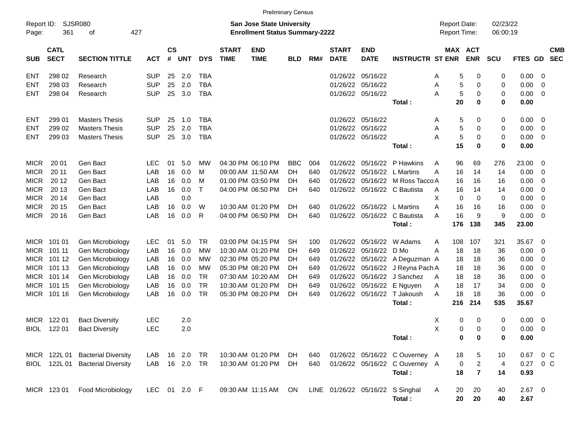|                                                                                                                                                                                                                                                                                |             |                                  |              |    |             |              |  | <b>Preliminary Census</b> |            |     |  |                             |                                            |                                     |                         |                      |                  |                         |                          |
|--------------------------------------------------------------------------------------------------------------------------------------------------------------------------------------------------------------------------------------------------------------------------------|-------------|----------------------------------|--------------|----|-------------|--------------|--|---------------------------|------------|-----|--|-----------------------------|--------------------------------------------|-------------------------------------|-------------------------|----------------------|------------------|-------------------------|--------------------------|
| SJSR080<br>Report ID:<br><b>San Jose State University</b><br>361<br>427<br><b>Enrollment Status Summary-2222</b><br>Page:<br>οf                                                                                                                                                |             |                                  |              |    |             |              |  |                           |            |     |  |                             |                                            | <b>Report Date:</b><br>Report Time: |                         | 02/23/22<br>06:00:19 |                  |                         |                          |
| $\mathsf{cs}$<br><b>CATL</b><br><b>START</b><br><b>END</b><br><b>START</b><br><b>END</b><br><b>SECT</b><br>#<br><b>SECTION TITTLE</b><br><b>UNT</b><br><b>DYS</b><br><b>TIME</b><br><b>TIME</b><br>RM#<br><b>DATE</b><br><b>DATE</b><br><b>SUB</b><br><b>ACT</b><br><b>BLD</b> |             |                                  |              |    |             |              |  |                           |            |     |  |                             | <b>INSTRUCTR ST ENR</b>                    | <b>MAX ACT</b>                      | <b>ENR</b>              | <b>SCU</b>           | <b>FTES GD</b>   |                         | <b>CMB</b><br><b>SEC</b> |
| ENT                                                                                                                                                                                                                                                                            | 298 02      | Research                         | <b>SUP</b>   | 25 | 2.0         | <b>TBA</b>   |  |                           |            |     |  | 01/26/22 05/16/22           |                                            | 5<br>Α                              | 0                       | 0                    | 0.00             | $\overline{0}$          |                          |
| ENT                                                                                                                                                                                                                                                                            | 298 03      | Research                         | <b>SUP</b>   | 25 | 2.0         | <b>TBA</b>   |  |                           |            |     |  | 01/26/22 05/16/22           |                                            | 5<br>Α                              | 0                       | 0                    | 0.00             | 0                       |                          |
| ENT                                                                                                                                                                                                                                                                            | 298 04      | Research                         | <b>SUP</b>   | 25 | 3.0         | <b>TBA</b>   |  |                           |            |     |  | 01/26/22 05/16/22           |                                            | 5<br>Α                              | 0                       | 0                    | 0.00             | 0                       |                          |
|                                                                                                                                                                                                                                                                                |             |                                  |              |    |             |              |  |                           |            |     |  |                             | Total:                                     | 20                                  | $\bf{0}$                | 0                    | 0.00             |                         |                          |
| ENT                                                                                                                                                                                                                                                                            | 299 01      | <b>Masters Thesis</b>            | <b>SUP</b>   | 25 | 1.0         | <b>TBA</b>   |  |                           |            |     |  | 01/26/22 05/16/22           |                                            | 5<br>Α                              | 0                       | 0                    | 0.00             | $\overline{\mathbf{0}}$ |                          |
| ENT                                                                                                                                                                                                                                                                            | 299 02      | <b>Masters Thesis</b>            | <b>SUP</b>   | 25 | 2.0         | <b>TBA</b>   |  |                           |            |     |  | 01/26/22 05/16/22           |                                            | 5<br>Α                              | 0                       | 0                    | 0.00             | 0                       |                          |
| ENT                                                                                                                                                                                                                                                                            | 299 03      | <b>Masters Thesis</b>            | <b>SUP</b>   | 25 | 3.0         | <b>TBA</b>   |  |                           |            |     |  | 01/26/22 05/16/22           |                                            | 5<br>А                              | 0                       | 0                    | 0.00             | 0                       |                          |
|                                                                                                                                                                                                                                                                                |             |                                  |              |    |             |              |  |                           |            |     |  |                             | Total:                                     | 15                                  | $\bf{0}$                | 0                    | 0.00             |                         |                          |
| <b>MICR</b>                                                                                                                                                                                                                                                                    | 20 01       | Gen Bact                         | LEC.         | 01 | 5.0         | МW           |  | 04:30 PM 06:10 PM         | <b>BBC</b> | 004 |  |                             | 01/26/22 05/16/22 P Hawkins                | 96<br>Α                             | 69                      | 276                  | 23.00            | 0                       |                          |
| <b>MICR</b>                                                                                                                                                                                                                                                                    | 20 11       | Gen Bact                         | LAB          | 16 | 0.0         | м            |  | 09:00 AM 11:50 AM         | DН         | 640 |  | 01/26/22 05/16/22 L Martins |                                            | 16<br>Α                             | 14                      | 14                   | 0.00             | 0                       |                          |
| <b>MICR</b>                                                                                                                                                                                                                                                                    | 20 12       | Gen Bact                         | LAB          | 16 | 0.0         | м            |  | 01:00 PM 03:50 PM         | DН         | 640 |  |                             | 01/26/22 05/16/22 M Ross Tacco A           | 16                                  | 16                      | 16                   | 0.00             | 0                       |                          |
| <b>MICR</b>                                                                                                                                                                                                                                                                    | 20 13       | Gen Bact                         | LAB          | 16 | 0.0         | $\mathsf{T}$ |  | 04:00 PM 06:50 PM         | DH         | 640 |  |                             | 01/26/22 05/16/22 C Bautista               | 16<br>Α                             | 14                      | 14                   | 0.00             | 0                       |                          |
| <b>MICR</b>                                                                                                                                                                                                                                                                    | 20 14       | Gen Bact                         | LAB          |    | 0.0         |              |  |                           |            |     |  |                             |                                            | X<br>$\mathbf 0$                    | 0                       | 0                    | 0.00             | 0                       |                          |
| <b>MICR</b>                                                                                                                                                                                                                                                                    | 20 15       | Gen Bact                         | LAB          | 16 | 0.0         | W            |  | 10:30 AM 01:20 PM         | DH         | 640 |  | 01/26/22 05/16/22 L Martins |                                            | 16<br>Α                             | 16                      | 16                   | 0.00             | 0                       |                          |
| <b>MICR</b>                                                                                                                                                                                                                                                                    | 20 16       | Gen Bact                         | LAB          | 16 | 0.0         | R            |  | 04:00 PM 06:50 PM         | DH         | 640 |  |                             | 01/26/22 05/16/22 C Bautista               | 16<br>Α                             | 9                       | 9                    | 0.00             | 0                       |                          |
|                                                                                                                                                                                                                                                                                |             |                                  |              |    |             |              |  |                           |            |     |  |                             | Total:                                     | 176                                 | 138                     | 345                  | 23.00            |                         |                          |
|                                                                                                                                                                                                                                                                                | MICR 101 01 | Gen Microbiology                 | <b>LEC</b>   | 01 | 5.0         | <b>TR</b>    |  | 03:00 PM 04:15 PM         | SН         | 100 |  |                             | 01/26/22 05/16/22 W Adams                  | 108<br>A                            | 107                     | 321                  | 35.67            | - 0                     |                          |
| <b>MICR</b>                                                                                                                                                                                                                                                                    | 101 11      | Gen Microbiology                 | LAB          | 16 | 0.0         | МW           |  | 10:30 AM 01:20 PM         | DН         | 649 |  | 01/26/22 05/16/22 D Mo      |                                            | 18<br>A                             | 18                      | 36                   | 0.00             | 0                       |                          |
| <b>MICR</b>                                                                                                                                                                                                                                                                    | 101 12      | Gen Microbiology                 | LAB          | 16 | 0.0         | МW           |  | 02:30 PM 05:20 PM         | DН         | 649 |  |                             | 01/26/22 05/16/22 A Deguzman A             | 18                                  | 18                      | 36                   | 0.00             | 0                       |                          |
| MICR                                                                                                                                                                                                                                                                           | 101 13      | Gen Microbiology                 | LAB          | 16 | 0.0         | МW           |  | 05:30 PM 08:20 PM         | DН         | 649 |  |                             | 01/26/22 05/16/22 J Reyna Pach A           | 18                                  | 18                      | 36                   | 0.00             | 0                       |                          |
|                                                                                                                                                                                                                                                                                | MICR 101 14 | Gen Microbiology                 | LAB          | 16 | 0.0         | <b>TR</b>    |  | 07:30 AM 10:20 AM         | DН         | 649 |  |                             | 01/26/22 05/16/22 J Sanchez                | 18<br>A                             | 18                      | 36                   | 0.00             | 0                       |                          |
|                                                                                                                                                                                                                                                                                | MICR 101 15 | Gen Microbiology                 | LAB          | 16 | 0.0         | <b>TR</b>    |  | 10:30 AM 01:20 PM         | DН         | 649 |  |                             | 01/26/22 05/16/22 E Nguyen                 | 18<br>A                             | 17                      | 34                   | 0.00             | 0                       |                          |
|                                                                                                                                                                                                                                                                                | MICR 101 16 | Gen Microbiology                 | LAB          | 16 | 0.0         | <b>TR</b>    |  | 05:30 PM 08:20 PM         | DH         | 649 |  |                             | 01/26/22 05/16/22 T Jakoush                | 18<br>A                             | 18                      | 36                   | 0.00             | 0                       |                          |
|                                                                                                                                                                                                                                                                                |             |                                  |              |    |             |              |  |                           |            |     |  |                             | Total:                                     | 216                                 | 214                     | 535                  | 35.67            |                         |                          |
| <b>MICR</b>                                                                                                                                                                                                                                                                    | 122 01      | <b>Bact Diversity</b>            | <b>LEC</b>   |    | 2.0         |              |  |                           |            |     |  |                             |                                            | 0<br>х                              | 0                       | 0                    | 0.00             | $\overline{\mathbf{0}}$ |                          |
| <b>BIOL</b>                                                                                                                                                                                                                                                                    | 122 01      | <b>Bact Diversity</b>            | <b>LEC</b>   |    | 2.0         |              |  |                           |            |     |  |                             |                                            | Χ<br>0                              | $\Omega$                | 0                    | 0.00             | $\overline{\mathbf{0}}$ |                          |
|                                                                                                                                                                                                                                                                                |             |                                  |              |    |             |              |  |                           |            |     |  |                             | Total:                                     | 0                                   | $\bf{0}$                | 0                    | 0.00             |                         |                          |
|                                                                                                                                                                                                                                                                                |             | MICR 122L 01 Bacterial Diversity | LAB.         |    | 16  2.0  TR |              |  | 10:30 AM 01:20 PM         | DH         | 640 |  |                             | 01/26/22 05/16/22 C Ouverney A             | 18                                  | 5                       | 10                   | $0.67$ 0 C       |                         |                          |
|                                                                                                                                                                                                                                                                                |             | BIOL 122L 01 Bacterial Diversity | LAB          |    | 16  2.0  TR |              |  | 10:30 AM 01:20 PM         | DH         | 640 |  |                             | 01/26/22 05/16/22 C Ouverney A             | 0                                   | $\overline{c}$          | 4                    | 0.27 0 C         |                         |                          |
|                                                                                                                                                                                                                                                                                |             |                                  |              |    |             |              |  |                           |            |     |  |                             | Total:                                     | 18                                  | $\overline{\mathbf{r}}$ | 14                   | 0.93             |                         |                          |
|                                                                                                                                                                                                                                                                                | MICR 123 01 | Food Microbiology                | LEC 01 2.0 F |    |             |              |  | 09:30 AM 11:15 AM         | ON         |     |  |                             | LINE 01/26/22 05/16/22 S Singhal<br>Total: | A<br>20<br>20                       | 20<br>20                | 40<br>40             | $2.67$ 0<br>2.67 |                         |                          |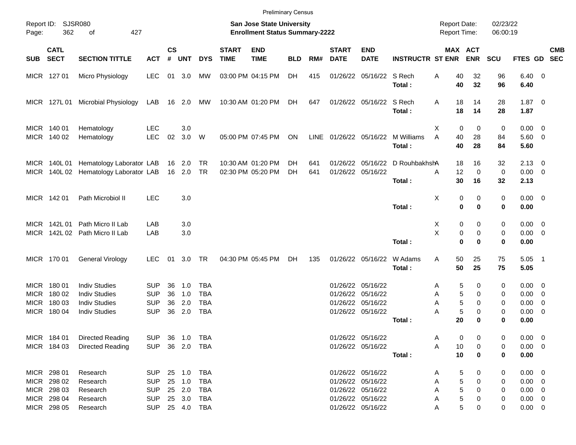|                                                                                                                                 |                                                                         |                                                                                              |                                                                    |                      |                            |                                                      |                             | <b>Preliminary Census</b>              |            |            |                                            |                                                                                                       |                                           |                                                |                              |                       |                                                                         |            |
|---------------------------------------------------------------------------------------------------------------------------------|-------------------------------------------------------------------------|----------------------------------------------------------------------------------------------|--------------------------------------------------------------------|----------------------|----------------------------|------------------------------------------------------|-----------------------------|----------------------------------------|------------|------------|--------------------------------------------|-------------------------------------------------------------------------------------------------------|-------------------------------------------|------------------------------------------------|------------------------------|-----------------------|-------------------------------------------------------------------------|------------|
| Report ID:<br><b>SJSR080</b><br>San Jose State University<br>362<br>427<br><b>Enrollment Status Summary-2222</b><br>Page:<br>of |                                                                         |                                                                                              |                                                                    |                      |                            |                                                      |                             |                                        |            |            | <b>Report Date:</b><br><b>Report Time:</b> |                                                                                                       | 02/23/22<br>06:00:19                      |                                                |                              |                       |                                                                         |            |
| <b>SUB</b>                                                                                                                      | <b>CATL</b><br><b>SECT</b>                                              | <b>SECTION TITTLE</b>                                                                        | <b>ACT</b>                                                         | <b>CS</b><br>#       | <b>UNT</b>                 | <b>DYS</b>                                           | <b>START</b><br><b>TIME</b> | <b>END</b><br><b>TIME</b>              | <b>BLD</b> | RM#        | <b>START</b><br><b>DATE</b>                | <b>END</b><br><b>DATE</b>                                                                             | <b>INSTRUCTR ST ENR</b>                   | <b>MAX ACT</b>                                 | <b>ENR</b>                   | <b>SCU</b>            | FTES GD SEC                                                             | <b>CMB</b> |
|                                                                                                                                 | MICR 127 01                                                             | Micro Physiology                                                                             | <b>LEC</b>                                                         |                      | 01 3.0                     | МW                                                   |                             | 03:00 PM 04:15 PM                      | DH         | 415        |                                            | 01/26/22 05/16/22 S Rech                                                                              | Total:                                    | 40<br>Α<br>40                                  | 32<br>32                     | 96<br>96              | $6.40 \quad 0$<br>6.40                                                  |            |
|                                                                                                                                 | MICR 127L01                                                             | Microbial Physiology                                                                         | LAB                                                                |                      | 16 2.0                     | МW                                                   |                             | 10:30 AM 01:20 PM                      | DH         | 647        |                                            | 01/26/22 05/16/22 S Rech                                                                              | Total:                                    | A<br>18<br>18                                  | 14<br>14                     | 28<br>28              | $1.87 \t 0$<br>1.87                                                     |            |
|                                                                                                                                 | MICR 140 01<br>MICR 140 02                                              | Hematology<br>Hematology                                                                     | <b>LEC</b><br><b>LEC</b>                                           | 02                   | 3.0<br>3.0                 | W                                                    |                             | 05:00 PM 07:45 PM                      | ON         |            | LINE 01/26/22 05/16/22                     |                                                                                                       | M Williams<br>Total:                      | X<br>0<br>A<br>40<br>40                        | 0<br>28<br>28                | 0<br>84<br>84         | $0.00 \t 0$<br>$5.60$ 0<br>5.60                                         |            |
| MICR                                                                                                                            |                                                                         | MICR 140L 01 Hematology Laborator LAB<br>140L 02 Hematology Laborator LAB                    |                                                                    |                      | 16 2.0<br>16 2.0           | TR<br>TR                                             |                             | 10:30 AM 01:20 PM<br>02:30 PM 05:20 PM | DН<br>DH   | 641<br>641 |                                            | 01/26/22 05/16/22                                                                                     | 01/26/22 05/16/22 D RouhbakhshA<br>Total: | 18<br>12<br>A<br>30                            | 16<br>$\mathbf 0$<br>16      | 32<br>0<br>32         | $2.13 \quad 0$<br>$0.00 \t 0$<br>2.13                                   |            |
|                                                                                                                                 | MICR 142 01                                                             | Path Microbiol II                                                                            | <b>LEC</b>                                                         |                      | 3.0                        |                                                      |                             |                                        |            |            |                                            |                                                                                                       | Total:                                    | X<br>0<br>$\bf{0}$                             | 0<br>0                       | 0<br>0                | $0.00 \t 0$<br>0.00                                                     |            |
|                                                                                                                                 |                                                                         | MICR 142L 01 Path Micro II Lab<br>MICR 142L 02 Path Micro II Lab                             | LAB<br>LAB                                                         |                      | 3.0<br>3.0                 |                                                      |                             |                                        |            |            |                                            |                                                                                                       | Total:                                    | Х<br>0<br>X<br>0<br>$\bf{0}$                   | 0<br>0<br>0                  | 0<br>0<br>0           | $0.00 \t 0$<br>$0.00 \t 0$<br>0.00                                      |            |
|                                                                                                                                 | MICR 170 01                                                             | General Virology                                                                             | <b>LEC</b>                                                         |                      | 01 3.0                     | TR                                                   |                             | 04:30 PM 05:45 PM                      | DH         | 135        |                                            | 01/26/22 05/16/22                                                                                     | W Adams<br>Total:                         | 50<br>A<br>50                                  | 25<br>25                     | 75<br>75              | $5.05$ 1<br>5.05                                                        |            |
|                                                                                                                                 | MICR 180 01<br>MICR 180 02<br>MICR 180 03<br>MICR 180 04                | <b>Indiv Studies</b><br><b>Indiv Studies</b><br><b>Indiv Studies</b><br><b>Indiv Studies</b> | <b>SUP</b><br><b>SUP</b><br><b>SUP</b><br><b>SUP</b>               | 36<br>36<br>36<br>36 | 1.0<br>1.0<br>2.0<br>2.0   | <b>TBA</b><br><b>TBA</b><br><b>TBA</b><br><b>TBA</b> |                             |                                        |            |            |                                            | 01/26/22 05/16/22<br>01/26/22 05/16/22<br>01/26/22 05/16/22<br>01/26/22 05/16/22                      | Total:                                    | 5<br>Α<br>5<br>Α<br>5<br>Α<br>5<br>A<br>20     | 0<br>0<br>0<br>0<br>$\bf{0}$ | 0<br>0<br>0<br>0<br>0 | $0.00 \quad 0$<br>$0.00 \ 0$<br>$0.00 \ 0$<br>$0.00 \t 0$<br>0.00       |            |
|                                                                                                                                 | MICR 184 01<br>MICR 184 03                                              | <b>Directed Reading</b><br><b>Directed Reading</b>                                           | <b>SUP</b><br><b>SUP</b>                                           |                      |                            | 36 1.0 TBA<br>36 2.0 TBA                             |                             |                                        |            |            |                                            | 01/26/22 05/16/22<br>01/26/22 05/16/22                                                                | Total:                                    | 0<br>A<br>10<br>Α<br>10                        | 0<br>0<br>0                  | 0<br>0<br>0           | $0.00 \t 0$<br>$0.00 \t 0$<br>0.00                                      |            |
|                                                                                                                                 | MICR 298 01<br>MICR 298 02<br>MICR 298 03<br>MICR 298 04<br>MICR 298 05 | Research<br>Research<br>Research<br>Research<br>Research                                     | <b>SUP</b><br><b>SUP</b><br><b>SUP</b><br><b>SUP</b><br><b>SUP</b> |                      | 25 1.0<br>25 2.0<br>25 3.0 | 25 1.0 TBA<br>TBA<br>TBA<br>TBA<br>25  4.0  TBA      |                             |                                        |            |            |                                            | 01/26/22 05/16/22<br>01/26/22 05/16/22<br>01/26/22 05/16/22<br>01/26/22 05/16/22<br>01/26/22 05/16/22 |                                           | 5<br>Α<br>5<br>Α<br>5<br>Α<br>5<br>Α<br>5<br>A | 0<br>0<br>0<br>0<br>0        | 0<br>0<br>0<br>0<br>0 | $0.00 \t 0$<br>$0.00 \t 0$<br>$0.00 \t 0$<br>$0.00 \t 0$<br>$0.00 \t 0$ |            |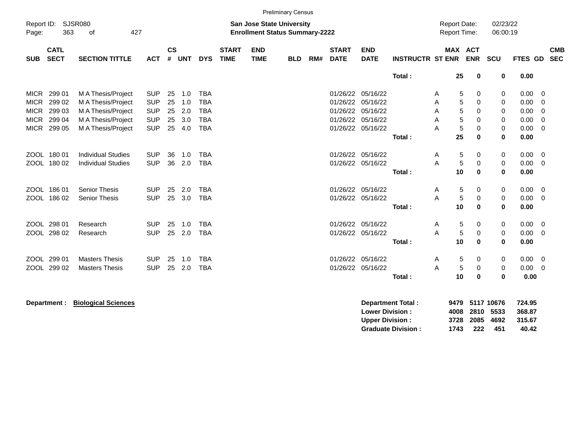|                     |                            |                             |                          |                    |            |            |                             |                                                                           | <b>Preliminary Census</b> |     |                             |                           |                          |                                            |                 |            |                      |              |                          |
|---------------------|----------------------------|-----------------------------|--------------------------|--------------------|------------|------------|-----------------------------|---------------------------------------------------------------------------|---------------------------|-----|-----------------------------|---------------------------|--------------------------|--------------------------------------------|-----------------|------------|----------------------|--------------|--------------------------|
| Report ID:<br>Page: | 363                        | <b>SJSR080</b><br>427<br>of |                          |                    |            |            |                             | <b>San Jose State University</b><br><b>Enrollment Status Summary-2222</b> |                           |     |                             |                           |                          | <b>Report Date:</b><br><b>Report Time:</b> |                 |            | 02/23/22<br>06:00:19 |              |                          |
|                     |                            |                             |                          |                    |            |            |                             |                                                                           |                           |     |                             |                           |                          |                                            |                 |            |                      |              |                          |
| <b>SUB</b>          | <b>CATL</b><br><b>SECT</b> | <b>SECTION TITTLE</b>       | <b>ACT</b>               | $\mathsf{cs}$<br># | <b>UNT</b> | <b>DYS</b> | <b>START</b><br><b>TIME</b> | <b>END</b><br><b>TIME</b>                                                 | <b>BLD</b>                | RM# | <b>START</b><br><b>DATE</b> | <b>END</b><br><b>DATE</b> | <b>INSTRUCTR ST ENR</b>  |                                            | MAX ACT         | <b>ENR</b> | <b>SCU</b>           | FTES GD      | <b>CMB</b><br><b>SEC</b> |
|                     |                            |                             |                          |                    |            |            |                             |                                                                           |                           |     |                             |                           | Total:                   |                                            | 25              | 0          | 0                    | 0.00         |                          |
| <b>MICR</b>         | 299 01                     | M A Thesis/Project          | <b>SUP</b>               | 25                 | 1.0        | <b>TBA</b> |                             |                                                                           |                           |     | 01/26/22                    | 05/16/22                  |                          | A                                          | 5               | 0          | 0                    | 0.00         | 0                        |
| <b>MICR</b>         | 299 02                     | M A Thesis/Project          | <b>SUP</b>               | 25                 | 1.0        | <b>TBA</b> |                             |                                                                           |                           |     | 01/26/22                    | 05/16/22                  |                          | A                                          | 5               | 0          | 0                    | 0.00         | 0                        |
| <b>MICR</b>         | 299 03                     | M A Thesis/Project          | <b>SUP</b>               | 25                 | 2.0        | <b>TBA</b> |                             |                                                                           |                           |     |                             | 01/26/22 05/16/22         |                          | A                                          | 5               | 0          | 0                    | 0.00         | 0                        |
| <b>MICR</b>         | 299 04                     | M A Thesis/Project          | <b>SUP</b>               | 25                 | 3.0        | <b>TBA</b> |                             |                                                                           |                           |     |                             | 01/26/22 05/16/22         |                          | A                                          | 5               | 0          | 0                    | 0.00         | 0                        |
| <b>MICR</b>         | 299 05                     | M A Thesis/Project          | <b>SUP</b>               | 25                 | 4.0        | <b>TBA</b> |                             |                                                                           |                           |     |                             | 01/26/22 05/16/22         |                          | A                                          | 5               | 0          | 0                    | 0.00         | $\mathbf 0$              |
|                     |                            |                             |                          |                    |            |            |                             |                                                                           |                           |     |                             |                           | Total:                   |                                            | 25              | $\bf{0}$   | $\mathbf 0$          | 0.00         |                          |
|                     |                            |                             |                          |                    |            |            |                             |                                                                           |                           |     |                             |                           |                          |                                            |                 |            |                      |              |                          |
|                     | ZOOL 180 01                | <b>Individual Studies</b>   | <b>SUP</b>               | 36                 | 1.0        | <b>TBA</b> |                             |                                                                           |                           |     |                             | 01/26/22 05/16/22         |                          | A                                          | 5               | 0          | 0                    | 0.00         | 0                        |
|                     | ZOOL 180 02                | <b>Individual Studies</b>   | <b>SUP</b>               | 36                 | 2.0        | <b>TBA</b> |                             |                                                                           |                           |     |                             | 01/26/22 05/16/22         |                          | A                                          | $\mathbf 5$     | $\pmb{0}$  | 0                    | 0.00         | 0                        |
|                     |                            |                             |                          |                    |            |            |                             |                                                                           |                           |     |                             |                           | Total:                   |                                            | 10              | $\bf{0}$   | $\bf{0}$             | 0.00         |                          |
|                     | ZOOL 186 01                | <b>Senior Thesis</b>        |                          | 25                 |            | <b>TBA</b> |                             |                                                                           |                           |     |                             | 01/26/22 05/16/22         |                          |                                            |                 |            |                      |              |                          |
|                     | ZOOL 186 02                | <b>Senior Thesis</b>        | <b>SUP</b><br><b>SUP</b> | 25                 | 2.0<br>3.0 | <b>TBA</b> |                             |                                                                           |                           |     |                             | 01/26/22 05/16/22         |                          | A<br>A                                     | 5<br>$\sqrt{5}$ | 0<br>0     | 0                    | 0.00<br>0.00 | 0<br>0                   |
|                     |                            |                             |                          |                    |            |            |                             |                                                                           |                           |     |                             |                           | Total:                   |                                            | 10              | 0          | 0<br>$\mathbf 0$     | 0.00         |                          |
|                     |                            |                             |                          |                    |            |            |                             |                                                                           |                           |     |                             |                           |                          |                                            |                 |            |                      |              |                          |
|                     | ZOOL 298 01                | Research                    | <b>SUP</b>               | 25                 | 1.0        | <b>TBA</b> |                             |                                                                           |                           |     |                             | 01/26/22 05/16/22         |                          | A                                          | 5               | 0          | 0                    | 0.00         | 0                        |
|                     | ZOOL 298 02                | Research                    | <b>SUP</b>               | 25                 | 2.0        | <b>TBA</b> |                             |                                                                           |                           |     |                             | 01/26/22 05/16/22         |                          | A                                          | $\sqrt{5}$      | 0          | 0                    | 0.00         | 0                        |
|                     |                            |                             |                          |                    |            |            |                             |                                                                           |                           |     |                             |                           | Total:                   |                                            | 10              | $\bf{0}$   | 0                    | 0.00         |                          |
|                     |                            |                             |                          |                    |            |            |                             |                                                                           |                           |     |                             |                           |                          |                                            |                 |            |                      |              |                          |
|                     | ZOOL 299 01                | <b>Masters Thesis</b>       | <b>SUP</b>               | 25                 | 1.0        | <b>TBA</b> |                             |                                                                           |                           |     |                             | 01/26/22 05/16/22         |                          | A                                          | 5               | 0          | 0                    | 0.00         | $\overline{0}$           |
|                     | ZOOL 299 02                | <b>Masters Thesis</b>       | <b>SUP</b>               | 25                 | 2.0        | <b>TBA</b> |                             |                                                                           |                           |     |                             | 01/26/22 05/16/22         |                          | A                                          | $\sqrt{5}$      | 0          | 0                    | 0.00         | 0                        |
|                     |                            |                             |                          |                    |            |            |                             |                                                                           |                           |     |                             |                           | Total:                   |                                            | 10              | $\bf{0}$   | $\mathbf 0$          | 0.00         |                          |
|                     |                            |                             |                          |                    |            |            |                             |                                                                           |                           |     |                             |                           |                          |                                            |                 |            |                      |              |                          |
|                     | Department :               | <b>Biological Sciences</b>  |                          |                    |            |            |                             |                                                                           |                           |     |                             |                           | <b>Department Total:</b> | 9479                                       |                 |            | 5117 10676           | 724.95       |                          |

| Department Total:         |      |                | 9479 5117 10676 | 724.95 |
|---------------------------|------|----------------|-----------------|--------|
| <b>Lower Division:</b>    |      | 4008 2810 5533 |                 | 368.87 |
| <b>Upper Division:</b>    |      | 3728 2085 4692 |                 | 315.67 |
| <b>Graduate Division:</b> | 1743 | 222            | 451             | 40.42  |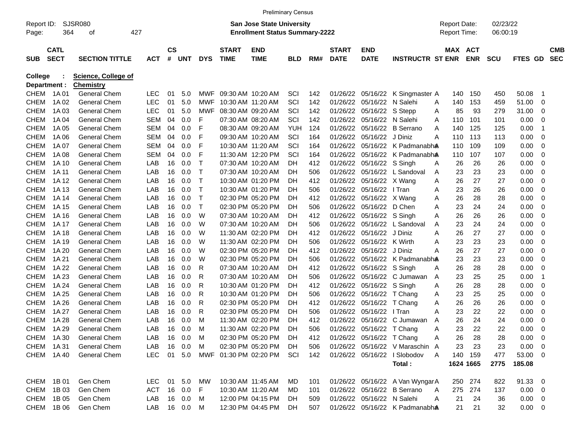| 02/23/22<br>SJSR080<br><b>San Jose State University</b><br><b>Report Date:</b><br>Report ID:<br>364<br>427<br><b>Enrollment Status Summary-2222</b><br><b>Report Time:</b><br>06:00:19<br>Page:<br>οf<br><b>CS</b><br><b>END</b><br><b>CATL</b><br><b>START</b><br><b>START</b><br><b>END</b><br>MAX ACT<br><b>CMB</b><br><b>SECT</b><br>#<br><b>TIME</b><br><b>DATE</b><br><b>ENR</b><br><b>SEC</b><br><b>SUB</b><br><b>SECTION TITTLE</b><br><b>ACT</b><br><b>UNT</b><br><b>DYS</b><br><b>TIME</b><br>RM#<br><b>DATE</b><br><b>INSTRUCTR ST ENR</b><br><b>SCU</b><br><b>FTES GD</b><br><b>BLD</b><br><b>Science, College of</b><br>College<br>Department :<br><b>Chemistry</b><br><b>CHEM</b><br>1A 01<br><b>General Chem</b><br>LEC<br>01<br>MWF<br>09:30 AM 10:20 AM<br>SCI<br>142<br>01/26/22<br>05/16/22<br>K Singmaster A<br>150<br>450<br>50.08<br>5.0<br>140<br>-1<br><b>LEC</b><br><b>CHEM</b><br>1A 02<br><b>General Chem</b><br>01<br>5.0<br>MWF<br>10:30 AM 11:20 AM<br>SCI<br>142<br>01/26/22<br>05/16/22<br>N Salehi<br>140<br>153<br>459<br>51.00<br>0<br>Α<br><b>CHEM</b><br>1A 03<br><b>General Chem</b><br>LEC<br>01<br>5.0<br><b>MWF</b><br>08:30 AM 09:20 AM<br>SCI<br>142<br>01/26/22<br>05/16/22<br>S Stepp<br>85<br>93<br>279<br>31.00<br>0<br>Α<br><b>CHEM</b><br>1A 04<br><b>General Chem</b><br>SEM<br>04<br>0.0<br>F<br>07:30 AM 08:20 AM<br>SCI<br>142<br>01/26/22<br>05/16/22<br>101<br>0.00<br>0<br>N Salehi<br>110<br>101<br>Α<br><b>CHEM</b><br>1A 05<br><b>General Chem</b><br>SEM<br>04<br>0.0<br>F<br>08:30 AM 09:20 AM<br>YUH<br>124<br>01/26/22<br>05/16/22<br><b>B</b> Serrano<br>140<br>125<br>125<br>0.00<br>-1<br>A<br>0.00<br><b>CHEM</b><br>1A 06<br><b>General Chem</b><br>SEM<br>04<br>0.0<br>F<br>09:30 AM 10:20 AM<br>SCI<br>164<br>01/26/22<br>05/16/22<br>J Diniz<br>113<br>113<br>0<br>110<br>A<br>0.00<br><b>CHEM</b><br>1A 07<br><b>General Chem</b><br>SEM<br>04<br>0.0<br>F<br>10:30 AM 11:20 AM<br>SCI<br>164<br>01/26/22<br>05/16/22<br>K Padmanabha<br>110<br>109<br>109<br>0<br>F<br><b>CHEM</b><br>1A 08<br><b>General Chem</b><br>SEM<br>04<br>0.0<br>11:30 AM 12:20 PM<br>SCI<br>164<br>01/26/22<br>05/16/22<br>K Padmanabha<br>110<br>107<br>107<br>0.00<br>0<br>Т<br><b>CHEM</b><br>1A 10<br><b>General Chem</b><br>LAB<br>16<br>0.0<br>07:30 AM 10:20 AM<br>412<br>01/26/22<br>05/16/22 S Singh<br>26<br>26<br>26<br>0.00<br>0<br>DH<br>Α<br><b>CHEM</b><br>1A 11<br><b>General Chem</b><br>LAB<br>16<br>0.0<br>Т<br>07:30 AM 10:20 AM<br>506<br>01/26/22<br>05/16/22<br>L Sandoval<br>23<br>23<br>23<br>0.00<br>0<br>DH<br>Α<br><b>CHEM</b><br>1A 12<br><b>General Chem</b><br>LAB<br>16<br>0.0<br>Т<br>10:30 AM 01:20 PM<br>412<br>01/26/22<br>05/16/22<br>26<br>27<br>27<br>0.00<br>0<br><b>DH</b><br>X Wang<br>Α<br>Т<br><b>CHEM</b><br>1A 13<br><b>General Chem</b><br>LAB<br>16<br>0.0<br>10:30 AM 01:20 PM<br>506<br>01/26/22<br>05/16/22<br>23<br>26<br>26<br>0.00<br>0<br>DН<br>I Tran<br>Α<br>Т<br><b>CHEM</b><br>1A 14<br><b>General Chem</b><br>LAB<br>16<br>0.0<br>02:30 PM 05:20 PM<br>412<br>01/26/22<br>05/16/22<br>26<br>28<br>28<br>0.00<br>0<br>DH<br>X Wang<br>Α<br>т<br>0.00<br><b>CHEM</b><br>1A 15<br><b>General Chem</b><br>LAB<br>16<br>0.0<br>02:30 PM 05:20 PM<br>506<br>01/26/22<br>05/16/22<br>D Chen<br>23<br>24<br>24<br>0<br>DН<br>Α<br><b>CHEM</b><br>1A 16<br><b>General Chem</b><br>LAB<br>16<br>0.0<br>W<br>07:30 AM 10:20 AM<br>412<br>01/26/22<br>05/16/22 S Singh<br>26<br>26<br>26<br>0.00<br>0<br>DH<br>Α<br><b>CHEM</b><br>1A 17<br><b>General Chem</b><br>LAB<br>16<br>0.0<br>W<br>07:30 AM 10:20 AM<br>506<br>01/26/22<br>05/16/22<br>L Sandoval<br>23<br>24<br>24<br>0.00<br>0<br><b>DH</b><br>Α<br><b>CHEM</b><br>1A 18<br><b>General Chem</b><br>LAB<br>16<br>0.0<br>W<br>11:30 AM 02:20 PM<br>412<br>01/26/22<br>05/16/22<br>J Diniz<br>26<br>27<br>27<br>0.00<br>0<br>DН<br>A<br>0.00<br><b>CHEM</b><br>1A 19<br><b>General Chem</b><br>LAB<br>16<br>0.0<br>W<br>11:30 AM 02:20 PM<br>506<br>01/26/22<br>05/16/22<br>K Wirth<br>23<br>23<br>23<br>0<br>DН<br>Α<br>02:30 PM 05:20 PM<br><b>CHEM</b><br>1A 20<br><b>General Chem</b><br>LAB<br>16<br>0.0<br>W<br>412<br>01/26/22<br>05/16/22<br>J Diniz<br>26<br>27<br>27<br>0.00<br>0<br>DН<br>Α<br><b>CHEM</b><br>1A 21<br><b>General Chem</b><br>LAB<br>16<br>0.0<br>W<br>02:30 PM 05:20 PM<br>506<br>01/26/22<br>05/16/22<br>K Padmanabha<br>23<br>23<br>23<br>0.00<br>0<br>DН<br><b>CHEM</b><br>1A 22<br><b>General Chem</b><br>LAB<br>16<br>0.0<br>R<br>07:30 AM 10:20 AM<br>412<br>01/26/22<br>05/16/22<br>S Singh<br>26<br>28<br>28<br>0.00<br>0<br>DH<br>Α<br><b>CHEM</b><br>1A 23<br><b>General Chem</b><br>LAB<br>16<br>0.0<br>R<br>07:30 AM 10:20 AM<br>506<br>01/26/22<br>05/16/22<br>C Jumawan<br>23<br>25<br>25<br>0.00<br>DH<br>-1<br>Α<br><b>CHEM</b><br>1A 24<br><b>General Chem</b><br>LAB<br>16<br>0.0<br>R<br>10:30 AM 01:20 PM<br>412<br>01/26/22<br>05/16/22<br>S Singh<br>26<br>28<br>28<br>0.00<br>0<br>DH<br>Α<br><b>CHEM</b><br>1A 25<br><b>General Chem</b><br>LAB<br>16<br>0.0<br>R<br>10:30 AM 01:20 PM<br>506<br>01/26/22<br>05/16/22<br>23<br>25<br>25<br>0.00<br>0<br>DH<br>T Chang<br>Α<br><b>CHEM</b><br>1A 26<br><b>General Chem</b><br>LAB<br>16<br>0.0<br>R<br>02:30 PM 05:20 PM<br>412<br>01/26/22<br>05/16/22<br>26<br>26<br>26<br>0.00<br>0<br>DH<br>T Chang<br>Α<br><b>CHEM</b><br>1A 27<br><b>General Chem</b><br>LAB<br>16<br>0.0<br>R<br>02:30 PM 05:20 PM<br>506<br>01/26/22<br>05/16/22<br>I Tran<br>23<br>22<br>22<br>0.00<br>0<br>DH<br>Α<br><b>CHEM</b><br>1A 28<br><b>General Chem</b><br>LAB<br>16<br>м<br>11:30 AM 02:20 PM<br>412<br>01/26/22<br>05/16/22<br>C Jumawan<br>26<br>24<br>24<br>0.00<br>0<br>0.0<br>DН<br>A<br>22<br><b>CHEM</b><br>1A 29<br><b>General Chem</b><br>LAB<br>16<br>м<br>11:30 AM 02:20 PM<br>506<br>01/26/22<br>05/16/22 T Chang<br>23<br>22<br>0.00<br>0<br>0.0<br>DН<br>Α<br>CHEM 1A30<br>General Chem<br>LAB<br>16<br>0.0<br>M<br>02:30 PM 05:20 PM<br>DH<br>01/26/22 05/16/22 T Chang<br>26<br>28<br>0.00<br>0<br>412<br>28<br>A<br>CHEM 1A31<br>16<br>0.0<br>0.00<br>General Chem<br>LAB<br>M<br>02:30 PM 05:20 PM<br>01/26/22 05/16/22 V Maraschin A<br>23<br>23<br>23<br>0<br>-DH<br>506<br>CHEM 1A40<br>LEC<br>01 5.0<br>MWF 01:30 PM 02:20 PM SCI<br>01/26/22 05/16/22 I Slobodov<br>140 159<br>477<br>53.00 0<br>General Chem<br>142<br>A<br>Total:<br>1624 1665<br>2775<br>185.08<br>CHEM 1B 01<br>Gen Chem<br>01/26/22 05/16/22 A Van WyngarA<br>91.33 0<br>LEC.<br>01 5.0<br>MW<br>10:30 AM 11:45 AM<br>250 274<br>MD.<br>101<br>822<br>CHEM 1B03<br>16 0.0<br>$0.00 \t 0$<br>Gen Chem<br>ACT<br>F<br>10:30 AM 11:20 AM<br>101<br>01/26/22 05/16/22 B Serrano<br>275 274<br>MD.<br>137<br>A<br>CHEM 1B 05<br>16 0.0<br>12:00 PM 04:15 PM<br>01/26/22 05/16/22 N Salehi<br>$0.00 \t 0$<br>Gen Chem<br>LAB<br>509<br>21<br>24<br>36<br>M<br>-DH<br>A<br>CHEM 1B 06<br>Gen Chem<br>16  0.0  M<br>12:30 PM 04:45 PM<br>01/26/22 05/16/22 K Padmanabha<br>21<br>21<br>32<br>$0.00 \t 0$<br>LAB<br>507<br>DH. |  |  |  |  | <b>Preliminary Census</b> |  |  |  |  |  |  |
|----------------------------------------------------------------------------------------------------------------------------------------------------------------------------------------------------------------------------------------------------------------------------------------------------------------------------------------------------------------------------------------------------------------------------------------------------------------------------------------------------------------------------------------------------------------------------------------------------------------------------------------------------------------------------------------------------------------------------------------------------------------------------------------------------------------------------------------------------------------------------------------------------------------------------------------------------------------------------------------------------------------------------------------------------------------------------------------------------------------------------------------------------------------------------------------------------------------------------------------------------------------------------------------------------------------------------------------------------------------------------------------------------------------------------------------------------------------------------------------------------------------------------------------------------------------------------------------------------------------------------------------------------------------------------------------------------------------------------------------------------------------------------------------------------------------------------------------------------------------------------------------------------------------------------------------------------------------------------------------------------------------------------------------------------------------------------------------------------------------------------------------------------------------------------------------------------------------------------------------------------------------------------------------------------------------------------------------------------------------------------------------------------------------------------------------------------------------------------------------------------------------------------------------------------------------------------------------------------------------------------------------------------------------------------------------------------------------------------------------------------------------------------------------------------------------------------------------------------------------------------------------------------------------------------------------------------------------------------------------------------------------------------------------------------------------------------------------------------------------------------------------------------------------------------------------------------------------------------------------------------------------------------------------------------------------------------------------------------------------------------------------------------------------------------------------------------------------------------------------------------------------------------------------------------------------------------------------------------------------------------------------------------------------------------------------------------------------------------------------------------------------------------------------------------------------------------------------------------------------------------------------------------------------------------------------------------------------------------------------------------------------------------------------------------------------------------------------------------------------------------------------------------------------------------------------------------------------------------------------------------------------------------------------------------------------------------------------------------------------------------------------------------------------------------------------------------------------------------------------------------------------------------------------------------------------------------------------------------------------------------------------------------------------------------------------------------------------------------------------------------------------------------------------------------------------------------------------------------------------------------------------------------------------------------------------------------------------------------------------------------------------------------------------------------------------------------------------------------------------------------------------------------------------------------------------------------------------------------------------------------------------------------------------------------------------------------------------------------------------------------------------------------------------------------------------------------------------------------------------------------------------------------------------------------------------------------------------------------------------------------------------------------------------------------------------------------------------------------------------------------------------------------------------------------------------------------------------------------------------------------------------------------------------------------------------------------------------------------------------------------------------------------------------------------------------------------------------------------------------------------------------------------------------------------------------------------------------------------------------------------------------------------------------------------------------------------------------------------------------------------------------------------------------------------------------------------------------------------------------------------------------------------------------------------------------------------------------------------------------------------------------------------------------------------------------------------------------------------------------------------------------------------------------------------------------------------------------------------------------------------------------------------------------------------------------------------------------------------------------------------------------------------------------------------------------------|--|--|--|--|---------------------------|--|--|--|--|--|--|
|                                                                                                                                                                                                                                                                                                                                                                                                                                                                                                                                                                                                                                                                                                                                                                                                                                                                                                                                                                                                                                                                                                                                                                                                                                                                                                                                                                                                                                                                                                                                                                                                                                                                                                                                                                                                                                                                                                                                                                                                                                                                                                                                                                                                                                                                                                                                                                                                                                                                                                                                                                                                                                                                                                                                                                                                                                                                                                                                                                                                                                                                                                                                                                                                                                                                                                                                                                                                                                                                                                                                                                                                                                                                                                                                                                                                                                                                                                                                                                                                                                                                                                                                                                                                                                                                                                                                                                                                                                                                                                                                                                                                                                                                                                                                                                                                                                                                                                                                                                                                                                                                                                                                                                                                                                                                                                                                                                                                                                                                                                                                                                                                                                                                                                                                                                                                                                                                                                                                                                                                                                                                                                                                                                                                                                                                                                                                                                                                                                                                                                                                                                                                                                                                                                                                                                                                                                                                                                                                                                                                                                                                      |  |  |  |  |                           |  |  |  |  |  |  |
|                                                                                                                                                                                                                                                                                                                                                                                                                                                                                                                                                                                                                                                                                                                                                                                                                                                                                                                                                                                                                                                                                                                                                                                                                                                                                                                                                                                                                                                                                                                                                                                                                                                                                                                                                                                                                                                                                                                                                                                                                                                                                                                                                                                                                                                                                                                                                                                                                                                                                                                                                                                                                                                                                                                                                                                                                                                                                                                                                                                                                                                                                                                                                                                                                                                                                                                                                                                                                                                                                                                                                                                                                                                                                                                                                                                                                                                                                                                                                                                                                                                                                                                                                                                                                                                                                                                                                                                                                                                                                                                                                                                                                                                                                                                                                                                                                                                                                                                                                                                                                                                                                                                                                                                                                                                                                                                                                                                                                                                                                                                                                                                                                                                                                                                                                                                                                                                                                                                                                                                                                                                                                                                                                                                                                                                                                                                                                                                                                                                                                                                                                                                                                                                                                                                                                                                                                                                                                                                                                                                                                                                                      |  |  |  |  |                           |  |  |  |  |  |  |
|                                                                                                                                                                                                                                                                                                                                                                                                                                                                                                                                                                                                                                                                                                                                                                                                                                                                                                                                                                                                                                                                                                                                                                                                                                                                                                                                                                                                                                                                                                                                                                                                                                                                                                                                                                                                                                                                                                                                                                                                                                                                                                                                                                                                                                                                                                                                                                                                                                                                                                                                                                                                                                                                                                                                                                                                                                                                                                                                                                                                                                                                                                                                                                                                                                                                                                                                                                                                                                                                                                                                                                                                                                                                                                                                                                                                                                                                                                                                                                                                                                                                                                                                                                                                                                                                                                                                                                                                                                                                                                                                                                                                                                                                                                                                                                                                                                                                                                                                                                                                                                                                                                                                                                                                                                                                                                                                                                                                                                                                                                                                                                                                                                                                                                                                                                                                                                                                                                                                                                                                                                                                                                                                                                                                                                                                                                                                                                                                                                                                                                                                                                                                                                                                                                                                                                                                                                                                                                                                                                                                                                                                      |  |  |  |  |                           |  |  |  |  |  |  |
|                                                                                                                                                                                                                                                                                                                                                                                                                                                                                                                                                                                                                                                                                                                                                                                                                                                                                                                                                                                                                                                                                                                                                                                                                                                                                                                                                                                                                                                                                                                                                                                                                                                                                                                                                                                                                                                                                                                                                                                                                                                                                                                                                                                                                                                                                                                                                                                                                                                                                                                                                                                                                                                                                                                                                                                                                                                                                                                                                                                                                                                                                                                                                                                                                                                                                                                                                                                                                                                                                                                                                                                                                                                                                                                                                                                                                                                                                                                                                                                                                                                                                                                                                                                                                                                                                                                                                                                                                                                                                                                                                                                                                                                                                                                                                                                                                                                                                                                                                                                                                                                                                                                                                                                                                                                                                                                                                                                                                                                                                                                                                                                                                                                                                                                                                                                                                                                                                                                                                                                                                                                                                                                                                                                                                                                                                                                                                                                                                                                                                                                                                                                                                                                                                                                                                                                                                                                                                                                                                                                                                                                                      |  |  |  |  |                           |  |  |  |  |  |  |
|                                                                                                                                                                                                                                                                                                                                                                                                                                                                                                                                                                                                                                                                                                                                                                                                                                                                                                                                                                                                                                                                                                                                                                                                                                                                                                                                                                                                                                                                                                                                                                                                                                                                                                                                                                                                                                                                                                                                                                                                                                                                                                                                                                                                                                                                                                                                                                                                                                                                                                                                                                                                                                                                                                                                                                                                                                                                                                                                                                                                                                                                                                                                                                                                                                                                                                                                                                                                                                                                                                                                                                                                                                                                                                                                                                                                                                                                                                                                                                                                                                                                                                                                                                                                                                                                                                                                                                                                                                                                                                                                                                                                                                                                                                                                                                                                                                                                                                                                                                                                                                                                                                                                                                                                                                                                                                                                                                                                                                                                                                                                                                                                                                                                                                                                                                                                                                                                                                                                                                                                                                                                                                                                                                                                                                                                                                                                                                                                                                                                                                                                                                                                                                                                                                                                                                                                                                                                                                                                                                                                                                                                      |  |  |  |  |                           |  |  |  |  |  |  |
|                                                                                                                                                                                                                                                                                                                                                                                                                                                                                                                                                                                                                                                                                                                                                                                                                                                                                                                                                                                                                                                                                                                                                                                                                                                                                                                                                                                                                                                                                                                                                                                                                                                                                                                                                                                                                                                                                                                                                                                                                                                                                                                                                                                                                                                                                                                                                                                                                                                                                                                                                                                                                                                                                                                                                                                                                                                                                                                                                                                                                                                                                                                                                                                                                                                                                                                                                                                                                                                                                                                                                                                                                                                                                                                                                                                                                                                                                                                                                                                                                                                                                                                                                                                                                                                                                                                                                                                                                                                                                                                                                                                                                                                                                                                                                                                                                                                                                                                                                                                                                                                                                                                                                                                                                                                                                                                                                                                                                                                                                                                                                                                                                                                                                                                                                                                                                                                                                                                                                                                                                                                                                                                                                                                                                                                                                                                                                                                                                                                                                                                                                                                                                                                                                                                                                                                                                                                                                                                                                                                                                                                                      |  |  |  |  |                           |  |  |  |  |  |  |
|                                                                                                                                                                                                                                                                                                                                                                                                                                                                                                                                                                                                                                                                                                                                                                                                                                                                                                                                                                                                                                                                                                                                                                                                                                                                                                                                                                                                                                                                                                                                                                                                                                                                                                                                                                                                                                                                                                                                                                                                                                                                                                                                                                                                                                                                                                                                                                                                                                                                                                                                                                                                                                                                                                                                                                                                                                                                                                                                                                                                                                                                                                                                                                                                                                                                                                                                                                                                                                                                                                                                                                                                                                                                                                                                                                                                                                                                                                                                                                                                                                                                                                                                                                                                                                                                                                                                                                                                                                                                                                                                                                                                                                                                                                                                                                                                                                                                                                                                                                                                                                                                                                                                                                                                                                                                                                                                                                                                                                                                                                                                                                                                                                                                                                                                                                                                                                                                                                                                                                                                                                                                                                                                                                                                                                                                                                                                                                                                                                                                                                                                                                                                                                                                                                                                                                                                                                                                                                                                                                                                                                                                      |  |  |  |  |                           |  |  |  |  |  |  |
|                                                                                                                                                                                                                                                                                                                                                                                                                                                                                                                                                                                                                                                                                                                                                                                                                                                                                                                                                                                                                                                                                                                                                                                                                                                                                                                                                                                                                                                                                                                                                                                                                                                                                                                                                                                                                                                                                                                                                                                                                                                                                                                                                                                                                                                                                                                                                                                                                                                                                                                                                                                                                                                                                                                                                                                                                                                                                                                                                                                                                                                                                                                                                                                                                                                                                                                                                                                                                                                                                                                                                                                                                                                                                                                                                                                                                                                                                                                                                                                                                                                                                                                                                                                                                                                                                                                                                                                                                                                                                                                                                                                                                                                                                                                                                                                                                                                                                                                                                                                                                                                                                                                                                                                                                                                                                                                                                                                                                                                                                                                                                                                                                                                                                                                                                                                                                                                                                                                                                                                                                                                                                                                                                                                                                                                                                                                                                                                                                                                                                                                                                                                                                                                                                                                                                                                                                                                                                                                                                                                                                                                                      |  |  |  |  |                           |  |  |  |  |  |  |
|                                                                                                                                                                                                                                                                                                                                                                                                                                                                                                                                                                                                                                                                                                                                                                                                                                                                                                                                                                                                                                                                                                                                                                                                                                                                                                                                                                                                                                                                                                                                                                                                                                                                                                                                                                                                                                                                                                                                                                                                                                                                                                                                                                                                                                                                                                                                                                                                                                                                                                                                                                                                                                                                                                                                                                                                                                                                                                                                                                                                                                                                                                                                                                                                                                                                                                                                                                                                                                                                                                                                                                                                                                                                                                                                                                                                                                                                                                                                                                                                                                                                                                                                                                                                                                                                                                                                                                                                                                                                                                                                                                                                                                                                                                                                                                                                                                                                                                                                                                                                                                                                                                                                                                                                                                                                                                                                                                                                                                                                                                                                                                                                                                                                                                                                                                                                                                                                                                                                                                                                                                                                                                                                                                                                                                                                                                                                                                                                                                                                                                                                                                                                                                                                                                                                                                                                                                                                                                                                                                                                                                                                      |  |  |  |  |                           |  |  |  |  |  |  |
|                                                                                                                                                                                                                                                                                                                                                                                                                                                                                                                                                                                                                                                                                                                                                                                                                                                                                                                                                                                                                                                                                                                                                                                                                                                                                                                                                                                                                                                                                                                                                                                                                                                                                                                                                                                                                                                                                                                                                                                                                                                                                                                                                                                                                                                                                                                                                                                                                                                                                                                                                                                                                                                                                                                                                                                                                                                                                                                                                                                                                                                                                                                                                                                                                                                                                                                                                                                                                                                                                                                                                                                                                                                                                                                                                                                                                                                                                                                                                                                                                                                                                                                                                                                                                                                                                                                                                                                                                                                                                                                                                                                                                                                                                                                                                                                                                                                                                                                                                                                                                                                                                                                                                                                                                                                                                                                                                                                                                                                                                                                                                                                                                                                                                                                                                                                                                                                                                                                                                                                                                                                                                                                                                                                                                                                                                                                                                                                                                                                                                                                                                                                                                                                                                                                                                                                                                                                                                                                                                                                                                                                                      |  |  |  |  |                           |  |  |  |  |  |  |
|                                                                                                                                                                                                                                                                                                                                                                                                                                                                                                                                                                                                                                                                                                                                                                                                                                                                                                                                                                                                                                                                                                                                                                                                                                                                                                                                                                                                                                                                                                                                                                                                                                                                                                                                                                                                                                                                                                                                                                                                                                                                                                                                                                                                                                                                                                                                                                                                                                                                                                                                                                                                                                                                                                                                                                                                                                                                                                                                                                                                                                                                                                                                                                                                                                                                                                                                                                                                                                                                                                                                                                                                                                                                                                                                                                                                                                                                                                                                                                                                                                                                                                                                                                                                                                                                                                                                                                                                                                                                                                                                                                                                                                                                                                                                                                                                                                                                                                                                                                                                                                                                                                                                                                                                                                                                                                                                                                                                                                                                                                                                                                                                                                                                                                                                                                                                                                                                                                                                                                                                                                                                                                                                                                                                                                                                                                                                                                                                                                                                                                                                                                                                                                                                                                                                                                                                                                                                                                                                                                                                                                                                      |  |  |  |  |                           |  |  |  |  |  |  |
|                                                                                                                                                                                                                                                                                                                                                                                                                                                                                                                                                                                                                                                                                                                                                                                                                                                                                                                                                                                                                                                                                                                                                                                                                                                                                                                                                                                                                                                                                                                                                                                                                                                                                                                                                                                                                                                                                                                                                                                                                                                                                                                                                                                                                                                                                                                                                                                                                                                                                                                                                                                                                                                                                                                                                                                                                                                                                                                                                                                                                                                                                                                                                                                                                                                                                                                                                                                                                                                                                                                                                                                                                                                                                                                                                                                                                                                                                                                                                                                                                                                                                                                                                                                                                                                                                                                                                                                                                                                                                                                                                                                                                                                                                                                                                                                                                                                                                                                                                                                                                                                                                                                                                                                                                                                                                                                                                                                                                                                                                                                                                                                                                                                                                                                                                                                                                                                                                                                                                                                                                                                                                                                                                                                                                                                                                                                                                                                                                                                                                                                                                                                                                                                                                                                                                                                                                                                                                                                                                                                                                                                                      |  |  |  |  |                           |  |  |  |  |  |  |
|                                                                                                                                                                                                                                                                                                                                                                                                                                                                                                                                                                                                                                                                                                                                                                                                                                                                                                                                                                                                                                                                                                                                                                                                                                                                                                                                                                                                                                                                                                                                                                                                                                                                                                                                                                                                                                                                                                                                                                                                                                                                                                                                                                                                                                                                                                                                                                                                                                                                                                                                                                                                                                                                                                                                                                                                                                                                                                                                                                                                                                                                                                                                                                                                                                                                                                                                                                                                                                                                                                                                                                                                                                                                                                                                                                                                                                                                                                                                                                                                                                                                                                                                                                                                                                                                                                                                                                                                                                                                                                                                                                                                                                                                                                                                                                                                                                                                                                                                                                                                                                                                                                                                                                                                                                                                                                                                                                                                                                                                                                                                                                                                                                                                                                                                                                                                                                                                                                                                                                                                                                                                                                                                                                                                                                                                                                                                                                                                                                                                                                                                                                                                                                                                                                                                                                                                                                                                                                                                                                                                                                                                      |  |  |  |  |                           |  |  |  |  |  |  |
|                                                                                                                                                                                                                                                                                                                                                                                                                                                                                                                                                                                                                                                                                                                                                                                                                                                                                                                                                                                                                                                                                                                                                                                                                                                                                                                                                                                                                                                                                                                                                                                                                                                                                                                                                                                                                                                                                                                                                                                                                                                                                                                                                                                                                                                                                                                                                                                                                                                                                                                                                                                                                                                                                                                                                                                                                                                                                                                                                                                                                                                                                                                                                                                                                                                                                                                                                                                                                                                                                                                                                                                                                                                                                                                                                                                                                                                                                                                                                                                                                                                                                                                                                                                                                                                                                                                                                                                                                                                                                                                                                                                                                                                                                                                                                                                                                                                                                                                                                                                                                                                                                                                                                                                                                                                                                                                                                                                                                                                                                                                                                                                                                                                                                                                                                                                                                                                                                                                                                                                                                                                                                                                                                                                                                                                                                                                                                                                                                                                                                                                                                                                                                                                                                                                                                                                                                                                                                                                                                                                                                                                                      |  |  |  |  |                           |  |  |  |  |  |  |
|                                                                                                                                                                                                                                                                                                                                                                                                                                                                                                                                                                                                                                                                                                                                                                                                                                                                                                                                                                                                                                                                                                                                                                                                                                                                                                                                                                                                                                                                                                                                                                                                                                                                                                                                                                                                                                                                                                                                                                                                                                                                                                                                                                                                                                                                                                                                                                                                                                                                                                                                                                                                                                                                                                                                                                                                                                                                                                                                                                                                                                                                                                                                                                                                                                                                                                                                                                                                                                                                                                                                                                                                                                                                                                                                                                                                                                                                                                                                                                                                                                                                                                                                                                                                                                                                                                                                                                                                                                                                                                                                                                                                                                                                                                                                                                                                                                                                                                                                                                                                                                                                                                                                                                                                                                                                                                                                                                                                                                                                                                                                                                                                                                                                                                                                                                                                                                                                                                                                                                                                                                                                                                                                                                                                                                                                                                                                                                                                                                                                                                                                                                                                                                                                                                                                                                                                                                                                                                                                                                                                                                                                      |  |  |  |  |                           |  |  |  |  |  |  |
|                                                                                                                                                                                                                                                                                                                                                                                                                                                                                                                                                                                                                                                                                                                                                                                                                                                                                                                                                                                                                                                                                                                                                                                                                                                                                                                                                                                                                                                                                                                                                                                                                                                                                                                                                                                                                                                                                                                                                                                                                                                                                                                                                                                                                                                                                                                                                                                                                                                                                                                                                                                                                                                                                                                                                                                                                                                                                                                                                                                                                                                                                                                                                                                                                                                                                                                                                                                                                                                                                                                                                                                                                                                                                                                                                                                                                                                                                                                                                                                                                                                                                                                                                                                                                                                                                                                                                                                                                                                                                                                                                                                                                                                                                                                                                                                                                                                                                                                                                                                                                                                                                                                                                                                                                                                                                                                                                                                                                                                                                                                                                                                                                                                                                                                                                                                                                                                                                                                                                                                                                                                                                                                                                                                                                                                                                                                                                                                                                                                                                                                                                                                                                                                                                                                                                                                                                                                                                                                                                                                                                                                                      |  |  |  |  |                           |  |  |  |  |  |  |
|                                                                                                                                                                                                                                                                                                                                                                                                                                                                                                                                                                                                                                                                                                                                                                                                                                                                                                                                                                                                                                                                                                                                                                                                                                                                                                                                                                                                                                                                                                                                                                                                                                                                                                                                                                                                                                                                                                                                                                                                                                                                                                                                                                                                                                                                                                                                                                                                                                                                                                                                                                                                                                                                                                                                                                                                                                                                                                                                                                                                                                                                                                                                                                                                                                                                                                                                                                                                                                                                                                                                                                                                                                                                                                                                                                                                                                                                                                                                                                                                                                                                                                                                                                                                                                                                                                                                                                                                                                                                                                                                                                                                                                                                                                                                                                                                                                                                                                                                                                                                                                                                                                                                                                                                                                                                                                                                                                                                                                                                                                                                                                                                                                                                                                                                                                                                                                                                                                                                                                                                                                                                                                                                                                                                                                                                                                                                                                                                                                                                                                                                                                                                                                                                                                                                                                                                                                                                                                                                                                                                                                                                      |  |  |  |  |                           |  |  |  |  |  |  |
|                                                                                                                                                                                                                                                                                                                                                                                                                                                                                                                                                                                                                                                                                                                                                                                                                                                                                                                                                                                                                                                                                                                                                                                                                                                                                                                                                                                                                                                                                                                                                                                                                                                                                                                                                                                                                                                                                                                                                                                                                                                                                                                                                                                                                                                                                                                                                                                                                                                                                                                                                                                                                                                                                                                                                                                                                                                                                                                                                                                                                                                                                                                                                                                                                                                                                                                                                                                                                                                                                                                                                                                                                                                                                                                                                                                                                                                                                                                                                                                                                                                                                                                                                                                                                                                                                                                                                                                                                                                                                                                                                                                                                                                                                                                                                                                                                                                                                                                                                                                                                                                                                                                                                                                                                                                                                                                                                                                                                                                                                                                                                                                                                                                                                                                                                                                                                                                                                                                                                                                                                                                                                                                                                                                                                                                                                                                                                                                                                                                                                                                                                                                                                                                                                                                                                                                                                                                                                                                                                                                                                                                                      |  |  |  |  |                           |  |  |  |  |  |  |
|                                                                                                                                                                                                                                                                                                                                                                                                                                                                                                                                                                                                                                                                                                                                                                                                                                                                                                                                                                                                                                                                                                                                                                                                                                                                                                                                                                                                                                                                                                                                                                                                                                                                                                                                                                                                                                                                                                                                                                                                                                                                                                                                                                                                                                                                                                                                                                                                                                                                                                                                                                                                                                                                                                                                                                                                                                                                                                                                                                                                                                                                                                                                                                                                                                                                                                                                                                                                                                                                                                                                                                                                                                                                                                                                                                                                                                                                                                                                                                                                                                                                                                                                                                                                                                                                                                                                                                                                                                                                                                                                                                                                                                                                                                                                                                                                                                                                                                                                                                                                                                                                                                                                                                                                                                                                                                                                                                                                                                                                                                                                                                                                                                                                                                                                                                                                                                                                                                                                                                                                                                                                                                                                                                                                                                                                                                                                                                                                                                                                                                                                                                                                                                                                                                                                                                                                                                                                                                                                                                                                                                                                      |  |  |  |  |                           |  |  |  |  |  |  |
|                                                                                                                                                                                                                                                                                                                                                                                                                                                                                                                                                                                                                                                                                                                                                                                                                                                                                                                                                                                                                                                                                                                                                                                                                                                                                                                                                                                                                                                                                                                                                                                                                                                                                                                                                                                                                                                                                                                                                                                                                                                                                                                                                                                                                                                                                                                                                                                                                                                                                                                                                                                                                                                                                                                                                                                                                                                                                                                                                                                                                                                                                                                                                                                                                                                                                                                                                                                                                                                                                                                                                                                                                                                                                                                                                                                                                                                                                                                                                                                                                                                                                                                                                                                                                                                                                                                                                                                                                                                                                                                                                                                                                                                                                                                                                                                                                                                                                                                                                                                                                                                                                                                                                                                                                                                                                                                                                                                                                                                                                                                                                                                                                                                                                                                                                                                                                                                                                                                                                                                                                                                                                                                                                                                                                                                                                                                                                                                                                                                                                                                                                                                                                                                                                                                                                                                                                                                                                                                                                                                                                                                                      |  |  |  |  |                           |  |  |  |  |  |  |
|                                                                                                                                                                                                                                                                                                                                                                                                                                                                                                                                                                                                                                                                                                                                                                                                                                                                                                                                                                                                                                                                                                                                                                                                                                                                                                                                                                                                                                                                                                                                                                                                                                                                                                                                                                                                                                                                                                                                                                                                                                                                                                                                                                                                                                                                                                                                                                                                                                                                                                                                                                                                                                                                                                                                                                                                                                                                                                                                                                                                                                                                                                                                                                                                                                                                                                                                                                                                                                                                                                                                                                                                                                                                                                                                                                                                                                                                                                                                                                                                                                                                                                                                                                                                                                                                                                                                                                                                                                                                                                                                                                                                                                                                                                                                                                                                                                                                                                                                                                                                                                                                                                                                                                                                                                                                                                                                                                                                                                                                                                                                                                                                                                                                                                                                                                                                                                                                                                                                                                                                                                                                                                                                                                                                                                                                                                                                                                                                                                                                                                                                                                                                                                                                                                                                                                                                                                                                                                                                                                                                                                                                      |  |  |  |  |                           |  |  |  |  |  |  |
|                                                                                                                                                                                                                                                                                                                                                                                                                                                                                                                                                                                                                                                                                                                                                                                                                                                                                                                                                                                                                                                                                                                                                                                                                                                                                                                                                                                                                                                                                                                                                                                                                                                                                                                                                                                                                                                                                                                                                                                                                                                                                                                                                                                                                                                                                                                                                                                                                                                                                                                                                                                                                                                                                                                                                                                                                                                                                                                                                                                                                                                                                                                                                                                                                                                                                                                                                                                                                                                                                                                                                                                                                                                                                                                                                                                                                                                                                                                                                                                                                                                                                                                                                                                                                                                                                                                                                                                                                                                                                                                                                                                                                                                                                                                                                                                                                                                                                                                                                                                                                                                                                                                                                                                                                                                                                                                                                                                                                                                                                                                                                                                                                                                                                                                                                                                                                                                                                                                                                                                                                                                                                                                                                                                                                                                                                                                                                                                                                                                                                                                                                                                                                                                                                                                                                                                                                                                                                                                                                                                                                                                                      |  |  |  |  |                           |  |  |  |  |  |  |
|                                                                                                                                                                                                                                                                                                                                                                                                                                                                                                                                                                                                                                                                                                                                                                                                                                                                                                                                                                                                                                                                                                                                                                                                                                                                                                                                                                                                                                                                                                                                                                                                                                                                                                                                                                                                                                                                                                                                                                                                                                                                                                                                                                                                                                                                                                                                                                                                                                                                                                                                                                                                                                                                                                                                                                                                                                                                                                                                                                                                                                                                                                                                                                                                                                                                                                                                                                                                                                                                                                                                                                                                                                                                                                                                                                                                                                                                                                                                                                                                                                                                                                                                                                                                                                                                                                                                                                                                                                                                                                                                                                                                                                                                                                                                                                                                                                                                                                                                                                                                                                                                                                                                                                                                                                                                                                                                                                                                                                                                                                                                                                                                                                                                                                                                                                                                                                                                                                                                                                                                                                                                                                                                                                                                                                                                                                                                                                                                                                                                                                                                                                                                                                                                                                                                                                                                                                                                                                                                                                                                                                                                      |  |  |  |  |                           |  |  |  |  |  |  |
|                                                                                                                                                                                                                                                                                                                                                                                                                                                                                                                                                                                                                                                                                                                                                                                                                                                                                                                                                                                                                                                                                                                                                                                                                                                                                                                                                                                                                                                                                                                                                                                                                                                                                                                                                                                                                                                                                                                                                                                                                                                                                                                                                                                                                                                                                                                                                                                                                                                                                                                                                                                                                                                                                                                                                                                                                                                                                                                                                                                                                                                                                                                                                                                                                                                                                                                                                                                                                                                                                                                                                                                                                                                                                                                                                                                                                                                                                                                                                                                                                                                                                                                                                                                                                                                                                                                                                                                                                                                                                                                                                                                                                                                                                                                                                                                                                                                                                                                                                                                                                                                                                                                                                                                                                                                                                                                                                                                                                                                                                                                                                                                                                                                                                                                                                                                                                                                                                                                                                                                                                                                                                                                                                                                                                                                                                                                                                                                                                                                                                                                                                                                                                                                                                                                                                                                                                                                                                                                                                                                                                                                                      |  |  |  |  |                           |  |  |  |  |  |  |
|                                                                                                                                                                                                                                                                                                                                                                                                                                                                                                                                                                                                                                                                                                                                                                                                                                                                                                                                                                                                                                                                                                                                                                                                                                                                                                                                                                                                                                                                                                                                                                                                                                                                                                                                                                                                                                                                                                                                                                                                                                                                                                                                                                                                                                                                                                                                                                                                                                                                                                                                                                                                                                                                                                                                                                                                                                                                                                                                                                                                                                                                                                                                                                                                                                                                                                                                                                                                                                                                                                                                                                                                                                                                                                                                                                                                                                                                                                                                                                                                                                                                                                                                                                                                                                                                                                                                                                                                                                                                                                                                                                                                                                                                                                                                                                                                                                                                                                                                                                                                                                                                                                                                                                                                                                                                                                                                                                                                                                                                                                                                                                                                                                                                                                                                                                                                                                                                                                                                                                                                                                                                                                                                                                                                                                                                                                                                                                                                                                                                                                                                                                                                                                                                                                                                                                                                                                                                                                                                                                                                                                                                      |  |  |  |  |                           |  |  |  |  |  |  |
|                                                                                                                                                                                                                                                                                                                                                                                                                                                                                                                                                                                                                                                                                                                                                                                                                                                                                                                                                                                                                                                                                                                                                                                                                                                                                                                                                                                                                                                                                                                                                                                                                                                                                                                                                                                                                                                                                                                                                                                                                                                                                                                                                                                                                                                                                                                                                                                                                                                                                                                                                                                                                                                                                                                                                                                                                                                                                                                                                                                                                                                                                                                                                                                                                                                                                                                                                                                                                                                                                                                                                                                                                                                                                                                                                                                                                                                                                                                                                                                                                                                                                                                                                                                                                                                                                                                                                                                                                                                                                                                                                                                                                                                                                                                                                                                                                                                                                                                                                                                                                                                                                                                                                                                                                                                                                                                                                                                                                                                                                                                                                                                                                                                                                                                                                                                                                                                                                                                                                                                                                                                                                                                                                                                                                                                                                                                                                                                                                                                                                                                                                                                                                                                                                                                                                                                                                                                                                                                                                                                                                                                                      |  |  |  |  |                           |  |  |  |  |  |  |
|                                                                                                                                                                                                                                                                                                                                                                                                                                                                                                                                                                                                                                                                                                                                                                                                                                                                                                                                                                                                                                                                                                                                                                                                                                                                                                                                                                                                                                                                                                                                                                                                                                                                                                                                                                                                                                                                                                                                                                                                                                                                                                                                                                                                                                                                                                                                                                                                                                                                                                                                                                                                                                                                                                                                                                                                                                                                                                                                                                                                                                                                                                                                                                                                                                                                                                                                                                                                                                                                                                                                                                                                                                                                                                                                                                                                                                                                                                                                                                                                                                                                                                                                                                                                                                                                                                                                                                                                                                                                                                                                                                                                                                                                                                                                                                                                                                                                                                                                                                                                                                                                                                                                                                                                                                                                                                                                                                                                                                                                                                                                                                                                                                                                                                                                                                                                                                                                                                                                                                                                                                                                                                                                                                                                                                                                                                                                                                                                                                                                                                                                                                                                                                                                                                                                                                                                                                                                                                                                                                                                                                                                      |  |  |  |  |                           |  |  |  |  |  |  |
|                                                                                                                                                                                                                                                                                                                                                                                                                                                                                                                                                                                                                                                                                                                                                                                                                                                                                                                                                                                                                                                                                                                                                                                                                                                                                                                                                                                                                                                                                                                                                                                                                                                                                                                                                                                                                                                                                                                                                                                                                                                                                                                                                                                                                                                                                                                                                                                                                                                                                                                                                                                                                                                                                                                                                                                                                                                                                                                                                                                                                                                                                                                                                                                                                                                                                                                                                                                                                                                                                                                                                                                                                                                                                                                                                                                                                                                                                                                                                                                                                                                                                                                                                                                                                                                                                                                                                                                                                                                                                                                                                                                                                                                                                                                                                                                                                                                                                                                                                                                                                                                                                                                                                                                                                                                                                                                                                                                                                                                                                                                                                                                                                                                                                                                                                                                                                                                                                                                                                                                                                                                                                                                                                                                                                                                                                                                                                                                                                                                                                                                                                                                                                                                                                                                                                                                                                                                                                                                                                                                                                                                                      |  |  |  |  |                           |  |  |  |  |  |  |
|                                                                                                                                                                                                                                                                                                                                                                                                                                                                                                                                                                                                                                                                                                                                                                                                                                                                                                                                                                                                                                                                                                                                                                                                                                                                                                                                                                                                                                                                                                                                                                                                                                                                                                                                                                                                                                                                                                                                                                                                                                                                                                                                                                                                                                                                                                                                                                                                                                                                                                                                                                                                                                                                                                                                                                                                                                                                                                                                                                                                                                                                                                                                                                                                                                                                                                                                                                                                                                                                                                                                                                                                                                                                                                                                                                                                                                                                                                                                                                                                                                                                                                                                                                                                                                                                                                                                                                                                                                                                                                                                                                                                                                                                                                                                                                                                                                                                                                                                                                                                                                                                                                                                                                                                                                                                                                                                                                                                                                                                                                                                                                                                                                                                                                                                                                                                                                                                                                                                                                                                                                                                                                                                                                                                                                                                                                                                                                                                                                                                                                                                                                                                                                                                                                                                                                                                                                                                                                                                                                                                                                                                      |  |  |  |  |                           |  |  |  |  |  |  |
|                                                                                                                                                                                                                                                                                                                                                                                                                                                                                                                                                                                                                                                                                                                                                                                                                                                                                                                                                                                                                                                                                                                                                                                                                                                                                                                                                                                                                                                                                                                                                                                                                                                                                                                                                                                                                                                                                                                                                                                                                                                                                                                                                                                                                                                                                                                                                                                                                                                                                                                                                                                                                                                                                                                                                                                                                                                                                                                                                                                                                                                                                                                                                                                                                                                                                                                                                                                                                                                                                                                                                                                                                                                                                                                                                                                                                                                                                                                                                                                                                                                                                                                                                                                                                                                                                                                                                                                                                                                                                                                                                                                                                                                                                                                                                                                                                                                                                                                                                                                                                                                                                                                                                                                                                                                                                                                                                                                                                                                                                                                                                                                                                                                                                                                                                                                                                                                                                                                                                                                                                                                                                                                                                                                                                                                                                                                                                                                                                                                                                                                                                                                                                                                                                                                                                                                                                                                                                                                                                                                                                                                                      |  |  |  |  |                           |  |  |  |  |  |  |
|                                                                                                                                                                                                                                                                                                                                                                                                                                                                                                                                                                                                                                                                                                                                                                                                                                                                                                                                                                                                                                                                                                                                                                                                                                                                                                                                                                                                                                                                                                                                                                                                                                                                                                                                                                                                                                                                                                                                                                                                                                                                                                                                                                                                                                                                                                                                                                                                                                                                                                                                                                                                                                                                                                                                                                                                                                                                                                                                                                                                                                                                                                                                                                                                                                                                                                                                                                                                                                                                                                                                                                                                                                                                                                                                                                                                                                                                                                                                                                                                                                                                                                                                                                                                                                                                                                                                                                                                                                                                                                                                                                                                                                                                                                                                                                                                                                                                                                                                                                                                                                                                                                                                                                                                                                                                                                                                                                                                                                                                                                                                                                                                                                                                                                                                                                                                                                                                                                                                                                                                                                                                                                                                                                                                                                                                                                                                                                                                                                                                                                                                                                                                                                                                                                                                                                                                                                                                                                                                                                                                                                                                      |  |  |  |  |                           |  |  |  |  |  |  |
|                                                                                                                                                                                                                                                                                                                                                                                                                                                                                                                                                                                                                                                                                                                                                                                                                                                                                                                                                                                                                                                                                                                                                                                                                                                                                                                                                                                                                                                                                                                                                                                                                                                                                                                                                                                                                                                                                                                                                                                                                                                                                                                                                                                                                                                                                                                                                                                                                                                                                                                                                                                                                                                                                                                                                                                                                                                                                                                                                                                                                                                                                                                                                                                                                                                                                                                                                                                                                                                                                                                                                                                                                                                                                                                                                                                                                                                                                                                                                                                                                                                                                                                                                                                                                                                                                                                                                                                                                                                                                                                                                                                                                                                                                                                                                                                                                                                                                                                                                                                                                                                                                                                                                                                                                                                                                                                                                                                                                                                                                                                                                                                                                                                                                                                                                                                                                                                                                                                                                                                                                                                                                                                                                                                                                                                                                                                                                                                                                                                                                                                                                                                                                                                                                                                                                                                                                                                                                                                                                                                                                                                                      |  |  |  |  |                           |  |  |  |  |  |  |
|                                                                                                                                                                                                                                                                                                                                                                                                                                                                                                                                                                                                                                                                                                                                                                                                                                                                                                                                                                                                                                                                                                                                                                                                                                                                                                                                                                                                                                                                                                                                                                                                                                                                                                                                                                                                                                                                                                                                                                                                                                                                                                                                                                                                                                                                                                                                                                                                                                                                                                                                                                                                                                                                                                                                                                                                                                                                                                                                                                                                                                                                                                                                                                                                                                                                                                                                                                                                                                                                                                                                                                                                                                                                                                                                                                                                                                                                                                                                                                                                                                                                                                                                                                                                                                                                                                                                                                                                                                                                                                                                                                                                                                                                                                                                                                                                                                                                                                                                                                                                                                                                                                                                                                                                                                                                                                                                                                                                                                                                                                                                                                                                                                                                                                                                                                                                                                                                                                                                                                                                                                                                                                                                                                                                                                                                                                                                                                                                                                                                                                                                                                                                                                                                                                                                                                                                                                                                                                                                                                                                                                                                      |  |  |  |  |                           |  |  |  |  |  |  |
|                                                                                                                                                                                                                                                                                                                                                                                                                                                                                                                                                                                                                                                                                                                                                                                                                                                                                                                                                                                                                                                                                                                                                                                                                                                                                                                                                                                                                                                                                                                                                                                                                                                                                                                                                                                                                                                                                                                                                                                                                                                                                                                                                                                                                                                                                                                                                                                                                                                                                                                                                                                                                                                                                                                                                                                                                                                                                                                                                                                                                                                                                                                                                                                                                                                                                                                                                                                                                                                                                                                                                                                                                                                                                                                                                                                                                                                                                                                                                                                                                                                                                                                                                                                                                                                                                                                                                                                                                                                                                                                                                                                                                                                                                                                                                                                                                                                                                                                                                                                                                                                                                                                                                                                                                                                                                                                                                                                                                                                                                                                                                                                                                                                                                                                                                                                                                                                                                                                                                                                                                                                                                                                                                                                                                                                                                                                                                                                                                                                                                                                                                                                                                                                                                                                                                                                                                                                                                                                                                                                                                                                                      |  |  |  |  |                           |  |  |  |  |  |  |
|                                                                                                                                                                                                                                                                                                                                                                                                                                                                                                                                                                                                                                                                                                                                                                                                                                                                                                                                                                                                                                                                                                                                                                                                                                                                                                                                                                                                                                                                                                                                                                                                                                                                                                                                                                                                                                                                                                                                                                                                                                                                                                                                                                                                                                                                                                                                                                                                                                                                                                                                                                                                                                                                                                                                                                                                                                                                                                                                                                                                                                                                                                                                                                                                                                                                                                                                                                                                                                                                                                                                                                                                                                                                                                                                                                                                                                                                                                                                                                                                                                                                                                                                                                                                                                                                                                                                                                                                                                                                                                                                                                                                                                                                                                                                                                                                                                                                                                                                                                                                                                                                                                                                                                                                                                                                                                                                                                                                                                                                                                                                                                                                                                                                                                                                                                                                                                                                                                                                                                                                                                                                                                                                                                                                                                                                                                                                                                                                                                                                                                                                                                                                                                                                                                                                                                                                                                                                                                                                                                                                                                                                      |  |  |  |  |                           |  |  |  |  |  |  |
|                                                                                                                                                                                                                                                                                                                                                                                                                                                                                                                                                                                                                                                                                                                                                                                                                                                                                                                                                                                                                                                                                                                                                                                                                                                                                                                                                                                                                                                                                                                                                                                                                                                                                                                                                                                                                                                                                                                                                                                                                                                                                                                                                                                                                                                                                                                                                                                                                                                                                                                                                                                                                                                                                                                                                                                                                                                                                                                                                                                                                                                                                                                                                                                                                                                                                                                                                                                                                                                                                                                                                                                                                                                                                                                                                                                                                                                                                                                                                                                                                                                                                                                                                                                                                                                                                                                                                                                                                                                                                                                                                                                                                                                                                                                                                                                                                                                                                                                                                                                                                                                                                                                                                                                                                                                                                                                                                                                                                                                                                                                                                                                                                                                                                                                                                                                                                                                                                                                                                                                                                                                                                                                                                                                                                                                                                                                                                                                                                                                                                                                                                                                                                                                                                                                                                                                                                                                                                                                                                                                                                                                                      |  |  |  |  |                           |  |  |  |  |  |  |
|                                                                                                                                                                                                                                                                                                                                                                                                                                                                                                                                                                                                                                                                                                                                                                                                                                                                                                                                                                                                                                                                                                                                                                                                                                                                                                                                                                                                                                                                                                                                                                                                                                                                                                                                                                                                                                                                                                                                                                                                                                                                                                                                                                                                                                                                                                                                                                                                                                                                                                                                                                                                                                                                                                                                                                                                                                                                                                                                                                                                                                                                                                                                                                                                                                                                                                                                                                                                                                                                                                                                                                                                                                                                                                                                                                                                                                                                                                                                                                                                                                                                                                                                                                                                                                                                                                                                                                                                                                                                                                                                                                                                                                                                                                                                                                                                                                                                                                                                                                                                                                                                                                                                                                                                                                                                                                                                                                                                                                                                                                                                                                                                                                                                                                                                                                                                                                                                                                                                                                                                                                                                                                                                                                                                                                                                                                                                                                                                                                                                                                                                                                                                                                                                                                                                                                                                                                                                                                                                                                                                                                                                      |  |  |  |  |                           |  |  |  |  |  |  |
|                                                                                                                                                                                                                                                                                                                                                                                                                                                                                                                                                                                                                                                                                                                                                                                                                                                                                                                                                                                                                                                                                                                                                                                                                                                                                                                                                                                                                                                                                                                                                                                                                                                                                                                                                                                                                                                                                                                                                                                                                                                                                                                                                                                                                                                                                                                                                                                                                                                                                                                                                                                                                                                                                                                                                                                                                                                                                                                                                                                                                                                                                                                                                                                                                                                                                                                                                                                                                                                                                                                                                                                                                                                                                                                                                                                                                                                                                                                                                                                                                                                                                                                                                                                                                                                                                                                                                                                                                                                                                                                                                                                                                                                                                                                                                                                                                                                                                                                                                                                                                                                                                                                                                                                                                                                                                                                                                                                                                                                                                                                                                                                                                                                                                                                                                                                                                                                                                                                                                                                                                                                                                                                                                                                                                                                                                                                                                                                                                                                                                                                                                                                                                                                                                                                                                                                                                                                                                                                                                                                                                                                                      |  |  |  |  |                           |  |  |  |  |  |  |
|                                                                                                                                                                                                                                                                                                                                                                                                                                                                                                                                                                                                                                                                                                                                                                                                                                                                                                                                                                                                                                                                                                                                                                                                                                                                                                                                                                                                                                                                                                                                                                                                                                                                                                                                                                                                                                                                                                                                                                                                                                                                                                                                                                                                                                                                                                                                                                                                                                                                                                                                                                                                                                                                                                                                                                                                                                                                                                                                                                                                                                                                                                                                                                                                                                                                                                                                                                                                                                                                                                                                                                                                                                                                                                                                                                                                                                                                                                                                                                                                                                                                                                                                                                                                                                                                                                                                                                                                                                                                                                                                                                                                                                                                                                                                                                                                                                                                                                                                                                                                                                                                                                                                                                                                                                                                                                                                                                                                                                                                                                                                                                                                                                                                                                                                                                                                                                                                                                                                                                                                                                                                                                                                                                                                                                                                                                                                                                                                                                                                                                                                                                                                                                                                                                                                                                                                                                                                                                                                                                                                                                                                      |  |  |  |  |                           |  |  |  |  |  |  |
|                                                                                                                                                                                                                                                                                                                                                                                                                                                                                                                                                                                                                                                                                                                                                                                                                                                                                                                                                                                                                                                                                                                                                                                                                                                                                                                                                                                                                                                                                                                                                                                                                                                                                                                                                                                                                                                                                                                                                                                                                                                                                                                                                                                                                                                                                                                                                                                                                                                                                                                                                                                                                                                                                                                                                                                                                                                                                                                                                                                                                                                                                                                                                                                                                                                                                                                                                                                                                                                                                                                                                                                                                                                                                                                                                                                                                                                                                                                                                                                                                                                                                                                                                                                                                                                                                                                                                                                                                                                                                                                                                                                                                                                                                                                                                                                                                                                                                                                                                                                                                                                                                                                                                                                                                                                                                                                                                                                                                                                                                                                                                                                                                                                                                                                                                                                                                                                                                                                                                                                                                                                                                                                                                                                                                                                                                                                                                                                                                                                                                                                                                                                                                                                                                                                                                                                                                                                                                                                                                                                                                                                                      |  |  |  |  |                           |  |  |  |  |  |  |
|                                                                                                                                                                                                                                                                                                                                                                                                                                                                                                                                                                                                                                                                                                                                                                                                                                                                                                                                                                                                                                                                                                                                                                                                                                                                                                                                                                                                                                                                                                                                                                                                                                                                                                                                                                                                                                                                                                                                                                                                                                                                                                                                                                                                                                                                                                                                                                                                                                                                                                                                                                                                                                                                                                                                                                                                                                                                                                                                                                                                                                                                                                                                                                                                                                                                                                                                                                                                                                                                                                                                                                                                                                                                                                                                                                                                                                                                                                                                                                                                                                                                                                                                                                                                                                                                                                                                                                                                                                                                                                                                                                                                                                                                                                                                                                                                                                                                                                                                                                                                                                                                                                                                                                                                                                                                                                                                                                                                                                                                                                                                                                                                                                                                                                                                                                                                                                                                                                                                                                                                                                                                                                                                                                                                                                                                                                                                                                                                                                                                                                                                                                                                                                                                                                                                                                                                                                                                                                                                                                                                                                                                      |  |  |  |  |                           |  |  |  |  |  |  |
|                                                                                                                                                                                                                                                                                                                                                                                                                                                                                                                                                                                                                                                                                                                                                                                                                                                                                                                                                                                                                                                                                                                                                                                                                                                                                                                                                                                                                                                                                                                                                                                                                                                                                                                                                                                                                                                                                                                                                                                                                                                                                                                                                                                                                                                                                                                                                                                                                                                                                                                                                                                                                                                                                                                                                                                                                                                                                                                                                                                                                                                                                                                                                                                                                                                                                                                                                                                                                                                                                                                                                                                                                                                                                                                                                                                                                                                                                                                                                                                                                                                                                                                                                                                                                                                                                                                                                                                                                                                                                                                                                                                                                                                                                                                                                                                                                                                                                                                                                                                                                                                                                                                                                                                                                                                                                                                                                                                                                                                                                                                                                                                                                                                                                                                                                                                                                                                                                                                                                                                                                                                                                                                                                                                                                                                                                                                                                                                                                                                                                                                                                                                                                                                                                                                                                                                                                                                                                                                                                                                                                                                                      |  |  |  |  |                           |  |  |  |  |  |  |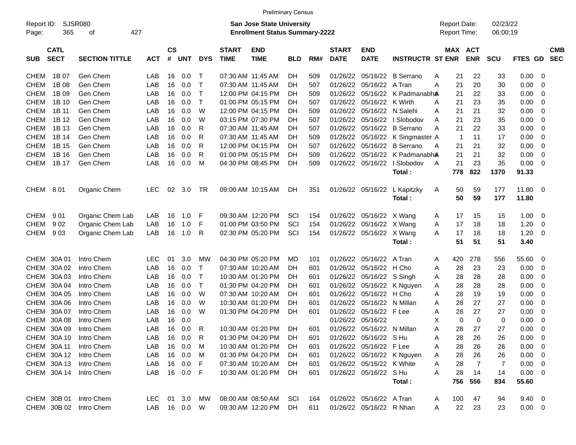|                     |                            |                        |               |                    |            |            |                             | <b>Preliminary Census</b>                                                 |            |     |                             |                            |                            |                                            |     |                       |                      |                |                |                          |
|---------------------|----------------------------|------------------------|---------------|--------------------|------------|------------|-----------------------------|---------------------------------------------------------------------------|------------|-----|-----------------------------|----------------------------|----------------------------|--------------------------------------------|-----|-----------------------|----------------------|----------------|----------------|--------------------------|
| Report ID:<br>Page: | 365                        | <b>SJSR080</b><br>οf   | 427           |                    |            |            |                             | <b>San Jose State University</b><br><b>Enrollment Status Summary-2222</b> |            |     |                             |                            |                            | <b>Report Date:</b><br><b>Report Time:</b> |     |                       | 02/23/22<br>06:00:19 |                |                |                          |
| <b>SUB</b>          | <b>CATL</b><br><b>SECT</b> | <b>SECTION TITTLE</b>  | <b>ACT</b>    | $\mathsf{cs}$<br># | <b>UNT</b> | <b>DYS</b> | <b>START</b><br><b>TIME</b> | <b>END</b><br><b>TIME</b>                                                 | <b>BLD</b> | RM# | <b>START</b><br><b>DATE</b> | <b>END</b><br><b>DATE</b>  | <b>INSTRUCTR ST ENR</b>    |                                            |     | MAX ACT<br><b>ENR</b> | <b>SCU</b>           | FTES GD        |                | <b>CMB</b><br><b>SEC</b> |
| <b>CHEM</b>         | 1B 07                      | Gen Chem               | LAB           | 16                 | 0.0        | Т          |                             | 07:30 AM 11:45 AM                                                         | DН         | 509 | 01/26/22                    |                            | 05/16/22 B Serrano         | A                                          | 21  | 22                    | 33                   | 0.00           | -0             |                          |
| <b>CHEM</b>         | 1B 08                      | Gen Chem               | LAB           | 16                 | 0.0        | т          | 07:30 AM 11:45 AM           |                                                                           | DН         | 507 | 01/26/22                    | 05/16/22 A Tran            |                            | A                                          | 21  | 20                    | 30                   | 0.00           | -0             |                          |
| <b>CHEM</b>         | 1B 09                      | Gen Chem               | LAB           | 16                 | 0.0        | т          |                             | 12:00 PM 04:15 PM                                                         | DН         | 509 | 01/26/22                    |                            | 05/16/22 K Padmanabha      |                                            | 21  | 22                    | 33                   | 0.00           | 0              |                          |
| <b>CHEM</b>         | 1B 10                      | Gen Chem               | LAB           | 16                 | 0.0        | т          |                             | 01:00 PM 05:15 PM                                                         | DН         | 507 | 01/26/22                    | 05/16/22 K Wirth           |                            | A                                          | 21  | 23                    | 35                   | 0.00           | 0              |                          |
| <b>CHEM</b>         | 1B 11                      | Gen Chem               | LAB           | 16                 | 0.0        | W          |                             | 12:00 PM 04:15 PM                                                         | DН         | 509 | 01/26/22                    | 05/16/22 N Salehi          |                            | A                                          | 21  | 21                    | 32                   | 0.00           | 0              |                          |
| <b>CHEM</b>         | 1B 12                      | Gen Chem               | LAB           | 16                 | 0.0        | W          |                             | 03:15 PM 07:30 PM                                                         | DН         | 507 | 01/26/22                    |                            | $05/16/22$   Slobodov      | A                                          | 21  | 23                    | 35                   | 0.00           | -0             |                          |
| <b>CHEM</b>         | 1B 13                      | Gen Chem               | LAB           | 16                 | 0.0        | R          | 07:30 AM 11:45 AM           |                                                                           | DН         | 507 | 01/26/22                    |                            | 05/16/22 B Serrano         | A                                          | 21  | 22                    | 33                   | 0.00           | 0              |                          |
| <b>CHEM</b>         | 1B 14                      | Gen Chem               | LAB           | 16                 | 0.0        | R          | 07:30 AM 11:45 AM           |                                                                           | DН         | 509 | 01/26/22                    |                            | 05/16/22 K Singmaster A    |                                            | 1   | 11                    | 17                   | 0.00           | $\mathbf 0$    |                          |
| <b>CHEM</b>         | 1B 15                      | Gen Chem               | LAB           | 16                 | 0.0        | R          |                             | 12:00 PM 04:15 PM                                                         | DН         | 507 | 01/26/22                    |                            | 05/16/22 B Serrano         | A                                          | 21  | 21                    | 32                   | 0.00           | 0              |                          |
| <b>CHEM</b>         | 1B 16                      | Gen Chem               | LAB           | 16                 | 0.0        | R          |                             | 01:00 PM 05:15 PM                                                         | DН         | 509 | 01/26/22                    |                            | 05/16/22 K Padmanabha      |                                            | 21  | 21                    | 32                   | 0.00           | 0              |                          |
| <b>CHEM</b>         | 1B 17                      | Gen Chem               | LAB           | 16                 | 0.0        | M          |                             | 04:30 PM 08:45 PM                                                         | DН         | 509 | 01/26/22                    | 05/16/22                   | I Slobodov                 | $\overline{A}$                             | 21  | 23                    | 35                   | 0.00           | $\overline{0}$ |                          |
|                     |                            |                        |               |                    |            |            |                             |                                                                           |            |     |                             |                            | Total:                     |                                            | 778 | 822                   | 1370                 | 91.33          |                |                          |
| CHEM                | 801                        | Organic Chem           | <b>LEC</b>    | 02                 | 3.0        | TR         |                             | 09:00 AM 10:15 AM                                                         | DН         | 351 | 01/26/22                    | 05/16/22                   | L Kapitzky                 | A                                          | 50  | 59                    | 177                  | 11.80          | - 0            |                          |
|                     |                            |                        |               |                    |            |            |                             |                                                                           |            |     |                             |                            | Total:                     |                                            | 50  | 59                    | 177                  | 11.80          |                |                          |
|                     |                            |                        |               |                    |            |            |                             |                                                                           |            |     |                             |                            |                            |                                            |     |                       |                      |                |                |                          |
| <b>CHEM</b>         | 901                        | Organic Chem Lab       | LAB           | 16                 | 1.0        | F          |                             | 09:30 AM 12:20 PM                                                         | SCI        | 154 |                             | 01/26/22 05/16/22 X Wang   |                            | A                                          | 17  | 15                    | 15                   | 1.00           | 0              |                          |
| <b>CHEM</b>         | 902                        | Organic Chem Lab       | LAB           | 16                 | 1.0        | F          |                             | 01:00 PM 03:50 PM                                                         | SCI        | 154 |                             | 01/26/22 05/16/22 X Wang   |                            | Α                                          | 17  | 18                    | 18                   | 1.20           | 0              |                          |
| <b>CHEM</b>         | 903                        | Organic Chem Lab       | LAB           | 16                 | 1.0        | R          |                             | 02:30 PM 05:20 PM                                                         | SCI        | 154 |                             | 01/26/22 05/16/22 X Wang   |                            | A                                          | 17  | 18                    | 18                   | 1.20           | - 0            |                          |
|                     |                            |                        |               |                    |            |            |                             |                                                                           |            |     |                             |                            | Total :                    |                                            | 51  | 51                    | 51                   | 3.40           |                |                          |
|                     | CHEM 30A 01                | Intro Chem             | <b>LEC</b>    | 01                 | 3.0        | МW         |                             | 04:30 PM 05:20 PM                                                         | MD         | 101 | 01/26/22                    | 05/16/22 A Tran            |                            | A                                          | 420 | 278                   | 556                  | 55.60          | - 0            |                          |
|                     | CHEM 30A 02                | Intro Chem             | LAB           | 16                 | 0.0        | т          |                             | 07:30 AM 10:20 AM                                                         | DН         | 601 | 01/26/22                    | 05/16/22 H Cho             |                            | A                                          | 28  | 23                    | 23                   | 0.00           | 0              |                          |
| CHEM                | 30A03                      | Intro Chem             | LAB           | 16                 | 0.0        | т          |                             | 10:30 AM 01:20 PM                                                         | DН         | 601 | 01/26/22                    | 05/16/22 S Singh           |                            | A                                          | 28  | 28                    | 28                   | 0.00           | 0              |                          |
| CHEM                | 30A 04                     | Intro Chem             | LAB           | 16                 | 0.0        | т          |                             | 01:30 PM 04:20 PM                                                         | DН         | 601 | 01/26/22                    |                            | 05/16/22 K Nguyen          | A                                          | 28  | 28                    | 28                   | 0.00           | 0              |                          |
| CHEM                | 30A 05                     | Intro Chem             | LAB           | 16                 | 0.0        | W          |                             | 07:30 AM 10:20 AM                                                         | DН         | 601 | 01/26/22                    | 05/16/22 H Cho             |                            | A                                          | 28  | 19                    | 19                   | 0.00           | 0              |                          |
| CHEM                | 30A 06                     | Intro Chem             | LAB           | 16                 | 0.0        | W          |                             | 10:30 AM 01:20 PM                                                         | DН         | 601 | 01/26/22                    | 05/16/22 N Millan          |                            | A                                          | 28  | 27                    | 27                   | 0.00           | 0              |                          |
| CHEM                | 30A 07                     | Intro Chem             | LAB           | 16                 | 0.0        | W          |                             | 01:30 PM 04:20 PM                                                         | DH         | 601 | 01/26/22                    | 05/16/22 F Lee             |                            | A                                          | 28  | 27                    | 27                   | 0.00           | 0              |                          |
| CHEM                | 30A 08                     | Intro Chem             | LAB           | 16                 | 0.0        |            |                             |                                                                           |            |     | 01/26/22                    | 05/16/22                   |                            | Χ                                          | 0   | 0                     | 0                    | 0.00           | 0              |                          |
|                     | CHEM 30A 09                | Intro Chem             | LAB           | 16                 | 0.0        | R          |                             | 10:30 AM 01:20 PM                                                         | DН         | 601 |                             | 01/26/22 05/16/22 N Millan |                            | Α                                          | 28  | 27                    | 27                   | 0.00           | $\mathbf 0$    |                          |
|                     | CHEM 30A 10                | Intro Chem             | LAB           |                    | 16  0.0    | R          |                             | 01:30 PM 04:20 PM                                                         | DH         | 601 |                             | 01/26/22 05/16/22 S Hu     |                            | Α                                          | 28  | 26                    | 26                   | $0.00 \t 0$    |                |                          |
|                     | CHEM 30A 11                | Intro Chem             | LAB           |                    | 16 0.0     | M          |                             | 10:30 AM 01:20 PM                                                         | <b>DH</b>  | 601 |                             | 01/26/22 05/16/22 F Lee    |                            | A                                          | 28  | 26                    | 26                   | $0.00 \t 0$    |                |                          |
|                     | CHEM 30A 12                | Intro Chem             | LAB           |                    | 16 0.0     | M          |                             | 01:30 PM 04:20 PM                                                         | DH.        | 601 |                             |                            | 01/26/22 05/16/22 K Nguyen | A                                          | 28  | 26                    | 26                   | $0.00 \t 0$    |                |                          |
|                     | CHEM 30A 13                | Intro Chem             | LAB           |                    | 16 0.0     | F          |                             | 07:30 AM 10:20 AM                                                         | DH.        | 601 |                             | 01/26/22 05/16/22 K White  |                            | A                                          | 28  | 7                     | 7                    | $0.00 \t 0$    |                |                          |
|                     | CHEM 30A 14                | Intro Chem             | LAB           |                    | 16  0.0  F |            |                             | 10:30 AM 01:20 PM                                                         | DH         | 601 |                             | 01/26/22 05/16/22 S Hu     |                            | Α                                          | 28  | 14                    | 14                   | $0.00 \t 0$    |                |                          |
|                     |                            |                        |               |                    |            |            |                             |                                                                           |            |     |                             |                            | Total:                     |                                            | 756 | 556                   | 834                  | 55.60          |                |                          |
|                     | CHEM 30B 01                | Intro Chem             | LEC 01 3.0 MW |                    |            |            |                             | 08:00 AM 08:50 AM SCI                                                     |            | 164 |                             | 01/26/22 05/16/22 A Tran   |                            | A                                          | 100 | 47                    | 94                   | $9.40 \quad 0$ |                |                          |
|                     |                            | CHEM 30B 02 Intro Chem | LAB 16 0.0 W  |                    |            |            |                             | 09:30 AM 12:20 PM                                                         | DH         | 611 |                             | 01/26/22 05/16/22 R Nhan   |                            | A                                          | 22  | 23                    | 23                   | $0.00 \t 0$    |                |                          |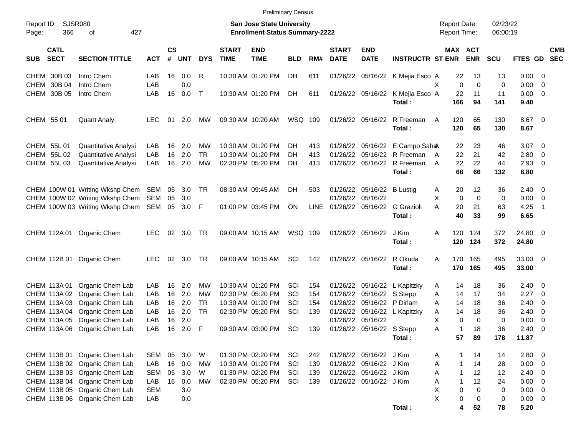| <b>Preliminary Census</b> |  |
|---------------------------|--|
|                           |  |

| Report ID:<br>Page: | <b>SJSR080</b><br>366      | 427<br>οf                                                      |                   |                    |     |              |                             | <b>San Jose State University</b><br><b>Enrollment Status Summary-2222</b> |            |             |                             |                            |                                            |        | <b>Report Date:</b><br>Report Time: |             | 02/23/22<br>06:00:19 |                            |                          |                          |
|---------------------|----------------------------|----------------------------------------------------------------|-------------------|--------------------|-----|--------------|-----------------------------|---------------------------------------------------------------------------|------------|-------------|-----------------------------|----------------------------|--------------------------------------------|--------|-------------------------------------|-------------|----------------------|----------------------------|--------------------------|--------------------------|
| <b>SUB</b>          | <b>CATL</b><br><b>SECT</b> | <b>SECTION TITTLE</b>                                          | <b>ACT</b>        | $\mathsf{cs}$<br># | UNT | <b>DYS</b>   | <b>START</b><br><b>TIME</b> | <b>END</b><br><b>TIME</b>                                                 | <b>BLD</b> | RM#         | <b>START</b><br><b>DATE</b> | <b>END</b><br><b>DATE</b>  | <b>INSTRUCTR ST ENR</b>                    |        | MAX ACT                             | <b>ENR</b>  | SCU                  | FTES GD                    |                          | <b>CMB</b><br><b>SEC</b> |
|                     | CHEM 30B 03                | Intro Chem                                                     | LAB               | 16                 | 0.0 | R            |                             | 10:30 AM 01:20 PM                                                         | DH.        | 611         |                             |                            | 01/26/22 05/16/22 K Mejia Esco A           |        | 22                                  | 13          | 13                   | 0.00 0                     |                          |                          |
| <b>CHEM</b>         | 30B 04                     | Intro Chem                                                     | LAB               |                    | 0.0 |              |                             |                                                                           |            |             |                             |                            |                                            | X      | $\mathbf 0$                         | $\mathbf 0$ | 0                    | 0.00                       | - 0                      |                          |
| CHEM                | 30B 05                     | Intro Chem                                                     | LAB               | 16                 | 0.0 | $\mathsf{T}$ |                             | 10:30 AM 01:20 PM                                                         | DH.        | 611         |                             |                            | 01/26/22 05/16/22 K Mejia Esco A<br>Total: |        | 22<br>166                           | 11<br>94    | 11<br>141            | $0.00 \t 0$<br>9.40        |                          |                          |
|                     | CHEM 55 01                 | <b>Quant Analy</b>                                             | <b>LEC</b>        | 01                 | 2.0 | MW           |                             | 09:30 AM 10:20 AM                                                         | WSQ 109    |             |                             | 01/26/22 05/16/22          | R Freeman                                  | A      | 120                                 | 65          | 130                  | 8.67                       | $\overline{\phantom{0}}$ |                          |
|                     |                            |                                                                |                   |                    |     |              |                             |                                                                           |            |             |                             |                            | Total:                                     |        | 120                                 | 65          | 130                  | 8.67                       |                          |                          |
|                     | CHEM 55L 01                | Quantitative Analysi                                           | LAB               | 16                 | 2.0 | MW           |                             | 10:30 AM 01:20 PM                                                         | DH.        | 413         |                             |                            | 01/26/22 05/16/22 E Campo Saha             |        | 22                                  | 23          | 46                   | 3.07                       | $\overline{\phantom{0}}$ |                          |
|                     | CHEM 55L 02                | Quantitative Analysi                                           | LAB               | 16                 | 2.0 | <b>TR</b>    |                             | 10:30 AM 01:20 PM                                                         | DH.        | 413         |                             |                            | 01/26/22 05/16/22 R Freeman                | A      | 22                                  | 21          | 42                   | 2.80                       | $\overline{\mathbf{0}}$  |                          |
|                     | CHEM 55L 03                | <b>Quantitative Analysi</b>                                    | LAB               | 16                 | 2.0 | MW           |                             | 02:30 PM 05:20 PM                                                         | DH         | 413         |                             |                            | 01/26/22 05/16/22 R Freeman                | A      | 22                                  | 22          | 44                   | 2.93                       | $\overline{\phantom{0}}$ |                          |
|                     |                            |                                                                |                   |                    |     |              |                             |                                                                           |            |             |                             |                            | Total:                                     |        | 66                                  | 66          | 132                  | 8.80                       |                          |                          |
|                     |                            | CHEM 100W 01 Writing Wkshp Chem                                | SEM 05            |                    | 3.0 | TR           |                             | 08:30 AM 09:45 AM                                                         | DH.        | 503         |                             | 01/26/22 05/16/22 B Lustig |                                            | A      | 20                                  | 12          | 36                   | $2.40 \quad 0$             |                          |                          |
|                     |                            | CHEM 100W 02 Writing Wkshp Chem                                | SEM               | 05                 | 3.0 |              |                             |                                                                           |            |             | 01/26/22 05/16/22           |                            |                                            | X      | $\Omega$                            | $\mathbf 0$ | 0                    | 0.00                       | $\overline{\mathbf{0}}$  |                          |
|                     |                            | CHEM 100W 03 Writing Wkshp Chem                                | SEM               | 05                 | 3.0 | F            |                             | 01:00 PM 03:45 PM                                                         | ON         | <b>LINE</b> |                             | 01/26/22 05/16/22          | G Grazioli                                 | A      | 20                                  | 21          | 63                   | 4.25                       | $\overline{1}$           |                          |
|                     |                            |                                                                |                   |                    |     |              |                             |                                                                           |            |             |                             |                            | Total:                                     |        | 40                                  | 33          | 99                   | 6.65                       |                          |                          |
|                     |                            | CHEM 112A 01 Organic Chem                                      | <b>LEC</b>        | 02                 | 3.0 | <b>TR</b>    |                             | 09:00 AM 10:15 AM                                                         | WSQ 109    |             |                             | 01/26/22 05/16/22          | J Kim                                      | A      | 120                                 | 124         | 372                  | 24.80 0                    |                          |                          |
|                     |                            |                                                                |                   |                    |     |              |                             |                                                                           |            |             |                             |                            | Total:                                     |        | 120                                 | 124         | 372                  | 24.80                      |                          |                          |
|                     | CHEM 112B 01               | Organic Chem                                                   | <b>LEC</b>        | 02                 | 3.0 | <b>TR</b>    |                             | 09:00 AM 10:15 AM                                                         | SCI        | 142         |                             | 01/26/22 05/16/22          | R Okuda                                    | A      | 170                                 | 165         | 495                  | 33.00 0                    |                          |                          |
|                     |                            |                                                                |                   |                    |     |              |                             |                                                                           |            |             |                             |                            | Total:                                     |        | 170                                 | 165         | 495                  | 33.00                      |                          |                          |
|                     |                            | CHEM 113A 01 Organic Chem Lab                                  | LAB               | 16                 | 2.0 | <b>MW</b>    |                             | 10:30 AM 01:20 PM                                                         | SCI        | 154         |                             | 01/26/22 05/16/22          | L Kapitzky                                 | A      | 14                                  | 18          | 36                   | 2.40                       | $\overline{\phantom{0}}$ |                          |
|                     |                            | CHEM 113A 02 Organic Chem Lab                                  | LAB               | 16                 | 2.0 | МW           |                             | 02:30 PM 05:20 PM                                                         | SCI        | 154         | 01/26/22                    | 05/16/22 S Stepp           |                                            | A      | 14                                  | 17          | 34                   | 2.27                       | $\overline{\phantom{0}}$ |                          |
|                     |                            | CHEM 113A 03 Organic Chem Lab                                  | LAB               | 16                 | 2.0 | <b>TR</b>    |                             | 10:30 AM 01:20 PM                                                         | SCI        | 154         |                             | 01/26/22 05/16/22          | P Dirlam                                   | A      | 14                                  | 18          | 36                   | 2.40                       | $\overline{\mathbf{0}}$  |                          |
|                     |                            | CHEM 113A 04 Organic Chem Lab                                  | LAB               | 16                 | 2.0 | <b>TR</b>    |                             | 02:30 PM 05:20 PM                                                         | SCI        | 139         |                             |                            | 01/26/22 05/16/22 L Kapitzky               | Α      | 14                                  | 18          | 36                   | 2.40                       | $\overline{\phantom{0}}$ |                          |
|                     |                            | CHEM 113A 05 Organic Chem Lab                                  | LAB               | 16                 | 2.0 |              |                             |                                                                           |            |             | 01/26/22 05/16/22           |                            |                                            | х      | 0                                   | $\mathbf 0$ | 0                    | 0.00                       | $\overline{\mathbf{0}}$  |                          |
|                     |                            | CHEM 113A 06 Organic Chem Lab                                  | LAB               | 16                 | 2.0 | F            |                             | 09:30 AM 03:00 PM                                                         | SCI        | 139         |                             | 01/26/22 05/16/22          | S Stepp                                    | A      | -1                                  | 18          | 36                   | 2.40                       | $\overline{\mathbf{0}}$  |                          |
|                     |                            |                                                                |                   |                    |     |              |                             |                                                                           |            |             |                             |                            | Total:                                     |        | 57                                  | 89          | 178                  | 11.87                      |                          |                          |
|                     |                            | CHEM 113B 01 Organic Chem Lab                                  | <b>SEM</b>        | 05                 | 3.0 | W            |                             | 01:30 PM 02:20 PM                                                         | SCI        | 242         |                             | 01/26/22 05/16/22 J Kim    |                                            | A      |                                     | 14          | 14                   | 2.80 0                     |                          |                          |
|                     |                            | CHEM 113B 02 Organic Chem Lab                                  | LAB               | 16                 | 0.0 | <b>MW</b>    |                             | 10:30 AM 01:20 PM                                                         | SCI        | 139         |                             | 01/26/22 05/16/22 J Kim    |                                            | A      | -1                                  | 14          | 28                   | $0.00 \t 0$                |                          |                          |
|                     |                            | CHEM 113B 03 Organic Chem Lab                                  | <b>SEM</b>        | 05                 | 3.0 | W            |                             | 01:30 PM 02:20 PM                                                         | SCI        | 139         |                             | 01/26/22 05/16/22 J Kim    |                                            | A      | $\mathbf{1}$                        | 12          | 12                   | $2.40 \ 0$                 |                          |                          |
|                     |                            | CHEM 113B 04 Organic Chem Lab                                  | LAB               | 16                 | 0.0 | <b>MW</b>    |                             | 02:30 PM 05:20 PM                                                         | SCI        | 139         |                             | 01/26/22 05/16/22 J Kim    |                                            | Α      | -1                                  | 12          | 24                   | $0.00 \t 0$                |                          |                          |
|                     |                            | CHEM 113B 05 Organic Chem Lab<br>CHEM 113B 06 Organic Chem Lab | <b>SEM</b><br>LAB |                    | 3.0 |              |                             |                                                                           |            |             |                             |                            |                                            | Χ<br>X | $\mathbf 0$<br>0                    | $\mathbf 0$ | 0                    | $0.00 \t 0$<br>$0.00 \t 0$ |                          |                          |
|                     |                            |                                                                |                   |                    | 0.0 |              |                             |                                                                           |            |             |                             |                            | Total:                                     |        | 4                                   | 0<br>52     | 0<br>78              | 5.20                       |                          |                          |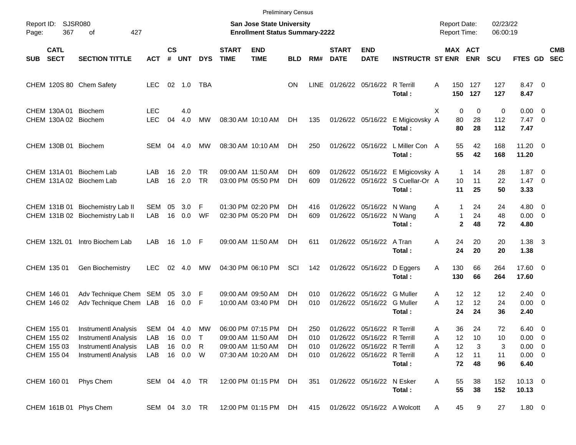|            |                                           |                                                                                           |                          |                    |                     |                        |                             | <b>Preliminary Census</b>                                                 |                  |                   |                             |                                                                                           |                                                                                |                                     |                                                     |                      |                                              |            |
|------------|-------------------------------------------|-------------------------------------------------------------------------------------------|--------------------------|--------------------|---------------------|------------------------|-----------------------------|---------------------------------------------------------------------------|------------------|-------------------|-----------------------------|-------------------------------------------------------------------------------------------|--------------------------------------------------------------------------------|-------------------------------------|-----------------------------------------------------|----------------------|----------------------------------------------|------------|
| Page:      | Report ID: SJSR080<br>367                 | 427<br>οf                                                                                 |                          |                    |                     |                        |                             | <b>San Jose State University</b><br><b>Enrollment Status Summary-2222</b> |                  |                   |                             |                                                                                           |                                                                                | <b>Report Date:</b><br>Report Time: |                                                     | 02/23/22<br>06:00:19 |                                              |            |
| <b>SUB</b> | <b>CATL</b><br><b>SECT</b>                | <b>SECTION TITTLE</b>                                                                     | <b>ACT</b>               | $\mathsf{cs}$<br># | UNT                 | <b>DYS</b>             | <b>START</b><br><b>TIME</b> | <b>END</b><br><b>TIME</b>                                                 | <b>BLD</b>       | RM#               | <b>START</b><br><b>DATE</b> | <b>END</b><br><b>DATE</b>                                                                 | <b>INSTRUCTR ST ENR ENR</b>                                                    |                                     | MAX ACT                                             | <b>SCU</b>           | FTES GD SEC                                  | <b>CMB</b> |
|            |                                           | CHEM 120S 80 Chem Safety                                                                  | LEC.                     |                    | $02 \quad 1.0$      | TBA                    |                             |                                                                           | <b>ON</b>        | LINE              |                             | 01/26/22 05/16/22 R Terrill                                                               | Total:                                                                         | A                                   | 150 127<br>150 127                                  | 127<br>127           | 8.47 0<br>8.47                               |            |
|            |                                           | CHEM 130A 01 Biochem<br>CHEM 130A 02 Biochem                                              | <b>LEC</b><br><b>LEC</b> | 04                 | 4.0<br>4.0          | <b>MW</b>              |                             | 08:30 AM 10:10 AM                                                         | DH               | 135               |                             |                                                                                           | 01/26/22 05/16/22 E Migicovsky A<br>Total:                                     | X                                   | $\mathbf 0$<br>$\mathbf 0$<br>28<br>80<br>80<br>28  | 0<br>112<br>112      | $0.00 \t 0$<br>$7.47\ 0$<br>7.47             |            |
|            | CHEM 130B 01 Biochem                      |                                                                                           | SEM 04                   |                    | 4.0                 | MW                     |                             | 08:30 AM 10:10 AM                                                         | DH.              | 250               |                             |                                                                                           | 01/26/22 05/16/22 L Miller Con A<br>Total:                                     |                                     | 55<br>42<br>55<br>42                                | 168<br>168           | 11.20 0<br>11.20                             |            |
|            |                                           | CHEM 131A 01 Biochem Lab<br>CHEM 131A 02 Biochem Lab                                      | LAB<br>LAB               | 16<br>16           | 2.0<br>2.0          | <b>TR</b><br><b>TR</b> |                             | 09:00 AM 11:50 AM<br>03:00 PM 05:50 PM                                    | DH.<br><b>DH</b> | 609<br>609        |                             |                                                                                           | 01/26/22 05/16/22 E Migicovsky A<br>01/26/22 05/16/22 S Cuellar-Or A<br>Total: |                                     | $\mathbf{1}$<br>14<br>10<br>11<br>11<br>25          | 28<br>22<br>50       | $1.87 \t 0$<br>$1.47 \quad 0$<br>3.33        |            |
|            |                                           | CHEM 131B 01 Biochemistry Lab II<br>CHEM 131B 02 Biochemistry Lab II                      | SEM<br>LAB               | 05<br>16           | 3.0<br>0.0          | F<br>WF                |                             | 01:30 PM 02:20 PM<br>02:30 PM 05:20 PM                                    | DH.<br>DH        | 416<br>609        |                             | 01/26/22 05/16/22 N Wang<br>01/26/22 05/16/22 N Wang                                      | Total:                                                                         | A<br>A                              | 1<br>24<br>$\mathbf{1}$<br>24<br>$\mathbf{2}$<br>48 | 24<br>48<br>72       | $4.80\ 0$<br>$0.00 \t 0$<br>4.80             |            |
|            | CHEM 132L 01                              | Intro Biochem Lab                                                                         | <b>LAB</b>               |                    | 16 1.0 F            |                        |                             | 09:00 AM 11:50 AM                                                         | DH.              | 611               |                             | 01/26/22 05/16/22 A Tran                                                                  | Total:                                                                         | Α                                   | 20<br>24<br>24<br>20                                | 20<br>20             | $1.38 \quad 3$<br>1.38                       |            |
|            | CHEM 135 01                               | Gen Biochemistry                                                                          | <b>LEC</b>               |                    | 02 4.0              | МW                     |                             | 04:30 PM 06:10 PM                                                         | SCI              | 142               |                             |                                                                                           | 01/26/22 05/16/22 D Eggers<br>Total:                                           | 130<br>Α<br>130                     | 66<br>66                                            | 264<br>264           | 17.60 0<br>17.60                             |            |
|            | CHEM 146 01<br>CHEM 146 02                | Adv Technique Chem SEM 05<br>Adv Technique Chem LAB                                       |                          |                    | 3.0 F<br>16  0.0  F |                        |                             | 09:00 AM 09:50 AM<br>10:00 AM 03:40 PM                                    | DH.<br>DH        | 010<br>010        |                             | 01/26/22 05/16/22 G Muller<br>01/26/22 05/16/22 G Muller                                  | Total:                                                                         | A<br>A                              | 12<br>12<br>12<br>12<br>24<br>24                    | 12<br>24<br>36       | $2.40 \ 0$<br>$0.00 \t 0$<br>2.40            |            |
|            | CHEM 155 01<br>CHEM 155 02<br>CHEM 155 03 | <b>Instrumentl Analysis</b><br><b>Instrumentl Analysis</b><br><b>Instrumentl Analysis</b> | SEM 04 4.0<br>LAB<br>LAB |                    | 16 0.0<br>16 0.0    | МW<br>R                |                             | 06:00 PM 07:15 PM<br>09:00 AM 11:50 AM<br>09:00 AM 11:50 AM               | DH.<br>DH<br>DH  | 250<br>010<br>010 |                             | 01/26/22 05/16/22 R Terrill<br>01/26/22 05/16/22 R Terrill<br>01/26/22 05/16/22 R Terrill |                                                                                | A<br>A<br>Α                         | 24<br>36<br>12<br>10<br>12<br>3                     | 72<br>10<br>3        | $6.40 \quad 0$<br>$0.00 \t 0$<br>$0.00 \t 0$ |            |
|            | CHEM 155 04                               | <b>Instrumentl Analysis</b>                                                               | LAB                      |                    | 16 0.0              | W                      |                             | 07:30 AM 10:20 AM                                                         | DH               | 010               |                             | 01/26/22 05/16/22 R Terrill                                                               | Total:                                                                         | Α                                   | 12<br>11<br>72<br>48                                | 11<br>96             | $0.00 \t 0$<br>6.40                          |            |
|            | CHEM 160 01                               | Phys Chem                                                                                 | SEM 04 4.0 TR            |                    |                     |                        |                             | 12:00 PM 01:15 PM                                                         | DH               | 351               |                             | 01/26/22 05/16/22 N Esker                                                                 | Total:                                                                         | A                                   | 55<br>38<br>55<br>38                                | 152<br>152           | $10.13$ 0<br>10.13                           |            |
|            |                                           | CHEM 161B 01 Phys Chem                                                                    | SEM 04 3.0 TR            |                    |                     |                        |                             | 12:00 PM 01:15 PM DH                                                      |                  | 415               |                             |                                                                                           | 01/26/22 05/16/22 A Wolcott                                                    | A                                   | 45<br>9                                             | 27                   | 1.80 0                                       |            |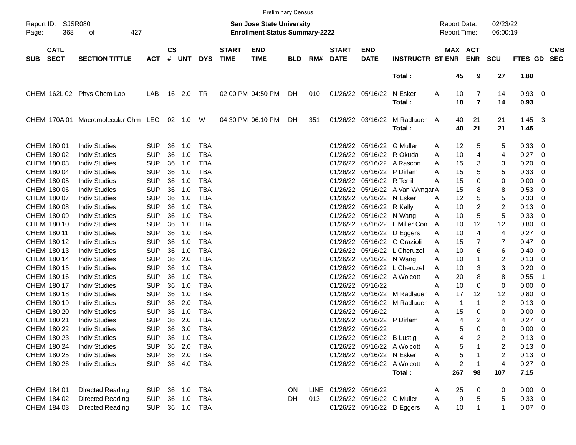|                     |                            |                                              |            |                    |            |            |                             | <b>Preliminary Census</b>                                                 |            |     |                             |                             |                             |   |                                     |                       |                      |                        |     |            |
|---------------------|----------------------------|----------------------------------------------|------------|--------------------|------------|------------|-----------------------------|---------------------------------------------------------------------------|------------|-----|-----------------------------|-----------------------------|-----------------------------|---|-------------------------------------|-----------------------|----------------------|------------------------|-----|------------|
| Report ID:<br>Page: | SJSR080<br>368             | 427<br>οf                                    |            |                    |            |            |                             | <b>San Jose State University</b><br><b>Enrollment Status Summary-2222</b> |            |     |                             |                             |                             |   | <b>Report Date:</b><br>Report Time: |                       | 02/23/22<br>06:00:19 |                        |     |            |
| <b>SUB</b>          | <b>CATL</b><br><b>SECT</b> | <b>SECTION TITTLE</b>                        | <b>ACT</b> | $\mathsf{cs}$<br># | UNT        | <b>DYS</b> | <b>START</b><br><b>TIME</b> | <b>END</b><br><b>TIME</b>                                                 | <b>BLD</b> | RM# | <b>START</b><br><b>DATE</b> | <b>END</b><br><b>DATE</b>   | <b>INSTRUCTR ST ENR</b>     |   |                                     | MAX ACT<br><b>ENR</b> | <b>SCU</b>           | FTES GD SEC            |     | <b>CMB</b> |
|                     |                            |                                              |            |                    |            |            |                             |                                                                           |            |     |                             |                             | Total:                      |   | 45                                  | 9                     | 27                   | 1.80                   |     |            |
|                     |                            | CHEM 162L 02 Phys Chem Lab                   | LAB        |                    |            |            |                             | 02:00 PM 04:50 PM                                                         | DH         | 010 |                             | 01/26/22 05/16/22           | N Esker<br>Total:           | A | 10<br>10                            | 7<br>$\overline{7}$   | 14<br>14             | 0.93 0<br>0.93         |     |            |
|                     |                            | CHEM 170A 01 Macromolecular Chm LEC 02 1.0 W |            |                    |            |            |                             | 04:30 PM 06:10 PM                                                         | DH         | 351 |                             | 01/26/22 03/16/22           | M Radlauer<br>Total:        | A | 40<br>40                            | 21<br>21              | 21<br>21             | $1.45 \quad 3$<br>1.45 |     |            |
|                     | CHEM 180 01                | <b>Indiv Studies</b>                         | <b>SUP</b> | 36                 | 1.0        | <b>TBA</b> |                             |                                                                           |            |     |                             | 01/26/22 05/16/22 G Muller  |                             | A | 12                                  | 5                     | 5                    | 0.33                   | - 0 |            |
|                     | CHEM 180 02                | <b>Indiv Studies</b>                         | <b>SUP</b> | 36                 | 1.0        | <b>TBA</b> |                             |                                                                           |            |     | 01/26/22                    | 05/16/22 R Okuda            |                             | A | 10                                  | 4                     | 4                    | 0.27                   | - 0 |            |
|                     | CHEM 180 03                | <b>Indiv Studies</b>                         | <b>SUP</b> | 36                 | 1.0        | <b>TBA</b> |                             |                                                                           |            |     | 01/26/22                    |                             | 05/16/22 A Rascon           | A | 15                                  | 3                     | 3                    | 0.20                   | 0   |            |
|                     | CHEM 180 04                | <b>Indiv Studies</b>                         | <b>SUP</b> | 36                 | 1.0        | <b>TBA</b> |                             |                                                                           |            |     |                             | 01/26/22 05/16/22 P Dirlam  |                             | A | 15                                  | 5                     | 5                    | 0.33                   | 0   |            |
|                     | CHEM 180 05                | <b>Indiv Studies</b>                         | <b>SUP</b> | 36                 | 1.0        | <b>TBA</b> |                             |                                                                           |            |     |                             | 01/26/22 05/16/22 R Terrill |                             | A | 15                                  | 0                     | 0                    | 0.00                   | 0   |            |
|                     | CHEM 180 06                | <b>Indiv Studies</b>                         | <b>SUP</b> | 36                 | 1.0        | <b>TBA</b> |                             |                                                                           |            |     | 01/26/22                    |                             | 05/16/22 A Van WyngarA      |   | 15                                  | 8                     | 8                    | 0.53                   | 0   |            |
|                     | CHEM 180 07                | <b>Indiv Studies</b>                         | <b>SUP</b> | 36                 | 1.0        | <b>TBA</b> |                             |                                                                           |            |     |                             | 01/26/22 05/16/22 N Esker   |                             | A | 12                                  | 5                     | 5                    | 0.33                   | 0   |            |
|                     | CHEM 180 08                | <b>Indiv Studies</b>                         | <b>SUP</b> | 36                 | 1.0        | <b>TBA</b> |                             |                                                                           |            |     |                             | 01/26/22 05/16/22 R Kelly   |                             | Α | 10                                  | 2                     | 2                    | 0.13                   | 0   |            |
|                     | CHEM 180 09                | <b>Indiv Studies</b>                         | <b>SUP</b> | 36                 | 1.0        | <b>TBA</b> |                             |                                                                           |            |     | 01/26/22                    | 05/16/22 N Wang             |                             | Α | 10                                  | 5                     | 5                    | 0.33                   | 0   |            |
|                     | CHEM 180 10                | <b>Indiv Studies</b>                         | <b>SUP</b> | 36                 | 1.0        | <b>TBA</b> |                             |                                                                           |            |     | 01/26/22                    |                             | 05/16/22 L Miller Con       | A | 10                                  | 12                    | 12                   | 0.80                   | 0   |            |
|                     | CHEM 180 11                | <b>Indiv Studies</b>                         | <b>SUP</b> | 36                 | 1.0        | <b>TBA</b> |                             |                                                                           |            |     |                             |                             | 01/26/22 05/16/22 D Eggers  | Α | 10                                  | 4                     | $\overline{4}$       | 0.27                   | 0   |            |
|                     | CHEM 180 12                | <b>Indiv Studies</b>                         | <b>SUP</b> | 36                 | 1.0        | TBA        |                             |                                                                           |            |     | 01/26/22                    |                             | 05/16/22 G Grazioli         | A | 15                                  | 7                     | 7                    | 0.47                   | 0   |            |
|                     | CHEM 180 13                | <b>Indiv Studies</b>                         | <b>SUP</b> | 36                 | 1.0        | <b>TBA</b> |                             |                                                                           |            |     | 01/26/22                    |                             | 05/16/22 L Cheruzel         | A | 10                                  | 6                     | 6                    | 0.40                   | 0   |            |
|                     | CHEM 180 14                | <b>Indiv Studies</b>                         | <b>SUP</b> | 36                 | 2.0        | <b>TBA</b> |                             |                                                                           |            |     | 01/26/22                    | 05/16/22 N Wang             |                             | Α | 10                                  | 1                     | 2                    | 0.13                   | - 0 |            |
|                     | CHEM 180 15                | <b>Indiv Studies</b>                         | <b>SUP</b> | 36                 | 1.0        | TBA        |                             |                                                                           |            |     | 01/26/22                    | 05/16/22                    | L Cheruzel                  | A | 10                                  | 3                     | 3                    | 0.20                   | 0   |            |
|                     | CHEM 180 16                | <b>Indiv Studies</b>                         | <b>SUP</b> | 36                 | 1.0        | <b>TBA</b> |                             |                                                                           |            |     | 01/26/22                    |                             | 05/16/22 A Wolcott          | A | 20                                  | 8                     | 8                    | 0.55                   | -1  |            |
|                     | CHEM 180 17                | <b>Indiv Studies</b>                         | <b>SUP</b> | 36                 | 1.0        | <b>TBA</b> |                             |                                                                           |            |     | 01/26/22                    | 05/16/22                    |                             | A | 10                                  | 0                     | 0                    | 0.00                   | - 0 |            |
|                     | CHEM 180 18                | <b>Indiv Studies</b>                         | <b>SUP</b> | 36                 | 1.0        | <b>TBA</b> |                             |                                                                           |            |     | 01/26/22                    | 05/16/22                    | M Radlauer                  | A | 17                                  | 12                    | 12                   | 0.80                   | - 0 |            |
|                     | CHEM 180 19                | <b>Indiv Studies</b>                         | <b>SUP</b> | 36                 | 2.0        | <b>TBA</b> |                             |                                                                           |            |     | 01/26/22                    | 05/16/22                    | M Radlauer                  | A | 1                                   | $\mathbf 1$           | 2                    | 0.13                   | 0   |            |
|                     | CHEM 180 20                | <b>Indiv Studies</b>                         | <b>SUP</b> | 36                 | 1.0        | <b>TBA</b> |                             |                                                                           |            |     | 01/26/22                    | 05/16/22                    |                             | A | 15                                  | 0                     | 0                    | 0.00                   | - 0 |            |
|                     | CHEM 180 21                | <b>Indiv Studies</b>                         | <b>SUP</b> | 36                 | 2.0        | <b>TBA</b> |                             |                                                                           |            |     | 01/26/22                    | 05/16/22 P Dirlam           |                             | A | 4                                   | 2                     | 4                    | 0.27                   | - 0 |            |
|                     | CHEM 180 22                | <b>Indiv Studies</b>                         | <b>SUP</b> | 36                 | 3.0        | <b>TBA</b> |                             |                                                                           |            |     |                             | 01/26/22 05/16/22           |                             | A | 5                                   | 0                     | 0                    | 0.00                   | 0   |            |
|                     | CHEM 180 23                | <b>Indiv Studies</b>                         | <b>SUP</b> | 36                 | 1.0        | TBA        |                             |                                                                           |            |     |                             | 01/26/22 05/16/22 B Lustig  |                             | A | 4                                   | 2                     | 2                    | $0.13 \ 0$             |     |            |
|                     | CHEM 180 24                | <b>Indiv Studies</b>                         | <b>SUP</b> |                    | 36 2.0     | TBA        |                             |                                                                           |            |     |                             |                             | 01/26/22 05/16/22 A Wolcott | A | 5                                   |                       | 2                    | $0.13 \ 0$             |     |            |
|                     | CHEM 180 25                | <b>Indiv Studies</b>                         | <b>SUP</b> |                    | 36 2.0     | TBA        |                             |                                                                           |            |     |                             | 01/26/22 05/16/22 N Esker   |                             | Α | 5                                   |                       | 2                    | $0.13 \ 0$             |     |            |
|                     | CHEM 180 26                | <b>Indiv Studies</b>                         | <b>SUP</b> |                    | 36 4.0     | TBA        |                             |                                                                           |            |     |                             |                             | 01/26/22 05/16/22 A Wolcott | A | 2                                   | -1                    | $\overline{4}$       | $0.27$ 0               |     |            |
|                     |                            |                                              |            |                    |            |            |                             |                                                                           |            |     |                             |                             | Total:                      |   | 267                                 | 98                    | 107                  | 7.15                   |     |            |
|                     | CHEM 184 01                | Directed Reading                             | <b>SUP</b> |                    | 36 1.0     | TBA        |                             |                                                                           | <b>ON</b>  |     | LINE 01/26/22 05/16/22      |                             |                             | Α | 25                                  | 0                     | 0                    | $0.00 \t 0$            |     |            |
|                     | CHEM 184 02                | Directed Reading                             | <b>SUP</b> |                    | 36 1.0     | TBA        |                             |                                                                           | DH         | 013 |                             | 01/26/22 05/16/22 G Muller  |                             | Α | 9                                   | 5                     | 5                    | 0.33 0                 |     |            |
|                     | CHEM 184 03                | <b>Directed Reading</b>                      | <b>SUP</b> |                    | 36 1.0 TBA |            |                             |                                                                           |            |     |                             |                             | 01/26/22 05/16/22 D Eggers  | A | 10                                  | $\mathbf 1$           | $\mathbf{1}$         | $0.07$ 0               |     |            |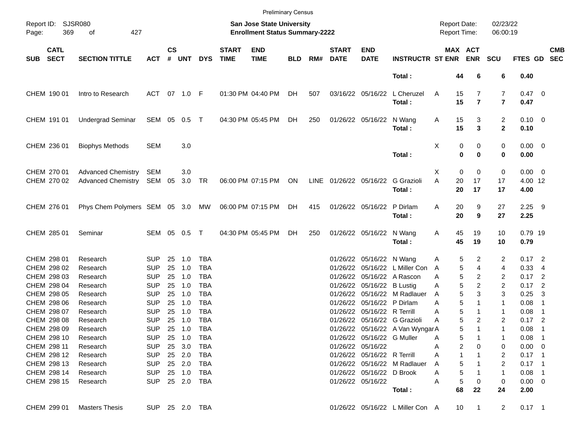|            |                                           |                                                        |                                        |                    |                         |                          |                             |                                                                           | <b>Preliminary Census</b> |     |                             |                                                 |                                            |                                     |                         |                      |                                |                          |                          |
|------------|-------------------------------------------|--------------------------------------------------------|----------------------------------------|--------------------|-------------------------|--------------------------|-----------------------------|---------------------------------------------------------------------------|---------------------------|-----|-----------------------------|-------------------------------------------------|--------------------------------------------|-------------------------------------|-------------------------|----------------------|--------------------------------|--------------------------|--------------------------|
| Page:      | Report ID: SJSR080<br>369                 | of<br>427                                              |                                        |                    |                         |                          |                             | <b>San Jose State University</b><br><b>Enrollment Status Summary-2222</b> |                           |     |                             |                                                 |                                            | <b>Report Date:</b><br>Report Time: |                         | 02/23/22<br>06:00:19 |                                |                          |                          |
| <b>SUB</b> | <b>CATL</b><br><b>SECT</b>                | <b>SECTION TITTLE</b>                                  | <b>ACT</b>                             | $\mathsf{cs}$<br># | <b>UNT</b>              | <b>DYS</b>               | <b>START</b><br><b>TIME</b> | <b>END</b><br><b>TIME</b>                                                 | <b>BLD</b>                | RM# | <b>START</b><br><b>DATE</b> | <b>END</b><br><b>DATE</b>                       | <b>INSTRUCTR ST ENR</b>                    |                                     | MAX ACT<br><b>ENR</b>   | <b>SCU</b>           | <b>FTES GD</b>                 |                          | <b>CMB</b><br><b>SEC</b> |
|            |                                           |                                                        |                                        |                    |                         |                          |                             |                                                                           |                           |     |                             |                                                 | Total:                                     | 44                                  | 6                       | 6                    | 0.40                           |                          |                          |
|            | CHEM 190 01                               | Intro to Research                                      | <b>ACT</b>                             |                    | 07 1.0 F                |                          |                             | 01:30 PM 04:40 PM                                                         | DH                        | 507 |                             | 03/16/22 05/16/22                               | L Cheruzel<br>Total:                       | 15<br>Α<br>15                       | 7<br>$\overline{7}$     | 7<br>$\overline{7}$  | $0.47 \quad 0$<br>0.47         |                          |                          |
|            | CHEM 191 01                               | <b>Undergrad Seminar</b>                               | SEM 05 0.5                             |                    |                         | $\top$                   |                             | 04:30 PM 05:45 PM                                                         | DH.                       | 250 |                             | 01/26/22 05/16/22                               | N Wang<br>Total:                           | 15<br>A<br>15                       | 3<br>3                  | 2<br>$\mathbf{2}$    | $0.10 \ 0$<br>0.10             |                          |                          |
|            | CHEM 236 01                               | <b>Biophys Methods</b>                                 | <b>SEM</b>                             |                    | 3.0                     |                          |                             |                                                                           |                           |     |                             |                                                 | Total:                                     | Χ<br>0<br>$\bf{0}$                  | 0<br>$\bf{0}$           | 0<br>0               | $0.00 \t 0$<br>0.00            |                          |                          |
|            | CHEM 270 01<br>CHEM 270 02                | <b>Advanced Chemistry</b><br>Advanced Chemistry SEM 05 | SEM                                    |                    | 3.0<br>3.0              | TR                       |                             | 06:00 PM 07:15 PM                                                         | ON                        |     |                             | LINE 01/26/22 05/16/22                          | G Grazioli<br>Total:                       | $\mathbf 0$<br>X<br>A<br>20<br>20   | $\mathbf 0$<br>17<br>17 | 0<br>17<br>17        | $0.00 \t 0$<br>4.00 12<br>4.00 |                          |                          |
|            | CHEM 276 01                               | Phys Chem Polymers SEM 05 3.0 MW                       |                                        |                    |                         |                          |                             | 06:00 PM 07:15 PM                                                         | DH                        | 415 |                             | 01/26/22 05/16/22                               | P Dirlam<br>Total:                         | 20<br>Α<br>20                       | 9<br>9                  | 27<br>27             | $2.25$ 9<br>2.25               |                          |                          |
|            | CHEM 285 01                               | Seminar                                                | SEM 05 0.5                             |                    |                         | $\top$                   |                             | 04:30 PM 05:45 PM                                                         | DH                        | 250 |                             | 01/26/22 05/16/22 N Wang                        | Total:                                     | 45<br>A<br>45                       | 19<br>19                | 10<br>10             | 0.79 19<br>0.79                |                          |                          |
|            | CHEM 298 01<br>CHEM 298 02                | Research<br>Research                                   | <b>SUP</b><br><b>SUP</b>               | 25<br>25           | 1.0<br>1.0              | <b>TBA</b><br><b>TBA</b> |                             |                                                                           |                           |     |                             | 01/26/22 05/16/22 N Wang                        | 01/26/22 05/16/22 L Miller Con             | 5<br>Α<br>5<br>A                    | 2<br>4                  | 2<br>4               | $0.17$ 2<br>0.33               | - 4                      |                          |
|            | CHEM 298 03<br>CHEM 298 04                | Research<br>Research                                   | <b>SUP</b><br><b>SUP</b>               | 25<br>25           | 1.0<br>1.0              | <b>TBA</b><br><b>TBA</b> |                             |                                                                           |                           |     |                             | 01/26/22 05/16/22 B Lustig                      | 01/26/22 05/16/22 A Rascon                 | 5<br>Α<br>5<br>Α                    | 2<br>2                  | 2<br>2               | $0.17$ 2<br>0.17               | $\overline{\phantom{0}}$ |                          |
|            | CHEM 298 05<br>CHEM 298 06                | Research<br>Research                                   | <b>SUP</b><br><b>SUP</b>               | 25<br>25           | 1.0<br>1.0              | <b>TBA</b><br><b>TBA</b> |                             |                                                                           |                           |     |                             | 01/26/22 05/16/22 P Dirlam                      | 01/26/22 05/16/22 M Radlauer               | 5<br>A<br>5<br>Α                    | 3<br>1                  | 3<br>1               | 0.25<br>0.08                   | 3<br>-1                  |                          |
|            | CHEM 298 07<br>CHEM 298 08                | Research<br>Research                                   | <b>SUP</b><br><b>SUP</b>               | 25<br>25           | 1.0<br>1.0              | <b>TBA</b><br><b>TBA</b> |                             |                                                                           |                           |     |                             | 01/26/22 05/16/22 R Terrill                     | 01/26/22 05/16/22 G Grazioli               | 5<br>Α<br>5<br>Α                    | $\mathbf 1$<br>2        | 1<br>2               | 0.08<br>$0.17$ 2               | -1                       |                          |
|            | CHEM 298 09<br>CHEM 298 10<br>CHEM 298 11 | Research<br>Research<br>Research                       | <b>SUP</b><br><b>SUP</b><br><b>SUP</b> | 25                 | 1.0<br>25 1.0<br>25 3.0 | <b>TBA</b><br>TBA<br>TBA |                             |                                                                           |                           |     |                             | 01/26/22 05/16/22 G Muller<br>01/26/22 05/16/22 | 01/26/22 05/16/22 A Van WyngarA            | 5<br>5<br>Α<br>2<br>Α               | 1<br>0                  | 1<br>0               | 0.08<br>$0.08$ 1<br>$0.00 \ 0$ | $\overline{1}$           |                          |
|            | CHEM 298 12<br>CHEM 298 13                | Research<br>Research                                   | <b>SUP</b><br><b>SUP</b>               |                    | 25 2.0<br>25 2.0        | TBA<br>TBA               |                             |                                                                           |                           |     |                             | 01/26/22 05/16/22 R Terrill                     | 01/26/22 05/16/22 M Radlauer               | 1<br>Α<br>5<br>A                    |                         | 2<br>2               | $0.17$ 1<br>$0.17$ 1           |                          |                          |
|            | CHEM 298 14<br>CHEM 298 15                | Research<br>Research                                   | <b>SUP</b><br><b>SUP</b>               |                    | 25 1.0                  | TBA<br>25  2.0  TBA      |                             |                                                                           |                           |     |                             | 01/26/22 05/16/22 D Brook<br>01/26/22 05/16/22  |                                            | 5<br>Α<br>5<br>Α<br>68              | 0<br>22                 | 1<br>0<br>24         | $0.08$ 1<br>$0.00 \t 0$        |                          |                          |
|            | CHEM 299 01                               | <b>Masters Thesis</b>                                  | SUP 25 2.0 TBA                         |                    |                         |                          |                             |                                                                           |                           |     |                             |                                                 | Total:<br>01/26/22 05/16/22 L Miller Con A | 10                                  | $\mathbf{1}$            | $\overline{a}$       | 2.00<br>$0.17$ 1               |                          |                          |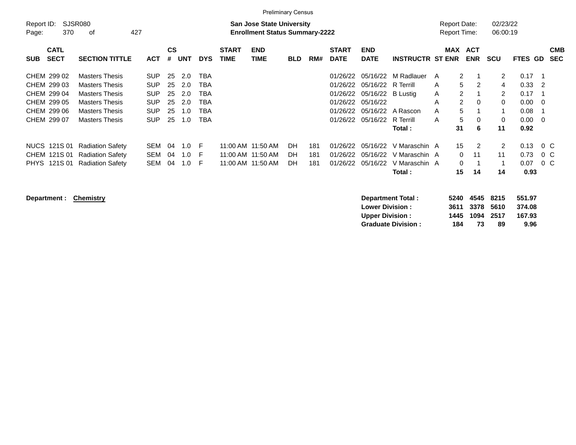|                                                                                        |                                                                                                                                                    |                                                                                  |                                  |                                        |                                                             |                      | <b>Preliminary Census</b>                                                 |                |                   |                                                                      |                                                                                                   |                                                           |                                                                                                       |                          |                                                                      |                                                                                    |                           |
|----------------------------------------------------------------------------------------|----------------------------------------------------------------------------------------------------------------------------------------------------|----------------------------------------------------------------------------------|----------------------------------|----------------------------------------|-------------------------------------------------------------|----------------------|---------------------------------------------------------------------------|----------------|-------------------|----------------------------------------------------------------------|---------------------------------------------------------------------------------------------------|-----------------------------------------------------------|-------------------------------------------------------------------------------------------------------|--------------------------|----------------------------------------------------------------------|------------------------------------------------------------------------------------|---------------------------|
| Report ID:<br>370<br>Page:                                                             | SJSR080<br>427<br>οf                                                                                                                               |                                                                                  |                                  |                                        |                                                             |                      | <b>San Jose State University</b><br><b>Enrollment Status Summary-2222</b> |                |                   |                                                                      |                                                                                                   |                                                           | <b>Report Date:</b><br><b>Report Time:</b>                                                            |                          | 02/23/22<br>06:00:19                                                 |                                                                                    |                           |
| <b>CATL</b><br><b>SECT</b><br><b>SUB</b>                                               | <b>SECTION TITTLE</b>                                                                                                                              | <b>ACT</b>                                                                       | <b>CS</b><br>#                   | <b>UNT</b>                             | <b>DYS</b>                                                  | <b>START</b><br>TIME | <b>END</b><br><b>TIME</b>                                                 | <b>BLD</b>     | RM#               | <b>START</b><br><b>DATE</b>                                          | <b>END</b><br><b>DATE</b>                                                                         | <b>INSTRUCTR ST ENR</b>                                   | <b>MAX</b>                                                                                            | <b>ACT</b><br><b>ENR</b> | <b>SCU</b>                                                           | FTES GD                                                                            | <b>CMB</b><br><b>SEC</b>  |
| CHEM 299 02<br>CHEM 299 03<br>CHEM 299 04<br>CHEM 299 05<br>CHEM 299 06<br>CHEM 299 07 | <b>Masters Thesis</b><br><b>Masters Thesis</b><br><b>Masters Thesis</b><br><b>Masters Thesis</b><br><b>Masters Thesis</b><br><b>Masters Thesis</b> | <b>SUP</b><br><b>SUP</b><br><b>SUP</b><br><b>SUP</b><br><b>SUP</b><br><b>SUP</b> | 25<br>25<br>25<br>25<br>25<br>25 | 2.0<br>2.0<br>2.0<br>2.0<br>1.0<br>1.0 | <b>TBA</b><br>TBA<br>TBA<br><b>TBA</b><br>TBA<br><b>TBA</b> |                      |                                                                           |                |                   | 01/26/22<br>01/26/22<br>01/26/22<br>01/26/22<br>01/26/22<br>01/26/22 | 05/16/22<br>05/16/22 R Terrill<br>05/16/22 B Lustig<br>05/16/22<br>05/16/22<br>05/16/22 R Terrill | M Radlauer<br>A Rascon<br>Total :                         | $\overline{2}$<br>A<br>5<br>A<br>$\overline{2}$<br>Α<br>A<br>$\overline{2}$<br>5<br>A<br>5<br>A<br>31 | 2<br>$\Omega$<br>0<br>6  | $\overline{2}$<br>4<br>$\overline{2}$<br>$\mathbf 0$<br>1<br>0<br>11 | 0.17<br>$0.33 \quad 2$<br>0.17<br>$0.00 \quad 0$<br>0.08<br>$0.00 \quad 0$<br>0.92 | - 1<br>$\overline{1}$     |
| NUCS 121S 01<br>CHEM 121S 01<br>PHYS 121S 01                                           | <b>Radiation Safety</b><br><b>Radiation Safety</b><br><b>Radiation Safety</b>                                                                      | SEM<br><b>SEM</b><br><b>SEM</b>                                                  | 04<br>04<br>04                   | 1.0<br>1.0<br>1.0                      | -F<br>-F<br>-F                                              |                      | 11:00 AM 11:50 AM<br>11:00 AM 11:50 AM<br>11:00 AM 11:50 AM               | DH<br>DН<br>DH | 181<br>181<br>181 | 01/26/22<br>01/26/22<br>01/26/22                                     | 05/16/22<br>05/16/22<br>05/16/22                                                                  | V Maraschin A<br>V Maraschin A<br>V Maraschin A<br>Total: | 15<br>0<br>0<br>15                                                                                    | 2<br>11<br>14            | $\overline{2}$<br>11<br>1<br>14                                      | 0.13<br>0.73<br>0.07<br>0.93                                                       | $0\,$ C<br>0 C<br>$0\,$ C |

**Department : Chemistry** 

| <b>Department Total:</b>  |     | 5240 4545 8215 |    | 551.97 |
|---------------------------|-----|----------------|----|--------|
| <b>Lower Division :</b>   |     | 3611 3378 5610 |    | 374.08 |
| <b>Upper Division :</b>   |     | 1445 1094 2517 |    | 167.93 |
| <b>Graduate Division:</b> | 184 | 73             | 89 | 9.96   |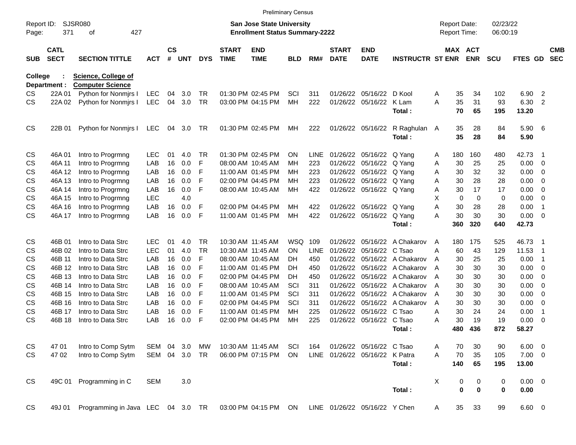|                     |                            |                                                |            |                |            |            |                             | <b>Preliminary Census</b>                                                 |            |       |                             |                                |                         |   |                                            |             |                      |             |                            |                          |
|---------------------|----------------------------|------------------------------------------------|------------|----------------|------------|------------|-----------------------------|---------------------------------------------------------------------------|------------|-------|-----------------------------|--------------------------------|-------------------------|---|--------------------------------------------|-------------|----------------------|-------------|----------------------------|--------------------------|
| Report ID:<br>Page: | 371                        | SJSR080<br>427<br>οf                           |            |                |            |            |                             | <b>San Jose State University</b><br><b>Enrollment Status Summary-2222</b> |            |       |                             |                                |                         |   | <b>Report Date:</b><br><b>Report Time:</b> |             | 02/23/22<br>06:00:19 |             |                            |                          |
| <b>SUB</b>          | <b>CATL</b><br><b>SECT</b> | <b>SECTION TITTLE</b>                          | <b>ACT</b> | <b>CS</b><br># | <b>UNT</b> | <b>DYS</b> | <b>START</b><br><b>TIME</b> | <b>END</b><br><b>TIME</b>                                                 | <b>BLD</b> | RM#   | <b>START</b><br><b>DATE</b> | <b>END</b><br><b>DATE</b>      | <b>INSTRUCTR ST ENR</b> |   | <b>MAX ACT</b>                             | <b>ENR</b>  | <b>SCU</b>           | FTES GD     |                            | <b>CMB</b><br><b>SEC</b> |
| College             | Department :               | Science, College of<br><b>Computer Science</b> |            |                |            |            |                             |                                                                           |            |       |                             |                                |                         |   |                                            |             |                      |             |                            |                          |
| CS.                 | 22A 01                     | Python for Nonmirs I                           | LEC        | 04             | 3.0        | <b>TR</b>  |                             | 01:30 PM 02:45 PM                                                         | SCI        | 311   | 01/26/22                    | 05/16/22                       | D Kool                  | A | 35                                         | 34          | 102                  | 6.90        | $\overline{2}$             |                          |
| CS.                 | 22A 02                     | Python for Nonmirs I                           | <b>LEC</b> | 04             | 3.0        | <b>TR</b>  |                             | 03:00 PM 04:15 PM                                                         | MH         | 222   | 01/26/22                    | 05/16/22                       | K Lam                   | A | 35                                         | 31          | 93                   | 6.30        | $\overline{2}$             |                          |
|                     |                            |                                                |            |                |            |            |                             |                                                                           |            |       |                             |                                | Total:                  |   | 70                                         | 65          | 195                  | 13.20       |                            |                          |
| <b>CS</b>           | 22B 01                     | Python for Nonmirs I                           | LEC        | 04             | 3.0        | TR         |                             | 01:30 PM 02:45 PM                                                         | MН         | 222   |                             | 01/26/22 05/16/22              | R Raghulan A            |   | 35                                         | 28          | 84                   | 5.90        | - 6                        |                          |
|                     |                            |                                                |            |                |            |            |                             |                                                                           |            |       |                             |                                | Total:                  |   | 35                                         | 28          | 84                   | 5.90        |                            |                          |
| <b>CS</b>           | 46A01                      | Intro to Progrmng                              | <b>LEC</b> | 01             | 4.0        | <b>TR</b>  |                             | 01:30 PM 02:45 PM                                                         | <b>ON</b>  | LINE. | 01/26/22                    | 05/16/22                       | Q Yang                  | A | 180                                        | 160         | 480                  | 42.73       | - 1                        |                          |
| CS                  | 46A 11                     | Intro to Progrmng                              | LAB        | 16             | 0.0        | F          |                             | 08:00 AM 10:45 AM                                                         | MН         | 223   | 01/26/22                    | 05/16/22                       | Q Yang                  | A | 30                                         | 25          | 25                   | 0.00        | $\mathbf 0$                |                          |
| CS                  | 46A 12                     | Intro to Progrmng                              | LAB        | 16             | 0.0        | F          |                             | 11:00 AM 01:45 PM                                                         | MН         | 223   | 01/26/22                    | 05/16/22                       | Q Yang                  | A | 30                                         | 32          | 32                   | 0.00        | 0                          |                          |
| CS                  | 46A 13                     | Intro to Progrmng                              | LAB        | 16             | 0.0        | F          |                             | 02:00 PM 04:45 PM                                                         | MН         | 223   | 01/26/22                    | 05/16/22                       | Q Yang                  | A | 30                                         | 28          | 28                   | 0.00        | 0                          |                          |
| CS                  | 46A 14                     | Intro to Progrmng                              | LAB        | 16             | 0.0        | F          |                             | 08:00 AM 10:45 AM                                                         | MH         | 422   |                             | 01/26/22 05/16/22              | Q Yang                  | A | 30                                         | 17          | 17                   | 0.00        | 0                          |                          |
| CS                  | 46A 15                     | Intro to Progrmng                              | <b>LEC</b> |                | 4.0        |            |                             |                                                                           |            |       |                             |                                |                         | X | 0                                          | $\mathbf 0$ | 0                    | 0.00        | 0                          |                          |
| CS                  | 46A 16                     | Intro to Progrmng                              | LAB        | 16             | 0.0        | F          |                             | 02:00 PM 04:45 PM                                                         | MH         | 422   | 01/26/22                    | 05/16/22                       | Q Yang                  | A | 30                                         | 28          | 28                   | 0.00        | $\overline{1}$             |                          |
| CS                  | 46A 17                     | Intro to Progrmng                              | LAB        | 16             | 0.0        | F          |                             | 11:00 AM 01:45 PM                                                         | MH         | 422   |                             | 01/26/22 05/16/22              | Q Yang                  | A | 30                                         | 30          | 30                   | 0.00        | $\overline{0}$             |                          |
|                     |                            |                                                |            |                |            |            |                             |                                                                           |            |       |                             |                                | Total:                  |   | 360                                        | 320         | 640                  | 42.73       |                            |                          |
| <b>CS</b>           | 46B 01                     | Intro to Data Strc                             | <b>LEC</b> | 01             | 4.0        | <b>TR</b>  |                             | 10:30 AM 11:45 AM                                                         | <b>WSQ</b> | 109   | 01/26/22                    | 05/16/22                       | A Chakarov              | A | 180                                        | 175         | 525                  | 46.73       | - 1                        |                          |
| CS                  | 46B 02                     | Intro to Data Strc                             | <b>LEC</b> | 01             | 4.0        | <b>TR</b>  |                             | 10:30 AM 11:45 AM                                                         | <b>ON</b>  | LINE  | 01/26/22                    | 05/16/22                       | C Tsao                  | A | 60                                         | 43          | 129                  | 11.53       | $\overline{\phantom{0}}$ 1 |                          |
| CS                  | 46B 11                     | Intro to Data Strc                             | LAB        | 16             | 0.0        | F          |                             | 08:00 AM 10:45 AM                                                         | DH         | 450   | 01/26/22                    | 05/16/22                       | A Chakarov              | A | 30                                         | 25          | 25                   | 0.00        | $\overline{\phantom{1}}$   |                          |
| <b>CS</b>           | 46B 12                     | Intro to Data Strc                             | LAB        | 16             | 0.0        | F          |                             | 11:00 AM 01:45 PM                                                         | DH         | 450   | 01/26/22                    | 05/16/22                       | A Chakarov              | A | 30                                         | 30          | 30                   | 0.00        | $\overline{0}$             |                          |
| <b>CS</b>           | 46B 13                     | Intro to Data Strc                             | LAB        | 16             | 0.0        | F          |                             | 02:00 PM 04:45 PM                                                         | DH         | 450   | 01/26/22                    | 05/16/22                       | A Chakarov              | A | 30                                         | 30          | 30                   | 0.00        | 0                          |                          |
| <b>CS</b>           | 46B 14                     | Intro to Data Strc                             | LAB        | 16             | 0.0        | F          |                             | 08:00 AM 10:45 AM                                                         | SCI        | 311   | 01/26/22                    | 05/16/22                       | A Chakarov              | A | 30                                         | 30          | 30                   | 0.00        | 0                          |                          |
| <b>CS</b>           | 46B 15                     | Intro to Data Strc                             | LAB        | 16             | 0.0        | F          |                             | 11:00 AM 01:45 PM                                                         | SCI        | 311   | 01/26/22                    | 05/16/22                       | A Chakarov              | A | 30                                         | 30          | 30                   | 0.00        | 0                          |                          |
| <b>CS</b>           | 46B 16                     | Intro to Data Strc                             | LAB        | 16             | 0.0        | F          |                             | 02:00 PM 04:45 PM                                                         | SCI        | 311   | 01/26/22                    | 05/16/22                       | A Chakarov              | A | 30                                         | 30          | 30                   | 0.00        | 0                          |                          |
| CS                  | 46B 17                     | Intro to Data Strc                             | LAB        | 16             | 0.0        | F          |                             | 11:00 AM 01:45 PM                                                         | MН         | 225   | 01/26/22                    | 05/16/22                       | C Tsao                  | A | 30                                         | 24          | 24                   | 0.00        | $\overline{1}$             |                          |
| CS                  | 46B 18                     | Intro to Data Strc                             | LAB        | 16             | 0.0        | F          |                             | 02:00 PM 04:45 PM                                                         | MH         | 225   | 01/26/22                    | 05/16/22                       | C Tsao                  | Α | 30                                         | 19          | 19                   | 0.00        | $\mathbf 0$                |                          |
|                     |                            |                                                |            |                |            |            |                             |                                                                           |            |       |                             |                                | Total:                  |   | 480                                        | 436         | 872                  | 58.27       |                            |                          |
| CS                  | 47 01                      | Intro to Comp Sytm                             | SEM        | 04             | 3.0        | MW         |                             | 10:30 AM 11:45 AM                                                         | SCI        | 164   |                             | 01/26/22 05/16/22 C Tsao       |                         | A | 70                                         | 30          | 90                   | 6.00        | $\overline{\mathbf{0}}$    |                          |
| <b>CS</b>           | 47 02                      | Intro to Comp Sytm                             | SEM 04 3.0 |                |            | <b>TR</b>  |                             | 06:00 PM 07:15 PM                                                         | ON         |       |                             | LINE 01/26/22 05/16/22 K Patra |                         | A | 70                                         | 35          | 105                  | $7.00 \t 0$ |                            |                          |
|                     |                            |                                                |            |                |            |            |                             |                                                                           |            |       |                             |                                | Total:                  |   | 140                                        | 65          | 195                  | 13.00       |                            |                          |
| <b>CS</b>           | 49C 01                     | Programming in C                               | <b>SEM</b> |                | 3.0        |            |                             |                                                                           |            |       |                             |                                |                         | X | 0                                          | 0           | 0                    | $0.00 \t 0$ |                            |                          |
|                     |                            |                                                |            |                |            |            |                             |                                                                           |            |       |                             |                                | Total:                  |   | $\bf{0}$                                   | 0           | $\mathbf 0$          | 0.00        |                            |                          |
| <b>CS</b>           | 49J 01                     | Programming in Java LEC 04 3.0 TR              |            |                |            |            |                             | 03:00 PM 04:15 PM ON                                                      |            |       |                             | LINE 01/26/22 05/16/22 Y Chen  |                         | A | 35                                         | 33          | 99                   | $6.60 \t 0$ |                            |                          |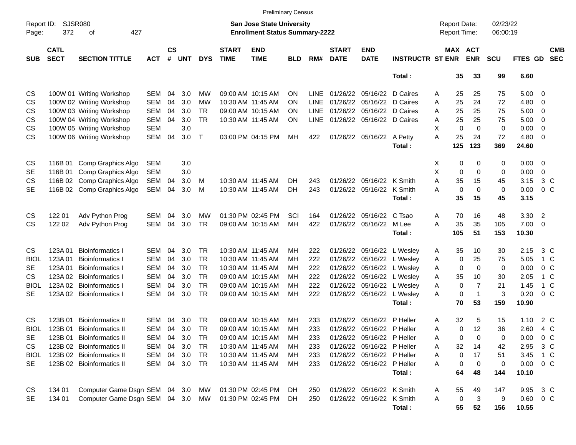|                     |                            |                                  |            |                    |            |            |                             | <b>Preliminary Census</b>                                                 |            |             |                             |                            |                         |   |                                     |                |                      |               |                |                          |
|---------------------|----------------------------|----------------------------------|------------|--------------------|------------|------------|-----------------------------|---------------------------------------------------------------------------|------------|-------------|-----------------------------|----------------------------|-------------------------|---|-------------------------------------|----------------|----------------------|---------------|----------------|--------------------------|
| Report ID:<br>Page: | <b>SJSR080</b><br>372      | 427<br>оf                        |            |                    |            |            |                             | <b>San Jose State University</b><br><b>Enrollment Status Summary-2222</b> |            |             |                             |                            |                         |   | <b>Report Date:</b><br>Report Time: |                | 02/23/22<br>06:00:19 |               |                |                          |
| <b>SUB</b>          | <b>CATL</b><br><b>SECT</b> | <b>SECTION TITTLE</b>            | <b>ACT</b> | $\mathsf{cs}$<br># | <b>UNT</b> | <b>DYS</b> | <b>START</b><br><b>TIME</b> | <b>END</b><br><b>TIME</b>                                                 | <b>BLD</b> | RM#         | <b>START</b><br><b>DATE</b> | <b>END</b><br><b>DATE</b>  | <b>INSTRUCTR ST ENR</b> |   | MAX ACT                             | <b>ENR</b>     | <b>SCU</b>           | FTES GD       |                | <b>CMB</b><br><b>SEC</b> |
|                     |                            |                                  |            |                    |            |            |                             |                                                                           |            |             |                             |                            | Total:                  |   | 35                                  | 33             | 99                   | 6.60          |                |                          |
| CS                  |                            | 100W 01 Writing Workshop         | <b>SEM</b> | 04                 | 3.0        | MW         |                             | 09:00 AM 10:15 AM                                                         | <b>ON</b>  | <b>LINE</b> | 01/26/22                    | 05/16/22                   | D Caires                | Α | 25                                  | 25             | 75                   | 5.00          | $\overline{0}$ |                          |
| CS                  |                            | 100W 02 Writing Workshop         | <b>SEM</b> | 04                 | 3.0        | <b>MW</b>  |                             | 10:30 AM 11:45 AM                                                         | <b>ON</b>  | <b>LINE</b> | 01/26/22                    | 05/16/22                   | D Caires                | A | 25                                  | 24             | 72                   | 4.80          | $\overline{0}$ |                          |
| CS                  |                            | 100W 03 Writing Workshop         | <b>SEM</b> | 04                 | 3.0        | <b>TR</b>  |                             | 09:00 AM 10:15 AM                                                         | <b>ON</b>  | <b>LINE</b> |                             | 01/26/22 05/16/22          | D Caires                | A | 25                                  | 25             | 75                   | 5.00          | 0              |                          |
| CS                  |                            | 100W 04 Writing Workshop         | <b>SEM</b> | 04                 | 3.0        | <b>TR</b>  |                             | 10:30 AM 11:45 AM                                                         | <b>ON</b>  | <b>LINE</b> |                             | 01/26/22 05/16/22          | D Caires                | A | 25                                  | 25             | 75                   | 5.00          | 0              |                          |
| CS                  |                            | 100W 05 Writing Workshop         | <b>SEM</b> |                    | 3.0        |            |                             |                                                                           |            |             |                             |                            |                         | X | $\mathbf 0$                         | $\mathbf 0$    | $\mathbf 0$          | 0.00          | $\overline{0}$ |                          |
| <b>CS</b>           |                            | 100W 06 Writing Workshop         | <b>SEM</b> | 04                 | 3.0        | Т          |                             | 03:00 PM 04:15 PM                                                         | MН         | 422         |                             | 01/26/22 05/16/22 A Petty  |                         | A | 25                                  | 24             | 72                   | 4.80          | $\overline{0}$ |                          |
|                     |                            |                                  |            |                    |            |            |                             |                                                                           |            |             |                             |                            | Total:                  |   | 125                                 | 123            | 369                  | 24.60         |                |                          |
| CS                  | 116B 01                    | Comp Graphics Algo               | <b>SEM</b> |                    | 3.0        |            |                             |                                                                           |            |             |                             |                            |                         | X | 0                                   | 0              | 0                    | 0.00          | 0              |                          |
| <b>SE</b>           | 116B 01                    | Comp Graphics Algo               | <b>SEM</b> |                    | 3.0        |            |                             |                                                                           |            |             |                             |                            |                         | X | $\mathbf 0$                         | $\mathbf 0$    | $\mathbf 0$          | 0.00          | 0              |                          |
| CS                  | 116B 02                    | Comp Graphics Algo               | <b>SEM</b> | 04                 | 3.0        | м          |                             | 10:30 AM 11:45 AM                                                         | DH         | 243         |                             | 01/26/22 05/16/22 K Smith  |                         | A | 35                                  | 15             | 45                   | 3.15          | 3 C            |                          |
| <b>SE</b>           | 116B 02                    | Comp Graphics Algo               | <b>SEM</b> | 04                 | 3.0        | M          |                             | 10:30 AM 11:45 AM                                                         | <b>DH</b>  | 243         |                             | 01/26/22 05/16/22          | K Smith                 | А | $\mathbf 0$                         | $\mathbf 0$    | $\mathbf 0$          | 0.00          | 0 <sup>C</sup> |                          |
|                     |                            |                                  |            |                    |            |            |                             |                                                                           |            |             |                             |                            | Total:                  |   | 35                                  | 15             | 45                   | 3.15          |                |                          |
| CS                  | 122 01                     | Adv Python Prog                  | <b>SEM</b> | 04                 | 3.0        | MW         |                             | 01:30 PM 02:45 PM                                                         | SCI        | 164         |                             | 01/26/22 05/16/22          | C Tsao                  | A | 70                                  | 16             | 48                   | 3.30          | $\overline{2}$ |                          |
| CS                  | 122 02                     | Adv Python Prog                  | <b>SEM</b> | 04                 | 3.0        | <b>TR</b>  |                             | 09:00 AM 10:15 AM                                                         | MH         | 422         |                             | 01/26/22 05/16/22          | M Lee                   | A | 35                                  | 35             | 105                  | 7.00          | 0              |                          |
|                     |                            |                                  |            |                    |            |            |                             |                                                                           |            |             |                             |                            | Total:                  |   | 105                                 | 51             | 153                  | 10.30         |                |                          |
| <b>CS</b>           | 123A 01                    | <b>Bioinformatics I</b>          | <b>SEM</b> | 04                 | 3.0        | <b>TR</b>  |                             | 10:30 AM 11:45 AM                                                         | MН         | 222         |                             | 01/26/22 05/16/22          | L Wesley                | Α | 35                                  | 10             | 30                   | 2.15          | 3 C            |                          |
| <b>BIOL</b>         | 123A 01                    | <b>Bioinformatics I</b>          | <b>SEM</b> | 04                 | 3.0        | <b>TR</b>  |                             | 10:30 AM 11:45 AM                                                         | MН         | 222         | 01/26/22                    | 05/16/22                   | L Wesley                | Α | $\mathbf 0$                         | 25             | 75                   | 5.05          | 1 C            |                          |
| <b>SE</b>           | 123A01                     | <b>Bioinformatics I</b>          | <b>SEM</b> | 04                 | 3.0        | <b>TR</b>  |                             | 10:30 AM 11:45 AM                                                         | ΜН         | 222         |                             | 01/26/22 05/16/22          | L Wesley                | Α | $\mathbf 0$                         | $\mathbf 0$    | 0                    | 0.00          | 0 <sup>C</sup> |                          |
| <b>CS</b>           | 123A 02                    | <b>Bioinformatics I</b>          | <b>SEM</b> | 04                 | 3.0        | <b>TR</b>  |                             | 09:00 AM 10:15 AM                                                         | ΜН         | 222         |                             | 01/26/22 05/16/22          | L Wesley                | A | 35                                  | 10             | 30                   | 2.05          | 1 C            |                          |
| <b>BIOL</b>         | 123A 02                    | <b>Bioinformatics I</b>          | <b>SEM</b> | 04                 | 3.0        | <b>TR</b>  |                             | 09:00 AM 10:15 AM                                                         | MН         | 222         |                             | 01/26/22 05/16/22          | L Wesley                | Α | 0                                   | $\overline{7}$ | 21                   | 1.45          | $1\,C$         |                          |
| <b>SE</b>           | 123A 02                    | <b>Bioinformatics I</b>          | <b>SEM</b> | 04                 | 3.0        | <b>TR</b>  |                             | 09:00 AM 10:15 AM                                                         | MH         | 222         |                             | 01/26/22 05/16/22          | L Wesley                | A | $\mathbf 0$                         | $\overline{1}$ | 3                    | 0.20          | 0 <sup>C</sup> |                          |
|                     |                            |                                  |            |                    |            |            |                             |                                                                           |            |             |                             |                            | Total:                  |   | 70                                  | 53             | 159                  | 10.90         |                |                          |
| <b>CS</b>           | 123B 01                    | <b>Bioinformatics II</b>         | <b>SEM</b> | 04                 | 3.0        | TR.        |                             | 09:00 AM 10:15 AM                                                         | ΜН         | 233         | 01/26/22                    | 05/16/22                   | P Heller                | Α | 32                                  | 5              | 15                   | 1.10          | 2 C            |                          |
| <b>BIOL</b>         | 123B 01                    | <b>Bioinformatics II</b>         | <b>SEM</b> | 04                 | 3.0        | <b>TR</b>  |                             | 09:00 AM 10:15 AM                                                         | MH         | 233         |                             | 01/26/22 05/16/22 P Heller |                         | A | 0                                   | 12             | 36                   | 2.60          | 4 C            |                          |
| SE                  |                            | 123B 01 Bioinformatics II        | SEM        | 04                 | 3.0        | TR         |                             | 09:00 AM 10:15 AM                                                         | MН         | 233         |                             | 01/26/22 05/16/22 P Heller |                         | Α | 0                                   | 0              | 0                    | 0.00          | $0\,C$         |                          |
| <b>CS</b>           |                            | 123B 02 Bioinformatics II        | SEM        | 04                 | 3.0        | TR         |                             | 10:30 AM 11:45 AM                                                         | МH         | 233         |                             | 01/26/22 05/16/22 P Heller |                         | A | 32                                  | 14             | 42                   | 2.95          | 3 C            |                          |
| <b>BIOL</b>         |                            | 123B 02 Bioinformatics II        | SEM        |                    | 04 3.0     | TR         |                             | 10:30 AM 11:45 AM                                                         | MH.        | 233         |                             | 01/26/22 05/16/22 P Heller |                         | Α | 0                                   | 17             | 51                   | 3.45          | 1 C            |                          |
| <b>SE</b>           |                            | 123B 02 Bioinformatics II        | SEM        |                    | 04 3.0     | TR         |                             | 10:30 AM 11:45 AM                                                         | MH.        | 233         |                             | 01/26/22 05/16/22 P Heller |                         | A | 0                                   | 0              | 0                    | 0.00          | $0\,$ C        |                          |
|                     |                            |                                  |            |                    |            |            |                             |                                                                           |            |             |                             |                            | Total:                  |   | 64                                  | 48             | 144                  | 10.10         |                |                          |
| CS                  | 134 01                     | Computer Game Dsgn SEM 04 3.0    |            |                    |            | МW         |                             | 01:30 PM 02:45 PM                                                         | DH.        | 250         |                             | 01/26/22 05/16/22 K Smith  |                         | A | 55                                  | 49             | 147                  | 9.95          | 3 C            |                          |
| <b>SE</b>           | 134 01                     | Computer Game Dsgn SEM 04 3.0 MW |            |                    |            |            |                             | 01:30 PM 02:45 PM                                                         | DH.        | 250         |                             | 01/26/22 05/16/22 K Smith  |                         | A | 0                                   | $\mathbf{3}$   | 9                    | $0.60 \t 0 C$ |                |                          |
|                     |                            |                                  |            |                    |            |            |                             |                                                                           |            |             |                             |                            | Total:                  |   | 55                                  | 52             | 156                  | 10.55         |                |                          |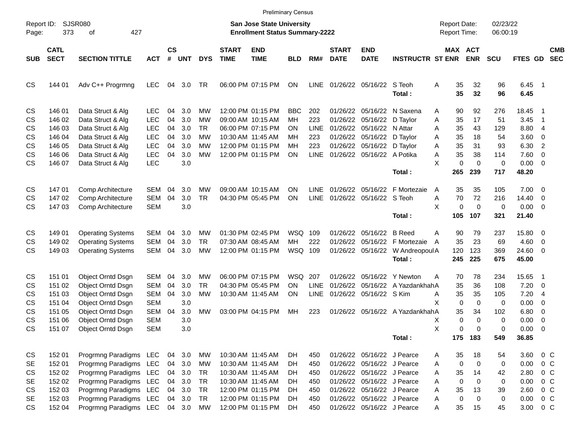|                     |                            |                                                             |                                 |                |                   |                 |                             |                                                                           | <b>Preliminary Census</b> |                            |                             |                                                          |                                             |                                            |                       |                      |                              |                                                     |
|---------------------|----------------------------|-------------------------------------------------------------|---------------------------------|----------------|-------------------|-----------------|-----------------------------|---------------------------------------------------------------------------|---------------------------|----------------------------|-----------------------------|----------------------------------------------------------|---------------------------------------------|--------------------------------------------|-----------------------|----------------------|------------------------------|-----------------------------------------------------|
| Report ID:<br>Page: | 373                        | SJSR080<br>427<br>οf                                        |                                 |                |                   |                 |                             | <b>San Jose State University</b><br><b>Enrollment Status Summary-2222</b> |                           |                            |                             |                                                          |                                             | <b>Report Date:</b><br><b>Report Time:</b> |                       | 02/23/22<br>06:00:19 |                              |                                                     |
| <b>SUB</b>          | <b>CATL</b><br><b>SECT</b> | <b>SECTION TITTLE</b>                                       | <b>ACT</b>                      | <b>CS</b><br># | <b>UNT</b>        | <b>DYS</b>      | <b>START</b><br><b>TIME</b> | <b>END</b><br><b>TIME</b>                                                 | <b>BLD</b>                | RM#                        | <b>START</b><br><b>DATE</b> | <b>END</b><br><b>DATE</b>                                | <b>INSTRUCTR ST ENR</b>                     |                                            | MAX ACT<br><b>ENR</b> | <b>SCU</b>           | <b>FTES GD</b>               | <b>CMB</b><br><b>SEC</b>                            |
| <b>CS</b>           | 144 01                     | Adv C++ Progrmng                                            | <b>LEC</b>                      | 04             | 3.0               | TR              |                             | 06:00 PM 07:15 PM                                                         | ON                        | <b>LINE</b>                |                             | 01/26/22 05/16/22                                        | S Teoh<br>Total:                            | Α<br>35<br>35                              | 32<br>32              | 96<br>96             | 6.45<br>6.45                 | $\overline{\phantom{1}}$                            |
| CS<br>CS            | 146 01<br>146 02           | Data Struct & Alg<br>Data Struct & Alg                      | <b>LEC</b><br><b>LEC</b>        | 04<br>04       | 3.0<br>3.0        | МW<br>МW        |                             | 12:00 PM 01:15 PM<br>09:00 AM 10:15 AM                                    | <b>BBC</b><br><b>MH</b>   | 202<br>223                 | 01/26/22<br>01/26/22        | 05/16/22 D Taylor                                        | 05/16/22 N Saxena                           | 90<br>Α<br>Α<br>35                         | 92<br>17              | 276<br>51            | 18.45<br>3.45                | - 1<br>- 1                                          |
| CS<br>CS            | 146 03<br>146 04           | Data Struct & Alg<br>Data Struct & Alg                      | <b>LEC</b><br><b>LEC</b>        | 04<br>04       | 3.0<br>3.0        | TR.<br>МW       |                             | 06:00 PM 07:15 PM<br>10:30 AM 11:45 AM                                    | ΟN<br>ΜН                  | <b>LINE</b><br>223         | 01/26/22<br>01/26/22        | 05/16/22 N Attar<br>05/16/22 D Taylor                    |                                             | 35<br>Α<br>35<br>Α                         | 43<br>18              | 129<br>54            | 8.80<br>3.60                 | $\overline{4}$<br>0                                 |
| CS<br>CS            | 146 05<br>146 06<br>146 07 | Data Struct & Alg<br>Data Struct & Alg                      | <b>LEC</b><br><b>LEC</b>        | 04<br>04       | 3.0<br>3.0<br>3.0 | МW<br>MW        |                             | 12:00 PM 01:15 PM<br>12:00 PM 01:15 PM                                    | MH<br>ΟN                  | 223<br><b>LINE</b>         |                             | 01/26/22 05/16/22 D Taylor<br>01/26/22 05/16/22 A Potika |                                             | Α<br>35<br>35<br>Α<br>X                    | 31<br>38<br>$\Omega$  | 93<br>114            | 6.30<br>7.60                 | $\overline{2}$<br>$\overline{0}$                    |
| CS                  |                            | Data Struct & Alg                                           | <b>LEC</b>                      |                |                   |                 |                             |                                                                           |                           |                            |                             |                                                          | Total:                                      | $\pmb{0}$<br>265                           | 239                   | 0<br>717             | $0.00 \t 0$<br>48.20         |                                                     |
| CS<br>CS<br>CS      | 14701<br>147 02<br>14703   | Comp Architecture<br>Comp Architecture<br>Comp Architecture | <b>SEM</b><br>SEM<br><b>SEM</b> | 04<br>04       | 3.0<br>3.0<br>3.0 | МW<br><b>TR</b> |                             | 09:00 AM 10:15 AM<br>04:30 PM 05:45 PM                                    | ΟN<br>ON                  | <b>LINE</b><br><b>LINE</b> | 01/26/22                    | 05/16/22<br>01/26/22 05/16/22 S Teoh                     | F Mortezaie                                 | 35<br>Α<br>70<br>Α<br>X<br>$\pmb{0}$       | 35<br>72<br>0         | 105<br>216<br>0      | 7.00<br>14.40<br>$0.00 \t 0$ | $\overline{\phantom{0}}$<br>$\overline{\mathbf{0}}$ |
|                     |                            |                                                             |                                 |                |                   |                 |                             |                                                                           |                           |                            |                             |                                                          | Total:                                      | 105                                        | 107                   | 321                  | 21.40                        |                                                     |
| CS<br>CS            | 149 01<br>149 02           | <b>Operating Systems</b><br><b>Operating Systems</b>        | <b>SEM</b><br><b>SEM</b>        | 04<br>04       | 3.0<br>3.0        | MW<br><b>TR</b> |                             | 01:30 PM 02:45 PM<br>07:30 AM 08:45 AM                                    | WSQ<br>MH                 | 109<br>222                 | 01/26/22<br>01/26/22        | 05/16/22 B Reed                                          | 05/16/22 F Mortezaie                        | Α<br>90<br>35<br>A                         | 79<br>23              | 237<br>69            | 15.80 0<br>4.60              | - 0                                                 |
| CS                  | 149 03                     | <b>Operating Systems</b>                                    | SEM                             | 04             | 3.0               | MW              |                             | 12:00 PM 01:15 PM                                                         | WSQ 109                   |                            |                             | 01/26/22 05/16/22                                        | W Andreopoul A<br>Total:                    | 120<br>245                                 | 123<br>225            | 369<br>675           | 24.60 0<br>45.00             |                                                     |
| CS<br>CS            | 151 01<br>151 02           | Object Orntd Dsgn<br>Object Orntd Dsgn                      | <b>SEM</b><br><b>SEM</b>        | 04<br>04       | 3.0<br>3.0        | МW<br><b>TR</b> |                             | 06:00 PM 07:15 PM<br>04:30 PM 05:45 PM                                    | <b>WSQ</b><br>ΟN          | 207<br><b>LINE</b>         | 01/26/22<br>01/26/22        |                                                          | 05/16/22 Y Newton<br>05/16/22 A YazdankhahA | 70<br>Α<br>35                              | 78<br>36              | 234<br>108           | 15.65<br>7.20                | $\overline{\phantom{1}}$<br>- 0                     |
| CS<br>CS            | 151 03<br>151 04           | <b>Object Orntd Dsgn</b><br>Object Orntd Dsgn               | <b>SEM</b><br><b>SEM</b>        | 04             | 3.0<br>3.0        | МW              |                             | 10:30 AM 11:45 AM                                                         | ON                        | <b>LINE</b>                |                             | 01/26/22 05/16/22 S Kim                                  |                                             | 35<br>Α<br>X<br>0                          | 35<br>0               | 105<br>0             | 7.20<br>0.00                 | -4<br>0                                             |
| CS<br>CS            | 151 05<br>151 06           | Object Orntd Dsgn<br>Object Orntd Dsgn                      | SEM<br><b>SEM</b>               | 04             | 3.0<br>3.0        | <b>MW</b>       |                             | 03:00 PM 04:15 PM                                                         | MH                        | 223                        |                             |                                                          | 01/26/22 05/16/22 A YazdankhahA             | 35<br>0<br>х                               | 34<br>0               | 102<br>0             | 6.80<br>0.00                 | 0<br>0                                              |
| CS                  | 151 07                     | Object Orntd Dsgn                                           | <b>SEM</b>                      |                | 3.0               |                 |                             |                                                                           |                           |                            |                             |                                                          | Total:                                      | X<br>0                                     | 0<br>175 183          | 0<br>549             | 0.00<br>36.85                | $\overline{\mathbf{0}}$                             |
| CS<br>SE            | 152 01<br>152 01           | Progrmng Paradigms LEC<br>Progrmng Paradigms LEC            |                                 | 04<br>04       | 3.0<br>3.0        | MW<br>МW        |                             | 10:30 AM 11:45 AM<br>10:30 AM 11:45 AM                                    | DH<br>DH                  | 450<br>450                 |                             | 01/26/22 05/16/22 J Pearce<br>01/26/22 05/16/22 J Pearce |                                             | 35<br>A<br>0<br>Α                          | 18<br>$\mathbf 0$     | 54<br>0              | 0.00                         | 3.60 0 C<br>$0\,C$                                  |
| CS<br><b>SE</b>     | 152 02<br>152 02           | Progrmng Paradigms LEC<br>Progrmng Paradigms LEC            |                                 | 04<br>04       | 3.0<br>3.0        | TR<br>TR        |                             | 10:30 AM 11:45 AM<br>10:30 AM 11:45 AM                                    | DH<br>DH.                 | 450<br>450                 |                             | 01/26/22 05/16/22 J Pearce<br>01/26/22 05/16/22 J Pearce |                                             | 35<br>Α<br>$\mathbf 0$<br>Α                | 14<br>$\mathbf 0$     | 42<br>0              | 2.80<br>0.00                 | $0\,C$<br>$0\,C$                                    |
| CS<br><b>SE</b>     | 152 03<br>152 03           | Progrmng Paradigms LEC<br>Progrmng Paradigms LEC            |                                 | 04<br>04       | 3.0<br>3.0        | TR<br><b>TR</b> |                             | 12:00 PM 01:15 PM<br>12:00 PM 01:15 PM                                    | DH.<br>DH.                | 450<br>450                 |                             | 01/26/22 05/16/22 J Pearce<br>01/26/22 05/16/22 J Pearce |                                             | 35<br>Α<br>$\mathbf 0$<br>Α                | 13<br>$\mathbf 0$     | 39<br>0              | 2.60<br>0.00                 | $0\,C$<br>$0\,C$                                    |
| <b>CS</b>           | 152 04                     | Progrmng Paradigms LEC                                      |                                 |                | 04 3.0            | MW              |                             | 12:00 PM 01:15 PM                                                         | DH                        | 450                        |                             | 01/26/22 05/16/22 J Pearce                               |                                             | Α<br>35                                    | 15                    | 45                   |                              | 3.00 0 C                                            |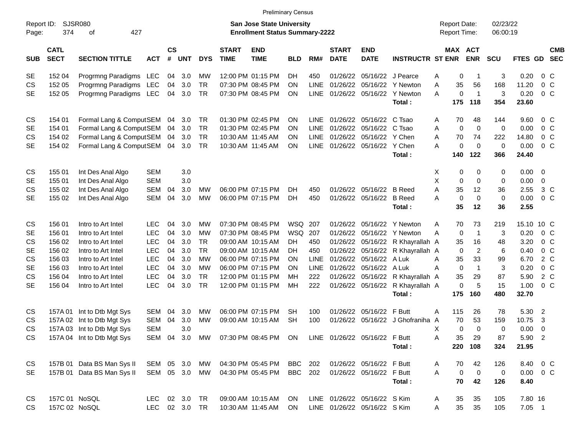| <b>Preliminary Census</b><br><b>Report Date:</b>   |                            |                            |            |                |                                                                           |            |                             |                                                                  |            |             |                              |                           |                                  |                  |                       |                      |            |                          |
|----------------------------------------------------|----------------------------|----------------------------|------------|----------------|---------------------------------------------------------------------------|------------|-----------------------------|------------------------------------------------------------------|------------|-------------|------------------------------|---------------------------|----------------------------------|------------------|-----------------------|----------------------|------------|--------------------------|
| SJSR080<br>Report ID:<br>374<br>427<br>οf<br>Page: |                            |                            |            |                | <b>San Jose State University</b><br><b>Enrollment Status Summary-2222</b> |            |                             |                                                                  |            |             |                              |                           |                                  |                  |                       | 02/23/22<br>06:00:19 |            |                          |
| <b>SUB</b>                                         | <b>CATL</b><br><b>SECT</b> | <b>SECTION TITTLE</b>      | <b>ACT</b> | <b>CS</b><br># | <b>UNT</b>                                                                | <b>DYS</b> | <b>START</b><br><b>TIME</b> | <b>END</b><br><b>TIME</b>                                        | <b>BLD</b> | RM#         | <b>START</b><br><b>DATE</b>  | <b>END</b><br><b>DATE</b> | <b>INSTRUCTR ST ENR</b>          |                  | MAX ACT<br><b>ENR</b> | <b>SCU</b>           | FTES GD    | <b>CMB</b><br><b>SEC</b> |
| <b>SE</b>                                          | 152 04                     | Progrmng Paradigms LEC     |            | 04             | 3.0                                                                       | MW         |                             | 12:00 PM 01:15 PM                                                | DH         | 450         | 01/26/22                     | 05/16/22 J Pearce         |                                  | Α                | 0<br>-1               | 3                    | 0.20       | $0\,$ C                  |
| CS                                                 | 152 05                     | Progrmng Paradigms LEC     |            | 04             | 3.0                                                                       | <b>TR</b>  |                             | 07:30 PM 08:45 PM                                                | ΟN         | LINE        | 01/26/22                     | 05/16/22                  | Y Newton                         | Α<br>35          | 56                    | 168                  | 11.20      | $0\,C$                   |
| <b>SE</b>                                          | 152 05                     | Progrmng Paradigms LEC     |            | 04             | 3.0                                                                       | TR         |                             | 07:30 PM 08:45 PM                                                | ON         | <b>LINE</b> |                              |                           | 01/26/22 05/16/22 Y Newton       | A                | 0<br>$\overline{1}$   | 3                    | 0.20       | $0\,C$                   |
|                                                    |                            |                            |            |                |                                                                           |            |                             |                                                                  |            |             |                              |                           | Total:                           | 175              | 118                   | 354                  | 23.60      |                          |
| CS                                                 | 154 01                     | Formal Lang & ComputSEM    |            | 04             | 3.0                                                                       | TR         |                             | 01:30 PM 02:45 PM                                                | ΟN         | <b>LINE</b> | 01/26/22                     | 05/16/22                  | C Tsao                           | 70<br>A          | 48                    | 144                  | 9.60       | $0\,$ C                  |
| <b>SE</b>                                          | 154 01                     | Formal Lang & ComputSEM    |            | 04             | 3.0                                                                       | <b>TR</b>  |                             | 01:30 PM 02:45 PM                                                | ΟN         | <b>LINE</b> | 01/26/22                     | 05/16/22                  | C Tsao                           | Α<br>$\mathbf 0$ | $\mathbf 0$           | 0                    | 0.00       | $0\,$ C                  |
| CS                                                 | 154 02                     | Formal Lang & ComputSEM    |            | 04             | 3.0                                                                       | TR         |                             | 10:30 AM 11:45 AM                                                | ΟN         | <b>LINE</b> |                              | 01/26/22 05/16/22         | Y Chen                           | Α<br>70          | 74                    | 222                  | 14.80      | $0\,C$                   |
| <b>SE</b>                                          | 154 02                     | Formal Lang & ComputSEM    |            |                | 04 3.0                                                                    | TR         |                             | 10:30 AM 11:45 AM                                                | ON         | <b>LINE</b> |                              | 01/26/22 05/16/22 Y Chen  |                                  | A                | $\mathbf 0$<br>0      | 0                    | 0.00       | $0\,C$                   |
|                                                    |                            |                            |            |                |                                                                           |            |                             |                                                                  |            |             |                              |                           | Total:                           | 140              | 122                   | 366                  | 24.40      |                          |
| CS                                                 | 155 01                     | Int Des Anal Algo          | <b>SEM</b> |                | 3.0                                                                       |            |                             |                                                                  |            |             |                              |                           |                                  | Х                | 0<br>0                | 0                    | 0.00       | $\overline{0}$           |
| <b>SE</b>                                          | 155 01                     | Int Des Anal Algo          | <b>SEM</b> |                | 3.0                                                                       |            |                             |                                                                  |            |             |                              |                           |                                  | Χ<br>0           | 0                     | 0                    | 0.00       | $\mathbf 0$              |
| <b>CS</b>                                          | 155 02                     | Int Des Anal Algo          | <b>SEM</b> | 04             | 3.0                                                                       | MW         |                             | 06:00 PM 07:15 PM                                                | DH         | 450         |                              | 01/26/22 05/16/22 B Reed  |                                  | Α<br>35          | 12                    | 36                   | 2.55       | 3 <sup>C</sup>           |
| <b>SE</b>                                          | 155 02                     | Int Des Anal Algo          | <b>SEM</b> | 04             | 3.0                                                                       | <b>MW</b>  |                             | 06:00 PM 07:15 PM                                                | DH.        | 450         |                              | 01/26/22 05/16/22 B Reed  |                                  | $\mathbf 0$<br>A | $\mathbf 0$           | 0                    | 0.00       | 0 <sup>o</sup>           |
|                                                    |                            |                            |            |                |                                                                           |            |                             |                                                                  |            |             |                              |                           | Total:                           | 35               | 12                    | 36                   | 2.55       |                          |
| CS                                                 | 156 01                     | Intro to Art Intel         | <b>LEC</b> | 04             | 3.0                                                                       | МW         |                             | 07:30 PM 08:45 PM                                                | WSQ        | 207         | 01/26/22                     | 05/16/22                  | Y Newton                         | 70<br>A          | 73                    | 219                  | 15.10 10 C |                          |
| <b>SE</b>                                          | 156 01                     | Intro to Art Intel         | <b>LEC</b> | 04             | 3.0                                                                       | MW         |                             | 07:30 PM 08:45 PM                                                | WSQ        | 207         | 01/26/22                     |                           | 05/16/22 Y Newton                | A<br>0           | $\overline{1}$        | 3                    | 0.20       | 0 <sup>o</sup>           |
| CS                                                 | 156 02                     | Intro to Art Intel         | <b>LEC</b> | 04             | 3.0                                                                       | TR         |                             | 09:00 AM 10:15 AM                                                | DH         | 450         | 01/26/22                     |                           | 05/16/22 R Khayrallah A          | 35               | 16                    | 48                   | 3.20       | $0\,C$                   |
| <b>SE</b>                                          | 156 02                     | Intro to Art Intel         | <b>LEC</b> | 04             | 3.0                                                                       | <b>TR</b>  |                             | 09:00 AM 10:15 AM                                                | DH         | 450         | 01/26/22                     |                           | 05/16/22 R Khayrallah A          | 0                | $\overline{2}$        | 6                    | 0.40       | $0\,C$                   |
| CS                                                 | 156 03                     | Intro to Art Intel         | <b>LEC</b> | 04             | 3.0                                                                       | <b>MW</b>  |                             | 06:00 PM 07:15 PM                                                | ΟN         | LINE        | 01/26/22                     | 05/16/22                  | A Luk                            | 35<br>Α          | 33                    | 99                   | 6.70       | $2\degree$ C             |
| <b>SE</b>                                          | 156 03                     | Intro to Art Intel         | <b>LEC</b> | 04             | 3.0                                                                       | <b>MW</b>  |                             | 06:00 PM 07:15 PM                                                | ΟN         | LINE        | 01/26/22                     | 05/16/22                  | A Luk                            | $\mathbf 0$<br>Α | $\overline{1}$        | 3                    | 0.20       | $0\,C$                   |
| <b>CS</b>                                          | 156 04                     | Intro to Art Intel         | <b>LEC</b> | 04             | 3.0                                                                       | <b>TR</b>  |                             | 12:00 PM 01:15 PM                                                | <b>MH</b>  | 222         | 01/26/22                     |                           | 05/16/22 R Khayrallah A          | 35               | 29                    | 87                   | 5.90       | 2 C                      |
| <b>SE</b>                                          | 156 04                     | Intro to Art Intel         | <b>LEC</b> | 04             | 3.0                                                                       | <b>TR</b>  |                             | 12:00 PM 01:15 PM                                                | MH         | 222         |                              |                           | 01/26/22 05/16/22 R Khayrallah A |                  | 0<br>5                | 15                   | 1.00       | $0\,C$                   |
|                                                    |                            |                            |            |                |                                                                           |            |                             |                                                                  |            |             |                              |                           | Total:                           | 175              | 160                   | 480                  | 32.70      |                          |
| CS                                                 | 157A 01                    | Int to Dtb Mgt Sys         | SEM        | 04             | 3.0                                                                       | MW         |                             | 06:00 PM 07:15 PM                                                | SН         | 100         | 01/26/22                     | 05/16/22 F Butt           |                                  | 115<br>A         | 26                    | 78                   | 5.30       | $\overline{\phantom{a}}$ |
| CS                                                 |                            | 157A 02 Int to Dtb Mgt Sys | <b>SEM</b> | 04             | 3.0                                                                       | <b>MW</b>  |                             | 09:00 AM 10:15 AM                                                | <b>SH</b>  | 100         |                              |                           | 01/26/22 05/16/22 J Ghofraniha A | 70               | 53                    | 159                  | 10.75      | 3                        |
| <b>CS</b>                                          |                            | 157A 03 Int to Dtb Mgt Sys | <b>SEM</b> |                | 3.0                                                                       |            |                             |                                                                  |            |             |                              |                           |                                  | X                | 0<br>$\Omega$         | 0                    | 0.00       | $\overline{0}$           |
| <b>CS</b>                                          |                            | 157A 04 Int to Dtb Mgt Sys |            |                |                                                                           |            |                             | SEM 04 3.0 MW 07:30 PM 08:45 PM ON LINE 01/26/22 05/16/22 F Butt |            |             |                              |                           |                                  | A<br>$35\,$      | 29                    | 87                   | 5.90 2     |                          |
|                                                    |                            |                            |            |                |                                                                           |            |                             |                                                                  |            |             |                              |                           | Total:                           |                  | 220 108               | 324                  | 21.95      |                          |
| CS                                                 |                            | 157B 01 Data BS Man Sys II | SEM 05 3.0 |                |                                                                           | МW         |                             | 04:30 PM 05:45 PM                                                | BBC        | 202         |                              | 01/26/22 05/16/22 F Butt  |                                  | 70<br>A          | 42                    | 126                  |            | 8.40 0 C                 |
| <b>SE</b>                                          |                            | 157B 01 Data BS Man Sys II | SEM 05 3.0 |                |                                                                           | MW         |                             | 04:30 PM 05:45 PM                                                | BBC        | 202         |                              | 01/26/22 05/16/22 F Butt  |                                  | A<br>$\pmb{0}$   | $\overline{0}$        | $\pmb{0}$            |            | $0.00 \t 0 C$            |
|                                                    |                            |                            |            |                |                                                                           |            |                             |                                                                  |            |             |                              |                           | Total:                           | 70               | 42                    | 126                  | 8.40       |                          |
| CS                                                 | 157C 01 NoSQL              |                            | <b>LEC</b> |                | 02 3.0                                                                    | TR.        |                             | 09:00 AM 10:15 AM                                                | <b>ON</b>  |             | LINE 01/26/22 05/16/22 S Kim |                           |                                  | 35<br>A          | 35                    | 105                  | 7.80 16    |                          |
| <b>CS</b>                                          | 157C 02 NoSQL              |                            | <b>LEC</b> |                | 02 3.0 TR                                                                 |            |                             | 10:30 AM 11:45 AM                                                | ON         |             | LINE 01/26/22 05/16/22 S Kim |                           |                                  | 35<br>Α          | 35                    | 105                  | $7.05$ 1   |                          |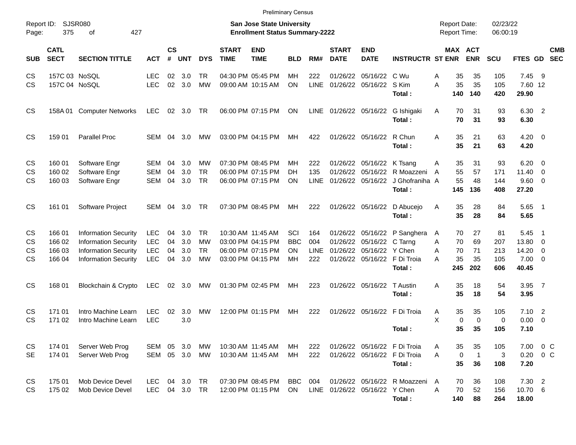| <b>Preliminary Census</b>                                 |                            |                             |            |                                                                           |           |            |                             |                           |            |             |                               |                            |                                             |   |                                            |                       |                      |                    |                          |            |
|-----------------------------------------------------------|----------------------------|-----------------------------|------------|---------------------------------------------------------------------------|-----------|------------|-----------------------------|---------------------------|------------|-------------|-------------------------------|----------------------------|---------------------------------------------|---|--------------------------------------------|-----------------------|----------------------|--------------------|--------------------------|------------|
| <b>SJSR080</b><br>Report ID:<br>375<br>427<br>Page:<br>оf |                            |                             |            | <b>San Jose State University</b><br><b>Enrollment Status Summary-2222</b> |           |            |                             |                           |            |             |                               |                            |                                             |   | <b>Report Date:</b><br><b>Report Time:</b> |                       | 02/23/22<br>06:00:19 |                    |                          |            |
| <b>SUB</b>                                                | <b>CATL</b><br><b>SECT</b> | <b>SECTION TITTLE</b>       | <b>ACT</b> | <b>CS</b><br>#                                                            | UNT       | <b>DYS</b> | <b>START</b><br><b>TIME</b> | <b>END</b><br><b>TIME</b> | <b>BLD</b> | RM#         | <b>START</b><br><b>DATE</b>   | <b>END</b><br><b>DATE</b>  | <b>INSTRUCTR ST ENR</b>                     |   |                                            | MAX ACT<br><b>ENR</b> | <b>SCU</b>           | FTES GD SEC        |                          | <b>CMB</b> |
| CS.                                                       | 157C 03 NoSQL              |                             | LEC        | 02                                                                        | 3.0       | TR.        |                             | 04:30 PM 05:45 PM         | MН         | 222         | 01/26/22                      | 05/16/22 C Wu              |                                             | Α | 35                                         | 35                    | 105                  | 7.45               | - 9                      |            |
| CS.                                                       | 157C 04 NoSQL              |                             | LEC        | 02                                                                        | 3.0       | <b>MW</b>  |                             | 09:00 AM 10:15 AM         | <b>ON</b>  | <b>LINE</b> |                               | 01/26/22 05/16/22 S Kim    | Total:                                      | A | 35<br>140                                  | 35<br>140             | 105<br>420           | 7.60 12<br>29.90   |                          |            |
| CS                                                        |                            | 158A 01 Computer Networks   | LEC        |                                                                           | 02 3.0    | TR         |                             | 06:00 PM 07:15 PM         | ON         |             |                               |                            | LINE 01/26/22 05/16/22 G Ishigaki<br>Total: | A | 70<br>70                                   | 31<br>31              | 93<br>93             | 6.30 2<br>6.30     |                          |            |
| CS                                                        | 159 01                     | <b>Parallel Proc</b>        | SEM        | 04                                                                        | 3.0       | MW         |                             | 03:00 PM 04:15 PM         | MН         | 422         |                               | 01/26/22 05/16/22 R Chun   | Total:                                      | A | 35<br>35                                   | 21<br>21              | 63<br>63             | $4.20 \ 0$<br>4.20 |                          |            |
| CS.                                                       | 160 01                     | Software Engr               | SEM        | 04                                                                        | 3.0       | МW         |                             | 07:30 PM 08:45 PM         | MН         | 222         |                               | 01/26/22 05/16/22 K Tsang  |                                             | Α | 35                                         | 31                    | 93                   | 6.20               | $\overline{\phantom{0}}$ |            |
| CS                                                        | 160 02                     | Software Engr               | <b>SEM</b> | 04                                                                        | 3.0       | <b>TR</b>  |                             | 06:00 PM 07:15 PM         | DH         | 135         | 01/26/22                      |                            | 05/16/22 R Moazzeni                         | A | 55                                         | 57                    | 171                  | 11.40              | $\overline{\mathbf{0}}$  |            |
| CS                                                        | 160 03                     | Software Engr               | <b>SEM</b> | 04                                                                        | 3.0       | <b>TR</b>  |                             | 06:00 PM 07:15 PM         | ON         | LINE        |                               |                            | 01/26/22 05/16/22 J Ghofraniha A            |   | 55                                         | 48                    | 144                  | 9.60 0             |                          |            |
|                                                           |                            |                             |            |                                                                           |           |            |                             |                           |            |             |                               |                            | Total:                                      |   | 145                                        | 136                   | 408                  | 27.20              |                          |            |
| CS                                                        | 161 01                     | Software Project            | SEM        | 04                                                                        | 3.0       | TR         |                             | 07:30 PM 08:45 PM         | MН         | 222         |                               |                            | 01/26/22 05/16/22 D Abucejo                 | Α | 35                                         | 28                    | 84                   | $5.65$ 1           |                          |            |
|                                                           |                            |                             |            |                                                                           |           |            |                             |                           |            |             |                               |                            | Total:                                      |   | 35                                         | 28                    | 84                   | 5.65               |                          |            |
| CS                                                        | 166 01                     | <b>Information Security</b> | LEC        | 04                                                                        | 3.0       | TR.        |                             | 10:30 AM 11:45 AM         | SCI        | 164         |                               |                            | 01/26/22 05/16/22 P Sanghera                | A | 70                                         | 27                    | 81                   | 5.45               | - 1                      |            |
| CS.                                                       | 166 02                     | <b>Information Security</b> | LEC        | 04                                                                        | 3.0       | МW         |                             | 03:00 PM 04:15 PM         | <b>BBC</b> | 004         | 01/26/22                      | 05/16/22 C Tarng           |                                             | A | 70                                         | 69                    | 207                  | 13.80              | $\overline{\mathbf{0}}$  |            |
| CS                                                        | 166 03                     | <b>Information Security</b> | LEC        | 04                                                                        | 3.0       | <b>TR</b>  |                             | 06:00 PM 07:15 PM         | <b>ON</b>  | <b>LINE</b> |                               | 01/26/22 05/16/22 Y Chen   |                                             | A | 70                                         | 71                    | 213                  | 14.20              | - 0                      |            |
| CS                                                        | 166 04                     | <b>Information Security</b> | LEC        | 04                                                                        | 3.0       | <b>MW</b>  |                             | 03:00 PM 04:15 PM         | MН         | 222         |                               |                            | 01/26/22 05/16/22 F Di Troia                | A | 35                                         | 35                    | 105                  | $7.00 \t 0$        |                          |            |
|                                                           |                            |                             |            |                                                                           |           |            |                             |                           |            |             |                               |                            | Total:                                      |   | 245                                        | 202                   | 606                  | 40.45              |                          |            |
| CS                                                        | 168 01                     | Blockchain & Crypto         | LEC        |                                                                           | 02 3.0    | MW         |                             | 01:30 PM 02:45 PM         | МH         | 223         |                               | 01/26/22 05/16/22 T Austin |                                             | A | 35                                         | 18                    | 54                   | 3.95 7             |                          |            |
|                                                           |                            |                             |            |                                                                           |           |            |                             |                           |            |             |                               |                            | Total:                                      |   | 35                                         | 18                    | 54                   | 3.95               |                          |            |
| CS.                                                       | 171 01                     | Intro Machine Learn         | LEC        | 02                                                                        | 3.0       | <b>MW</b>  |                             | 12:00 PM 01:15 PM         | МH         | 222         |                               |                            | 01/26/22 05/16/22 F Di Troia                | A | 35                                         | 35                    | 105                  | $7.10$ 2           |                          |            |
| CS                                                        | 171 02                     | Intro Machine Learn         | LEC        |                                                                           | 3.0       |            |                             |                           |            |             |                               |                            |                                             | X | 0                                          | 0                     | 0                    | 0.00               | $\overline{\phantom{0}}$ |            |
|                                                           |                            |                             |            |                                                                           |           |            |                             |                           |            |             |                               |                            | Total :                                     |   | 35                                         | 35                    | 105                  | 7.10               |                          |            |
| CS                                                        | 174 01                     | Server Web Prog             | SEM        | 05                                                                        | 3.0       | МW         |                             | 10:30 AM 11:45 AM         | MH.        | 222         |                               |                            | 01/26/22 05/16/22 F Di Troia                | A | 35                                         | 35                    | 105                  | 7.00 0 C           |                          |            |
| <b>SE</b>                                                 | 174 01                     | Server Web Prog             | SEM        |                                                                           | 05 3.0    | МW         |                             | 10:30 AM 11:45 AM         | MН         | 222         |                               |                            | 01/26/22 05/16/22 F Di Troia                | A | 0                                          | $\mathbf{1}$          | 3                    | $0.20 \t 0 C$      |                          |            |
|                                                           |                            |                             |            |                                                                           |           |            |                             |                           |            |             |                               |                            | Total:                                      |   | 35                                         | 36                    | 108                  | 7.20               |                          |            |
| CS                                                        | 175 01                     | Mob Device Devel            | LEC        |                                                                           | 04 3.0    | TR         |                             | 07:30 PM 08:45 PM         | <b>BBC</b> | 004         |                               |                            | 01/26/22 05/16/22 R Moazzeni                | A | 70                                         | 36                    | 108                  | $7.30$ 2           |                          |            |
| CS                                                        | 175 02                     | Mob Device Devel            | <b>LEC</b> |                                                                           | 04 3.0 TR |            |                             | 12:00 PM 01:15 PM         | ON         |             | LINE 01/26/22 05/16/22 Y Chen |                            |                                             | A | 70                                         | 52                    | 156                  | 10.70 6            |                          |            |
|                                                           |                            |                             |            |                                                                           |           |            |                             |                           |            |             |                               |                            | Total:                                      |   | 140                                        | 88                    | 264                  | 18.00              |                          |            |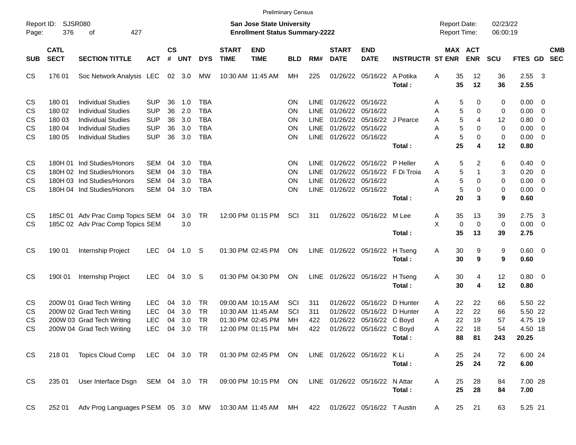| <b>Preliminary Census</b>                                 |                            |                                                                                              |                          |                    |            |                          |                             |                                                                           |                 |                            |                                     |                                             |                              |                             |                     |            |                        |                                                     |            |
|-----------------------------------------------------------|----------------------------|----------------------------------------------------------------------------------------------|--------------------------|--------------------|------------|--------------------------|-----------------------------|---------------------------------------------------------------------------|-----------------|----------------------------|-------------------------------------|---------------------------------------------|------------------------------|-----------------------------|---------------------|------------|------------------------|-----------------------------------------------------|------------|
| <b>SJSR080</b><br>Report ID:<br>376<br>of<br>427<br>Page: |                            |                                                                                              |                          |                    |            |                          |                             | <b>San Jose State University</b><br><b>Enrollment Status Summary-2222</b> |                 |                            | <b>Report Date:</b><br>Report Time: |                                             | 02/23/22<br>06:00:19         |                             |                     |            |                        |                                                     |            |
| <b>SUB</b>                                                | <b>CATL</b><br><b>SECT</b> | <b>SECTION TITTLE</b>                                                                        | <b>ACT</b>               | $\mathsf{cs}$<br># | <b>UNT</b> | <b>DYS</b>               | <b>START</b><br><b>TIME</b> | <b>END</b><br><b>TIME</b>                                                 | <b>BLD</b>      | RM#                        | <b>START</b><br><b>DATE</b>         | <b>END</b><br><b>DATE</b>                   | <b>INSTRUCTR ST ENR</b>      | <b>MAX ACT</b>              | <b>ENR</b>          | <b>SCU</b> | <b>FTES GD</b>         | <b>SEC</b>                                          | <b>CMB</b> |
| CS                                                        | 176 01                     | Soc Network Analysis LEC                                                                     |                          |                    | 02 3.0     | МW                       |                             | 10:30 AM 11:45 AM                                                         | МH              | 225                        | 01/26/22                            | 05/16/22                                    | A Potika<br>Total:           | 35<br>Α<br>35               | 12<br>12            | 36<br>36   | 2.55<br>2.55           | $\overline{\mathbf{3}}$                             |            |
| CS                                                        | 180 01                     | <b>Individual Studies</b>                                                                    | <b>SUP</b>               | 36                 | 1.0        | <b>TBA</b><br><b>TBA</b> |                             |                                                                           | ΟN              | LINE<br><b>LINE</b>        | 01/26/22 05/16/22                   |                                             |                              | 5<br>Α                      | 0                   | 0          | 0.00                   | $\overline{\phantom{0}}$                            |            |
| CS<br>CS                                                  | 180 02<br>180 03           | <b>Individual Studies</b><br><b>Individual Studies</b>                                       | <b>SUP</b><br><b>SUP</b> | 36<br>36           | 2.0<br>3.0 | <b>TBA</b>               |                             |                                                                           | <b>ON</b><br>ON | <b>LINE</b>                | 01/26/22 05/16/22                   | 01/26/22 05/16/22 J Pearce                  |                              | 5<br>Α<br>5<br>Α            | 0<br>$\overline{4}$ | 0<br>12    | 0.00<br>0.80           | $\overline{\phantom{0}}$<br>$\overline{\mathbf{0}}$ |            |
| CS                                                        | 180 04                     | <b>Individual Studies</b>                                                                    | <b>SUP</b>               | 36                 | 3.0        | <b>TBA</b>               |                             |                                                                           | ON              | <b>LINE</b>                | 01/26/22 05/16/22                   |                                             |                              | 5<br>Α                      | $\Omega$            | 0          | 0.00                   | $\overline{\mathbf{0}}$                             |            |
| CS                                                        | 180 05                     | <b>Individual Studies</b>                                                                    | <b>SUP</b>               | 36                 | 3.0        | <b>TBA</b>               |                             |                                                                           | <b>ON</b>       |                            | LINE 01/26/22 05/16/22              |                                             | Total:                       | 5<br>A<br>25                | 0<br>4              | 0<br>12    | 0.00<br>0.80           | $\overline{\phantom{0}}$                            |            |
| CS                                                        |                            | 180H 01 Ind Studies/Honors                                                                   | <b>SEM</b>               | 04                 | 3.0        | TBA                      |                             |                                                                           | <b>ON</b>       | <b>LINE</b>                |                                     | 01/26/22 05/16/22 P Heller                  |                              | 5<br>A                      | 2                   | 6          | $0.40 \quad 0$         |                                                     |            |
| CS<br>CS                                                  |                            | 180H 02 Ind Studies/Honors<br>180H 03 Ind Studies/Honors                                     | <b>SEM</b><br><b>SEM</b> | 04<br>04           | 3.0<br>3.0 | <b>TBA</b><br><b>TBA</b> |                             |                                                                           | <b>ON</b><br>ON | <b>LINE</b><br><b>LINE</b> | 01/26/22 05/16/22                   |                                             | 01/26/22 05/16/22 F Di Troia | 5<br>Α<br>5<br>Α            | $\mathbf{1}$<br>0   | 3<br>0     | 0.20<br>0.00           | $\overline{\phantom{0}}$<br>$\overline{\mathbf{0}}$ |            |
| <b>CS</b>                                                 |                            | 180H 04 Ind Studies/Honors                                                                   | <b>SEM</b>               | 04                 | 3.0        | <b>TBA</b>               |                             |                                                                           | ΟN              | LINE                       | 01/26/22 05/16/22                   |                                             |                              | 5<br>Α                      | 0                   | 0          | 0.00                   | - 0                                                 |            |
|                                                           |                            |                                                                                              |                          |                    |            |                          |                             |                                                                           |                 |                            |                                     |                                             | Total:                       | 20                          | 3                   | 9          | 0.60                   |                                                     |            |
| CS<br><b>CS</b>                                           |                            | 185C 01 Adv Prac Comp Topics SEM<br>185C 02 Adv Prac Comp Topics SEM                         |                          | 04                 | 3.0<br>3.0 | <b>TR</b>                |                             | 12:00 PM 01:15 PM                                                         | SCI             | 311                        |                                     | 01/26/22 05/16/22                           | M Lee                        | 35<br>A<br>X<br>$\mathbf 0$ | 13<br>$\mathbf 0$   | 39<br>0    | 2.75<br>0.00           | -3<br>$\overline{\phantom{0}}$                      |            |
|                                                           |                            |                                                                                              |                          |                    |            |                          |                             |                                                                           |                 |                            |                                     |                                             | Total:                       | 35                          | 13                  | 39         | 2.75                   |                                                     |            |
| CS                                                        | 190 01                     | Internship Project                                                                           | <b>LEC</b>               | 04                 | 1.0        | -S                       |                             | 01:30 PM 02:45 PM                                                         | ON              |                            | LINE 01/26/22 05/16/22              |                                             | H Tseng<br>Total:            | Α<br>30<br>30               | 9<br>9              | 9<br>9     | $0.60 \quad 0$<br>0.60 |                                                     |            |
| CS                                                        | 190101                     | Internship Project                                                                           | <b>LEC</b>               |                    | 04 3.0     | -S                       |                             | 01:30 PM 04:30 PM                                                         | ON              |                            | LINE 01/26/22 05/16/22              |                                             | H Tseng<br>Total:            | Α<br>30<br>30               | 4<br>4              | 12<br>12   | $0.80 \ 0$<br>0.80     |                                                     |            |
| CS                                                        |                            | 200W 01 Grad Tech Writing                                                                    | <b>LEC</b>               | 04                 | 3.0        | TR                       |                             | 09:00 AM 10:15 AM                                                         | SCI             | 311                        | 01/26/22                            | 05/16/22                                    | D Hunter                     | 22<br>A                     | 22                  | 66         | 5.50 22                |                                                     |            |
| CS                                                        |                            | 200W 02 Grad Tech Writing                                                                    | <b>LEC</b>               | 04                 | 3.0        | <b>TR</b>                |                             | 10:30 AM 11:45 AM                                                         | SCI             | 311                        | 01/26/22                            | 05/16/22                                    | D Hunter                     | 22<br>A                     | 22                  | 66         | 5.50 22                |                                                     |            |
| CS<br><b>CS</b>                                           |                            | 200W 03 Grad Tech Writing<br>200W 04 Grad Tech Writing                                       | <b>LEC</b><br><b>LEC</b> | 04<br>04           | 3.0<br>3.0 | <b>TR</b><br><b>TR</b>   |                             | 01:30 PM 02:45 PM<br>12:00 PM 01:15 PM                                    | MН<br>МH        | 422<br>422                 | 01/26/22                            | 05/16/22 C Boyd<br>01/26/22 05/16/22 C Boyd |                              | 22<br>A<br>22<br>A          | 19<br>18            | 57<br>54   | 4.75 19<br>4.50 18     |                                                     |            |
|                                                           |                            |                                                                                              |                          |                    |            |                          |                             |                                                                           |                 |                            |                                     |                                             | Total:                       | 88                          | 81                  | 243        | 20.25                  |                                                     |            |
| CS                                                        |                            | 218 01 Topics Cloud Comp LEC 04 3.0 TR 01:30 PM 02:45 PM ON LINE 01/26/22 05/16/22 K Li      |                          |                    |            |                          |                             |                                                                           |                 |                            |                                     |                                             | Total:                       | A<br>25<br>25               | 24<br>24            | 72<br>72   | 6.00 24<br>6.00        |                                                     |            |
| CS                                                        | 235 01                     | User Interface Dsgn SEM 04 3.0 TR 09:00 PM 10:15 PM ON                                       |                          |                    |            |                          |                             |                                                                           |                 |                            |                                     | LINE 01/26/22 05/16/22 N Attar              | Total:                       | A<br>25<br>25               | 28<br>28            | 84<br>84   | 7.00 28<br>7.00        |                                                     |            |
| CS                                                        |                            | 252 01 Adv Prog Languages PSEM 05 3.0 MW 10:30 AM 11:45 AM MH 422 01/26/22 05/16/22 T Austin |                          |                    |            |                          |                             |                                                                           |                 |                            |                                     |                                             |                              | A                           | 25 21               | 63         | 5.25 21                |                                                     |            |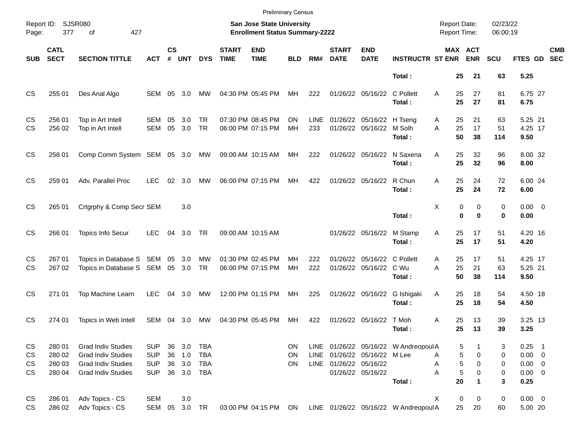|                        |                                      |                                                                                                                  |                                                      |                      |                   |                                                   |                             |                                                                    | <b>Preliminary Census</b> |                    |                             |                                                   |                                                 |                                            |                            |                       |                                                               |            |
|------------------------|--------------------------------------|------------------------------------------------------------------------------------------------------------------|------------------------------------------------------|----------------------|-------------------|---------------------------------------------------|-----------------------------|--------------------------------------------------------------------|---------------------------|--------------------|-----------------------------|---------------------------------------------------|-------------------------------------------------|--------------------------------------------|----------------------------|-----------------------|---------------------------------------------------------------|------------|
| Page:                  | Report ID: SJSR080<br>377            | 427<br>οf                                                                                                        |                                                      |                      |                   |                                                   |                             | San Jose State University<br><b>Enrollment Status Summary-2222</b> |                           |                    |                             |                                                   |                                                 | <b>Report Date:</b><br><b>Report Time:</b> |                            | 02/23/22<br>06:00:19  |                                                               |            |
| <b>SUB</b>             | <b>CATL</b><br><b>SECT</b>           | <b>SECTION TITTLE</b>                                                                                            | <b>ACT</b>                                           | <b>CS</b><br>#       | <b>UNT</b>        | <b>DYS</b>                                        | <b>START</b><br><b>TIME</b> | <b>END</b><br><b>TIME</b>                                          | <b>BLD</b>                | RM#                | <b>START</b><br><b>DATE</b> | <b>END</b><br><b>DATE</b>                         | <b>INSTRUCTR ST ENR</b>                         |                                            | MAX ACT<br><b>ENR</b>      | <b>SCU</b>            | FTES GD SEC                                                   | <b>CMB</b> |
|                        |                                      |                                                                                                                  |                                                      |                      |                   |                                                   |                             |                                                                    |                           |                    |                             |                                                   | Total:                                          | 25                                         | 21                         | 63                    | 5.25                                                          |            |
| <b>CS</b>              | 255 01                               | Des Anal Algo                                                                                                    | SEM 05 3.0                                           |                      |                   | MW                                                |                             | 04:30 PM 05:45 PM                                                  | MH                        | 222                |                             | 01/26/22 05/16/22                                 | C Pollett<br>Total:                             | 25<br>A<br>25                              | 27<br>27                   | 81<br>81              | 6.75 27<br>6.75                                               |            |
| <b>CS</b><br><b>CS</b> | 256 01<br>256 02                     | Top in Art Intell<br>Top in Art Intell                                                                           | SEM<br>SEM                                           | 05<br>05             | 3.0<br>3.0        | TR<br>TR                                          |                             | 07:30 PM 08:45 PM<br>06:00 PM 07:15 PM                             | ΟN<br>MH                  | <b>LINE</b><br>233 |                             | 01/26/22 05/16/22 H Tseng<br>01/26/22 05/16/22    | M Solh<br>Total:                                | 25<br>A<br>25<br>A<br>50                   | 21<br>17<br>38             | 63<br>51<br>114       | 5.25 21<br>4.25 17<br>9.50                                    |            |
| <b>CS</b>              | 258 01                               | Comp Comm System SEM 05 3.0                                                                                      |                                                      |                      |                   | МW                                                |                             | 09:00 AM 10:15 AM                                                  | MН                        | 222                |                             | 01/26/22 05/16/22                                 | N Saxena<br>Total:                              | 25<br>A<br>25                              | 32<br>32                   | 96<br>96              | 8.00 32<br>8.00                                               |            |
| <b>CS</b>              | 259 01                               | Adv. Parallel Proc                                                                                               | <b>LEC</b>                                           | 02                   | 3.0               | MW                                                |                             | 06:00 PM 07:15 PM                                                  | MH                        | 422                |                             | 01/26/22 05/16/22                                 | R Chun<br>Total:                                | A<br>25<br>25                              | 24<br>24                   | 72<br>72              | 6.00 24<br>6.00                                               |            |
| <b>CS</b>              | 265 01                               | Crtgrphy & Comp Secr SEM                                                                                         |                                                      |                      | 3.0               |                                                   |                             |                                                                    |                           |                    |                             |                                                   | Total:                                          | X<br>0<br>$\bf{0}$                         | 0<br>0                     | 0<br>0                | $0.00 \t 0$<br>0.00                                           |            |
| <b>CS</b>              | 266 01                               | <b>Topics Info Secur</b>                                                                                         | <b>LEC</b>                                           | 04                   | 3.0 TR            |                                                   |                             | 09:00 AM 10:15 AM                                                  |                           |                    |                             | 01/26/22 05/16/22                                 | M Stamp<br>Total:                               | 25<br>Α<br>25                              | 17<br>17                   | 51<br>51              | 4.20 16<br>4.20                                               |            |
| <b>CS</b><br><b>CS</b> | 267 01<br>267 02                     | Topics in Database S SEM 05 3.0<br>Topics in Database S SEM 05 3.0                                               |                                                      |                      |                   | MW<br>TR                                          |                             | 01:30 PM 02:45 PM<br>06:00 PM 07:15 PM                             | MН<br>MH                  | 222<br>222         |                             | 01/26/22 05/16/22 C Pollett<br>01/26/22 05/16/22  | C Wu<br>Total:                                  | Α<br>25<br>A<br>25<br>50                   | 17<br>21<br>38             | 51<br>63<br>114       | 4.25 17<br>5.25 21<br>9.50                                    |            |
| <b>CS</b>              | 271 01                               | Top Machine Learn                                                                                                | <b>LEC</b>                                           | 04                   | 3.0               | MW                                                |                             | 12:00 PM 01:15 PM                                                  | MН                        | 225                |                             | 01/26/22 05/16/22                                 | G Ishigaki<br>Total:                            | 25<br>Α<br>25                              | 18<br>18                   | 54<br>54              | 4.50 18<br>4.50                                               |            |
| <b>CS</b>              | 274 01                               | Topics in Web Intell                                                                                             | SEM                                                  | 04                   | 3.0               | MW                                                |                             | 04:30 PM 05:45 PM                                                  | MН                        | 422                |                             | 01/26/22 05/16/22                                 | T Moh<br>Total:                                 | 25<br>Α<br>25                              | 13<br>13                   | 39<br>39              | 3.25 13<br>3.25                                               |            |
| CS<br>CS<br>CS<br>CS   | 280 01<br>280 02<br>280 03<br>280 04 | <b>Grad Indiv Studies</b><br><b>Grad Indiv Studies</b><br><b>Grad Indiv Studies</b><br><b>Grad Indiv Studies</b> | <b>SUP</b><br><b>SUP</b><br><b>SUP</b><br><b>SUP</b> | 36<br>36<br>36<br>36 | 3.0<br>1.0<br>3.0 | <b>TBA</b><br><b>TBA</b><br><b>TBA</b><br>3.0 TBA |                             |                                                                    | <b>ON</b><br>ON<br>ON.    |                    | LINE 01/26/22 05/16/22      | LINE 01/26/22 05/16/22 M Lee<br>01/26/22 05/16/22 | LINE 01/26/22 05/16/22 W Andreopoul A<br>Total: | 5<br>5<br>Α<br>5<br>Α<br>5<br>Α<br>20      | 0<br>0<br>0<br>$\mathbf 1$ | 3<br>0<br>0<br>0<br>3 | $0.25$ 1<br>$0.00 \t 0$<br>$0.00 \t 0$<br>$0.00 \t 0$<br>0.25 |            |
| CS<br>CS               | 286 01<br>286 02                     | Adv Topics - CS<br>Adv Topics - CS                                                                               | <b>SEM</b><br>SEM 05 3.0 TR                          |                      | 3.0               |                                                   |                             | 03:00 PM 04:15 PM ON                                               |                           |                    |                             |                                                   | LINE 01/26/22 05/16/22 W Andreopoul A           | $\pmb{0}$<br>X<br>25                       | 0<br>20                    | 0<br>60               | $0.00 \t 0$<br>5.00 20                                        |            |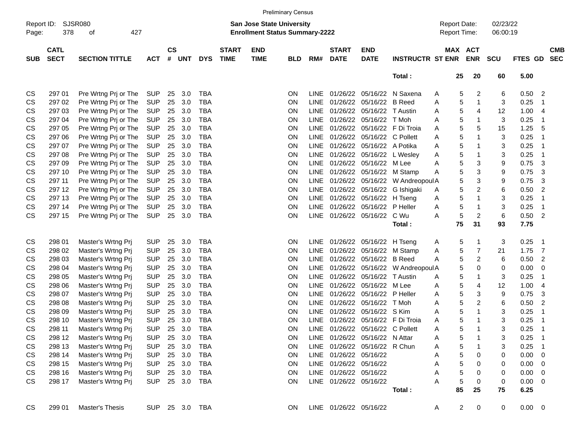|                     |             |                       |            |           |            |                |              |                                                                           | <b>Preliminary Census</b> |             |                        |                                  |                                  |   |                                     |                         |                      |             |                |
|---------------------|-------------|-----------------------|------------|-----------|------------|----------------|--------------|---------------------------------------------------------------------------|---------------------------|-------------|------------------------|----------------------------------|----------------------------------|---|-------------------------------------|-------------------------|----------------------|-------------|----------------|
| Report ID:<br>Page: | 378         | SJSR080<br>427<br>of  |            |           |            |                |              | <b>San Jose State University</b><br><b>Enrollment Status Summary-2222</b> |                           |             |                        |                                  |                                  |   | <b>Report Date:</b><br>Report Time: |                         | 02/23/22<br>06:00:19 |             |                |
|                     | <b>CATL</b> |                       |            | <b>CS</b> |            |                | <b>START</b> | <b>END</b>                                                                |                           |             | <b>START</b>           | <b>END</b>                       |                                  |   | <b>MAX</b>                          | <b>ACT</b>              |                      |             | <b>CMB</b>     |
| <b>SUB</b>          | <b>SECT</b> | <b>SECTION TITTLE</b> | <b>ACT</b> | #         | <b>UNT</b> | <b>DYS</b>     | <b>TIME</b>  | <b>TIME</b>                                                               | <b>BLD</b>                | RM#         | <b>DATE</b>            | <b>DATE</b>                      | <b>INSTRUCTR ST ENR</b>          |   |                                     | <b>ENR</b>              | <b>SCU</b>           | FTES GD SEC |                |
|                     |             |                       |            |           |            |                |              |                                                                           |                           |             |                        |                                  | Total:                           |   | 25                                  | 20                      | 60                   | 5.00        |                |
| CS                  | 297 01      | Pre Wrtng Prj or The  | <b>SUP</b> | 25        | 3.0        | TBA            |              |                                                                           | <b>ON</b>                 | LINE.       | 01/26/22               |                                  | 05/16/22 N Saxena                | A | 5                                   | 2                       | 6                    | 0.50        | 2              |
| CS                  | 297 02      | Pre Wrtng Prj or The  | <b>SUP</b> | 25        | 3.0        | <b>TBA</b>     |              |                                                                           | <b>ON</b>                 | LINE        |                        | 01/26/22 05/16/22                | <b>B</b> Reed                    | Α | 5                                   | 1                       | 3                    | 0.25        | $\mathbf 1$    |
| CS                  | 297 03      | Pre Wrtng Prj or The  | <b>SUP</b> | 25        | 3.0        | <b>TBA</b>     |              |                                                                           | ON                        | LINE        |                        | 01/26/22 05/16/22                | T Austin                         | A | 5                                   | 4                       | 12                   | 1.00        | $\overline{4}$ |
| CS                  | 297 04      | Pre Wrtng Prj or The  | <b>SUP</b> | 25        | 3.0        | TBA            |              |                                                                           | ON                        | LINE        |                        | 01/26/22 05/16/22                | T Moh                            | Α | 5                                   | 1                       | 3                    | 0.25        | $\mathbf 1$    |
| CS                  | 297 05      | Pre Wrtng Prj or The  | <b>SUP</b> | 25        | 3.0        | <b>TBA</b>     |              |                                                                           | ON                        | LINE        | 01/26/22               |                                  | 05/16/22 F Di Troia              | Α | 5                                   | 5                       | 15                   | 1.25        | 5              |
| CS                  | 297 06      | Pre Wrtng Prj or The  | <b>SUP</b> | 25        | 3.0        | <b>TBA</b>     |              |                                                                           | ON                        | LINE        |                        | 01/26/22 05/16/22 C Pollett      |                                  | Α | 5                                   | 1                       | 3                    | 0.25        | -1             |
| CS                  | 297 07      | Pre Wrtng Prj or The  | <b>SUP</b> | 25        | 3.0        | <b>TBA</b>     |              |                                                                           | ON                        | LINE        |                        | 01/26/22 05/16/22 A Potika       |                                  | Α | 5                                   |                         | 3                    | 0.25        | -1             |
| CS                  | 297 08      | Pre Wrtng Prj or The  | <b>SUP</b> | 25        | 3.0        | <b>TBA</b>     |              |                                                                           | ON                        | LINE        |                        | 01/26/22 05/16/22 L Wesley       |                                  | Α | 5                                   | 1                       | 3                    | 0.25        | $\mathbf 1$    |
| CS                  | 297 09      | Pre Wrtng Prj or The  | <b>SUP</b> | 25        | 3.0        | <b>TBA</b>     |              |                                                                           | ON                        | LINE        |                        | 01/26/22 05/16/22 M Lee          |                                  | Α | 5                                   | 3                       | 9                    | 0.75        | 3              |
| CS                  | 297 10      | Pre Wrtng Prj or The  | <b>SUP</b> | 25        | 3.0        | <b>TBA</b>     |              |                                                                           | ON                        | LINE        |                        | 01/26/22 05/16/22 M Stamp        |                                  | Α | 5                                   | 3                       | 9                    | 0.75        | 3              |
| CS                  | 297 11      | Pre Wrtng Prj or The  | <b>SUP</b> | 25        | 3.0        | <b>TBA</b>     |              |                                                                           | ON                        | LINE        |                        |                                  | 01/26/22 05/16/22 W Andreopoul A |   | 5                                   | 3                       | 9                    | 0.75        | 3              |
| CS                  | 297 12      | Pre Wrtng Prj or The  | <b>SUP</b> | 25        | 3.0        | TBA            |              |                                                                           | ON                        | LINE        |                        | 01/26/22 05/16/22                | G Ishigaki                       | A | 5                                   | $\overline{\mathbf{c}}$ | 6                    | 0.50        | 2              |
| CS                  | 297 13      | Pre Wrtng Prj or The  | <b>SUP</b> | 25        | 3.0        | <b>TBA</b>     |              |                                                                           | ON                        | LINE        |                        | 01/26/22 05/16/22                | H Tseng                          | A | 5                                   | 1                       | 3                    | 0.25        | -1             |
| CS                  | 297 14      | Pre Wrtng Prj or The  | <b>SUP</b> | 25        | 3.0        | <b>TBA</b>     |              |                                                                           | ON                        | LINE        |                        | 01/26/22 05/16/22                | P Heller                         | A | 5                                   | 1                       | 3                    | 0.25        | $\overline{1}$ |
| CS                  | 297 15      | Pre Wrtng Prj or The  | <b>SUP</b> | 25        | 3.0        | <b>TBA</b>     |              |                                                                           | ON                        |             | LINE 01/26/22 05/16/22 |                                  | C Wu                             | А | 5                                   | $\overline{c}$          | $\,6$                | 0.50        | $\overline{2}$ |
|                     |             |                       |            |           |            |                |              |                                                                           |                           |             |                        |                                  | Total:                           |   | 75                                  | 31                      | 93                   | 7.75        |                |
| CS                  | 298 01      | Master's Wrtng Prj    | <b>SUP</b> | 25        | 3.0        | TBA            |              |                                                                           | <b>ON</b>                 | <b>LINE</b> |                        | 01/26/22 05/16/22 H Tseng        |                                  | A | 5                                   | 1                       | 3                    | 0.25        | -1             |
| CS                  | 298 02      | Master's Wrtng Prj    | <b>SUP</b> | 25        | 3.0        | <b>TBA</b>     |              |                                                                           | <b>ON</b>                 | LINE        |                        | 01/26/22 05/16/22 M Stamp        |                                  | A | 5                                   | 7                       | 21                   | 1.75        | 7              |
| CS                  | 298 03      | Master's Wrtng Prj    | <b>SUP</b> | 25        | 3.0        | TBA            |              |                                                                           | ON                        | LINE        |                        | 01/26/22 05/16/22 B Reed         |                                  | Α | 5                                   | $\overline{c}$          | 6                    | 0.50        | $\overline{2}$ |
| CS                  | 298 04      | Master's Wrtng Prj    | <b>SUP</b> | 25        | 3.0        | <b>TBA</b>     |              |                                                                           | ON                        | LINE        |                        | 01/26/22 05/16/22                | W Andreopoul A                   |   | 5                                   | 0                       | 0                    | 0.00        | 0              |
| CS                  | 298 05      | Master's Wrtng Prj    | <b>SUP</b> | 25        | 3.0        | <b>TBA</b>     |              |                                                                           | ON                        | LINE        |                        | 01/26/22 05/16/22                | T Austin                         | Α | 5                                   | 1                       | 3                    | 0.25        | $\overline{1}$ |
| CS                  | 298 06      | Master's Wrtng Prj    | <b>SUP</b> | 25        | 3.0        | <b>TBA</b>     |              |                                                                           | ON                        | LINE        |                        | 01/26/22 05/16/22 M Lee          |                                  | A | 5                                   | 4                       | 12                   | 1.00        | $\overline{4}$ |
| CS                  | 298 07      | Master's Wrtng Prj    | <b>SUP</b> | 25        | 3.0        | <b>TBA</b>     |              |                                                                           | ON                        | LINE        |                        | 01/26/22 05/16/22 P Heller       |                                  | Α | 5                                   | 3                       | 9                    | 0.75        | 3              |
| CS                  | 298 08      | Master's Wrtng Prj    | <b>SUP</b> | 25        | 3.0        | <b>TBA</b>     |              |                                                                           | ON                        | LINE        |                        | 01/26/22 05/16/22                | T Moh                            | Α | 5                                   | $\overline{c}$          | 6                    | 0.50        | 2              |
| CS                  | 298 09      | Master's Wrtng Prj    | <b>SUP</b> | 25        | 3.0        | <b>TBA</b>     |              |                                                                           | ON                        | LINE        |                        | 01/26/22 05/16/22                | S Kim                            | Α | 5                                   | 1                       | 3                    | 0.25        | $\overline{1}$ |
| CS                  | 298 10      | Master's Wrtng Prj    | <b>SUP</b> | 25        | 3.0        | TBA            |              |                                                                           | ON                        | <b>LINE</b> |                        |                                  | 01/26/22 05/16/22 F Di Troia     | Α | 5                                   | 1                       | 3                    | 0.25        | -1             |
| CS                  | 298 11      | Master's Wrtng Prj    | <b>SUP</b> | 25        | 3.0        | TBA            |              |                                                                           | ON                        |             |                        | LINE 01/26/22 05/16/22 C Pollett |                                  | Α | $\sqrt{5}$                          | 1                       | 3                    | 0.25        | $\mathbf 1$    |
| <b>CS</b>           | 298 12      | Master's Wrtng Prj    | <b>SUP</b> |           | 25 3.0     | <b>TBA</b>     |              |                                                                           | ON                        |             |                        | LINE 01/26/22 05/16/22 N Attar   |                                  | Α | 5                                   |                         | 3                    | 0.25        | $\overline{1}$ |
| CS                  | 298 13      | Master's Wrtng Prj    | <b>SUP</b> | 25        | 3.0        | TBA            |              |                                                                           | ON                        |             |                        | LINE 01/26/22 05/16/22 R Chun    |                                  | A | 5                                   |                         | 3                    | 0.25        | -1             |
| CS                  | 298 14      | Master's Wrtng Prj    | <b>SUP</b> | 25        | 3.0        | TBA            |              |                                                                           | <b>ON</b>                 |             | LINE 01/26/22 05/16/22 |                                  |                                  | Α | 5                                   | 0                       | 0                    | 0.00        | 0              |
| CS                  | 298 15      | Master's Wrtng Prj    | <b>SUP</b> | 25        | 3.0        | TBA            |              |                                                                           | <b>ON</b>                 |             | LINE 01/26/22 05/16/22 |                                  |                                  | Α | 5                                   | 0                       | 0                    | 0.00        | 0              |
| CS                  | 298 16      | Master's Wrtng Prj    | <b>SUP</b> | 25        | 3.0        | TBA            |              |                                                                           | <b>ON</b>                 |             | LINE 01/26/22 05/16/22 |                                  |                                  | A | 5                                   | 0                       | 0                    | 0.00        | 0              |
| CS                  | 298 17      | Master's Wrtng Prj    | <b>SUP</b> |           | 25 3.0     | TBA            |              |                                                                           | ON                        |             | LINE 01/26/22 05/16/22 |                                  |                                  | A | 5                                   | 0                       | 0                    | 0.00        | 0              |
|                     |             |                       |            |           |            |                |              |                                                                           |                           |             |                        |                                  | Total:                           |   | 85                                  | 25                      | 75                   | 6.25        |                |
| CS                  | 299 01      | Master's Thesis       |            |           |            | SUP 25 3.0 TBA |              |                                                                           | ON.                       |             | LINE 01/26/22 05/16/22 |                                  |                                  | A | $\overline{2}$                      | 0                       | 0                    | $0.00 \t 0$ |                |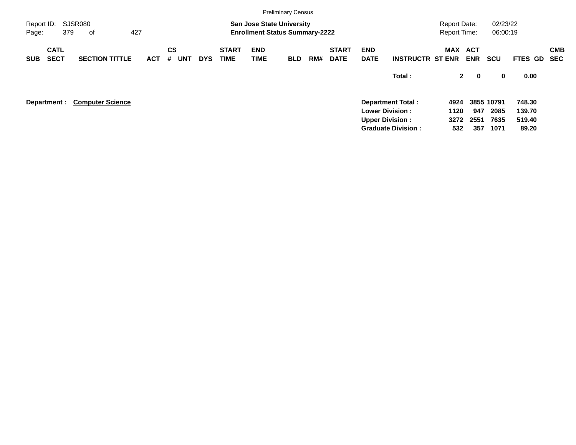|                     |                            |                         |            |                              |            |                             |                           | <b>Preliminary Census</b>                                                 |     |                             |                           |                           |                                            |                            |                      |             |            |
|---------------------|----------------------------|-------------------------|------------|------------------------------|------------|-----------------------------|---------------------------|---------------------------------------------------------------------------|-----|-----------------------------|---------------------------|---------------------------|--------------------------------------------|----------------------------|----------------------|-------------|------------|
| Report ID:<br>Page: |                            | SJSR080<br>379<br>οf    | 427        |                              |            |                             |                           | <b>San Jose State University</b><br><b>Enrollment Status Summary-2222</b> |     |                             |                           |                           | <b>Report Date:</b><br><b>Report Time:</b> |                            | 02/23/22<br>06:00:19 |             |            |
| <b>SUB</b>          | <b>CATL</b><br><b>SECT</b> | <b>SECTION TITTLE</b>   | <b>ACT</b> | <b>CS</b><br><b>UNT</b><br># | <b>DYS</b> | <b>START</b><br><b>TIME</b> | <b>END</b><br><b>TIME</b> | <b>BLD</b>                                                                | RM# | <b>START</b><br><b>DATE</b> | <b>END</b><br><b>DATE</b> | <b>INSTRUCTR ST ENR</b>   | MAX                                        | <b>ACT</b><br><b>ENR</b>   | <b>SCU</b>           | FTES GD SEC | <b>CMB</b> |
|                     |                            |                         |            |                              |            |                             |                           |                                                                           |     |                             |                           | Total:                    |                                            | $2^{\circ}$<br>$\mathbf 0$ | 0                    | 0.00        |            |
|                     | Department :               | <b>Computer Science</b> |            |                              |            |                             |                           |                                                                           |     |                             |                           | <b>Department Total:</b>  | 4924                                       |                            | 3855 10791           | 748.30      |            |
|                     |                            |                         |            |                              |            |                             |                           |                                                                           |     |                             |                           | <b>Lower Division:</b>    | 1120                                       | 947                        | 2085                 | 139.70      |            |
|                     |                            |                         |            |                              |            |                             |                           |                                                                           |     |                             |                           | <b>Upper Division:</b>    | 3272                                       | 2551                       | 7635                 | 519.40      |            |
|                     |                            |                         |            |                              |            |                             |                           |                                                                           |     |                             |                           | <b>Graduate Division:</b> | 532                                        | 357                        | 1071                 | 89.20       |            |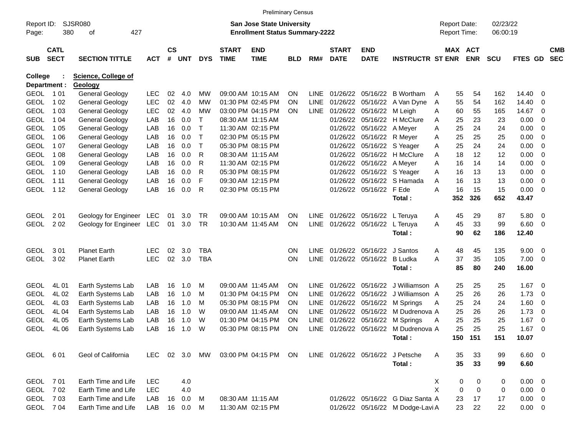|                            |                            |                                        |            |                    |            |              |                             |                                                                           | <b>Preliminary Census</b> |                            |                             |                           |                                                   |   |                                            |            |                      |                |                               |                          |
|----------------------------|----------------------------|----------------------------------------|------------|--------------------|------------|--------------|-----------------------------|---------------------------------------------------------------------------|---------------------------|----------------------------|-----------------------------|---------------------------|---------------------------------------------------|---|--------------------------------------------|------------|----------------------|----------------|-------------------------------|--------------------------|
| Report ID:<br>Page:        | 380                        | SJSR080<br>427<br>οf                   |            |                    |            |              |                             | <b>San Jose State University</b><br><b>Enrollment Status Summary-2222</b> |                           |                            |                             |                           |                                                   |   | <b>Report Date:</b><br><b>Report Time:</b> |            | 02/23/22<br>06:00:19 |                |                               |                          |
| <b>SUB</b>                 | <b>CATL</b><br><b>SECT</b> | <b>SECTION TITTLE</b>                  | <b>ACT</b> | $\mathsf{cs}$<br># | <b>UNT</b> | <b>DYS</b>   | <b>START</b><br><b>TIME</b> | <b>END</b><br><b>TIME</b>                                                 | <b>BLD</b>                | RM#                        | <b>START</b><br><b>DATE</b> | <b>END</b><br><b>DATE</b> | <b>INSTRUCTR ST ENR</b>                           |   | MAX ACT                                    | <b>ENR</b> | <b>SCU</b>           | <b>FTES GD</b> |                               | <b>CMB</b><br><b>SEC</b> |
| <b>College</b>             |                            | <b>Science, College of</b>             |            |                    |            |              |                             |                                                                           |                           |                            |                             |                           |                                                   |   |                                            |            |                      |                |                               |                          |
|                            | Department :               | Geology                                |            |                    |            |              |                             |                                                                           |                           |                            |                             |                           |                                                   |   |                                            |            |                      |                |                               |                          |
| <b>GEOL</b>                | 101                        | <b>General Geology</b>                 | <b>LEC</b> | 02                 | 4.0        | МW           |                             | 09:00 AM 10:15 AM                                                         | ON.                       | <b>LINE</b>                | 01/26/22                    |                           | 05/16/22 B Wortham                                | A | 55                                         | 54         | 162                  | 14.40          | - 0                           |                          |
| <b>GEOL</b>                | 1 0 2                      | General Geology                        | <b>LEC</b> | 02                 | 4.0        | <b>MW</b>    |                             | 01:30 PM 02:45 PM                                                         | <b>ON</b>                 | <b>LINE</b>                | 01/26/22                    | 05/16/22                  | A Van Dyne                                        | A | 55                                         | 54         | 162                  | 14.40          | - 0                           |                          |
| <b>GEOL</b>                | 1 0 3                      | General Geology                        | <b>LEC</b> | 02                 | 4.0        | MW           |                             | 03:00 PM 04:15 PM                                                         | <b>ON</b>                 |                            | LINE 01/26/22               | 05/16/22                  | M Leigh                                           | A | 60                                         | 55         | 165                  | 14.67          | $\overline{0}$                |                          |
| <b>GEOL</b>                | 1 0 4                      | General Geology                        | LAB        | 16                 | 0.0        | $\mathsf{T}$ |                             | 08:30 AM 11:15 AM                                                         |                           |                            | 01/26/22                    | 05/16/22                  | H McClure                                         | Α | 25                                         | 23         | 23                   | 0.00           | $\overline{0}$                |                          |
| <b>GEOL</b>                | 1 0 5                      | General Geology                        | LAB        | 16                 | 0.0        | $\mathsf{T}$ |                             | 11:30 AM 02:15 PM                                                         |                           |                            | 01/26/22                    | 05/16/22                  | A Meyer                                           | A | 25                                         | 24         | 24                   | 0.00           | 0                             |                          |
| <b>GEOL</b>                | 1 0 6                      | <b>General Geology</b>                 | LAB        | 16                 | 0.0        | $\mathsf{T}$ |                             | 02:30 PM 05:15 PM                                                         |                           |                            | 01/26/22                    | 05/16/22                  | R Meyer                                           | Α | 25                                         | 25         | 25                   | 0.00           | $\overline{0}$                |                          |
| <b>GEOL</b>                | 1 0 7                      | <b>General Geology</b>                 | LAB        | 16                 | 0.0        | $\top$       |                             | 05:30 PM 08:15 PM                                                         |                           |                            | 01/26/22                    |                           | 05/16/22 S Yeager                                 | Α | 25                                         | 24         | 24                   | 0.00           | $\overline{0}$                |                          |
| <b>GEOL</b>                | 1 0 8                      | <b>General Geology</b>                 | LAB        | 16                 | 0.0        | R            |                             | 08:30 AM 11:15 AM                                                         |                           |                            | 01/26/22                    |                           | 05/16/22 H McClure                                | A | 18                                         | 12         | 12                   | 0.00           | 0                             |                          |
| <b>GEOL</b>                | 1 0 9                      | <b>General Geology</b>                 | LAB        | 16                 | 0.0        | R            |                             | 11:30 AM 02:15 PM                                                         |                           |                            | 01/26/22                    | 05/16/22 A Meyer          |                                                   | A | 16                                         | 14         | 14                   | 0.00           | $\overline{0}$                |                          |
| <b>GEOL</b>                | 1 1 0                      | <b>General Geology</b>                 | LAB        | 16                 | 0.0        | R            |                             | 05:30 PM 08:15 PM                                                         |                           |                            | 01/26/22                    |                           | 05/16/22 S Yeager                                 | A | 16                                         | 13         | 13                   | 0.00           | $\overline{0}$                |                          |
| <b>GEOL</b>                | 1 1 1                      | <b>General Geology</b>                 | LAB        | 16                 | 0.0        | F            |                             | 09:30 AM 12:15 PM                                                         |                           |                            | 01/26/22                    |                           | 05/16/22 S Hamada                                 | A | 16                                         | 13         | 13                   | 0.00           | 0                             |                          |
| <b>GEOL</b>                | 1 1 2                      | General Geology                        | LAB        | 16                 | 0.0        | R            |                             | 02:30 PM 05:15 PM                                                         |                           |                            | 01/26/22                    | 05/16/22 F Ede            |                                                   | A | 16                                         | 15         | 15                   | 0.00           | $\overline{\mathbf{0}}$       |                          |
|                            |                            |                                        |            |                    |            |              |                             |                                                                           |                           |                            |                             |                           | Total:                                            |   | 352                                        | 326        | 652                  | 43.47          |                               |                          |
| <b>GEOL</b>                | 2 0 1                      | Geology for Engineer                   | LEC        | 01                 | 3.0        | <b>TR</b>    |                             | 09:00 AM 10:15 AM                                                         | ON.                       |                            | LINE 01/26/22               | 05/16/22                  | L Teruya                                          | A | 45                                         | 29         | 87                   | 5.80           | $\overline{0}$                |                          |
| <b>GEOL</b>                | 202                        | Geology for Engineer                   | LEC        | 01                 | 3.0        | <b>TR</b>    |                             | 10:30 AM 11:45 AM                                                         | ON                        | <b>LINE</b>                | 01/26/22                    | 05/16/22                  | L Teruya                                          | A | 45                                         | 33         | 99                   | 6.60           | 0                             |                          |
|                            |                            |                                        |            |                    |            |              |                             |                                                                           |                           |                            |                             |                           | Total:                                            |   | 90                                         | 62         | 186                  | 12.40          |                               |                          |
|                            |                            |                                        |            |                    |            |              |                             |                                                                           |                           |                            |                             |                           |                                                   |   |                                            |            |                      |                |                               |                          |
| <b>GEOL</b>                | 301                        | <b>Planet Earth</b>                    | <b>LEC</b> | 02                 | 3.0        | TBA          |                             |                                                                           | <b>ON</b>                 | <b>LINE</b>                | 01/26/22                    | 05/16/22                  | J Santos                                          | A | 48                                         | 45         | 135                  | 9.00           | $\overline{0}$                |                          |
| <b>GEOL</b>                | 302                        | <b>Planet Earth</b>                    | <b>LEC</b> | 02                 | 3.0        | <b>TBA</b>   |                             |                                                                           | <b>ON</b>                 | <b>LINE</b>                | 01/26/22                    | 05/16/22                  | <b>B</b> Ludka                                    | A | 37                                         | 35         | 105                  | 7.00           | 0                             |                          |
|                            |                            |                                        |            |                    |            |              |                             |                                                                           |                           |                            |                             |                           | Total:                                            |   | 85                                         | 80         | 240                  | 16.00          |                               |                          |
|                            |                            |                                        |            |                    |            |              |                             |                                                                           |                           |                            |                             |                           |                                                   |   |                                            |            |                      |                |                               |                          |
| <b>GEOL</b>                | 4L 01                      | Earth Systems Lab                      | LAB        | 16                 | 1.0        | M            |                             | 09:00 AM 11:45 AM                                                         | <b>ON</b>                 | <b>LINE</b>                | 01/26/22                    | 05/16/22                  | J Williamson A                                    |   | 25                                         | 25         | 25                   | 1.67           | - 0                           |                          |
| <b>GEOL</b>                | 4L02                       | Earth Systems Lab                      | LAB        | 16                 | 1.0        | м            |                             | 01:30 PM 04:15 PM                                                         | <b>ON</b>                 | <b>LINE</b>                | 01/26/22                    | 05/16/22                  | J Williamson A                                    |   | 25                                         | 26<br>24   | 26                   | 1.73           | 0                             |                          |
| <b>GEOL</b>                | 4L03                       | Earth Systems Lab                      | LAB        | 16                 | 1.0        | м<br>W       |                             | 05:30 PM 08:15 PM                                                         | ON                        | <b>LINE</b>                | 01/26/22<br>01/26/22        | 05/16/22                  | M Springs                                         | Α | 25                                         |            | 24                   | 1.60           | $\mathbf 0$                   |                          |
| <b>GEOL</b><br><b>GEOL</b> | 4L04<br>4L05               | Earth Systems Lab<br>Earth Systems Lab | LAB<br>LAB | 16<br>16           | 1.0<br>1.0 | W            |                             | 09:00 AM 11:45 AM<br>01:30 PM 04:15 PM                                    | ON<br>ON                  | <b>LINE</b><br><b>LINE</b> | 01/26/22                    | 05/16/22<br>05/16/22      | M Dudrenova A                                     |   | 25<br>25                                   | 26<br>25   | 26<br>25             | 1.73<br>1.67   | $\mathbf 0$                   |                          |
| <b>GEOL</b>                | 4L06                       | Earth Systems Lab                      | LAB        | 16                 | 1.0        | W            |                             | 05:30 PM 08:15 PM                                                         | <b>ON</b>                 |                            |                             |                           | M Springs<br>LINE 01/26/22 05/16/22 M Dudrenova A | Α | 25                                         | 25         | 25                   | 1.67           | $\mathbf 0$<br>$\overline{0}$ |                          |
|                            |                            |                                        |            |                    |            |              |                             |                                                                           |                           |                            |                             |                           | Total:                                            |   |                                            | 150 151    | 151                  | 10.07          |                               |                          |
|                            |                            |                                        |            |                    |            |              |                             |                                                                           |                           |                            |                             |                           |                                                   |   |                                            |            |                      |                |                               |                          |
| GEOL 601                   |                            | Geol of California                     | <b>LEC</b> |                    | 02 3.0     | MW           |                             | 03:00 PM 04:15 PM                                                         | ON.                       |                            |                             |                           | LINE 01/26/22 05/16/22 J Petsche                  | A | 35                                         | 33         | 99                   | $6.60$ 0       |                               |                          |
|                            |                            |                                        |            |                    |            |              |                             |                                                                           |                           |                            |                             |                           | Total:                                            |   | 35                                         | 33         | 99                   | 6.60           |                               |                          |
|                            |                            |                                        |            |                    |            |              |                             |                                                                           |                           |                            |                             |                           |                                                   |   |                                            |            |                      |                |                               |                          |
| GEOL 701                   |                            | Earth Time and Life                    | <b>LEC</b> |                    | 4.0        |              |                             |                                                                           |                           |                            |                             |                           |                                                   | X | 0                                          | 0          | 0                    | $0.00 \t 0$    |                               |                          |
|                            | GEOL 702                   | Earth Time and Life                    | <b>LEC</b> |                    | 4.0        |              |                             |                                                                           |                           |                            |                             |                           |                                                   | X | 0                                          | 0          | 0                    | $0.00 \t 0$    |                               |                          |
|                            | GEOL 703                   | Earth Time and Life                    | LAB        | 16                 | 0.0        | M            |                             | 08:30 AM 11:15 AM                                                         |                           |                            |                             |                           | 01/26/22 05/16/22 G Diaz Santa A                  |   | 23                                         | 17         | 17                   | $0.00 \t 0$    |                               |                          |
|                            | GEOL 704                   | Earth Time and Life                    | LAB        |                    | 16  0.0  M |              |                             | 11:30 AM 02:15 PM                                                         |                           |                            |                             |                           | 01/26/22 05/16/22 M Dodge-Lavi A                  |   | 23                                         | 22         | 22                   | $0.00 \t 0$    |                               |                          |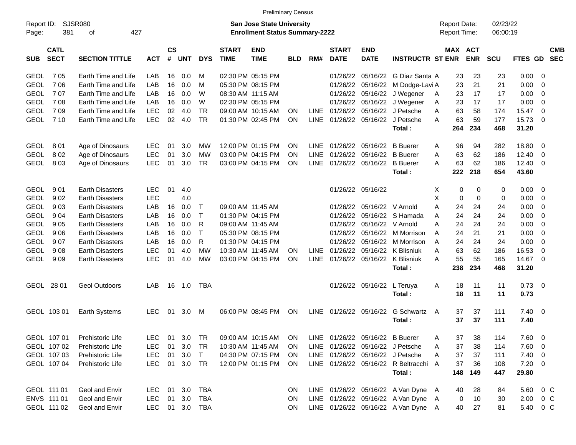|                     |                            |                              |            |                    |            |              |                             | <b>Preliminary Census</b>                                                  |            |             |                             |                           |                                       |                                     |          |                       |                      |              |                          |                          |
|---------------------|----------------------------|------------------------------|------------|--------------------|------------|--------------|-----------------------------|----------------------------------------------------------------------------|------------|-------------|-----------------------------|---------------------------|---------------------------------------|-------------------------------------|----------|-----------------------|----------------------|--------------|--------------------------|--------------------------|
| Report ID:<br>Page: | 381                        | SJSR080<br>427<br>оf         |            |                    |            |              |                             | <b>San Jose State University</b><br><b>Enrollment Status Summary-2222</b>  |            |             |                             |                           |                                       | <b>Report Date:</b><br>Report Time: |          |                       | 02/23/22<br>06:00:19 |              |                          |                          |
| <b>SUB</b>          | <b>CATL</b><br><b>SECT</b> | <b>SECTION TITTLE</b>        | <b>ACT</b> | $\mathsf{cs}$<br># | <b>UNT</b> | <b>DYS</b>   | <b>START</b><br><b>TIME</b> | <b>END</b><br><b>TIME</b>                                                  | <b>BLD</b> | RM#         | <b>START</b><br><b>DATE</b> | <b>END</b><br><b>DATE</b> | <b>INSTRUCTR ST ENR</b>               |                                     |          | MAX ACT<br><b>ENR</b> | <b>SCU</b>           | FTES GD      |                          | <b>CMB</b><br><b>SEC</b> |
| <b>GEOL</b>         | 7 0 5                      | Earth Time and Life          | LAB        | 16                 | 0.0        | M            | 02:30 PM 05:15 PM           |                                                                            |            |             | 01/26/22                    | 05/16/22                  | G Diaz Santa A                        |                                     | 23       | 23                    | 23                   | 0.00         | - 0                      |                          |
| <b>GEOL</b>         | 706                        | Earth Time and Life          | LAB        | 16                 | 0.0        | M            | 05:30 PM 08:15 PM           |                                                                            |            |             | 01/26/22                    | 05/16/22                  | M Dodge-Lavi A                        |                                     | 23       | 21                    | 21                   | 0.00         | - 0                      |                          |
| <b>GEOL</b>         | 707                        | Earth Time and Life          | LAB        | 16                 | 0.0        | W            | 08:30 AM 11:15 AM           |                                                                            |            |             | 01/26/22                    | 05/16/22                  | J Wegener                             | A                                   | 23       | 17                    | 17                   | 0.00         | 0                        |                          |
| <b>GEOL</b>         | 708                        | Earth Time and Life          | LAB        | 16                 | 0.0        | W            |                             | 02:30 PM 05:15 PM                                                          |            |             | 01/26/22                    | 05/16/22                  | J Wegener                             | Α                                   | 23       | 17                    | 17                   | 0.00         | 0                        |                          |
| <b>GEOL</b>         | 709                        | Earth Time and Life          | <b>LEC</b> | 02                 | 4.0        | <b>TR</b>    |                             | 09:00 AM 10:15 AM                                                          | <b>ON</b>  |             | LINE 01/26/22               | 05/16/22                  | J Petsche                             | A                                   | 63       | 58                    | 174                  | 15.47        | 0                        |                          |
| <b>GEOL</b>         | 7 10                       | Earth Time and Life          | <b>LEC</b> | 02                 | 4.0        | <b>TR</b>    |                             | 01:30 PM 02:45 PM                                                          | <b>ON</b>  |             |                             | LINE 01/26/22 05/16/22    | J Petsche                             | A                                   | 63       | 59                    | 177                  | 15.73        | - 0                      |                          |
|                     |                            |                              |            |                    |            |              |                             |                                                                            |            |             |                             |                           | Total:                                |                                     | 264      | 234                   | 468                  | 31.20        |                          |                          |
| <b>GEOL</b>         | 801                        | Age of Dinosaurs             | <b>LEC</b> | 01                 | 3.0        | MW           |                             | 12:00 PM 01:15 PM                                                          | <b>ON</b>  | <b>LINE</b> | 01/26/22                    | 05/16/22                  | <b>B</b> Buerer                       | A                                   | 96       | 94                    | 282                  | 18.80        | - 0                      |                          |
| <b>GEOL</b>         | 802                        | Age of Dinosaurs             | <b>LEC</b> | 01                 | 3.0        | МW           |                             | 03:00 PM 04:15 PM                                                          | <b>ON</b>  | <b>LINE</b> | 01/26/22                    | 05/16/22                  | <b>B</b> Buerer                       | A                                   | 63       | 62                    | 186                  | 12.40        | - 0                      |                          |
| <b>GEOL</b>         | 803                        | Age of Dinosaurs             | <b>LEC</b> | 01                 | 3.0        | <b>TR</b>    |                             | 03:00 PM 04:15 PM                                                          | <b>ON</b>  | <b>LINE</b> | 01/26/22                    | 05/16/22                  | <b>B</b> Buerer                       | A                                   | 63       | 62                    | 186                  | 12.40        | - 0                      |                          |
|                     |                            |                              |            |                    |            |              |                             |                                                                            |            |             |                             |                           | Total:                                |                                     | 222      | 218                   | 654                  | 43.60        |                          |                          |
| <b>GEOL</b>         | 901                        | <b>Earth Disasters</b>       | <b>LEC</b> | 01                 | 4.0        |              |                             |                                                                            |            |             |                             | 01/26/22 05/16/22         |                                       | Х                                   | 0        | 0                     | 0                    | 0.00         | - 0                      |                          |
| <b>GEOL</b>         | 902                        | <b>Earth Disasters</b>       | <b>LEC</b> |                    | 4.0        |              |                             |                                                                            |            |             |                             |                           |                                       | X                                   | 0        | 0                     | 0                    | 0.00         | 0                        |                          |
| <b>GEOL</b>         | 903                        | <b>Earth Disasters</b>       | LAB        | 16                 | 0.0        | Т            | 09:00 AM 11:45 AM           |                                                                            |            |             | 01/26/22                    | 05/16/22 V Arnold         |                                       | A                                   | 24       | 24                    | 24                   | 0.00         | 0                        |                          |
| <b>GEOL</b>         | 904                        | <b>Earth Disasters</b>       | LAB        | 16                 | 0.0        | Т            |                             | 01:30 PM 04:15 PM                                                          |            |             | 01/26/22                    |                           | 05/16/22 S Hamada                     | A                                   | 24       | 24                    | 24                   | 0.00         | 0                        |                          |
| <b>GEOL</b>         | 905                        | <b>Earth Disasters</b>       | LAB        | 16                 | 0.0        | R            | 09:00 AM 11:45 AM           |                                                                            |            |             | 01/26/22                    | 05/16/22 V Arnold         |                                       | A                                   | 24       | 24                    | 24                   | 0.00         | 0                        |                          |
| <b>GEOL</b>         | 906                        | <b>Earth Disasters</b>       | LAB        | 16                 | 0.0        | $\mathsf{T}$ | 05:30 PM 08:15 PM           |                                                                            |            |             | 01/26/22                    | 05/16/22                  | M Morrison                            | A                                   | 24       | 21                    | 21                   | 0.00         | 0                        |                          |
| <b>GEOL</b>         | 907                        | <b>Earth Disasters</b>       | LAB        | 16                 | 0.0        | R            |                             | 01:30 PM 04:15 PM                                                          |            |             | 01/26/22                    | 05/16/22                  | M Morrison                            | A                                   | 24       | 24                    | 24                   | 0.00         | 0                        |                          |
| <b>GEOL</b>         | 908                        | <b>Earth Disasters</b>       | <b>LEC</b> | 01                 | 4.0        | МW           | 10:30 AM 11:45 AM           |                                                                            | <b>ON</b>  |             | LINE 01/26/22               | 05/16/22                  | K Blisniuk                            | A                                   | 63       | 62                    | 186                  | 16.53        | 0                        |                          |
| <b>GEOL</b>         | 909                        | <b>Earth Disasters</b>       | <b>LEC</b> | 01                 | 4.0        | МW           |                             | 03:00 PM 04:15 PM                                                          | ON         | <b>LINE</b> |                             |                           | 01/26/22 05/16/22 K Blisniuk          | A                                   | 55       | 55                    | 165                  | 14.67        | - 0                      |                          |
|                     |                            |                              |            |                    |            |              |                             |                                                                            |            |             |                             |                           | Total:                                |                                     | 238      | 234                   | 468                  | 31.20        |                          |                          |
|                     | GEOL 28 01                 | <b>Geol Outdoors</b>         | LAB        | 16                 | 1.0        | TBA          |                             |                                                                            |            |             |                             | 01/26/22 05/16/22         | L Teruya                              | A                                   | 18       | 11                    | 11                   | 0.73         | $\overline{\phantom{0}}$ |                          |
|                     |                            |                              |            |                    |            |              |                             |                                                                            |            |             |                             |                           | Total:                                |                                     | 18       | 11                    | 11                   | 0.73         |                          |                          |
|                     | GEOL 103 01                | Earth Systems                | <b>LEC</b> | 01                 | 3.0        | M            |                             | 06:00 PM 08:45 PM                                                          | ON         |             | LINE 01/26/22 05/16/22      |                           | G Schwartz<br>Total:                  | A                                   | 37<br>37 | 37<br>37              | 111<br>111           | 7.40<br>7.40 | $\overline{\phantom{0}}$ |                          |
|                     |                            | GEOL 107 01 Prehistoric Life |            |                    |            |              |                             | LEC 01 3.0 TR  09:00 AM  10:15 AM  ON  LINE  01/26/22  05/16/22  B  Buerer |            |             |                             |                           |                                       |                                     | 37       | 38                    | 114                  | 7.60 0       |                          |                          |
|                     | GEOL 107 02                | Prehistoric Life             | <b>LEC</b> | 01                 | 3.0        | TR           |                             | 10:30 AM 11:45 AM                                                          | <b>ON</b>  |             |                             |                           | LINE 01/26/22 05/16/22 J Petsche      | A                                   | 37       | 38                    | 114                  | 7.60         | $\overline{\phantom{0}}$ |                          |
|                     | GEOL 107 03                | Prehistoric Life             | <b>LEC</b> | 01                 | 3.0        | $\top$       |                             | 04:30 PM 07:15 PM                                                          | <b>ON</b>  |             |                             |                           | LINE 01/26/22 05/16/22 J Petsche      | A                                   | 37       | 37                    | 111                  | 7.40 0       |                          |                          |
|                     | GEOL 107 04                | Prehistoric Life             | <b>LEC</b> |                    | 01 3.0 TR  |              |                             | 12:00 PM 01:15 PM                                                          | ON         |             |                             |                           | LINE 01/26/22 05/16/22 R Beltracchi A |                                     | 37       | 36                    | 108                  | $7.20 \t 0$  |                          |                          |
|                     |                            |                              |            |                    |            |              |                             |                                                                            |            |             |                             |                           | Total:                                |                                     | 148      | 149                   | 447                  | 29.80        |                          |                          |
|                     | GEOL 111 01                | Geol and Envir               | <b>LEC</b> |                    | 01 3.0     | TBA          |                             |                                                                            | <b>ON</b>  |             |                             |                           | LINE 01/26/22 05/16/22 A Van Dyne A   |                                     | 40       | 28                    | 84                   | 5.60 0 C     |                          |                          |
|                     | ENVS 111 01                | Geol and Envir               | <b>LEC</b> | 01                 | 3.0        | TBA          |                             |                                                                            | <b>ON</b>  |             |                             |                           | LINE 01/26/22 05/16/22 A Van Dyne A   |                                     | 0        | 10                    | 30                   | 2.00         | $0\,$ C                  |                          |
|                     | GEOL 111 02                | Geol and Envir               | <b>LEC</b> |                    |            | 01 3.0 TBA   |                             |                                                                            | ON         |             |                             |                           | LINE 01/26/22 05/16/22 A Van Dyne A   |                                     | 40       | 27                    | 81                   | 5.40 0 C     |                          |                          |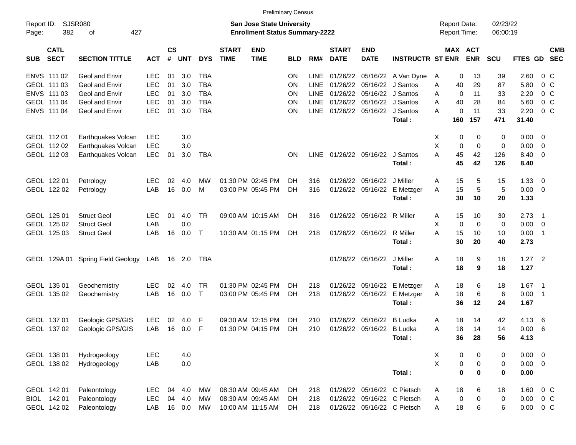|                     |                            |                             |            |                    |            |              |                             |                                                                           | <b>Preliminary Census</b> |             |                             |                             |                              |                                     |             |                       |                      |               |                            |                |
|---------------------|----------------------------|-----------------------------|------------|--------------------|------------|--------------|-----------------------------|---------------------------------------------------------------------------|---------------------------|-------------|-----------------------------|-----------------------------|------------------------------|-------------------------------------|-------------|-----------------------|----------------------|---------------|----------------------------|----------------|
| Report ID:<br>Page: | 382                        | <b>SJSR080</b><br>427<br>оf |            |                    |            |              |                             | <b>San Jose State University</b><br><b>Enrollment Status Summary-2222</b> |                           |             |                             |                             |                              | <b>Report Date:</b><br>Report Time: |             |                       | 02/23/22<br>06:00:19 |               |                            |                |
| SUB                 | <b>CATL</b><br><b>SECT</b> | <b>SECTION TITTLE</b>       | <b>ACT</b> | $\mathsf{cs}$<br># | <b>UNT</b> | <b>DYS</b>   | <b>START</b><br><b>TIME</b> | <b>END</b><br><b>TIME</b>                                                 | <b>BLD</b>                | RM#         | <b>START</b><br><b>DATE</b> | <b>END</b><br><b>DATE</b>   | <b>INSTRUCTR ST ENR</b>      |                                     |             | MAX ACT<br><b>ENR</b> | <b>SCU</b>           | FTES GD SEC   |                            | <b>CMB</b>     |
|                     | ENVS 111 02                | Geol and Envir              | <b>LEC</b> | 01                 | 3.0        | <b>TBA</b>   |                             |                                                                           | <b>ON</b>                 | LINE.       |                             |                             | 01/26/22 05/16/22 A Van Dyne | A                                   | 0           | 13                    | 39                   | 2.60          |                            | $0\,C$         |
|                     | GEOL 111 03                | Geol and Envir              | <b>LEC</b> | 01                 | 3.0        | <b>TBA</b>   |                             |                                                                           | <b>ON</b>                 | <b>LINE</b> |                             | 01/26/22 05/16/22 J Santos  |                              | A                                   | 40          | 29                    | 87                   | 5.80          |                            | 0 <sup>C</sup> |
|                     | ENVS 111 03                | Geol and Envir              | <b>LEC</b> | 01                 | 3.0        | <b>TBA</b>   |                             |                                                                           | <b>ON</b>                 | <b>LINE</b> |                             | 01/26/22 05/16/22 J Santos  |                              | A                                   | $\mathbf 0$ | 11                    | 33                   | 2.20          |                            | $0\,C$         |
|                     | GEOL 111 04                | Geol and Envir              | <b>LEC</b> | 01                 | 3.0        | <b>TBA</b>   |                             |                                                                           | <b>ON</b>                 | <b>LINE</b> |                             | 01/26/22 05/16/22 J Santos  |                              | A                                   | 40          | 28                    | 84                   | 5.60          |                            | $0\,C$         |
|                     | ENVS 111 04                | Geol and Envir              | <b>LEC</b> | 01                 | 3.0        | <b>TBA</b>   |                             |                                                                           | ON                        | <b>LINE</b> |                             | 01/26/22 05/16/22 J Santos  |                              | A                                   | $\mathbf 0$ | 11                    | 33                   | 2.20          |                            | 0 <sup>C</sup> |
|                     |                            |                             |            |                    |            |              |                             |                                                                           |                           |             |                             |                             | Total:                       |                                     | 160         | 157                   | 471                  | 31.40         |                            |                |
|                     | GEOL 112 01                | Earthquakes Volcan          | <b>LEC</b> |                    | 3.0        |              |                             |                                                                           |                           |             |                             |                             |                              | Χ                                   | 0           | 0                     | 0                    | 0.00          | - 0                        |                |
|                     | GEOL 112 02                | Earthquakes Volcan          | <b>LEC</b> |                    | 3.0        |              |                             |                                                                           |                           |             |                             |                             |                              | X                                   | $\mathbf 0$ | $\mathbf 0$           | $\mathbf 0$          | 0.00          | $\overline{0}$             |                |
|                     | GEOL 112 03                | Earthquakes Volcan          | <b>LEC</b> | 01                 | 3.0        | TBA          |                             |                                                                           | <b>ON</b>                 | <b>LINE</b> |                             | 01/26/22 05/16/22 J Santos  |                              | А                                   | 45          | 42                    | 126                  | 8.40          | - 0                        |                |
|                     |                            |                             |            |                    |            |              |                             |                                                                           |                           |             |                             |                             | Total:                       |                                     | 45          | 42                    | 126                  | 8.40          |                            |                |
|                     | GEOL 122 01                | Petrology                   | LEC.       | 02                 | 4.0        | MW           |                             | 01:30 PM 02:45 PM                                                         | DH                        | 316         |                             | 01/26/22 05/16/22 J Miller  |                              | A                                   | 15          | 5                     | 15                   | 1.33          | $\overline{\mathbf{0}}$    |                |
|                     | GEOL 122 02                | Petrology                   | LAB        | 16                 | 0.0        | м            |                             | 03:00 PM 05:45 PM                                                         | DH                        | 316         |                             | 01/26/22 05/16/22           | E Metzger                    | A                                   | 15          | 5                     | 5                    | 0.00          | $\overline{0}$             |                |
|                     |                            |                             |            |                    |            |              |                             |                                                                           |                           |             |                             |                             | Total:                       |                                     | 30          | 10                    | 20                   | 1.33          |                            |                |
|                     | GEOL 125 01                | <b>Struct Geol</b>          | LEC.       | 01                 | 4.0        | <b>TR</b>    |                             | 09:00 AM 10:15 AM                                                         | DH.                       | 316         |                             | 01/26/22 05/16/22 R Miller  |                              | A                                   | 15          | 10                    | 30                   | 2.73          | $\overline{\phantom{0}}$ 1 |                |
|                     | GEOL 125 02                | <b>Struct Geol</b>          | LAB        |                    | 0.0        |              |                             |                                                                           |                           |             |                             |                             |                              | X                                   | $\mathbf 0$ | $\mathbf 0$           | 0                    | 0.00          | $\overline{0}$             |                |
|                     | GEOL 125 03                | <b>Struct Geol</b>          | LAB        | 16                 | 0.0        | $\mathsf{T}$ |                             | 10:30 AM 01:15 PM                                                         | DH                        | 218         |                             | 01/26/22 05/16/22           | R Miller                     | A                                   | 15          | 10                    | 10                   | 0.00          | $\overline{\phantom{0}}$ 1 |                |
|                     |                            |                             |            |                    |            |              |                             |                                                                           |                           |             |                             |                             | Total:                       |                                     | 30          | 20                    | 40                   | 2.73          |                            |                |
|                     | GEOL 129A 01               | Spring Field Geology        | LAB        |                    | 16 2.0     | TBA          |                             |                                                                           |                           |             |                             | 01/26/22 05/16/22           | J Miller                     | Α                                   | 18          | 9                     | 18                   | $1.27$ 2      |                            |                |
|                     |                            |                             |            |                    |            |              |                             |                                                                           |                           |             |                             |                             | Total:                       |                                     | 18          | 9                     | 18                   | 1.27          |                            |                |
|                     | GEOL 135 01                | Geochemistry                | <b>LEC</b> | 02                 | 4.0        | TR.          |                             | 01:30 PM 02:45 PM                                                         | DH                        | 218         |                             | 01/26/22 05/16/22           | E Metzger                    | A                                   | 18          | 6                     | 18                   | $1.67$ 1      |                            |                |
|                     | GEOL 135 02                | Geochemistry                | LAB        | 16                 | 0.0        | $\mathsf{T}$ |                             | 03:00 PM 05:45 PM                                                         | DH                        | 218         |                             | 01/26/22 05/16/22           | E Metzger                    | A                                   | 18          | 6                     | 6                    | 0.00          | $\overline{\phantom{0}}$ 1 |                |
|                     |                            |                             |            |                    |            |              |                             |                                                                           |                           |             |                             |                             | Total:                       |                                     | 36          | 12                    | 24                   | 1.67          |                            |                |
|                     | GEOL 137 01                | Geologic GPS/GIS            | LEC.       | 02                 | 4.0        | F            |                             | 09:30 AM 12:15 PM                                                         | DH                        | 210         |                             | 01/26/22 05/16/22           | B Ludka                      | A                                   | 18          | 14                    | 42                   | 4.13          | $6^{\circ}$                |                |
|                     | GEOL 137 02                | Geologic GPS/GIS            | LAB        | 16                 | 0.0        | F            |                             | 01:30 PM 04:15 PM                                                         | DH                        | 210         |                             | 01/26/22 05/16/22 B Ludka   |                              | A                                   | 18          | 14                    | 14                   | 0.00          | 6                          |                |
|                     |                            |                             |            |                    |            |              |                             |                                                                           |                           |             |                             |                             | Total:                       |                                     | 36          | 28                    | 56                   | 4.13          |                            |                |
|                     | GEOL 138 01                | Hydrogeology                | <b>LEC</b> |                    | 4.0        |              |                             |                                                                           |                           |             |                             |                             |                              | X                                   | 0           | 0                     | 0                    | $0.00 \t 0$   |                            |                |
|                     | GEOL 138 02                | Hydrogeology                | LAB        |                    | 0.0        |              |                             |                                                                           |                           |             |                             |                             |                              | $\mathsf X$                         | $\pmb{0}$   | 0                     | 0                    | $0.00 \t 0$   |                            |                |
|                     |                            |                             |            |                    |            |              |                             |                                                                           |                           |             |                             |                             | Total:                       |                                     | $\pmb{0}$   | $\mathbf 0$           | 0                    | 0.00          |                            |                |
|                     | GEOL 142 01                | Paleontology                | <b>LEC</b> |                    | 04 4.0     | МW           |                             | 08:30 AM 09:45 AM                                                         | DH                        | 218         |                             |                             | 01/26/22 05/16/22 C Pietsch  | A                                   | 18          | 6                     | 18                   | 1.60          | 0 <sup>o</sup>             |                |
|                     | BIOL 142 01                | Paleontology                | <b>LEC</b> |                    | 04 4.0     | MW           |                             | 08:30 AM 09:45 AM                                                         | DH                        | 218         |                             |                             | 01/26/22 05/16/22 C Pietsch  | A                                   | $\pmb{0}$   | 0                     | 0                    | 0.00          | $0\,C$                     |                |
|                     | GEOL 142 02                | Paleontology                | LAB        |                    | 16 0.0     | MW           |                             | 10:00 AM 11:15 AM                                                         | DH                        | 218         |                             | 01/26/22 05/16/22 C Pietsch |                              | A                                   | 18          | 6                     | 6                    | $0.00 \t 0 C$ |                            |                |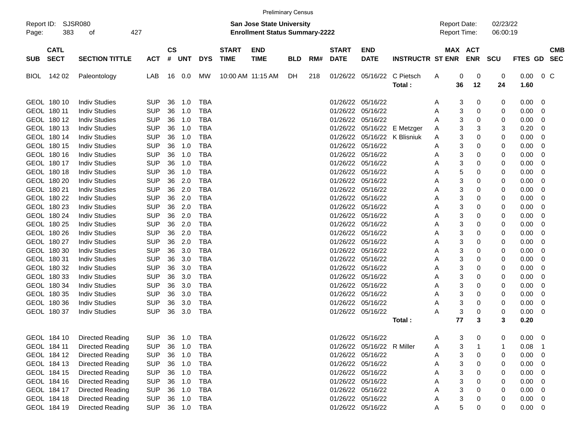|                                          |                             |            |                    |            |            |                             |                                                                           | <b>Preliminary Census</b> |     |                             |                            |                         |                                            |    |             |                      |                |                |                          |
|------------------------------------------|-----------------------------|------------|--------------------|------------|------------|-----------------------------|---------------------------------------------------------------------------|---------------------------|-----|-----------------------------|----------------------------|-------------------------|--------------------------------------------|----|-------------|----------------------|----------------|----------------|--------------------------|
| Report ID:<br>383<br>Page:               | <b>SJSR080</b><br>427<br>οf |            |                    |            |            |                             | <b>San Jose State University</b><br><b>Enrollment Status Summary-2222</b> |                           |     |                             |                            |                         | <b>Report Date:</b><br><b>Report Time:</b> |    |             | 02/23/22<br>06:00:19 |                |                |                          |
| <b>CATL</b><br><b>SECT</b><br><b>SUB</b> | <b>SECTION TITTLE</b>       | <b>ACT</b> | $\mathsf{cs}$<br># | UNT        | <b>DYS</b> | <b>START</b><br><b>TIME</b> | <b>END</b><br><b>TIME</b>                                                 | <b>BLD</b>                | RM# | <b>START</b><br><b>DATE</b> | <b>END</b><br><b>DATE</b>  | <b>INSTRUCTR ST ENR</b> | MAX ACT                                    |    | <b>ENR</b>  | <b>SCU</b>           | <b>FTES GD</b> |                | <b>CMB</b><br><b>SEC</b> |
| 142 02<br><b>BIOL</b>                    | Paleontology                | LAB        | 16                 | 0.0        | <b>MW</b>  |                             | 10:00 AM 11:15 AM                                                         | DH                        | 218 |                             | 01/26/22 05/16/22          | C Pietsch               | A                                          | 0  | 0           | 0                    | 0.00           | 0 <sup>o</sup> |                          |
|                                          |                             |            |                    |            |            |                             |                                                                           |                           |     |                             |                            | Total:                  |                                            | 36 | 12          | 24                   | 1.60           |                |                          |
|                                          |                             |            |                    |            |            |                             |                                                                           |                           |     |                             |                            |                         |                                            |    |             |                      |                |                |                          |
| GEOL 180 10                              | <b>Indiv Studies</b>        | <b>SUP</b> | 36                 | 1.0        | <b>TBA</b> |                             |                                                                           |                           |     |                             | 01/26/22 05/16/22          |                         | Α                                          | 3  | 0           | 0                    | 0.00           | 0              |                          |
| GEOL 180 11                              | <b>Indiv Studies</b>        | <b>SUP</b> | 36                 | 1.0        | <b>TBA</b> |                             |                                                                           |                           |     | 01/26/22                    | 05/16/22                   |                         | Α                                          | 3  | 0           | 0                    | 0.00           | 0              |                          |
| GEOL 180 12                              | <b>Indiv Studies</b>        | <b>SUP</b> | 36                 | 1.0        | <b>TBA</b> |                             |                                                                           |                           |     |                             | 01/26/22 05/16/22          |                         | A                                          | 3  | 0           | 0                    | 0.00           | 0              |                          |
| GEOL 180 13                              | <b>Indiv Studies</b>        | <b>SUP</b> | 36                 | 1.0        | <b>TBA</b> |                             |                                                                           |                           |     | 01/26/22                    |                            | 05/16/22 E Metzger      | Α                                          | 3  | 3           | 3                    | 0.20           | 0              |                          |
| GEOL 180 14                              | <b>Indiv Studies</b>        | <b>SUP</b> | 36                 | 1.0        | <b>TBA</b> |                             |                                                                           |                           |     | 01/26/22                    |                            | 05/16/22 K Blisniuk     | Α                                          | 3  | 0           | 0                    | 0.00           | 0              |                          |
| GEOL 180 15                              | <b>Indiv Studies</b>        | <b>SUP</b> | 36                 | 1.0        | <b>TBA</b> |                             |                                                                           |                           |     |                             | 01/26/22 05/16/22          |                         | Α                                          | 3  | $\mathbf 0$ | 0                    | 0.00           | 0              |                          |
| GEOL 180 16                              | <b>Indiv Studies</b>        | <b>SUP</b> | 36                 | 1.0        | <b>TBA</b> |                             |                                                                           |                           |     |                             | 01/26/22 05/16/22          |                         | Α                                          | 3  | 0           | 0                    | 0.00           | 0              |                          |
| GEOL 180 17                              | <b>Indiv Studies</b>        | <b>SUP</b> | 36                 | 1.0        | <b>TBA</b> |                             |                                                                           |                           |     |                             | 01/26/22 05/16/22          |                         | Α                                          | 3  | 0           | 0                    | 0.00           | 0              |                          |
| GEOL 180 18                              | <b>Indiv Studies</b>        | <b>SUP</b> | 36                 | 1.0        | <b>TBA</b> |                             |                                                                           |                           |     | 01/26/22                    | 05/16/22                   |                         | Α                                          | 5  | 0           | 0                    | 0.00           | 0              |                          |
| GEOL 180 20                              | <b>Indiv Studies</b>        | <b>SUP</b> | 36                 | 2.0        | <b>TBA</b> |                             |                                                                           |                           |     | 01/26/22                    | 05/16/22                   |                         | Α                                          | 3  | $\mathbf 0$ | 0                    | 0.00           | 0              |                          |
| GEOL 180 21                              | <b>Indiv Studies</b>        | <b>SUP</b> | 36                 | 2.0        | <b>TBA</b> |                             |                                                                           |                           |     |                             | 01/26/22 05/16/22          |                         | Α                                          | 3  | 0           | 0                    | 0.00           | 0              |                          |
| GEOL 180 22                              | <b>Indiv Studies</b>        | <b>SUP</b> | 36                 | 2.0        | <b>TBA</b> |                             |                                                                           |                           |     |                             | 01/26/22 05/16/22          |                         | Α                                          | 3  | 0           | 0                    | 0.00           | 0              |                          |
| GEOL 180 23                              | <b>Indiv Studies</b>        | <b>SUP</b> | 36                 | 2.0        | TBA        |                             |                                                                           |                           |     | 01/26/22                    | 05/16/22                   |                         | Α                                          | 3  | 0           | 0                    | 0.00           | 0              |                          |
| GEOL 180 24                              | <b>Indiv Studies</b>        | <b>SUP</b> | 36                 | 2.0        | TBA        |                             |                                                                           |                           |     | 01/26/22                    | 05/16/22                   |                         | Α                                          | 3  | $\mathbf 0$ | 0                    | 0.00           | 0              |                          |
| GEOL 180 25                              | <b>Indiv Studies</b>        | <b>SUP</b> | 36                 | 2.0        | TBA        |                             |                                                                           |                           |     |                             | 01/26/22 05/16/22          |                         | Α                                          | 3  | $\mathbf 0$ | 0                    | 0.00           | 0              |                          |
| GEOL 180 26                              | <b>Indiv Studies</b>        | <b>SUP</b> | 36                 | 2.0        | <b>TBA</b> |                             |                                                                           |                           |     |                             | 01/26/22 05/16/22          |                         | Α                                          | 3  | 0           | 0                    | 0.00           | 0              |                          |
| GEOL 180 27                              | <b>Indiv Studies</b>        | <b>SUP</b> | 36                 | 2.0        | <b>TBA</b> |                             |                                                                           |                           |     | 01/26/22                    | 05/16/22                   |                         | Α                                          | 3  | 0           | 0                    | 0.00           | 0              |                          |
| GEOL 180 30                              | <b>Indiv Studies</b>        | <b>SUP</b> | 36                 | 3.0        | TBA        |                             |                                                                           |                           |     | 01/26/22                    | 05/16/22                   |                         | Α                                          | 3  | 0           | 0                    | 0.00           | 0              |                          |
| GEOL 180 31                              | <b>Indiv Studies</b>        | <b>SUP</b> | 36                 | 3.0        | TBA        |                             |                                                                           |                           |     | 01/26/22                    | 05/16/22                   |                         | Α                                          | 3  | $\mathbf 0$ | 0                    | 0.00           | 0              |                          |
| GEOL 180 32                              | <b>Indiv Studies</b>        | <b>SUP</b> | 36                 | 3.0        | TBA        |                             |                                                                           |                           |     | 01/26/22                    | 05/16/22                   |                         | Α                                          | 3  | 0           | 0                    | 0.00           | 0              |                          |
| GEOL 180 33                              | <b>Indiv Studies</b>        | <b>SUP</b> | 36                 | 3.0        | <b>TBA</b> |                             |                                                                           |                           |     | 01/26/22                    | 05/16/22                   |                         | Α                                          | 3  | 0           | 0                    | 0.00           | 0              |                          |
| GEOL 180 34                              | <b>Indiv Studies</b>        | <b>SUP</b> | 36                 | 3.0        | TBA        |                             |                                                                           |                           |     | 01/26/22                    | 05/16/22                   |                         | Α                                          | 3  | 0           | 0                    | 0.00           | 0              |                          |
| GEOL 180 35                              | <b>Indiv Studies</b>        | <b>SUP</b> | 36                 | 3.0        | TBA        |                             |                                                                           |                           |     | 01/26/22                    | 05/16/22                   |                         | Α                                          | 3  | $\mathbf 0$ | 0                    | 0.00           | 0              |                          |
| GEOL 180 36                              | <b>Indiv Studies</b>        | <b>SUP</b> | 36                 | 3.0        | <b>TBA</b> |                             |                                                                           |                           |     |                             | 01/26/22 05/16/22          |                         | Α                                          | 3  | $\mathbf 0$ | 0                    | 0.00           | 0              |                          |
| GEOL 180 37                              | <b>Indiv Studies</b>        | <b>SUP</b> | 36                 | 3.0        | <b>TBA</b> |                             |                                                                           |                           |     |                             | 01/26/22 05/16/22          |                         | Α                                          | 3  | 0           | 0                    | 0.00           | 0              |                          |
|                                          |                             |            |                    |            |            |                             |                                                                           |                           |     |                             |                            | Total:                  |                                            | 77 | 3           | 3                    | 0.20           |                |                          |
| GEOL 184 10                              | Directed Reading            | <b>SUP</b> | 36                 | 1.0        | <b>TBA</b> |                             |                                                                           |                           |     |                             | 01/26/22 05/16/22          |                         | Α                                          | 3  | 0           | 0                    | 0.00           | 0              |                          |
| GEOL 184 11                              | Directed Reading            | <b>SUP</b> | 36                 | 1.0        | TBA        |                             |                                                                           |                           |     |                             | 01/26/22 05/16/22 R Miller |                         | A                                          | 3  |             |                      | 0.08           | - 1            |                          |
| GEOL 184 12                              | Directed Reading            | <b>SUP</b> |                    | 36 1.0     | TBA        |                             |                                                                           |                           |     |                             | 01/26/22 05/16/22          |                         | Α                                          | 3  | 0           | 0                    | 0.00           | 0              |                          |
| GEOL 184 13                              | Directed Reading            | <b>SUP</b> |                    | 36 1.0     | TBA        |                             |                                                                           |                           |     |                             | 01/26/22 05/16/22          |                         | А                                          | 3  | 0           | 0                    | 0.00           | 0              |                          |
| GEOL 184 15                              | Directed Reading            | <b>SUP</b> | 36                 | 1.0        | TBA        |                             |                                                                           |                           |     |                             | 01/26/22 05/16/22          |                         |                                            | 3  | 0           | 0                    | 0.00           | 0              |                          |
| GEOL 184 16                              | Directed Reading            | <b>SUP</b> | 36                 | 1.0        | TBA        |                             |                                                                           |                           |     |                             | 01/26/22 05/16/22          |                         | А                                          | 3  | 0           | 0                    | 0.00           | 0              |                          |
| GEOL 184 17                              | Directed Reading            | <b>SUP</b> | 36                 | 1.0        | TBA        |                             |                                                                           |                           |     |                             | 01/26/22 05/16/22          |                         | А                                          | 3  | 0           | 0                    | 0.00           | 0              |                          |
| GEOL 184 18                              | Directed Reading            | <b>SUP</b> | 36                 | 1.0        | TBA        |                             |                                                                           |                           |     |                             | 01/26/22 05/16/22          |                         | A                                          | 3  | 0           | 0                    | 0.00           | 0              |                          |
| GEOL 184 19                              | <b>Directed Reading</b>     | <b>SUP</b> |                    | 36 1.0 TBA |            |                             |                                                                           |                           |     |                             | 01/26/22 05/16/22          |                         | A                                          | 5  | 0           | 0                    | 0.00           | 0              |                          |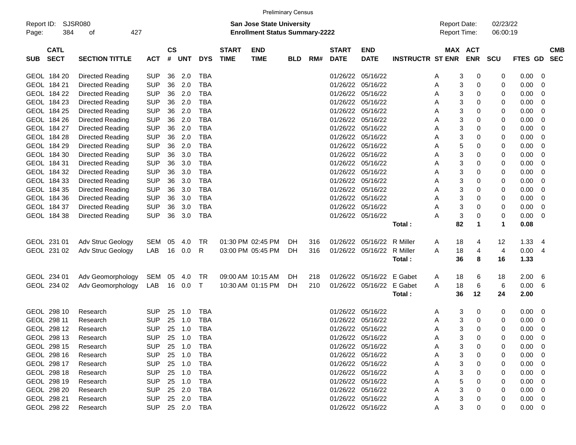|                     |                            |                             |            |                |            |              |                             |                                                                    | <b>Preliminary Census</b> |     |                             |                           |                         |                                     |                           |              |                      |             |   |                          |
|---------------------|----------------------------|-----------------------------|------------|----------------|------------|--------------|-----------------------------|--------------------------------------------------------------------|---------------------------|-----|-----------------------------|---------------------------|-------------------------|-------------------------------------|---------------------------|--------------|----------------------|-------------|---|--------------------------|
| Report ID:<br>Page: | 384                        | <b>SJSR080</b><br>427<br>οf |            |                |            |              |                             | San Jose State University<br><b>Enrollment Status Summary-2222</b> |                           |     |                             |                           |                         | <b>Report Date:</b><br>Report Time: |                           |              | 02/23/22<br>06:00:19 |             |   |                          |
| <b>SUB</b>          | <b>CATL</b><br><b>SECT</b> | <b>SECTION TITTLE</b>       | <b>ACT</b> | <b>CS</b><br># | <b>UNT</b> | <b>DYS</b>   | <b>START</b><br><b>TIME</b> | <b>END</b><br><b>TIME</b>                                          | <b>BLD</b>                | RM# | <b>START</b><br><b>DATE</b> | <b>END</b><br><b>DATE</b> | <b>INSTRUCTR ST ENR</b> |                                     | MAX ACT                   | <b>ENR</b>   | <b>SCU</b>           | FTES GD     |   | <b>CMB</b><br><b>SEC</b> |
|                     | GEOL 184 20                | <b>Directed Reading</b>     | <b>SUP</b> | 36             | 2.0        | TBA          |                             |                                                                    |                           |     | 01/26/22                    | 05/16/22                  |                         | A                                   | 3                         | 0            | 0                    | 0.00        | 0 |                          |
|                     | GEOL 184 21                | <b>Directed Reading</b>     | <b>SUP</b> | 36             | 2.0        | <b>TBA</b>   |                             |                                                                    |                           |     | 01/26/22                    | 05/16/22                  |                         | Α                                   | 3                         | 0            | 0                    | 0.00        | 0 |                          |
|                     | GEOL 184 22                | <b>Directed Reading</b>     | <b>SUP</b> | 36             | 2.0        | <b>TBA</b>   |                             |                                                                    |                           |     | 01/26/22                    | 05/16/22                  |                         | Α                                   | 3                         | 0            | 0                    | 0.00        | 0 |                          |
|                     | GEOL 184 23                | <b>Directed Reading</b>     | <b>SUP</b> | 36             | 2.0        | <b>TBA</b>   |                             |                                                                    |                           |     | 01/26/22                    | 05/16/22                  |                         | Α                                   | 3                         | 0            | 0                    | 0.00        | 0 |                          |
|                     | GEOL 184 25                | <b>Directed Reading</b>     | <b>SUP</b> | 36             | 2.0        | TBA          |                             |                                                                    |                           |     | 01/26/22                    | 05/16/22                  |                         | Α                                   | 3                         | 0            | 0                    | 0.00        | 0 |                          |
|                     | GEOL 184 26                | <b>Directed Reading</b>     | <b>SUP</b> | 36             | 2.0        | TBA          |                             |                                                                    |                           |     | 01/26/22                    | 05/16/22                  |                         | Α                                   | 3                         | 0            | 0                    | 0.00        | 0 |                          |
|                     | GEOL 184 27                | <b>Directed Reading</b>     | <b>SUP</b> | 36             | 2.0        | <b>TBA</b>   |                             |                                                                    |                           |     | 01/26/22                    | 05/16/22                  |                         | Α                                   | 3                         | 0            | 0                    | 0.00        | 0 |                          |
|                     | GEOL 184 28                | <b>Directed Reading</b>     | <b>SUP</b> | 36             | 2.0        | <b>TBA</b>   |                             |                                                                    |                           |     | 01/26/22                    | 05/16/22                  |                         | Α                                   | 3                         | 0            | 0                    | 0.00        | 0 |                          |
|                     | GEOL 184 29                | <b>Directed Reading</b>     | <b>SUP</b> | 36             | 2.0        | TBA          |                             |                                                                    |                           |     | 01/26/22                    | 05/16/22                  |                         | Α                                   | 5                         | 0            | 0                    | 0.00        | 0 |                          |
|                     | GEOL 184 30                | <b>Directed Reading</b>     | <b>SUP</b> | 36             | 3.0        | TBA          |                             |                                                                    |                           |     | 01/26/22                    | 05/16/22                  |                         | Α                                   | 3                         | 0            | 0                    | 0.00        | 0 |                          |
|                     | GEOL 184 31                | <b>Directed Reading</b>     | <b>SUP</b> | 36             | 3.0        | <b>TBA</b>   |                             |                                                                    |                           |     | 01/26/22                    | 05/16/22                  |                         | Α                                   | 3                         | 0            | 0                    | 0.00        | 0 |                          |
|                     | GEOL 184 32                | <b>Directed Reading</b>     | <b>SUP</b> | 36             | 3.0        | <b>TBA</b>   |                             |                                                                    |                           |     | 01/26/22                    | 05/16/22                  |                         | Α                                   | 3                         | 0            | 0                    | 0.00        | 0 |                          |
|                     | GEOL 184 33                | <b>Directed Reading</b>     | <b>SUP</b> | 36             | 3.0        | TBA          |                             |                                                                    |                           |     | 01/26/22                    | 05/16/22                  |                         | Α                                   | 3                         | 0            | 0                    | 0.00        | 0 |                          |
|                     | GEOL 184 35                | <b>Directed Reading</b>     | <b>SUP</b> | 36             | 3.0        | TBA          |                             |                                                                    |                           |     | 01/26/22                    | 05/16/22                  |                         | Α                                   | 3                         | 0            | 0                    | 0.00        | 0 |                          |
|                     | GEOL 184 36                | <b>Directed Reading</b>     | <b>SUP</b> | 36             | 3.0        | <b>TBA</b>   |                             |                                                                    |                           |     | 01/26/22                    | 05/16/22                  |                         | Α                                   | 3                         | 0            | 0                    | 0.00        | 0 |                          |
|                     | GEOL 184 37                | <b>Directed Reading</b>     | <b>SUP</b> | 36             | 3.0        | TBA          |                             |                                                                    |                           |     | 01/26/22                    | 05/16/22                  |                         | Α                                   | 3                         | 0            | 0                    | 0.00        | 0 |                          |
|                     | GEOL 184 38                | <b>Directed Reading</b>     | <b>SUP</b> | 36             | 3.0        | TBA          |                             |                                                                    |                           |     |                             | 01/26/22 05/16/22         |                         | Α                                   | $\ensuremath{\mathsf{3}}$ | 0            | 0                    | 0.00        | 0 |                          |
|                     |                            |                             |            |                |            |              |                             |                                                                    |                           |     |                             |                           | Total:                  |                                     | 82                        | 1            | $\blacktriangleleft$ | 0.08        |   |                          |
|                     | GEOL 231 01                | Adv Struc Geology           | SEM        | 05             | 4.0        | <b>TR</b>    |                             | 01:30 PM 02:45 PM                                                  | <b>DH</b>                 | 316 |                             | 01/26/22 05/16/22         | R Miller                | A                                   | 18                        | 4            | 12                   | 1.33        | 4 |                          |
|                     | GEOL 231 02                | Adv Struc Geology           | LAB        | 16             | 0.0        | R            |                             | 03:00 PM 05:45 PM                                                  | DH                        | 316 | 01/26/22                    | 05/16/22                  | R Miller                | A                                   | 18                        | 4            | 4                    | 0.00        | 4 |                          |
|                     |                            |                             |            |                |            |              |                             |                                                                    |                           |     |                             |                           | Total:                  |                                     | 36                        | 8            | 16                   | 1.33        |   |                          |
|                     | GEOL 234 01                | Adv Geomorphology           | SEM        | 05             | 4.0        | <b>TR</b>    |                             | 09:00 AM 10:15 AM                                                  | DH                        | 218 | 01/26/22                    | 05/16/22                  | E Gabet                 | A                                   | 18                        | 6            | 18                   | 2.00        | 6 |                          |
|                     | GEOL 234 02                | Adv Geomorphology           | LAB        | 16             | 0.0        | $\mathsf{T}$ |                             | 10:30 AM 01:15 PM                                                  | DH                        | 210 | 01/26/22                    | 05/16/22                  | E Gabet                 | A                                   | 18                        | 6            | 6                    | 0.00        | 6 |                          |
|                     |                            |                             |            |                |            |              |                             |                                                                    |                           |     |                             |                           | Total:                  |                                     | 36                        | 12           | 24                   | 2.00        |   |                          |
|                     | GEOL 298 10                | Research                    | <b>SUP</b> | 25             | 1.0        | TBA          |                             |                                                                    |                           |     | 01/26/22                    | 05/16/22                  |                         | A                                   | 3                         | 0            | 0                    | 0.00        | 0 |                          |
|                     | GEOL 298 11                | Research                    | <b>SUP</b> | 25             | 1.0        | <b>TBA</b>   |                             |                                                                    |                           |     | 01/26/22                    | 05/16/22                  |                         | A                                   | 3                         | 0            | 0                    | 0.00        | 0 |                          |
|                     | GEOL 298 12                | Research                    | <b>SUP</b> | 25             | 1.0        | <b>TBA</b>   |                             |                                                                    |                           |     | 01/26/22 05/16/22           |                           |                         | Α                                   | 3                         | $\mathbf{0}$ | $\Omega$             | 0.00        | 0 |                          |
|                     | GEOL 298 13                | Research                    | SUP.       |                | 25 1.0     | TBA          |                             |                                                                    |                           |     |                             | 01/26/22 05/16/22         |                         | Α                                   | 3                         | 0            | 0                    | $0.00 \t 0$ |   |                          |
|                     | GEOL 298 15                | Research                    | <b>SUP</b> |                | 25 1.0     | TBA          |                             |                                                                    |                           |     |                             | 01/26/22 05/16/22         |                         | A                                   | 3                         | 0            | 0                    | $0.00 \t 0$ |   |                          |
|                     | GEOL 298 16                | Research                    | <b>SUP</b> |                | 25 1.0     | TBA          |                             |                                                                    |                           |     |                             | 01/26/22 05/16/22         |                         | Α                                   | 3                         | 0            | 0                    | $0.00 \t 0$ |   |                          |
|                     | GEOL 298 17                | Research                    | <b>SUP</b> |                | 25 1.0     | TBA          |                             |                                                                    |                           |     |                             | 01/26/22 05/16/22         |                         | Α                                   | 3                         | 0            | 0                    | $0.00 \t 0$ |   |                          |
|                     | GEOL 298 18                | Research                    | <b>SUP</b> |                | 25 1.0     | TBA          |                             |                                                                    |                           |     |                             | 01/26/22 05/16/22         |                         | A                                   | 3                         | 0            | 0                    | $0.00 \t 0$ |   |                          |
|                     | GEOL 298 19                | Research                    | <b>SUP</b> |                | 25 1.0     | TBA          |                             |                                                                    |                           |     |                             | 01/26/22 05/16/22         |                         | A                                   | 5                         | 0            | 0                    | $0.00 \t 0$ |   |                          |
|                     | GEOL 298 20                | Research                    | <b>SUP</b> |                | 25 2.0     | TBA          |                             |                                                                    |                           |     |                             | 01/26/22 05/16/22         |                         | A                                   | 3                         | 0            | 0                    | $0.00 \t 0$ |   |                          |
|                     | GEOL 298 21                | Research                    | SUP        |                | 25 2.0     | TBA          |                             |                                                                    |                           |     |                             | 01/26/22 05/16/22         |                         | Α                                   | 3                         | 0            | 0                    | $0.00 \t 0$ |   |                          |
|                     | GEOL 298 22                | Research                    | SUP 25 2.0 |                |            | TBA          |                             |                                                                    |                           |     |                             | 01/26/22 05/16/22         |                         | A                                   | 3                         | 0            | 0                    | $0.00 \t 0$ |   |                          |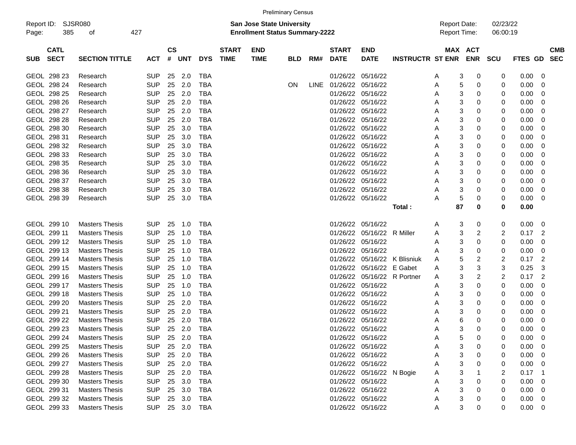|                     | <b>Preliminary Census</b>  |                       |            |                |        |            |                             |                                                                           |            |             |                             |                           |                         |                                     |                       |                      |         |                          |
|---------------------|----------------------------|-----------------------|------------|----------------|--------|------------|-----------------------------|---------------------------------------------------------------------------|------------|-------------|-----------------------------|---------------------------|-------------------------|-------------------------------------|-----------------------|----------------------|---------|--------------------------|
| Report ID:<br>Page: | 385                        | SJSR080<br>οf         | 427        |                |        |            |                             | <b>San Jose State University</b><br><b>Enrollment Status Summary-2222</b> |            |             |                             |                           |                         | <b>Report Date:</b><br>Report Time: |                       | 02/23/22<br>06:00:19 |         |                          |
| <b>SUB</b>          | <b>CATL</b><br><b>SECT</b> | <b>SECTION TITTLE</b> | <b>ACT</b> | <b>CS</b><br># | UNT    | <b>DYS</b> | <b>START</b><br><b>TIME</b> | <b>END</b><br><b>TIME</b>                                                 | <b>BLD</b> | RM#         | <b>START</b><br><b>DATE</b> | <b>END</b><br><b>DATE</b> | <b>INSTRUCTR ST ENR</b> |                                     | MAX ACT<br><b>ENR</b> | <b>SCU</b>           | FTES GD | <b>CMB</b><br><b>SEC</b> |
|                     | GEOL 298 23                | Research              | <b>SUP</b> | 25             | 2.0    | TBA        |                             |                                                                           |            |             | 01/26/22 05/16/22           |                           |                         | A                                   | 3<br>0                | 0                    | 0.00    | 0                        |
|                     | GEOL 298 24                | Research              | <b>SUP</b> | 25             | 2.0    | <b>TBA</b> |                             |                                                                           | <b>ON</b>  | <b>LINE</b> | 01/26/22 05/16/22           |                           |                         | Α                                   | 5<br>0                | 0                    | 0.00    | 0                        |
|                     | GEOL 298 25                | Research              | <b>SUP</b> | 25             | 2.0    | <b>TBA</b> |                             |                                                                           |            |             | 01/26/22 05/16/22           |                           |                         | Α                                   | 3<br>0                | 0                    | 0.00    | 0                        |
|                     | GEOL 298 26                | Research              | <b>SUP</b> | 25             | 2.0    | <b>TBA</b> |                             |                                                                           |            |             | 01/26/22 05/16/22           |                           |                         | Α                                   | 3<br>0                | 0                    | 0.00    | 0                        |
|                     | GEOL 298 27                | Research              | <b>SUP</b> | 25             | 2.0    | <b>TBA</b> |                             |                                                                           |            |             | 01/26/22                    | 05/16/22                  |                         | Α                                   | 3<br>0                | 0                    | 0.00    | 0                        |
|                     | GEOL 298 28                | Research              | <b>SUP</b> | 25             | 2.0    | <b>TBA</b> |                             |                                                                           |            |             | 01/26/22 05/16/22           |                           |                         | Α                                   | 3<br>0                | 0                    | 0.00    | 0                        |
|                     | GEOL 298 30                | Research              | <b>SUP</b> | 25             | 3.0    | <b>TBA</b> |                             |                                                                           |            |             | 01/26/22 05/16/22           |                           |                         | Α                                   | 3<br>0                | 0                    | 0.00    | 0                        |
|                     | GEOL 298 31                | Research              | <b>SUP</b> | 25             | 3.0    | <b>TBA</b> |                             |                                                                           |            |             | 01/26/22 05/16/22           |                           |                         | Α                                   | 3<br>0                | 0                    | 0.00    | 0                        |
|                     | GEOL 298 32                | Research              | <b>SUP</b> | 25             | 3.0    | <b>TBA</b> |                             |                                                                           |            |             | 01/26/22 05/16/22           |                           |                         | Α                                   | 3<br>0                | 0                    | 0.00    | 0                        |
|                     | GEOL 298 33                | Research              | <b>SUP</b> | 25             | 3.0    | <b>TBA</b> |                             |                                                                           |            |             | 01/26/22                    | 05/16/22                  |                         | Α                                   | 3<br>0                | 0                    | 0.00    | 0                        |
|                     | GEOL 298 35                | Research              | <b>SUP</b> | 25             | 3.0    | <b>TBA</b> |                             |                                                                           |            |             | 01/26/22 05/16/22           |                           |                         | Α                                   | 3<br>0                | 0                    | 0.00    | 0                        |
|                     | GEOL 298 36                | Research              | <b>SUP</b> | 25             | 3.0    | <b>TBA</b> |                             |                                                                           |            |             | 01/26/22 05/16/22           |                           |                         | Α                                   | 3<br>0                | 0                    | 0.00    | 0                        |
|                     | GEOL 298 37                | Research              | <b>SUP</b> | 25             | 3.0    | <b>TBA</b> |                             |                                                                           |            |             | 01/26/22 05/16/22           |                           |                         | Α                                   | 3<br>0                | 0                    | 0.00    | 0                        |
|                     | GEOL 298 38                | Research              | <b>SUP</b> | 25             | 3.0    | <b>TBA</b> |                             |                                                                           |            |             | 01/26/22 05/16/22           |                           |                         | Α                                   | 3<br>0                | 0                    | 0.00    | 0                        |
|                     | GEOL 298 39                | Research              | <b>SUP</b> | 25             | 3.0    | TBA        |                             |                                                                           |            |             | 01/26/22 05/16/22           |                           |                         | А                                   | 5<br>0                | 0                    | 0.00    | 0                        |
|                     |                            |                       |            |                |        |            |                             |                                                                           |            |             |                             |                           | Total:                  | 87                                  | 0                     | 0                    | 0.00    |                          |
|                     | GEOL 299 10                | <b>Masters Thesis</b> | <b>SUP</b> | 25             | 1.0    | TBA        |                             |                                                                           |            |             | 01/26/22 05/16/22           |                           |                         | A                                   | 3<br>0                | 0                    | 0.00    | 0                        |
|                     | GEOL 299 11                | <b>Masters Thesis</b> | <b>SUP</b> | 25             | 1.0    | <b>TBA</b> |                             |                                                                           |            |             | 01/26/22                    | 05/16/22 R Miller         |                         | Α                                   | 3<br>2                | 2                    | 0.17    | 2                        |
|                     | GEOL 299 12                | <b>Masters Thesis</b> | <b>SUP</b> | 25             | 1.0    | <b>TBA</b> |                             |                                                                           |            |             | 01/26/22                    | 05/16/22                  |                         | Α                                   | 3<br>0                | 0                    | 0.00    | 0                        |
|                     | GEOL 299 13                | <b>Masters Thesis</b> | <b>SUP</b> | 25             | 1.0    | <b>TBA</b> |                             |                                                                           |            |             | 01/26/22 05/16/22           |                           |                         | Α                                   | 3<br>0                | 0                    | 0.00    | 0                        |
|                     | GEOL 299 14                | <b>Masters Thesis</b> | <b>SUP</b> | 25             | 1.0    | <b>TBA</b> |                             |                                                                           |            |             | 01/26/22                    |                           | 05/16/22 K Blisniuk     | Α                                   | 5<br>2                | 2                    | 0.17    | $\overline{2}$           |
|                     | GEOL 299 15                | <b>Masters Thesis</b> | <b>SUP</b> | 25             | 1.0    | <b>TBA</b> |                             |                                                                           |            |             | 01/26/22                    | 05/16/22 E Gabet          |                         | Α                                   | 3<br>3                | 3                    | 0.25    | 3                        |
|                     | GEOL 299 16                | <b>Masters Thesis</b> | <b>SUP</b> | 25             | 1.0    | <b>TBA</b> |                             |                                                                           |            |             | 01/26/22                    | 05/16/22 R Portner        |                         | A                                   | 3<br>2                | 2                    | 0.17    | $\overline{2}$           |
|                     | GEOL 299 17                | <b>Masters Thesis</b> | <b>SUP</b> | 25             | 1.0    | <b>TBA</b> |                             |                                                                           |            |             | 01/26/22 05/16/22           |                           |                         | Α                                   | 3<br>0                | 0                    | 0.00    | 0                        |
|                     | GEOL 299 18                | <b>Masters Thesis</b> | <b>SUP</b> | 25             | 1.0    | <b>TBA</b> |                             |                                                                           |            |             | 01/26/22 05/16/22           |                           |                         | Α                                   | 3<br>0                | 0                    | 0.00    | 0                        |
|                     | GEOL 299 20                | <b>Masters Thesis</b> | <b>SUP</b> | 25             | 2.0    | <b>TBA</b> |                             |                                                                           |            |             | 01/26/22 05/16/22           |                           |                         | Α                                   | 3<br>0                | 0                    | 0.00    | 0                        |
|                     | GEOL 299 21                | <b>Masters Thesis</b> | <b>SUP</b> | 25             | 2.0    | <b>TBA</b> |                             |                                                                           |            |             | 01/26/22 05/16/22           |                           |                         | Α                                   | 3<br>0                | 0                    | 0.00    | 0                        |
|                     | GEOL 299 22                | <b>Masters Thesis</b> | <b>SUP</b> | 25             | 2.0    | <b>TBA</b> |                             |                                                                           |            |             | 01/26/22                    | 05/16/22                  |                         | Α                                   | 6<br>0                | 0                    | 0.00    | 0                        |
|                     | GEOL 299 23                | <b>Masters Thesis</b> | <b>SUP</b> | 25             | 2.0    | TBA        |                             |                                                                           |            |             | 01/26/22 05/16/22           |                           |                         | Α                                   | 3<br>0                | 0                    | 0.00    | 0                        |
|                     | GEOL 299 24                | <b>Masters Thesis</b> | <b>SUP</b> | 25             | 2.0    | TBA        |                             |                                                                           |            |             |                             | 01/26/22 05/16/22         |                         | A                                   | 0<br>5                | 0                    | 0.00    | 0                        |
|                     | GEOL 299 25                | <b>Masters Thesis</b> | <b>SUP</b> | 25             | 2.0    | TBA        |                             |                                                                           |            |             | 01/26/22 05/16/22           |                           |                         | A                                   | 3<br>0                | 0                    | 0.00    | 0                        |
|                     | GEOL 299 26                | <b>Masters Thesis</b> | <b>SUP</b> |                | 25 2.0 | <b>TBA</b> |                             |                                                                           |            |             | 01/26/22 05/16/22           |                           |                         | Α                                   | 3<br>0                | 0                    | 0.00    | 0                        |
|                     | GEOL 299 27                | <b>Masters Thesis</b> | <b>SUP</b> |                | 25 2.0 | TBA        |                             |                                                                           |            |             | 01/26/22 05/16/22           |                           |                         | А                                   | 3                     | 0                    | 0.00    | 0                        |
|                     | GEOL 299 28                | <b>Masters Thesis</b> | <b>SUP</b> |                | 25 2.0 | TBA        |                             |                                                                           |            |             |                             | 01/26/22 05/16/22 N Bogie |                         | Α                                   | 3                     | 2                    | 0.17    | -1                       |
|                     | GEOL 299 30                | <b>Masters Thesis</b> | <b>SUP</b> | 25             | 3.0    | TBA        |                             |                                                                           |            |             | 01/26/22 05/16/22           |                           |                         | Α                                   | 3<br>0                | 0                    | 0.00    | 0                        |
|                     | GEOL 299 31                | <b>Masters Thesis</b> | <b>SUP</b> |                | 25 3.0 | TBA        |                             |                                                                           |            |             | 01/26/22 05/16/22           |                           |                         | Α                                   | 3<br>0                | 0                    | 0.00    | 0                        |
|                     | GEOL 299 32                | <b>Masters Thesis</b> | <b>SUP</b> |                | 25 3.0 | TBA        |                             |                                                                           |            |             | 01/26/22 05/16/22           |                           |                         | Α                                   | 3<br>0                | 0                    | 0.00    | 0                        |
|                     | GEOL 299 33                | <b>Masters Thesis</b> | <b>SUP</b> |                | 25 3.0 | TBA        |                             |                                                                           |            |             | 01/26/22 05/16/22           |                           |                         | Α                                   | 3<br>0                | 0                    | 0.00    | 0                        |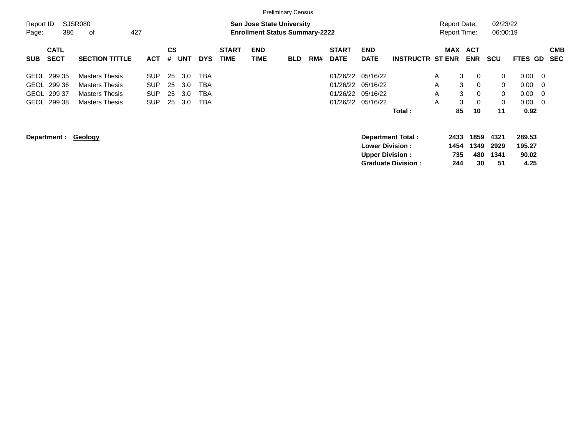|                     |                            |                       |            |         |            |            |                             |                                                                           | <b>Preliminary Census</b> |     |                             |                                                  |                                                       |   |                                     |                           |                            |                                   |                          |
|---------------------|----------------------------|-----------------------|------------|---------|------------|------------|-----------------------------|---------------------------------------------------------------------------|---------------------------|-----|-----------------------------|--------------------------------------------------|-------------------------------------------------------|---|-------------------------------------|---------------------------|----------------------------|-----------------------------------|--------------------------|
| Report ID:<br>Page: | 386                        | SJSR080<br>427<br>οf  |            |         |            |            |                             | <b>San Jose State University</b><br><b>Enrollment Status Summary-2222</b> |                           |     |                             |                                                  |                                                       |   | Report Date:<br><b>Report Time:</b> |                           | 02/23/22<br>06:00:19       |                                   |                          |
| <b>SUB</b>          | <b>CATL</b><br><b>SECT</b> | <b>SECTION TITTLE</b> | <b>ACT</b> | CS<br># | <b>UNT</b> | <b>DYS</b> | <b>START</b><br><b>TIME</b> | <b>END</b><br>TIME                                                        | <b>BLD</b>                | RM# | <b>START</b><br><b>DATE</b> | <b>END</b><br><b>DATE</b>                        | <b>INSTRUCTR ST ENR</b>                               |   | <b>MAX</b>                          | <b>ACT</b><br><b>ENR</b>  | scu                        | <b>FTES GD</b>                    | <b>CMB</b><br><b>SEC</b> |
|                     | GEOL 299 35                | <b>Masters Thesis</b> | <b>SUP</b> | 25      | 3.0        | <b>TBA</b> |                             |                                                                           |                           |     | 01/26/22                    | 05/16/22                                         |                                                       | A | 3                                   | 0                         | 0                          | 0.00                              | - 0                      |
|                     | GEOL 299 36                | <b>Masters Thesis</b> | <b>SUP</b> | 25      | 3.0        | TBA        |                             |                                                                           |                           |     | 01/26/22                    | 05/16/22                                         |                                                       | A | 3                                   | 0                         | 0                          | 0.00                              | - 0                      |
|                     | GEOL 299 37                | <b>Masters Thesis</b> | <b>SUP</b> | 25      | 3.0        | TBA        |                             |                                                                           |                           |     | 01/26/22                    | 05/16/22                                         |                                                       | A | 3                                   | 0                         | 0                          | 0.00                              | - 0                      |
|                     | GEOL 299 38                | <b>Masters Thesis</b> | <b>SUP</b> | 25      | 3.0        | <b>TBA</b> |                             |                                                                           |                           |     | 01/26/22                    | 05/16/22                                         |                                                       | A | 3                                   | 0                         | 0                          | 0.00                              | - 0                      |
|                     |                            |                       |            |         |            |            |                             |                                                                           |                           |     |                             |                                                  | Total:                                                |   | 85                                  | 10                        | 11                         | 0.92                              |                          |
|                     | Department :               | Geology               |            |         |            |            |                             |                                                                           |                           |     |                             | <b>Lower Division:</b><br><b>Upper Division:</b> | <b>Department Total:</b><br><b>Graduate Division:</b> |   | 2433<br>1454<br>735<br>244          | 1859<br>1349<br>480<br>30 | 4321<br>2929<br>1341<br>51 | 289.53<br>195.27<br>90.02<br>4.25 |                          |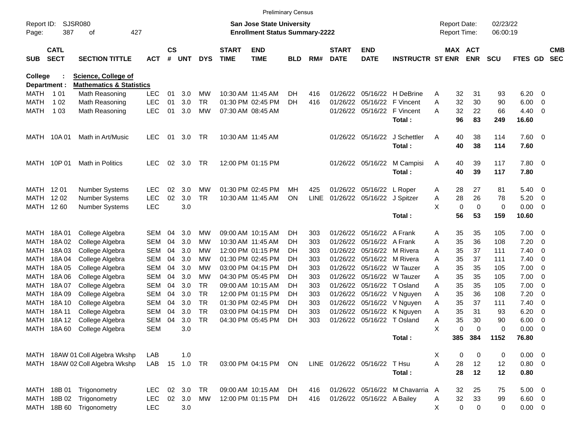|                     |                            |                                     |            |                |            |            |                             | <b>Preliminary Census</b>                                                 |            |             |                             |                              |                                 |   |                                            |                              |                      |                 |                          |                          |
|---------------------|----------------------------|-------------------------------------|------------|----------------|------------|------------|-----------------------------|---------------------------------------------------------------------------|------------|-------------|-----------------------------|------------------------------|---------------------------------|---|--------------------------------------------|------------------------------|----------------------|-----------------|--------------------------|--------------------------|
| Report ID:<br>Page: | 387                        | <b>SJSR080</b><br>οf<br>427         |            |                |            |            |                             | <b>San Jose State University</b><br><b>Enrollment Status Summary-2222</b> |            |             |                             |                              |                                 |   | <b>Report Date:</b><br><b>Report Time:</b> |                              | 02/23/22<br>06:00:19 |                 |                          |                          |
| <b>SUB</b>          | <b>CATL</b><br><b>SECT</b> | <b>SECTION TITTLE</b>               | АСТ        | <b>CS</b><br># | <b>UNT</b> | <b>DYS</b> | <b>START</b><br><b>TIME</b> | <b>END</b><br><b>TIME</b>                                                 | <b>BLD</b> | RM#         | <b>START</b><br><b>DATE</b> | <b>END</b><br><b>DATE</b>    | <b>INSTRUCTR ST ENR</b>         |   |                                            | <b>MAX ACT</b><br><b>ENR</b> | <b>SCU</b>           | FTES GD         |                          | <b>CMB</b><br><b>SEC</b> |
| <b>College</b>      |                            | <b>Science, College of</b>          |            |                |            |            |                             |                                                                           |            |             |                             |                              |                                 |   |                                            |                              |                      |                 |                          |                          |
| Department :        |                            | <b>Mathematics &amp; Statistics</b> |            |                |            |            |                             |                                                                           |            |             |                             |                              |                                 |   |                                            |                              |                      |                 |                          |                          |
| <b>MATH</b>         | 1 0 1                      | Math Reasoning                      | <b>LEC</b> | 01             | 3.0        | МW         |                             | 10:30 AM 11:45 AM                                                         | DH         | 416         | 01/26/22                    |                              | 05/16/22 H DeBrine              | A | 32                                         | 31                           | 93                   | 6.20            | 0                        |                          |
| <b>MATH</b>         | 1 0 2                      | Math Reasoning                      | <b>LEC</b> | 01             | 3.0        | TR.        |                             | 01:30 PM 02:45 PM                                                         | DH         | 416         | 01/26/22                    |                              | 05/16/22 F Vincent              | A | 32                                         | 30                           | 90                   | 6.00            | - 0                      |                          |
| <b>MATH</b>         | 1 0 3                      | Math Reasoning                      | <b>LEC</b> | 01             | 3.0        | МW         |                             | 07:30 AM 08:45 AM                                                         |            |             |                             |                              | 01/26/22 05/16/22 F Vincent     | A | 32                                         | 22                           | 66                   | 4.40            | - 0                      |                          |
|                     |                            |                                     |            |                |            |            |                             |                                                                           |            |             |                             |                              | Total:                          |   | 96                                         | 83                           | 249                  | 16.60           |                          |                          |
| MATH                | 10A 01                     | Math in Art/Music                   | <b>LEC</b> | 01             | 3.0        | TR         |                             | 10:30 AM 11:45 AM                                                         |            |             |                             | 01/26/22 05/16/22            | J Schettler                     | A | 40                                         | 38                           | 114                  | 7.60            | $\overline{\phantom{0}}$ |                          |
|                     |                            |                                     |            |                |            |            |                             |                                                                           |            |             |                             |                              | Total:                          |   | 40                                         | 38                           | 114                  | 7.60            |                          |                          |
| MATH                | 10P 01                     | Math in Politics                    | <b>LEC</b> | 02             | 3.0        | <b>TR</b>  |                             | 12:00 PM 01:15 PM                                                         |            |             |                             | 01/26/22 05/16/22            | M Campisi                       | A | 40                                         | 39                           | 117                  | 7.80            | $\overline{\phantom{0}}$ |                          |
|                     |                            |                                     |            |                |            |            |                             |                                                                           |            |             |                             |                              | Total:                          |   | 40                                         | 39                           | 117                  | 7.80            |                          |                          |
| MATH                | 12 01                      | <b>Number Systems</b>               | LEC        | 02             | 3.0        | <b>MW</b>  |                             | 01:30 PM 02:45 PM                                                         | MH.        | 425         |                             | 01/26/22 05/16/22 L Roper    |                                 | A | 28                                         | 27                           | 81                   | 5.40            | - 0                      |                          |
| <b>MATH</b>         | 12 02                      | <b>Number Systems</b>               | <b>LEC</b> | 02             | 3.0        | <b>TR</b>  |                             | 10:30 AM 11:45 AM                                                         | <b>ON</b>  | <b>LINE</b> |                             | 01/26/22 05/16/22 J Spitzer  |                                 | A | 28                                         | 26                           | 78                   | 5.20            | - 0                      |                          |
| MATH                | 12 60                      | Number Systems                      | <b>LEC</b> |                | 3.0        |            |                             |                                                                           |            |             |                             |                              |                                 | X | $\mathbf 0$                                | $\mathbf 0$                  | $\mathbf 0$          | 0.00            | - 0                      |                          |
|                     |                            |                                     |            |                |            |            |                             |                                                                           |            |             |                             |                              | Total:                          |   | 56                                         | 53                           | 159                  | 10.60           |                          |                          |
| MATH                | 18A01                      | College Algebra                     | SEM        | 04             | 3.0        | МW         |                             | 09:00 AM 10:15 AM                                                         | DH         | 303         | 01/26/22                    | 05/16/22 A Frank             |                                 | A | 35                                         | 35                           | 105                  | 7.00            | - 0                      |                          |
| MATH                | 18A02                      | College Algebra                     | SEM        | 04             | 3.0        | МW         |                             | 10:30 AM 11:45 AM                                                         | DН         | 303         | 01/26/22                    | 05/16/22 A Frank             |                                 | A | 35                                         | 36                           | 108                  | 7.20            | 0                        |                          |
| MATH                | 18A03                      | College Algebra                     | SEM        | 04             | 3.0        | МW         |                             | 12:00 PM 01:15 PM                                                         | DН         | 303         | 01/26/22                    |                              | 05/16/22 M Rivera               | A | 35                                         | 37                           | 111                  | 7.40            | 0                        |                          |
| MATH                | 18A 04                     | College Algebra                     | SEM        | 04             | 3.0        | МW         |                             | 01:30 PM 02:45 PM                                                         | DН         | 303         | 01/26/22                    |                              | 05/16/22 M Rivera               | A | 35                                         | 37                           | 111                  | 7.40            | 0                        |                          |
| MATH                | 18A05                      | College Algebra                     | SEM        | 04             | 3.0        | МW         |                             | 03:00 PM 04:15 PM                                                         | DН         | 303         | 01/26/22                    |                              | 05/16/22 W Tauzer               | A | 35                                         | 35                           | 105                  | 7.00            | 0                        |                          |
| MATH                | 18A06                      | College Algebra                     | SEM        | 04             | 3.0        | МW         |                             | 04:30 PM 05:45 PM                                                         | DН         | 303         | 01/26/22                    |                              | 05/16/22 W Tauzer               | A | 35                                         | 35                           | 105                  | 7.00            | 0                        |                          |
| MATH                | 18A07                      | College Algebra                     | SEM        | 04             | 3.0        | TR         |                             | 09:00 AM 10:15 AM                                                         | DН         | 303         | 01/26/22                    |                              | 05/16/22 T Osland               | A | 35                                         | 35                           | 105                  | 7.00            | 0                        |                          |
| MATH                | 18A09                      | College Algebra                     | SEM        | 04             | 3.0        | TR         |                             | 12:00 PM 01:15 PM                                                         | DН         | 303         | 01/26/22                    |                              | 05/16/22 V Nguyen               | A | 35                                         | 36                           | 108                  | 7.20            | 0                        |                          |
| MATH                | 18A 10                     | College Algebra                     | SEM        | 04             | 3.0        | TR         |                             | 01:30 PM 02:45 PM                                                         | DН         | 303         | 01/26/22                    |                              | 05/16/22 V Nguyen               | A | 35                                         | 37                           | 111                  | 7.40            | 0                        |                          |
| MATH                | 18A 11                     | College Algebra                     | SEM        | 04             | 3.0        | TR         |                             | 03:00 PM 04:15 PM                                                         | DН         | 303         | 01/26/22                    |                              | 05/16/22 K Nguyen               | A | 35                                         | 31                           | 93                   | 6.20            | 0                        |                          |
| MATH                | 18A 12                     | College Algebra                     | SEM        | 04             | 3.0        | <b>TR</b>  |                             | 04:30 PM 05:45 PM                                                         | DН         | 303         |                             | 01/26/22 05/16/22 T Osland   |                                 | A | 35                                         | 30                           | 90                   | 6.00            | 0                        |                          |
| MATH                | 18A 60                     | College Algebra                     | <b>SEM</b> |                | 3.0        |            |                             |                                                                           |            |             |                             |                              |                                 | X | $\Omega$                                   | $\Omega$                     | 0                    | 0.00            | 0                        |                          |
|                     |                            |                                     |            |                |            |            |                             |                                                                           |            |             |                             |                              | Total :                         |   |                                            | 385 384                      | 1152                 | 76.80           |                          |                          |
| MATH                |                            | 18AW 01 Coll Algebra Wkshp          | LAB        |                | 1.0        |            |                             |                                                                           |            |             |                             |                              |                                 | X | 0                                          | 0                            | 0                    | $0.00 \t 0$     |                          |                          |
| MATH                |                            | 18AW 02 Coll Algebra Wkshp          | LAB        |                | 15 1.0     | TR         |                             | 03:00 PM 04:15 PM ON                                                      |            |             |                             | LINE 01/26/22 05/16/22 T Hsu |                                 | A | 28                                         | 12                           | 12                   | 0.80 0          |                          |                          |
|                     |                            |                                     |            |                |            |            |                             |                                                                           |            |             |                             |                              | Total:                          |   | 28                                         | 12                           | 12                   | 0.80            |                          |                          |
| MATH                |                            | 18B 01 Trigonometry                 | <b>LEC</b> |                | 02 3.0     | TR         |                             | 09:00 AM 10:15 AM                                                         | DH.        | 416         |                             |                              | 01/26/22 05/16/22 M Chavarria A |   | 32                                         | 25                           | 75                   | $5.00 \t 0$     |                          |                          |
| MATH                |                            | 18B 02 Trigonometry                 | <b>LEC</b> |                | 02 3.0     | MW         |                             | 12:00 PM 01:15 PM                                                         | DH         | 416         |                             | 01/26/22 05/16/22 A Bailey   |                                 | A | 32                                         | 33                           | 99                   | $6.60$ 0        |                          |                          |
| MATH                |                            | 18B 60 Trigonometry                 | <b>LEC</b> |                | 3.0        |            |                             |                                                                           |            |             |                             |                              |                                 | X | 0                                          | $\mathbf 0$                  | 0                    | $0.00\quad$ $0$ |                          |                          |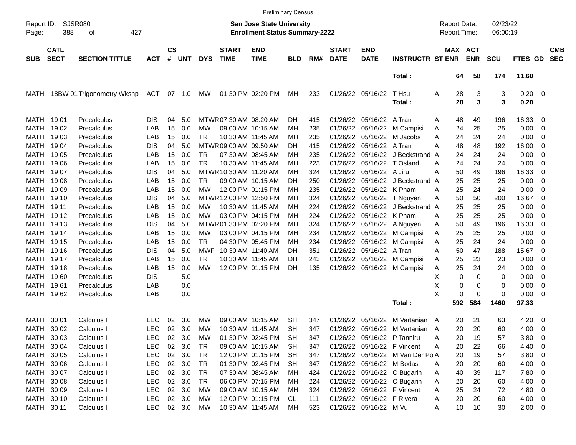|                     |                            |                            |            |                    |            |            |                             |                                                                           | <b>Preliminary Census</b> |     |                             |                            |                                  |                                     |                       |                      |              |                          |                          |
|---------------------|----------------------------|----------------------------|------------|--------------------|------------|------------|-----------------------------|---------------------------------------------------------------------------|---------------------------|-----|-----------------------------|----------------------------|----------------------------------|-------------------------------------|-----------------------|----------------------|--------------|--------------------------|--------------------------|
| Report ID:<br>Page: | 388                        | SJSR080<br>427<br>οf       |            |                    |            |            |                             | <b>San Jose State University</b><br><b>Enrollment Status Summary-2222</b> |                           |     |                             |                            |                                  | <b>Report Date:</b><br>Report Time: |                       | 02/23/22<br>06:00:19 |              |                          |                          |
| <b>SUB</b>          | <b>CATL</b><br><b>SECT</b> | <b>SECTION TITTLE</b>      | <b>ACT</b> | $\mathsf{cs}$<br># | <b>UNT</b> | <b>DYS</b> | <b>START</b><br><b>TIME</b> | <b>END</b><br><b>TIME</b>                                                 | <b>BLD</b>                | RM# | <b>START</b><br><b>DATE</b> | <b>END</b><br><b>DATE</b>  | <b>INSTRUCTR ST ENR</b>          |                                     | MAX ACT<br><b>ENR</b> | <b>SCU</b>           | FTES GD      |                          | <b>CMB</b><br><b>SEC</b> |
|                     |                            |                            |            |                    |            |            |                             |                                                                           |                           |     |                             |                            | Total:                           | 64                                  | 58                    | 174                  | 11.60        |                          |                          |
| MATH                |                            | 18BW 01 Trigonometry Wkshp | <b>ACT</b> | 07                 | $-1.0$     | МW         |                             | 01:30 PM 02:20 PM                                                         | MН                        | 233 |                             | 01/26/22 05/16/22          | T Hsu<br>Total:                  | 28<br>A<br>28                       | 3<br>3                | 3<br>3               | 0.20<br>0.20 | $\overline{\phantom{0}}$ |                          |
| MATH 1901           |                            | Precalculus                | <b>DIS</b> | 04                 | 5.0        |            | MTWR 07:30 AM 08:20 AM      |                                                                           | DH.                       | 415 | 01/26/22                    | 05/16/22                   | A Tran                           | 48<br>Α                             | 49                    | 196                  | 16.33        | $\overline{0}$           |                          |
| MATH                | 19 02                      | Precalculus                | LAB        | 15                 | 0.0        | MW         |                             | 09:00 AM 10:15 AM                                                         | MН                        | 235 | 01/26/22                    | 05/16/22                   | M Campisi                        | 24<br>A                             | 25                    | 25                   | 0.00         | 0                        |                          |
| MATH                | 19 03                      | Precalculus                | LAB        | 15                 | 0.0        | TR         |                             | 10:30 AM 11:45 AM                                                         | MН                        | 235 | 01/26/22                    | 05/16/22                   | M Jacobs                         | 24<br>A                             | 24                    | 24                   | 0.00         | 0                        |                          |
| MATH                | 1904                       | Precalculus                | <b>DIS</b> | 04                 | 5.0        |            | MTWR 09:00 AM 09:50 AM      |                                                                           | DH                        | 415 | 01/26/22                    | 05/16/22                   | A Tran                           | 48<br>A                             | 48                    | 192                  | 16.00        | 0                        |                          |
| MATH                | 19 05                      | Precalculus                | LAB        | 15                 | 0.0        | TR         |                             | 07:30 AM 08:45 AM                                                         | мн                        | 235 | 01/26/22                    | 05/16/22                   | J Beckstrand A                   | 24                                  | 24                    | 24                   | 0.00         | 0                        |                          |
| MATH                | 19 06                      | Precalculus                | LAB        | 15                 | 0.0        | <b>TR</b>  |                             | 10:30 AM 11:45 AM                                                         | MН                        | 223 | 01/26/22                    | 05/16/22                   | T Osland                         | 24<br>A                             | 24                    | 24                   | 0.00         | 0                        |                          |
| MATH                | 1907                       | Precalculus                | <b>DIS</b> | 04                 | 5.0        |            | MTWR 10:30 AM 11:20 AM      |                                                                           | MН                        | 324 | 01/26/22                    | 05/16/22                   | A Jiru                           | A<br>50                             | 49                    | 196                  | 16.33        | 0                        |                          |
| MATH                | 1908                       | Precalculus                | LAB        | 15                 | 0.0        | TR         |                             | 09:00 AM 10:15 AM                                                         | DH                        | 250 | 01/26/22                    | 05/16/22                   | J Beckstrand A                   | 25                                  | 25                    | 25                   | 0.00         | 0                        |                          |
| MATH                | 19 09                      | Precalculus                | LAB        | 15                 | 0.0        | MW         |                             | 12:00 PM 01:15 PM                                                         | MН                        | 235 | 01/26/22                    | 05/16/22                   | K Pham                           | 25<br>A                             | 24                    | 24                   | 0.00         | 0                        |                          |
| MATH                | 19 10                      | Precalculus                | <b>DIS</b> | 04                 | 5.0        |            | MTWR 12:00 PM 12:50 PM      |                                                                           | MН                        | 324 | 01/26/22                    | 05/16/22                   | T Nguyen                         | 50<br>Α                             | 50                    | 200                  | 16.67        | 0                        |                          |
| MATH                | 19 11                      | Precalculus                | LAB        | 15                 | 0.0        | МW         |                             | 10:30 AM 11:45 AM                                                         | MН                        | 224 | 01/26/22                    | 05/16/22                   | J Beckstrand A                   | 25                                  | 25                    | 25                   | 0.00         | 0                        |                          |
| MATH                | 19 12                      | Precalculus                | LAB        | 15                 | 0.0        | МW         |                             | 03:00 PM 04:15 PM                                                         | MН                        | 224 | 01/26/22                    | 05/16/22                   | K Pham                           | 25<br>A                             | 25                    | 25                   | 0.00         | 0                        |                          |
| MATH                | 19 13                      | Precalculus                | <b>DIS</b> | 04                 | 5.0        |            | MTWR01:30 PM 02:20 PM       |                                                                           | MН                        | 324 | 01/26/22                    | 05/16/22                   | A Nguyen                         | 50<br>Α                             | 49                    | 196                  | 16.33        | 0                        |                          |
| MATH                | 19 14                      | Precalculus                | LAB        | 15                 | 0.0        | MW         |                             | 03:00 PM 04:15 PM                                                         | MН                        | 234 | 01/26/22                    | 05/16/22                   | M Campisi                        | 25<br>A                             | 25                    | 25                   | 0.00         | 0                        |                          |
| MATH                | 19 15                      | Precalculus                | LAB        | 15                 | 0.0        | <b>TR</b>  |                             | 04:30 PM 05:45 PM                                                         | MН                        | 234 | 01/26/22                    | 05/16/22                   | M Campisi                        | 25<br>A                             | 24                    | 24                   | 0.00         | 0                        |                          |
| MATH                | 19 16                      | Precalculus                | <b>DIS</b> | 04                 | 5.0        | MWF        | 10:30 AM 11:40 AM           |                                                                           | DH                        | 351 | 01/26/22                    | 05/16/22                   | A Tran                           | 50<br>A                             | 47                    | 188                  | 15.67        | 0                        |                          |
| MATH                | 19 17                      | Precalculus                | LAB        | 15                 | 0.0        | <b>TR</b>  |                             | 10:30 AM 11:45 AM                                                         | DH                        | 243 | 01/26/22                    | 05/16/22                   | M Campisi                        | 25<br>A                             | 23                    | 23                   | 0.00         | 0                        |                          |
| MATH                | 19 18                      | Precalculus                | LAB        | 15                 | 0.0        | МW         |                             | 12:00 PM 01:15 PM                                                         | DH                        | 135 | 01/26/22                    | 05/16/22                   | M Campisi                        | 25<br>A                             | 24                    | 24                   | 0.00         | 0                        |                          |
| MATH                | 1960                       | Precalculus                | <b>DIS</b> |                    | 5.0        |            |                             |                                                                           |                           |     |                             |                            |                                  | Χ<br>0                              | 0                     | 0                    | 0.00         | 0                        |                          |
| MATH                | 1961                       | Precalculus                | LAB        |                    | 0.0        |            |                             |                                                                           |                           |     |                             |                            |                                  | X                                   | 0<br>0                | 0                    | 0.00         | 0                        |                          |
| MATH                | 1962                       | Precalculus                | LAB        |                    | 0.0        |            |                             |                                                                           |                           |     |                             |                            |                                  | X                                   | 0<br>$\mathbf 0$      | 0                    | 0.00         | 0                        |                          |
|                     |                            |                            |            |                    |            |            |                             |                                                                           |                           |     |                             |                            | Total:                           | 592                                 | 584                   | 1460                 | 97.33        |                          |                          |
| MATH                | 30 01                      | Calculus I                 | <b>LEC</b> | 02                 | 3.0        | МW         |                             | 09:00 AM 10:15 AM                                                         | <b>SH</b>                 | 347 | 01/26/22                    | 05/16/22                   | M Vartanian                      | 20<br>A                             | 21                    | 63                   | 4.20         | $\overline{\mathbf{0}}$  |                          |
| MATH                | 30 02                      | Calculus I                 | <b>LEC</b> | 02                 | 3.0        | МW         |                             | 10:30 AM 11:45 AM                                                         | <b>SH</b>                 | 347 |                             | 01/26/22 05/16/22          | M Vartanian A                    | 20                                  | 20                    | 60                   | 4.00         | 0                        |                          |
|                     | MATH 30 03                 | Calculus I                 | <b>LEC</b> | 02                 | 3.0        | МW         |                             | 01:30 PM 02:45 PM                                                         | SH                        | 347 |                             |                            | 01/26/22 05/16/22 P Tanniru      | Α<br>20                             | 19                    | 57                   | $3.80\ 0$    |                          |                          |
|                     | MATH 30 04                 | Calculus I                 | <b>LEC</b> |                    | 02 3.0     | TR         |                             | 09:00 AM 10:15 AM                                                         | <b>SH</b>                 | 347 |                             |                            | 01/26/22 05/16/22 F Vincent      | 20<br>Α                             | 22                    | 66                   | 4.40 0       |                          |                          |
|                     | MATH 30 05                 | Calculus I                 | <b>LEC</b> |                    | 02 3.0     | TR         |                             | 12:00 PM 01:15 PM                                                         | SH                        | 347 |                             |                            | 01/26/22 05/16/22 M Van Der Po A | 20                                  | 19                    | 57                   | $3.80\ 0$    |                          |                          |
|                     | MATH 30 06                 | Calculus I                 | <b>LEC</b> |                    | 02 3.0     | TR         |                             | 01:30 PM 02:45 PM                                                         | SH                        | 347 |                             | 01/26/22 05/16/22 M Bodas  |                                  | Α<br>20                             | 20                    | 60                   | 4.00 0       |                          |                          |
|                     | MATH 30 07                 | Calculus I                 | <b>LEC</b> |                    | 02 3.0     | TR         |                             | 07:30 AM 08:45 AM                                                         | MН                        | 424 |                             |                            | 01/26/22 05/16/22 C Bugarin      | 40<br>Α                             | 39                    | 117                  | 7.80 0       |                          |                          |
|                     | MATH 30 08                 | Calculus I                 | <b>LEC</b> |                    | 02 3.0     | TR         |                             | 06:00 PM 07:15 PM                                                         | MН                        | 224 |                             |                            | 01/26/22 05/16/22 C Bugarin      | Α<br>20                             | 20                    | 60                   | 4.00 0       |                          |                          |
|                     | MATH 30 09                 | Calculus I                 | <b>LEC</b> |                    | 02 3.0     | MW         |                             | 09:00 AM 10:15 AM                                                         | MН                        | 324 |                             |                            | 01/26/22 05/16/22 F Vincent      | 25<br>Α                             | 24                    | 72                   | 4.80 0       |                          |                          |
|                     | MATH 30 10                 | Calculus I                 | <b>LEC</b> |                    | 02 3.0     | MW         |                             | 12:00 PM 01:15 PM                                                         | CL                        | 111 |                             | 01/26/22 05/16/22 F Rivera |                                  | 20<br>A                             | 20                    | 60                   | $4.00 \t 0$  |                          |                          |
|                     | MATH 30 11                 | Calculus I                 | LEC 02 3.0 |                    |            | MW         |                             | 10:30 AM 11:45 AM                                                         | MН                        | 523 |                             | 01/26/22 05/16/22 M Vu     |                                  | 10<br>A                             | 10                    | 30                   | $2.00 \t 0$  |                          |                          |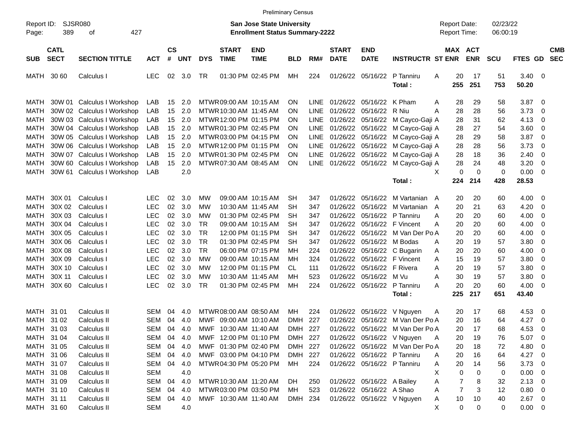|                     |                            |                             |            |                |            |            |                             |                                                                           | <b>Preliminary Census</b> |             |                             |                             |                                  |                                     |            |                      |                |                         |                          |
|---------------------|----------------------------|-----------------------------|------------|----------------|------------|------------|-----------------------------|---------------------------------------------------------------------------|---------------------------|-------------|-----------------------------|-----------------------------|----------------------------------|-------------------------------------|------------|----------------------|----------------|-------------------------|--------------------------|
| Report ID:<br>Page: | 389                        | <b>SJSR080</b><br>427<br>οf |            |                |            |            |                             | <b>San Jose State University</b><br><b>Enrollment Status Summary-2222</b> |                           |             |                             |                             |                                  | <b>Report Date:</b><br>Report Time: |            | 02/23/22<br>06:00:19 |                |                         |                          |
| <b>SUB</b>          | <b>CATL</b><br><b>SECT</b> | <b>SECTION TITTLE</b>       | <b>ACT</b> | <b>CS</b><br># | <b>UNT</b> | <b>DYS</b> | <b>START</b><br><b>TIME</b> | <b>END</b><br><b>TIME</b>                                                 | <b>BLD</b>                | RM#         | <b>START</b><br><b>DATE</b> | <b>END</b><br><b>DATE</b>   | <b>INSTRUCTR ST ENR</b>          | <b>MAX ACT</b>                      | <b>ENR</b> | <b>SCU</b>           | FTES GD        |                         | <b>CMB</b><br><b>SEC</b> |
| MATH                | 30 60                      | Calculus I                  | <b>LEC</b> | 02             | 3.0        | TR         |                             | 01:30 PM 02:45 PM                                                         | MН                        | 224         |                             | 01/26/22 05/16/22           | P Tanniru<br>Total :             | A<br>20<br>255                      | 17<br>251  | 51<br>753            | 3.40<br>50.20  | $\overline{\mathbf{0}}$ |                          |
| MATH                |                            | 30W 01 Calculus I Workshop  | LAB        | 15             | 2.0        |            | MTWR 09:00 AM 10:15 AM      |                                                                           | ΟN                        | <b>LINE</b> | 01/26/22                    | 05/16/22                    | K Pham                           | 28<br>Α                             | 29         | 58                   | 3.87           | $\overline{\mathbf{0}}$ |                          |
| MATH                |                            | 30W 02 Calculus I Workshop  | LAB        | 15             | 2.0        |            | MTWR 10:30 AM 11:45 AM      |                                                                           | ΟN                        | <b>LINE</b> | 01/26/22                    | 05/16/22                    | R Niu                            | 28<br>A                             | 28         | 56                   | 3.73           | 0                       |                          |
| MATH                |                            | 30W 03 Calculus I Workshop  | LAB        | 15             | 2.0        |            | MTWR 12:00 PM 01:15 PM      |                                                                           | ΟN                        | <b>LINE</b> |                             | 01/26/22 05/16/22           | M Cayco-Gaji A                   | 28                                  | 31         | 62                   | 4.13           | 0                       |                          |
| MATH                |                            | 30W 04 Calculus I Workshop  | LAB        | 15             | 2.0        |            | MTWR 01:30 PM 02:45 PM      |                                                                           | ΟN                        | <b>LINE</b> |                             | 01/26/22 05/16/22           | M Cayco-Gaji A                   | 28                                  | 27         | 54                   | 3.60           | 0                       |                          |
| <b>MATH</b>         |                            | 30W 05 Calculus I Workshop  | LAB        | 15             | 2.0        |            | MTWR 03:00 PM 04:15 PM      |                                                                           | ON                        | <b>LINE</b> |                             | 01/26/22 05/16/22           | M Cayco-Gaji A                   | 28                                  | 29         | 58                   | 3.87           | 0                       |                          |
| MATH                |                            | 30W 06 Calculus I Workshop  | LAB        | 15             | 2.0        |            | MTWR 12:00 PM 01:15 PM      |                                                                           | ΟN                        | LINE        |                             | 01/26/22 05/16/22           | M Cayco-Gaji A                   | 28                                  | 28         | 56                   | 3.73           | 0                       |                          |
| MATH                |                            | 30W 07 Calculus I Workshop  | LAB        | 15             | 2.0        |            | MTWR 01:30 PM 02:45 PM      |                                                                           | ΟN                        | LINE        |                             | 01/26/22 05/16/22           | M Cayco-Gaji A                   | 28                                  | 18         | 36                   | 2.40           | $\mathbf 0$             |                          |
| MATH                |                            | 30W 60 Calculus I Workshop  | LAB        | 15             | 2.0        |            | MTWR 07:30 AM 08:45 AM      |                                                                           | ON                        | <b>LINE</b> |                             | 01/26/22 05/16/22           | M Cayco-Gaji A                   | 28                                  | 24         | 48                   | 3.20           | 0                       |                          |
| MATH                |                            | 30W 61 Calculus I Workshop  | LAB        |                | 2.0        |            |                             |                                                                           |                           |             |                             |                             |                                  | 0<br>X                              | 0          | $\mathbf 0$          | 0.00           | 0                       |                          |
|                     |                            |                             |            |                |            |            |                             |                                                                           |                           |             |                             |                             | Total :                          | 224                                 | 214        | 428                  | 28.53          |                         |                          |
|                     |                            |                             |            |                |            |            |                             |                                                                           |                           |             |                             |                             |                                  |                                     |            |                      |                |                         |                          |
| MATH                | 30X 01                     | Calculus I                  | LEC.       | 02             | 3.0        | МW         |                             | 09:00 AM 10:15 AM                                                         | SН                        | 347         | 01/26/22                    | 05/16/22                    | M Vartanian A                    | 20                                  | 20         | 60                   | 4.00           | 0                       |                          |
| MATH                | 30X 02                     | Calculus I                  | <b>LEC</b> | 02             | 3.0        | МW         |                             | 10:30 AM 11:45 AM                                                         | <b>SH</b>                 | 347         | 01/26/22                    | 05/16/22                    | M Vartanian<br>A                 | 20                                  | 21         | 63                   | 4.20           | 0                       |                          |
| MATH                | 30X 03                     | Calculus I                  | <b>LEC</b> | 02             | 3.0        | MW         |                             | 01:30 PM 02:45 PM                                                         | <b>SH</b>                 | 347         | 01/26/22                    | 05/16/22                    | P Tanniru                        | 20<br>Α                             | 20         | 60                   | 4.00           | 0                       |                          |
| MATH                | 30X 04                     | Calculus I                  | <b>LEC</b> | 02             | 3.0        | <b>TR</b>  |                             | 09:00 AM 10:15 AM                                                         | <b>SH</b>                 | 347         | 01/26/22                    | 05/16/22                    | F Vincent                        | 20<br>Α                             | 20         | 60                   | 4.00           | 0                       |                          |
| MATH                | 30X 05                     | Calculus I                  | <b>LEC</b> | 02             | 3.0        | <b>TR</b>  |                             | 12:00 PM 01:15 PM                                                         | <b>SH</b>                 | 347         | 01/26/22                    | 05/16/22                    | M Van Der Po A                   | 20                                  | 20         | 60                   | 4.00           | 0                       |                          |
| MATH                | 30X 06                     | Calculus I                  | <b>LEC</b> | 02             | 3.0        | <b>TR</b>  |                             | 01:30 PM 02:45 PM                                                         | <b>SH</b>                 | 347         | 01/26/22                    | 05/16/22                    | M Bodas                          | 20<br>A                             | 19         | 57                   | 3.80           | 0                       |                          |
| MATH                | 30X 08                     | Calculus I                  | <b>LEC</b> | 02             | 3.0        | <b>TR</b>  |                             | 06:00 PM 07:15 PM                                                         | <b>MH</b>                 | 224         | 01/26/22                    | 05/16/22                    | C Bugarin                        | 20<br>Α                             | 20         | 60                   | 4.00           | 0                       |                          |
| MATH                | 30X 09                     | Calculus I                  | <b>LEC</b> | 02             | 3.0        | <b>MW</b>  |                             | 09:00 AM 10:15 AM                                                         | <b>MH</b>                 | 324         | 01/26/22                    | 05/16/22                    | F Vincent                        | 15<br>A                             | 19         | 57                   | 3.80           | 0                       |                          |
| MATH                | 30X 10                     | Calculus I                  | <b>LEC</b> | 02             | 3.0        | МW         |                             | 12:00 PM 01:15 PM                                                         | <b>CL</b>                 | 111         | 01/26/22                    | 05/16/22                    | F Rivera                         | A<br>20                             | 19         | 57                   | 3.80           | 0                       |                          |
| MATH                | 30X 11                     | Calculus I                  | <b>LEC</b> | 02             | 3.0        | МW         |                             | 10:30 AM 11:45 AM                                                         | MН                        | 523         | 01/26/22                    | 05/16/22                    | M Vu                             | 30<br>A                             | 19         | 57                   | 3.80           | 0                       |                          |
| <b>MATH</b>         | 30X 60                     | Calculus I                  | <b>LEC</b> | 02             | 3.0        | TR         |                             | 01:30 PM 02:45 PM                                                         | <b>MH</b>                 | 224         | 01/26/22                    | 05/16/22                    | P Tanniru                        | 20<br>A                             | 20         | 60                   | 4.00           | 0                       |                          |
|                     |                            |                             |            |                |            |            |                             |                                                                           |                           |             |                             |                             | Total:                           | 225                                 | 217        | 651                  | 43.40          |                         |                          |
| MATH 31 01          |                            | Calculus II                 | SEM        | 04             | 4.0        |            | MTWR 08:00 AM 08:50 AM      |                                                                           | MН                        | 224         | 01/26/22                    | 05/16/22                    | V Nguyen                         | 20<br>Α                             | 17         | 68                   | 4.53           | 0                       |                          |
| MATH                | 31 02                      | Calculus II                 | SEM        | 04             | 4.0        | MWF        |                             | 09:00 AM 10:10 AM                                                         | <b>DMH</b>                | 227         | 01/26/22                    | 05/16/22                    | M Van Der Po A                   | 20                                  | 16         | 64                   | 4.27           | 0                       |                          |
| MATH 31 03          |                            | Calculus II                 | SEM        | 04             | 4.0        | MWF        | 10:30 AM 11:40 AM           |                                                                           | DMH                       | 227         |                             |                             | 01/26/22 05/16/22 M Van Der Po A | 20                                  | 17         | 68                   | 4.53           | 0                       |                          |
|                     |                            |                             | SEM 04     |                |            |            |                             |                                                                           |                           |             |                             |                             | 01/26/22 05/16/22 V Nguyen       |                                     |            |                      |                |                         |                          |
| MATH 31 04          |                            | Calculus II                 |            |                | 4.0        |            | MWF 12:00 PM 01:10 PM       |                                                                           | DMH 227                   |             |                             |                             |                                  | A<br>20                             | 19         | 76                   | $5.07 \quad 0$ |                         |                          |
| MATH 31 05          |                            | Calculus II                 | SEM 04     |                | 4.0        |            | MWF 01:30 PM 02:40 PM       |                                                                           | DMH 227                   |             |                             |                             | 01/26/22 05/16/22 M Van Der Po A | 20                                  | 18         | 72                   | 4.80 0         |                         |                          |
| MATH 31 06          |                            | Calculus II                 | SEM 04 4.0 |                |            |            | MWF 03:00 PM 04:10 PM       |                                                                           | DMH 227                   |             |                             | 01/26/22 05/16/22 P Tanniru |                                  | A<br>20                             | 16         | 64                   | 4.27 0         |                         |                          |
| MATH 31 07          |                            | Calculus II                 | SEM 04 4.0 |                |            |            | MTWR04:30 PM 05:20 PM       |                                                                           | MH                        | 224         |                             | 01/26/22 05/16/22 P Tanniru |                                  | 20<br>A                             | 14         | 56                   | $3.73 \quad 0$ |                         |                          |
| MATH 31 08          |                            | Calculus II                 | <b>SEM</b> |                | 4.0        |            |                             |                                                                           |                           |             |                             |                             |                                  | х<br>0                              | 0          | 0                    | $0.00 \quad 0$ |                         |                          |
| MATH 31 09          |                            | Calculus II                 | SEM        | 04             | 4.0        |            | MTWR 10:30 AM 11:20 AM      |                                                                           | DH.                       | 250         |                             | 01/26/22 05/16/22 A Bailey  |                                  | 7<br>Α                              | 8          | 32                   | $2.13 \t 0$    |                         |                          |
| MATH 31 10          |                            | Calculus II                 | SEM        | 04             | 4.0        |            | MTWR03:00 PM 03:50 PM       |                                                                           | МH                        | 523         |                             | 01/26/22 05/16/22 A Shao    |                                  | 7<br>Α                              | 3          | 12                   | $0.80 \t 0$    |                         |                          |
| MATH 31 11          |                            | Calculus II                 | SEM 04     |                | 4.0        |            | MWF 10:30 AM 11:40 AM       |                                                                           | DMH 234                   |             |                             |                             | 01/26/22 05/16/22 V Nguyen       | 10<br>A                             | 10         | 40                   | $2.67$ 0       |                         |                          |
| MATH 31 60          |                            | Calculus II                 | SEM        |                | 4.0        |            |                             |                                                                           |                           |             |                             |                             |                                  | X<br>0                              | 0          | 0                    | $0.00 \t 0$    |                         |                          |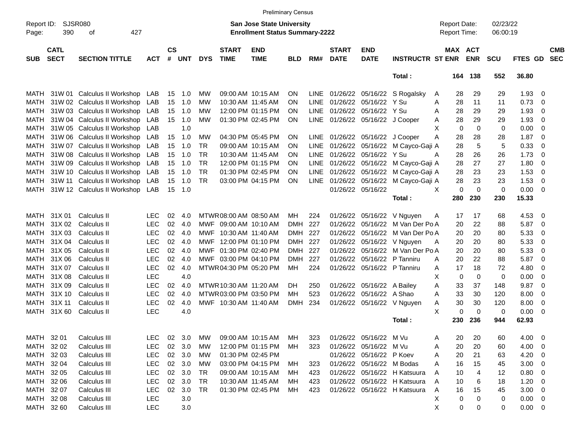|                     |                            |                             |            |                    |            |            |                             | <b>Preliminary Census</b>                                                 |            |             |                             |                           |                                   |                                            |                            |                      |             |                |                          |
|---------------------|----------------------------|-----------------------------|------------|--------------------|------------|------------|-----------------------------|---------------------------------------------------------------------------|------------|-------------|-----------------------------|---------------------------|-----------------------------------|--------------------------------------------|----------------------------|----------------------|-------------|----------------|--------------------------|
| Report ID:<br>Page: | 390                        | SJSR080<br>427<br>οf        |            |                    |            |            |                             | <b>San Jose State University</b><br><b>Enrollment Status Summary-2222</b> |            |             |                             |                           |                                   | <b>Report Date:</b><br><b>Report Time:</b> |                            | 02/23/22<br>06:00:19 |             |                |                          |
| <b>SUB</b>          | <b>CATL</b><br><b>SECT</b> | <b>SECTION TITTLE</b>       | <b>ACT</b> | $\mathsf{cs}$<br># | <b>UNT</b> | <b>DYS</b> | <b>START</b><br><b>TIME</b> | <b>END</b><br><b>TIME</b>                                                 | <b>BLD</b> | RM#         | <b>START</b><br><b>DATE</b> | <b>END</b><br><b>DATE</b> | <b>INSTRUCTR ST ENR</b>           |                                            | MAX ACT<br><b>ENR</b>      | <b>SCU</b>           | FTES GD     |                | <b>CMB</b><br><b>SEC</b> |
|                     |                            |                             |            |                    |            |            |                             |                                                                           |            |             |                             |                           | Total:                            | 164                                        | 138                        | 552                  | 36.80       |                |                          |
| MATH                |                            | 31W 01 Calculus II Workshop | LAB        | 15                 | 1.0        | МW         |                             | 09:00 AM 10:15 AM                                                         | <b>ON</b>  |             |                             |                           | LINE 01/26/22 05/16/22 S Rogalsky | A<br>28                                    | 29                         | 29                   | 1.93        | - 0            |                          |
| MATH                |                            | 31W 02 Calculus II Workshop | LAB        | 15                 | 1.0        | МW         |                             | 10:30 AM 11:45 AM                                                         | <b>ON</b>  | LINE        | 01/26/22                    | 05/16/22                  | Y Su                              | 28<br>A                                    | 11                         | 11                   | 0.73        | 0              |                          |
| MATH                |                            | 31W 03 Calculus II Workshop | LAB        | 15                 | 1.0        | МW         |                             | 12:00 PM 01:15 PM                                                         | <b>ON</b>  | LINE        | 01/26/22                    | 05/16/22                  | Y Su                              | 28<br>A                                    | 29                         | 29                   | 1.93        | 0              |                          |
| MATH                |                            | 31W 04 Calculus II Workshop | LAB        | 15                 | 1.0        | МW         |                             | 01:30 PM 02:45 PM                                                         | <b>ON</b>  | LINE        |                             | 01/26/22 05/16/22         | J Cooper                          | 28<br>A                                    | 29                         | 29                   | 1.93        | 0              |                          |
| MATH                |                            | 31W 05 Calculus II Workshop | LAB        |                    | 1.0        |            |                             |                                                                           |            |             |                             |                           |                                   | X                                          | 0<br>$\mathbf 0$           | $\mathbf 0$          | 0.00        | 0              |                          |
| MATH                |                            | 31W 06 Calculus II Workshop | LAB        | 15                 | 1.0        | МW         |                             | 04:30 PM 05:45 PM                                                         | <b>ON</b>  | <b>LINE</b> |                             | 01/26/22 05/16/22         | J Cooper                          | 28<br>A                                    | 28                         | 28                   | 1.87        | 0              |                          |
| MATH                |                            | 31W 07 Calculus II Workshop | LAB        | 15                 | 1.0        | <b>TR</b>  |                             | 09:00 AM 10:15 AM                                                         | <b>ON</b>  | <b>LINE</b> | 01/26/22                    | 05/16/22                  | M Cayco-Gaji A                    | 28                                         | 5                          | 5                    | 0.33        | 0              |                          |
| MATH                |                            | 31W 08 Calculus II Workshop | LAB        | 15                 | 1.0        | <b>TR</b>  |                             | 10:30 AM 11:45 AM                                                         | <b>ON</b>  | <b>LINE</b> | 01/26/22                    | 05/16/22                  | Y Su                              | 28<br>A                                    | 26                         | 26                   | 1.73        | 0              |                          |
| MATH                |                            | 31W 09 Calculus II Workshop | LAB        | 15                 | 1.0        | <b>TR</b>  |                             | 12:00 PM 01:15 PM                                                         | <b>ON</b>  | LINE        | 01/26/22                    | 05/16/22                  | M Cayco-Gaji A                    | 28                                         | 27                         | 27                   | 1.80        | 0              |                          |
| MATH                |                            | 31W 10 Calculus II Workshop | LAB        | 15                 | 1.0        | <b>TR</b>  |                             | 01:30 PM 02:45 PM                                                         | <b>ON</b>  | <b>LINE</b> | 01/26/22 05/16/22           |                           | M Cayco-Gaji A                    | 28                                         | 23                         | 23                   | 1.53        | 0              |                          |
| MATH                |                            | 31W 11 Calculus II Workshop | LAB        | 15                 | 1.0        | <b>TR</b>  |                             | 03:00 PM 04:15 PM                                                         | <b>ON</b>  | LINE        | 01/26/22 05/16/22           |                           | M Cayco-Gaji A                    | 28                                         | 23                         | 23                   | 1.53        | $\overline{0}$ |                          |
| MATH                |                            | 31W 12 Calculus II Workshop | LAB        | 15                 | 1.0        |            |                             |                                                                           |            |             | 01/26/22 05/16/22           |                           |                                   | X                                          | 0<br>$\mathbf 0$           | $\mathbf 0$          | 0.00        | - 0            |                          |
|                     |                            |                             |            |                    |            |            |                             |                                                                           |            |             |                             |                           | Total:                            | 280                                        | 230                        | 230                  | 15.33       |                |                          |
|                     |                            |                             |            |                    |            |            |                             |                                                                           |            |             |                             |                           |                                   |                                            |                            |                      |             |                |                          |
| <b>MATH</b>         | 31X 01                     | Calculus II                 | <b>LEC</b> | 02                 | 4.0        |            | MTWR 08:00 AM 08:50 AM      |                                                                           | MН         | 224         | 01/26/22                    | 05/16/22                  | V Nguyen                          | A<br>17                                    | 17                         | 68                   | 4.53        | - 0            |                          |
| MATH                | 31X 02                     | Calculus II                 | <b>LEC</b> | 02                 | 4.0        | MWF        | 09:00 AM 10:10 AM           |                                                                           | <b>DMH</b> | 227         | 01/26/22                    | 05/16/22                  | M Van Der Po A                    | 20                                         | 22                         | 88                   | 5.87        | 0              |                          |
| MATH                | 31X 03                     | Calculus II                 | <b>LEC</b> | 02                 | 4.0        | MWF        | 10:30 AM 11:40 AM           |                                                                           | DMH        | 227         | 01/26/22                    | 05/16/22                  | M Van Der Po A                    | 20                                         | 20                         | 80                   | 5.33        | 0              |                          |
| <b>MATH</b>         | 31X 04                     | Calculus II                 | <b>LEC</b> | 02                 | 4.0        | <b>MWF</b> | 12:00 PM 01:10 PM           |                                                                           | DMH        | 227         | 01/26/22                    | 05/16/22                  | V Nguyen                          | 20<br>Α                                    | 20                         | 80                   | 5.33        | 0              |                          |
| MATH                | 31X 05                     | Calculus II                 | <b>LEC</b> | 02                 | 4.0        | MWF        | 01:30 PM 02:40 PM           |                                                                           | <b>DMH</b> | 227         | 01/26/22                    | 05/16/22                  | M Van Der Po A                    | 20                                         | 20                         | 80                   | 5.33        | 0              |                          |
| MATH                | 31X 06                     | Calculus II                 | <b>LEC</b> | 02                 | 4.0        |            | MWF 03:00 PM 04:10 PM       |                                                                           | <b>DMH</b> | 227         | 01/26/22                    | 05/16/22                  | P Tanniru                         | 20<br>A                                    | 22                         | 88                   | 5.87        | 0              |                          |
| <b>MATH</b>         | 31X 07                     | Calculus II                 | <b>LEC</b> | 02                 | 4.0        |            | MTWR 04:30 PM 05:20 PM      |                                                                           | MH         | 224         |                             | 01/26/22 05/16/22         | P Tanniru                         | 17<br>A                                    | 18                         | 72                   | 4.80        | 0              |                          |
| <b>MATH</b>         | 31X 08                     | Calculus II                 | <b>LEC</b> |                    | 4.0        |            |                             |                                                                           |            |             |                             |                           |                                   | X                                          | $\mathbf 0$<br>$\mathbf 0$ | 0                    | 0.00        | 0              |                          |
| MATH                | 31X09                      | Calculus II                 | <b>LEC</b> | 02                 | 4.0        |            | MTWR 10:30 AM 11:20 AM      |                                                                           | DH.        | 250         | 01/26/22                    | 05/16/22                  | A Bailey                          | 33<br>A                                    | 37                         | 148                  | 9.87        | 0              |                          |
| <b>MATH</b>         | 31X 10                     | Calculus II                 | <b>LEC</b> | 02                 | 4.0        |            | MTWR 03:00 PM 03:50 PM      |                                                                           | MН         | 523         | 01/26/22                    | 05/16/22                  | A Shao                            | 33<br>A                                    | 30                         | 120                  | 8.00        | 0              |                          |
| <b>MATH</b>         | 31X 11                     | Calculus II                 | <b>LEC</b> | 02                 | 4.0        |            | MWF 10:30 AM 11:40 AM       |                                                                           | <b>DMH</b> | 234         | 01/26/22                    | 05/16/22                  | V Nguyen                          | 30<br>A                                    | 30                         | 120                  | 8.00        | 0              |                          |
| MATH                | 31X 60                     | <b>Calculus II</b>          | <b>LEC</b> |                    | 4.0        |            |                             |                                                                           |            |             |                             |                           |                                   | X                                          | $\mathbf 0$<br>0           | 0                    | 0.00        | 0              |                          |
|                     |                            |                             |            |                    |            |            |                             |                                                                           |            |             |                             |                           | Total:                            | 230                                        | 236                        | 944                  | 62.93       |                |                          |
|                     |                            |                             |            |                    |            |            |                             |                                                                           |            |             |                             |                           |                                   |                                            |                            |                      |             |                |                          |
|                     | MATH 32 01                 | Calculus III                | LEC.       |                    | 02 3.0     | МW         |                             | 09:00 AM 10:15 AM                                                         | MН         | 323         |                             | 01/26/22 05/16/22 M Vu    |                                   | Α<br>20                                    | 20                         | 60                   | $4.00 \ 0$  |                |                          |
|                     | MATH 32 02                 | Calculus III                | <b>LEC</b> |                    | 02 3.0     | МW         |                             | 12:00 PM 01:15 PM                                                         | МH         | 323         |                             | 01/26/22 05/16/22 M Vu    |                                   | 20<br>Α                                    | 20                         | 60                   | $4.00 \ 0$  |                |                          |
|                     | MATH 32 03                 | Calculus III                | <b>LEC</b> |                    | 02 3.0     | MW         |                             | 01:30 PM 02:45 PM                                                         |            |             |                             | 01/26/22 05/16/22 P Koev  |                                   | 20<br>A                                    | 21                         | 63                   | $4.20 \ 0$  |                |                          |
|                     | MATH 32 04                 | Calculus III                | <b>LEC</b> |                    | 02 3.0     | МW         |                             | 03:00 PM 04:15 PM                                                         | МH         | 323         |                             | 01/26/22 05/16/22 M Bodas |                                   | 16<br>Α                                    | 15                         | 45                   | $3.00 \ 0$  |                |                          |
|                     | MATH 32 05                 | Calculus III                | <b>LEC</b> |                    | 02 3.0     | TR         |                             | 09:00 AM 10:15 AM                                                         | MН         | 423         |                             |                           | 01/26/22 05/16/22 H Katsuura      | A<br>10                                    | 4                          | 12                   | $0.80 \t 0$ |                |                          |
|                     | MATH 32 06                 | Calculus III                | <b>LEC</b> |                    | 02 3.0     | TR         |                             | 10:30 AM 11:45 AM                                                         | MН         | 423         |                             |                           | 01/26/22 05/16/22 H Katsuura      | A<br>10                                    | 6                          | 18                   | $1.20 \t 0$ |                |                          |
|                     | MATH 32 07                 | Calculus III                | <b>LEC</b> |                    | 02 3.0     | TR         |                             | 01:30 PM 02:45 PM                                                         | MН         | 423         |                             |                           | 01/26/22 05/16/22 H Katsuura      | 16<br>A                                    | 15                         | 45                   | $3.00 \ 0$  |                |                          |
|                     | MATH 32 08                 | Calculus III                | <b>LEC</b> |                    | 3.0        |            |                             |                                                                           |            |             |                             |                           |                                   | Х                                          | 0<br>0                     | 0                    | $0.00 \t 0$ |                |                          |
|                     | MATH 32 60                 | Calculus III                | <b>LEC</b> |                    | 3.0        |            |                             |                                                                           |            |             |                             |                           |                                   | X                                          | 0<br>0                     | 0                    | $0.00 \t 0$ |                |                          |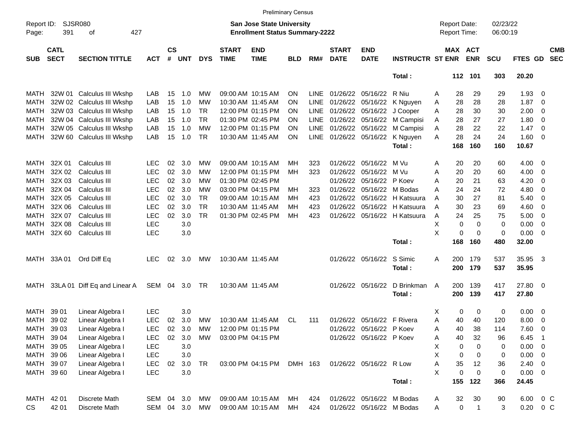|                     |                            |                              |               |                    |            |            |                             |                                                                           | <b>Preliminary Census</b> |             |                             |                           |                              |   |                                     |                |                      |               |                            |                          |
|---------------------|----------------------------|------------------------------|---------------|--------------------|------------|------------|-----------------------------|---------------------------------------------------------------------------|---------------------------|-------------|-----------------------------|---------------------------|------------------------------|---|-------------------------------------|----------------|----------------------|---------------|----------------------------|--------------------------|
| Report ID:<br>Page: | <b>SJSR080</b><br>391      | 427<br>оf                    |               |                    |            |            |                             | <b>San Jose State University</b><br><b>Enrollment Status Summary-2222</b> |                           |             |                             |                           |                              |   | <b>Report Date:</b><br>Report Time: |                | 02/23/22<br>06:00:19 |               |                            |                          |
| <b>SUB</b>          | <b>CATL</b><br><b>SECT</b> | <b>SECTION TITTLE</b>        | <b>ACT</b>    | $\mathsf{cs}$<br># | <b>UNT</b> | <b>DYS</b> | <b>START</b><br><b>TIME</b> | <b>END</b><br><b>TIME</b>                                                 | BLD                       | RM#         | <b>START</b><br><b>DATE</b> | <b>END</b><br><b>DATE</b> | <b>INSTRUCTR ST ENR</b>      |   | <b>MAX ACT</b>                      | <b>ENR</b>     | <b>SCU</b>           | FTES GD       |                            | <b>CMB</b><br><b>SEC</b> |
|                     |                            |                              |               |                    |            |            |                             |                                                                           |                           |             |                             |                           | Total:                       |   |                                     | 112 101        | 303                  | 20.20         |                            |                          |
| MATH                |                            | 32W 01 Calculus III Wkshp    | LAB           | 15                 | 1.0        | MW         |                             | 09:00 AM 10:15 AM                                                         | ON                        | LINE        |                             | 01/26/22 05/16/22         | R Niu                        | A | 28                                  | 29             | 29                   | 1.93          | $\overline{\mathbf{0}}$    |                          |
| MATH                |                            | 32W 02 Calculus III Wkshp    | LAB           | 15                 | 1.0        | <b>MW</b>  |                             | 10:30 AM 11:45 AM                                                         | ON                        | <b>LINE</b> |                             | 01/26/22 05/16/22         | K Nguyen                     | A | 28                                  | 28             | 28                   | 1.87          | $\overline{\mathbf{0}}$    |                          |
| <b>MATH</b>         |                            | 32W 03 Calculus III Wkshp    | LAB           | 15                 | 1.0        | <b>TR</b>  |                             | 12:00 PM 01:15 PM                                                         | ON                        | LINE        |                             | 01/26/22 05/16/22         | J Cooper                     | Α | 28                                  | 30             | 30                   | 2.00          | 0                          |                          |
| MATH                |                            | 32W 04 Calculus III Wkshp    | LAB           | 15                 | 1.0        | <b>TR</b>  |                             | 01:30 PM 02:45 PM                                                         | ON                        | LINE        |                             | 01/26/22 05/16/22         | M Campisi                    | A | 28                                  | 27             | 27                   | 1.80          | $\overline{\mathbf{0}}$    |                          |
| <b>MATH</b>         |                            | 32W 05 Calculus III Wkshp    | LAB           | 15                 | 1.0        | <b>MW</b>  |                             | 12:00 PM 01:15 PM                                                         | ON                        | LINE        |                             | 01/26/22 05/16/22         | M Campisi                    | A | 28                                  | 22             | 22                   | 1.47          | $\overline{\mathbf{0}}$    |                          |
| MATH                |                            | 32W 60 Calculus III Wkshp    | LAB           | 15                 | 1.0        | <b>TR</b>  |                             | 10:30 AM 11:45 AM                                                         | ΟN                        | LINE        |                             | 01/26/22 05/16/22         | K Nguyen                     | A | 28                                  | 24             | 24                   | 1.60          | $\overline{\mathbf{0}}$    |                          |
|                     |                            |                              |               |                    |            |            |                             |                                                                           |                           |             |                             |                           | Total:                       |   | 168                                 | 160            | 160                  | 10.67         |                            |                          |
| MATH                | 32X 01                     | Calculus III                 | <b>LEC</b>    | 02                 | 3.0        | MW         |                             | 09:00 AM 10:15 AM                                                         | MН                        | 323         | 01/26/22                    | 05/16/22                  | M Vu                         | A | 20                                  | 20             | 60                   | 4.00          | $\overline{\mathbf{0}}$    |                          |
| <b>MATH</b>         | 32X 02                     | Calculus III                 | <b>LEC</b>    | 02                 | 3.0        | MW         |                             | 12:00 PM 01:15 PM                                                         | MН                        | 323         | 01/26/22                    | 05/16/22                  | M Vu                         | Α | 20                                  | 20             | 60                   | 4.00          | 0                          |                          |
| <b>MATH</b>         | 32X 03                     | Calculus III                 | <b>LEC</b>    | 02                 | 3.0        | MW         |                             | 01:30 PM 02:45 PM                                                         |                           |             | 01/26/22                    | 05/16/22                  | P Koev                       | Α | 20                                  | 21             | 63                   | 4.20          | 0                          |                          |
| <b>MATH</b>         | 32X 04                     | Calculus III                 | <b>LEC</b>    | 02                 | 3.0        | <b>MW</b>  |                             | 03:00 PM 04:15 PM                                                         | MН                        | 323         | 01/26/22                    | 05/16/22                  | M Bodas                      | A | 24                                  | 24             | 72                   | 4.80          | 0                          |                          |
| <b>MATH</b>         | 32X 05                     | Calculus III                 | <b>LEC</b>    | 02                 | 3.0        | <b>TR</b>  |                             | 09:00 AM 10:15 AM                                                         | MН                        | 423         | 01/26/22                    | 05/16/22                  | H Katsuura                   | A | 30                                  | 27             | 81                   | 5.40          | 0                          |                          |
| <b>MATH</b>         | 32X 06                     | Calculus III                 | <b>LEC</b>    | 02                 | 3.0        | <b>TR</b>  |                             | 10:30 AM 11:45 AM                                                         | MН                        | 423         | 01/26/22                    | 05/16/22                  | H Katsuura                   | A | 30                                  | 23             | 69                   | 4.60          | 0                          |                          |
| <b>MATH</b>         | 32X 07                     | Calculus III                 | <b>LEC</b>    | 02                 | 3.0        | <b>TR</b>  |                             | 01:30 PM 02:45 PM                                                         | MН                        | 423         |                             |                           | 01/26/22 05/16/22 H Katsuura | A | 24                                  | 25             | 75                   | 5.00          | 0                          |                          |
| <b>MATH</b>         | 32X 08                     | Calculus III                 | <b>LEC</b>    |                    | 3.0        |            |                             |                                                                           |                           |             |                             |                           |                              | X | 0                                   | 0              | 0                    | 0.00          | 0                          |                          |
| <b>MATH</b>         | 32X 60                     | Calculus III                 | <b>LEC</b>    |                    | 3.0        |            |                             |                                                                           |                           |             |                             |                           |                              | X | 0                                   | 0              | 0                    | 0.00          | $\overline{\mathbf{0}}$    |                          |
|                     |                            |                              |               |                    |            |            |                             |                                                                           |                           |             |                             |                           | Total:                       |   | 168                                 | 160            | 480                  | 32.00         |                            |                          |
| MATH                | 33A 01                     | Ord Diff Eq                  | <b>LEC</b>    | 02                 | 3.0        | МW         |                             | 10:30 AM 11:45 AM                                                         |                           |             |                             | 01/26/22 05/16/22         | S Simic                      | A | 200                                 | 179            | 537                  | 35.95         | $\overline{\mathbf{3}}$    |                          |
|                     |                            |                              |               |                    |            |            |                             |                                                                           |                           |             |                             |                           | Total:                       |   | 200                                 | 179            | 537                  | 35.95         |                            |                          |
| MATH                |                            | 33LA 01 Diff Eq and Linear A | SEM 04        |                    | 3.0        | TR         |                             | 10:30 AM 11:45 AM                                                         |                           |             |                             | 01/26/22 05/16/22         | D Brinkman                   | A | 200                                 | 139            | 417                  | 27.80         | $\overline{\phantom{0}}$   |                          |
|                     |                            |                              |               |                    |            |            |                             |                                                                           |                           |             |                             |                           | Total:                       |   | 200                                 | 139            | 417                  | 27.80         |                            |                          |
| <b>MATH</b>         | 39 01                      | Linear Algebra I             | <b>LEC</b>    |                    | 3.0        |            |                             |                                                                           |                           |             |                             |                           |                              | Х | 0                                   | 0              | 0                    | 0.00          | $\overline{\mathbf{0}}$    |                          |
| <b>MATH</b>         | 39 02                      | Linear Algebra I             | <b>LEC</b>    | 02                 | 3.0        | MW         |                             | 10:30 AM 11:45 AM                                                         | CL                        | 111         | 01/26/22                    | 05/16/22                  | F Rivera                     | Α | 40                                  | 40             | 120                  | 8.00          | 0                          |                          |
| MATH                | 39 03                      | Linear Algebra I             | <b>LEC</b>    | 02                 | 3.0        | <b>MW</b>  |                             | 12:00 PM 01:15 PM                                                         |                           |             |                             | 01/26/22 05/16/22 P Koev  |                              | Α | 40                                  | 38             | 114                  | 7.60          | 0                          |                          |
| MATH 39 04          |                            | Linear Algebra I             | <b>LEC</b>    | 02                 | 3.0        | MW         |                             | 03:00 PM 04:15 PM                                                         |                           |             |                             | 01/26/22 05/16/22 P Koev  |                              | Α | 40                                  | 32             | 96                   | 6.45          | $\overline{\phantom{0}}$ 1 |                          |
| <b>MATH</b>         | 39 05                      | Linear Algebra I             | <b>LEC</b>    |                    | $3.0\,$    |            |                             |                                                                           |                           |             |                             |                           |                              | Χ | 0                                   | 0              | 0                    | $0.00 \t 0$   |                            |                          |
| <b>MATH</b>         | 39 06                      | Linear Algebra I             | <b>LEC</b>    |                    | 3.0        |            |                             |                                                                           |                           |             |                             |                           |                              | X | 0                                   | 0              | 0                    | $0.00 \t 0$   |                            |                          |
| <b>MATH</b>         | 39 07                      | Linear Algebra I             | <b>LEC</b>    | 02                 | 3.0        | TR         |                             | 03:00 PM 04:15 PM DMH 163                                                 |                           |             |                             | 01/26/22 05/16/22 R Low   |                              | Α | 35                                  | 12             | 36                   | $2.40 \ 0$    |                            |                          |
| MATH 39 60          |                            | Linear Algebra I             | <b>LEC</b>    |                    | 3.0        |            |                             |                                                                           |                           |             |                             |                           |                              | X | 0                                   | $\pmb{0}$      | 0                    | $0.00 \t 0$   |                            |                          |
|                     |                            |                              |               |                    |            |            |                             |                                                                           |                           |             |                             |                           | Total:                       |   | 155                                 | 122            | 366                  | 24.45         |                            |                          |
| MATH 42 01          |                            | Discrete Math                | SEM 04 3.0    |                    |            | MW         |                             | 09:00 AM 10:15 AM                                                         | МH                        | 424         |                             | 01/26/22 05/16/22 M Bodas |                              | A | 32                                  | $30\,$         | 90                   | 6.00          | $0\,C$                     |                          |
| <b>CS</b>           | 42 01                      | Discrete Math                | SEM 04 3.0 MW |                    |            |            |                             | 09:00 AM 10:15 AM                                                         | МH                        | 424         |                             | 01/26/22 05/16/22 M Bodas |                              | A | $\mathbf 0$                         | $\overline{1}$ | 3                    | $0.20 \t 0 C$ |                            |                          |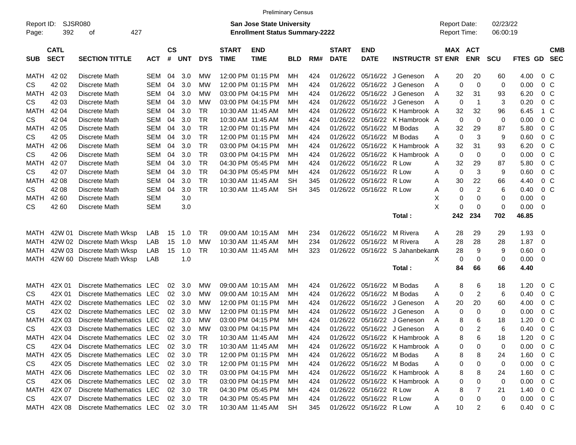|                     |                            |                                    |            |                    |                |                |                             | <b>Preliminary Census</b>                                          |            |     |                             |                           |                                |   |                                            |                |                      |                        |                |                          |
|---------------------|----------------------------|------------------------------------|------------|--------------------|----------------|----------------|-----------------------------|--------------------------------------------------------------------|------------|-----|-----------------------------|---------------------------|--------------------------------|---|--------------------------------------------|----------------|----------------------|------------------------|----------------|--------------------------|
| Report ID:<br>Page: | <b>SJSR080</b><br>392      | 427<br>οf                          |            |                    |                |                |                             | San Jose State University<br><b>Enrollment Status Summary-2222</b> |            |     |                             |                           |                                |   | <b>Report Date:</b><br><b>Report Time:</b> |                | 02/23/22<br>06:00:19 |                        |                |                          |
| <b>SUB</b>          | <b>CATL</b><br><b>SECT</b> | <b>SECTION TITTLE</b>              | <b>ACT</b> | $\mathsf{cs}$<br># | <b>UNT</b>     | <b>DYS</b>     | <b>START</b><br><b>TIME</b> | <b>END</b><br><b>TIME</b>                                          | <b>BLD</b> | RM# | <b>START</b><br><b>DATE</b> | <b>END</b><br><b>DATE</b> | <b>INSTRUCTR ST ENR</b>        |   | MAX ACT                                    | <b>ENR</b>     | <b>SCU</b>           | FTES GD                |                | <b>CMB</b><br><b>SEC</b> |
| MATH                | 42 02                      | Discrete Math                      | SEM        | 04                 | 3.0            | МW             |                             | 12:00 PM 01:15 PM                                                  | MН         | 424 | 01/26/22                    |                           | 05/16/22 J Geneson             | A | 20                                         | 20             | 60                   | 4.00                   | $0\,C$         |                          |
| CS.                 | 42 02                      | Discrete Math                      | <b>SEM</b> | 04                 | 3.0            | МW             |                             | 12:00 PM 01:15 PM                                                  | MН         | 424 | 01/26/22                    |                           | 05/16/22 J Geneson             | A | 0                                          | $\mathbf 0$    | $\mathbf 0$          | 0.00                   | $0\,$ C        |                          |
| MATH                | 42 03                      | Discrete Math                      | <b>SEM</b> | 04                 | 3.0            | МW             |                             | 03:00 PM 04:15 PM                                                  | MН         | 424 | 01/26/22                    |                           | 05/16/22 J Geneson             | A | 32                                         | 31             | 93                   | 6.20                   | 0 <sup>o</sup> |                          |
| <b>CS</b>           | 42 03                      | Discrete Math                      | <b>SEM</b> | 04                 | 3.0            | МW             |                             | 03:00 PM 04:15 PM                                                  | MН         | 424 | 01/26/22                    |                           | 05/16/22 J Geneson             | A | 0                                          | $\overline{1}$ | 3                    | 0.20                   | 0 <sup>o</sup> |                          |
| <b>MATH</b>         | 42 04                      | Discrete Math                      | <b>SEM</b> | 04                 | 3.0            | TR             |                             | 10:30 AM 11:45 AM                                                  | MН         | 424 | 01/26/22                    |                           | 05/16/22 K Hambrook A          |   | 32                                         | 32             | 96                   | 6.45                   | 1 C            |                          |
| <b>CS</b>           | 42 04                      | Discrete Math                      | <b>SEM</b> | 04                 | 3.0            | <b>TR</b>      |                             | 10:30 AM 11:45 AM                                                  | MН         | 424 | 01/26/22                    |                           | 05/16/22 K Hambrook A          |   | 0                                          | $\mathbf 0$    | $\mathbf 0$          | 0.00                   | 0 <sup>o</sup> |                          |
| MATH                | 42 05                      | Discrete Math                      | <b>SEM</b> | 04                 | 3.0            | TR             |                             | 12:00 PM 01:15 PM                                                  | MН         | 424 | 01/26/22                    | 05/16/22 M Bodas          |                                | A | 32                                         | 29             | 87                   | 5.80                   | 0 <sup>o</sup> |                          |
| <b>CS</b>           | 42 05                      | Discrete Math                      | <b>SEM</b> | 04                 | 3.0            | TR             |                             | 12:00 PM 01:15 PM                                                  | MН         | 424 | 01/26/22                    | 05/16/22 M Bodas          |                                | A | 0                                          | 3              | 9                    | 0.60                   | 0 <sup>o</sup> |                          |
| MATH                | 42 06                      | Discrete Math                      | <b>SEM</b> | 04                 | 3.0            | <b>TR</b>      |                             | 03:00 PM 04:15 PM                                                  | MН         | 424 | 01/26/22                    |                           | 05/16/22 K Hambrook A          |   | 32                                         | 31             | 93                   | 6.20                   | 0 <sup>o</sup> |                          |
| <b>CS</b>           | 42 06                      | Discrete Math                      | <b>SEM</b> | 04                 | 3.0            | TR             |                             | 03:00 PM 04:15 PM                                                  | MН         | 424 | 01/26/22                    |                           | 05/16/22 K Hambrook A          |   | 0                                          | 0              | $\mathbf 0$          | 0.00                   | 0 <sup>o</sup> |                          |
| <b>MATH</b>         | 42 07                      | Discrete Math                      | <b>SEM</b> | 04                 | 3.0            | <b>TR</b>      |                             | 04:30 PM 05:45 PM                                                  | MН         | 424 | 01/26/22                    | 05/16/22 R Low            |                                | A | 32                                         | 29             | 87                   | 5.80                   | 0 <sup>o</sup> |                          |
| <b>CS</b>           | 42 07                      | Discrete Math                      | <b>SEM</b> | 04                 | 3.0            | <b>TR</b>      |                             | 04:30 PM 05:45 PM                                                  | MН         | 424 | 01/26/22                    | 05/16/22 R Low            |                                | Α | 0                                          | 3              | 9                    | 0.60                   | 0 <sup>o</sup> |                          |
| MATH                | 42 08                      | Discrete Math                      | <b>SEM</b> | 04                 | 3.0            | <b>TR</b>      |                             | 10:30 AM 11:45 AM                                                  | <b>SH</b>  | 345 | 01/26/22                    | 05/16/22 R Low            |                                | A | 30                                         | 22             | 66                   | 4.40                   | 0 <sup>o</sup> |                          |
| <b>CS</b>           | 42 08                      | Discrete Math                      | <b>SEM</b> | 04                 | 3.0            | <b>TR</b>      |                             | 10:30 AM 11:45 AM                                                  | <b>SH</b>  | 345 | 01/26/22                    | 05/16/22 R Low            |                                | Α | 0                                          | $\overline{c}$ | 6                    | 0.40                   | 0 <sup>o</sup> |                          |
| MATH                | 42 60                      | Discrete Math                      | <b>SEM</b> |                    | 3.0            |                |                             |                                                                    |            |     |                             |                           |                                | X | 0                                          | 0              | $\mathbf 0$          | 0.00                   | 0              |                          |
| <b>CS</b>           | 42 60                      | Discrete Math                      | <b>SEM</b> |                    | 3.0            |                |                             |                                                                    |            |     |                             |                           |                                | X | 0                                          | 0              | $\mathbf 0$          | 0.00                   | -0             |                          |
|                     |                            |                                    |            |                    |                |                |                             |                                                                    |            |     |                             |                           | Total:                         |   | 242                                        | 234            | 702                  | 46.85                  |                |                          |
| MATH                | 42W 01                     | Discrete Math Wksp                 | LAB        | 15                 | 1.0            | <b>TR</b>      |                             | 09:00 AM 10:15 AM                                                  | MН         | 234 | 01/26/22                    | 05/16/22                  | M Rivera                       | A | 28                                         | 29             | 29                   | 1.93                   | 0              |                          |
| MATH                | 42W 02                     | Discrete Math Wksp                 | LAB        | 15                 | 1.0            | МW             |                             | 10:30 AM 11:45 AM                                                  | MН         | 234 | 01/26/22                    | 05/16/22 M Rivera         |                                | A | 28                                         | 28             | 28                   | 1.87                   | 0              |                          |
| MATH                | 42W 03                     | Discrete Math Wksp                 | LAB        | 15                 | 1.0            | TR             |                             | 10:30 AM 11:45 AM                                                  | МH         | 323 | 01/26/22                    |                           | 05/16/22 S JahanbekamA         |   | 28                                         | 9              | 9                    | 0.60                   | 0              |                          |
| MATH                |                            | 42W 60 Discrete Math Wksp          | LAB        |                    | 1.0            |                |                             |                                                                    |            |     |                             |                           |                                | X | 0                                          | 0              | $\mathbf 0$          | 0.00                   | - 0            |                          |
|                     |                            |                                    |            |                    |                |                |                             |                                                                    |            |     |                             |                           | Total:                         |   | 84                                         | 66             | 66                   | 4.40                   |                |                          |
| MATH                | 42X 01                     | Discrete Mathematics LEC           |            | 02                 | 3.0            | МW             |                             | 09:00 AM 10:15 AM                                                  | MН         | 424 | 01/26/22                    | 05/16/22                  | M Bodas                        | A | 8                                          | 6              | 18                   | 1.20                   | $0\,C$         |                          |
| <b>CS</b>           | 42X 01                     | Discrete Mathematics LEC           |            | 02                 | 3.0            | МW             |                             | 09:00 AM 10:15 AM                                                  | MН         | 424 | 01/26/22                    | 05/16/22 M Bodas          |                                | A | 0                                          | $\overline{2}$ | 6                    | 0.40                   | 0 <sup>o</sup> |                          |
| MATH                | 42X 02                     | Discrete Mathematics               | LEC        | 02                 | 3.0            | МW             |                             | 12:00 PM 01:15 PM                                                  | MН         | 424 | 01/26/22                    |                           | 05/16/22 J Geneson             | A | 20                                         | 20             | 60                   | 4.00                   | 0 <sup>o</sup> |                          |
| <b>CS</b>           | 42X 02                     | Discrete Mathematics LEC           |            | 02                 | 3.0            | МW             |                             | 12:00 PM 01:15 PM                                                  | MН         | 424 | 01/26/22                    |                           | 05/16/22 J Geneson             | A | 0                                          | 0              | $\mathbf 0$          | 0.00                   | 0 <sup>o</sup> |                          |
| MATH                | 42X 03                     | Discrete Mathematics               | LEC        | 02                 | 3.0            | МW             |                             | 03:00 PM 04:15 PM                                                  | MН         | 424 | 01/26/22                    |                           | 05/16/22 J Geneson             | A | 8                                          | 6              | 18                   | 1.20                   | 0 <sup>o</sup> |                          |
| <b>CS</b>           | 42X 03                     | Discrete Mathematics LEC           |            | 02                 | 3.0            | МW             |                             | 03:00 PM 04:15 PM                                                  | MН         | 424 |                             |                           | 01/26/22 05/16/22 J Geneson    | A | $\Omega$                                   | 2              | 6                    | 0.40                   | $0\,C$         |                          |
| MATH                | 42X 04                     | Discrete Mathematics LEC           |            |                    | 02 3.0         | $\overline{R}$ |                             | 10:30 AM 11:45 AM                                                  | МH         | 424 |                             |                           | 01/26/22 05/16/22 K Hambrook A |   | 8                                          | 6              | 18                   | 1.20                   | $0\,$ C        |                          |
| CS                  | 42X 04                     | Discrete Mathematics LEC           |            |                    | $02 \quad 3.0$ | TR             |                             | 10:30 AM 11:45 AM                                                  | MН         | 424 |                             |                           | 01/26/22 05/16/22 K Hambrook A |   | 0                                          | 0              | 0                    | 0.00                   | 0 C            |                          |
| MATH                | 42X 05                     | Discrete Mathematics LEC           |            |                    | $02 \quad 3.0$ | TR             |                             | 12:00 PM 01:15 PM                                                  | MН         | 424 |                             | 01/26/22 05/16/22 M Bodas |                                | Α | 8                                          | 8              | 24                   | 1.60                   | $0\,$ C        |                          |
| CS                  | 42X 05                     | Discrete Mathematics LEC           |            |                    | 02 3.0         | TR             |                             | 12:00 PM 01:15 PM                                                  | MН         | 424 |                             | 01/26/22 05/16/22 M Bodas |                                | Α | 0                                          | 0              | 0                    | 0.00                   | $0\,$ C        |                          |
| MATH                | 42X 06                     | Discrete Mathematics LEC           |            |                    | 02 3.0         | TR             |                             | 03:00 PM 04:15 PM                                                  | MН         | 424 |                             |                           | 01/26/22 05/16/22 K Hambrook A |   | 8                                          | 8              | 24                   | 1.60                   | $0\,$ C        |                          |
| CS                  | 42X 06                     | Discrete Mathematics LEC           |            |                    | $02 \quad 3.0$ | TR             |                             | 03:00 PM 04:15 PM                                                  | MН         | 424 |                             |                           | 01/26/22 05/16/22 K Hambrook A |   | 0                                          | 0              | 0                    | 0.00                   | $0\,$ C        |                          |
| <b>MATH</b>         | 42X 07                     | Discrete Mathematics LEC           |            |                    | 02 3.0         | TR             |                             | 04:30 PM 05:45 PM                                                  | MН         | 424 |                             | 01/26/22 05/16/22 R Low   |                                | Α | 8                                          |                | 21                   | 1.40                   | $0\,$ C        |                          |
| CS                  | 42X 07                     | Discrete Mathematics LEC           |            |                    | 02 3.0         | TR             |                             | 04:30 PM 05:45 PM                                                  | MН         | 424 |                             | 01/26/22 05/16/22 R Low   |                                | A | 0                                          | 0              | 0                    | 0.00                   | $0\,$ C        |                          |
| MATH                | 42X 08                     | Discrete Mathematics LEC 02 3.0 TR |            |                    |                |                |                             | 10:30 AM 11:45 AM                                                  | SH         | 345 |                             | 01/26/22 05/16/22 R Low   |                                | A | 10                                         | 2              | 6                    | $0.40 \quad 0 \quad C$ |                |                          |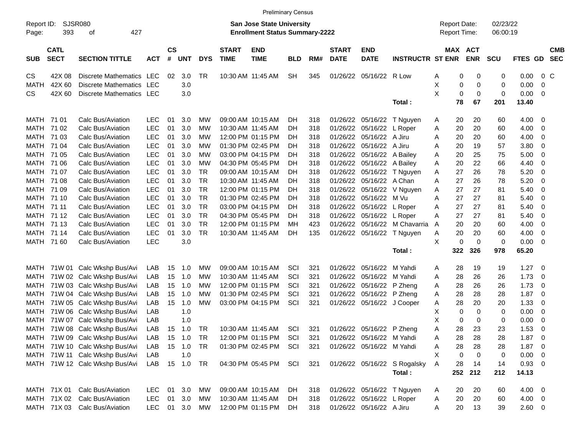|                     | <b>Preliminary Census</b><br><b>San Jose State University</b> |                                |            |                    |            |            |                             |                                       |            |     |                             |                            |                              |                                            |     |                       |                      |            |                          |            |
|---------------------|---------------------------------------------------------------|--------------------------------|------------|--------------------|------------|------------|-----------------------------|---------------------------------------|------------|-----|-----------------------------|----------------------------|------------------------------|--------------------------------------------|-----|-----------------------|----------------------|------------|--------------------------|------------|
| Report ID:<br>Page: | 393                                                           | SJSR080<br>427<br>оf           |            |                    |            |            |                             | <b>Enrollment Status Summary-2222</b> |            |     |                             |                            |                              | <b>Report Date:</b><br><b>Report Time:</b> |     |                       | 02/23/22<br>06:00:19 |            |                          |            |
| <b>SUB</b>          | <b>CATL</b><br><b>SECT</b>                                    | <b>SECTION TITTLE</b>          | <b>ACT</b> | $\mathsf{cs}$<br># | <b>UNT</b> | <b>DYS</b> | <b>START</b><br><b>TIME</b> | <b>END</b><br><b>TIME</b>             | <b>BLD</b> | RM# | <b>START</b><br><b>DATE</b> | <b>END</b><br><b>DATE</b>  | <b>INSTRUCTR ST ENR</b>      |                                            |     | MAX ACT<br><b>ENR</b> | <b>SCU</b>           | FTES GD    | <b>SEC</b>               | <b>CMB</b> |
| CS                  | 42X 08                                                        | Discrete Mathematics LEC       |            | 02                 | 3.0        | <b>TR</b>  | 10:30 AM 11:45 AM           |                                       | <b>SH</b>  | 345 | 01/26/22                    | 05/16/22 R Low             |                              | A                                          | 0   | 0                     | 0                    | 0.00       | $0\,C$                   |            |
| <b>MATH</b>         | 42X 60                                                        | <b>Discrete Mathematics</b>    | LEC        |                    | 3.0        |            |                             |                                       |            |     |                             |                            |                              | X                                          | 0   | 0                     | 0                    | 0.00       | 0                        |            |
| CS.                 | 42X 60                                                        | Discrete Mathematics LEC       |            |                    | 3.0        |            |                             |                                       |            |     |                             |                            |                              | X                                          | 0   | $\mathbf 0$           | 0                    | 0.00       | 0                        |            |
|                     |                                                               |                                |            |                    |            |            |                             |                                       |            |     |                             |                            | Total:                       |                                            | 78  | 67                    | 201                  | 13.40      |                          |            |
| MATH                | 71 01                                                         | Calc Bus/Aviation              | <b>LEC</b> | 01                 | 3.0        | MW         | 09:00 AM 10:15 AM           |                                       | DH         | 318 | 01/26/22                    | 05/16/22                   | T Nguyen                     | A                                          | 20  | 20                    | 60                   | 4.00       | 0                        |            |
| MATH                | 71 02                                                         | Calc Bus/Aviation              | <b>LEC</b> | 01                 | 3.0        | <b>MW</b>  | 10:30 AM 11:45 AM           |                                       | DH         | 318 | 01/26/22                    | 05/16/22                   | L Roper                      | A                                          | 20  | 20                    | 60                   | 4.00       | 0                        |            |
| MATH                | 71 03                                                         | Calc Bus/Aviation              | <b>LEC</b> | 01                 | 3.0        | <b>MW</b>  |                             | 12:00 PM 01:15 PM                     | DН         | 318 | 01/26/22                    | 05/16/22                   | A Jiru                       | A                                          | 20  | 20                    | 60                   | 4.00       | 0                        |            |
| MATH                | 71 04                                                         | Calc Bus/Aviation              | LEC        | 01                 | 3.0        | <b>MW</b>  |                             | 01:30 PM 02:45 PM                     | DН         | 318 | 01/26/22                    | 05/16/22                   | A Jiru                       | A                                          | 20  | 19                    | 57                   | 3.80       | 0                        |            |
| MATH                | 71 05                                                         | Calc Bus/Aviation              | LEC        | 01                 | 3.0        | <b>MW</b>  |                             | 03:00 PM 04:15 PM                     | DH         | 318 | 01/26/22                    | 05/16/22                   | A Bailey                     | A                                          | 20  | 25                    | 75                   | 5.00       | 0                        |            |
| MATH                | 71 06                                                         | Calc Bus/Aviation              | <b>LEC</b> | 01                 | 3.0        | <b>MW</b>  |                             | 04:30 PM 05:45 PM                     | DH         | 318 | 01/26/22                    | 05/16/22                   | A Bailey                     | A                                          | 20  | 22                    | 66                   | 4.40       | 0                        |            |
| MATH                | 71 07                                                         | Calc Bus/Aviation              | <b>LEC</b> | 01                 | 3.0        | <b>TR</b>  |                             | 09:00 AM 10:15 AM                     | DH         | 318 | 01/26/22                    | 05/16/22                   | T Nguyen                     | A                                          | 27  | 26                    | 78                   | 5.20       | 0                        |            |
| MATH                | 71 08                                                         | Calc Bus/Aviation              | LEC        | 01                 | 3.0        | <b>TR</b>  | 10:30 AM 11:45 AM           |                                       | DH         | 318 | 01/26/22                    | 05/16/22                   | A Chan                       | A                                          | 27  | 26                    | 78                   | 5.20       | 0                        |            |
| MATH                | 71 09                                                         | Calc Bus/Aviation              | LEC        | 01                 | 3.0        | <b>TR</b>  |                             | 12:00 PM 01:15 PM                     | DH         | 318 | 01/26/22                    | 05/16/22                   | V Nguyen                     | A                                          | 27  | 27                    | 81                   | 5.40       | 0                        |            |
| MATH                | 71 10                                                         | Calc Bus/Aviation              | <b>LEC</b> | 01                 | 3.0        | <b>TR</b>  |                             | 01:30 PM 02:45 PM                     | DH         | 318 | 01/26/22                    | 05/16/22                   | M Vu                         | A                                          | 27  | 27                    | 81                   | 5.40       | 0                        |            |
| MATH                | 71 11                                                         | Calc Bus/Aviation              | LEC        | 01                 | 3.0        | <b>TR</b>  |                             | 03:00 PM 04:15 PM                     | DH         | 318 | 01/26/22                    | 05/16/22                   | L Roper                      | A                                          | 27  | 27                    | 81                   | 5.40       | 0                        |            |
| MATH                | 71 12                                                         | Calc Bus/Aviation              | <b>LEC</b> | 01                 | 3.0        | <b>TR</b>  |                             | 04:30 PM 05:45 PM                     | DH         | 318 | 01/26/22                    | 05/16/22                   | L Roper                      | A                                          | 27  | 27                    | 81                   | 5.40       | 0                        |            |
| MATH                | 71 13                                                         | Calc Bus/Aviation              | <b>LEC</b> | 01                 | 3.0        | <b>TR</b>  |                             | 12:00 PM 01:15 PM                     | МH         | 423 | 01/26/22                    | 05/16/22                   | M Chavarria                  | A                                          | 20  | 20                    | 60                   | 4.00       | 0                        |            |
| MATH                | 71 14                                                         | Calc Bus/Aviation              | <b>LEC</b> | 01                 | 3.0        | <b>TR</b>  | 10:30 AM 11:45 AM           |                                       | DH         | 135 |                             | 01/26/22 05/16/22          | T Nguyen                     | A                                          | 20  | 20                    | 60                   | 4.00       | 0                        |            |
|                     | MATH 71 60                                                    | Calc Bus/Aviation              | LEC        |                    | 3.0        |            |                             |                                       |            |     |                             |                            |                              | X                                          | 0   | 0                     | 0                    | 0.00       | 0                        |            |
|                     |                                                               |                                |            |                    |            |            |                             |                                       |            |     |                             |                            | Total:                       |                                            | 322 | 326                   | 978                  | 65.20      |                          |            |
| MATH                | 71W 01                                                        | Calc Wkshp Bus/Avi             | LAB        | 15                 | 1.0        | MW         | 09:00 AM 10:15 AM           |                                       | SCI        | 321 | 01/26/22                    | 05/16/22                   | M Yahdi                      | A                                          | 28  | 19                    | 19                   | 1.27       | 0                        |            |
| MATH                |                                                               | 71W 02 Calc Wkshp Bus/Avi      | LAB        | 15                 | 1.0        | <b>MW</b>  | 10:30 AM 11:45 AM           |                                       | SCI        | 321 | 01/26/22                    | 05/16/22                   | M Yahdi                      | A                                          | 28  | 26                    | 26                   | 1.73       | 0                        |            |
| <b>MATH</b>         |                                                               | 71W 03 Calc Wkshp Bus/Avi      | LAB        | 15                 | 1.0        | <b>MW</b>  |                             | 12:00 PM 01:15 PM                     | SCI        | 321 | 01/26/22                    | 05/16/22                   | P Zheng                      | A                                          | 28  | 26                    | 26                   | 1.73       | 0                        |            |
| <b>MATH</b>         |                                                               | 71W 04 Calc Wkshp Bus/Avi      | LAB        | 15                 | 1.0        | <b>MW</b>  | 01:30 PM 02:45 PM           |                                       | SCI        | 321 | 01/26/22                    | 05/16/22 P Zheng           |                              | A                                          | 28  | 28                    | 28                   | 1.87       | 0                        |            |
| MATH                |                                                               | 71W 05 Calc Wkshp Bus/Avi      | LAB        | 15                 | 1.0        | <b>MW</b>  |                             | 03:00 PM 04:15 PM                     | SCI        | 321 |                             | 01/26/22 05/16/22 J Cooper |                              | A                                          | 28  | 20                    | 20                   | 1.33       | 0                        |            |
| MATH                |                                                               | 71W 06 Calc Wkshp Bus/Avi      | LAB        |                    | 1.0        |            |                             |                                       |            |     |                             |                            |                              | X                                          | 0   | 0                     | 0                    | 0.00       | 0                        |            |
| <b>MATH</b>         |                                                               | 71W 07 Calc Wkshp Bus/Avi      | LAB        |                    | 1.0        |            |                             |                                       |            |     |                             |                            |                              | X                                          | 0   | 0                     | 0                    | 0.00       | 0                        |            |
|                     |                                                               | MATH 71W 08 Calc Wkshp Bus/Avi | LAB        | 15                 | 1.0        | TR         |                             | 10:30 AM 11:45 AM                     | SCI        | 321 |                             | 01/26/22 05/16/22 P Zheng  |                              | Α                                          | 28  | 23                    | 23                   | 1.53       | 0                        |            |
|                     |                                                               | MATH 71W 09 Calc Wkshp Bus/Avi | LAB        | 15                 | 1.0        | <b>TR</b>  |                             | 12:00 PM 01:15 PM                     | SCI        | 321 |                             | 01/26/22 05/16/22 M Yahdi  |                              | Α                                          | 28  | 28                    | 28                   | 1.87       | $\mathbf 0$              |            |
|                     |                                                               | MATH 71W 10 Calc Wkshp Bus/Avi | LAB        |                    | 15 1.0     | TR         |                             | 01:30 PM 02:45 PM                     | SCI        | 321 |                             | 01/26/22 05/16/22 M Yahdi  |                              | Α                                          | 28  | 28                    | 28                   | 1.87       | 0                        |            |
|                     |                                                               | MATH 71W 11 Calc Wkshp Bus/Avi | LAB        |                    | 1.0        |            |                             |                                       |            |     |                             |                            |                              | X                                          | 0   | $\mathbf 0$           | 0                    | 0.00       | 0                        |            |
|                     |                                                               | MATH 71W 12 Calc Wkshp Bus/Avi | LAB        |                    | 15 1.0     | <b>TR</b>  |                             | 04:30 PM 05:45 PM SCI                 |            | 321 |                             |                            | 01/26/22 05/16/22 S Rogalsky | Α                                          | 28  | 14                    | 14                   | 0.93       | 0                        |            |
|                     |                                                               |                                |            |                    |            |            |                             |                                       |            |     |                             |                            | Total:                       |                                            | 252 | 212                   | 212                  | 14.13      |                          |            |
|                     | MATH 71X 01                                                   | Calc Bus/Aviation              | LEC.       |                    | 01 3.0     | МW         |                             | 09:00 AM 10:15 AM                     | DH.        | 318 |                             |                            | 01/26/22 05/16/22 T Nguyen   | A                                          | 20  | 20                    | 60                   | 4.00       | $\overline{\phantom{0}}$ |            |
|                     | MATH 71X 02                                                   | Calc Bus/Aviation              | <b>LEC</b> | 01                 | 3.0        | MW         |                             | 10:30 AM 11:45 AM                     | DH         | 318 |                             | 01/26/22 05/16/22 L Roper  |                              | Α                                          | 20  | 20                    | 60                   | $4.00 \ 0$ |                          |            |
|                     | MATH 71X 03                                                   | Calc Bus/Aviation              | <b>LEC</b> |                    | 01 3.0     | MW         |                             | 12:00 PM 01:15 PM                     | DH         | 318 |                             | 01/26/22 05/16/22 A Jiru   |                              | A                                          | 20  | 13                    | 39                   | 2.60 0     |                          |            |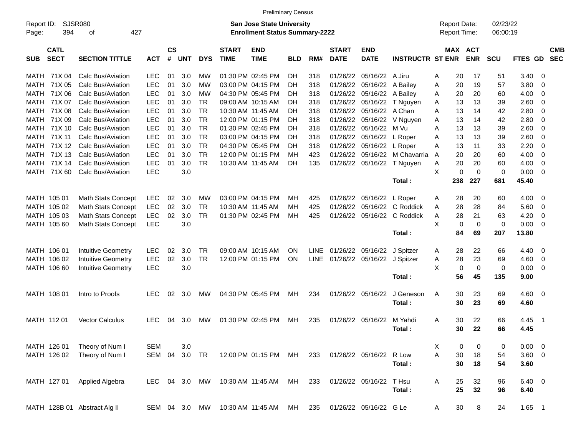|                     |                            |                              |            |                    |               |            |                             | <b>Preliminary Census</b>                                                 |            |             |                             |                           |                         |   |            |                                            |                      |               |     |                          |
|---------------------|----------------------------|------------------------------|------------|--------------------|---------------|------------|-----------------------------|---------------------------------------------------------------------------|------------|-------------|-----------------------------|---------------------------|-------------------------|---|------------|--------------------------------------------|----------------------|---------------|-----|--------------------------|
| Report ID:<br>Page: | 394                        | SJSR080<br>427<br>οf         |            |                    |               |            |                             | <b>San Jose State University</b><br><b>Enrollment Status Summary-2222</b> |            |             |                             |                           |                         |   |            | <b>Report Date:</b><br><b>Report Time:</b> | 02/23/22<br>06:00:19 |               |     |                          |
| <b>SUB</b>          | <b>CATL</b><br><b>SECT</b> | <b>SECTION TITTLE</b>        | <b>ACT</b> | $\mathsf{cs}$<br># | <b>UNT</b>    | <b>DYS</b> | <b>START</b><br><b>TIME</b> | <b>END</b><br><b>TIME</b>                                                 | <b>BLD</b> | RM#         | <b>START</b><br><b>DATE</b> | <b>END</b><br><b>DATE</b> | <b>INSTRUCTR ST ENR</b> |   | <b>MAX</b> | <b>ACT</b><br><b>ENR</b>                   | <b>SCU</b>           | FTES GD       |     | <b>CMB</b><br><b>SEC</b> |
| MATH                | 71X 04                     | Calc Bus/Aviation            | <b>LEC</b> | 01                 | 3.0           | МW         |                             | 01:30 PM 02:45 PM                                                         | DН         | 318         | 01/26/22                    | 05/16/22                  | A Jiru                  | A | 20         | 17                                         | 51                   | 3.40          | -0  |                          |
| MATH                | 71X 05                     | Calc Bus/Aviation            | <b>LEC</b> | 01                 | 3.0           | МW         |                             | 03:00 PM 04:15 PM                                                         | DН         | 318         | 01/26/22                    | 05/16/22                  | A Bailey                | Α | 20         | 19                                         | 57                   | 3.80          | 0   |                          |
| MATH                | 71X 06                     | Calc Bus/Aviation            | <b>LEC</b> | 01                 | 3.0           | МW         |                             | 04:30 PM 05:45 PM                                                         | DН         | 318         | 01/26/22                    | 05/16/22                  | A Bailey                | A | 20         | 20                                         | 60                   | 4.00          | 0   |                          |
| MATH                | 71X 07                     | Calc Bus/Aviation            | <b>LEC</b> | 01                 | 3.0           | <b>TR</b>  |                             | 09:00 AM 10:15 AM                                                         | DН         | 318         | 01/26/22                    | 05/16/22                  | T Nguyen                | A | 13         | 13                                         | 39                   | 2.60          | 0   |                          |
| MATH                | 71X 08                     | Calc Bus/Aviation            | <b>LEC</b> | 01                 | 3.0           | <b>TR</b>  |                             | 10:30 AM 11:45 AM                                                         | DН         | 318         | 01/26/22                    | 05/16/22                  | A Chan                  | A | 13         | 14                                         | 42                   | 2.80          | 0   |                          |
| MATH                | 71X09                      | Calc Bus/Aviation            | <b>LEC</b> | 01                 | 3.0           | <b>TR</b>  |                             | 12:00 PM 01:15 PM                                                         | DН         | 318         | 01/26/22                    | 05/16/22                  | V Nguyen                | A | 13         | 14                                         | 42                   | 2.80          | 0   |                          |
| MATH                | 71X 10                     | Calc Bus/Aviation            | <b>LEC</b> | 01                 | 3.0           | <b>TR</b>  |                             | 01:30 PM 02:45 PM                                                         | DН         | 318         | 01/26/22                    | 05/16/22                  | M Vu                    | A | 13         | 13                                         | 39                   | 2.60          | 0   |                          |
| MATH                | 71X 11                     | Calc Bus/Aviation            | <b>LEC</b> | 01                 | 3.0           | <b>TR</b>  |                             | 03:00 PM 04:15 PM                                                         | DН         | 318         | 01/26/22                    | 05/16/22                  | L Roper                 | Α | 13         | 13                                         | 39                   | 2.60          | 0   |                          |
| MATH                | 71X 12                     | Calc Bus/Aviation            | <b>LEC</b> | 01                 | 3.0           | <b>TR</b>  |                             | 04:30 PM 05:45 PM                                                         | DН         | 318         | 01/26/22                    | 05/16/22                  | L Roper                 | A | 13         | 11                                         | 33                   | 2.20          | 0   |                          |
| MATH                | 71X 13                     | Calc Bus/Aviation            | <b>LEC</b> | 01                 | 3.0           | <b>TR</b>  |                             | 12:00 PM 01:15 PM                                                         | MН         | 423         | 01/26/22                    | 05/16/22                  | M Chavarria             | A | 20         | 20                                         | 60                   | 4.00          | 0   |                          |
| MATH                | 71X 14                     | Calc Bus/Aviation            | <b>LEC</b> | 01                 | 3.0           | <b>TR</b>  |                             | 10:30 AM 11:45 AM                                                         | DН         | 135         | 01/26/22                    | 05/16/22                  | T Nguyen                | Α | 20         | 20                                         | 60                   | 4.00          | 0   |                          |
| MATH                | 71X 60                     | Calc Bus/Aviation            | <b>LEC</b> |                    | 3.0           |            |                             |                                                                           |            |             |                             |                           |                         | X | 0          | $\mathbf 0$                                | 0                    | 0.00          | 0   |                          |
|                     |                            |                              |            |                    |               |            |                             |                                                                           |            |             |                             |                           | Total:                  |   | 238        | 227                                        | 681                  | 45.40         |     |                          |
|                     | MATH 105 01                | Math Stats Concept           | <b>LEC</b> | 02                 | 3.0           | МW         |                             | 03:00 PM 04:15 PM                                                         | MН         | 425         | 01/26/22                    | 05/16/22                  | L Roper                 | A | 28         | 20                                         | 60                   | 4.00          | -0  |                          |
|                     | MATH 105 02                | <b>Math Stats Concept</b>    | <b>LEC</b> | 02                 | 3.0           | <b>TR</b>  |                             | 10:30 AM 11:45 AM                                                         | мн         | 425         | 01/26/22                    | 05/16/22                  | C Roddick               | Α | 28         | 28                                         | 84                   | 5.60          | 0   |                          |
|                     | MATH 105 03                | Math Stats Concept           | <b>LEC</b> | 02                 | 3.0           | <b>TR</b>  |                             | 01:30 PM 02:45 PM                                                         | MН         | 425         | 01/26/22                    | 05/16/22                  | C Roddick               | A | 28         | 21                                         | 63                   | 4.20          | 0   |                          |
|                     | MATH 105 60                | <b>Math Stats Concept</b>    | <b>LEC</b> |                    | 3.0           |            |                             |                                                                           |            |             |                             |                           |                         | X | 0          | 0                                          | 0                    | 0.00          | 0   |                          |
|                     |                            |                              |            |                    |               |            |                             |                                                                           |            |             |                             |                           | Total:                  |   | 84         | 69                                         | 207                  | 13.80         |     |                          |
|                     |                            |                              |            |                    |               |            |                             |                                                                           |            |             |                             |                           |                         |   |            |                                            |                      |               |     |                          |
|                     | MATH 106 01                | <b>Intuitive Geometry</b>    | <b>LEC</b> | 02                 | 3.0           | <b>TR</b>  |                             | 09:00 AM 10:15 AM                                                         | ΟN         | LINE        | 01/26/22 05/16/22           |                           | J Spitzer               | A | 28         | 22                                         | 66                   | 4.40          | -0  |                          |
|                     | MATH 106 02                | <b>Intuitive Geometry</b>    | <b>LEC</b> | 02                 | 3.0           | <b>TR</b>  |                             | 12:00 PM 01:15 PM                                                         | ΟN         | <b>LINE</b> | 01/26/22                    | 05/16/22                  | J Spitzer               | Α | 28         | 23                                         | 69                   | 4.60          | 0   |                          |
|                     | MATH 106 60                | <b>Intuitive Geometry</b>    | <b>LEC</b> |                    | 3.0           |            |                             |                                                                           |            |             |                             |                           |                         | X | 0          | $\mathbf 0$                                | 0                    | 0.00          | 0   |                          |
|                     |                            |                              |            |                    |               |            |                             |                                                                           |            |             |                             |                           | Total:                  |   | 56         | 45                                         | 135                  | 9.00          |     |                          |
|                     | MATH 108 01                | Intro to Proofs              | <b>LEC</b> | 02                 | 3.0           | МW         |                             | 04:30 PM 05:45 PM                                                         | MН         | 234         | 01/26/22                    | 05/16/22                  | J Geneson               | A | 30         | 23                                         | 69                   | 4.60          | - 0 |                          |
|                     |                            |                              |            |                    |               |            |                             |                                                                           |            |             |                             |                           | Total:                  |   | 30         | 23                                         | 69                   | 4.60          |     |                          |
|                     |                            |                              |            |                    |               |            |                             |                                                                           |            |             |                             |                           |                         |   |            |                                            |                      |               |     |                          |
|                     | MATH 112 01                | <b>Vector Calculus</b>       | <b>LEC</b> | 04                 | 3.0           | МW         |                             | 01:30 PM 02:45 PM                                                         | мн         | 235         | 01/26/22                    | 05/16/22                  | M Yahdi                 | A | 30         | 22                                         | 66                   | 4.45          | -1  |                          |
|                     |                            |                              |            |                    |               |            |                             |                                                                           |            |             |                             |                           | Total:                  |   | 30         | 22                                         | 66                   | 4.45          |     |                          |
|                     |                            |                              |            |                    |               |            |                             |                                                                           |            |             |                             |                           |                         |   |            |                                            |                      |               |     |                          |
|                     | MATH 126 01                | Theory of Num I              | <b>SEM</b> |                    | 3.0           |            |                             |                                                                           |            |             |                             |                           |                         | Χ | 0          | 0                                          | 0                    | 0.00          | - 0 |                          |
|                     | MATH 126 02                | Theory of Num I              | SEM        | 04                 | 3.0           | TR         |                             | 12:00 PM 01:15 PM                                                         | MН         | 233         |                             | 01/26/22 05/16/22         | R Low                   | Α | 30         | 18                                         | 54                   | 3.60 0        |     |                          |
|                     |                            |                              |            |                    |               |            |                             |                                                                           |            |             |                             |                           | Total:                  |   | 30         | 18                                         | 54                   | 3.60          |     |                          |
|                     |                            |                              |            |                    |               |            |                             |                                                                           |            |             |                             |                           |                         |   |            |                                            |                      |               |     |                          |
|                     | MATH 127 01                | Applied Algebra              | <b>LEC</b> |                    | 04 3.0        | MW         |                             | 10:30 AM 11:45 AM                                                         | МH         | 233         |                             | 01/26/22 05/16/22         | T Hsu                   | A | 25         | 32                                         | 96                   | $6.40\quad 0$ |     |                          |
|                     |                            |                              |            |                    |               |            |                             |                                                                           |            |             |                             |                           | Total:                  |   | 25         | 32                                         | 96                   | 6.40          |     |                          |
|                     |                            | MATH 128B 01 Abstract Alg II |            |                    | SEM 04 3.0 MW |            |                             | 10:30 AM 11:45 AM                                                         | MH         | 235         |                             | 01/26/22 05/16/22 G Le    |                         | Α | $30\,$     | 8                                          | 24                   | $1.65$ 1      |     |                          |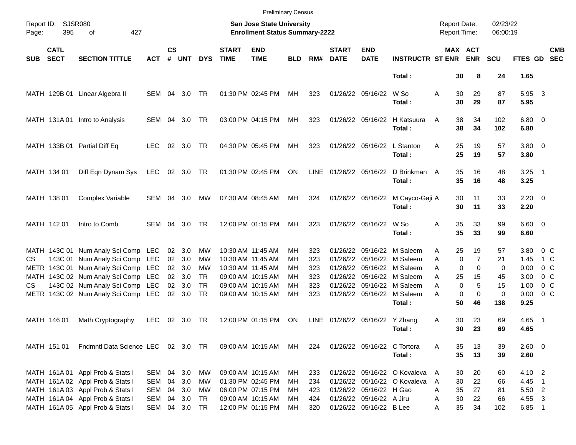|       |                            |                                     |            |                    |                |            |                             | <b>Preliminary Census</b>                                          |            |      |                             |                             |                              |                                            |                               |                      |                     |                          |  |
|-------|----------------------------|-------------------------------------|------------|--------------------|----------------|------------|-----------------------------|--------------------------------------------------------------------|------------|------|-----------------------------|-----------------------------|------------------------------|--------------------------------------------|-------------------------------|----------------------|---------------------|--------------------------|--|
| Page: | Report ID: SJSR080<br>395  | 427<br>оf                           |            |                    |                |            |                             | San Jose State University<br><b>Enrollment Status Summary-2222</b> |            |      |                             |                             |                              | <b>Report Date:</b><br><b>Report Time:</b> |                               | 02/23/22<br>06:00:19 |                     |                          |  |
| SUB   | <b>CATL</b><br><b>SECT</b> | <b>SECTION TITTLE</b>               | <b>ACT</b> | $\mathsf{cs}$<br># | <b>UNT</b>     | <b>DYS</b> | <b>START</b><br><b>TIME</b> | <b>END</b><br><b>TIME</b>                                          | <b>BLD</b> | RM#  | <b>START</b><br><b>DATE</b> | <b>END</b><br><b>DATE</b>   | <b>INSTRUCTR ST ENR</b>      |                                            | <b>MAX ACT</b><br><b>ENR</b>  | <b>SCU</b>           | <b>FTES GD</b>      | <b>CMB</b><br><b>SEC</b> |  |
|       |                            |                                     |            |                    |                |            |                             |                                                                    |            |      |                             |                             | Total:                       |                                            | 30<br>8                       | 24                   | 1.65                |                          |  |
|       |                            | MATH 129B 01 Linear Algebra II      | SEM 04 3.0 |                    |                | TR         |                             | 01:30 PM 02:45 PM                                                  | МH         | 323  |                             | 01/26/22 05/16/22           | W So<br>Total:               | A                                          | 29<br>30<br>30<br>29          | 87<br>87             | 5.95 3<br>5.95      |                          |  |
|       | MATH 131A 01               | Intro to Analysis                   | SEM 04 3.0 |                    |                | TR         |                             | 03:00 PM 04:15 PM                                                  | МH         | 323  |                             | 01/26/22 05/16/22           | H Katsuura<br>Total:         | A                                          | 38<br>34<br>38<br>34          | 102<br>102           | $6.80$ 0<br>6.80    |                          |  |
|       |                            | MATH 133B 01 Partial Diff Eq        | <b>LEC</b> |                    | 02 3.0         | TR         |                             | 04:30 PM 05:45 PM                                                  | МH         | 323  |                             | 01/26/22 05/16/22           | L Stanton<br>Total:          | Α                                          | 25<br>19<br>25<br>19          | 57<br>57             | $3.80\ 0$<br>3.80   |                          |  |
|       | MATH 134 01                | Diff Eqn Dynam Sys                  | LEC        |                    | 02 3.0 TR      |            |                             | 01:30 PM 02:45 PM                                                  | ON         | LINE | 01/26/22 05/16/22           |                             | D Brinkman<br>Total:         | A                                          | 35<br>16<br>35<br>16          | 48<br>48             | $3.25$ 1<br>3.25    |                          |  |
|       | MATH 138 01                | <b>Complex Variable</b>             | SEM        | 04                 | 3.0            | МW         |                             | 07:30 AM 08:45 AM                                                  | МH         | 324  |                             | 01/26/22 05/16/22           | M Cayco-Gaji A<br>Total:     |                                            | 30<br>11<br>30<br>11          | 33<br>33             | $2.20 \t 0$<br>2.20 |                          |  |
|       | MATH 142 01                | Intro to Comb                       | SEM        | 04                 | 3.0            | <b>TR</b>  |                             | 12:00 PM 01:15 PM                                                  | MН         | 323  |                             | 01/26/22 05/16/22           | W So<br>Total:               | Α                                          | 35<br>33<br>35<br>33          | 99<br>99             | $6.60$ 0<br>6.60    |                          |  |
|       |                            | MATH 143C 01 Num Analy Sci Comp LEC |            |                    | 02 3.0         | <b>MW</b>  |                             | 10:30 AM 11:45 AM                                                  | MН         | 323  | 01/26/22                    |                             | 05/16/22 M Saleem            | Α                                          | 25<br>19                      | 57                   | 3.80                | 0 C                      |  |
| CS.   |                            | 143C 01 Num Analy Sci Comp LEC      |            | 02                 | 3.0            | MW         |                             | 10:30 AM 11:45 AM                                                  | MН         | 323  | 01/26/22                    |                             | 05/16/22 M Saleem            | A                                          | $\overline{7}$<br>$\mathbf 0$ | 21                   | 1.45                | 1 C                      |  |
|       |                            | METR 143C 01 Num Analy Sci Comp LEC |            | 02 <sub>o</sub>    | 3.0            | MW         |                             | 10:30 AM 11:45 AM                                                  | MН         | 323  | 01/26/22                    |                             | 05/16/22 M Saleem            | A                                          | $\Omega$<br>$\Omega$          | 0                    | 0.00                | 0 C                      |  |
|       |                            | MATH 143C 02 Num Analy Sci Comp LEC |            | 02 <sub>o</sub>    | 3.0            | TR         |                             | 09:00 AM 10:15 AM                                                  | MН         | 323  | 01/26/22                    |                             | 05/16/22 M Saleem            | A                                          | 25<br>15                      | 45                   | 3.00                | 0 C                      |  |
| CS    |                            | 143C 02 Num Analy Sci Comp LEC      |            |                    | 02 3.0         | <b>TR</b>  |                             | 09:00 AM 10:15 AM                                                  | MН         | 323  | 01/26/22                    |                             | 05/16/22 M Saleem            | A                                          | 5<br>$\mathbf 0$              | 15                   | 1.00                | 0 C                      |  |
|       |                            | METR 143C 02 Num Analy Sci Comp LEC |            |                    | $02 \quad 3.0$ | TR         |                             | 09:00 AM 10:15 AM                                                  | MH         | 323  |                             | 01/26/22 05/16/22           | M Saleem<br>Total:           | А                                          | 0<br>$\Omega$<br>50<br>46     | 0<br>138             | 0.00<br>9.25        | 0 <sup>o</sup>           |  |
|       | MATH 146 01                | Math Cryptography                   | <b>LEC</b> | 02                 | 3.0            | TR         |                             | 12:00 PM 01:15 PM                                                  | ON         | LINE | 01/26/22 05/16/22           |                             | Y Zhang<br>Total:            | A                                          | 30<br>23<br>30<br>23          | 69<br>69             | $4.65$ 1<br>4.65    |                          |  |
|       |                            |                                     |            |                    |                |            |                             |                                                                    |            |      |                             |                             |                              |                                            |                               |                      |                     |                          |  |
|       | MATH 151 01                | Fndmntl Data Science LEC 02 3.0 TR  |            |                    |                |            |                             | 09:00 AM 10:15 AM                                                  | МH         | 224  |                             | 01/26/22 05/16/22 C Tortora | Total:                       | A                                          | 13<br>35<br>35<br>13          | 39<br>39             | $2.60 \t 0$<br>2.60 |                          |  |
|       |                            |                                     |            |                    |                |            |                             |                                                                    |            |      |                             |                             |                              |                                            |                               |                      |                     |                          |  |
|       |                            | MATH 161A 01 Appl Prob & Stats I    | SEM        |                    | 04 3.0         | МW         |                             | 09:00 AM 10:15 AM                                                  | MН         | 233  |                             |                             | 01/26/22 05/16/22 O Kovaleva | A                                          | 20<br>30                      | 60                   | 4.10 2              |                          |  |
|       |                            | MATH 161A 02 Appl Prob & Stats I    | SEM        | 04                 | 3.0            | МW         |                             | 01:30 PM 02:45 PM                                                  | MН         | 234  |                             |                             | 01/26/22 05/16/22 O Kovaleva | A                                          | 30<br>22                      | 66                   | 4.45 1              |                          |  |
|       |                            | MATH 161A 03 Appl Prob & Stats I    | SEM        |                    | 04 3.0         | МW         |                             | 06:00 PM 07:15 PM                                                  | MН         | 423  |                             | 01/26/22 05/16/22 H Gao     |                              | Α                                          | 27<br>35                      | 81                   | 5.50 2              |                          |  |
|       |                            | MATH 161A 04 Appl Prob & Stats I    | SEM        |                    | 04 3.0         | TR         |                             | 09:00 AM 10:15 AM                                                  | MН         | 424  |                             | 01/26/22 05/16/22 A Jiru    |                              | A                                          | 30<br>22                      | 66                   | 4.55 3              |                          |  |
|       |                            | MATH 161A 05 Appl Prob & Stats I    | SEM        |                    | 04 3.0 TR      |            |                             | 12:00 PM 01:15 PM                                                  | MН         | 320  |                             | 01/26/22 05/16/22 B Lee     |                              | Α                                          | 35<br>34                      | 102                  | 6.85 1              |                          |  |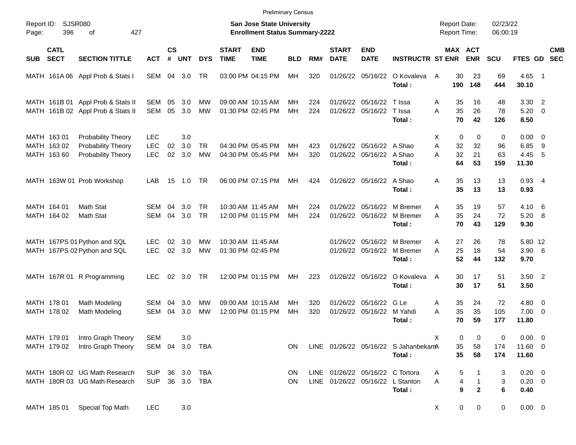|                     |                                           |                                                                        |                                        |                    |                   |                        |                             | <b>Preliminary Census</b>                                                 |            |            |                             |                                               |                                                |             |                     |                                            |                      |                                      |                                  |                          |
|---------------------|-------------------------------------------|------------------------------------------------------------------------|----------------------------------------|--------------------|-------------------|------------------------|-----------------------------|---------------------------------------------------------------------------|------------|------------|-----------------------------|-----------------------------------------------|------------------------------------------------|-------------|---------------------|--------------------------------------------|----------------------|--------------------------------------|----------------------------------|--------------------------|
| Report ID:<br>Page: | <b>SJSR080</b><br>396                     | 427<br>of                                                              |                                        |                    |                   |                        |                             | <b>San Jose State University</b><br><b>Enrollment Status Summary-2222</b> |            |            |                             |                                               |                                                |             |                     | <b>Report Date:</b><br><b>Report Time:</b> | 02/23/22<br>06:00:19 |                                      |                                  |                          |
| <b>SUB</b>          | <b>CATL</b><br><b>SECT</b>                | <b>SECTION TITTLE</b>                                                  | <b>ACT</b>                             | $\mathsf{cs}$<br># | <b>UNT</b>        | <b>DYS</b>             | <b>START</b><br><b>TIME</b> | <b>END</b><br><b>TIME</b>                                                 | <b>BLD</b> | RM#        | <b>START</b><br><b>DATE</b> | <b>END</b><br><b>DATE</b>                     | <b>INSTRUCTR ST ENR</b>                        |             |                     | MAX ACT<br><b>ENR</b>                      | SCU                  | <b>FTES GD</b>                       |                                  | <b>CMB</b><br><b>SEC</b> |
|                     |                                           | MATH 161A 06 Appl Prob & Stats I                                       | SEM                                    | 04                 | 3.0               | TR.                    |                             | 03:00 PM 04:15 PM                                                         | MН         | 320        |                             | 01/26/22 05/16/22                             | O Kovaleva<br>Total:                           | A           | 30<br>190           | 23<br>148                                  | 69<br>444            | 4.65 1<br>30.10                      |                                  |                          |
|                     |                                           | MATH 161B 01 Appl Prob & Stats II<br>MATH 161B 02 Appl Prob & Stats II | SEM<br><b>SEM</b>                      | 05<br>05           | 3.0<br>3.0        | МW<br><b>MW</b>        |                             | 09:00 AM 10:15 AM<br>01:30 PM 02:45 PM                                    | MН<br>MH   | 224<br>224 | 01/26/22<br>01/26/22        | 05/16/22<br>05/16/22                          | T Issa<br>T Issa<br>Total:                     | A<br>A      | 35<br>35<br>70      | 16<br>26<br>42                             | 48<br>78<br>126      | 3.30<br>5.20<br>8.50                 | $\overline{2}$<br>$\overline{0}$ |                          |
|                     | MATH 163 01<br>MATH 163 02<br>MATH 163 60 | Probability Theory<br>Probability Theory<br>Probability Theory         | <b>LEC</b><br><b>LEC</b><br><b>LEC</b> | 02<br>02           | 3.0<br>3.0<br>3.0 | <b>TR</b><br><b>MW</b> |                             | 04:30 PM 05:45 PM<br>04:30 PM 05:45 PM                                    | МH<br>МH   | 423<br>320 |                             | 01/26/22 05/16/22 A Shao<br>01/26/22 05/16/22 | A Shao<br>Total:                               | X<br>A<br>A | 0<br>32<br>32<br>64 | $\mathbf 0$<br>32<br>21<br>53              | 0<br>96<br>63<br>159 | $0.00 \t 0$<br>6.85<br>4.45<br>11.30 | - 9<br>5                         |                          |
|                     |                                           | MATH 163W 01 Prob Workshop                                             | LAB                                    | 15                 | 1.0               | <b>TR</b>              |                             | 06:00 PM 07:15 PM                                                         | MН         | 424        |                             | 01/26/22 05/16/22 A Shao                      | Total:                                         | A           | 35<br>35            | 13<br>13                                   | 13<br>13             | $0.93$ 4<br>0.93                     |                                  |                          |
|                     | MATH 164 01<br>MATH 164 02                | Math Stat<br>Math Stat                                                 | SEM<br><b>SEM</b>                      | 04<br>04           | 3.0<br>3.0        | TR.<br><b>TR</b>       |                             | 10:30 AM 11:45 AM<br>12:00 PM 01:15 PM                                    | MН<br>MH   | 224<br>224 | 01/26/22<br>01/26/22        | 05/16/22<br>05/16/22                          | M Bremer<br>M Bremer<br>Total:                 | A<br>A      | 35<br>35<br>70      | 19<br>24<br>43                             | 57<br>72<br>129      | 4.10<br>5.20<br>9.30                 | - 6<br>8                         |                          |
|                     |                                           | MATH 167PS 01 Python and SQL<br>MATH 167PS 02 Python and SQL           | LEC.<br><b>LEC</b>                     | 02<br>02           | 3.0<br>3.0        | <b>MW</b><br><b>MW</b> |                             | 10:30 AM 11:45 AM<br>01:30 PM 02:45 PM                                    |            |            | 01/26/22                    | 05/16/22<br>01/26/22 05/16/22                 | M Bremer<br>M Bremer<br>Total:                 | A<br>A      | 27<br>25<br>52      | 26<br>18<br>44                             | 78<br>54<br>132      | 5.80 12<br>$3.90\quad 6$<br>9.70     |                                  |                          |
|                     |                                           | MATH 167R 01 R Programming                                             | <b>LEC</b>                             | 02                 | 3.0               | <b>TR</b>              |                             | 12:00 PM 01:15 PM                                                         | MН         | 223        |                             | 01/26/22 05/16/22                             | O Kovaleva<br>Total:                           | A           | 30<br>30            | 17<br>17                                   | 51<br>51             | $3.50$ 2<br>3.50                     |                                  |                          |
|                     | MATH 178 01<br>MATH 178 02                | Math Modeling<br>Math Modeling                                         | SEM<br><b>SEM</b>                      | 04<br>04           | 3.0<br>3.0        | MW<br><b>MW</b>        |                             | 09:00 AM 10:15 AM<br>12:00 PM 01:15 PM                                    | MН<br>MH   | 320<br>320 | 01/26/22                    | 01/26/22 05/16/22<br>05/16/22                 | G Le<br>M Yahdi<br>Total:                      | A<br>A      | 35<br>35<br>70      | 24<br>35<br>59                             | 72<br>105<br>177     | $4.80$ 0<br>$7.00 \t 0$<br>11.80     |                                  |                          |
|                     | MATH 179 01<br>MATH 179 02                | Intro Graph Theory<br>Intro Graph Theory                               | <b>SEM</b><br>SEM                      | 04                 | 3.0<br>3.0        | TBA                    |                             |                                                                           | <b>ON</b>  |            |                             |                                               | LINE 01/26/22 05/16/22 S JahanbekamA<br>Total: | Χ           | 0<br>35<br>35       | 0<br>58<br>58                              | 0<br>174<br>174      | $0.00 \t 0$<br>11.60 0<br>11.60      |                                  |                          |
|                     |                                           | MATH 180R 02 UG Math Research<br>MATH 180R 03 UG Math Research         | <b>SUP</b><br><b>SUP</b>               | 36                 | 3.0<br>36 3.0 TBA | TBA                    |                             |                                                                           | ON<br>ON   |            |                             | LINE 01/26/22 05/16/22 C Tortora              | LINE 01/26/22 05/16/22 L Stanton<br>Total:     | Α<br>Α      | 5<br>4<br>9         | 1<br>$\mathbf{2}$                          | 3<br>3<br>6          | $0.20 \ 0$<br>$0.20 \ 0$<br>0.40     |                                  |                          |
|                     | MATH 185 01                               | Special Top Math                                                       | <b>LEC</b>                             |                    | 3.0               |                        |                             |                                                                           |            |            |                             |                                               |                                                | X           | 0                   | 0                                          | 0                    | $0.00 \t 0$                          |                                  |                          |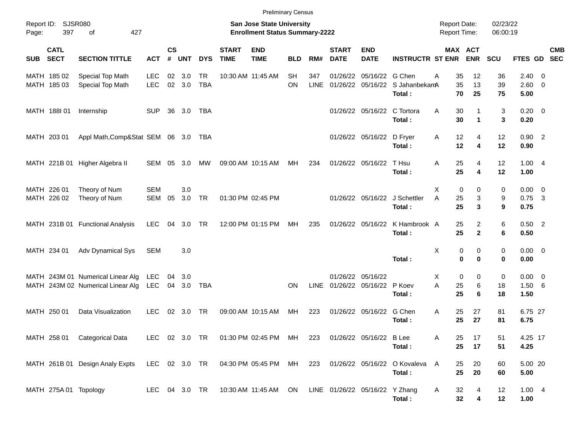| Report ID: | <b>SJSR080</b>             |                                                                        |                          |                    |               |                  |                             | <b>Preliminary Census</b><br><b>San Jose State University</b>          |                        |                    |                             |                                        |                                                     | <b>Report Date:</b> |                                  | 02/23/22       |                                   |                         |            |
|------------|----------------------------|------------------------------------------------------------------------|--------------------------|--------------------|---------------|------------------|-----------------------------|------------------------------------------------------------------------|------------------------|--------------------|-----------------------------|----------------------------------------|-----------------------------------------------------|---------------------|----------------------------------|----------------|-----------------------------------|-------------------------|------------|
| Page:      | 397                        | 427<br>of                                                              |                          |                    |               |                  |                             | <b>Enrollment Status Summary-2222</b>                                  |                        |                    |                             |                                        |                                                     | Report Time:        |                                  | 06:00:19       |                                   |                         |            |
| <b>SUB</b> | <b>CATL</b><br><b>SECT</b> | <b>SECTION TITTLE</b>                                                  | <b>ACT</b>               | $\mathsf{cs}$<br># | <b>UNT</b>    | <b>DYS</b>       | <b>START</b><br><b>TIME</b> | <b>END</b><br><b>TIME</b>                                              | <b>BLD</b>             | RM#                | <b>START</b><br><b>DATE</b> | <b>END</b><br><b>DATE</b>              | <b>INSTRUCTR ST ENR</b>                             |                     | MAX ACT<br><b>ENR</b>            | <b>SCU</b>     | FTES GD SEC                       |                         | <b>CMB</b> |
|            | MATH 185 02<br>MATH 185 03 | Special Top Math<br>Special Top Math                                   | <b>LEC</b><br><b>LEC</b> | 02                 | 3.0<br>02 3.0 | TR<br><b>TBA</b> |                             | 10:30 AM 11:45 AM                                                      | <b>SH</b><br><b>ON</b> | 347<br><b>LINE</b> | 01/26/22                    | 05/16/22                               | G Chen<br>01/26/22 05/16/22 S JahanbekamA<br>Total: | 35<br>Α<br>35<br>70 | 12<br>13<br>25                   | 36<br>39<br>75 | $2.40 \ 0$<br>$2.60 \t 0$<br>5.00 |                         |            |
|            | MATH 188I 01               | Internship                                                             | <b>SUP</b>               | 36                 | 3.0           | TBA              |                             |                                                                        |                        |                    |                             | 01/26/22 05/16/22 C Tortora            | Total:                                              | Α<br>30<br>30       | -1<br>1                          | 3<br>3         | $0.20 \ 0$<br>0.20                |                         |            |
|            | MATH 203 01                | Appl Math, Comp&Stat SEM 06 3.0                                        |                          |                    |               | TBA              |                             |                                                                        |                        |                    |                             | 01/26/22 05/16/22                      | D Fryer<br>Total:                                   | 12<br>A<br>12       | $\overline{4}$<br>4              | 12<br>12       | $0.90$ 2<br>0.90                  |                         |            |
|            |                            | MATH 221B 01 Higher Algebra II                                         | SEM                      | 05                 | 3.0           | МW               |                             | 09:00 AM 10:15 AM                                                      | МH                     | 234                |                             | 01/26/22 05/16/22                      | T Hsu<br>Total:                                     | 25<br>Α<br>25       | $\overline{4}$<br>4              | 12<br>12       | 1.004<br>1.00                     |                         |            |
|            | MATH 226 01<br>MATH 226 02 | Theory of Num<br>Theory of Num                                         | <b>SEM</b><br><b>SEM</b> | 05                 | 3.0<br>3.0    | TR               |                             | 01:30 PM 02:45 PM                                                      |                        |                    |                             |                                        | 01/26/22 05/16/22 J Schettler<br>Total:             | Χ<br>A<br>25<br>25  | 0<br>0<br>3<br>3                 | 0<br>9<br>9    | $0.00 \t 0$<br>0.75<br>0.75       | $\overline{\mathbf{3}}$ |            |
|            |                            | MATH 231B 01 Functional Analysis                                       | <b>LEC</b>               | 04                 | 3.0           | TR               |                             | 12:00 PM 01:15 PM                                                      | МH                     | 235                |                             | 01/26/22 05/16/22                      | K Hambrook A<br>Total:                              | 25<br>25            | $\overline{2}$<br>$\overline{2}$ | 6<br>6         | $0.50$ 2<br>0.50                  |                         |            |
|            | MATH 234 01                | Adv Dynamical Sys                                                      | <b>SEM</b>               |                    | 3.0           |                  |                             |                                                                        |                        |                    |                             |                                        | Total:                                              | Χ                   | 0<br>0<br>$\bf{0}$<br>$\bf{0}$   | 0<br>0         | $0.00 \t 0$<br>0.00               |                         |            |
|            |                            | MATH 243M 01 Numerical Linear Alg<br>MATH 243M 02 Numerical Linear Alg | <b>LEC</b><br><b>LEC</b> | 04                 | 3.0<br>04 3.0 | TBA              |                             |                                                                        | ΟN                     | LINE               |                             | 01/26/22 05/16/22<br>01/26/22 05/16/22 | P Koev<br>Total:                                    | X.<br>A<br>25<br>25 | 0<br>0<br>6<br>6                 | 0<br>18<br>18  | $0.00 \t 0$<br>1.50 6<br>1.50     |                         |            |
|            | MATH 250 01                | Data Visualization                                                     | <b>LEC</b>               | 02                 | 3.0           | TR               |                             | 09:00 AM 10:15 AM                                                      | МH                     | 223                |                             | 01/26/22 05/16/22                      | G Chen<br>Total:                                    | Α<br>25<br>25       | 27<br>27                         | 81<br>81       | 6.75 27<br>6.75                   |                         |            |
|            |                            | MATH 258 01 Categorical Data                                           |                          |                    |               |                  |                             | LEC 02 3.0 TR  01:30 PM  02:45 PM  MH  223  01/26/22  05/16/22  B  Lee |                        |                    |                             |                                        | Total :                                             | 25<br>Α<br>25       | 17<br>17                         | 51<br>51       | 4.25 17<br>4.25                   |                         |            |
|            |                            | MATH 261B 01 Design Analy Expts LEC 02 3.0 TR 04:30 PM 05:45 PM MH 223 |                          |                    |               |                  |                             |                                                                        |                        |                    |                             |                                        | 01/26/22 05/16/22 O Kovaleva A<br>Total:            | 25<br>25            | 20<br>20                         | 60<br>60       | 5.00 20<br>5.00                   |                         |            |
|            |                            | MATH 275A 01 Topology                                                  | LEC 04 3.0 TR            |                    |               |                  |                             | 10:30 AM 11:45 AM ON LINE 01/26/22 05/16/22 Y Zhang                    |                        |                    |                             |                                        | Total:                                              | A<br>32<br>32       | 4<br>4                           | 12<br>12       | 1.004<br>1.00                     |                         |            |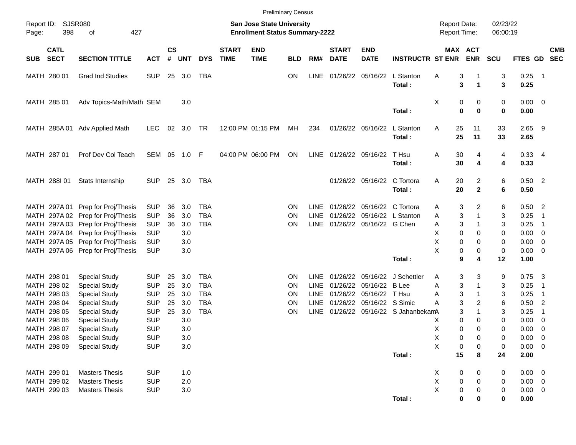|            |                            |                                   |            |                    |            |            |                             |                                                                           | <b>Preliminary Census</b> |             |                             |                             |                                 |                                     |             |                   |                      |                    |                            |            |
|------------|----------------------------|-----------------------------------|------------|--------------------|------------|------------|-----------------------------|---------------------------------------------------------------------------|---------------------------|-------------|-----------------------------|-----------------------------|---------------------------------|-------------------------------------|-------------|-------------------|----------------------|--------------------|----------------------------|------------|
| Page:      | Report ID: SJSR080<br>398  | 427<br>оf                         |            |                    |            |            |                             | <b>San Jose State University</b><br><b>Enrollment Status Summary-2222</b> |                           |             |                             |                             |                                 | <b>Report Date:</b><br>Report Time: |             |                   | 02/23/22<br>06:00:19 |                    |                            |            |
| <b>SUB</b> | <b>CATL</b><br><b>SECT</b> | <b>SECTION TITTLE</b>             | <b>ACT</b> | $\mathsf{cs}$<br># | <b>UNT</b> | <b>DYS</b> | <b>START</b><br><b>TIME</b> | <b>END</b><br><b>TIME</b>                                                 | <b>BLD</b>                | RM#         | <b>START</b><br><b>DATE</b> | <b>END</b><br><b>DATE</b>   | <b>INSTRUCTR ST ENR</b>         | MAX ACT                             |             | <b>ENR</b>        | <b>SCU</b>           | FTES GD SEC        |                            | <b>CMB</b> |
|            | MATH 280 01                | <b>Grad Ind Studies</b>           | <b>SUP</b> | 25                 | 3.0        | TBA        |                             |                                                                           | <b>ON</b>                 | <b>LINE</b> |                             | 01/26/22 05/16/22           | L Stanton<br>Total:             | Α                                   | 3<br>3      | $\mathbf 1$       | 3<br>3               | 0.25<br>0.25       | $\overline{\phantom{0}}$ 1 |            |
|            | MATH 285 01                | Adv Topics-Math/Math SEM          |            |                    | 3.0        |            |                             |                                                                           |                           |             |                             |                             | Total:                          | Х                                   | 0<br>0      | 0<br>$\mathbf 0$  | 0<br>$\mathbf 0$     | $0.00 \ 0$<br>0.00 |                            |            |
|            | MATH 285A 01               | Adv Applied Math                  | <b>LEC</b> | 02                 | 3.0        | TR         |                             | 12:00 PM 01:15 PM                                                         | МH                        | 234         |                             | 01/26/22 05/16/22           | L Stanton<br>Total:             | Α                                   | 25<br>25    | 11<br>11          | 33<br>33             | $2.65$ 9<br>2.65   |                            |            |
|            | MATH 287 01                | Prof Dev Col Teach                | SEM        |                    | 05 1.0 F   |            |                             | 04:00 PM 06:00 PM                                                         | ON                        | LINE        |                             | 01/26/22 05/16/22           | T Hsu<br>Total:                 | Α                                   | 30<br>30    | 4<br>4            | 4<br>4               | $0.33$ 4<br>0.33   |                            |            |
|            | MATH 288I 01               | Stats Internship                  | <b>SUP</b> |                    | 25 3.0     | TBA        |                             |                                                                           |                           |             |                             | 01/26/22 05/16/22           | C Tortora<br>Total:             | Α                                   | 20<br>20    | 2<br>$\mathbf{2}$ | 6<br>6               | $0.50$ 2<br>0.50   |                            |            |
|            | MATH 297A 01               | Prep for Proj/Thesis              | <b>SUP</b> | 36                 | 3.0        | <b>TBA</b> |                             |                                                                           | <b>ON</b>                 | LINE        |                             | 01/26/22 05/16/22 C Tortora |                                 | A                                   | 3           | 2                 | 6                    | $0.50$ 2           |                            |            |
|            |                            | MATH 297A 02 Prep for Proj/Thesis | <b>SUP</b> | 36                 | 3.0        | <b>TBA</b> |                             |                                                                           | <b>ON</b>                 | LINE        |                             |                             | 01/26/22 05/16/22 L Stanton     | Α                                   | 3           |                   | 3                    | 0.25               | -1                         |            |
|            |                            | MATH 297A 03 Prep for Proj/Thesis | <b>SUP</b> | 36                 | 3.0        | <b>TBA</b> |                             |                                                                           | ON                        | <b>LINE</b> |                             | 01/26/22 05/16/22 G Chen    |                                 | Α                                   | 3           |                   | 3                    | 0.25               | $\overline{1}$             |            |
|            |                            | MATH 297A 04 Prep for Proj/Thesis | <b>SUP</b> |                    | 3.0        |            |                             |                                                                           |                           |             |                             |                             |                                 | Χ                                   | $\mathbf 0$ | 0                 | 0                    | 0.00               | $\overline{0}$             |            |
|            |                            | MATH 297A 05 Prep for Proj/Thesis | <b>SUP</b> |                    | 3.0        |            |                             |                                                                           |                           |             |                             |                             |                                 | Χ                                   | 0           | 0                 | 0                    | 0.00               | 0                          |            |
|            |                            | MATH 297A 06 Prep for Proj/Thesis | <b>SUP</b> |                    | 3.0        |            |                             |                                                                           |                           |             |                             |                             |                                 | $\sf X$                             | 0           | 0                 | 0                    | 0.00               | $\overline{0}$             |            |
|            |                            |                                   |            |                    |            |            |                             |                                                                           |                           |             |                             |                             | Total:                          |                                     | 9           | 4                 | 12                   | 1.00               |                            |            |
|            | MATH 298 01                | <b>Special Study</b>              | <b>SUP</b> | 25                 | 3.0        | <b>TBA</b> |                             |                                                                           | <b>ON</b>                 | LINE        |                             |                             | 01/26/22 05/16/22 J Schettler   | Α                                   | 3           | 3                 | 9                    | 0.75               | $\overline{\mathbf{3}}$    |            |
|            | MATH 298 02                | <b>Special Study</b>              | <b>SUP</b> | 25                 | 3.0        | <b>TBA</b> |                             |                                                                           | <b>ON</b>                 | LINE        |                             | 01/26/22 05/16/22 B Lee     |                                 | Α                                   | 3           |                   | 3                    | 0.25               | -1                         |            |
|            | MATH 298 03                | <b>Special Study</b>              | <b>SUP</b> | 25                 | 3.0        | <b>TBA</b> |                             |                                                                           | <b>ON</b>                 | <b>LINE</b> |                             | 01/26/22 05/16/22 T Hsu     |                                 | Α                                   | 3           |                   | 3                    | 0.25               | -1                         |            |
|            | MATH 298 04                | <b>Special Study</b>              | <b>SUP</b> | 25                 | 3.0        | <b>TBA</b> |                             |                                                                           | ON                        | <b>LINE</b> |                             | 01/26/22 05/16/22 S Simic   |                                 | Α                                   | 3           | 2                 | 6                    | 0.50               | $\overline{2}$             |            |
|            | MATH 298 05                | <b>Special Study</b>              | <b>SUP</b> | 25                 | 3.0        | <b>TBA</b> |                             |                                                                           | ON                        | <b>LINE</b> |                             |                             | 01/26/22 05/16/22 S JahanbekamA |                                     | 3           | 1                 | 3                    | 0.25               | $\overline{1}$             |            |
|            | MATH 298 06                | <b>Special Study</b>              | <b>SUP</b> |                    | 3.0        |            |                             |                                                                           |                           |             |                             |                             |                                 | Х                                   | $\mathbf 0$ | 0                 | 0                    | 0.00               | 0                          |            |
|            | MATH 298 07                | <b>Special Study</b>              | <b>SUP</b> |                    | 3.0        |            |                             |                                                                           |                           |             |                             |                             |                                 | Χ                                   | 0           | $\Omega$          | $\mathbf 0$          | 0.00               | $\mathbf 0$                |            |
|            | MATH 298 08                | <b>Special Study</b>              | <b>SUP</b> |                    | 3.0        |            |                             |                                                                           |                           |             |                             |                             |                                 | X                                   | 0           | 0                 | 0                    | 0.00               | $\overline{\mathbf{0}}$    |            |
|            | MATH 298 09                | <b>Special Study</b>              | <b>SUP</b> |                    | 3.0        |            |                             |                                                                           |                           |             |                             |                             |                                 | $\sf X$                             | 0           | 0                 | 0                    | $0.00 \t 0$        |                            |            |
|            |                            |                                   |            |                    |            |            |                             |                                                                           |                           |             |                             |                             | Total:                          |                                     | 15          | 8                 | 24                   | 2.00               |                            |            |
|            | MATH 299 01                | <b>Masters Thesis</b>             | <b>SUP</b> |                    | 1.0        |            |                             |                                                                           |                           |             |                             |                             |                                 | X                                   | 0           | 0                 | 0                    | $0.00 \t 0$        |                            |            |
|            | MATH 299 02                | <b>Masters Thesis</b>             | <b>SUP</b> |                    | 2.0        |            |                             |                                                                           |                           |             |                             |                             |                                 | $\mathsf X$                         | $\pmb{0}$   | 0                 | 0                    | $0.00 \t 0$        |                            |            |
|            | MATH 299 03                | <b>Masters Thesis</b>             | <b>SUP</b> |                    | 3.0        |            |                             |                                                                           |                           |             |                             |                             |                                 | $\mathsf X$                         | 0           | 0                 | 0                    | $0.00 \t 0$        |                            |            |
|            |                            |                                   |            |                    |            |            |                             |                                                                           |                           |             |                             |                             | Total:                          |                                     | $\bf{0}$    | 0                 | $\bf{0}$             | 0.00               |                            |            |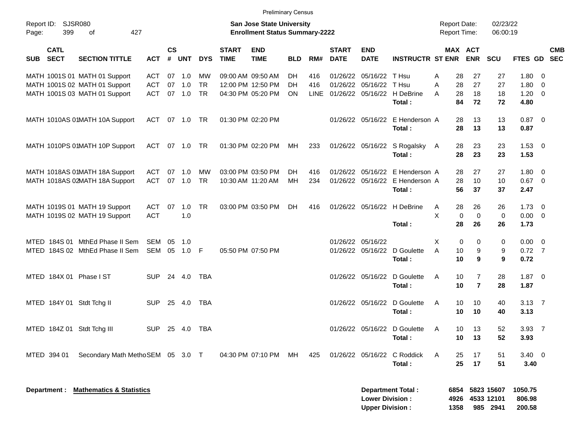|                                                                   |              |                    |            |            |                             | <b>Preliminary Census</b>                                                 |            |             |                             |                           |                                       |                                     |                            |                      |                |                           |
|-------------------------------------------------------------------|--------------|--------------------|------------|------------|-----------------------------|---------------------------------------------------------------------------|------------|-------------|-----------------------------|---------------------------|---------------------------------------|-------------------------------------|----------------------------|----------------------|----------------|---------------------------|
| SJSR080<br>Report ID:<br>399<br>427<br>Page:<br>οf                |              |                    |            |            |                             | <b>San Jose State University</b><br><b>Enrollment Status Summary-2222</b> |            |             |                             |                           |                                       | <b>Report Date:</b><br>Report Time: |                            | 02/23/22<br>06:00:19 |                |                           |
| <b>CATL</b><br><b>SECT</b><br><b>SECTION TITTLE</b><br><b>SUB</b> | <b>ACT</b>   | $\mathsf{cs}$<br># | <b>UNT</b> | <b>DYS</b> | <b>START</b><br><b>TIME</b> | <b>END</b><br><b>TIME</b>                                                 | <b>BLD</b> | RM#         | <b>START</b><br><b>DATE</b> | <b>END</b><br><b>DATE</b> | <b>INSTRUCTR ST ENR</b>               |                                     | MAX ACT<br><b>ENR</b>      | <b>SCU</b>           |                | <b>CMB</b><br>FTES GD SEC |
| MATH 1001S 01 MATH 01 Support                                     | ACT          | 07                 | 1.0        | MW         |                             | 09:00 AM 09:50 AM                                                         | DH.        | 416         | 01/26/22                    | 05/16/22 T Hsu            |                                       | 28<br>A                             | 27                         | 27                   | 1.80           | - 0                       |
| MATH 1001S 02 MATH 01 Support                                     | <b>ACT</b>   | 07                 | 1.0        | <b>TR</b>  |                             | 12:00 PM 12:50 PM                                                         | DH.        | 416         |                             | 01/26/22 05/16/22 T Hsu   |                                       | 28<br>A                             | 27                         | 27                   | 1.80           | $\overline{0}$            |
| MATH 1001S 03 MATH 01 Support                                     | <b>ACT</b>   | 07                 | 1.0        | <b>TR</b>  |                             | 04:30 PM 05:20 PM                                                         | ON         | <b>LINE</b> |                             |                           | 01/26/22 05/16/22 H DeBrine<br>Total: | 28<br>A<br>84                       | 18<br>72                   | 18<br>72             | 1.20<br>4.80   | $\overline{0}$            |
| MATH 1010AS 01MATH 10A Support                                    | ACT          |                    | 07 1.0     | - TR       |                             | 01:30 PM 02:20 PM                                                         |            |             |                             |                           | 01/26/22 05/16/22 E Henderson A       | 28                                  | 13                         | 13                   | $0.87$ 0       |                           |
|                                                                   |              |                    |            |            |                             |                                                                           |            |             |                             |                           | Total:                                | 28                                  | 13                         | 13                   | 0.87           |                           |
| MATH 1010PS 01MATH 10P Support                                    | ACT          |                    | 07 1.0     | TR         |                             | 01:30 PM 02:20 PM                                                         | МH         | 233         |                             |                           | 01/26/22 05/16/22 S Rogalsky          | 28<br>A                             | 23                         | 23                   | $1.53 \t 0$    |                           |
|                                                                   |              |                    |            |            |                             |                                                                           |            |             |                             |                           | Total:                                | 28                                  | 23                         | 23                   | 1.53           |                           |
| MATH 1018AS 01MATH 18A Support                                    | ACT          | 07                 | 1.0        | MW         |                             | 03:00 PM 03:50 PM                                                         | DH.        | 416         | 01/26/22                    |                           | 05/16/22 E Henderson A                | 28                                  | 27                         | 27                   | $1.80 \ 0$     |                           |
| MATH 1018AS 02MATH 18A Support                                    | ACT          |                    | 07 1.0     | <b>TR</b>  |                             | 10:30 AM 11:20 AM                                                         | MH         | 234         |                             |                           | 01/26/22 05/16/22 E Henderson A       | 28                                  | 10                         | 10                   | $0.67$ 0       |                           |
|                                                                   |              |                    |            |            |                             |                                                                           |            |             |                             |                           | Total:                                | 56                                  | 37                         | 37                   | 2.47           |                           |
| MATH 1019S 01 MATH 19 Support                                     | ACT          | 07                 | 1.0        | <b>TR</b>  |                             | 03:00 PM 03:50 PM                                                         | DH         | 416         |                             |                           | 01/26/22 05/16/22 H DeBrine           | 28<br>A                             | 26                         | 26                   | $1.73 \t 0$    |                           |
| MATH 1019S 02 MATH 19 Support                                     | <b>ACT</b>   |                    | 1.0        |            |                             |                                                                           |            |             |                             |                           |                                       | X                                   | $\mathbf 0$<br>$\mathbf 0$ | 0                    | $0.00 \t 0$    |                           |
|                                                                   |              |                    |            |            |                             |                                                                           |            |             |                             |                           | Total:                                | 28                                  | 26                         | 26                   | 1.73           |                           |
| MTED 184S 01 MthEd Phase II Sem                                   | SEM          | 05                 | 1.0        |            |                             |                                                                           |            |             |                             | 01/26/22 05/16/22         |                                       | X                                   | 0<br>0                     | 0                    | $0.00 \t 0$    |                           |
| MTED 184S 02 MthEd Phase II Sem                                   | SEM 05 1.0 F |                    |            |            |                             | 05:50 PM 07:50 PM                                                         |            |             |                             |                           | 01/26/22 05/16/22 D Goulette          | A<br>10                             | 9                          | 9                    | $0.72$ 7       |                           |
|                                                                   |              |                    |            |            |                             |                                                                           |            |             |                             |                           | Total:                                | 10                                  | 9                          | 9                    | 0.72           |                           |
| MTED 184X 01 Phase I ST                                           | <b>SUP</b>   |                    | 24 4.0     | TBA        |                             |                                                                           |            |             |                             |                           | 01/26/22 05/16/22 D Goulette          | A<br>10                             | $\overline{7}$             | 28                   | $1.87 \t 0$    |                           |
|                                                                   |              |                    |            |            |                             |                                                                           |            |             |                             |                           | Total:                                | 10                                  | $\overline{7}$             | 28                   | 1.87           |                           |
| MTED 184Y 01 Stdt Tchg II                                         | <b>SUP</b>   |                    | 25 4.0     | TBA        |                             |                                                                           |            |             |                             |                           | 01/26/22 05/16/22 D Goulette          | A<br>10                             | 10                         | 40                   | $3.13 \quad 7$ |                           |
|                                                                   |              |                    |            |            |                             |                                                                           |            |             |                             |                           | Total:                                | 10                                  | 10                         | 40                   | 3.13           |                           |
| MTED 184Z 01 Stdt Tchg III                                        | <b>SUP</b>   |                    | 25 4.0     | TBA        |                             |                                                                           |            |             |                             |                           | 01/26/22 05/16/22 D Goulette          | 10<br>A                             | 13                         | 52                   | $3.93 \quad 7$ |                           |
|                                                                   |              |                    |            |            |                             |                                                                           |            |             |                             |                           | Total:                                |                                     | 10<br>13                   | 52                   | 3.93           |                           |
| MTED 394 01<br>Secondary Math MethoSEM 05 3.0 T                   |              |                    |            |            |                             | 04:30 PM 07:10 PM                                                         | MH         | 425         |                             |                           | 01/26/22 05/16/22 C Roddick           | 25<br>A                             | 17                         | 51                   | $3.40 \ 0$     |                           |
|                                                                   |              |                    |            |            |                             |                                                                           |            |             |                             |                           | Total:                                | 25                                  | 17                         | 51                   | 3.40           |                           |
|                                                                   |              |                    |            |            |                             |                                                                           |            |             |                             |                           |                                       |                                     |                            |                      |                |                           |
| Department : Mathematics & Statistics                             |              |                    |            |            |                             |                                                                           |            |             |                             |                           | <b>Department Total:</b>              |                                     |                            | 6854 5823 15607      | 1050.75        |                           |

**Lower Division : 4926 4533 12101 806.98 Upper Division : 1358 985 2941 200.58**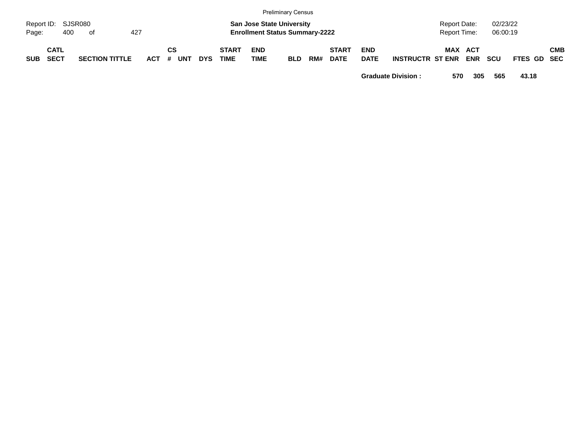|            |                           |                       |     |                 |     |                             |                                                                           | <b>Preliminary Census</b> |     |                             |                           |                         |                              |     |                      |             |            |
|------------|---------------------------|-----------------------|-----|-----------------|-----|-----------------------------|---------------------------------------------------------------------------|---------------------------|-----|-----------------------------|---------------------------|-------------------------|------------------------------|-----|----------------------|-------------|------------|
| Page:      | Report ID: SJSR080<br>400 | of                    | 427 |                 |     |                             | <b>San Jose State University</b><br><b>Enrollment Status Summary-2222</b> |                           |     |                             |                           |                         | Report Date:<br>Report Time: |     | 02/23/22<br>06:00:19 |             |            |
| <b>SUB</b> | CATL<br><b>SECT</b>       | <b>SECTION TITTLE</b> |     | СS<br>ACT # UNT | DYS | <b>START</b><br><b>TIME</b> | <b>END</b><br><b>TIME</b>                                                 | BLD                       | RM# | <b>START</b><br><b>DATE</b> | <b>END</b><br><b>DATE</b> | <b>INSTRUCTR ST ENR</b> | <b>MAX ACT</b>               | ENR | scu                  | FTES GD SEC | <b>CMB</b> |

**Graduate Division : 570 305 565 43.18**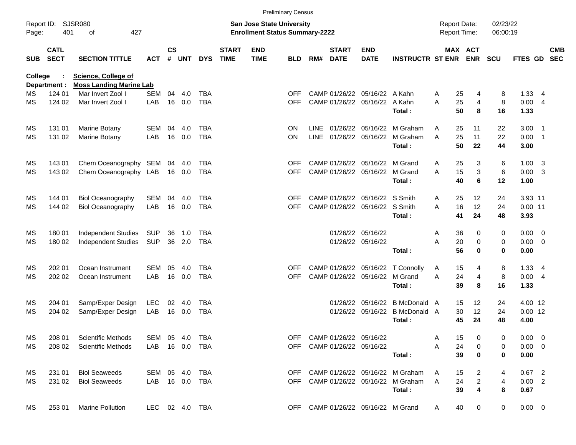|            |                            |                                                              |                   |                    |            |            |                             |                                                                           | <b>Preliminary Census</b> |     |                             |                                |                                     |   |          |                                            |                      |                  |     |            |
|------------|----------------------------|--------------------------------------------------------------|-------------------|--------------------|------------|------------|-----------------------------|---------------------------------------------------------------------------|---------------------------|-----|-----------------------------|--------------------------------|-------------------------------------|---|----------|--------------------------------------------|----------------------|------------------|-----|------------|
| Page:      | Report ID: SJSR080<br>401  | 427<br>of                                                    |                   |                    |            |            |                             | <b>San Jose State University</b><br><b>Enrollment Status Summary-2222</b> |                           |     |                             |                                |                                     |   |          | <b>Report Date:</b><br><b>Report Time:</b> | 02/23/22<br>06:00:19 |                  |     |            |
| <b>SUB</b> | <b>CATL</b><br><b>SECT</b> | <b>SECTION TITTLE</b>                                        | <b>ACT</b>        | $\mathsf{cs}$<br># | <b>UNT</b> | <b>DYS</b> | <b>START</b><br><b>TIME</b> | <b>END</b><br><b>TIME</b>                                                 | <b>BLD</b>                | RM# | <b>START</b><br><b>DATE</b> | <b>END</b><br><b>DATE</b>      | <b>INSTRUCTR ST ENR</b>             |   |          | <b>MAX ACT</b><br><b>ENR</b>               | <b>SCU</b>           | FTES GD SEC      |     | <b>CMB</b> |
| College    | Department :               | <b>Science, College of</b><br><b>Moss Landing Marine Lab</b> |                   |                    |            |            |                             |                                                                           |                           |     |                             |                                |                                     |   |          |                                            |                      |                  |     |            |
| МS         | 124 01                     | Mar Invert Zool I                                            | <b>SEM</b>        | 04                 | 4.0        | <b>TBA</b> |                             |                                                                           | <b>OFF</b>                |     |                             | CAMP 01/26/22 05/16/22 A Kahn  |                                     | A | 25       | 4                                          | 8                    | 1.33             | - 4 |            |
| ΜS         | 124 02                     | Mar Invert Zool I                                            | LAB               |                    | 16 0.0     | <b>TBA</b> |                             |                                                                           | OFF.                      |     |                             | CAMP 01/26/22 05/16/22         | A Kahn                              | A | 25       | $\overline{4}$                             | 8                    | 0.004            |     |            |
|            |                            |                                                              |                   |                    |            |            |                             |                                                                           |                           |     |                             |                                | Total:                              |   | 50       | 8                                          | 16                   | 1.33             |     |            |
| МS         | 131 01                     | Marine Botany                                                | <b>SEM</b>        | 04                 | 4.0        | TBA        |                             |                                                                           | <b>ON</b>                 |     |                             | LINE 01/26/22 05/16/22         | M Graham                            | A | 25       | 11                                         | 22                   | $3.00$ 1         |     |            |
| MS         | 131 02                     | Marine Botany                                                | LAB               | 16                 | 0.0        | <b>TBA</b> |                             |                                                                           | <b>ON</b>                 |     |                             | LINE 01/26/22 05/16/22         | M Graham<br>Total:                  | A | 25<br>50 | 11<br>22                                   | 22<br>44             | $0.00$ 1<br>3.00 |     |            |
| МS         | 143 01                     | Chem Oceanography SEM                                        |                   | 04                 | -4.0       | TBA        |                             |                                                                           | <b>OFF</b>                |     |                             | CAMP 01/26/22 05/16/22         | M Grand                             | A | 25       | 3                                          | 6                    | $1.00 \quad 3$   |     |            |
| MS         | 143 02                     | Chem Oceanography LAB                                        |                   |                    | 16 0.0     | <b>TBA</b> |                             |                                                                           | OFF.                      |     |                             | CAMP 01/26/22 05/16/22         | M Grand                             | A | 15       | $\mathbf{3}$                               | 6                    | $0.00 \quad 3$   |     |            |
|            |                            |                                                              |                   |                    |            |            |                             |                                                                           |                           |     |                             |                                | Total:                              |   | 40       | 6                                          | 12                   | 1.00             |     |            |
| МS         | 144 01                     | <b>Biol Oceanography</b>                                     | SEM               | 04                 | 4.0        | <b>TBA</b> |                             |                                                                           | <b>OFF</b>                |     |                             | CAMP 01/26/22 05/16/22 S Smith |                                     | Α | 25       | 12                                         | 24                   | 3.93 11          |     |            |
| MS         | 144 02                     | <b>Biol Oceanography</b>                                     | LAB               | 16                 | 0.0        | <b>TBA</b> |                             |                                                                           | <b>OFF</b>                |     |                             | CAMP 01/26/22 05/16/22 S Smith |                                     | A | 16       | 12                                         | 24                   | $0.00$ 11        |     |            |
|            |                            |                                                              |                   |                    |            |            |                             |                                                                           |                           |     |                             |                                | Total:                              |   | 41       | 24                                         | 48                   | 3.93             |     |            |
| MS         | 180 01                     | Independent Studies                                          | <b>SUP</b>        | 36                 | 1.0        | TBA        |                             |                                                                           |                           |     |                             | 01/26/22 05/16/22              |                                     | A | 36       | $\mathbf 0$                                | 0                    | $0.00 \t 0$      |     |            |
| MS         | 180 02                     | Independent Studies                                          | <b>SUP</b>        |                    | 36 2.0     | <b>TBA</b> |                             |                                                                           |                           |     |                             | 01/26/22 05/16/22              |                                     | A | 20       | $\mathbf 0$                                | $\pmb{0}$            | $0.00 \t 0$      |     |            |
|            |                            |                                                              |                   |                    |            |            |                             |                                                                           |                           |     |                             |                                | Total:                              |   | 56       | $\bf{0}$                                   | $\bf{0}$             | 0.00             |     |            |
| МS         | 202 01                     | Ocean Instrument                                             | <b>SEM</b>        | 05                 | 4.0        | <b>TBA</b> |                             |                                                                           | <b>OFF</b>                |     |                             |                                | CAMP 01/26/22 05/16/22 T Connolly   | A | 15       | 4                                          | 8                    | $1.33 \quad 4$   |     |            |
| MS         | 202 02                     | Ocean Instrument                                             | LAB               |                    | 16 0.0     | <b>TBA</b> |                             |                                                                           | <b>OFF</b>                |     |                             | CAMP 01/26/22 05/16/22         | M Grand                             | A | 24       | $\overline{4}$                             | 8                    | $0.00 \quad 4$   |     |            |
|            |                            |                                                              |                   |                    |            |            |                             |                                                                           |                           |     |                             |                                | Total:                              |   | 39       | 8                                          | 16                   | 1.33             |     |            |
| МS         | 204 01                     | Samp/Exper Design                                            | LEC               | 02                 | -4.0       | TBA        |                             |                                                                           |                           |     |                             | 01/26/22 05/16/22              | B McDonald A                        |   | 15       | 12                                         | 24                   | 4.00 12          |     |            |
| MS         | 204 02                     | Samp/Exper Design                                            | LAB               |                    | 16 0.0     | <b>TBA</b> |                             |                                                                           |                           |     |                             | 01/26/22 05/16/22              | <b>B</b> McDonald A                 |   | 30       | 12                                         | 24                   | $0.00$ 12        |     |            |
|            |                            |                                                              |                   |                    |            |            |                             |                                                                           |                           |     |                             |                                | Total:                              |   | 45       | 24                                         | 48                   | 4.00             |     |            |
| МS         | 208 01                     | Scientific Methods                                           | SEM 05 4.0        |                    |            | TBA        |                             |                                                                           |                           |     |                             | OFF CAMP 01/26/22 05/16/22     |                                     | A | 15       | 0                                          | 0                    | $0.00 \quad 0$   |     |            |
| MS         | 208 02                     | <b>Scientific Methods</b>                                    | LAB  16  0.0  TBA |                    |            |            |                             |                                                                           |                           |     |                             | OFF CAMP 01/26/22 05/16/22     |                                     | Α | 24       | 0                                          | 0                    | $0.00 \t 0$      |     |            |
|            |                            |                                                              |                   |                    |            |            |                             |                                                                           |                           |     |                             |                                | Total:                              |   | 39       | 0                                          | 0                    | 0.00             |     |            |
| ΜS         | 231 01                     | <b>Biol Seaweeds</b>                                         | SEM 05 4.0        |                    |            | TBA        |                             |                                                                           | <b>OFF</b>                |     |                             |                                | CAMP 01/26/22 05/16/22 M Graham     | A | 15       | $\overline{2}$                             | 4                    | $0.67$ 2         |     |            |
| MS         | 231 02                     | <b>Biol Seaweeds</b>                                         | LAB 16 0.0 TBA    |                    |            |            |                             |                                                                           |                           |     |                             |                                | OFF CAMP 01/26/22 05/16/22 M Graham | A | 24       | $\overline{2}$                             | 4                    | 0.00 2           |     |            |
|            |                            |                                                              |                   |                    |            |            |                             |                                                                           |                           |     |                             |                                | Total:                              |   | 39       | 4                                          | 8                    | 0.67             |     |            |
| МS         | 253 01                     | Marine Pollution                                             | LEC 02 4.0 TBA    |                    |            |            |                             |                                                                           | <b>OFF</b>                |     |                             | CAMP 01/26/22 05/16/22 M Grand |                                     | A | 40       | 0                                          | 0                    | $0.00 \t 0$      |     |            |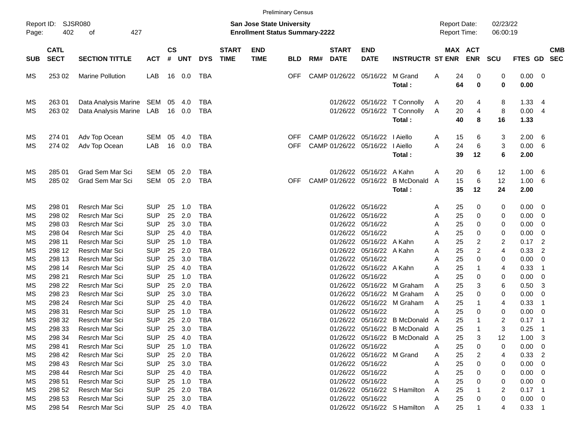|                            |                                                |                                                                                        |                                                                    |                      |                                       |                                                             |                             |                                                                           | <b>Preliminary Census</b> |     |                                              |                                                                     |                                                              |                       |                                                          |                               |                                      |                                                    |
|----------------------------|------------------------------------------------|----------------------------------------------------------------------------------------|--------------------------------------------------------------------|----------------------|---------------------------------------|-------------------------------------------------------------|-----------------------------|---------------------------------------------------------------------------|---------------------------|-----|----------------------------------------------|---------------------------------------------------------------------|--------------------------------------------------------------|-----------------------|----------------------------------------------------------|-------------------------------|--------------------------------------|----------------------------------------------------|
| Report ID:<br>Page:        | <b>SJSR080</b><br>402                          | 427<br>οf                                                                              |                                                                    |                      |                                       |                                                             |                             | <b>San Jose State University</b><br><b>Enrollment Status Summary-2222</b> |                           |     |                                              |                                                                     |                                                              | <b>Report Date:</b>   | Report Time:                                             | 02/23/22<br>06:00:19          |                                      |                                                    |
| <b>SUB</b>                 | <b>CATL</b><br><b>SECT</b>                     | <b>SECTION TITTLE</b>                                                                  | <b>ACT</b>                                                         | $\mathsf{cs}$<br>#   | <b>UNT</b>                            | <b>DYS</b>                                                  | <b>START</b><br><b>TIME</b> | <b>END</b><br><b>TIME</b>                                                 | <b>BLD</b>                | RM# | <b>START</b><br><b>DATE</b>                  | <b>END</b><br><b>DATE</b>                                           | <b>INSTRUCTR ST ENR</b>                                      |                       | MAX ACT<br><b>ENR</b>                                    | <b>SCU</b>                    | FTES GD                              | <b>CMB</b><br><b>SEC</b>                           |
| МS                         | 253 02                                         | <b>Marine Pollution</b>                                                                | LAB                                                                | 16                   | 0.0                                   | TBA                                                         |                             |                                                                           | OFF                       |     | CAMP 01/26/22                                | 05/16/22                                                            | M Grand<br>Total:                                            | A                     | 24<br>0<br>64<br>0                                       | 0<br>0                        | 0.00<br>0.00                         | 0                                                  |
| МS<br>МS                   | 263 01<br>263 02                               | Data Analysis Marine<br>Data Analysis Marine                                           | SEM<br>LAB                                                         | 05<br>16             | -4.0<br>0.0                           | TBA<br><b>TBA</b>                                           |                             |                                                                           |                           |     | 01/26/22<br>01/26/22                         | 05/16/22<br>05/16/22                                                | T Connolly<br>T Connolly<br>Total:                           | A<br>A                | 20<br>4<br>20<br>$\overline{4}$<br>40<br>8               | 8<br>8<br>16                  | 1.33<br>0.00<br>1.33                 | 4<br>4                                             |
| МS<br>МS                   | 274 01<br>274 02                               | Adv Top Ocean<br>Adv Top Ocean                                                         | SEM<br>LAB                                                         | 05<br>16             | 4.0<br>0.0                            | <b>TBA</b><br><b>TBA</b>                                    |                             |                                                                           | OFF<br>OFF                |     | CAMP 01/26/22<br>CAMP 01/26/22               | 05/16/22<br>05/16/22                                                | I Aiello<br>I Aiello<br>Total:                               | A<br>A                | 15<br>6<br>24<br>6<br>39<br>12                           | 3<br>3<br>6                   | 2.00<br>0.00<br>2.00                 | 6<br>6                                             |
| МS<br>МS                   | 285 01<br>285 02                               | <b>Grad Sem Mar Sci</b><br>Grad Sem Mar Sci                                            | SEM<br><b>SEM</b>                                                  | 05<br>05             | 2.0<br>2.0                            | <b>TBA</b><br><b>TBA</b>                                    |                             |                                                                           | OFF                       |     | 01/26/22<br>CAMP 01/26/22                    | 05/16/22<br>05/16/22                                                | A Kahn<br><b>B</b> McDonald A<br>Total:                      | A                     | 20<br>6<br>15<br>6<br>35<br>12                           | 12<br>12<br>24                | 1.00<br>1.00<br>2.00                 | 6<br>6                                             |
| МS<br>МS<br>MS<br>MS       | 298 01<br>298 02<br>298 03<br>298 04           | Resrch Mar Sci<br>Resrch Mar Sci<br>Resrch Mar Sci<br>Resrch Mar Sci                   | <b>SUP</b><br><b>SUP</b><br><b>SUP</b><br><b>SUP</b>               | 25<br>25<br>25<br>25 | 1.0<br>2.0<br>3.0<br>4.0              | <b>TBA</b><br><b>TBA</b><br><b>TBA</b><br><b>TBA</b>        |                             |                                                                           |                           |     | 01/26/22<br>01/26/22<br>01/26/22<br>01/26/22 | 05/16/22<br>05/16/22<br>05/16/22<br>05/16/22                        |                                                              | A<br>Α<br>A<br>A      | 25<br>0<br>25<br>0<br>25<br>0<br>25                      | 0<br>0<br>0<br>0              | 0.00<br>0.00<br>0.00<br>0.00         | 0<br>0<br>0<br>0                                   |
| MS<br>MS<br>MS             | 298 11<br>298 12<br>298 13                     | <b>Resrch Mar Sci</b><br><b>Resrch Mar Sci</b><br><b>Resrch Mar Sci</b>                | <b>SUP</b><br><b>SUP</b><br><b>SUP</b>                             | 25<br>25<br>25       | 1.0<br>2.0<br>3.0                     | <b>TBA</b><br><b>TBA</b><br><b>TBA</b>                      |                             |                                                                           |                           |     | 01/26/22<br>01/26/22<br>01/26/22             | 05/16/22<br>05/16/22<br>05/16/22                                    | A Kahn<br>A Kahn                                             | A<br>A<br>A           | 0<br>25<br>2<br>25<br>$\overline{\mathbf{c}}$<br>25<br>0 | $\overline{c}$<br>4<br>0      | 0.17<br>0.33<br>0.00                 | $\overline{2}$<br>$\overline{2}$<br>0              |
| MS<br>MS<br>MS<br>MS       | 298 14<br>298 21<br>298 22<br>298 23           | Resrch Mar Sci<br><b>Resrch Mar Sci</b><br><b>Resrch Mar Sci</b><br>Resrch Mar Sci     | <b>SUP</b><br><b>SUP</b><br><b>SUP</b><br><b>SUP</b>               | 25<br>25<br>25<br>25 | 4.0<br>1.0<br>2.0<br>3.0              | <b>TBA</b><br><b>TBA</b><br><b>TBA</b><br><b>TBA</b>        |                             |                                                                           |                           |     | 01/26/22<br>01/26/22<br>01/26/22<br>01/26/22 | 05/16/22<br>05/16/22<br>05/16/22<br>05/16/22                        | A Kahn<br>M Graham<br>M Graham                               | A<br>Α<br>A<br>A      | 25<br>1<br>25<br>0<br>25<br>3<br>25<br>0                 | 4<br>0<br>6<br>0              | 0.33<br>0.00<br>0.50<br>0.00         | -1<br>0<br>3<br>0                                  |
| MS<br>МS<br>MS<br>ΜS       | 298 24<br>298 31<br>298 32<br>298 33           | Resrch Mar Sci<br>Resrch Mar Sci<br><b>Resrch Mar Sci</b><br>Resrch Mar Sci            | <b>SUP</b><br><b>SUP</b><br><b>SUP</b><br><b>SUP</b>               | 25<br>25<br>25<br>25 | 4.0<br>1.0<br>2.0<br>3.0              | <b>TBA</b><br><b>TBA</b><br><b>TBA</b><br><b>TBA</b>        |                             |                                                                           |                           |     | 01/26/22<br>01/26/22<br>01/26/22<br>01/26/22 | 05/16/22<br>05/16/22<br>05/16/22<br>05/16/22                        | M Graham<br><b>B</b> McDonald A<br>B McDonald A              | A<br>A                | 25<br>1<br>25<br>0<br>25<br>1<br>25<br>1                 | 4<br>0<br>$\overline{c}$<br>3 | 0.33<br>0.00<br>0.17<br>0.25         | -1<br>0<br>$\overline{\phantom{a}}$<br>-1          |
| МS<br>МS<br>МS<br>МS       | 298 34<br>298 41<br>298 42<br>298 43           | Resrch Mar Sci<br>Resrch Mar Sci<br>Resrch Mar Sci<br>Resrch Mar Sci                   | <b>SUP</b><br><b>SUP</b><br><b>SUP</b><br><b>SUP</b>               | 25<br>25<br>25       | 4.0<br>1.0<br>2.0<br>25 3.0           | TBA<br><b>TBA</b><br><b>TBA</b><br><b>TBA</b>               |                             |                                                                           |                           |     |                                              | 01/26/22 05/16/22<br>01/26/22 05/16/22 M Grand<br>01/26/22 05/16/22 | 01/26/22 05/16/22 B McDonald A                               | A<br>A<br>Α           | 3<br>25<br>25<br>0<br>25<br>2<br>25<br>0                 | 12<br>0<br>4<br>0             | 1.00<br>0.00<br>0.33<br>0.00         | -3<br>0<br>$\overline{c}$<br>0                     |
| МS<br>МS<br>МS<br>МS<br>МS | 298 44<br>298 51<br>298 52<br>298 53<br>298 54 | Resrch Mar Sci<br>Resrch Mar Sci<br>Resrch Mar Sci<br>Resrch Mar Sci<br>Resrch Mar Sci | <b>SUP</b><br><b>SUP</b><br><b>SUP</b><br><b>SUP</b><br><b>SUP</b> | 25<br>25<br>25       | 4.0<br>1.0<br>2.0<br>25 3.0<br>25 4.0 | <b>TBA</b><br><b>TBA</b><br><b>TBA</b><br><b>TBA</b><br>TBA |                             |                                                                           |                           |     |                                              | 01/26/22 05/16/22<br>01/26/22 05/16/22<br>01/26/22 05/16/22         | 01/26/22 05/16/22 S Hamilton<br>01/26/22 05/16/22 S Hamilton | Α<br>A<br>A<br>A<br>A | 25<br>0<br>25<br>0<br>25<br>25<br>0<br>25<br>1           | 0<br>0<br>2<br>0<br>4         | 0.00<br>0.00<br>0.17<br>0.00<br>0.33 | 0<br>0<br>- 1<br>- 0<br>$\overline{\phantom{0}}$ 1 |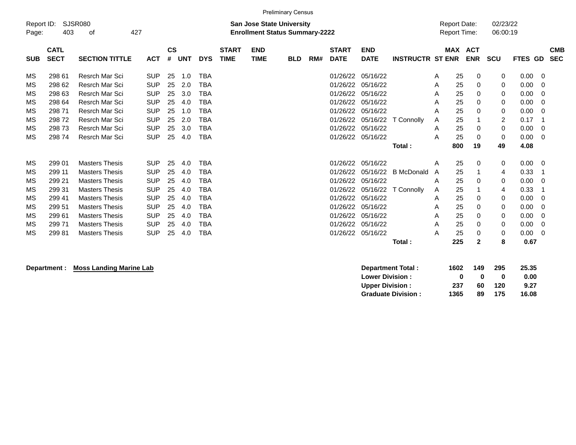|            |                                       | <b>Preliminary Census</b><br><b>Report Date:</b>                                                                |            |               |            |            |              |             |            |     |              |             |                         |                     |            |             |                |            |
|------------|---------------------------------------|-----------------------------------------------------------------------------------------------------------------|------------|---------------|------------|------------|--------------|-------------|------------|-----|--------------|-------------|-------------------------|---------------------|------------|-------------|----------------|------------|
| Report ID: |                                       | <b>SJSR080</b><br><b>San Jose State University</b><br>427<br><b>Enrollment Status Summary-2222</b><br>403<br>οf |            |               |            |            |              |             |            |     |              |             |                         |                     |            | 02/23/22    |                |            |
| Page:      |                                       |                                                                                                                 |            |               |            |            |              |             |            |     |              |             |                         | <b>Report Time:</b> |            | 06:00:19    |                |            |
|            |                                       |                                                                                                                 |            |               |            |            |              |             |            |     |              |             |                         |                     |            |             |                |            |
|            | <b>CATL</b>                           |                                                                                                                 |            | $\mathsf{cs}$ |            |            | <b>START</b> | <b>END</b>  |            |     | <b>START</b> | <b>END</b>  |                         | <b>MAX</b>          | <b>ACT</b> |             |                | <b>CMB</b> |
| <b>SUB</b> | <b>SECT</b>                           | <b>SECTION TITTLE</b>                                                                                           | <b>ACT</b> | #             | <b>UNT</b> | <b>DYS</b> | <b>TIME</b>  | <b>TIME</b> | <b>BLD</b> | RM# | <b>DATE</b>  | <b>DATE</b> | <b>INSTRUCTR ST ENR</b> |                     | <b>ENR</b> | <b>SCU</b>  | FTES GD        | <b>SEC</b> |
|            |                                       |                                                                                                                 |            |               |            |            |              |             |            |     |              |             |                         |                     |            |             |                |            |
| MS         | 298 61                                | Resrch Mar Sci                                                                                                  | <b>SUP</b> | 25            | 1.0        | <b>TBA</b> |              |             |            |     | 01/26/22     | 05/16/22    |                         | 25<br>Α             | 0          | 0           | $0.00 \t 0$    |            |
| MS         | 298 62                                | Resrch Mar Sci                                                                                                  | <b>SUP</b> | 25            | 2.0        | <b>TBA</b> |              |             |            |     | 01/26/22     | 05/16/22    |                         | 25<br>Α             | 0          | 0           | 0.00           | - 0        |
| MS         | 298 63                                | <b>Resrch Mar Sci</b>                                                                                           | <b>SUP</b> | 25            | 3.0        | <b>TBA</b> |              |             |            |     | 01/26/22     | 05/16/22    |                         | 25<br>A             | 0          | 0           | 0.00           | - 0        |
| MS         | 298 64                                | <b>Resrch Mar Sci</b>                                                                                           | <b>SUP</b> | 25            | 4.0        | <b>TBA</b> |              |             |            |     | 01/26/22     | 05/16/22    |                         | 25<br>Α             | 0          | 0           | 0.00           | - 0        |
| MS         | 298 71                                | Resrch Mar Sci                                                                                                  | <b>SUP</b> | 25            | 1.0        | TBA        |              |             |            |     | 01/26/22     | 05/16/22    |                         | 25<br>Α             | 0          | 0           | 0.00           | - 0        |
| MS         | <b>SUP</b><br>29872<br>Resrch Mar Sci |                                                                                                                 |            | 25            | 2.0        | <b>TBA</b> |              |             |            |     | 01/26/22     | 05/16/22    | T Connolly              | 25<br>Α             |            | 2           | 0.17           | - 1        |
| MS         | 298 73                                | Resrch Mar Sci                                                                                                  | <b>SUP</b> | 25            | 3.0        | <b>TBA</b> |              |             |            |     | 01/26/22     | 05/16/22    |                         | 25<br>Α             | 0          | 0           | 0.00           | - 0        |
| MS         | 298 74                                | <b>Resrch Mar Sci</b>                                                                                           | <b>SUP</b> | 25            | 4.0        | <b>TBA</b> |              |             |            |     | 01/26/22     | 05/16/22    |                         | 25<br>Α             | 0          | 0           | 0.00           | - 0        |
|            |                                       |                                                                                                                 |            |               |            |            |              |             |            |     |              |             | Total:                  | 800                 | 19         | 49          | 4.08           |            |
|            |                                       |                                                                                                                 |            |               |            |            |              |             |            |     |              |             |                         |                     |            |             |                |            |
| MS         | 299 01                                | <b>Masters Thesis</b>                                                                                           | <b>SUP</b> | 25            | 4.0        | <b>TBA</b> |              |             |            |     | 01/26/22     | 05/16/22    |                         | 25<br>A             | 0          | $\mathbf 0$ | $0.00 \quad 0$ |            |
| MS         | 299 11                                | <b>Masters Thesis</b>                                                                                           | <b>SUP</b> | 25            | 4.0        | <b>TBA</b> |              |             |            |     | 01/26/22     | 05/16/22    | <b>B</b> McDonald       | 25<br>A             |            | 4           | 0.33           | -1         |
| MS         | 299 21                                | <b>Masters Thesis</b>                                                                                           | <b>SUP</b> | 25            | 4.0        | TBA        |              |             |            |     | 01/26/22     | 05/16/22    |                         | 25<br>Α             | 0          | 0           | 0.00           | - 0        |
| MS         | 299 31                                | <b>Masters Thesis</b>                                                                                           | <b>SUP</b> | 25            | 4.0        | <b>TBA</b> |              |             |            |     | 01/26/22     | 05/16/22    | T Connolly              | 25<br>Α             |            | 4           | 0.33           |            |
| MS         | 299 41                                | <b>Masters Thesis</b>                                                                                           | <b>SUP</b> | 25            | 4.0        | <b>TBA</b> |              |             |            |     | 01/26/22     | 05/16/22    |                         | 25<br>A             | 0          | 0           | 0.00           | - 0        |
| МS         | 299 51                                | <b>Masters Thesis</b>                                                                                           | <b>SUP</b> | 25            | 4.0        | <b>TBA</b> |              |             |            |     | 01/26/22     | 05/16/22    |                         | 25<br>A             | 0          | 0           | 0.00           | - 0        |
| MS         | 299 61                                | <b>Masters Thesis</b>                                                                                           | <b>SUP</b> | 25            | 4.0        | <b>TBA</b> |              |             |            |     | 01/26/22     | 05/16/22    |                         | 25<br>Α             | 0          | 0           | 0.00           | - 0        |
| MS         | 29971                                 | <b>Masters Thesis</b>                                                                                           | <b>SUP</b> | 25            | 4.0        | <b>TBA</b> |              |             |            |     | 01/26/22     | 05/16/22    |                         | 25<br>A             | 0          | $\mathbf 0$ | 0.00           | - 0        |
| ΜS         | 29981                                 | <b>Masters Thesis</b>                                                                                           | <b>SUP</b> | 25            | 4.0        | <b>TBA</b> |              |             |            |     | 01/26/22     | 05/16/22    |                         | 25<br>А             | 0          | 0           | 0.00           | - 0        |
|            |                                       |                                                                                                                 |            |               |            |            |              |             |            |     |              |             | Total:                  | 225                 | 2          | 8           | 0.67           |            |

**Department : Moss Landing Marine Lab** 

| <b>Department Total:</b>  | 1602 | 149 | 295 | 25.35 |
|---------------------------|------|-----|-----|-------|
| <b>Lower Division:</b>    | o    | o   | 0   | 0.00  |
| <b>Upper Division:</b>    | -237 | 60  | 120 | 9.27  |
| <b>Graduate Division:</b> | 1365 | 89  | 175 | 16.08 |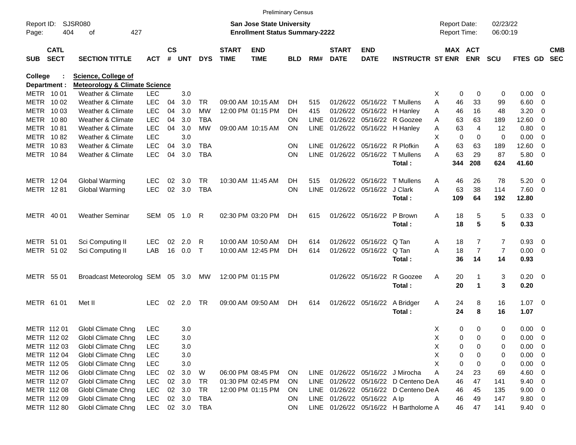|                     |                            |                                          |            |                    |            |            |                             |                                                                           | <b>Preliminary Census</b> |             |                             |                             |                                       |                                     |             |                |                      |                     |                          |                          |
|---------------------|----------------------------|------------------------------------------|------------|--------------------|------------|------------|-----------------------------|---------------------------------------------------------------------------|---------------------------|-------------|-----------------------------|-----------------------------|---------------------------------------|-------------------------------------|-------------|----------------|----------------------|---------------------|--------------------------|--------------------------|
| Report ID:<br>Page: | 404                        | SJSR080<br>427<br>οf                     |            |                    |            |            |                             | <b>San Jose State University</b><br><b>Enrollment Status Summary-2222</b> |                           |             |                             |                             |                                       | <b>Report Date:</b><br>Report Time: |             |                | 02/23/22<br>06:00:19 |                     |                          |                          |
| <b>SUB</b>          | <b>CATL</b><br><b>SECT</b> | <b>SECTION TITTLE</b>                    | <b>ACT</b> | $\mathsf{cs}$<br># | <b>UNT</b> | <b>DYS</b> | <b>START</b><br><b>TIME</b> | <b>END</b><br><b>TIME</b>                                                 | <b>BLD</b>                | RM#         | <b>START</b><br><b>DATE</b> | <b>END</b><br><b>DATE</b>   | <b>INSTRUCTR ST ENR</b>               |                                     | MAX ACT     | <b>ENR</b>     | <b>SCU</b>           | <b>FTES GD</b>      |                          | <b>CMB</b><br><b>SEC</b> |
| College             |                            | <b>Science, College of</b>               |            |                    |            |            |                             |                                                                           |                           |             |                             |                             |                                       |                                     |             |                |                      |                     |                          |                          |
| Department :        |                            | <b>Meteorology &amp; Climate Science</b> |            |                    |            |            |                             |                                                                           |                           |             |                             |                             |                                       |                                     |             |                |                      |                     |                          |                          |
| METR 10 01          |                            | <b>Weather &amp; Climate</b>             | <b>LEC</b> |                    | 3.0        |            |                             |                                                                           |                           |             |                             |                             |                                       | х                                   | 0           | 0              | 0                    | 0.00                | - 0                      |                          |
| METR 1002           |                            | Weather & Climate                        | <b>LEC</b> | 04                 | 3.0        | TR         |                             | 09:00 AM 10:15 AM                                                         | DH.                       | 515         |                             |                             | 01/26/22 05/16/22 T Mullens           | A                                   | 46          | 33             | 99                   | 6.60                | $\overline{\mathbf{0}}$  |                          |
| METR                | 10 03                      | Weather & Climate                        | <b>LEC</b> | 04                 | 3.0        | <b>MW</b>  |                             | 12:00 PM 01:15 PM                                                         | DH                        | 415         |                             | 01/26/22 05/16/22 H Hanley  |                                       | Α                                   | 46          | 16             | 48                   | 3.20                | $\overline{0}$           |                          |
| METR                | 1080                       | Weather & Climate                        | <b>LEC</b> | 04                 | 3.0        | TBA        |                             |                                                                           | <b>ON</b>                 | <b>LINE</b> |                             |                             | 01/26/22 05/16/22 R Goozee            | A                                   | 63          | 63             | 189                  | 12.60               | 0                        |                          |
| METR                | 1081                       | Weather & Climate                        | <b>LEC</b> | 04                 | 3.0        | <b>MW</b>  |                             | 09:00 AM 10:15 AM                                                         | <b>ON</b>                 | LINE        |                             | 01/26/22 05/16/22 H Hanley  |                                       | Α                                   | 63          | 4              | 12                   | 0.80                | 0                        |                          |
| METR                | 1082                       | Weather & Climate                        | <b>LEC</b> |                    | 3.0        |            |                             |                                                                           |                           |             |                             |                             |                                       | X                                   | $\mathbf 0$ | 0              | 0                    | 0.00                | $\overline{0}$           |                          |
| METR                | 1083                       | Weather & Climate                        | <b>LEC</b> | 04                 | 3.0        | <b>TBA</b> |                             |                                                                           | <b>ON</b>                 | LINE        |                             | 01/26/22 05/16/22 R Plofkin |                                       | A                                   | 63          | 63             | 189                  | 12.60               | 0                        |                          |
|                     | METR 1084                  | Weather & Climate                        | <b>LEC</b> | 04                 | 3.0        | <b>TBA</b> |                             |                                                                           | <b>ON</b>                 | <b>LINE</b> |                             |                             | 01/26/22 05/16/22 T Mullens<br>Total: | А                                   | 63<br>344   | 29<br>208      | 87<br>624            | 5.80<br>41.60       | - 0                      |                          |
| METR 1204           |                            | Global Warming                           | <b>LEC</b> | 02                 | 3.0        | TR         |                             | 10:30 AM 11:45 AM                                                         | DH.                       | 515         |                             |                             | 01/26/22 05/16/22 T Mullens           | Α                                   | 46          | 26             | 78                   | 5.20                | $\overline{\mathbf{0}}$  |                          |
| METR 1281           |                            | Global Warming                           | <b>LEC</b> | 02                 | 3.0        | <b>TBA</b> |                             |                                                                           | <b>ON</b>                 | <b>LINE</b> |                             | 01/26/22 05/16/22 J Clark   |                                       | A                                   | 63          | 38             | 114                  | 7.60                | $\overline{\phantom{0}}$ |                          |
|                     |                            |                                          |            |                    |            |            |                             |                                                                           |                           |             |                             |                             | Total:                                |                                     | 109         | 64             | 192                  | 12.80               |                          |                          |
| METR 40 01          |                            | <b>Weather Seminar</b>                   | SEM 05     |                    | 1.0        | R          |                             | 02:30 PM 03:20 PM                                                         | DH.                       | 615         |                             | 01/26/22 05/16/22           | P Brown<br>Total:                     | A                                   | 18<br>18    | 5<br>5         | 5<br>5               | 0.33 0<br>0.33      |                          |                          |
|                     |                            |                                          |            |                    |            |            |                             |                                                                           |                           |             |                             |                             |                                       |                                     |             |                |                      |                     |                          |                          |
| METR 51 01          |                            | Sci Computing II                         | <b>LEC</b> | 02                 | 2.0        | R          |                             | 10:00 AM 10:50 AM                                                         | DH.                       | 614         |                             | 01/26/22 05/16/22           | Q Tan                                 | A                                   | 18          | 7              | $\overline{7}$       | 0.93                | $\overline{\mathbf{0}}$  |                          |
| METR 51 02          |                            | Sci Computing II                         | LAB        | 16                 | 0.0        | $\top$     |                             | 10:00 AM 12:45 PM                                                         | DH                        | 614         |                             | 01/26/22 05/16/22           | Q Tan                                 | A                                   | 18          | $\overline{7}$ | $\overline{7}$       | 0.00                | $\overline{\phantom{0}}$ |                          |
|                     |                            |                                          |            |                    |            |            |                             |                                                                           |                           |             |                             |                             | Total:                                |                                     | 36          | 14             | 14                   | 0.93                |                          |                          |
| METR 55 01          |                            | Broadcast Meteorolog SEM 05 3.0          |            |                    |            | МW         |                             | 12:00 PM 01:15 PM                                                         |                           |             |                             | 01/26/22 05/16/22           | R Goozee<br>Total:                    | Α                                   | 20<br>20    | 1              | 3<br>3               | $0.20 \ 0$<br>0.20  |                          |                          |
| METR 61 01          |                            | Met II                                   | <b>LEC</b> | 02                 | 2.0        | TR         |                             | 09:00 AM 09:50 AM                                                         | DH                        | 614         |                             | 01/26/22 05/16/22           | A Bridger<br>Total:                   | A                                   | 24<br>24    | 8<br>8         | 16<br>16             | $1.07 \t 0$<br>1.07 |                          |                          |
|                     | METR 112 01                | Globl Climate Chng                       | <b>LEC</b> |                    | 3.0        |            |                             |                                                                           |                           |             |                             |                             |                                       | X                                   | 0           | 0              | 0                    | $0.00 \t 0$         |                          |                          |
|                     | METR 112 02                | Globl Climate Chng                       | <b>LEC</b> |                    | 3.0        |            |                             |                                                                           |                           |             |                             |                             |                                       | х                                   | 0           | 0              | 0                    | 0.00                | $\overline{\mathbf{0}}$  |                          |
|                     | METR 112 03                | Globl Climate Chng                       | <b>LEC</b> |                    | 3.0        |            |                             |                                                                           |                           |             |                             |                             |                                       | Χ                                   | 0           | 0              | 0                    | 0.00                | - 0                      |                          |
|                     | METR 112 04                | Globl Climate Chng                       | <b>LEC</b> |                    | 3.0        |            |                             |                                                                           |                           |             |                             |                             |                                       | Χ                                   | 0           | 0              | 0                    | 0.00                | 0                        |                          |
|                     | METR 112 05                | Globl Climate Chng                       | <b>LEC</b> |                    | 3.0        |            |                             |                                                                           |                           |             |                             |                             |                                       | X                                   | 0           | 0              | 0                    | 0.00                | $\overline{0}$           |                          |
|                     | METR 112 06                | <b>Globl Climate Chng</b>                | LEC        | 02 <sub>o</sub>    | 3.0        | W          |                             | 06:00 PM 08:45 PM                                                         | <b>ON</b>                 |             |                             |                             | LINE 01/26/22 05/16/22 J Mirocha      | Α                                   | 24          | 23             | 69                   | 4.60                | 0                        |                          |
|                     | METR 112 07                | <b>Globl Climate Chng</b>                | LEC        | 02                 | 3.0        | TR         |                             | 01:30 PM 02:45 PM                                                         | <b>ON</b>                 |             |                             |                             | LINE 01/26/22 05/16/22 D Centeno DeA  |                                     | 46          | 47             | 141                  | 9.40                | 0                        |                          |
|                     | METR 112 08                | <b>Globl Climate Chng</b>                | LEC        |                    | 02 3.0     | TR         |                             | 12:00 PM 01:15 PM                                                         | <b>ON</b>                 |             |                             |                             | LINE 01/26/22 05/16/22 D Centeno DeA  |                                     | 46          | 45             | 135                  | 9.00                | $\overline{\mathbf{0}}$  |                          |
|                     | METR 112 09                | <b>Globl Climate Chng</b>                | <b>LEC</b> |                    | 02 3.0     | TBA        |                             |                                                                           | <b>ON</b>                 |             |                             | LINE 01/26/22 05/16/22 Alp  |                                       | A                                   | 46          | 49             | 147                  | $9.80\ 0$           |                          |                          |
|                     | METR 112 80                | Globl Climate Chng                       | <b>LEC</b> |                    | 02 3.0     | TBA        |                             |                                                                           | ON                        |             |                             |                             | LINE 01/26/22 05/16/22 H Bartholome A |                                     | 46          | 47             | 141                  | $9.40\quad 0$       |                          |                          |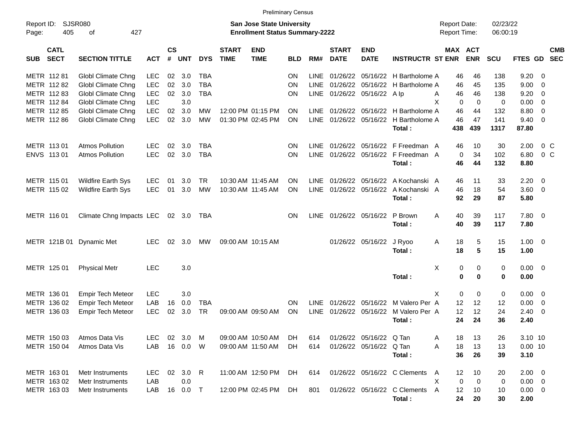|                     |                            |                             |            |                    |            |            |                             | <b>Preliminary Census</b>                                                 |            |             |                             |                           |                                  |                                     |                       |                      |                |                          |            |
|---------------------|----------------------------|-----------------------------|------------|--------------------|------------|------------|-----------------------------|---------------------------------------------------------------------------|------------|-------------|-----------------------------|---------------------------|----------------------------------|-------------------------------------|-----------------------|----------------------|----------------|--------------------------|------------|
| Report ID:<br>Page: | 405                        | <b>SJSR080</b><br>427<br>оf |            |                    |            |            |                             | <b>San Jose State University</b><br><b>Enrollment Status Summary-2222</b> |            |             |                             |                           |                                  | <b>Report Date:</b><br>Report Time: |                       | 02/23/22<br>06:00:19 |                |                          |            |
| <b>SUB</b>          | <b>CATL</b><br><b>SECT</b> | <b>SECTION TITTLE</b>       | <b>ACT</b> | $\mathsf{cs}$<br># | <b>UNT</b> | <b>DYS</b> | <b>START</b><br><b>TIME</b> | <b>END</b><br><b>TIME</b>                                                 | <b>BLD</b> | RM#         | <b>START</b><br><b>DATE</b> | <b>END</b><br><b>DATE</b> | <b>INSTRUCTR ST ENR</b>          |                                     | MAX ACT<br><b>ENR</b> | <b>SCU</b>           | FTES GD SEC    |                          | <b>CMB</b> |
|                     | METR 11281                 | Globl Climate Chng          | <b>LEC</b> | 02 <sub>o</sub>    | 3.0        | TBA        |                             |                                                                           | <b>ON</b>  | LINE        |                             |                           | 01/26/22 05/16/22 H Bartholome A | 46                                  | 46                    | 138                  | 9.20           | $\overline{0}$           |            |
|                     | METR 112 82                | Globl Climate Chng          | <b>LEC</b> | 02                 | 3.0        | <b>TBA</b> |                             |                                                                           | <b>ON</b>  | LINE        |                             |                           | 01/26/22 05/16/22 H Bartholome A | 46                                  | 45                    | 135                  | 9.00           | - 0                      |            |
|                     | METR 112 83                | Globl Climate Chng          | <b>LEC</b> | 02                 | 3.0        | <b>TBA</b> |                             |                                                                           | <b>ON</b>  | <b>LINE</b> |                             | 01/26/22 05/16/22 Alp     |                                  | 46<br>A                             | 46                    | 138                  | 9.20           | $\overline{0}$           |            |
|                     | METR 112 84                | Globl Climate Chng          | <b>LEC</b> |                    | 3.0        |            |                             |                                                                           |            |             |                             |                           |                                  | X<br>0                              | $\overline{0}$        | 0                    | 0.00           | - 0                      |            |
|                     | METR 112 85                | Globl Climate Chng          | <b>LEC</b> | 02                 | 3.0        | <b>MW</b>  |                             | 12:00 PM 01:15 PM                                                         | <b>ON</b>  | <b>LINE</b> |                             |                           | 01/26/22 05/16/22 H Bartholome A | 46                                  | 44                    | 132                  | 8.80           | $\overline{0}$           |            |
|                     | METR 112 86                | Globl Climate Chng          | <b>LEC</b> | 02                 | 3.0        | MW         |                             | 01:30 PM 02:45 PM                                                         | <b>ON</b>  | LINE        |                             |                           | 01/26/22 05/16/22 H Bartholome A | 46                                  | 47                    | 141                  | 9.40           | $\overline{\phantom{0}}$ |            |
|                     |                            |                             |            |                    |            |            |                             |                                                                           |            |             |                             |                           | Total:                           | 438                                 | 439                   | 1317                 | 87.80          |                          |            |
|                     | METR 113 01                | <b>Atmos Pollution</b>      | <b>LEC</b> | 02                 | 3.0        | TBA        |                             |                                                                           | <b>ON</b>  | <b>LINE</b> |                             |                           | 01/26/22 05/16/22 F Freedman A   | 46                                  | 10                    | 30                   | 2.00           | 0 <sup>C</sup>           |            |
|                     | ENVS 113 01                | <b>Atmos Pollution</b>      | <b>LEC</b> | 02                 | 3.0        | <b>TBA</b> |                             |                                                                           | <b>ON</b>  | <b>LINE</b> |                             |                           | 01/26/22 05/16/22 F Freedman A   | $\mathbf 0$                         | 34                    | 102                  | 6.80           | 0 <sup>o</sup>           |            |
|                     |                            |                             |            |                    |            |            |                             |                                                                           |            |             |                             |                           | Total:                           | 46                                  | 44                    | 132                  | 8.80           |                          |            |
|                     | METR 115 01                | <b>Wildfire Earth Sys</b>   | <b>LEC</b> | 01                 | 3.0        | TR.        | 10:30 AM 11:45 AM           |                                                                           | <b>ON</b>  | <b>LINE</b> |                             |                           | 01/26/22 05/16/22 A Kochanski A  | 46                                  | 11                    | 33                   | 2.20           | - 0                      |            |
|                     | METR 115 02                | <b>Wildfire Earth Sys</b>   | <b>LEC</b> | 01                 | 3.0        | <b>MW</b>  | 10:30 AM 11:45 AM           |                                                                           | ON         | <b>LINE</b> |                             | 01/26/22 05/16/22         | A Kochanski A                    | 46                                  | 18                    | 54                   | $3.60 \ 0$     |                          |            |
|                     |                            |                             |            |                    |            |            |                             |                                                                           |            |             |                             |                           | Total:                           | 92                                  | 29                    | 87                   | 5.80           |                          |            |
|                     | METR 116 01                | Climate Chng Impacts LEC    |            |                    | 02 3.0     | TBA        |                             |                                                                           | <b>ON</b>  | <b>LINE</b> | 01/26/22 05/16/22           |                           | P Brown                          | 40<br>Α                             | 39                    | 117                  | 7.80 0         |                          |            |
|                     |                            |                             |            |                    |            |            |                             |                                                                           |            |             |                             |                           | Total:                           | 40                                  | 39                    | 117                  | 7.80           |                          |            |
|                     | METR 121B 01               | Dynamic Met                 | <b>LEC</b> | 02                 | 3.0        | МW         |                             | 09:00 AM 10:15 AM                                                         |            |             |                             | 01/26/22 05/16/22         | J Ryoo                           | 18<br>A                             | 5                     | 15                   | $1.00 \t 0$    |                          |            |
|                     |                            |                             |            |                    |            |            |                             |                                                                           |            |             |                             |                           | Total:                           | 18                                  | 5                     | 15                   | 1.00           |                          |            |
|                     | METR 125 01                | <b>Physical Metr</b>        | <b>LEC</b> |                    | 3.0        |            |                             |                                                                           |            |             |                             |                           |                                  | Χ<br>0                              | 0                     | 0                    | $0.00 \t 0$    |                          |            |
|                     |                            |                             |            |                    |            |            |                             |                                                                           |            |             |                             |                           | Total:                           | $\bf{0}$                            | $\bf{0}$              | 0                    | 0.00           |                          |            |
|                     | METR 136 01                | <b>Empir Tech Meteor</b>    | <b>LEC</b> |                    | 3.0        |            |                             |                                                                           |            |             |                             |                           |                                  | X<br>$\mathbf 0$                    | $\mathbf 0$           | 0                    | 0.00           | $\overline{\mathbf{0}}$  |            |
|                     | METR 136 02                | <b>Empir Tech Meteor</b>    | LAB        | 16                 | 0.0        | <b>TBA</b> |                             |                                                                           | <b>ON</b>  | <b>LINE</b> |                             |                           | 01/26/22 05/16/22 M Valero Per A | 12                                  | 12                    | 12                   | 0.00           | $\overline{\mathbf{0}}$  |            |
|                     | METR 136 03                | <b>Empir Tech Meteor</b>    | <b>LEC</b> | 02                 | 3.0        | <b>TR</b>  |                             | 09:00 AM 09:50 AM                                                         | ON         | <b>LINE</b> |                             | 01/26/22 05/16/22         | M Valero Per A                   | 12                                  | 12                    | 24                   | 2.40           | $\overline{\mathbf{0}}$  |            |
|                     |                            |                             |            |                    |            |            |                             |                                                                           |            |             |                             |                           | Total:                           | 24                                  | 24                    | 36                   | 2.40           |                          |            |
|                     | METR 150 03                | Atmos Data Vis              | <b>LEC</b> |                    | 02 3.0 M   |            |                             | 09:00 AM 10:50 AM                                                         | <b>DH</b>  | 614         |                             | 01/26/22 05/16/22 Q Tan   |                                  | 18<br>Α                             | 13                    | 26                   | 3.10 10        |                          |            |
|                     | METR 150 04                | Atmos Data Vis              | LAB        |                    | 16  0.0  W |            |                             | 09:00 AM 11:50 AM                                                         | DH.        | 614         |                             | 01/26/22 05/16/22 Q Tan   |                                  | 18<br>Α                             | 13                    | 13                   | $0.00$ 10      |                          |            |
|                     |                            |                             |            |                    |            |            |                             |                                                                           |            |             |                             |                           | Total:                           | 36                                  | 26                    | 39                   | 3.10           |                          |            |
|                     | METR 163 01                | Metr Instruments            | LEC.       |                    | 02 3.0 R   |            |                             | 11:00 AM 12:50 PM                                                         | DH.        | 614         |                             |                           | 01/26/22 05/16/22 C Clements     | 12<br>A                             | 10                    | 20                   | $2.00 \t 0$    |                          |            |
|                     | METR 163 02                | Metr Instruments            | LAB        |                    | 0.0        |            |                             |                                                                           |            |             |                             |                           |                                  | Χ<br>0                              | $\mathbf 0$           | 0                    | $0.00 \t 0$    |                          |            |
|                     | METR 163 03                | Metr Instruments            | LAB        |                    | 16  0.0  T |            |                             | 12:00 PM 02:45 PM                                                         | DH         | 801         |                             |                           | 01/26/22 05/16/22 C Clements     | A<br>12                             | 10                    | 10                   | $0.00 \quad 0$ |                          |            |
|                     |                            |                             |            |                    |            |            |                             |                                                                           |            |             |                             |                           | Total:                           | 24                                  | 20                    | 30                   | 2.00           |                          |            |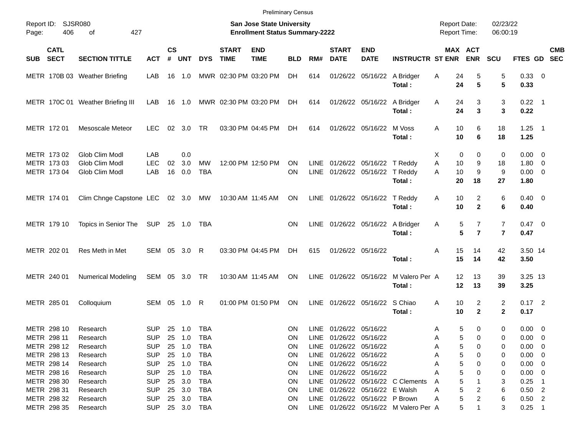|                                           |                                                    |                          |                |                   |                  |                             | <b>Preliminary Census</b>                                                 |            |                     |                             |                                                        |                                       |                                     |                                       |                                  |                                                  |            |
|-------------------------------------------|----------------------------------------------------|--------------------------|----------------|-------------------|------------------|-----------------------------|---------------------------------------------------------------------------|------------|---------------------|-----------------------------|--------------------------------------------------------|---------------------------------------|-------------------------------------|---------------------------------------|----------------------------------|--------------------------------------------------|------------|
| Report ID:<br>406<br>Page:                | SJSR080<br>427<br>οf                               |                          |                |                   |                  |                             | <b>San Jose State University</b><br><b>Enrollment Status Summary-2222</b> |            |                     |                             |                                                        |                                       | <b>Report Date:</b><br>Report Time: |                                       | 02/23/22<br>06:00:19             |                                                  |            |
| <b>CATL</b><br><b>SECT</b><br><b>SUB</b>  | <b>SECTION TITTLE</b>                              | <b>ACT</b>               | <b>CS</b><br># | <b>UNT</b>        | <b>DYS</b>       | <b>START</b><br><b>TIME</b> | <b>END</b><br><b>TIME</b>                                                 | <b>BLD</b> | RM#                 | <b>START</b><br><b>DATE</b> | <b>END</b><br><b>DATE</b>                              | <b>INSTRUCTR ST ENR</b>               |                                     | MAX ACT<br><b>ENR</b>                 | <b>SCU</b>                       | FTES GD SEC                                      | <b>CMB</b> |
|                                           | METR 170B 03 Weather Briefing                      | LAB                      | 16             | 1.0               |                  |                             | MWR 02:30 PM 03:20 PM                                                     | DH         | 614                 |                             | 01/26/22 05/16/22 A Bridger                            | Total:                                | Α<br>24<br>24                       | 5<br>5                                | 5<br>5                           | 0.33 0<br>0.33                                   |            |
|                                           | METR 170C 01 Weather Briefing III                  | LAB.                     | 16             | - 1.0             |                  |                             | MWR 02:30 PM 03:20 PM                                                     | DH         | 614                 |                             | 01/26/22 05/16/22                                      | A Bridger<br>Total:                   | 24<br>A<br>24                       | 3<br>$\mathbf{3}$                     | 3<br>3                           | $0.22$ 1<br>0.22                                 |            |
| METR 172 01                               | <b>Mesoscale Meteor</b>                            | <b>LEC</b>               | 02             | 3.0               | TR               |                             | 03:30 PM 04:45 PM                                                         | DH         | 614                 |                             | 01/26/22 05/16/22                                      | M Voss<br>Total:                      | 10<br>Α<br>10                       | 6<br>6                                | 18<br>18                         | $1.25$ 1<br>1.25                                 |            |
| METR 173 02<br>METR 173 03<br>METR 173 04 | Glob Clim Modl<br>Glob Clim Modl<br>Glob Clim Modl | LAB<br><b>LEC</b><br>LAB | 02<br>16       | 0.0<br>3.0<br>0.0 | МW<br><b>TBA</b> |                             | 12:00 PM 12:50 PM                                                         | ΟN<br>ON   | <b>LINE</b><br>LINE |                             | 01/26/22 05/16/22 T Reddy<br>01/26/22 05/16/22 T Reddy | Total:                                | Х<br>0<br>Α<br>10<br>A<br>10<br>20  | 0<br>9<br>9<br>18                     | 0<br>18<br>9<br>27               | $0.00 \t 0$<br>$1.80 \ 0$<br>$0.00 \t 0$<br>1.80 |            |
| METR 174 01                               | Clim Chnge Capstone LEC 02 3.0 MW                  |                          |                |                   |                  |                             | 10:30 AM 11:45 AM                                                         | ON         |                     |                             | LINE 01/26/22 05/16/22 T Reddy                         | Total:                                | 10<br>Α<br>10                       | 2<br>$\mathbf{2}$                     | 6<br>6                           | $0.40 \quad 0$<br>0.40                           |            |
| METR 179 10                               | Topics in Senior The                               | SUP 25 1.0 TBA           |                |                   |                  |                             |                                                                           | <b>ON</b>  |                     |                             | LINE 01/26/22 05/16/22 A Bridger                       | Total:                                | Α<br>5                              | $\overline{7}$<br>5<br>$\overline{7}$ | $\overline{7}$<br>$\overline{7}$ | $0.47 \quad 0$<br>0.47                           |            |
| METR 202 01                               | Res Meth in Met                                    | SEM 05 3.0               |                |                   | R                |                             | 03:30 PM 04:45 PM                                                         | DH.        | 615                 |                             | 01/26/22 05/16/22                                      | Total:                                | 15<br>Α<br>15                       | 14<br>14                              | 42<br>42                         | 3.50 14<br>3.50                                  |            |
| METR 240 01                               | <b>Numerical Modeling</b>                          | SEM 05 3.0 TR            |                |                   |                  |                             | 10:30 AM 11:45 AM                                                         | <b>ON</b>  |                     | LINE 01/26/22 05/16/22      |                                                        | M Valero Per A<br>Total:              | 12<br>12                            | 13<br>13                              | 39<br>39                         | 3.25 13<br>3.25                                  |            |
| METR 285 01                               | Colloquium                                         | SEM 05                   |                | 1.0               | R                |                             | 01:00 PM 01:50 PM                                                         | ON         | <b>LINE</b>         |                             | 01/26/22 05/16/22 S Chiao                              | Total:                                | 10<br>Α<br>10                       | 2<br>$\mathbf{2}$                     | $\overline{c}$<br>$\mathbf{2}$   | $0.17$ 2<br>0.17                                 |            |
| METR 298 10                               | Research                                           | <b>SUP</b>               |                | 25 1.0            | TBA              |                             |                                                                           | ΟN         |                     | LINE 01/26/22 05/16/22      |                                                        |                                       | 5<br>A                              | 0                                     | 0                                | $0.00 \t 0$                                      |            |
| METR 298 11                               | Research                                           | <b>SUP</b>               |                | 25 1.0            | TBA              |                             |                                                                           | ΟN         |                     | LINE 01/26/22 05/16/22      |                                                        |                                       | 5<br>A                              | 0                                     | 0                                | $0.00 \t 0$                                      |            |
| METR 298 12                               | Research                                           | <b>SUP</b>               |                | 25 1.0            | TBA              |                             |                                                                           | 0N         |                     | LINE 01/26/22 05/16/22      |                                                        |                                       | 5                                   | 0                                     | 0                                | $0.00 \t 0$                                      |            |
| METR 298 13                               | Research                                           | <b>SUP</b>               |                | 25 1.0            | TBA              |                             |                                                                           | 0N         |                     | LINE 01/26/22 05/16/22      |                                                        |                                       | 5                                   | 0                                     | 0                                | $0.00 \t 0$                                      |            |
| METR 298 14                               | Research                                           | <b>SUP</b>               |                | 25 1.0            | TBA              |                             |                                                                           | <b>ON</b>  |                     | LINE 01/26/22 05/16/22      |                                                        |                                       | 5                                   | 0                                     | 0                                | $0.00 \t 0$                                      |            |
| METR 298 16                               | Research                                           | <b>SUP</b>               |                | 25 1.0            | TBA              |                             |                                                                           | <b>ON</b>  |                     | LINE 01/26/22 05/16/22      |                                                        |                                       | 5                                   | 0                                     | 0                                | $0.00 \t 0$                                      |            |
| METR 298 30                               | Research                                           | <b>SUP</b>               |                | 25 3.0            | TBA              |                             |                                                                           | 0N         | LINE                |                             |                                                        | 01/26/22 05/16/22 C Clements          | 5<br>A                              |                                       | 3                                | $0.25$ 1                                         |            |
| METR 298 31                               | Research                                           | <b>SUP</b>               |                | 25 3.0            | TBA              |                             |                                                                           | <b>ON</b>  |                     |                             | LINE 01/26/22 05/16/22 E Walsh                         |                                       | 5<br>Α                              | 2                                     | 6                                | $0.50$ 2                                         |            |
| METR 298 32                               | Research                                           | <b>SUP</b>               |                | 25 3.0            | TBA              |                             |                                                                           | <b>ON</b>  |                     |                             | LINE 01/26/22 05/16/22 P Brown                         |                                       | 5<br>Α                              | 2                                     | 6                                | $0.50$ 2                                         |            |
| METR 298 35                               | Research                                           | <b>SUP</b>               |                |                   | 25 3.0 TBA       |                             |                                                                           | ON         |                     |                             |                                                        | LINE 01/26/22 05/16/22 M Valero Per A | 5                                   |                                       | 3                                | $0.25$ 1                                         |            |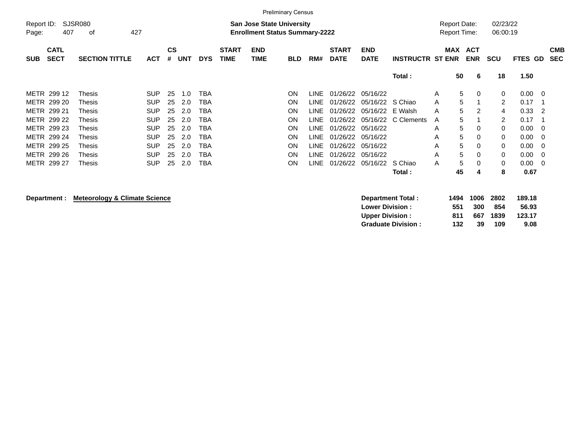|                     |                            |                       |            |                             |            |            |                             |                                                                           | <b>Preliminary Census</b> |       |                             |                           |                         |                                            |             |                      |                                  |                          |
|---------------------|----------------------------|-----------------------|------------|-----------------------------|------------|------------|-----------------------------|---------------------------------------------------------------------------|---------------------------|-------|-----------------------------|---------------------------|-------------------------|--------------------------------------------|-------------|----------------------|----------------------------------|--------------------------|
| Report ID:<br>Page: | 407                        | SJSR080<br>427<br>οf  |            |                             |            |            |                             | <b>San Jose State University</b><br><b>Enrollment Status Summary-2222</b> |                           |       |                             |                           |                         | <b>Report Date:</b><br><b>Report Time:</b> |             | 02/23/22<br>06:00:19 |                                  |                          |
| <b>SUB</b>          | <b>CATL</b><br><b>SECT</b> | <b>SECTION TITTLE</b> | <b>ACT</b> | $\mathbf{c}\mathbf{s}$<br># | <b>UNT</b> | <b>DYS</b> | <b>START</b><br><b>TIME</b> | <b>END</b><br>TIME                                                        | <b>BLD</b>                | RM#   | <b>START</b><br><b>DATE</b> | <b>END</b><br><b>DATE</b> | <b>INSTRUCTR ST ENR</b> | MAX ACT                                    | <b>ENR</b>  | <b>SCU</b>           | FTES GD                          | <b>CMB</b><br><b>SEC</b> |
|                     |                            |                       |            |                             |            |            |                             |                                                                           |                           |       |                             |                           | Total:                  | 50                                         | -6          | 18                   | 1.50                             |                          |
|                     | METR 299 12                | Thesis                | <b>SUP</b> | 25                          | 1.0        | <b>TBA</b> |                             |                                                                           | ON                        | LINE. | 01/26/22                    | 05/16/22                  |                         | 5<br>A                                     | $\mathbf 0$ | 0                    | 0.00<br>$\overline{\phantom{0}}$ |                          |
|                     | METR 299 20                | Thesis                | <b>SUP</b> | 25                          | -2.0       | TBA        |                             |                                                                           | ON                        | LINE- | 01/26/22                    | 05/16/22                  | S Chiao                 | 5<br>A                                     |             | 2                    | 0.17                             |                          |
|                     | METR 299 21                | Thesis                | <b>SUP</b> | 25                          | 2.0        | TBA        |                             |                                                                           | ON                        | LINE- | 01/26/22                    | 05/16/22                  | E Walsh                 | 5<br>A                                     | 2           | 4                    | 0.33<br>$\overline{2}$           |                          |
|                     | METR 299 22                | Thesis                | <b>SUP</b> | 25                          | -2.0       | TBA        |                             |                                                                           | ON                        | LINE- | 01/26/22                    | 05/16/22                  | C Clements              | 5<br>A                                     |             | 2                    | 0.17                             |                          |
|                     | METR 299 23                | Thesis                | <b>SUP</b> | 25                          | 2.0        | TBA        |                             |                                                                           | ON                        | LINE. | 01/26/22                    | 05/16/22                  |                         | 5<br>A                                     | 0           | 0                    | 0.00<br>$\overline{\phantom{0}}$ |                          |
|                     | METR 299 24                | Thesis                | <b>SUP</b> | 25                          | 2.0        | TBA        |                             |                                                                           | ON                        | LINE. | 01/26/22                    | 05/16/22                  |                         | 5<br>A                                     | 0           | 0                    | 0.00<br>$\overline{\phantom{0}}$ |                          |
|                     | METR 299 25                | Thesis                | <b>SUP</b> | 25                          | 2.0        | <b>TBA</b> |                             |                                                                           | <b>ON</b>                 | LINE. | 01/26/22                    | 05/16/22                  |                         | 5<br>A                                     | 0           | 0                    | 0.00<br>- 0                      |                          |
|                     | METR 299 26                | Thesis                | <b>SUP</b> | 25                          | 2.0        | TBA        |                             |                                                                           | <b>ON</b>                 | LINE. | 01/26/22                    | 05/16/22                  |                         | 5<br>A                                     | 0           | 0                    | 0.00<br>- 0                      |                          |
|                     | METR 299 27                | Thesis                | <b>SUP</b> | 25                          | 2.0        | TBA        |                             |                                                                           | <b>ON</b>                 | LINE. | 01/26/22                    | 05/16/22                  | S Chiao                 | 5<br>A                                     | $\Omega$    | $\mathbf 0$          | 0.00<br>$\overline{\phantom{0}}$ |                          |
|                     |                            |                       |            |                             |            |            |                             |                                                                           |                           |       |                             |                           | Total:                  | 45                                         | 4           | 8                    | 0.67                             |                          |

**Department : Meteorology & Climate Science** 

| Department Total:         | 1494 | 1006 2802 |      | 189.18 |
|---------------------------|------|-----------|------|--------|
| <b>Lower Division:</b>    | 551  | 300       | 854  | 56.93  |
| <b>Upper Division:</b>    | 811  | 667       | 1839 | 123.17 |
| <b>Graduate Division:</b> | 132  | 39        | 109  | 9.08   |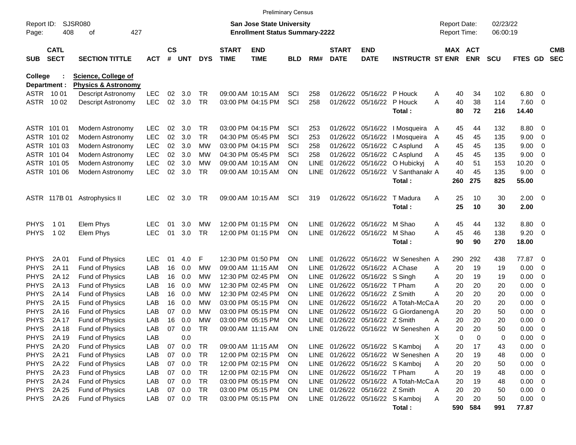|                            |                            |                                                              |            |                    |                  |                        |                             | <b>Preliminary Census</b>                                                 |                 |             |                             |                                |                                       |   |                                            |                       |                      |              |                          |                          |
|----------------------------|----------------------------|--------------------------------------------------------------|------------|--------------------|------------------|------------------------|-----------------------------|---------------------------------------------------------------------------|-----------------|-------------|-----------------------------|--------------------------------|---------------------------------------|---|--------------------------------------------|-----------------------|----------------------|--------------|--------------------------|--------------------------|
| Report ID:<br>Page:        | 408                        | SJSR080<br>427<br>οf                                         |            |                    |                  |                        |                             | <b>San Jose State University</b><br><b>Enrollment Status Summary-2222</b> |                 |             |                             |                                |                                       |   | <b>Report Date:</b><br><b>Report Time:</b> |                       | 02/23/22<br>06:00:19 |              |                          |                          |
| <b>SUB</b>                 | <b>CATL</b><br><b>SECT</b> | <b>SECTION TITTLE</b>                                        | <b>ACT</b> | $\mathsf{cs}$<br># | <b>UNT</b>       | <b>DYS</b>             | <b>START</b><br><b>TIME</b> | <b>END</b><br><b>TIME</b>                                                 | <b>BLD</b>      | RM#         | <b>START</b><br><b>DATE</b> | <b>END</b><br><b>DATE</b>      | <b>INSTRUCTR ST ENR</b>               |   |                                            | MAX ACT<br><b>ENR</b> | <b>SCU</b>           | FTES GD      |                          | <b>CMB</b><br><b>SEC</b> |
| College                    | Department :               | <b>Science, College of</b><br><b>Physics &amp; Astronomy</b> |            |                    |                  |                        |                             |                                                                           |                 |             |                             |                                |                                       |   |                                            |                       |                      |              |                          |                          |
|                            | ASTR 1001                  | Descript Astronomy                                           | <b>LEC</b> | 02                 | 3.0              | TR                     |                             | 09:00 AM 10:15 AM                                                         | SCI             | 258         | 01/26/22                    | 05/16/22                       | P Houck                               | A | 40                                         | 34                    | 102                  | 6.80         | $\overline{\mathbf{0}}$  |                          |
| ASTR                       | 10 02                      | Descript Astronomy                                           | <b>LEC</b> | 02                 | 3.0              | <b>TR</b>              |                             | 03:00 PM 04:15 PM                                                         | SCI             | 258         |                             | 01/26/22 05/16/22              | P Houck                               | A | 40                                         | 38                    | 114                  | 7.60         | $\overline{0}$           |                          |
|                            |                            |                                                              |            |                    |                  |                        |                             |                                                                           |                 |             |                             |                                | Total:                                |   | 80                                         | 72                    | 216                  | 14.40        |                          |                          |
|                            | ASTR 101 01                | Modern Astronomy                                             | <b>LEC</b> | 02                 | 3.0              | <b>TR</b>              |                             | 03:00 PM 04:15 PM                                                         | SCI             | 253         |                             | 01/26/22 05/16/22              | I Mosqueira                           | A | 45                                         | 44                    | 132                  | 8.80         | - 0                      |                          |
|                            | ASTR 101 02                | Modern Astronomy                                             | <b>LEC</b> | 02                 | 3.0              | <b>TR</b>              |                             | 04:30 PM 05:45 PM                                                         | SCI             | 253         | 01/26/22                    | 05/16/22                       | I Mosqueira                           | A | 45                                         | 45                    | 135                  | 9.00         | 0                        |                          |
|                            | ASTR 101 03                | Modern Astronomy                                             | <b>LEC</b> | 02                 | 3.0              | МW                     |                             | 03:00 PM 04:15 PM                                                         | SCI             | 258         | 01/26/22                    | 05/16/22                       | C Asplund                             | A | 45                                         | 45                    | 135                  | 9.00         | 0                        |                          |
|                            | ASTR 101 04                | Modern Astronomy                                             | <b>LEC</b> | 02                 | 3.0              | МW                     |                             | 04:30 PM 05:45 PM                                                         | SCI             | 258         | 01/26/22                    | 05/16/22                       | C Asplund                             | A | 45                                         | 45                    | 135                  | 9.00         | 0                        |                          |
|                            | ASTR 101 05                | Modern Astronomy                                             | <b>LEC</b> | 02                 | 3.0              | МW                     |                             | 09:00 AM 10:15 AM                                                         | <b>ON</b>       | <b>LINE</b> | 01/26/22                    | 05/16/22                       | O Hubickyj                            | Α | 40                                         | 51                    | 153                  | 10.20        | 0                        |                          |
|                            | ASTR 101 06                | Modern Astronomy                                             | <b>LEC</b> | 02                 | 3.0              | <b>TR</b>              |                             | 09:00 AM 10:15 AM                                                         | <b>ON</b>       | <b>LINE</b> |                             | 01/26/22 05/16/22              | V Santhanakr A                        |   | 40                                         | 45                    | 135                  | 9.00         | $\overline{0}$           |                          |
|                            |                            |                                                              |            |                    |                  |                        |                             |                                                                           |                 |             |                             |                                | Total:                                |   | 260                                        | 275                   | 825                  | 55.00        |                          |                          |
|                            | ASTR 117B 01               | Astrophysics II                                              | <b>LEC</b> | 02                 | 3.0              | <b>TR</b>              |                             | 09:00 AM 10:15 AM                                                         | SCI             | 319         |                             | 01/26/22 05/16/22              | T Madura                              | Α | 25                                         | 10                    | 30                   | 2.00         | $\overline{\mathbf{0}}$  |                          |
|                            |                            |                                                              |            |                    |                  |                        |                             |                                                                           |                 |             |                             |                                | Total:                                |   | 25                                         | 10                    | 30                   | 2.00         |                          |                          |
| <b>PHYS</b>                | 1 0 1                      | Elem Phys                                                    | <b>LEC</b> | 01                 | 3.0              | МW                     |                             | 12:00 PM 01:15 PM                                                         | <b>ON</b>       | <b>LINE</b> | 01/26/22                    | 05/16/22                       | M Shao                                | A | 45                                         | 44                    | 132                  | 8.80         | $\overline{\mathbf{0}}$  |                          |
| <b>PHYS</b>                | 1 0 2                      | Elem Phys                                                    | <b>LEC</b> | 01                 | 3.0              | <b>TR</b>              |                             | 12:00 PM 01:15 PM                                                         | <b>ON</b>       | <b>LINE</b> | 01/26/22 05/16/22           |                                | M Shao                                | Α | 45                                         | 46                    | 138                  | 9.20         | - 0                      |                          |
|                            |                            |                                                              |            |                    |                  |                        |                             |                                                                           |                 |             |                             |                                | Total:                                |   | 90                                         | 90                    | 270                  | 18.00        |                          |                          |
| <b>PHYS</b>                | 2A 01                      | Fund of Physics                                              | <b>LEC</b> | 01                 | 4.0              | F                      |                             | 12:30 PM 01:50 PM                                                         | <b>ON</b>       | LINE.       | 01/26/22                    | 05/16/22                       | W Seneshen A                          |   | 290                                        | 292                   | 438                  | 77.87        | - 0                      |                          |
| <b>PHYS</b>                | 2A 11                      | Fund of Physics                                              | LAB        | 16                 | 0.0              | МW                     |                             | 09:00 AM 11:15 AM                                                         | <b>ON</b>       | <b>LINE</b> | 01/26/22                    | 05/16/22                       | A Chase                               | A | 20                                         | 19                    | 19                   | 0.00         | 0                        |                          |
| <b>PHYS</b>                | 2A 12                      | Fund of Physics                                              | LAB        | 16                 | 0.0              | МW                     |                             | 12:30 PM 02:45 PM                                                         | ON              | <b>LINE</b> | 01/26/22                    | 05/16/22 S Singh               |                                       | A | 20                                         | 19                    | 19                   | 0.00         | 0                        |                          |
| <b>PHYS</b>                | 2A 13                      | Fund of Physics                                              | LAB        | 16                 | 0.0              | МW                     |                             | 12:30 PM 02:45 PM                                                         | <b>ON</b>       | <b>LINE</b> | 01/26/22                    | 05/16/22                       | T Pham                                | A | 20                                         | 20                    | 20                   | 0.00         | 0                        |                          |
| <b>PHYS</b>                | 2A 14                      | Fund of Physics                                              | LAB        | 16                 | 0.0              | МW                     |                             | 12:30 PM 02:45 PM                                                         | <b>ON</b>       | <b>LINE</b> | 01/26/22                    | 05/16/22                       | Z Smith                               | Α | 20                                         | 20                    | 20                   | 0.00         | 0                        |                          |
| <b>PHYS</b>                | 2A 15                      | Fund of Physics                                              | LAB        | 16                 | 0.0              | МW                     |                             | 03:00 PM 05:15 PM                                                         | <b>ON</b>       | <b>LINE</b> | 01/26/22                    | 05/16/22                       | A Totah-McCa A                        |   | 20                                         | 20                    | 20                   | 0.00         | 0                        |                          |
| <b>PHYS</b>                | 2A 16                      | Fund of Physics                                              | LAB        | 07                 | 0.0              | МW                     |                             | 03:00 PM 05:15 PM                                                         | ON              | <b>LINE</b> | 01/26/22                    | 05/16/22                       | G Giordaneng A                        |   | 20                                         | 20                    | 50                   | 0.00         | 0                        |                          |
| <b>PHYS</b>                | 2A 17                      | Fund of Physics                                              | LAB        | 16                 | 0.0              | МW                     |                             | 03:00 PM 05:15 PM                                                         | <b>ON</b>       | <b>LINE</b> | 01/26/22                    | 05/16/22                       | Z Smith                               | A | 20                                         | 20                    | 20                   | 0.00         | 0                        |                          |
| <b>PHYS</b>                | 2A 18                      | <b>Fund of Physics</b>                                       | LAB        | 07                 | 0.0              | <b>TR</b>              |                             | 09:00 AM 11:15 AM                                                         | <b>ON</b>       |             |                             |                                | LINE 01/26/22 05/16/22 W Seneshen A   |   | 20                                         | 20                    | 50                   | 0.00         | $\mathbf 0$              |                          |
| <b>PHYS</b>                | 2A 19                      | Fund of Physics                                              | LAB        |                    | 0.0              |                        |                             |                                                                           |                 |             |                             |                                |                                       | X | 0                                          | 0                     | 0                    | 0.00         | $\overline{\mathbf{0}}$  |                          |
| <b>PHYS</b>                | 2A 20                      | Fund of Physics                                              | LAB        | 07                 | 0.0              | TR                     |                             | 09:00 AM 11:15 AM                                                         | <b>ON</b>       |             |                             |                                | LINE 01/26/22 05/16/22 S Kamboj       | Α | 20                                         | 17                    | 43                   | 0.00         | $\overline{\phantom{0}}$ |                          |
| <b>PHYS</b>                | 2A 21                      | Fund of Physics                                              | LAB        |                    | 07 0.0<br>07 0.0 | <b>TR</b><br><b>TR</b> |                             | 12:00 PM 02:15 PM                                                         | <b>ON</b>       |             |                             |                                | LINE 01/26/22 05/16/22 W Seneshen A   |   | 20                                         | 19                    | 48                   | 0.00         | $\overline{\phantom{0}}$ |                          |
| <b>PHYS</b>                | 2A 22                      | Fund of Physics                                              | LAB        |                    | 07 0.0           | <b>TR</b>              |                             | 12:00 PM 02:15 PM<br>12:00 PM 02:15 PM                                    | <b>ON</b>       |             |                             |                                | LINE 01/26/22 05/16/22 S Kamboj       | A | 20                                         | 20                    | 50                   | 0.00         | $\overline{\phantom{0}}$ |                          |
| <b>PHYS</b><br><b>PHYS</b> | 2A 23<br>2A 24             | Fund of Physics                                              | LAB<br>LAB |                    | 07 0.0           | <b>TR</b>              |                             | 03:00 PM 05:15 PM                                                         | <b>ON</b>       |             |                             | LINE 01/26/22 05/16/22 T Pham  | LINE 01/26/22 05/16/22 A Totah-McCa A | Α | 20                                         | 19<br>19              | 48                   | 0.00<br>0.00 | $\overline{\phantom{0}}$ |                          |
| <b>PHYS</b>                | 2A 25                      | Fund of Physics<br>Fund of Physics                           | LAB        |                    | 07 0.0           | <b>TR</b>              |                             | 03:00 PM 05:15 PM                                                         | <b>ON</b><br>ON |             |                             | LINE 01/26/22 05/16/22 Z Smith |                                       | Α | 20<br>20                                   | 20                    | 48<br>50             | $0.00 \t 0$  | $\overline{\phantom{0}}$ |                          |
| <b>PHYS</b>                | 2A 26                      | Fund of Physics                                              | LAB        |                    | 07 0.0           | TR                     |                             | 03:00 PM 05:15 PM                                                         | <b>ON</b>       |             |                             |                                | LINE 01/26/22 05/16/22 S Kamboj       | A | 20                                         | 20                    | 50                   | $0.00 \t 0$  |                          |                          |
|                            |                            |                                                              |            |                    |                  |                        |                             |                                                                           |                 |             |                             |                                | Total:                                |   |                                            | 590 584               | 991                  | 77.87        |                          |                          |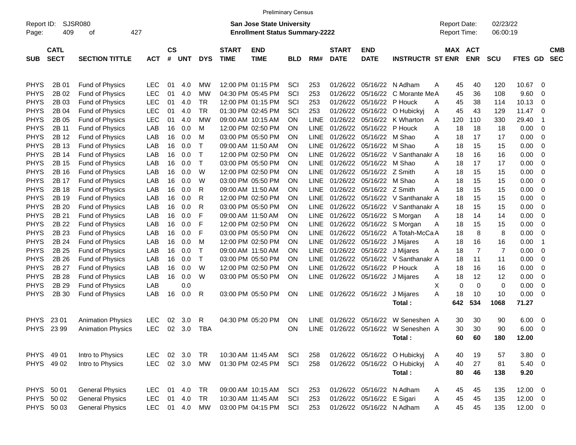|                     |                            |                          |            |                    |            |            |                             | <b>Preliminary Census</b>                                                 |            |             |                             |                            |                              |   |                                     |                |                      |              |                         |                          |
|---------------------|----------------------------|--------------------------|------------|--------------------|------------|------------|-----------------------------|---------------------------------------------------------------------------|------------|-------------|-----------------------------|----------------------------|------------------------------|---|-------------------------------------|----------------|----------------------|--------------|-------------------------|--------------------------|
| Report ID:<br>Page: | 409                        | SJSR080<br>427<br>οf     |            |                    |            |            |                             | <b>San Jose State University</b><br><b>Enrollment Status Summary-2222</b> |            |             |                             |                            |                              |   | <b>Report Date:</b><br>Report Time: |                | 02/23/22<br>06:00:19 |              |                         |                          |
| <b>SUB</b>          | <b>CATL</b><br><b>SECT</b> | <b>SECTION TITTLE</b>    | <b>ACT</b> | $\mathsf{cs}$<br># | <b>UNT</b> | <b>DYS</b> | <b>START</b><br><b>TIME</b> | <b>END</b><br><b>TIME</b>                                                 | <b>BLD</b> | RM#         | <b>START</b><br><b>DATE</b> | <b>END</b><br><b>DATE</b>  | <b>INSTRUCTR ST ENR</b>      |   | MAX ACT                             | <b>ENR</b>     | <b>SCU</b>           | FTES GD      |                         | <b>CMB</b><br><b>SEC</b> |
| <b>PHYS</b>         | 2B 01                      | Fund of Physics          | <b>LEC</b> | 01                 | 4.0        | МW         |                             | 12:00 PM 01:15 PM                                                         | SCI        | 253         | 01/26/22                    | 05/16/22                   | N Adham                      | A | 45                                  | 40             | 120                  | 10.67        | - 0                     |                          |
| <b>PHYS</b>         | 2B 02                      | Fund of Physics          | <b>LEC</b> | 01                 | 4.0        | МW         |                             | 04:30 PM 05:45 PM                                                         | SCI        | 253         | 01/26/22                    | 05/16/22                   | C Morante MeA                |   | 45                                  | 36             | 108                  | 9.60         | $\mathbf 0$             |                          |
| <b>PHYS</b>         | 2B 03                      | Fund of Physics          | <b>LEC</b> | 01                 | 4.0        | <b>TR</b>  |                             | 12:00 PM 01:15 PM                                                         | SCI        | 253         | 01/26/22                    | 05/16/22                   | P Houck                      | A | 45                                  | 38             | 114                  | 10.13        | 0                       |                          |
| <b>PHYS</b>         | 2B 04                      | Fund of Physics          | <b>LEC</b> | 01                 | 4.0        | <b>TR</b>  |                             | 01:30 PM 02:45 PM                                                         | SCI        | 253         | 01/26/22                    | 05/16/22                   | O Hubickyj                   | Α | 45                                  | 43             | 129                  | 11.47        | $\mathbf 0$             |                          |
| <b>PHYS</b>         | 2B 05                      | Fund of Physics          | <b>LEC</b> | 01                 | 4.0        | МW         |                             | 09:00 AM 10:15 AM                                                         | ON         | <b>LINE</b> | 01/26/22                    | 05/16/22                   | K Wharton                    | A | 120                                 | 110            | 330                  | 29.40        | $\overline{\mathbf{1}}$ |                          |
| <b>PHYS</b>         | 2B 11                      | Fund of Physics          | LAB        | 16                 | 0.0        | M          |                             | 12:00 PM 02:50 PM                                                         | ON         | <b>LINE</b> | 01/26/22                    | 05/16/22                   | P Houck                      | A | 18                                  | 18             | 18                   | 0.00         | $\overline{0}$          |                          |
| <b>PHYS</b>         | 2B 12                      | Fund of Physics          | LAB        | 16                 | 0.0        | м          |                             | 03:00 PM 05:50 PM                                                         | ON         | <b>LINE</b> | 01/26/22                    | 05/16/22                   | M Shao                       | A | 18                                  | 17             | 17                   | 0.00         | $\overline{0}$          |                          |
| <b>PHYS</b>         | 2B 13                      | Fund of Physics          | LAB        | 16                 | 0.0        | Т          |                             | 09:00 AM 11:50 AM                                                         | ON         | <b>LINE</b> | 01/26/22                    | 05/16/22                   | M Shao                       | Α | 18                                  | 15             | 15                   | 0.00         | $\mathbf 0$             |                          |
| <b>PHYS</b>         | 2B 14                      | Fund of Physics          | LAB        | 16                 | 0.0        | Т          |                             | 12:00 PM 02:50 PM                                                         | ON         | <b>LINE</b> | 01/26/22                    | 05/16/22                   | V Santhanakr A               |   | 18                                  | 16             | 16                   | 0.00         | $\mathbf 0$             |                          |
| <b>PHYS</b>         | 2B 15                      | Fund of Physics          | LAB        | 16                 | 0.0        | Т          |                             | 03:00 PM 05:50 PM                                                         | ON         | <b>LINE</b> | 01/26/22                    | 05/16/22                   | M Shao                       | A | 18                                  | 17             | 17                   | 0.00         | $\mathbf 0$             |                          |
| <b>PHYS</b>         | 2B 16                      | Fund of Physics          | LAB        | 16                 | 0.0        | W          |                             | 12:00 PM 02:50 PM                                                         | ON         | <b>LINE</b> | 01/26/22                    | 05/16/22                   | Z Smith                      | A | 18                                  | 15             | 15                   | 0.00         | $\mathbf 0$             |                          |
| <b>PHYS</b>         | 2B 17                      | Fund of Physics          | LAB        | 16                 | 0.0        | W          |                             | 03:00 PM 05:50 PM                                                         | ON         | <b>LINE</b> | 01/26/22                    | 05/16/22                   | M Shao                       | A | 18                                  | 15             | 15                   | 0.00         | $\mathbf 0$             |                          |
| <b>PHYS</b>         | 2B 18                      | Fund of Physics          | LAB        | 16                 | 0.0        | R          |                             | 09:00 AM 11:50 AM                                                         | ON         | <b>LINE</b> | 01/26/22                    | 05/16/22                   | Z Smith                      | A | 18                                  | 15             | 15                   | 0.00         | $\mathbf 0$             |                          |
| <b>PHYS</b>         | 2B 19                      | Fund of Physics          | LAB        | 16                 | 0.0        | R          |                             | 12:00 PM 02:50 PM                                                         | ON         | <b>LINE</b> | 01/26/22                    | 05/16/22                   | V Santhanakr A               |   | 18                                  | 15             | 15                   | 0.00         | $\mathbf 0$             |                          |
| <b>PHYS</b>         | 2B 20                      | Fund of Physics          | LAB        | 16                 | 0.0        | R          |                             | 03:00 PM 05:50 PM                                                         | ON         | <b>LINE</b> | 01/26/22                    | 05/16/22                   | V Santhanakr A               |   | 18                                  | 15             | 15                   | 0.00         | $\mathbf 0$             |                          |
| <b>PHYS</b>         | 2B 21                      | Fund of Physics          | LAB        | 16                 | 0.0        | F          |                             | 09:00 AM 11:50 AM                                                         | ON         | <b>LINE</b> | 01/26/22                    | 05/16/22                   | S Morgan                     | A | 18                                  | 14             | 14                   | 0.00         | $\mathbf 0$             |                          |
| <b>PHYS</b>         | 2B 22                      | Fund of Physics          | LAB        | 16                 | 0.0        | F          |                             | 12:00 PM 02:50 PM                                                         | ON         | <b>LINE</b> | 01/26/22                    | 05/16/22                   | S Morgan                     | Α | 18                                  | 15             | 15                   | 0.00         | $\mathbf 0$             |                          |
| <b>PHYS</b>         | 2B 23                      | Fund of Physics          | LAB        | 16                 | 0.0        | F          |                             | 03:00 PM 05:50 PM                                                         | ON         | <b>LINE</b> | 01/26/22                    | 05/16/22                   | A Totah-McCa A               |   | 18                                  | 8              | 8                    | 0.00         | $\mathbf 0$             |                          |
| <b>PHYS</b>         | 2B 24                      | Fund of Physics          | LAB        | 16                 | 0.0        | м          |                             | 12:00 PM 02:50 PM                                                         | ON         | LINE        | 01/26/22                    | 05/16/22                   | J Mijares                    | A | 18                                  | 16             | 16                   | 0.00         | -1                      |                          |
| <b>PHYS</b>         | 2B 25                      | Fund of Physics          | LAB        | 16                 | 0.0        | Т          |                             | 09:00 AM 11:50 AM                                                         | ON         | LINE        | 01/26/22                    | 05/16/22                   | J Mijares                    | Α | 18                                  | $\overline{7}$ | $\overline{7}$       | 0.00         | $\mathbf 0$             |                          |
| <b>PHYS</b>         | 2B 26                      | Fund of Physics          | LAB        | 16                 | 0.0        | Т          |                             | 03:00 PM 05:50 PM                                                         | ON         | <b>LINE</b> | 01/26/22                    | 05/16/22                   | V Santhanakr A               |   | 18                                  | 11             | 11                   | 0.00         | $\mathbf 0$             |                          |
| <b>PHYS</b>         | 2B 27                      | Fund of Physics          | LAB        | 16                 | 0.0        | W          |                             | 12:00 PM 02:50 PM                                                         | ON         | <b>LINE</b> | 01/26/22                    | 05/16/22                   | P Houck                      | A | 18                                  | 16             | 16                   | 0.00         | $\mathbf 0$             |                          |
| <b>PHYS</b>         | 2B 28                      | Fund of Physics          | LAB        | 16                 | 0.0        | W          |                             | 03:00 PM 05:50 PM                                                         | ON         | LINE        | 01/26/22                    | 05/16/22                   | J Mijares                    | Α | 18                                  | 12             | 12                   | 0.00         | $\overline{0}$          |                          |
| <b>PHYS</b>         | 2B 29                      | Fund of Physics          | LAB        |                    | 0.0        |            |                             |                                                                           |            |             |                             |                            |                              | X | $\Omega$                            | $\mathbf 0$    | 0                    | 0.00         | $\mathbf 0$             |                          |
| <b>PHYS</b>         | 2B 30                      | <b>Fund of Physics</b>   | LAB        | 16                 | 0.0        | R          |                             | 03:00 PM 05:50 PM                                                         | <b>ON</b>  | <b>LINE</b> | 01/26/22                    | 05/16/22                   | J Mijares                    | A | 18                                  | 10             | 10                   | 0.00         | $\overline{0}$          |                          |
|                     |                            |                          |            |                    |            |            |                             |                                                                           |            |             |                             |                            | Total:                       |   | 642                                 | 534            | 1068                 | 71.27        |                         |                          |
| <b>PHYS</b>         | 23 01                      | <b>Animation Physics</b> | <b>LEC</b> | 02                 | 3.0        | R          |                             | 04:30 PM 05:20 PM                                                         | <b>ON</b>  | LINE.       | 01/26/22                    | 05/16/22                   | W Seneshen A                 |   | 30                                  | 30             | 90                   | 6.00         | - 0                     |                          |
| <b>PHYS</b>         | 23 99                      | <b>Animation Physics</b> | <b>LEC</b> | 02                 | 3.0        | <b>TBA</b> |                             |                                                                           | ON         | LINE        |                             | 01/26/22 05/16/22          | W Seneshen A                 |   | 30                                  | 30             | 90                   | 6.00         | 0                       |                          |
|                     |                            |                          |            |                    |            |            |                             |                                                                           |            |             |                             |                            | Total:                       |   | 60                                  | 60             | 180                  | 12.00        |                         |                          |
| PHYS 49 01          |                            | Intro to Physics         | <b>LEC</b> |                    | 02 3.0     | <b>TR</b>  |                             | 10:30 AM 11:45 AM                                                         | SCI        | 258         |                             |                            | 01/26/22 05/16/22 O Hubickyj | A | 40                                  | 19             | 57                   | $3.80\ 0$    |                         |                          |
|                     | PHYS 49 02                 | Intro to Physics         | <b>LEC</b> |                    | 02 3.0     | <b>MW</b>  |                             | 01:30 PM 02:45 PM                                                         | SCI        | 258         |                             |                            | 01/26/22 05/16/22 O Hubickyj | A | 40                                  | 27             | 81                   | 5.40 0       |                         |                          |
|                     |                            |                          |            |                    |            |            |                             |                                                                           |            |             |                             |                            | Total:                       |   | 80                                  | 46             | 138                  | 9.20         |                         |                          |
| PHYS 50 01          |                            | <b>General Physics</b>   | <b>LEC</b> | 01                 | 4.0        | <b>TR</b>  |                             | 09:00 AM 10:15 AM                                                         | SCI        | 253         |                             |                            | 01/26/22 05/16/22 N Adham    | A | 45                                  | 45             | 135                  | $12.00 \t 0$ |                         |                          |
|                     | PHYS 50 02                 | <b>General Physics</b>   | <b>LEC</b> | 01                 | 4.0        | <b>TR</b>  |                             | 10:30 AM 11:45 AM                                                         | SCI        | 253         |                             | 01/26/22 05/16/22 E Sigari |                              | A | 45                                  | 45             | 135                  | $12.00 \t 0$ |                         |                          |
|                     | PHYS 50 03                 | <b>General Physics</b>   | LEC 01 4.0 |                    |            | <b>MW</b>  |                             | 03:00 PM 04:15 PM                                                         | SCI        | 253         |                             |                            | 01/26/22 05/16/22 N Adham    | A | 45                                  | 45             | 135                  | $12.00 \t 0$ |                         |                          |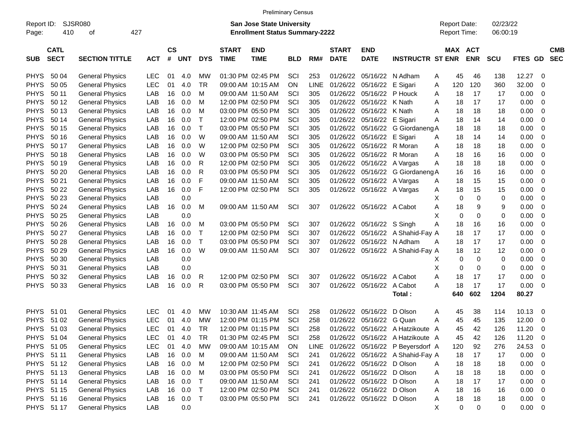|             |                            |                        |            |                    |            |              |                             | <b>Preliminary Census</b>             |            |             |                             |                           |                                  |   |                     |                       |            |                |                |                          |
|-------------|----------------------------|------------------------|------------|--------------------|------------|--------------|-----------------------------|---------------------------------------|------------|-------------|-----------------------------|---------------------------|----------------------------------|---|---------------------|-----------------------|------------|----------------|----------------|--------------------------|
| Report ID:  |                            | <b>SJSR080</b>         |            |                    |            |              |                             | San Jose State University             |            |             |                             |                           |                                  |   | <b>Report Date:</b> |                       | 02/23/22   |                |                |                          |
| Page:       | 410                        | 427<br>οf              |            |                    |            |              |                             | <b>Enrollment Status Summary-2222</b> |            |             |                             |                           |                                  |   | Report Time:        |                       | 06:00:19   |                |                |                          |
|             |                            |                        |            |                    |            |              |                             |                                       |            |             |                             |                           |                                  |   |                     |                       |            |                |                |                          |
| <b>SUB</b>  | <b>CATL</b><br><b>SECT</b> | <b>SECTION TITTLE</b>  | <b>ACT</b> | $\mathsf{cs}$<br># | <b>UNT</b> | <b>DYS</b>   | <b>START</b><br><b>TIME</b> | <b>END</b><br><b>TIME</b>             | <b>BLD</b> | RM#         | <b>START</b><br><b>DATE</b> | <b>END</b><br><b>DATE</b> | <b>INSTRUCTR ST ENR</b>          |   |                     | MAX ACT<br><b>ENR</b> | <b>SCU</b> | <b>FTES GD</b> |                | <b>CMB</b><br><b>SEC</b> |
|             |                            |                        |            |                    |            |              |                             |                                       |            |             |                             |                           |                                  |   |                     |                       |            |                |                |                          |
| <b>PHYS</b> | 50 04                      | <b>General Physics</b> | <b>LEC</b> | 01                 | 4.0        | MW           |                             | 01:30 PM 02:45 PM                     | SCI        | 253         | 01/26/22                    | 05/16/22                  | N Adham                          | A | 45                  | 46                    | 138        | 12.27          | 0              |                          |
| <b>PHYS</b> | 50 05                      | <b>General Physics</b> | <b>LEC</b> | 01                 | 4.0        | <b>TR</b>    |                             | 09:00 AM 10:15 AM                     | ON         | <b>LINE</b> | 01/26/22                    | 05/16/22                  | E Sigari                         | Α | 120                 | 120                   | 360        | 32.00          | 0              |                          |
| <b>PHYS</b> | 50 11                      | <b>General Physics</b> | LAB        | 16                 | 0.0        | M            |                             | 09:00 AM 11:50 AM                     | SCI        | 305         | 01/26/22                    | 05/16/22                  | P Houck                          | Α | 18                  | 17                    | 17         | 0.00           | 0              |                          |
| <b>PHYS</b> | 50 12                      | <b>General Physics</b> | LAB        | 16                 | 0.0        | M            |                             | 12:00 PM 02:50 PM                     | SCI        | 305         | 01/26/22                    | 05/16/22                  | K Nath                           | A | 18                  | 17                    | 17         | 0.00           | 0              |                          |
| <b>PHYS</b> | 50 13                      | <b>General Physics</b> | LAB        | 16                 | 0.0        | M            |                             | 03:00 PM 05:50 PM                     | SCI        | 305         | 01/26/22                    | 05/16/22                  | K Nath                           | A | 18                  | 18                    | 18         | 0.00           | 0              |                          |
| <b>PHYS</b> | 50 14                      | <b>General Physics</b> | LAB        | 16                 | 0.0        | Τ            |                             | 12:00 PM 02:50 PM                     | SCI        | 305         | 01/26/22                    | 05/16/22                  | E Sigari                         | A | 18                  | 14                    | 14         | 0.00           | 0              |                          |
| <b>PHYS</b> | 50 15                      | <b>General Physics</b> | LAB        | 16                 | 0.0        | $\mathsf{T}$ |                             | 03:00 PM 05:50 PM                     | SCI        | 305         | 01/26/22                    | 05/16/22                  | G Giordaneng A                   |   | 18                  | 18                    | 18         | 0.00           | 0              |                          |
| <b>PHYS</b> | 50 16                      | <b>General Physics</b> | LAB        | 16                 | 0.0        | W            |                             | 09:00 AM 11:50 AM                     | SCI        | 305         | 01/26/22                    | 05/16/22                  | E Sigari                         | A | 18                  | 14                    | 14         | 0.00           | 0              |                          |
| <b>PHYS</b> | 50 17                      | <b>General Physics</b> | LAB        | 16                 | 0.0        | W            |                             | 12:00 PM 02:50 PM                     | SCI        | 305         | 01/26/22                    | 05/16/22                  | R Moran                          | A | 18                  | 18                    | 18         | 0.00           | 0              |                          |
| <b>PHYS</b> | 50 18                      | <b>General Physics</b> | LAB        | 16                 | 0.0        | W            |                             | 03:00 PM 05:50 PM                     | SCI        | 305         | 01/26/22                    | 05/16/22                  | R Moran                          | Α | 18                  | 16                    | 16         | 0.00           | 0              |                          |
| <b>PHYS</b> | 50 19                      | <b>General Physics</b> | LAB        | 16                 | 0.0        | R            |                             | 12:00 PM 02:50 PM                     | SCI        | 305         | 01/26/22                    | 05/16/22                  | A Vargas                         | Α | 18                  | 18                    | 18         | 0.00           | 0              |                          |
| <b>PHYS</b> | 50 20                      | <b>General Physics</b> | LAB        | 16                 | 0.0        | R            |                             | 03:00 PM 05:50 PM                     | SCI        | 305         | 01/26/22                    | 05/16/22                  | G Giordaneng A                   |   | 16                  | 16                    | 16         | 0.00           | 0              |                          |
| <b>PHYS</b> | 50 21                      | <b>General Physics</b> | LAB        | 16                 | 0.0        | F            |                             | 09:00 AM 11:50 AM                     | SCI        | 305         | 01/26/22                    | 05/16/22                  | A Vargas                         | A | 18                  | 15                    | 15         | 0.00           | 0              |                          |
| <b>PHYS</b> | 50 22                      | <b>General Physics</b> | LAB        | 16                 | 0.0        | F            |                             | 12:00 PM 02:50 PM                     | SCI        | 305         | 01/26/22                    | 05/16/22                  | A Vargas                         | A | 18                  | 15                    | 15         | 0.00           | 0              |                          |
| <b>PHYS</b> | 50 23                      | <b>General Physics</b> | LAB        |                    | 0.0        |              |                             |                                       |            |             |                             |                           |                                  | х | 0                   | 0                     | 0          | 0.00           | 0              |                          |
| <b>PHYS</b> | 50 24                      | <b>General Physics</b> | LAB        | 16                 | 0.0        | M            |                             | 09:00 AM 11:50 AM                     | SCI        | 307         | 01/26/22                    | 05/16/22 A Cabot          |                                  | Α | 18                  | 9                     | 9          | 0.00           | 0              |                          |
| <b>PHYS</b> | 50 25                      | <b>General Physics</b> | LAB        |                    | 0.0        |              |                             |                                       |            |             |                             |                           |                                  | X | 0                   | $\mathbf 0$           | 0          | 0.00           | 0              |                          |
| <b>PHYS</b> | 50 26                      | <b>General Physics</b> | LAB        | 16                 | 0.0        | M            |                             | 03:00 PM 05:50 PM                     | SCI        | 307         | 01/26/22                    | 05/16/22                  |                                  | Α | 18                  | 16                    | 16         | 0.00           | 0              |                          |
| <b>PHYS</b> | 50 27                      |                        | LAB        | 16                 | 0.0        | Τ            |                             | 12:00 PM 02:50 PM                     | SCI        | 307         | 01/26/22                    | 05/16/22                  | S Singh<br>A Shahid-Fay A        |   | 18                  | 17                    | 17         | 0.00           |                |                          |
|             |                            | <b>General Physics</b> |            |                    |            | т            |                             |                                       |            |             |                             |                           |                                  |   |                     | 17                    |            |                | 0              |                          |
| <b>PHYS</b> | 50 28                      | <b>General Physics</b> | LAB        | 16                 | 0.0        | W            |                             | 03:00 PM 05:50 PM                     | SCI        | 307         | 01/26/22                    | 05/16/22                  | N Adham                          | Α | 18                  |                       | 17         | 0.00           | 0              |                          |
| <b>PHYS</b> | 50 29                      | <b>General Physics</b> | LAB        | 16                 | 0.0        |              |                             | 09:00 AM 11:50 AM                     | SCI        | 307         | 01/26/22                    | 05/16/22                  | A Shahid-Fay A                   |   | 18                  | 12                    | 12         | 0.00           | 0              |                          |
| <b>PHYS</b> | 50 30                      | <b>General Physics</b> | LAB        |                    | 0.0        |              |                             |                                       |            |             |                             |                           |                                  | X | 0                   | 0                     | 0          | 0.00           | 0              |                          |
| <b>PHYS</b> | 50 31                      | <b>General Physics</b> | LAB        |                    | 0.0        |              |                             |                                       |            |             |                             |                           |                                  | X | 0                   | 0                     | 0          | 0.00           | 0              |                          |
| <b>PHYS</b> | 50 32                      | <b>General Physics</b> | LAB        | 16                 | 0.0        | R            |                             | 12:00 PM 02:50 PM                     | SCI        | 307         | 01/26/22                    | 05/16/22                  | A Cabot                          | Α | 18                  | 17                    | 17         | 0.00           | 0              |                          |
| <b>PHYS</b> | 50 33                      | <b>General Physics</b> | LAB        | 16                 | 0.0        | R            |                             | 03:00 PM 05:50 PM                     | SCI        | 307         | 01/26/22                    | 05/16/22                  | A Cabot                          | Α | 18                  | 17                    | 17         | 0.00           | 0              |                          |
|             |                            |                        |            |                    |            |              |                             |                                       |            |             |                             |                           | Total:                           |   | 640                 | 602                   | 1204       | 80.27          |                |                          |
| <b>PHYS</b> | 51 01                      | <b>General Physics</b> | <b>LEC</b> | 01                 | 4.0        | MW           |                             | 10:30 AM 11:45 AM                     | SCI        | 258         | 01/26/22                    | 05/16/22                  | D Olson                          | A | 45                  | 38                    | 114        | 10.13          | 0              |                          |
| <b>PHYS</b> | 51 02                      | <b>General Physics</b> | <b>LEC</b> | 01                 | 4.0        | MW           |                             | 12:00 PM 01:15 PM                     | SCI        | 258         | 01/26/22                    | 05/16/22                  | G Quan                           | A | 45                  | 45                    | 135        | 12.00          | 0              |                          |
| PHYS 51 03  |                            |                        | <b>LEC</b> | 01                 | 4.0        | <b>TR</b>    |                             | 12:00 PM 01:15 PM                     | SCI        | 258         | 01/26/22                    | 05/16/22                  | A Hatzikoute A                   |   | 45                  | 42                    | 126        | 11.20          | 0              |                          |
|             |                            | <b>General Physics</b> |            |                    |            |              |                             |                                       |            |             |                             |                           |                                  |   |                     |                       |            |                |                |                          |
| PHYS 51 04  |                            | <b>General Physics</b> | LEC        | 01                 | 4.0        | <b>TR</b>    |                             | 01:30 PM 02:45 PM                     | SCI        | 258         |                             |                           | 01/26/22 05/16/22 A Hatzikoute A |   | 45                  | 42                    | 126        | 11.20          | $\overline{0}$ |                          |
| PHYS 51 05  |                            | <b>General Physics</b> | <b>LEC</b> | 01                 | 4.0        | MW           |                             | 09:00 AM 10:15 AM                     | <b>ON</b>  | LINE        |                             |                           | 01/26/22 05/16/22 P Beyersdorf A |   | 120                 | 92                    | 276        | 24.53          | 0              |                          |
| PHYS 51 11  |                            | <b>General Physics</b> | LAB        | 16                 | 0.0        | M            |                             | 09:00 AM 11:50 AM                     | SCI        | 241         |                             |                           | 01/26/22 05/16/22 A Shahid-Fay A |   | 18                  | 17                    | 17         | 0.00           | 0              |                          |
| PHYS 51 12  |                            | <b>General Physics</b> | LAB        | 16                 | 0.0        | M            |                             | 12:00 PM 02:50 PM                     | SCI        | 241         |                             | 01/26/22 05/16/22         | D Olson                          | Α | 18                  | 18                    | 18         | 0.00           | $\mathbf 0$    |                          |
| PHYS 51 13  |                            | <b>General Physics</b> | LAB        | 16                 | 0.0        | M            |                             | 03:00 PM 05:50 PM                     | SCI        | 241         |                             | 01/26/22 05/16/22         | D Olson                          | Α | 18                  | 18                    | 18         | 0.00           | $\mathbf 0$    |                          |
| PHYS 51 14  |                            | <b>General Physics</b> | LAB        | 16                 | 0.0        | $\mathsf T$  |                             | 09:00 AM 11:50 AM                     | SCI        | 241         |                             | 01/26/22 05/16/22         | D Olson                          | Α | 18                  | 17                    | 17         | 0.00           | $\mathbf 0$    |                          |
| PHYS 51 15  |                            | <b>General Physics</b> | LAB        | 16                 | 0.0        | $\top$       |                             | 12:00 PM 02:50 PM                     | SCI        | 241         | 01/26/22                    | 05/16/22                  | D Olson                          | Α | 18                  | 16                    | 16         | 0.00           | $\mathbf 0$    |                          |
| PHYS 51 16  |                            | <b>General Physics</b> | LAB        | 16                 | 0.0        | $\top$       |                             | 03:00 PM 05:50 PM                     | SCI        | 241         | 01/26/22                    | 05/16/22                  | D Olson                          | Α | 18                  | 18                    | 18         | 0.00           | 0              |                          |
| PHYS 51 17  |                            | <b>General Physics</b> | LAB        |                    | 0.0        |              |                             |                                       |            |             |                             |                           |                                  | X | 0                   | $\mathbf 0$           | 0          | 0.00           | $\mathbf 0$    |                          |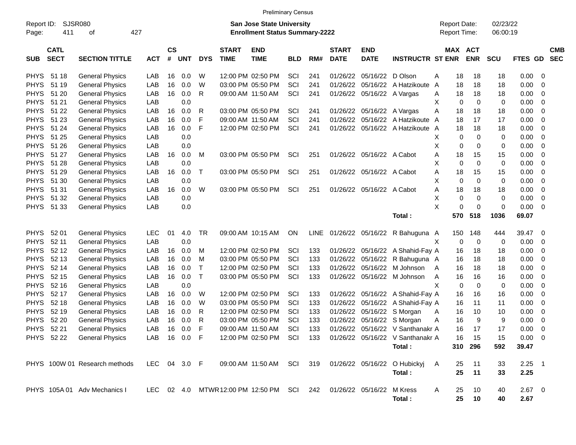| <b>Preliminary Census</b>                                 |                            |                               |              |                                                                           |            |              |                             |                                                                    |            |     |                             |                           |                                                            |                                     |             |             |                      |                |                |                          |
|-----------------------------------------------------------|----------------------------|-------------------------------|--------------|---------------------------------------------------------------------------|------------|--------------|-----------------------------|--------------------------------------------------------------------|------------|-----|-----------------------------|---------------------------|------------------------------------------------------------|-------------------------------------|-------------|-------------|----------------------|----------------|----------------|--------------------------|
| <b>SJSR080</b><br>Report ID:<br>427<br>411<br>Page:<br>οf |                            |                               |              | <b>San Jose State University</b><br><b>Enrollment Status Summary-2222</b> |            |              |                             |                                                                    |            |     |                             |                           |                                                            | <b>Report Date:</b><br>Report Time: |             |             | 02/23/22<br>06:00:19 |                |                |                          |
| <b>SUB</b>                                                | <b>CATL</b><br><b>SECT</b> | <b>SECTION TITTLE</b>         | <b>ACT</b>   | $\mathsf{cs}$<br>#                                                        | <b>UNT</b> | <b>DYS</b>   | <b>START</b><br><b>TIME</b> | <b>END</b><br><b>TIME</b>                                          | <b>BLD</b> | RM# | <b>START</b><br><b>DATE</b> | <b>END</b><br><b>DATE</b> | <b>INSTRUCTR ST ENR</b>                                    |                                     | MAX ACT     | <b>ENR</b>  | <b>SCU</b>           | FTES GD        |                | <b>CMB</b><br><b>SEC</b> |
| <b>PHYS</b>                                               | 51 18                      | <b>General Physics</b>        | LAB          | 16                                                                        | 0.0        | W            |                             | 12:00 PM 02:50 PM                                                  | SCI        | 241 | 01/26/22                    | 05/16/22                  | D Olson                                                    | A                                   | 18          | 18          | 18                   | 0.00           | - 0            |                          |
| <b>PHYS</b>                                               | 51 19                      | <b>General Physics</b>        | LAB          | 16                                                                        | 0.0        | W            |                             | 03:00 PM 05:50 PM                                                  | SCI        | 241 | 01/26/22                    | 05/16/22                  | A Hatzikoute                                               | A                                   | 18          | 18          | 18                   | 0.00           | 0              |                          |
| <b>PHYS</b>                                               | 51 20                      | <b>General Physics</b>        | LAB          | 16                                                                        | 0.0        | R            |                             | 09:00 AM 11:50 AM                                                  | SCI        | 241 | 01/26/22                    | 05/16/22                  | A Vargas                                                   | A                                   | 18          | 18          | 18                   | 0.00           | 0              |                          |
| <b>PHYS</b>                                               | 51 21                      | <b>General Physics</b>        | LAB          |                                                                           | 0.0        |              |                             |                                                                    |            |     |                             |                           |                                                            | X                                   | 0           | 0           | 0                    | 0.00           | 0              |                          |
| <b>PHYS</b>                                               | 51 22                      | <b>General Physics</b>        | LAB          | 16                                                                        | 0.0        | R            |                             | 03:00 PM 05:50 PM                                                  | SCI        | 241 | 01/26/22                    |                           | 05/16/22 A Vargas                                          | A                                   | 18          | 18          | 18                   | 0.00           | $\mathbf 0$    |                          |
| <b>PHYS</b>                                               | 51 23                      | <b>General Physics</b>        | LAB          | 16                                                                        | 0.0        | F            |                             | 09:00 AM 11:50 AM                                                  | SCI        | 241 | 01/26/22                    | 05/16/22                  | A Hatzikoute                                               | A                                   | 18          | 17          | 17                   | 0.00           | $\mathbf 0$    |                          |
| <b>PHYS</b>                                               | 51 24                      | <b>General Physics</b>        | LAB          | 16                                                                        | 0.0        | F            |                             | 12:00 PM 02:50 PM                                                  | SCI        | 241 | 01/26/22                    |                           | 05/16/22 A Hatzikoute                                      | A                                   | 18          | 18          | 18                   | 0.00           | $\mathbf 0$    |                          |
| <b>PHYS</b>                                               | 51 25                      | <b>General Physics</b>        | LAB          |                                                                           | 0.0        |              |                             |                                                                    |            |     |                             |                           |                                                            | X                                   | 0           | 0           | 0                    | 0.00           | 0              |                          |
| <b>PHYS</b>                                               | 51 26                      | <b>General Physics</b>        | LAB          |                                                                           | 0.0        |              |                             |                                                                    |            |     |                             |                           |                                                            | X                                   | 0           | 0           | 0                    | 0.00           | $\overline{0}$ |                          |
| <b>PHYS</b>                                               | 51 27                      | <b>General Physics</b>        | LAB          | 16                                                                        | 0.0        | M            |                             | 03:00 PM 05:50 PM                                                  | SCI        | 251 |                             | 01/26/22 05/16/22 A Cabot |                                                            | Α                                   | 18          | 15          | 15                   | 0.00           | $\mathbf 0$    |                          |
| <b>PHYS</b>                                               | 51 28                      | <b>General Physics</b>        | LAB          |                                                                           | 0.0        |              |                             |                                                                    |            |     |                             |                           |                                                            | X                                   | $\mathbf 0$ | $\mathbf 0$ | $\mathbf 0$          | 0.00           | $\overline{0}$ |                          |
| <b>PHYS</b>                                               | 51 29                      | <b>General Physics</b>        | LAB          | 16                                                                        | 0.0        | т            |                             | 03:00 PM 05:50 PM                                                  | SCI        | 251 |                             | 01/26/22 05/16/22 A Cabot |                                                            | Α                                   | 18          | 15          | 15                   | 0.00           | $\overline{0}$ |                          |
| <b>PHYS</b>                                               | 51 30                      | <b>General Physics</b>        | LAB          |                                                                           | 0.0        |              |                             |                                                                    |            |     |                             |                           |                                                            | X                                   | $\mathbf 0$ | $\mathbf 0$ | $\mathbf 0$          | 0.00           | $\mathbf 0$    |                          |
| <b>PHYS</b>                                               | 51 31                      | <b>General Physics</b>        | LAB          | 16                                                                        | 0.0        | W            |                             | 03:00 PM 05:50 PM                                                  | SCI        | 251 |                             | 01/26/22 05/16/22 A Cabot |                                                            | Α                                   | 18          | 18          | 18                   | 0.00           | $\mathbf 0$    |                          |
| <b>PHYS</b>                                               | 51 32                      | <b>General Physics</b>        | LAB          |                                                                           | 0.0        |              |                             |                                                                    |            |     |                             |                           |                                                            | X                                   | $\mathbf 0$ | $\mathbf 0$ | $\mathbf 0$          | 0.00           | -0             |                          |
| <b>PHYS</b>                                               | 51 33                      | <b>General Physics</b>        | LAB          |                                                                           | 0.0        |              |                             |                                                                    |            |     |                             |                           |                                                            | X                                   | 0           | $\mathbf 0$ | $\mathbf 0$          | 0.00           | - 0            |                          |
|                                                           |                            |                               |              |                                                                           |            |              |                             |                                                                    |            |     |                             |                           | Total:                                                     |                                     | 570         | 518         | 1036                 | 69.07          |                |                          |
| <b>PHYS</b>                                               | 52 01                      | <b>General Physics</b>        | <b>LEC</b>   | 01                                                                        | 4.0        | <b>TR</b>    |                             | 09:00 AM 10:15 AM                                                  | ON         |     | LINE 01/26/22 05/16/22      |                           | R Bahuguna A                                               |                                     | 150         | 148         | 444                  | 39.47          | - 0            |                          |
| <b>PHYS</b>                                               | 52 11                      | <b>General Physics</b>        | LAB          |                                                                           | 0.0        |              |                             |                                                                    |            |     |                             |                           |                                                            | X                                   | 0           | $\mathbf 0$ | 0                    | 0.00           | - 0            |                          |
| <b>PHYS</b>                                               | 52 12                      | <b>General Physics</b>        | LAB          | 16                                                                        | 0.0        | M            |                             | 12:00 PM 02:50 PM                                                  | SCI        | 133 | 01/26/22                    |                           | 05/16/22 A Shahid-Fay A                                    |                                     | 16          | 18          | 18                   | 0.00           | 0              |                          |
| <b>PHYS</b>                                               | 52 13                      | <b>General Physics</b>        | LAB          | 16                                                                        | 0.0        | M            |                             | 03:00 PM 05:50 PM                                                  | SCI        | 133 | 01/26/22                    | 05/16/22                  | R Bahuguna A                                               |                                     | 16          | 18          | 18                   | 0.00           | 0              |                          |
| <b>PHYS</b>                                               | 52 14                      | <b>General Physics</b>        | LAB          | 16                                                                        | 0.0        | $\mathsf{T}$ |                             | 12:00 PM 02:50 PM                                                  | SCI        | 133 | 01/26/22                    | 05/16/22                  | M Johnson                                                  | A                                   | 16          | 18          | 18                   | 0.00           | $\mathbf 0$    |                          |
| <b>PHYS</b>                                               | 52 15                      | <b>General Physics</b>        | LAB          | 16                                                                        | 0.0        | Τ            |                             | 03:00 PM 05:50 PM                                                  | SCI        | 133 | 01/26/22                    | 05/16/22                  | M Johnson                                                  | Α                                   | 16          | 16          | 16                   | 0.00           | $\mathbf 0$    |                          |
| <b>PHYS</b>                                               | 52 16                      | <b>General Physics</b>        | LAB          |                                                                           | 0.0        |              |                             |                                                                    |            |     |                             |                           |                                                            | X                                   | 0           | $\mathbf 0$ | $\mathbf 0$          | 0.00           | $\mathbf 0$    |                          |
| <b>PHYS</b>                                               | 52 17                      | <b>General Physics</b>        | LAB          | 16                                                                        | 0.0        | W            |                             | 12:00 PM 02:50 PM                                                  | SCI        | 133 | 01/26/22                    |                           | 05/16/22 A Shahid-Fay A                                    |                                     | 16          | 16          | 16                   | 0.00           | 0              |                          |
| <b>PHYS</b>                                               | 52 18                      | <b>General Physics</b>        | LAB          | 16                                                                        | 0.0        | W            |                             | 03:00 PM 05:50 PM                                                  | SCI        | 133 | 01/26/22                    | 05/16/22                  | A Shahid-Fay A                                             |                                     | 16          | 11          | 11                   | 0.00           | 0              |                          |
| <b>PHYS</b>                                               | 52 19                      | <b>General Physics</b>        | LAB          | 16                                                                        | 0.0        | R            |                             | 12:00 PM 02:50 PM                                                  | SCI        | 133 | 01/26/22                    |                           | 05/16/22 S Morgan                                          | Α                                   | 16          | 10          | 10                   | 0.00           | 0              |                          |
| <b>PHYS</b>                                               | 52 20                      | <b>General Physics</b>        | LAB          | 16                                                                        | 0.0        | R            |                             | 03:00 PM 05:50 PM                                                  | SCI        | 133 | 01/26/22                    | 05/16/22                  | S Morgan                                                   | Α                                   | 16          | 9           | 9                    | 0.00           | 0              |                          |
| <b>PHYS</b>                                               | 52 21                      | <b>General Physics</b>        | LAB          | 16                                                                        | 0.0        | F            |                             | 09:00 AM 11:50 AM                                                  | SCI        | 133 |                             |                           | 01/26/22 05/16/22 V Santhanakr A                           |                                     | 16          | 17          | 17                   | 0.00           | -0             |                          |
|                                                           |                            | PHYS 52 22 General Physics    | LAB 16 0.0 F |                                                                           |            |              |                             |                                                                    |            |     |                             |                           | 12:00 PM 02:50 PM SCI 133 01/26/22 05/16/22 V Santhanakr A |                                     | 16          | - 15        | 15                   | $0.00 \quad 0$ |                |                          |
|                                                           |                            |                               |              |                                                                           |            |              |                             |                                                                    |            |     |                             |                           | Total :                                                    |                                     |             | 310 296     | 592                  | 39.47          |                |                          |
|                                                           |                            | PHYS 100W 01 Research methods | LEC 04 3.0 F |                                                                           |            |              |                             |                                                                    |            |     |                             |                           | 09:00 AM 11:50 AM SCI 319 01/26/22 05/16/22 O Hubickyj     | - A                                 | 25          | 11          | 33                   | $2.25$ 1       |                |                          |
|                                                           |                            |                               |              |                                                                           |            |              |                             |                                                                    |            |     |                             |                           | Total:                                                     |                                     | 25          | 11          | 33                   | 2.25           |                |                          |
|                                                           |                            | PHYS 105A 01 Adv Mechanics I  |              |                                                                           |            |              |                             | LEC 02 4.0 MTWR12:00 PM 12:50 PM SCI 242 01/26/22 05/16/22 M Kress |            |     |                             |                           |                                                            | A                                   | 25          | 10          | 40                   | $2.67$ 0       |                |                          |
|                                                           |                            |                               |              |                                                                           |            |              |                             |                                                                    |            |     |                             |                           | Total:                                                     |                                     | 25          | 10          | 40                   | 2.67           |                |                          |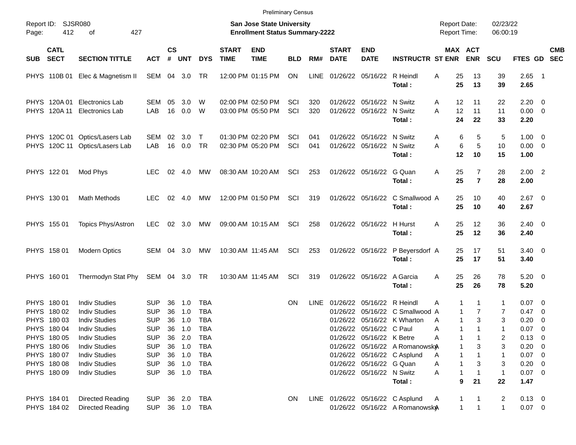|                                                 |                                                                         |                                                                                                                      |                                                                    |                                                                           |                                      |                                                             |                             | <b>Preliminary Census</b>              |            |            |                             |                                                                                                             |                                                                              |                                            |                                           |                                |                                                          |                                           |                          |
|-------------------------------------------------|-------------------------------------------------------------------------|----------------------------------------------------------------------------------------------------------------------|--------------------------------------------------------------------|---------------------------------------------------------------------------|--------------------------------------|-------------------------------------------------------------|-----------------------------|----------------------------------------|------------|------------|-----------------------------|-------------------------------------------------------------------------------------------------------------|------------------------------------------------------------------------------|--------------------------------------------|-------------------------------------------|--------------------------------|----------------------------------------------------------|-------------------------------------------|--------------------------|
| Report ID: SJSR080<br>412<br>427<br>Page:<br>οf |                                                                         |                                                                                                                      |                                                                    | <b>San Jose State University</b><br><b>Enrollment Status Summary-2222</b> |                                      |                                                             |                             |                                        |            |            |                             |                                                                                                             |                                                                              | <b>Report Date:</b><br><b>Report Time:</b> |                                           | 02/23/22<br>06:00:19           |                                                          |                                           |                          |
| <b>SUB</b>                                      | <b>CATL</b><br><b>SECT</b>                                              | <b>SECTION TITTLE</b>                                                                                                | <b>ACT</b>                                                         | <b>CS</b><br>#                                                            | <b>UNT</b>                           | <b>DYS</b>                                                  | <b>START</b><br><b>TIME</b> | <b>END</b><br><b>TIME</b>              | <b>BLD</b> | RM#        | <b>START</b><br><b>DATE</b> | <b>END</b><br><b>DATE</b>                                                                                   | <b>INSTRUCTR ST ENR</b>                                                      |                                            | MAX ACT<br><b>ENR</b>                     | <b>SCU</b>                     | <b>FTES GD</b>                                           |                                           | <b>CMB</b><br><b>SEC</b> |
|                                                 | PHYS 110B 01                                                            | Elec & Magnetism II                                                                                                  | SEM 04                                                             |                                                                           | 3.0                                  | TR                                                          |                             | 12:00 PM 01:15 PM                      | <b>ON</b>  | LINE       |                             | 01/26/22 05/16/22                                                                                           | R Heindl<br>Total:                                                           | 25<br>A<br>25                              | 13<br>13                                  | 39<br>39                       | $2.65$ 1<br>2.65                                         |                                           |                          |
|                                                 | PHYS 120A 01<br>PHYS 120A 11                                            | Electronics Lab<br>Electronics Lab                                                                                   | SEM<br>LAB                                                         | 05<br>16                                                                  | 3.0<br>0.0                           | W<br>W                                                      |                             | 02:00 PM 02:50 PM<br>03:00 PM 05:50 PM | SCI<br>SCI | 320<br>320 |                             | 01/26/22 05/16/22<br>01/26/22 05/16/22                                                                      | N Switz<br>N Switz<br>Total:                                                 | A<br>12<br>12<br>A<br>24                   | 11<br>11<br>22                            | 22<br>11<br>33                 | $2.20 \t 0$<br>$0.00 \t 0$<br>2.20                       |                                           |                          |
|                                                 |                                                                         | PHYS 120C 01 Optics/Lasers Lab<br>PHYS 120C 11 Optics/Lasers Lab                                                     | SEM<br>LAB                                                         | 02<br>16                                                                  | 3.0<br>0.0                           | $\top$<br><b>TR</b>                                         |                             | 01:30 PM 02:20 PM<br>02:30 PM 05:20 PM | SCI<br>SCI | 041<br>041 |                             | 01/26/22 05/16/22<br>01/26/22 05/16/22                                                                      | N Switz<br>N Switz<br>Total:                                                 | A<br>A<br>12                               | 6<br>5<br>6<br>5<br>10                    | 5<br>10<br>15                  | $1.00 \t 0$<br>$0.00 \t 0$<br>1.00                       |                                           |                          |
|                                                 | PHYS 122 01                                                             | Mod Phys                                                                                                             | <b>LEC</b>                                                         | 02                                                                        | 4.0                                  | MW                                                          |                             | 08:30 AM 10:20 AM                      | SCI        | 253        |                             | 01/26/22 05/16/22                                                                                           | G Quan<br>Total:                                                             | 25<br>A<br>25                              | $\overline{7}$<br>$\overline{7}$          | 28<br>28                       | $2.00$ 2<br>2.00                                         |                                           |                          |
|                                                 | PHYS 130 01                                                             | <b>Math Methods</b>                                                                                                  | LEC.                                                               | 02                                                                        | 4.0                                  | MW                                                          |                             | 12:00 PM 01:50 PM                      | SCI        | 319        |                             | 01/26/22 05/16/22                                                                                           | C Smallwood A<br>Total:                                                      | 25<br>25                                   | 10<br>10                                  | 40<br>40                       | $2.67$ 0<br>2.67                                         |                                           |                          |
|                                                 | PHYS 155 01                                                             | Topics Phys/Astron                                                                                                   | <b>LEC</b>                                                         | 02                                                                        | 3.0                                  | MW                                                          |                             | 09:00 AM 10:15 AM                      | SCI        | 258        |                             | 01/26/22 05/16/22                                                                                           | H Hurst<br>Total:                                                            | 25<br>A<br>25                              | 12<br>12                                  | 36<br>36                       | $2.40 \quad 0$<br>2.40                                   |                                           |                          |
|                                                 | PHYS 158 01                                                             | <b>Modern Optics</b>                                                                                                 | SEM 04                                                             |                                                                           | 3.0                                  | MW                                                          |                             | 10:30 AM 11:45 AM                      | SCI        | 253        |                             |                                                                                                             | 01/26/22 05/16/22 P Beyersdorf A<br>Total:                                   | 25<br>25                                   | 17<br>17                                  | 51<br>51                       | $3.40 \ 0$<br>3.40                                       |                                           |                          |
|                                                 | PHYS 160 01                                                             | Thermodyn Stat Phy                                                                                                   | SEM 04 3.0 TR                                                      |                                                                           |                                      |                                                             |                             | 10:30 AM 11:45 AM                      | SCI        | 319        |                             | 01/26/22 05/16/22                                                                                           | A Garcia<br>Total:                                                           | 25<br>A<br>25                              | 26<br>26                                  | 78<br>78                       | $5.20 \ 0$<br>5.20                                       |                                           |                          |
|                                                 | PHYS 180 01<br>PHYS 180 02<br>PHYS 180 03<br>PHYS 180 04<br>PHYS 180 05 | <b>Indiv Studies</b><br><b>Indiv Studies</b><br><b>Indiv Studies</b><br><b>Indiv Studies</b><br><b>Indiv Studies</b> | <b>SUP</b><br><b>SUP</b><br><b>SUP</b><br><b>SUP</b><br><b>SUP</b> | 36<br>36<br>36<br>36                                                      | 1.0<br>1.0<br>1.0<br>1.0<br>36 2.0   | <b>TBA</b><br><b>TBA</b><br><b>TBA</b><br><b>TBA</b><br>TBA |                             |                                        | ON         | LINE       | 01/26/22<br>01/26/22        | 01/26/22 05/16/22 R Heindl<br>05/16/22<br>05/16/22<br>01/26/22 05/16/22 C Paul<br>01/26/22 05/16/22 K Betre | C Smallwood A<br>K Wharton                                                   | Α<br>A<br>A<br>Α                           | 1<br>1<br>7<br>1<br>3<br>1<br>1<br>1<br>1 | 1<br>7<br>3<br>1<br>2          | $0.07$ 0<br>0.47 0<br>0.20<br>0.07<br>$0.13 \quad 0$     | $\overline{0}$<br>$\overline{\mathbf{0}}$ |                          |
|                                                 | PHYS 180 06<br>PHYS 180 07<br>PHYS 180 08<br>PHYS 180 09                | <b>Indiv Studies</b><br><b>Indiv Studies</b><br><b>Indiv Studies</b><br><b>Indiv Studies</b>                         | <b>SUP</b><br><b>SUP</b><br><b>SUP</b><br><b>SUP</b>               |                                                                           | 36 1.0<br>36 1.0<br>36 1.0<br>36 1.0 | <b>TBA</b><br><b>TBA</b><br><b>TBA</b><br>TBA               |                             |                                        |            |            |                             | 01/26/22 05/16/22 G Quan<br>01/26/22 05/16/22 N Switz                                                       | 01/26/22 05/16/22 A Romanowsk $\AA$<br>01/26/22 05/16/22 C Asplund<br>Total: | A<br>A<br>Α                                | 3<br>1<br>1<br>3<br>1<br>21<br>9          | 3<br>1<br>3<br>1<br>22         | $0.20 \ 0$<br>$0.07$ 0<br>$0.20 \ 0$<br>$0.07$ 0<br>1.47 |                                           |                          |
|                                                 | PHYS 184 01<br>PHYS 184 02                                              | <b>Directed Reading</b><br><b>Directed Reading</b>                                                                   | <b>SUP</b><br>SUP 36 1.0 TBA                                       |                                                                           | 36 2.0                               | TBA                                                         |                             |                                        | ON.        |            |                             |                                                                                                             | LINE 01/26/22 05/16/22 C Asplund<br>01/26/22 05/16/22 A Romanowsk $\lambda$  | A                                          | $\mathbf{1}$<br>$\mathbf{1}$              | $\overline{c}$<br>$\mathbf{1}$ | $0.13 \ 0$<br>$0.07$ 0                                   |                                           |                          |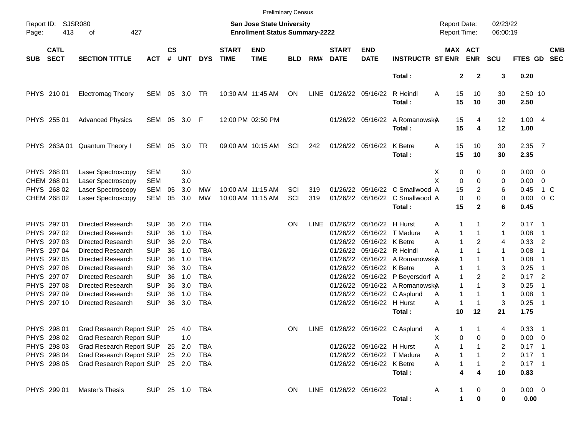|                     |                            |                                          |                          |                    |                |            |                             |                                                                           | <b>Preliminary Census</b> |             |                             |                            |                                                                              |                                     |                              |                                  |                      |                            |                          |
|---------------------|----------------------------|------------------------------------------|--------------------------|--------------------|----------------|------------|-----------------------------|---------------------------------------------------------------------------|---------------------------|-------------|-----------------------------|----------------------------|------------------------------------------------------------------------------|-------------------------------------|------------------------------|----------------------------------|----------------------|----------------------------|--------------------------|
| Report ID:<br>Page: | 413                        | <b>SJSR080</b><br>427<br>оf              |                          |                    |                |            |                             | <b>San Jose State University</b><br><b>Enrollment Status Summary-2222</b> |                           |             |                             |                            |                                                                              | <b>Report Date:</b><br>Report Time: |                              | 02/23/22<br>06:00:19             |                      |                            |                          |
| <b>SUB</b>          | <b>CATL</b><br><b>SECT</b> | <b>SECTION TITTLE</b>                    | <b>ACT</b>               | $\mathsf{cs}$<br># | <b>UNT</b>     | <b>DYS</b> | <b>START</b><br><b>TIME</b> | <b>END</b><br><b>TIME</b>                                                 | <b>BLD</b>                | RM#         | <b>START</b><br><b>DATE</b> | <b>END</b><br><b>DATE</b>  | <b>INSTRUCTR ST ENR</b>                                                      |                                     | <b>MAX ACT</b><br><b>ENR</b> | <b>SCU</b>                       | FTES GD              |                            | <b>CMB</b><br><b>SEC</b> |
|                     |                            |                                          |                          |                    |                |            |                             |                                                                           |                           |             |                             |                            | Total:                                                                       |                                     | $\mathbf{2}$<br>$\mathbf{2}$ | 3                                | 0.20                 |                            |                          |
|                     | PHYS 210 01                | <b>Electromag Theory</b>                 | SEM 05 3.0               |                    |                | TR         |                             | 10:30 AM 11:45 AM                                                         | ON                        | <b>LINE</b> |                             | 01/26/22 05/16/22          | R Heindl<br>Total:                                                           | A                                   | 15<br>10<br>15<br>10         | 30<br>30                         | 2.50 10<br>2.50      |                            |                          |
|                     | PHYS 255 01                | <b>Advanced Physics</b>                  |                          |                    | SEM 05 3.0     | F          |                             | 12:00 PM 02:50 PM                                                         |                           |             |                             |                            | 01/26/22 05/16/22 A Romanowsk $\lambda$<br>Total:                            |                                     | 15<br>4<br>15<br>4           | 12<br>12                         | 1.004<br>1.00        |                            |                          |
|                     | PHYS 263A01                | Quantum Theory I                         | SEM                      | 05                 | 3.0            | TR         |                             | 09:00 AM 10:15 AM                                                         | SCI                       | 242         |                             | 01/26/22 05/16/22 K Betre  | Total:                                                                       | Α                                   | 15<br>10<br>15<br>10         | 30<br>30                         | $2.35$ 7<br>2.35     |                            |                          |
|                     | PHYS 268 01<br>CHEM 268 01 | Laser Spectroscopy<br>Laser Spectroscopy | <b>SEM</b><br><b>SEM</b> |                    | 3.0<br>3.0     |            |                             |                                                                           |                           |             |                             |                            |                                                                              | X<br>X                              | 0<br>0<br>$\mathbf 0$<br>0   | 0<br>0                           | $0.00 \t 0$<br>0.00  | $\overline{0}$             |                          |
|                     | PHYS 268 02<br>CHEM 268 02 | Laser Spectroscopy<br>Laser Spectroscopy | <b>SEM</b><br>SEM        | 05<br>05           | 3.0<br>3.0     | MW<br>MW   |                             | 10:00 AM 11:15 AM<br>10:00 AM 11:15 AM                                    | SCI<br>SCI                | 319<br>319  |                             |                            | 01/26/22 05/16/22 C Smallwood A<br>01/26/22 05/16/22 C Smallwood A<br>Total: |                                     | 15<br>$\mathbf 0$<br>0<br>15 | 2<br>6<br>0<br>$\mathbf{2}$<br>6 | 0.45<br>0.00<br>0.45 | 0 <sup>o</sup>             | 1 C                      |
|                     | PHYS 297 01                | Directed Research                        | <b>SUP</b>               | 36                 | 2.0            | TBA        |                             |                                                                           | ON.                       | <b>LINE</b> |                             | 01/26/22 05/16/22 H Hurst  |                                                                              | Α                                   | 1                            | 2                                | $0.17$ 1             |                            |                          |
|                     | PHYS 297 02                | Directed Research                        | <b>SUP</b>               | 36                 | 1.0            | <b>TBA</b> |                             |                                                                           |                           |             |                             |                            | 01/26/22 05/16/22 T Madura                                                   | Α                                   | 1<br>1                       | 1                                | 0.08                 | $\overline{1}$             |                          |
|                     | PHYS 297 03                | Directed Research                        | <b>SUP</b>               | 36                 | 2.0            | <b>TBA</b> |                             |                                                                           |                           |             |                             | 01/26/22 05/16/22 K Betre  |                                                                              | Α                                   | 1<br>2                       | 4                                | 0.33                 | $\overline{\phantom{0}}^2$ |                          |
|                     | PHYS 297 04                | Directed Research                        | <b>SUP</b>               | 36                 | 1.0            | <b>TBA</b> |                             |                                                                           |                           |             |                             | 01/26/22 05/16/22 R Heindl |                                                                              | Α                                   | 1<br>1                       | 1                                | 0.08                 | -1                         |                          |
|                     | PHYS 297 05                | Directed Research                        | <b>SUP</b>               | 36                 | 1.0            | <b>TBA</b> |                             |                                                                           |                           |             |                             |                            | 01/26/22 05/16/22 A Romanowsk $\lambda$                                      |                                     | 1                            | 1                                | 0.08                 | -1                         |                          |
|                     | PHYS 297 06                | Directed Research                        | <b>SUP</b>               | 36                 | 3.0            | <b>TBA</b> |                             |                                                                           |                           |             |                             | 01/26/22 05/16/22 K Betre  |                                                                              | A                                   | 1<br>1                       | 3                                | 0.25                 | -1                         |                          |
|                     | PHYS 297 07                | Directed Research                        | <b>SUP</b>               | 36                 | 1.0            | <b>TBA</b> |                             |                                                                           |                           |             |                             |                            | 01/26/22 05/16/22 P Beyersdorf A                                             |                                     | 1                            | 2<br>2                           | $0.17$ 2             |                            |                          |
|                     | PHYS 297 08                | Directed Research                        | <b>SUP</b>               | 36                 | 3.0            | <b>TBA</b> |                             |                                                                           |                           |             |                             |                            | 01/26/22 05/16/22 A Romanowsk $\AA$                                          |                                     | 1<br>$\mathbf{1}$            | 3                                | 0.25                 | -1                         |                          |
|                     | PHYS 297 09                | Directed Research                        | <b>SUP</b>               | 36                 | 1.0            | <b>TBA</b> |                             |                                                                           |                           |             |                             |                            | 01/26/22 05/16/22 C Asplund                                                  | Α                                   | 1<br>1                       | $\mathbf{1}$                     | 0.08                 | -1                         |                          |
|                     | PHYS 297 10                | Directed Research                        | <b>SUP</b>               | 36                 | 3.0            | <b>TBA</b> |                             |                                                                           |                           |             |                             | 01/26/22 05/16/22 H Hurst  |                                                                              | Α                                   | -1<br>1                      | 3                                | 0.25                 | $\overline{\phantom{1}}$   |                          |
|                     |                            |                                          |                          |                    |                |            |                             |                                                                           |                           |             |                             |                            | Total:                                                                       |                                     | 10<br>12                     | 21                               | 1.75                 |                            |                          |
|                     | PHYS 298 01                | Grad Research Report SUP                 |                          |                    | 25 4.0         | TBA        |                             |                                                                           | ON                        | <b>LINE</b> |                             |                            | 01/26/22 05/16/22 C Asplund                                                  | Α                                   | 1<br>1                       | 4                                | $0.33$ 1             |                            |                          |
|                     | PHYS 298 02                | Grad Research Report SUP                 |                          |                    | 1.0            |            |                             |                                                                           |                           |             |                             |                            |                                                                              | х                                   | 0<br>0                       | 0                                | $0.00 \t 0$          |                            |                          |
|                     | PHYS 298 03                | <b>Grad Research Report SUP</b>          |                          |                    | 25 2.0         | TBA        |                             |                                                                           |                           |             |                             | 01/26/22 05/16/22 H Hurst  |                                                                              | Α                                   |                              | 2                                | $0.17$ 1             |                            |                          |
|                     | PHYS 298 04                | Grad Research Report SUP                 |                          |                    | 25 2.0         | TBA        |                             |                                                                           |                           |             |                             |                            | 01/26/22 05/16/22 T Madura                                                   | Α                                   | 1                            | 2                                | $0.17$ 1             |                            |                          |
|                     | PHYS 298 05                | Grad Research Report SUP                 |                          |                    | 25 2.0         | TBA        |                             |                                                                           |                           |             |                             | 01/26/22 05/16/22 K Betre  | Total:                                                                       | Α                                   | 4<br>4                       | $\overline{c}$<br>10             | $0.17$ 1<br>0.83     |                            |                          |
|                     | PHYS 299 01                | Master's Thesis                          |                          |                    | SUP 25 1.0 TBA |            |                             |                                                                           | <b>ON</b>                 |             | LINE 01/26/22 05/16/22      |                            | Total:                                                                       | A                                   | 0<br>0                       | $\pmb{0}$<br>0                   | $0.00 \t 0$<br>0.00  |                            |                          |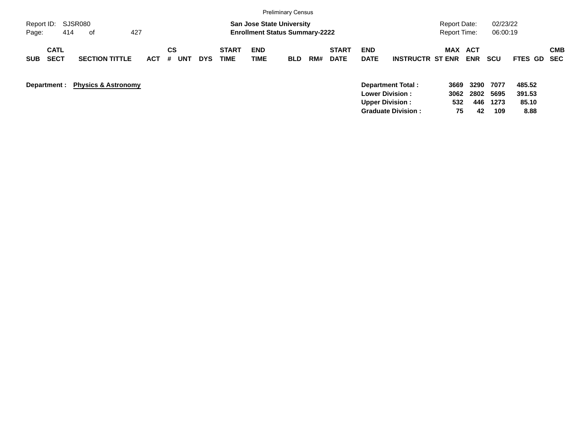|                                                                                      | <b>Preliminary Census</b>                                                                                                                      |                                                                                                                                                                          |
|--------------------------------------------------------------------------------------|------------------------------------------------------------------------------------------------------------------------------------------------|--------------------------------------------------------------------------------------------------------------------------------------------------------------------------|
| SJSR080<br>Report ID:<br>414<br>427<br>Page:<br>0f                                   | <b>San Jose State University</b><br><b>Enrollment Status Summary-2222</b>                                                                      | 02/23/22<br><b>Report Date:</b><br><b>Report Time:</b><br>06:00:19                                                                                                       |
| <b>CATL</b><br><b>SECT</b><br><b>SECTION TITTLE</b><br><b>SUB</b><br><b>ACT</b><br># | <b>CS</b><br><b>START</b><br><b>END</b><br><b>START</b><br><b>TIME</b><br><b>UNT</b><br>TIME<br><b>DATE</b><br>RM#<br><b>DYS</b><br><b>BLD</b> | <b>CMB</b><br><b>END</b><br><b>MAX</b><br><b>ACT</b><br><b>DATE</b><br><b>ENR</b><br><b>INSTRUCTR ST ENR</b><br><b>SCU</b><br><b>FTES GD</b><br><b>SEC</b>               |
| <b>Physics &amp; Astronomy</b><br>Department :                                       |                                                                                                                                                | 485.52<br>3290<br>Department Total:<br>7077<br>3669<br><b>Lower Division:</b><br>2802<br>391.53<br>3062<br>5695<br>85.10<br><b>Upper Division:</b><br>532<br>446<br>1273 |

**Graduate Division : 75 42 109 8.88**